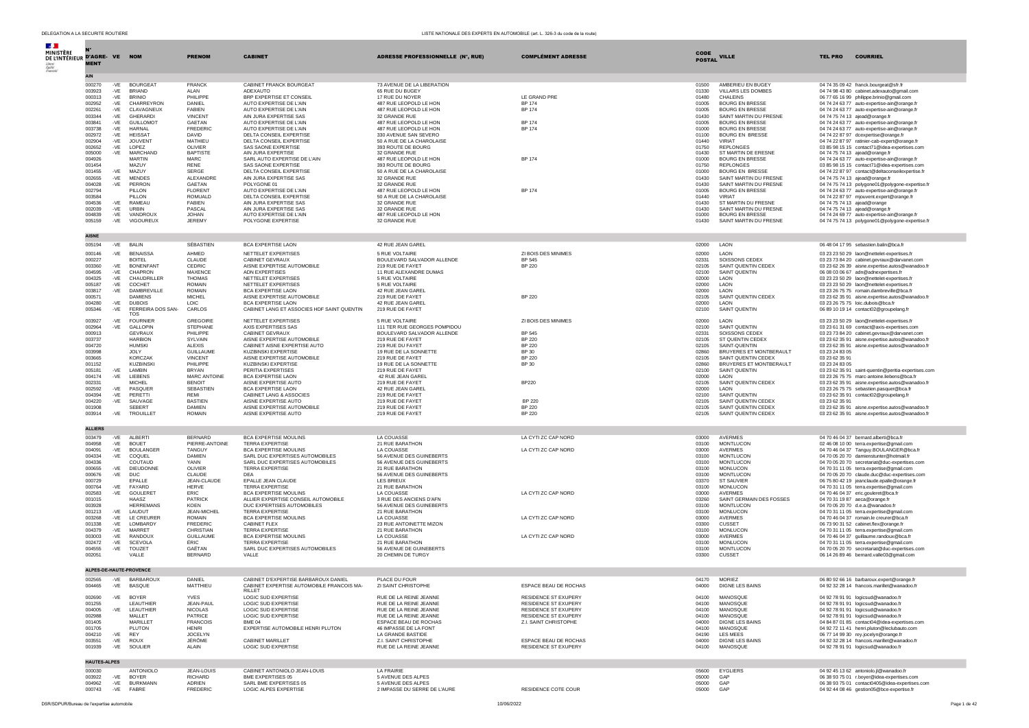| <b>Section</b>                             |                         |              |                                   |                                    |                                                                                  |                                                            |                                              |                |                                                  |                                  |                                                                                                |
|--------------------------------------------|-------------------------|--------------|-----------------------------------|------------------------------------|----------------------------------------------------------------------------------|------------------------------------------------------------|----------------------------------------------|----------------|--------------------------------------------------|----------------------------------|------------------------------------------------------------------------------------------------|
| MINISTÈRE<br>DE L'INTÉRIEUR D'AGRE- VE NOM |                         |              |                                   | <b>PRENOM</b>                      | <b>CABINET</b>                                                                   |                                                            | <b>COMPLÉMENT ADRESSE</b>                    | <b>CODE</b>    | <b>VILLE</b>                                     |                                  | <b>TEL PRO COURRIEL</b>                                                                        |
|                                            | <b>MENT</b>             |              |                                   |                                    |                                                                                  | ADRESSE PROFESSIONNELLE (N°, RUE)                          |                                              | <b>POSTAL</b>  |                                                  |                                  |                                                                                                |
|                                            |                         |              |                                   |                                    |                                                                                  |                                                            |                                              |                |                                                  |                                  |                                                                                                |
|                                            | AIN                     |              |                                   |                                    |                                                                                  |                                                            |                                              |                |                                                  |                                  |                                                                                                |
|                                            | 000270<br>003923        | -VE<br>-VE   | <b>BOURGEAT</b><br><b>BRIAND</b>  | <b>FRANCK</b><br>ALAN              | CABINET FRANCK BOURGEAT<br>ADEXAUTO                                              | 73 AVENUE DE LA LIBERATION<br>65 RUE DU BUGEY              |                                              | 01500<br>01330 | AMBERIEU EN BUGEY<br><b>VILLARS LES DOMBES</b>   |                                  | 04 74 35 09 42 franck.bourgeat@sfr.fr                                                          |
|                                            | 000313                  | -VE          | <b>BRINIO</b>                     | PHILIPPE                           | BRP EXPERTISE ET CONSEIL                                                         | 17 RUE DU NOYER                                            | LE GRAND PRE                                 | 01480          | CHALEINS                                         |                                  | 04 74 98 43 80 cabinet.adexauto@gmail.com<br>06 77 65 16 99 philippe.brinio@gmail.com          |
|                                            | 002952                  | -VE          | CHARREYRON                        | DANIEL                             | AUTO EXPERTISE DE L'AIN                                                          | 487 RUE LEOPOLD LE HON                                     | <b>BP 174</b>                                | 01005          | <b>BOURG EN BRESSE</b>                           |                                  | 04 74 24 63 77 auto-expertise-ain@orange.fr                                                    |
|                                            | 002261<br>003344        | -VE<br>$-VE$ | CLAVAGNEUX<br><b>GHERARDI</b>     | <b>FABIEN</b><br><b>VINCENT</b>    | AUTO EXPERTISE DE L'AIN<br>AIN JURA EXPERTISE SAS                                | 487 RUE LEOPOLD LE HON                                     | <b>BP 174</b>                                | 01005<br>01430 | <b>BOURG EN BRESSE</b><br>SAINT MARTIN DU FRESNE |                                  | 04 74 24 63 77 auto-expertise-ain@orange.fr                                                    |
|                                            | 003841                  | -VE          | <b>GUILLOMOT</b>                  | <b>GAETAN</b>                      | AUTO EXPERTISE DE L'AIN                                                          | 32 GRANDE RUE<br>487 RUE LEOPOLD LE HON                    | <b>BP 174</b>                                | 01005          | <b>BOURG EN BRESSE</b>                           |                                  | 04 74 75 74 13 ajead@orange.fr<br>04.74.24.63.77 auto-expertise-ain@orange.fr                  |
|                                            | 003738                  | -VE          | <b>HARNAL</b>                     | FREDERIC                           | AUTO EXPERTISE DE L'AIN                                                          | 487 RUE LEOPOLD LE HON                                     | <b>BP 174</b>                                | 01000          | <b>BOURG EN BRESSE</b>                           |                                  | 04 74 24 63 77 auto-expertise-ain@orange.fr                                                    |
|                                            | 002972<br>002904        | $-VE$<br>-VE | <b>HEISSAT</b><br><b>JOUVENT</b>  | <b>DAVID</b><br>MATHIEU            | DELTA CONSEIL EXPERTISE<br>DELTA CONSEIL EXPERTISE                               | 330 AVENUE SAN SEVERO<br>50 A RUE DE LA CHAROLAISE         |                                              | 01100<br>01440 | <b>BOURG EN BRESSE</b><br><b>VIRIAT</b>          |                                  | 04 74 22 87 97 dcexpertise@orange.fr<br>04 74 22 87 97 ratinier-cab-expert@orange.fr           |
|                                            | 002652                  | -VE          | LOPEZ                             | OLIVIER                            | SAS SAONE EXPERTISE                                                              | 393 ROUTE DE BOURG                                         |                                              | 01750          | <b>REPLONGES</b>                                 |                                  | 03 85 98 15 15 contact71@idea-expertises.com                                                   |
|                                            | 005000                  |              | -VE MARCHAND                      | <b>BAPTISTE</b>                    | AIN JURA EXPERTISE                                                               | 32 GRANDE RUE                                              |                                              | 01430          | ST MARTIN DE ERESNE                              |                                  | 04 74 75 74 13 ajead@orange.fr                                                                 |
|                                            | 004926<br>001454        |              | <b>MARTIN</b><br>MAZUY            | MARC.<br><b>RENE</b>               | SARL AUTO EXPERTISE DE L'AIN<br>SAS SAONE EXPERTISE                              | 487 RUE LEOPOLD LE HON<br>393 ROUTE DE BOURG               | <b>BP 174</b>                                | 01000<br>01750 | <b>BOURG EN BRESSE</b><br><b>REPLONGES</b>       |                                  | 04 74 24 63 77 auto-expertise-ain@orange.fr<br>03 85 98 15 15 contact71@idea-expertises.com    |
|                                            | 001455                  | $-VE$        | MAZUY                             | <b>SERGE</b>                       | DELTA CONSEIL EXPERTISE                                                          | 50 A RUE DE LA CHAROLAISE                                  |                                              | 01000          | <b>BOURG EN BRESSE</b>                           |                                  | 04 74 22 87 97 contact@deltaconseilexpertise.fr                                                |
|                                            | 002655                  | -VE          | <b>MENDES</b>                     | ALEXANDRE                          | AIN JURA EXPERTISE SAS                                                           | 32 GRANDE RUE                                              |                                              | 01430          | SAINT MARTIN DU FRESNE                           |                                  | 04 74 75 74 13 ajead@orange.fr                                                                 |
|                                            | 004028<br>002794        | $-VE$        | PERRON<br>PILLON                  | <b>GAETAN</b><br><b>FLORENT</b>    | POLYGONE 01<br>AUTO EXPERTISE DE L'AIN                                           | 32 GRANDE RUE<br>487 RUE LEOPOLD LE HON                    | <b>BP 174</b>                                | 01430<br>01005 | SAINT MARTIN DU FRESNE<br><b>BOURG EN BRESSE</b> |                                  | 04 74 75 74 13 polygone01@polygone-expertise.fr<br>04 74 24 63 77 auto-expertise-ain@orange.fr |
|                                            | 003584                  |              | PILLON                            | ROMUALD                            | DELTA CONSEIL EXPERTISE                                                          | 50 A RUE DE LA CHAROLAISE                                  |                                              | 01440          | VIRIAT                                           |                                  | 04 74 22 87 97 mjouvent.expert@orange.fr                                                       |
|                                            | 004536                  | $-VE$        | RAMEAU                            | <b>FABIEN</b>                      | AIN JURA EXPERTISE SAS                                                           | 32 GRANDE RUE                                              |                                              | 01430          | ST MARTIN DU FRESNE                              |                                  | 04 74 75 74 13 ajead@orange                                                                    |
|                                            | 002039<br>004839        | -VE<br>-VE   | URBIN<br>VANDROUX                 | PASCAL<br><b>JOHAN</b>             | AIN JURA EXPERTISE SAS<br>AUTO EXPERTISE DE L'AIN                                | 32 GRANDE RUE<br>487 RUE LEOPOLD LE HON                    |                                              | 01430<br>01000 | SAINT MARTIN DU FRESNE<br><b>BOURG EN BRESSE</b> |                                  | 04 74 75 74 13 ajead@orange.fr<br>04 74 24 69 77 auto-expertise-ain@orange.fr                  |
|                                            | 005159                  |              | -VE VIGOUREUX                     | <b>JEREMY</b>                      | POLYGONE EXPERTISE                                                               | 32 GRANDE RUE                                              |                                              | 01430          | SAINT MARTIN DU FRESNE                           |                                  | 04 74 75 74 13 polygone01@polygone-expertise.fr                                                |
|                                            |                         |              |                                   |                                    |                                                                                  |                                                            |                                              |                |                                                  |                                  |                                                                                                |
|                                            | <b>AISNE</b>            |              |                                   |                                    |                                                                                  |                                                            |                                              |                |                                                  |                                  |                                                                                                |
|                                            | 005194                  |              | -VE BALIN                         | SÉBASTIEN                          | BCA EXPERTISE LAON                                                               | 42 RUE JEAN GAREL                                          |                                              | 02000          | LAON                                             |                                  | 06 48 04 17 95 sebastien.balin@bca.fr                                                          |
|                                            | 000146                  | -VE          | <b>BENAISSA</b>                   | AHMED                              | NETTELET EXPERTISES                                                              | 5 RUE VOLTAIRE                                             | ZI BOIS DES MINIMES                          | 02000          | LAON                                             |                                  | 03 23 23 50 29 laon@nettelet-expertises.fr                                                     |
|                                            | 000227<br>003360        | -VE          | <b>BOITEL</b><br><b>BONENFANT</b> | CLAUDE<br>CEDRIC.                  | CABINET GEVRAUX<br>AISNE EXPERTISE AUTOMOBILE                                    | BOULEVARD SALVADOR ALLENDE<br>219 RUE DE FAYET             | <b>BP 545</b><br><b>BP 220</b>               | 02331<br>02105 | SOISSONS CEDEX<br>SAINT QUENTIN CEDEX            |                                  | 03 23 73 84 20 cabinet.gevraux@darvanet.com<br>03 23 62 26 39 aisne.expertise.autos@wanadoo.fr |
|                                            | 004595                  | $-VE$        | CHAPRON                           | <b>MAXENCE</b>                     | <b>ADN EXPERTISES</b>                                                            | 11 RUE ALEXANDRE DUMAS                                     |                                              | 02100          | SAINT QUENTIN                                    |                                  | 06 08 03 06 67 adn@adnexpertises.fr                                                            |
|                                            | 004325                  | -VE          | CHAUDRILLER                       | <b>THOMAS</b>                      | NETTELET EXPERTISES                                                              | 5 RUE VOLTAIRE                                             |                                              | 02000          | LAON                                             |                                  | 03.23.23.50.29 laon@nettelet-expertises.fr                                                     |
|                                            | 005187<br>003817        | -VE<br>-VE   | COCHET<br>DAMBREVILLE             | <b>ROMAIN</b><br><b>ROMAIN</b>     | NETTELET EXPERTISES<br>BCA EXPERTISE LAON                                        | 5 RUE VOLTAIRE<br>42 RUE JEAN GAREL                        |                                              | 02000<br>02000 | LAON<br>LAON                                     |                                  | 03 23 23 50 29 laon@nettelet-expertises.fr<br>03 23 26 75 75 romain.dambreville@bca.fr         |
|                                            | 000571                  |              | <b>DAMIENS</b>                    | <b>MICHEL</b>                      | AISNE EXPERTISE AUTOMOBILE                                                       | 219 RUE DE FAYET                                           | <b>BP 220</b>                                | 02105          | SAINT QUENTIN CEDEX                              |                                  | 03 23 62 35 91 aisne.expertise.autos@wanadoo.fr                                                |
|                                            | 004280                  |              | -VE DUBOIS                        | LOIC                               | BCA EXPERTISE LAON                                                               | 42 RUE JEAN GAREL                                          |                                              | 02000          | LAON                                             |                                  | 03 23 26 75 75 loic.dubois@bca.fr                                                              |
|                                            | 005346                  | -VE          | FERREIRA DOS SAN-<br><b>TOS</b>   | CARLOS                             | CABINET LANG ET ASSOCIES HDF SAINT QUENTIN                                       | 219 RUE DE FAYET                                           |                                              | 02100          | SAINT QUENTIN                                    |                                  | 06 89 10 19 14 contact02@groupelang.fr                                                         |
|                                            | 003927                  | -VE          | <b>FOURNIER</b>                   | GREGOIRE                           | NETTELET EXPERTISES                                                              | 5 RUE VOLTAIRE                                             | ZI BOIS DES MINIMES                          | 02000          | LAON                                             |                                  | 03 23 23 50 29 laon@nettelet-expertises.fr                                                     |
|                                            | 002964<br>000913        | -VE          | GALLOPIN<br><b>GEVRAUX</b>        | <b>STEPHANE</b><br>PHII IPPF       | AXIS EXPERTISES SAS<br>CABINET GEVRAUX                                           | 111 TER RUE GEORGES POMPIDOU<br>BOULEVARD SALVADOR ALLENDE | <b>BP 545</b>                                | 02100<br>02331 | SAINT QUENTIN<br>SOISSONS CEDEX                  |                                  | 03 23 61 31 69 contact@axis-expertises.com<br>03 23 73 84 20 cabinet.gevraux@darvanet.com      |
|                                            | 003737                  |              | <b>HARBION</b>                    | SYLVAIN                            | AISNE EXPERTISE AUTOMOBILE                                                       | 219 RUE DE FAYET                                           | <b>BP 220</b>                                | 02105          | ST QUENTIN CEDEX                                 |                                  | 03 23 62 35 91 aisne.expertise.autos@wanadoo.fr                                                |
|                                            | 004720                  |              | <b>HUMSKI</b>                     | <b>ALEXIS</b>                      | CABINET AISNE EXPERTISE AUTO                                                     | 219 RUE DU FAYET                                           | <b>BP 220</b>                                | 02105          | SAINT-OUENTIN                                    |                                  | 03 23 62 35 91 aisne.expertise.autos@wanadoo.fr                                                |
|                                            | 003998<br>003665        |              | JOLY<br><b>KORCZAK</b>            | <b>GUILLAUME</b><br><b>VINCENT</b> | <b>KUZBINSKI EXPERTISE</b><br>AISNE EXPERTISE AUTOMOBILE                         | 19 RUE DE LA SONNETTE<br>219 RUE DE FAYET                  | BP 30<br><b>BP 220</b>                       | 02860<br>02105 | BRUYERES ET MONTBERAULT<br>SAINT QUENTIN CEDEX   | 03 23 24 83 05<br>03 23 62 35 91 |                                                                                                |
|                                            | 001152                  |              | <b>KUZBINSK</b>                   | PHILIPPE                           | <b>KUZBINSKI EXPERTISE</b>                                                       | 19 RUE DE LA SONNETTE                                      | <b>BP 30</b>                                 | 02860          | BRUYERES ET MONTBERAULT                          | 03 23 24 83 05                   |                                                                                                |
|                                            | 005181                  | -VE          | LAMBIN                            | <b>BRYAN</b>                       | PERITIA EXPERTISES                                                               | 219 RUE DE FAYET                                           |                                              | 02100          | SAINT QUENTIN                                    |                                  | 03 23 62 35 91 saint-quentin@peritia-expertises.com                                            |
|                                            | 004174<br>002331        | -VE          | LIEBENS<br><b>MICHEL</b>          | MARC ANTOINE<br><b>BENOIT</b>      | BCA EXPERTISE LAON<br>AISNE EXPERTISE AUTO                                       | 42 RUE JEAN GAREL<br>219 RUE DE FAYET                      | <b>BP220</b>                                 | 02000<br>02105 | LAON                                             |                                  | 03 23 26 75 75 marc-antoine.liebens@bca.fr<br>03 23 62 35 91 aisne.expertise.autos@wanadoo.fr  |
|                                            | 002592                  | -VE          | PASQUEF                           | SEBASTIEN                          | BCA EXPERTISE LAON                                                               | 42 RUE JEAN GAREL                                          |                                              | 02000          | SAINT QUENTIN CEDEX<br>LAON                      |                                  | 03 23 26 75 75 sebastien.pasquer@bca.fr                                                        |
|                                            | 004394                  | $-VE$        | PERETTI                           | REMI                               | CABINET LANG & ASSOCIES                                                          | 219 RUE DE FAYET                                           |                                              | 02100          | SAINT QUENTIN                                    |                                  | 03 23 62 35 91 contact02@groupelang.fr                                                         |
|                                            | 004220<br>001908        | -VE          | SAUVAGE<br><b>SEBERT</b>          | <b>BASTIEN</b><br><b>DAMIEN</b>    | AISNE EXPERTISE AUTO<br>AISNE EXPERTISE AUTOMOBILE                               | 219 RUE DE FAYET<br>219 RUE DE FAYET                       | <b>BP 220</b><br><b>BP 220</b>               | 02105<br>02105 | SAINT QUENTIN CEDEX<br>SAINT QUENTIN CEDEX       | 03 23 62 35 91                   | 03 23 62 35 91 aisne.expertise.autos@wanadoo.fr                                                |
|                                            | 003914                  |              | -VE TROUILLET                     | <b>ROMAIN</b>                      | AISNE EXPERTISE AUTO                                                             | 219 RUE DE FAYET                                           | <b>BP 220</b>                                | 02105          | SAINT QUENTIN CEDEX                              |                                  | 03 23 62 35 91 aisne.expertise.autos@wanadoo.fr                                                |
|                                            |                         |              |                                   |                                    |                                                                                  |                                                            |                                              |                |                                                  |                                  |                                                                                                |
|                                            | <b>ALLIERS</b>          |              |                                   |                                    |                                                                                  |                                                            |                                              |                |                                                  |                                  |                                                                                                |
|                                            | 003479                  | -VE          | ALBERTI                           | <b>BERNARD</b>                     | BCA EXPERTISE MOULINS                                                            | LA COUASSE                                                 | LA CYTI ZC CAP NORD                          | 03000          | AVERMES                                          |                                  | 04 70 46 04 37 bernard.alberti@bca.fr                                                          |
|                                            | 004958<br>004091        | -VE          | <b>BOUET</b><br>-VE BOULANGER     | PIERRE-ANTOINE<br>TANGUY           | <b>TERRA EXPERTISE</b><br>BCA EXPERTISE MOULINS                                  | 21 RUE BARATHON<br>LA COUASSE                              | LA CYTI ZC CAP NORD                          | 03100<br>03000 | <b>MONTLUCON</b><br>AVERMES                      |                                  | 02 46 08 10 00 terra.expertise@gmail.com<br>04 70 46 04 37 Tanguy.BOULANGER@bca.fr             |
|                                            | 004334                  | -VE          | COQUEL                            | <b>DAMIEN</b>                      | SARL DUC EXPERTISES AUTOMOBILES                                                  | 56 AVENUE DES GUINEBERTS                                   |                                              | 03100          | <b>MONTLUCON</b>                                 |                                  | 04 70 05 20 70 damienstunter@hotmail.fr                                                        |
|                                            | 004336                  |              | COUTAUD                           | YANN                               | SARL DUC EXPERTISES AUTOMOBILES                                                  | 56 AVENUE DES GUINEBERTS                                   |                                              | 03100          | MONTLUCON                                        |                                  | 04 70 05 20 70 secretariat@duc-expertises.com                                                  |
|                                            | 000655<br>000676        | $-VE$<br>-VE | <b>DIEUDONNE</b><br><b>DUC</b>    | OLIVIER<br>CLAUDE                  | TERRA EXPERTISE<br><b>DFA</b>                                                    | 21 RUE BARATHON<br>56 AVENUE DES GUINEBERTS                |                                              | 03100<br>03100 | <b>MONLUCON</b><br><b>MONTLUCON</b>              |                                  | 04 70 31 11 05 terra.expertise@gmail.com<br>04 70 05 20 70 claude.duc@duc-expertises.com       |
|                                            | 000729                  |              | EPALLE                            | JEAN-CLAUDE                        | EPALLE JEAN CLAUDE                                                               | <b>LES BRIEUX</b>                                          |                                              | 03370          | <b>ST SAUVIER</b>                                |                                  | 06 75 80 42 19 jeanclaude.epalle@orange.fr                                                     |
|                                            | 000764<br>002583        | $-VE$<br>-VE | FAYARD<br>GOULERET                | <b>HERVE</b><br>ERIC               | <b>TERRA EXPERTISE</b><br>BCA EXPERTISE MOULINS                                  | 21 RUE BARATHON<br>LA COUASSE                              | LA CYTI ZC CAP NORD                          | 03100<br>03000 | <b>MONLUCON</b><br>AVERMES                       |                                  | 04 70 31 11 05 terra.expertise@gmail.com<br>04 70 46 04 37 eric.gouleret@bca.fr                |
|                                            | 001015                  |              | HAASZ                             | PATRICK                            | ALLIER EXPERTISE CONSEIL AUTOMOBILE                                              | 3 RUE DES ANCIENS D'AFN                                    |                                              | 03260          | SAINT GERMAIN DES FOSSES                         |                                  | 04 70 31 19 87 aeca@orange.fr                                                                  |
|                                            | 003928                  |              | <b>HERREMANS</b>                  | KOEN                               | DUC EXPERTISES AUTOMOBILES                                                       | 56 AVENUE DES GUINEBERTS                                   |                                              | 03100          | <b>MONTLUCON</b>                                 |                                  | 04 70 05 20 70 d.e.a.@wanadoo.fr                                                               |
|                                            | 001213<br>003268        | -VE<br>-VE   | LAUDUT<br>LE CREUREF              | JEAN-MICHEL<br><b>ROMAIN</b>       | TERRA EXPERTISE<br>BCA EXPERTISE MOULINS                                         | 21 RUE BARATHON<br>LA COUASSE                              | LA CYTI ZC CAP NORD                          | 03100<br>03000 | MONLUCON<br>AVERMES                              |                                  | 04 70 31 11 05 terra.expertise@gmail.com<br>04 70 46 04 37 romain.le creurer@bca.fr            |
|                                            | 001338                  | -VE          | LOMBARDY                          | <b>FREDERIC</b>                    | <b>CABINET FLEX</b>                                                              | 23 RUE ANTOINETTE MIZON                                    |                                              | 03300          | <b>CUSSET</b>                                    |                                  | 06 73 90 31 52 cabinet.flex@orange.fr                                                          |
|                                            | 004379                  | $-VE$        | MARRET                            | CHRISTIAN                          | <b>TERRA EXPERTISE</b>                                                           | 21 RUE BARATHON                                            |                                              | 03100          | MONLUCON                                         |                                  | 04 70 31 11 05 terra.expertise@gmail.com                                                       |
|                                            | 003003<br>002472        | $-VE$<br>-VE | <b>RANDOUX</b><br>SCEVOLA         | <b>GUILLAUME</b><br>ÉRIC           | <b>BCA EXPERTISE MOULINS</b><br><b>TERRA EXPERTISE</b>                           | LA COUASSE<br>21 RUE BARATHON                              | LA CYTI ZC CAP NORD                          | 03000<br>03100 | AVERMES<br>MONLUCON                              |                                  | 04 70 46 04 37 guillaume.randoux@bca.fr<br>04 70 31 11 05 terra.expertise@gmail.com            |
|                                            | 004555                  | $-VE$        | <b>TOUZET</b>                     | GAËTAN                             | SARL DUC EXPERTISES AUTOMOBILES                                                  | 56 AVENUE DE GUINEBERTS                                    |                                              | 03100          | MONTLUCON                                        |                                  | 04 70 05 20 70 secretariat@duc-expertises.com                                                  |
|                                            | 002051                  |              | VALLE                             | <b>BERNARD</b>                     | VALLE                                                                            | 20 CHEMIN DE TURGY                                         |                                              | 03300          | CUSSET                                           |                                  | 06 14 26 89 46 bernard.valle03@gmail.com                                                       |
|                                            |                         |              |                                   |                                    |                                                                                  |                                                            |                                              |                |                                                  |                                  |                                                                                                |
|                                            | ALPES-DE-HAUTE-PROVENCE |              |                                   |                                    |                                                                                  |                                                            |                                              |                |                                                  |                                  |                                                                                                |
|                                            | 002565<br>004465        |              | -VE BARBAROUX<br>-VE BASOUE       | DANIEL<br>MATTHIEL                 | CABINET D'EXPERTISE BARBAROUX DANIEL<br>CABINET EXPERTISE AUTOMOBILE FRANCOIS MA | PLACE DU FOUR<br>ZI SAINT CHRISTOPHE                       | ESPACE BEAU DE ROCHAS                        | 04170<br>04000 | MORIEZ<br>DIGNE LES BAINS                        |                                  | 06 80 92 66 16 barbaroux.expert@orange.fr<br>04 92 32 28 14 francois.marillet@wanadoo.fr       |
|                                            |                         |              |                                   |                                    | <b>RILLET</b>                                                                    |                                                            |                                              |                |                                                  |                                  |                                                                                                |
|                                            | 002690                  | -VE          | <b>BOYER</b>                      | <b>YVES</b>                        | <b>LOGIC SUD EXPERTISE</b>                                                       | RUE DE LA REINE JEANNE                                     | RESIDENCE ST EXUPERY                         | 04100          | MANOSQUE                                         |                                  | 04 92 78 91 91 logicsud@wanadoo.fr                                                             |
|                                            | 001255<br>004005        | $-VE$        | LEAUTHIER<br>LEAUTHIER            | JEAN-PAUL<br><b>NICOLAS</b>        | LOGIC SUD EXPERTISE<br>LOGIC SUD EXPERTISE                                       | RUE DE LA REINE JEANNE<br>RUE DE LA REINE JEANNE           | RESIDENCE ST EXUPERY<br>RESIDENCE ST EXUPERY | 04100<br>04100 | MANOSQUE<br>MANOSQUE                             |                                  | 04 92 78 91 91 logicsud@wanadoo.fr<br>04 92 78 91 91 logicsud@wanadoo.fr                       |
|                                            | 002988                  |              | MALLET                            | PATRICE                            | LOGIC SUD EXPERTISE                                                              | RUE DE LA REINE JEANNE                                     | <b>RESIDENCE ST EXUPERY</b>                  | 04100          | MANOSOUE                                         |                                  | 04 92 78 91 91 logicsud@wanadoo.fr                                                             |
|                                            | 001405                  |              | <b>MARILLET</b>                   | <b>FRANCOIS</b>                    | BME 04                                                                           | ESPACE BEAU DE ROCHAS                                      | Z.I. SAINT CHRISTOPHE                        | 04000          | DIGNE LES BAINS                                  |                                  | 04 84 87 01 85 contact04@idea-expertises.com                                                   |
|                                            | 001705<br>004210        | -VE          | PLUTON<br><b>REY</b>              | <b>HENRI</b><br><b>JOCELYN</b>     | EXPERTISE AUTOMOBILE HENRI PLUTON                                                | 46 IMPASSE DE LA FONT<br>LA GRANDE BASTIDE                 |                                              | 04100<br>04190 | MANOSQUE<br><b>LES MEES</b>                      |                                  | 04 92 72 11 41 henri.pluton@leclubauto.com<br>06 77 14 99 30 rey.jocelyn@orange.fr             |
|                                            | 003551                  |              | -VE ROUX                          | JÉRÔME                             | CABINET MARILLET                                                                 | Z.I. SAINT CHRISTOPHE                                      | ESPACE BEAU DE ROCHAS                        | 04000          | DIGNE LES BAINS                                  |                                  | 04 92 32 28 14 francois.marillet@wanadoo.fr                                                    |
|                                            | 001939                  |              | -VE SOULIER                       | ALAIN                              | LOGIC SUD EXPERTISE                                                              | RUE DE LA REINE JEANNE                                     | RESIDENCE ST EXUPERY                         | 04100          | MANOSQUE                                         |                                  | 04 92 78 91 91 logicsud@wanadoo.fr                                                             |
|                                            |                         |              |                                   |                                    |                                                                                  |                                                            |                                              |                |                                                  |                                  |                                                                                                |
|                                            | <b>HAUTES-ALPES</b>     |              |                                   |                                    |                                                                                  |                                                            |                                              |                |                                                  |                                  |                                                                                                |
|                                            | 000030<br>003922        |              | <b>ANTONIOLO</b><br>-VE BOYER     | JEAN-LOUIS<br><b>RICHARD</b>       | CABINET ANTONIOLO JEAN-LOUIS<br>BME EXPERTISES 05                                | LA FRAIRIE<br>5 AVENUE DES ALPES                           |                                              | 05600<br>05000 | <b>EYGLIERS</b><br>GAP                           |                                  | 04 92 45 13 62 antoniolo.jl@wanadoo.fr                                                         |
|                                            | 004962                  |              | -VE BURKMANN                      | ADRIEN                             | SARL BME EXPERTISES 05                                                           | 5 AVENUE DES ALPES                                         |                                              | 05000          | GAP                                              |                                  | 06 38 93 75 01 r.boyer@idea-expertises.com<br>06 38 93 75 01 contact0405@idea-expertises.com   |
|                                            | 000743                  |              | -VE FABRE                         | FREDERIC                           | LOGIC ALPES EXPERTISE                                                            | 2 IMPASSE DU SERRE DE L'AURE                               | RESIDENCE COTE COUR                          | 05000          | GAP                                              |                                  | 04 92 44 08 46 gestion05@bce-expertise.fr                                                      |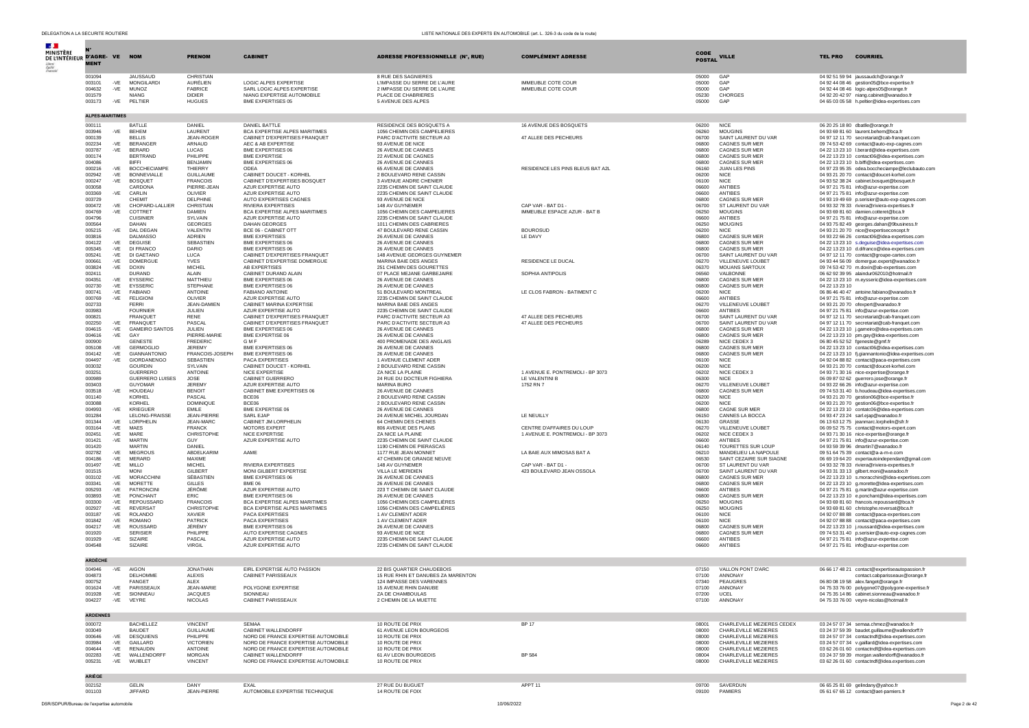| DELEGATION A LA SECURITE ROUTIERE<br>LISTE NATIONALE DES EXPERTS EN AUTOMOBILE (art. L. 326-3 du code de la route) |                |                                     |                                    |                                                            |                                                                  |                                                               |                |                                                    |                                                                                                |
|--------------------------------------------------------------------------------------------------------------------|----------------|-------------------------------------|------------------------------------|------------------------------------------------------------|------------------------------------------------------------------|---------------------------------------------------------------|----------------|----------------------------------------------------|------------------------------------------------------------------------------------------------|
|                                                                                                                    |                |                                     |                                    |                                                            |                                                                  |                                                               |                |                                                    |                                                                                                |
|                                                                                                                    |                |                                     |                                    |                                                            |                                                                  |                                                               | CODE           |                                                    |                                                                                                |
| DE L'INTÉRIEUR D'AGRE- VE NOM<br><b>MENT</b>                                                                       |                |                                     | <b>PRENOM</b>                      | <b>CABINET</b>                                             | <b>ADRESSE PROFESSIONNELLE (N°, RUE)</b>                         | <b>COMPLÉMENT ADRESSE</b>                                     | <b>POSTAL</b>  | <b>VILLE</b>                                       | <b>COURRIEL</b><br><b>TEL PRO</b>                                                              |
|                                                                                                                    |                |                                     |                                    |                                                            |                                                                  |                                                               |                |                                                    |                                                                                                |
| 001094                                                                                                             |                | <b>JAUSSAUD</b>                     | CHRISTIAN                          |                                                            | 8 RUE DES SAGNIERES                                              |                                                               | 05000          | GAP                                                | 04 92 51 59 94 jaussaudch@orange.fr                                                            |
| 003101                                                                                                             | $-VE$          | <b>MONGILARDI</b>                   | AURÉLIEN                           | LOGIC ALPES EXPERTISE                                      | L'IMPASSE DU SERRE DE L'AURE                                     | <b>IMMEUBLE COTE COUR</b>                                     | 05000          | GAP                                                | 04 92 44 08 46 gestion05@bce-expertise.fr                                                      |
| 004632<br>001579                                                                                                   | -VE            | <b>MUNOZ</b><br><b>NIANG</b>        | <b>FABRICE</b><br><b>DIDIFR</b>    | SARL LOGIC ALPES EXPERTISE<br>NIANG EXPERTISE AUTOMOBILE   | 2 IMPASSE DU SERRE DE L'AURE<br>PLACE DE CHABRIERES              | <b>IMMEUBLE COTE COUR</b>                                     | 05000<br>05230 | GAP<br><b>CHORGES</b>                              | 04 92 44 08 46 logic-alpes05@orange.fr<br>04 92 20 42 97 niang.cabinet@wanadoo.fr              |
| 003173                                                                                                             | -VE            | PELTIER                             | <b>HUGUES</b>                      | BME EXPERTISES 05                                          | 5 AVENUE DES ALPES                                               |                                                               | 05000          | GAP                                                | 04 65 03 05 58 h.peltier@idea-expertises.com                                                   |
|                                                                                                                    |                |                                     |                                    |                                                            |                                                                  |                                                               |                |                                                    |                                                                                                |
| <b>ALPES-MARITIMES</b>                                                                                             |                |                                     |                                    |                                                            |                                                                  |                                                               |                |                                                    |                                                                                                |
| 000111                                                                                                             |                | BATLLE                              | <b>DANIEL</b>                      | DANIEL BATTLE                                              | RESIDENCE DES BOSQUETS A                                         | 16 AVENUE DES BOSQUETS                                        | 06200          | <b>NICE</b>                                        | 06 20 25 18 80 dbatlle@orange.fr                                                               |
| 003946                                                                                                             | $-VE$          | <b>BEHEM</b>                        | LAURENT                            | BCA EXPERTISE ALPES MARITIMES                              | 1056 CHEMIN DES CAMPELIERES                                      |                                                               | 06260          | <b>MOUGINS</b>                                     | 04 93 69 81 60 laurent.behem@bca.fr                                                            |
| 000139<br>002234                                                                                                   | $-VE$          | BELLIS<br><b>BERANGER</b>           | JEAN-ROGER<br>ARNAUD               | CABINET D'EXPERTISES FRANQUET<br>AEC & AB EXPERTISE        | PARC D'ACTIVITE SECTEUR A3<br>93 AVENUE DE NICE                  | 47 ALLEE DES PECHEURS                                         | 06700<br>06800 | SAINT LAURENT DU VAR<br>CAGNES SUR MER             | 04 97 12 11 70 secretariat@cab-franquet.com                                                    |
| 003787                                                                                                             | $-VE$          | <b>BERARD</b>                       | <b>LUCAS</b>                       | BME EXPERTISES 06                                          | 26 AVENUE DE CANNES                                              |                                                               | 06800          | CAGNES SUR MER                                     | 09 74 53 42 69 contact@auto-exp-cagnes.com<br>04 22 13 23 10 I.berard@idea-expertises.com      |
| 000174                                                                                                             |                | <b>BERTRAND</b>                     | PHILIPPE                           | <b>BME EXPERTISE</b>                                       | 22 AVENUE DE CAGNES                                              |                                                               | 06800          | <b>CAGNES SUR MER</b>                              | 04 22 13 23 10 contact06@idea-expertises.com                                                   |
| 004086                                                                                                             | $-VF$          | <b>BIFFI</b><br><b>BOCCHECIAMPF</b> | BENJAMIN                           | BME EXPERTISES 06                                          | 26 AVENUE DE CANNES                                              |                                                               | 06800          | CAGNES SUR MER                                     | 04 22 13 23 10 b.biffi@idea-expertises.com                                                     |
| 000216<br>002942                                                                                                   | -VE            | <b>BONNEVIALLE</b>                  | THIFRRY<br><b>GUILLAUME</b>        | ODEA<br>CABINET DOUCET - KORHEL                            | 65 AVENUE DE CANNES<br>2 BOULEVARD RENE CASSIN                   | RESIDENCE LES PINS BLEUS BAT A2L                              | 06160<br>06200 | <b>JUAN LES PINS</b><br><b>NICE</b>                | 04 97 23 95 35 odea.boccheciampe@leclubauto.com<br>04 93 21 20 70 contact@doucet-korhel.com    |
| 000247                                                                                                             | -VE            | <b>BOSQUET</b>                      | <b>FRANCOIS</b>                    | CABINET D'EXPERTISES BOSQUET                               | 3 AVENUE ANDRE CHENIER                                           |                                                               | 06100          | <b>NICE</b>                                        | 04.93.52.38.24 cabinet.bosquet@bosquet.fr                                                      |
| 003058                                                                                                             |                | CARDONA                             | PIFRRE-JEAN                        | AZUR EXPERTISE AUTO                                        | 2235 CHEMIN DE SAINT CLAUDE                                      |                                                               | 06600          | ANTIBES                                            | 04 97 21 75 81 info@azur-expertise.com                                                         |
| 003369<br>003729                                                                                                   | -VE            | CARLIN<br>CHEMIT                    | OLIVIER<br><b>DELPHINE</b>         | AZUR EXPERTISE AUTO<br>AUTO EXPERTISES CAGNES              | 2235 CHEMIN DE SAINT CLAUDE<br>93 AVENUE DE NICE                 |                                                               | 06600<br>06800 | ANTIBES<br>CAGNES SUR MER                          | 04 97 21 75 81 info@azur-expertise.com<br>04 93 19 49 69 p.serisier@auto-exp-cagnes.com        |
| 000472                                                                                                             | $-VE$          | CHOPARD-LALLIER                     | CHRISTIAN                          | <b>RIVIERA EXPERTISES</b>                                  | 148 AV GUYNEMER                                                  | CAP VAR - BAT D1 -                                            | 06700          | ST LAURENT DU VAR                                  | 04 93 32 78 33 riviera@riviera-expertises.fr                                                   |
| 004769                                                                                                             | -VE            | <b>COTTRET</b>                      | <b>DAMIEN</b>                      | BCA EXPERTISE ALPES MARITIMES                              | 1056 CHEMIN DES CAMPELIERES                                      | IMMEUBLE ESPACE AZUR - BAT B                                  | 06250          | <b>MOUGINS</b>                                     | 04 93 69 81 60 damien.cotteret@bca.fr                                                          |
| 004796                                                                                                             |                | CUISINIER                           | SYI VAIN                           | AZUR EXPERTISE AUTO                                        | 2235 CHEMIN DE SAINT CLAUDE                                      |                                                               | 06600          | <b>ANTIBES</b>                                     | 04 97 21 75 81 info@azur-expertise.com                                                         |
| 000564<br>005215                                                                                                   | $-VE$          | DAHAN<br>DAL DEGAN                  | GEORGES<br>VALENTIN                | DAHAN GEORGES<br>BCE 06 - CABINET OTT                      | 1011 CHEMIN DES CABRIERES<br>47 BOULEVARD RENE CASSIN            | <b>BOUROSUD</b>                                               | 06250<br>06200 | <b>MOUGINS</b><br><b>NICE</b>                      | 04 93 75 82 49 georges.dahan@9business.fr<br>04 93 21 20 70 nice@expertiseconcept.fr           |
| 003816                                                                                                             |                | DAI MASSO                           | <b>ADRIEN</b>                      | <b>BME EXPERTISES</b>                                      | 26 AVENUE DE CANNES                                              | LE DAVY                                                       | 06800          | CAGNES SUR MER                                     | 04 93 22 66 26 contact06@idea-expertises.com                                                   |
| 004122                                                                                                             | $-VE$          | <b>DEGUISE</b>                      | <b>SEBASTIEN</b>                   | <b>BME EXPERTISES 06</b>                                   | 26 AVENUE DE CANNES                                              |                                                               | 06800          | CAGNES SUR MER                                     | 04 22 13 23 10 s.deguise@idea-expertises.com                                                   |
| 005345                                                                                                             | $-VE$          | DI FRANCO<br>DI GAETANO             | <b>DARIO</b>                       | BME EXPERTISES 06<br>CABINET D'EXPERTISES FRANQUET         | 26 AVENUE DE CANNES<br>148 AVENUE GEORGES GUYNEMER               |                                                               | 06800          | CAGNES SUR MER                                     | 04 22 13 23 10 d.difranco@idea-expertises.com                                                  |
| 005241<br>000661                                                                                                   | $-VE$<br>-VE   | <b>DOMERGUE</b>                     | LUCA<br><b>YVES</b>                | CABINET D'EXPERTISE DOMERGUE                               | MARINA BAIE DES ANGES                                            | RESIDENCE LE DUCAL                                            | 06700<br>06270 | SAINT LAURENT DU VAR<br>VILLENEUVE LOUBET          | 04 97 12 11 70 contact@groupe-cartex.com<br>04 93 44 56 09 domergue.expert@wanadoo.fr          |
| 003824                                                                                                             | $-VE$          | <b>DOXIN</b>                        | <b>MICHEL</b>                      | AB EXPERTISES                                              | 251 CHEMIN DES GOURETTES                                         |                                                               | 06370          | <b>MOUANS SARTOUX</b>                              | 09 74 53 42 70 m doxin@ab-expertises.com                                                       |
| 002411                                                                                                             |                | <b>DURAND</b>                       | ALAIN                              | CABINET DURAND ALAIN                                       | 07 PLACE MEJANE GARBEJAIRE                                       | SOPHIA ANTIPOLIS                                              | 06560          | VALBONNE                                           | 06 62 92 39 95 alaindur062010@hotmail.fr                                                       |
| 004351<br>002730                                                                                                   | $-VE$<br>$-VE$ | EYSSERIC<br><b>EYSSERIC</b>         | MATTHIEU<br><b>STEPHANE</b>        | BME EXPERTISES 06<br><b>BME EXPERTISES 06</b>              | 26 AVENUE DE CANNES<br>26 AVENUE DE CANNES                       |                                                               | 06800<br>06800 | <b>CAGNES SUR MER</b><br><b>CAGNES SUR MER</b>     | 04 22 13 23 10 m.eysseric@idea-expertises.com<br>04 22 13 23 10                                |
| 000741                                                                                                             | -VE            | FABIANO                             | ANTOINE                            | FABIANO ANTOINE                                            | 51 BOULEVARD MONTREAL                                            | LE CLOS FABRON - BATIMENT C                                   | 06200          | <b>NICE</b>                                        | 06 86 46 40 47 antoine.fabiano@wanadoo.fr                                                      |
| 000769                                                                                                             |                | -VE FELIGIONI                       | OLIVIER                            | AZUR EXPERTISE AUTO                                        | 2235 CHEMIN DE SAINT CLAUDE                                      |                                                               | 06600          | ANTIBES                                            | 04 97 21 75 81 info@azur-expertise.com                                                         |
| 002733                                                                                                             |                | <b>FFRRI</b>                        | JFAN-DAMIEN                        | CABINET MARINA EXPERTISE                                   | MARINA BAIE DES ANGES                                            |                                                               | 06270          | VILLENEUVE LOUBET                                  | 04 93 21 20 70 ofexpert@wanadoo.fr                                                             |
| 003983<br>000821                                                                                                   |                | <b>FOURNIEF</b><br>FRANOUET         | JULIEN<br><b>RENE</b>              | AZUR EXPERTISE AUTO<br>CABINET D'EXPERTISES FRANQUET       | 2235 CHEMIN DE SAINT CLAUDE<br>PARC D'ACTIVITE SECTEUR A3        | 47 ALLEE DES PECHEURS                                         | 06600<br>06700 | ANTIBES<br>SAINT LAURENT DU VAR                    | 04 97 21 75 81 info@azur-expertise.com<br>04.97.12.11.70 secretariat@cab-franquet.com          |
| 002250                                                                                                             | -VE            | FRANQUET                            | PASCAL                             | CABINET D'EXPERTISES FRANQUET                              | PARC D'ACTIVITE SECTEUR A3                                       | 47 ALLEE DES PECHEURS                                         | 06700          | SAINT LAURENT DU VAR                               | 04 97 12 11 70 secretariat@cab-franquet.com                                                    |
| 004615                                                                                                             | -VE            | <b>GAMEIRO SANTOS</b>               | <b>JULIEN</b>                      | <b>BME EXPERTISES 06</b>                                   | 26 AVENUE DE CANNES                                              |                                                               | 06800          | <b>CAGNES SUR MER</b>                              | 04 22 13 23 10 j.gameiro@idea-expertises.com                                                   |
| 004616                                                                                                             | -VE            | GAY                                 | PIFRRF-MARIE                       | <b>BME EXPERTISE 06</b>                                    | 26 AVENUE DE CANNES                                              |                                                               | 06800          | CAGNES SUR MER                                     | 04 22 13 23 10 pm.gay@idea-expertises.com                                                      |
| 000900<br>005108                                                                                                   | -VE            | <b>GENESTE</b><br><b>GERMOGLIO</b>  | <b>FREDERIC</b><br><b>JEREMY</b>   | <b>GMF</b><br><b>BME EXPERTISES 06</b>                     | 400 PROMENADE DES ANGLAIS<br>26 AVENUE DE CANNES                 |                                                               | 06289<br>06800 | NICE CEDEX 3<br><b>CAGNES SUR MEF</b>              | 06 80 45 52 52 fgeneste@gmf.fr<br>04 22 13 23 10 contact06@idea-expertises.com                 |
| 004142                                                                                                             | -VE            | <b>GIANNANTONIO</b>                 | FRANCOIS-JOSEPH                    | <b>BME EXPERTISES 06</b>                                   | 26 AVENUE DE CANNES                                              |                                                               | 06800          | <b>CAGNES SUR MER</b>                              | 04 22 13 23 10 fj.giannantonio@idea-expertises.com                                             |
| 004497                                                                                                             | -VE            | <b>GIORDANENGO</b>                  | <b>SEBASTIEN</b>                   | PACA EXPERTISES                                            | 1 AVENUE CLEMENT ADER                                            |                                                               | 06100          | <b>NICE</b>                                        | 04 92 04 88 82 contact@paca-expertises.com                                                     |
| 003032                                                                                                             |                | <b>GOURDIN</b>                      | SYLVAIN                            | CABINET DOUCET - KORHEL                                    | 2 BOULEVARD RENE CASSIN                                          |                                                               | 06200          | <b>NICE</b>                                        | 04 93 21 20 70 contact@doucet-korhel.com                                                       |
| 003251<br>000989                                                                                                   |                | <b>GUERRERO</b><br>GUERRERO LUISES  | ANTOINE<br>JOSE                    | NICE EXPERTISE<br>CABINET GUERRERO                         | ZA NICE LA PLAINE<br>24 RUE DU DOCTEUR FIGHIERA                  | 1 AVENUE E. PONTREMOLI - BP 3073<br><b>I F VAI ENTINI B</b>   | 06202<br>06300 | NICE CEDEX 3<br><b>NICE</b>                        | 04 93 71 30 16 nice-expertise@orange.fr<br>06 09 87 02 62 guerrero.jose@orange.fr              |
| 003403                                                                                                             |                | <b>GUYOMAR</b>                      | <b>JEREMY</b>                      | AZUR EXPERTISE AUTO                                        | <b>MARINA BURO</b>                                               | 1752 RN 7                                                     | 06270          | VILLENEUVE LOUBET                                  | 04 93 22 66 26 info@azur-expertise.com                                                         |
| 003518                                                                                                             | -VE            | HOUDEAU                             | <b>BENOIT</b>                      | CABINET BME EXPERTISES 06                                  | 26 AVENUE DE CANNES                                              |                                                               | 06800          | CAGNES SUR MER                                     | 09 74 53 31 40 b.houdeau@idea-expertises.com                                                   |
| 001140<br>003088                                                                                                   |                | KORHEL<br>KORHEL                    | PASCAL                             | BCE06<br>BCE06                                             | 2 BOULEVARD RENE CASSIN<br>2 BOULEVARD RENE CASSIN               |                                                               | 06200<br>06200 | <b>NICE</b><br>NIC <sub>E</sub>                    | 04 93 21 20 70 gestion06@bce-expertise.fr                                                      |
| 004993                                                                                                             | -VE            | KRIEGUER                            | <b>DOMINIQUE</b><br><b>EMILE</b>   | BME EXPERTISE 06                                           | 26 AVENUE DE CANNES                                              |                                                               | 06800          | <b>CAGNE SUR MER</b>                               | 04 93 21 20 70 gestion06@bce-expertise.fr<br>04 22 13 23 10 contatc06@idea-expertises.com      |
| 001284                                                                                                             |                | LELONG-FRAISSE                      | JEAN-PIERRE                        | <b>SARL EJAF</b>                                           | 24 AVENUE MICHEL JOURDAN                                         | LE NEUILLY                                                    | 06150          | CANNES LA BOCCA                                    | 04 93 47 23 24 sarl.eiap@wanadoo.fr                                                            |
| 001344                                                                                                             | $-VE$          | LORPHELIN                           | JFAN-MARC                          | CABINET JM LORPHELIN                                       | 64 CHEMIN DES CHENES                                             |                                                               | 06130          | GRASSE                                             | 06 13 63 12 75 jeanmarc.lorphelin@sfr.fr                                                       |
| 003164<br>002451                                                                                                   | -VE<br>$-VE$   | MAES<br>MARE                        | <b>FRANCK</b><br>CHRISTOPHE        | <b>MOTORS EXPERT</b><br>NICE EXPERTISE                     | 806 AVENUE DES PLANS<br>ZA NICE LA PLAINE                        | CENTRE D'AFFAIRES DU LOUP<br>1 AVENUE E. PONTREMOLI - BP 3073 | 06270<br>06202 | VILLENEUVE LOUBET<br>NICE CEDEX 3                  | 06 09 52 75 75 contact@motors-expert.com<br>04 93 71 30 16 nice-expertise@orange.fr            |
| 001421                                                                                                             | -VE            | <b>MARTIN</b>                       | <b>GUY</b>                         | AZUR EXPERTISE AUTO                                        | 2235 CHEMIN DE SAINT CLAUDE                                      |                                                               | 06600          | ANTIBES                                            | 04 97 21 75 81 info@azur-expertise.com                                                         |
| 001420                                                                                                             |                | <b>MARTIN</b>                       | DANIEL                             |                                                            | 1190 CHEMIN DE PIERASCAS                                         |                                                               | 06140          | <b>TOURETTES SUR LOUF</b>                          | 04 93 59 39 96 dmartin7@wanadoo.fr                                                             |
| 002782                                                                                                             | $-VE$          | <b>MEGROUS</b><br>MERARD            | ABDELKARIM<br>MAXIME               | AAME                                                       | 1177 RUE JEAN MONNET                                             | LA BAIE AUX MIMOSAS BAT A                                     | 06210<br>06530 | MANDELIEU LA NAPOULE                               | 09 51 64 75 39 contact@a-a-m-e.com                                                             |
| 004186<br>001497                                                                                                   | -VE<br>-VE     | MILLO                               | <b>MICHEL</b>                      | RIVIERA EXPERTISES                                         | 47 CHEMIN DE GRANGE NEUVE<br>148 AV GUYNEMER                     | CAP VAR - BAT D1 -                                            | 06700          | SAINT CEZAIRE SUR SIAGNE<br>ST LAURENT DU VAR      | 06 69 19 64 20 expertautoindependant@gmail.com<br>04 93 32 78 33 riviera@riviera-expertises.fr |
| 001515                                                                                                             |                | <b>MONI</b>                         | <b>GILBERT</b>                     | MONI GILBERT EXPERTISE                                     | VILLA LE MERIDIEN                                                | 423 BOULEVARD JEAN OSSOLA                                     | 06700          | SAINT LAURENT DU VAR                               | 04 93 31 33 13 gilbert.moni@wanadoo.fr                                                         |
| 003102                                                                                                             | $-VE$          | <b>MORACCHINI</b>                   | SÉBASTIEN                          | BME EXPERTISES 06                                          | 26 AVENUE DE CANNES                                              |                                                               | 06800          | CAGNES SUR MER                                     | 04 22 13 23 10 s.moracchini@idea-expertises.com                                                |
| 003341<br>005293                                                                                                   | $-VE$<br>$-VE$ | MORETTE<br>PATRONCINI               | GILLES<br>JÉRÔME                   | <b>BME 06</b><br>AZUR EXPERTISE AUTO                       | 26 AVENUE DE CANNES<br>223 T CHEMIN DE SAINT CLAUDE              |                                                               | 06800<br>06600 | CAGNES SUR MER<br>ANTIBES                          | 04 22 13 23 10 a.morette@idea-expertises.com<br>04 97 21 75 81 g.martin@azur-expertise.com     |
| 003893                                                                                                             | $-VE$          | PONCHANT                            | <b>ERIC</b>                        | <b>BME EXPERTISES 06</b>                                   | 26 AVENUE DE CANNES                                              |                                                               | 06800          | <b>CAGNES SUR MER</b>                              | 04 22 13 23 10 e.ponchant@idea-expertises.com                                                  |
| 003300                                                                                                             | $-VE$          | <b>REPOUSSARD</b>                   | <b>FRANCOIS</b>                    | BCA EXPERTISE ALPES MARITIMES                              | 1056 CHEMIN DES CAMPELIÈRES                                      |                                                               | 06250          | <b>MOUGINS</b>                                     | 04 93 69 81 60 francois.repoussard@bca.fr                                                      |
| 002927                                                                                                             | $-VE$          | <b>REVERSAT</b>                     | CHRISTOPHE                         | BCA EXPERTISE ALPES MARITIMES                              | 1056 CHEMIN DES CAMPELIÈRES                                      |                                                               | 06250          | <b>MOUGINS</b>                                     | 04 93 69 81 60 christophe.reversat@bca.fr                                                      |
| 003187<br>001842                                                                                                   | -VE<br>$-VE$   | <b>ROLANDO</b><br><b>ROMANO</b>     | <b>XAVIER</b><br><b>PATRICK</b>    | <b>PACA EXPERTISES</b><br><b>PACA EXPERTISES</b>           | 1 AV CLEMENT ADER<br>1 AV CLEMENT ADER                           |                                                               | 06100<br>06100 | <b>NICE</b><br>NIC <sub>E</sub>                    | 04 92 07 88 88 contact@paca-expertises.com<br>04 92 07 88 88 contact@paca-expertises.com       |
| 004217                                                                                                             | $-VE$          | ROUSSARD                            | JÉRÉMY                             | BME EXPERTISES 06                                          | 26 AVENUE DE CANNES                                              |                                                               | 06800          | CAGNES SUR MER                                     | 04 22 13 23 10 j.roussard@idea-expertises.com                                                  |
| 001920                                                                                                             |                | <b>SERISIER</b>                     | PHILIPPE                           | AUTO EXPERTISE CAGNES                                      | 93 AVENUE DE NICE                                                |                                                               | 06800          | CAGNES SUR MER                                     | 09.74.53.31.40 n.serisier@auto-exp-cannes.com                                                  |
| 001929                                                                                                             | -VE            | <b>SIZAIRE</b>                      | PASCAL                             | AZUR EXPERTISE AUTO                                        | 2235 CHEMIN DE SAINT CLAUDE                                      |                                                               | 06600          | ANTIRES                                            | 04 97 21 75 81 info@azur-expertise.com                                                         |
| 004548                                                                                                             |                | SIZAIRE                             | <b>VIRGIL</b>                      | AZUR EXPERTISE AUTO                                        | 2235 CHEMIN DE SAINT CLAUDE                                      |                                                               | 06600          | ANTIBES                                            | 04 97 21 75 81 info@azur-expertise.com                                                         |
| <b>ARDÈCHE</b>                                                                                                     |                |                                     |                                    |                                                            |                                                                  |                                                               |                |                                                    |                                                                                                |
|                                                                                                                    |                |                                     |                                    |                                                            |                                                                  |                                                               |                |                                                    |                                                                                                |
| 004946<br>004873                                                                                                   |                | -VE AIGON<br>DELHOMME               | <b>JONATHAN</b><br>AI FXIS         | EIRL EXPERTISE AUTO PASSION<br>CABINET PARISSEAUX          | 22 BIS OUARTIER CHAUDEBOIS<br>15 RUE RHIN ET DANUBES ZA MARENTON |                                                               | 07150<br>07100 | VALLON PONT D'ARC<br>ANNONAY                       | 06 66 17 48 21 contact@expertiseautopassion.fr<br>contact.cabparisseaux@orange.fr              |
| 000752                                                                                                             |                | FANGET                              | ALEX                               |                                                            | 124 IMPASSE DES VARENNES                                         |                                                               | 07340          | PEAUGRES                                           | 06 80 08 19 58 alex.fanget@orange.fr                                                           |
| 001624                                                                                                             |                | -VE PARISSEAUX                      | JEAN-MARIE                         | POLYGONE EXPERTISE                                         | 15 AVENUE RHIN DANUBE                                            |                                                               | 07100          | ANNONAY                                            | 04 75 33 76 00 polygone07@polygone-expertise.fr                                                |
| 001928                                                                                                             | -VE<br>$-VE$   | SIONNEAU<br>VEYRE                   | <b>JACQUES</b><br><b>NICOLAS</b>   | SIONNEAU<br>CABINET PARISSEAUX                             | ZA DE CHAMBOULAS                                                 |                                                               | 07200          | UCEL<br>ANNONAY                                    | 04 75 35 14 86 cabinet.sionneau@wanadoo.fr                                                     |
| 004227                                                                                                             |                |                                     |                                    |                                                            | 2 CHEMIN DE LA MUETTE                                            |                                                               | 07100          |                                                    | 04 75 33 76 00 veyre-nicolas@hotmail.fr                                                        |
| <b>ARDENNES</b>                                                                                                    |                |                                     |                                    |                                                            |                                                                  |                                                               |                |                                                    |                                                                                                |
|                                                                                                                    |                |                                     |                                    | <b>SEMAA</b>                                               |                                                                  |                                                               | 08001          |                                                    |                                                                                                |
| 000072<br>003049                                                                                                   |                | <b>BACHELLEZ</b><br><b>BAUDET</b>   | <b>VINCENT</b><br><b>GUILLAUME</b> | CABINET WALLENDORFF                                        | 10 ROUTE DE PRIX<br>61 AVENUE LEON BOURGEOIS                     | <b>BP 17</b>                                                  | 08000          | CHARLEVILLE MEZIERES CEDEX<br>CHARLEVILLE MEZIERES | 03 24 57 07 34 semaa.chmez@wanadoo.fr<br>03 24 37 59 39 baudet.guillaume@wallendorff.fr        |
| 000646                                                                                                             | $-VE$          | <b>DESQUIENS</b>                    | PHILIPPE                           | NORD DE FRANCE EXPERTISE AUTOMOBILE                        | 10 ROUTE DE PRIX                                                 |                                                               | 08000          | CHARLEVILLE MEZIERES                               | 03 24 57 07 34 contactndf@idea-expertises.com                                                  |
| 003984                                                                                                             | $-VE$          | GAILLARD                            | <b>VICTORIEN</b>                   | NORD DE FRANCE EXPERTISE AUTOMOBILE                        | 10 ROUTE DE PRIX                                                 |                                                               | 08000          | CHARLEVILLE MEZIERES                               | 03.24.57.07.34 v. naillard@idea-expertises.com                                                 |
| 004644<br>002283                                                                                                   | $-VE$          | <b>RENAUDIN</b><br>WALLENDORFF      | ANTOINE<br><b>MORGAN</b>           | NORD DE FRANCE EXPERTISE AUTOMOBILE<br>CABINET WALLENDORFF | 10 ROUTE DE PRIX                                                 |                                                               | 08000<br>08004 | CHARLEVILLE MEZIERES<br>CHARLEVILLE MEZIERES       | 03 62 26 01 60 contactndf@idea-expertises.com                                                  |
| 005231                                                                                                             | -VE<br>-VE     | WUIBLET                             | <b>VINCENT</b>                     | NORD DE FRANCE EXPERTISE AUTOMOBILE                        | 61 AV LEON BOURGEOIS<br>10 ROUTE DE PRIX                         | <b>BP 584</b>                                                 | 08000          | CHARLEVILLE MEZIERES                               | 03 24 37 59 39 morgan.wallendorff@wanadoo.fr<br>03 62 26 01 60 contactndf@idea.expertises.com  |
|                                                                                                                    |                |                                     |                                    |                                                            |                                                                  |                                                               |                |                                                    |                                                                                                |
| ARIÈGE                                                                                                             |                |                                     |                                    |                                                            |                                                                  |                                                               |                |                                                    |                                                                                                |
| 002152                                                                                                             |                | <b>GELIN</b>                        | DANY                               | EXAL                                                       | 27 RUE DU BUGUET                                                 | APPT 11                                                       | 09700          | SAVERDUN                                           | 06 65 25 81 69 gelindany@yahoo.fr                                                              |
| 001103                                                                                                             |                | <b>JIFFARD</b>                      | JEAN-PIERRE                        | AUTOMOBILE EXPERTISE TECHNIQUE                             | 14 ROUTE DE FOIX                                                 |                                                               | 09100          | PAMIERS                                            | 05 61 67 65 12 contact@aet-pamiers.fr                                                          |
|                                                                                                                    |                |                                     |                                    |                                                            |                                                                  |                                                               |                |                                                    |                                                                                                |

DSR/SDPUR/Bureau de l'expertise automobile 10/06/2022 Page 2 de 42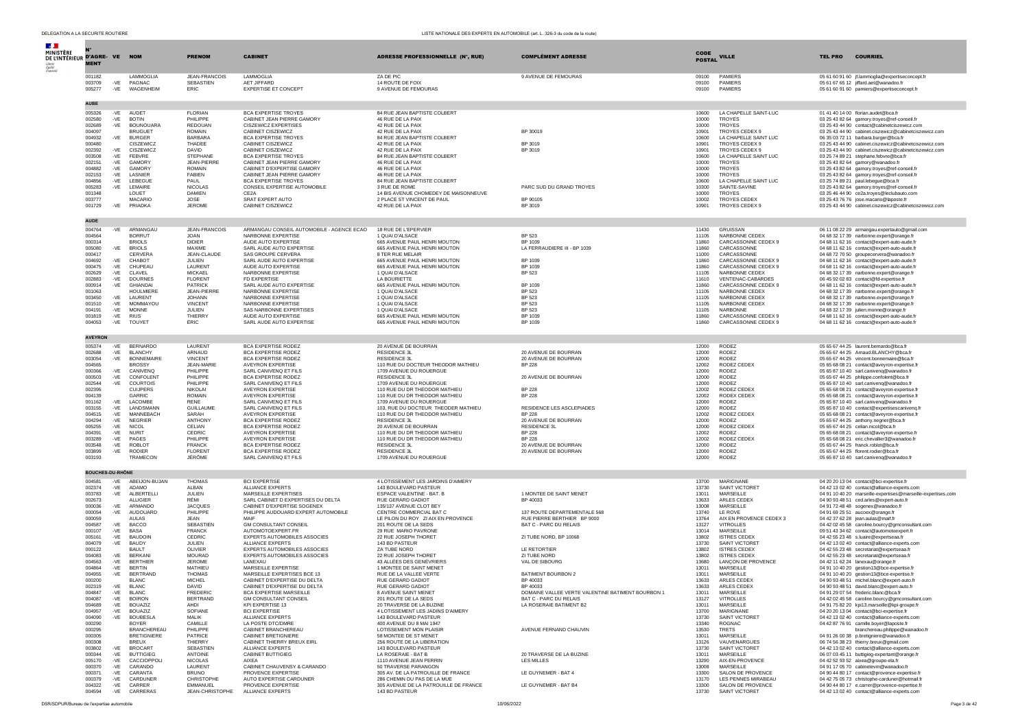| <b>Section</b><br>MINISTÈRE<br>DE L'INTÉRIEUR D'AGRE- VE NOM |                                   |                 |                                          | <b>PRENOM</b>                      | <b>CABINET</b>                                                     | <b>ADRESSE PROFESSIONNELLE (N°, RUE)</b>                            | <b>COMPLÉMENT ADRESSE</b>                                                   | <b>CODE</b>             | <b>VILLE</b>                                | <b>TEL PRO</b><br><b>COURRIEL</b>                                                                                                      |
|--------------------------------------------------------------|-----------------------------------|-----------------|------------------------------------------|------------------------------------|--------------------------------------------------------------------|---------------------------------------------------------------------|-----------------------------------------------------------------------------|-------------------------|---------------------------------------------|----------------------------------------------------------------------------------------------------------------------------------------|
|                                                              | <b>MENT</b>                       |                 |                                          |                                    |                                                                    |                                                                     |                                                                             | <b>POSTAL</b>           |                                             |                                                                                                                                        |
|                                                              | 001182<br>003709<br>005277        | $-VE$<br>$-VE$  | LAMMOGLIA<br>PAGNAC<br>WAGENHEIM         | JEAN-FRANCOIS<br>SEBASTIEN<br>ERIC | LAMMOGLIA<br>AFT JIFFARD<br><b>EXPERTISE ET CONCEPT</b>            | ZA DE PIC<br>14 ROUTE DE FOIX<br>9 AVENUE DE FEMOURAS               | 9 AVENUE DE FEMOURAS                                                        | 09100<br>09100<br>09100 | PAMIERS<br>PAMIFRS<br><b>PAMIERS</b>        | 05 61 60 91 60 jf.lammoglia@expertiseconcept.fr<br>05 61 67 65 12 jiffard.aet@wanadoo.fr<br>05 61 60 91 60 pamiers@expertiseconcept.fr |
|                                                              | <b>AUBE</b>                       |                 |                                          |                                    |                                                                    |                                                                     |                                                                             |                         |                                             |                                                                                                                                        |
|                                                              | 005326<br>002580                  | -VE             | -VE AUDET<br><b>BOTIN</b>                | <b>FLORIAN</b><br>PHII IPPF        | <b>BCA EXPERTISE TROYES</b><br>CABINET JEAN PIERRE GAMORY          | 84 RUE JEAN BAPTISTE COLBERT<br>46 RUE DE LA PAIX                   |                                                                             | 10600<br>10000          | LA CHAPELLE SAINT-LUC<br><b>TROYES</b>      | 01 41 40 14 00 florian.audet@bca.fr<br>03 25 43 82 64 gamory.troyes@ref-conseil.fr                                                     |
|                                                              | 002689<br>004097                  | -VE             | <b>BOUNOUARA</b><br><b>BRUGUET</b>       | <b>REDOUAN</b><br><b>ROMAIN</b>    | <b>CISZEWICZ EXPERTISES</b><br>CABINET CISZEWICZ                   | 42 RUE DE LA PAIX<br>42 RUE DE LA PAIX                              | BP 30019                                                                    | 10000<br>10901          | <b>TROYES</b><br>TROYES CEDEX 9             | 03 25 43 44 90 contact@cabinetciszewicz.com<br>03 25 43 44 90 cabinet.ciszewicz@cabinetciszewicz.com                                   |
|                                                              | 004932<br>000480                  | -VE             | <b>BURGER</b><br>CISZEWICZ               | <b>BARBARA</b><br>THADEE           | <b>BCA EXPERTISE TROYES</b><br>CABINET CISZEWICZ                   | 84 RUE JEAN BAPTISTE COLBERT<br>42 RUE DE LA PAIX                   | BP 3019                                                                     | 10600<br>10901          | LA CHAPELLE SAINT LUC<br>TROYES CEDEX 9     | 06 35 03 72 11 barbara.burger@bca.fr<br>03 25 43 44 90 cabinet.ciszewicz@cabinetciszewicz.com                                          |
|                                                              | 002392                            | $-VE$           | <b>CISZEWICZ</b>                         | DAVID                              | CABINET CISZEWICZ                                                  | 42 RUE DE LA PAIX                                                   | BP 3019                                                                     | 10901                   | TROYES CEDEX 9                              | 03 25 43 44 90 cabinet.ciszewicz@cabinetciszewicz.com                                                                                  |
|                                                              | 003508<br>002151                  | -VE<br>-VE      | FEBVRE<br><b>GAMORY</b>                  | STEPHANE<br><b>JEAN-PIERRE</b>     | <b>BCA EXPERTISE TROYES</b><br>CABINET JEAN PIERRE GAMORY          | 84 RUE JEAN BAPTISTE COLBERT<br>46 RUE DE LA PAIX                   |                                                                             | 10600<br>10000          | LA CHAPELLE SAINT LUC<br><b>TROYES</b>      | 03 25 74 89 21 stephane.febvre@bca.fr<br>03 25 43 82 64 gamory@wanadoo.fr                                                              |
|                                                              | 004882<br>002153                  | -VE<br>-VE      | GAMORY<br>LASNIER                        | <b>ROMAIN</b><br><b>FABIEN</b>     | CABINET D'EXPERTISE GAMORY<br>CABINET JEAN PIERRE GAMORY           | 46 RUE DE LA PAIX<br>46 RUE DE LA PAIX                              |                                                                             | 10000<br>10000          | <b>TROYES</b><br><b>TROYES</b>              | 03 25 43 82 64 gamory.troyes@ref-conseil.fr<br>03 25 43 82 64 gamory.troyes@ref-conseil.fr                                             |
|                                                              | 004856<br>005283                  | -VE<br>$-VE$    | LEBEGUE<br><b>I FMAIRE</b>               | PAUL<br><b>NICOLAS</b>             | <b>BCA EXPERTISE TROYES</b><br>CONSEIL EXPERTISE AUTOMOBILE        | 84 RUE JEAN BAPTISTE COLBERT<br>3 RUE DE ROME                       | PARC SUD DU GRAND TROYES                                                    | 10600<br>10300          | LA CHAPELLE SAINT LUC<br>SAINTE-SAVINE      | 03 25 74 89 21 paul.lebegue@bca.fr<br>03 25 43 82 64 gamory.troyes@ref-conseil.fr                                                      |
|                                                              | 001348<br>003777                  |                 | LOUET<br>MACARIO                         | <b>DAMIEN</b><br>JOSE              | CE <sub>2</sub> A<br>SRAT EXPERT AUTO                              | 14 BIS AVENUE CHOMEDEY DE MAISONNEUVE<br>2 PLACE ST VINCENT DE PAUL | BP 90105                                                                    | 10000<br>10002          | <b>TROYES</b><br><b>TROYES CEDEX</b>        | 03 25 46 44 90 ce2a.troyes@leclubauto.com<br>03 25 43 76 76 jose.macario@laposte.fr                                                    |
|                                                              | 001729                            | -VE             | PRIADKA                                  | <b>JEROME</b>                      | CABINET CISZEWICZ                                                  | 42 RUE DE LA PAIX                                                   | BP 3019                                                                     | 10901                   | TROYES CEDEX 9                              | 03 25 43 44 90 cabinet.ciszewicz@cabinetciszewicz.com                                                                                  |
|                                                              | <b>AUDE</b>                       |                 |                                          |                                    |                                                                    |                                                                     |                                                                             |                         |                                             |                                                                                                                                        |
|                                                              | 004764                            | -VE             | ARMANGAU                                 | JEAN-FRANCOIS                      | ARMANGAU CONSEIL AUTOMOBILE - AGENCE ECAO                          | 18 RUE DE L'EPERVIER                                                |                                                                             | 11430                   | GRUISSAN                                    | 06 11 08 22 29 armangau.expertauto@gmail.com                                                                                           |
|                                                              | 004564<br>000314                  |                 | <b>BORRUT</b><br><b>BRIOLS</b>           | <b>JOAN</b><br><b>DIDIER</b>       | NARBONNE EXPERTISE<br>AUDE AUTO EXPERTISE                          | 1 OUAI D'ALSACE<br>665 AVENUE PAUL HENRI MOUTON                     | BP 523<br>BP 1039                                                           | 11105<br>11860          | NARBONNE CEDEX<br>CARCASSONNE CEDEX 9       | 04 68 32 17 39 narbonne.expert@orange.fr<br>04 68 11 62 16 contact@expert-auto-aude.fr                                                 |
|                                                              | 005080<br>000417                  | -VE             | <b>BRIOLS</b><br><b>CERVERA</b>          | MAXIME<br>JEAN-CLAUDE              | SARL AUDE AUTO EXPERTISE<br>SAS GROUPE CERVERA                     | 665 AVENUE PAUL HENRI MOUTON<br>8 TER RUE MELAIR                    | LA FERRAUDIERE III - BP 1039                                                | 11860<br>11000          | CARCASSONNE<br>CARCASSONNE                  | 04 68 11 62 16 contact@expert-auto-aude.fr<br>04 68 72 70 50 groupecervera@wanadoo.fr                                                  |
|                                                              | 004692<br>000475                  | -VE<br>-VE      | CHABOT<br>CHUPEAL                        | JULIEN<br>LAURENT                  | SARL AUDE AUTO EXPERTISE<br>AUDE AUTO EXPERTISE                    | 665 AVENUE PAUL HENRI MOUTON<br>665 AVENUE PAUL HENRI MOUTON        | BP 1039<br>BP 1039                                                          | 11860<br>11860          | CARCASSONNE CEDEX 9<br>CARCASSONNE CEDEX 9  | 04 68 11 62 16 contact@expert-auto-aude.fr<br>04 68 11 62 16 contact@expert-auto-aude.fr                                               |
|                                                              | 002629                            | -VE             | CLAVEL                                   | <b>MICKAFI</b>                     | NARRONNE EXPERTISE                                                 | 1 OUAI D'ALSACE                                                     | <b>BP 523</b>                                                               | 11105                   | NARBONNE CEDEX                              | 04 68 32 17 39 narbonne.expert@orange.fr                                                                                               |
|                                                              | 002883<br>000914                  | -VE<br>-VE      | <b>DOURNES</b><br><b>GHIANDA</b>         | <b>FLORENT</b><br>PATRICK          | FD EXPERTISE<br>SARL AUDE AUTO EXPERTISE                           | LA BOURIETTE<br>665 AVENUE PAUL HENRI MOUTON                        | BP 1039                                                                     | 11610<br>11860          | VENTENAC-CABARDES<br>CARCASSONNE CEDEX 9    | 06 45 92 02 83 contact@fd-expertise.fr<br>04 68 11 62 16 contact@expert-auto-aude.fr                                                   |
|                                                              | 001063<br>003450                  | $-VE$           | HOUL MIFRE<br>LAURENT                    | JEAN-PIERRE<br><b>JOHANN</b>       | NARBONNE EXPERTISE<br>NARBONNE EXPERTISE                           | 1 QUAI D'ALSACE<br>1 QUAI D'ALSACE                                  | <b>BP 523</b><br><b>BP 523</b>                                              | 11105<br>11105          | NARBONNE CEDEX<br>NARBONNE CEDEX            | 04 68 32 17 39 narbonne.expert@orange.fr<br>04 68 32 17 39 narbonne.expert@orange.fr                                                   |
|                                                              | 001510<br>004191                  | -VE<br>-VE      | MOMMAYOU<br><b>MONNE</b>                 | <b>VINCENT</b><br>JULIEN           | NARBONNE EXPERTISE<br>SAS NARBONNE EXPERTISES                      | 1 OUAI D'ALSACE<br>1 QUAI D'ALSACE                                  | <b>BP 523</b><br><b>BP 523</b>                                              | 11105<br>11105          | NARBONNE CEDEX<br>NARBONNE                  | 04 68 32 17 39 narbonne.expert@orange.fr<br>04 68 32 17 39 julien.monne@orange.fr                                                      |
|                                                              | 001819<br>004053                  | $-VE$<br>-VE    | <b>RIUS</b><br><b>TOUYET</b>             | <b>THIERRY</b><br><b>ÉRIC</b>      | AUDE AUTO EXPERTISE<br>SARL AUDE AUTO EXPERTISE                    | 665 AVENUE PAUL HENRI MOUTON<br>665 AVENUE PAUL HENRI MOUTON        | BP 1039<br>BP 1039                                                          | 11860<br>11860          | CARCASSONNE CEDEX 9<br>CARCASSONNE CEDEX 9  | 04 68 11 62 16 contact@expert-auto-aude.fr<br>04 68 11 62 16 contact@expert-auto-aude.fr                                               |
|                                                              |                                   |                 |                                          |                                    |                                                                    |                                                                     |                                                                             |                         |                                             |                                                                                                                                        |
|                                                              | <b>AVEYRON</b><br>005374          | -VE             | <b>BERNARDO</b>                          | LAURENT                            | <b>BCA EXPERTISE RODEZ</b>                                         | 20 AVENUE DE BOURRAN                                                |                                                                             | 12000                   | <b>RODEZ</b>                                | 05 65 67 44 25 laurent.bernardo@bca.fr                                                                                                 |
|                                                              | 002688                            | -VE             | <b>BLANCHY</b><br><b>BONNEMAIRE</b>      | ARNAUD<br><b>VINCENT</b>           | <b>BCA EXPERTISE RODEZ</b><br><b>BCA EXPERTISE RODEZ</b>           | RESIDENCE 3L<br><b>RESIDENCE 3L</b>                                 | 20 AVENUE DE BOURRAN                                                        | 12000<br>12000          | RODEZ<br><b>RODEZ</b>                       | 05 65 67 44 25 Arnaud.BLANCHY@bca.fr                                                                                                   |
|                                                              | 003054<br>004565                  | -VE             | <b>BROSSY</b>                            | <b>JEAN-MARIE</b>                  | AVEYRON EXPERTISE                                                  | 110 RUE DU DOCTEUR THEODOR MATHIEU                                  | 20 AVENUE DE BOURRAN<br><b>BP 228</b>                                       | 12002                   | RODEZ CEDEX                                 | 05 65 67 44 25 vincent.bonnemaire@bca.fr<br>05 65 68 08 21 contact@aveyron-expertise.fr                                                |
|                                                              | 000366<br>000503                  | $-VE$<br>$-VE$  | CANIVENO<br><b>CONFOLENT</b>             | PHILIPPE<br>PHILIPPE               | SARL CANIVENQ ET FILS<br><b>BCA EXPERTISE RODEZ</b>                | 1709 AVENUE DU ROUERGUE<br><b>RESIDENCE 3L</b>                      | 20 AVENUE DE BOURRAN                                                        | 12000<br>12000          | RODEZ<br><b>RODEZ</b>                       | 05 65 87 10 40 sarl.caniveng@wanadoo.fr<br>05 65 67 44 25 philippe.confolent@bca.fr                                                    |
|                                                              | 002544<br>002395                  | -VE             | COURTOIS<br><b>CUIJPERS</b>              | PHILIPPE<br><b>NIKOLAI</b>         | SARL CANIVENO ET FILS<br>AVEYRON EXPERTISE                         | 1709 AVENUE DU ROUERGUE<br>110 RUE DU DR THEODOR MATHIEU            | <b>BP 228</b>                                                               | 12000<br>12002          | RODEZ<br>RODEZ CEDEX                        | 05 65 87 10 40 sarl.caniveng@wanadoo.fr<br>05 65 68 08 21 contact@aveyron-expertise.fr                                                 |
|                                                              | 004139<br>001162                  | -VE             | GARRIC.<br>LACOMBE                       | <b>ROMAIN</b><br><b>RENE</b>       | <b>AVEYRON EXPERTISE</b><br>SARL CANIVENQ ET FILS                  | 110 RUE DU DR THEODOR MATHIEU<br>1709 AVENUE DU ROUERGUE            | <b>BP 228</b>                                                               | 12002<br>12000          | RODEX CEDEX<br>RODEZ                        | 05 65 68 08 21 contact@aveyron-expertise.fr<br>05 65 87 10 40 sarl.caniveng@wanadoo.fr                                                 |
|                                                              | 003155                            | $-VE$           | LANDSMANN                                | <b>GUILLAUME</b>                   | SARL CANIVENO ET FILS                                              | 103. RUE DU DOCTEUR THEODER MATHIEU                                 | RESIDENCE LES ASCLEPIADES                                                   | 12000                   | RODEZ                                       | 05 65 87 10 40 contact@expertisescaniveng.fr                                                                                           |
|                                                              | 004515<br>004294                  | $-VE$<br>-VE    | MANNEBACH<br>NEGRIER                     | SARAH<br>ANTHONY                   | <b>AVEYRON EXPERTISE</b><br><b>BCA EXPERTISE RODEZ</b>             | 110 RUE DU DR THEODOR MATHIEU<br>RESIDENCE 3L                       | <b>BP 228</b><br>20 AVENUE DE BOURRAN                                       | 12002<br>12000          | RODEZ CEDEX<br>RODEZ                        | 05 65 68 08 21 contact@aveyron-expertise.fr<br>05 65 67 44 25 anthony.negrier@bca.fr                                                   |
|                                                              | 005255<br>004391                  | -VE<br>-VE      | <b>NICOL</b><br>NURIT                    | CELIAN<br>CEDRIC                   | <b>BCA EXPERTISE RODEZ</b><br>AVEYRON EXPERTISE                    | 20 AVENUE DE BOURRAN<br>110 RUE DU DR THEODOR MATHIEU               | RESIDENCE 3L<br><b>BP 228</b>                                               | 12000<br>12002          | RODEZ CEDEX<br>RODEZ                        | 05 65 67 44 25 celian.nicol@bca.fr<br>05 65 68 08 21 contact@aveyron-expertse.fr                                                       |
|                                                              | 003289<br>003548                  | $-VE$<br>-VE    | PAGES<br><b>ROBLOT</b>                   | PHILIPPE<br><b>FRANCK</b>          | <b>AVEYRON EXPERTISE</b><br><b>BCA EXPERTISE RODEZ</b>             | 110 RUE DU DR THEODOR MATHIEU<br><b>RESIDENCE 3L</b>                | <b>BP 228</b><br>20 AVENUE DE BOURRAN                                       | 12002<br>12000          | RODEZ CEDEX<br>RODEZ                        | 05 65 68 08 21 eric.chevallier3@wanadoo.fr<br>05 65 67 44 25 franck.roblot@bca.fr                                                      |
|                                                              | 003899<br>003193                  | -VE             | <b>RODIER</b><br><b>TRAMECON</b>         | <b>FLORENT</b><br>JÉRÔME           | <b>BCA EXPERTISE RODEZ</b><br>SARL CANIVENQ ET FILS                | RESIDENCE 3L<br>1709 AVENUE DU ROUERGUE                             | 20 AVENUE DE BOURRAN                                                        | 12000<br>12000          | RODEZ<br><b>RODEZ</b>                       | 05 65 67 44 25 florent.rodier@bca.fr<br>05 65 87 10 40 sarl.caniveng@wanadoo.fr                                                        |
|                                                              |                                   |                 |                                          |                                    |                                                                    |                                                                     |                                                                             |                         |                                             |                                                                                                                                        |
|                                                              | <b>BOUCHES-DU-RHÔNE</b><br>004581 | $-VE$           | ABEIJON-BUJAN                            | <b>THOMAS</b>                      | <b>BCI EXPERTISE</b>                                               | 4 LOTISSEMENT LES JARDINS D'AIMERY                                  |                                                                             | 13700                   | MARIGNANE                                   | 04 20 20 13 04 contact@bci-expertise.fr                                                                                                |
|                                                              | 002374                            | $-VE$           | ADAMO                                    | ALBAN                              | ALLIANCE EXPERTS                                                   | 143 BOULEVARD PASTEUR                                               |                                                                             | 13730                   | SAINT VICTORET                              | 04 42 13 02 40 contact@alliance-experts.com                                                                                            |
|                                                              | 003783<br>002673                  | $-VE$           | ALBERTELL<br>ALLIGIER                    | JULIEN<br>RÊMI                     | <b>MARSEILLE EXPERTISES</b><br>SARL CABINET D EXPERTISES DU DELTA  | ESPACE VALENTINE - BAT. B<br><b>RUE GERARD GADIOT</b>               | 1 MONTEE DE SAINT MENET<br>BP 40033                                         | 13011<br>13633          | MARSEILLE<br>ARLES CEDEX                    | 04 91 10 40 20 marseille-expertises@marseille-expertises.com<br>04 90 93 48 51 ced.arles@expert-auto.fr                                |
|                                                              | 000036<br>000054                  | -VE<br>-VE      | ARMANDO<br>AUDOUARD                      | <b>JACQUES</b><br>PHILIPPE         | CABINET D'EXPERTISE SOGENEX<br>PHILIPPE AUDOUARD EXPERT AUTOMOBILE | 135/137 AVENUE CLOT BEY<br>CENTRE COMMERCIAL BAT C                  | 137 ROUTE DEPARTEMENTALE 568                                                | 13008<br>13740          | MARSEILLE<br>LE ROVE                        | 04 91 72 48 48 sogenex@wanadoo.fr<br>04 91 69 25 51 aucoex@orange.fr                                                                   |
|                                                              | 000059<br>004587                  | -VE             | <b>AULAS</b><br><b>BACCO</b>             | JFAN<br><b>SEBASTIEN</b>           | MAIF<br><b>GM CONSULTANT CONSEIL</b>                               | LE PILON DU ROY ZI AIX EN PROVENCE<br>201 ROUTE DE LA SEDS          | RUF PIERRE BERTHIER BP 9000<br>BAT C - PARC DU RELAIS                       | 13764<br>13127          | AIX EN PROVENCE CEDEX 3<br><b>VITROLLES</b> | 04 42 37 62 28 jean.aulas@maif.fr<br>04 42 02 45 58 caroline.bourcy@gmconsultant.com                                                   |
|                                                              | 000107<br>005161                  | -VE BASA<br>-VE | <b>BAUDOIN</b>                           | <b>FRANCK</b><br>CEDRIC            | AUTOMOTOEXPERT.FR<br><b>EXPERTS AUTOMOBILES ASSOCIES</b>           | 29 RUE MARIO PAVRONE<br>22 RUE JOSEPH THORET                        |                                                                             | 13014<br>13802          | MARSEILLE                                   | 09 51 43 34 62 contact@automotoexpert.fr<br>04 42 55 23 48 s.luaire@expertseaa.fr                                                      |
|                                                              | 004079                            | -VE             | BAUDY                                    | JULIEN                             | ALLIANCE EXPERTS                                                   | 143 BD PASTEUR                                                      | ZI TUBE NORD, BP 10068                                                      | 13730                   | <b>ISTRES CEDEX</b><br>SAINT VICTORET       | 04 42 13 02 40 contact@alliance-experts.com                                                                                            |
|                                                              | 000122<br>004083                  | -VE             | <b>BAULT</b><br><b>BERKANI</b>           | OLIVIER<br>MOURAD                  | EXPERTS AUTOMOBILES ASSOCIES<br>EXPERTS AUTOMOBILES ASSOCIES       | ZA TUBE NORD<br>22 RUE JOSEPH THORET                                | LE RETORTIER<br>ZI TUBE NORD                                                | 13802<br>13802          | <b>ISTRES CEDEX</b><br><b>ISTRES CEDEX</b>  | 04 42 55 23 48 secretariat@expertseaa.fr<br>04 42 55 23 48 secretariat@expertseaa.fr                                                   |
|                                                              | 004563<br>004864                  | $-VE$<br>$-VE$  | <b>BERTHIEF</b><br><b>BERTIN</b>         | <b>JEROME</b><br>MATHIEU           | LANEXAU<br>MARSEILLE EXPERTISE                                     | 43 ALLÉES DES GENÈVRIERS<br>1 MONTEE DE SAINT MENET                 | VAL DE SIBOURG                                                              | 13680<br>13011          | LANÇON DE PROVENCE<br>MARSEILLE             | 04 42 11 62 24 lanexau@orange.fr<br>04 91 10 40 20 gestion13@bce-expertise.fr                                                          |
|                                                              | 004955<br>000200                  | -VE             | BERTRAND<br><b>BLANC</b>                 | <b>THOMAS</b><br><b>MICHEL</b>     | MARSEILLE EXPERTISES BCE 13<br>CABINET D'EXPERTISE DU DELTA        | RUE DE LA VALLEE VERTE<br>RUE GERARD GADIOT                         | <b>BATIMENT BOURBON 2</b><br>BP 40033                                       | 13011<br>13633          | MARSEILLE<br>ARLES CEDEX                    | 04 91 10 40 20 gestion13@bce-expertise.fr<br>04 90 93 48 51 michel.blanc@expert-auto.fr                                                |
|                                                              | 002319                            |                 | RI AN                                    | <b>DAVID</b>                       | CARINET D'EVREPTISE DI LDELT                                       | RUE GERARD GADIO"                                                   | RP 40033                                                                    | 13633                   | ARLES CEDE                                  | 04 90 93 48 51 david.bla                                                                                                               |
|                                                              | 004847<br>004087                  | $-VE$<br>$-VE$  | <b>BLANC</b><br><b>BOIRON</b>            | <b>FREDERIC</b><br><b>BERTRAND</b> | BCA EXPERTISE MARSEILLE<br><b>GM CONSULTANT CONSEIL</b>            | 8 AVENUE SAINT MENET<br>201 ROUTE DE LA SEDS                        | DOMAINE VALLEE VERTE VALENTINE BATIMENT BOURBON 1<br>BAT C - PARC DU RELAIS | 13011<br>13127          | MARSEILLE<br><b>VITROLLES</b>               | 04 91 29 07 54 frederic.blanc@bca.fr<br>04 42 02 45 58 caroline.bourcy@gmconsultant.com                                                |
|                                                              | 004689<br>004957                  | $-VE$<br>$-VE$  | <b>BOUAZIZ</b><br><b>BOUAZIZ</b>         | AHDI<br>SOFIANE                    | KPI EXPERTISE 13<br><b>BCI EXPERTISE</b>                           | 20 TRAVERSE DE LA BUZINE<br>4 LOTISSEMENT LES JADINS D'AIMERY       | LA ROSERAIE BATIMENT B2                                                     | 13011<br>13700          | MARSEILLE<br>MARIGNANE                      | 04 91 75 82 20 kpi13.marseille@kpi-groupe.fr<br>04 20 20 13 04 contact@bci-expertise.fr                                                |
|                                                              | 004090<br>000290                  | $-VE$           | <b>BOUBESLA</b><br><b>BOYER</b>          | MALIK<br>CAMILLE                   | ALLIANCE EXPERTS<br>LA POSTE DTC/DMRE                              | 143 BOULEVARD PASTEUR<br>400 AVENUE DU 8 MAI 1947                   |                                                                             | 13730<br>13340          | SAINT VICTORET<br>ROGNAC                    | 04 42 13 02 40 contact@alliance-experts.com<br>04 42 87 76 91 camille.boyer@laposte.fr                                                 |
|                                                              | 000295<br>000305                  |                 | <b>BRANCHEREAU</b><br><b>RRETIGNIERE</b> | PHILIPPE<br><b>PATRICE</b>         | CABINET BRANCHEREAU<br>CABINET BRETIGNIERE                         | LOTISSEMENT MON PLAISIR<br>58 MONTEE DE ST MENET                    | AVENUE FERNAND CHAUVIN                                                      | 13530<br>13011          | <b>TRETS</b><br><b>MARSEILLE</b>            | branchereau.philippe@wanadoo.fr                                                                                                        |
|                                                              | 000308                            |                 | <b>BREUX</b>                             | THIERRY                            | CABINET THIERRY BREUX EIRL                                         | 256 ROUTE DE LA LIBERATION                                          |                                                                             | 13126                   | VAUVENARGUES                                | 04 91 26 00 38 p.bretigniere@wanadoo.fr<br>06 74 56 38 23 thierry.breux@gmail.com                                                      |
|                                                              | 003802<br>000344                  | $-VE$<br>$-VE$  | <b>BROCART</b><br><b>BUTTIGIEG</b>       | SEBASTIEN<br><b>ANTOINE</b>        | ALLIANCE EXPERTS<br><b>CABINET BUTTIGIEG</b>                       | 143 BOULEVARD PASTEUR<br>LA ROSERAIE - BAT B                        | 20 TRAVERSE DE LA BUZINE                                                    | 13730<br>13011          | SAINT VICTORET<br>MARSEILLE                 | 04 42 13 02 40 contact@alliance-experts.com<br>06 07 03 45 11 buttigieg-expertant@orange.fr                                            |
|                                                              | 005170<br>000370                  | -VE             | CACCIOPPOLI<br>-VE CARANDO               | <b>NICOLAS</b><br>LAURENT          | <b>AIXEA</b><br>CABINET CHAUVENSY & CARANDO                        | 1110 AVENUE JEAN PERRIN<br>50 TRAVERSE PARANGON                     | <b>LES MILLES</b>                                                           | 13290<br>13008          | AIX-EN-PROVENCE<br>MARSEILLE                | 04 42 52 93 52 aixea@groupe-ela.fr<br>04 91 17 05 70 cabinetevm@wanadoo.fr                                                             |
|                                                              | 000371<br>000379                  | $-VE$<br>$-VE$  | CARANTA<br>CARDUNER                      | <b>BRUNO</b><br><b>CHRISTOPHE</b>  | PROVENCE EXPERTISE<br>AUTO EXPERTISE CARDUNER                      | 305 AV. DE LA PATROUILLE DE FRANCE<br>286 CHEMIN DU PAS DE LA MUE   | LE GUYNEMER - BAT 4                                                         | 13300<br>13170          | SALON DE PROVENCE<br>LES PENNES MIRABEAU    | 04 90 44 80 17 contact@provence-expertise.fr<br>04 42 75 05 73 christophe-carduner@hotmail.fr                                          |
|                                                              | 004322<br>004594                  |                 | -VE CARRER<br>-VE CARRERAS               | <b>FMMANUEL</b><br>JEAN-CHRISTOPHE | PROVENCE EXPERTISE<br>ALLIANCE EXPERTS                             | 305 AVENUE DE LA PATROUILLE DE FRANCE<br>143 BD PASTEUR             | LE GUYNEMER - BAT B4                                                        | 13300<br>13730          | SALON DE PROVENCE<br>SAINT VICTORET         | 04 90 44 80 17 e.carrer@provence-expertise.fr<br>04 42 13 02 40 contact@alliance-experts.com                                           |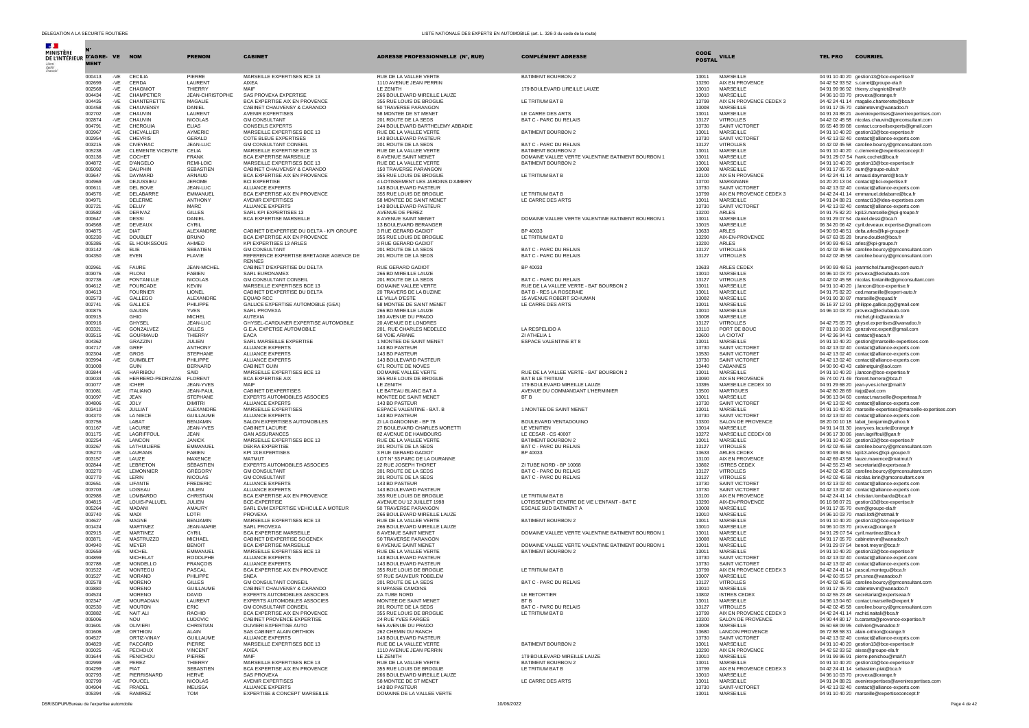| DELEGATION A LA SECURITE ROUTIERE            |                |                                             |                                     |                                                                    |                                                          | LISTE NATIONALE DES EXPERTS EN AUTOMOBILE (art. L. 326-3 du code de la route) |                       |                                           |                                                                                                     |
|----------------------------------------------|----------------|---------------------------------------------|-------------------------------------|--------------------------------------------------------------------|----------------------------------------------------------|-------------------------------------------------------------------------------|-----------------------|-------------------------------------------|-----------------------------------------------------------------------------------------------------|
| DE L'INTÉRIEUR D'AGRE- VE NOM<br><b>MENT</b> |                |                                             | <b>PRENOM</b>                       | <b>CABINET</b>                                                     | ADRESSE PROFESSIONNELLE (N°, RUE)                        | <b>COMPLÉMENT ADRESSE</b>                                                     | CODE<br><b>POSTAL</b> | <b>VILLE</b>                              | <b>TEL PRO COURRIEL</b>                                                                             |
| 000413<br>002699                             | $-VE$<br>$-VE$ | CECILIA<br>CERDA                            | PIFRRE<br>LAURENT                   | MARSEILLE EXPERTISES BCE 13<br>AIXEA                               | RUE DE LA VALLEE VERTE<br>1110 AVENUE JEAN PERRIN        | <b>BATIMENT BOURBON 2</b>                                                     | 13011<br>13290        | <b>MARSEILLE</b><br>AIX EN PROVENCE       | 04 91 10 40 20 gestion13@bce-expertise.fr<br>04 42 52 93 52 s.canel@groupe-ela.fr                   |
| 002568                                       | $-VE$          | CHAGNIOT                                    | THIERRY                             | MAIF                                                               | LE ZENITH                                                | 179 BOULEVARD LIREILLE LAUZE                                                  | 13010                 | MARSEILLE                                 | 04 91 99 96 92 thierry.chagniot@maif.fr                                                             |
| 004434                                       | $-VE$          | CHAMPETIER                                  | JEAN-CHRISTOPHE                     | SAS PROVEXA EXPERTISE                                              | 266 BOULEVARD MIREILLE LAUZE                             |                                                                               | 13010                 | MARSEILLE                                 | 04 96 10 03 70 provexa@orange.fr                                                                    |
| 004435<br>000458                             | $-VE$<br>$-VE$ | CHANTERETTE<br>CHAUVENSY                    | MAGALIE<br><b>DANIEL</b>            | BCA EXPERTISE AIX EN PROVENCE<br>CABINET CHAUVENSY & CARANDO       | 355 RUE LOUIS DE BROGLIE<br>50 TRAVERSE PARANGON         | LE TRITIUM BAT B                                                              | 13799<br>13008        | AIX EN PROVENCE CEDEX 3<br>MARSEILLE      | 04 42 24 41 14 magalie.chanterette@bca.fr<br>04.91.17.05.70 cabineteym@wanadoo.fr                   |
| 002702                                       | $-VE$          | CHAUVIN                                     | LAURENT                             | <b>AVENIR EXPERTISES</b>                                           | 58 MONTEE DE ST MENET                                    | LE CARRE DES ARTS                                                             | 13011                 | MARSEILLE                                 | 04 91 24 88 21 avenirexpertises@avenirexpertises.com                                                |
| 002874<br>004791                             | $-VE$<br>-VE   | CHAUVIN<br>CHERGUIA                         | <b>NICOLAS</b><br><b>ELIAS</b>      | <b>GM CONSULTANT</b><br><b>CONSEILS EXPERTS</b>                    | 201 ROUTE DE LA SEDS<br>244 BOULEVARD BARTHELEMY ABBADIE | BAT C - PARC DU RELAIS                                                        | 13127<br>13730        | <b>VITROLLES</b><br>SAINT VICTORET        | 04 42 02 45 58 nicolas.chauvin@gmconsultant.com<br>06 65 48 99 88 contact.conseilsexperts@gmail.com |
| 003967                                       | $-VE$          | CHEVALLIER                                  | AYMERIC                             | MARSEILLE EXPERTISES BCE 13                                        | RUE DE LA VALLEE VERTE                                   | BATIMENT BOURBON 2                                                            | 13011                 | MARSEILLE                                 | 04 91 10 40 20 gestion13@bce-expertise.fr                                                           |
| 002954                                       | $-VE$          | CHEVRIS                                     | GERALD                              | COTE BLEUE EXPERTISES                                              | 143 BOULEVARD PASTEUR                                    |                                                                               | 13730                 | SAINT VICTORET                            | 04 42 13 02 40 contact@alliance-experts.com                                                         |
| 003215<br>005238                             | -VE<br>$-VE$   | <b>CIVEYRAC</b><br>CLEMENTE VICENTE         | JEAN-LUC<br>CELIA                   | <b>GM CONSULTANT CONSEIL</b><br>MARSEILLE EXPERTISE BCE 13         | 201 ROUTE DE LA SEDS<br>RUE DE LA VALLEE VERTE           | BAT C - PARC DU RELAIS<br>BATIMENT BOURBON 2                                  | 13127<br>13011        | <b>VITROLLES</b><br>MARSEILLE             | 04 42 02 45 58 caroline.bourcy@gmconsultant.com<br>04 91 10 40 20 c.clemente@expertiseconcept.fr    |
| 003136                                       | $-VE$          | COCHET                                      | <b>FRANK</b>                        | BCA EXPERTISE MARSEILLE                                            | 8 AVENUE SAINT MENET                                     | DOMAINE VALLEE VERTE VALENTINE BATIMENT BOURBON 1                             | 13011                 | MARSEILLE                                 | 04 91 29 07 54 frank.cochet@bca.fr                                                                  |
| 004872                                       | $-VE$          | D'ANGELO                                    | REMI-LOIC                           | MARSEILLE EXPERTISES BCE 13                                        | RUE DE LA VALLEE VERTE                                   | <b>BATIMENT BOURBON 2</b>                                                     | 13011                 | MARSEILLE                                 | 04 91 10 40 20 gestion13@bce-expertise.fr                                                           |
| 005092<br>003647                             | -VE<br>-VE     | <b>DAUPHIN</b><br>DAYMARD                   | <b>SEBASTIEN</b><br><b>ARNAUD</b>   | CABINET CHAUVENSY & CARANDO<br>BCA EXPERTISE AIX EN PROVENCE       | 150 TRAVERSE PARANGON<br>355 RUE LOUIS DE BROGLIE        | LE TRITIUM BAT B                                                              | 13008<br>13100        | MARSEILLE<br>AIX EN PROVENCE              | 04 91 17 05 70 eum@groupe-eula.fr<br>04 42 24 41 14 arnaud.davmard@bca.fr                           |
| 004969                                       | $-VE$          | DEJUSSIEU                                   | <b>JEROME</b>                       | <b>BCI EXPERTISE</b>                                               | 4 LOTISSEMENT LES JARDINS D'AIMERY                       |                                                                               | 13700                 | MARIGNANE                                 | 04 20 20 13 04 contact@bci-expertise.fr                                                             |
| 000611<br>004576                             | $-VE$<br>-VE   | DEL BOVE<br>DELABARRE                       | JEAN-LUC<br><b>FMMANUEL</b>         | ALLIANCE EXPERTS<br>BCA EXPERTISE AIX EN PROVENCE                  | 143 BOULEVARD PASTEUR<br>355 RUE LOUIS DE BROGLIE        | <b>IF TRITIUM BAT B</b>                                                       | 13730<br>13799        | SAINT VICTORET<br>AIX EN PROVENCE CEDEX 3 | 04 42 13 02 40 contact@alliance-experts.com<br>04 42 24 41 14 emmanuel.delabarre@bca.fr             |
| 004971                                       |                | DELERME                                     | ANTHONY                             | <b>AVENIR EXPERTISES</b>                                           | 58 MONTEE DE SAINT MENET                                 | LE CARRE DES ARTS                                                             | 13011                 | MARSEILLE                                 | 04 91 24 88 21 contact13@idea-expertises.com                                                        |
| 002721                                       | -VE            | DELUY                                       | <b>MARC</b>                         | ALLIANCE EXPERTS                                                   | 143 BOULEVARD PASTEUR                                    |                                                                               | 13730                 | SAINT VICTORET                            | 04 42 13 02 40 contact@alliance-experts.com                                                         |
| 003582<br>000647                             | -VE<br>$-VE$   | DERIVAZ<br><b>DESSI</b>                     | <b>GILLES</b><br>DANIEL             | SARL KPLEXPERTISES 13<br>BCA EXPERTISE MARSEILLE                   | AVENUE DE PEREZ<br>8 AVENUE SAINT MENET                  | DOMAINE VALLEE VERTE VALENTINE BATIMENT BOURBON 1                             | 13200<br>13011        | ARLES<br>MARSEILLE                        | 04 91 75 82 20 kpi13.marseille@kpi-groupe.fr<br>04 91 29 07 54 daniel.dessi@bca.fr                  |
| 004568                                       | -VE            | <b>DEVEAUX</b>                              | CYRIL                               |                                                                    | 13 BOULEVARD BERANGER                                    |                                                                               | 13015                 | MARSEILLE                                 | 06 34 20 06 42 cyril.deveaux.expertise@gmail.com                                                    |
| 004875<br>005230                             | $-VE$          | <b>DIAT</b><br><b>DOUBLET</b>               | ALEXANDRE<br><b>BRUNO</b>           | CABINET D'EXPERTISE DU DELTA - KPI GROUPE                          | 3 RUE GERARD GADIOT                                      | BP 40033                                                                      | 13633<br>13290        | ARLES<br>AIX-EN-PROVENCE                  | 04 90 93 48 51 delta.arles@kpi-groupe.fr                                                            |
| 005386                                       | $-VE$<br>-VE   | EL HOUKSSOUS                                | AHMED                               | BCA EXPERTISE AIX EN PROVENCE<br>KPI EXPERTISES 13 ARI ES          | 355 RUE LOUIS DE BROGLIE<br>3 RUE GERARD GADIOT          | LE TRITIUM BAT B                                                              | 13200                 | ARI ES                                    | 04 67 63 05 28 bruno.doublet@bca.fr<br>04 90 93 48 51 arles@kpi-groupe.fr                           |
| 003142                                       | -VE            | ELIE                                        | <b>SEBATIEN</b>                     | <b>GM CONSULTANT</b>                                               | 201 ROUTE DE LA SEDS                                     | BAT C - PARC DU RELAIS                                                        | 13127                 | <b>VITROLLES</b>                          | 04 42 02 45 58 caroline.bourcy@gmconsultant.com                                                     |
| 004350                                       |                | -VE EVEN                                    | FLAVIE                              | REFERENCE EXPERTISE BRETAGNE AGENCE DE<br><b>RENNES</b>            | 201 ROUTE DE LA SEDS                                     | BAT C - PARC DU RELAIS                                                        | 13127                 | <b>VITROLLES</b>                          | 04 42 02 45 58 caroline.bourcy@gmconsultant.com                                                     |
| 002961                                       |                | -VE FAURE                                   | JEAN-MICHEL                         | CABINET D'EXPERTISE DU DELTA                                       | RUE GERARD GADIOT                                        | BP 40033                                                                      | 13633                 | ARLES CEDEX                               | 04 90 93 48 51 jeanmichel.faure@expert-auto.fr                                                      |
| 003076                                       | -VE            | <b>FILONI</b><br><b>FONTANILLE</b>          | <b>FABIEN</b>                       | <b>SARL EURONAMEX</b>                                              | 266 BD MIREILLE LAUZE<br>201 ROUTE DE LA SEDS            |                                                                               | 13010                 | MARSEILLE                                 | 04 96 10 03 70 provexa@leclubauto.com                                                               |
| 002736<br>004612                             | -VE<br>-VE     | FOURCADE                                    | <b>NICOLAS</b><br>KEVIN             | <b>GM CONSULTANT CONSEIL</b><br>MARSEILLE EXPERTISES BCE 13        | DOMAINE VALLEE VERTE                                     | BAT C - PARC DU RELAIS<br>RUE DE LA VALLEE VERTE - BAT BOURBON 2              | 13127<br>13011        | <b>VITROLLES</b><br>MARSEILLE             | 04 42 02 45 58 nicolas.fontanille@gmconsultant.com<br>04 91 10 40 20 j.lancon@bce-expertise.fr      |
| 004613                                       |                | <b>FOURNIER</b>                             | LIONEL                              | CABINET D'EXPERTISE DU DELTA                                       | 20 TRAVERS DE LA BUZINE                                  | <b>BAT B - RES LA ROSERAIE</b>                                                | 13011                 | MARSEILLE                                 | 04 91 75 82 20 ced.marseille@expert-auto.fr                                                         |
| 002573                                       | $-VE$          | GALLEGO                                     | ALEXANDRE                           | EOUAD RCC                                                          | LE VILLA D'ESTE                                          | 15 AVENUE ROBERT SCHUMAN                                                      | 13002                 | MARSEILLE                                 | 04 91 90 30 87 marseille@equad.fr                                                                   |
| 002741<br>000875                             | -VE            | GALLICE<br><b>GAUDIN</b>                    | PHILIPPE<br><b>YVES</b>             | GALLICE EXPERTISE AUTOMOBILE (GEA)<br><b>SARL PROVEXA</b>          | 58 MONTEE DE SAINT MENET<br>266 BD MIREILLE LAUZE        | LE CARRE DES ARTS                                                             | 13011<br>13010        | MARSEILLE<br>MARSEILLE                    | 06 16 37 12 91 philippe.gallice.pg@gmail.com<br>04 96 10 03 70 provexa@leclubauto.com               |
| 000915                                       |                | GHIO                                        | <b>MICHEL</b>                       | AUTEXIA                                                            | 180 AVENUE DU PRADO                                      |                                                                               | 13008                 | MARSEILLE                                 | michel.ghio@autexia.fr                                                                              |
| 000916<br>003321                             | -VE            | <b>GHYSEL</b><br>GONZALVEZ                  | JEAN-LUC<br><b>GILLES</b>           | GHYSEL-CARDUNER EXPERTISE AUTOMOBILE<br>G.E.A. EXPETISE AUTOMOBILE | 20 AVENUE DE LONDRES<br>201, RUE CHARLES NEDELEC         | LA RESPELIDO A                                                                | 13127<br>13110        | <b>VITROLLES</b><br>PORT DE BOUC          | 04 42 75 05 73 ghysel.expertises@wanadoo.fr<br>07 81 10 00 26 gonzalvez.expert@gmail.com            |
| 003515                                       | $-VE$          | GOURMAUD                                    | THIERRY                             | <b>FACA</b>                                                        | 50 VOIE ARIANE                                           | ZI ATHELIA 1                                                                  | 13600                 | LA CIOTAT                                 | 04 42 36 94 41 contact@eaca.fr                                                                      |
| 004362                                       |                | GRAZZINI                                    | JULIEN                              | SARL MARSEILLE EXPERTISE                                           | 1 MONTEE DE SAINT MENET                                  | ESPACE VALENTINE BT 8                                                         | 13011                 | MARSEILLE                                 | 04 91 10 40 20 gestion@marseille-expertises.com                                                     |
| 004717<br>002304                             | -VE<br>$-VE$   | GREE<br>GROS                                | <b>ANTHONY</b><br>STEPHANE          | ALLIANCE EXPERTS<br>ALLIANCE EXPERTS                               | 143 BD PASTEUR<br>143 BD PASTEUR                         |                                                                               | 13730<br>13530        | SAINT VICTORET<br>SAINT VICTORET          | 04 42 13 02 40 contact@alliance-experts.com<br>04 42 13 02 40 contact@alliance-experts.com          |
| 003994                                       |                | -VE GUIMBLET                                | PHILIPPE                            | ALLIANCE EXPERTS                                                   | 143 BOULEVARD PASTEUR                                    |                                                                               | 13730                 | SAINT VICTORET                            | 04 42 13 02 40 contact@alliance-experts.com                                                         |
| 001008                                       |                | GUIN                                        | <b>BERNARD</b>                      | CABINET GUIN                                                       | 671 ROUTE DE NOVES                                       | RUE DE LA VALLEE VERTE - BAT BOURBON 2                                        | 13440                 | CABANNES                                  | 04 90 90 43 43 cabinetguin@aol.com                                                                  |
| 003844<br>003034                             | $-VE$<br>-VE   | <b>HARRIBOL</b><br>HERRERO-PEDRAZAS FLORENT | SAID                                | MARSEILLE EXPERTISES BCE 13<br><b>BCA EXPERTISE AIX</b>            | DOMAINE VALLEE VERTE<br>355 RUE LOUIS DE BROGLIE         | <b>BAT B LE TRITIUM</b>                                                       | 13011<br>13090        | MARSEILLE<br>AIX EN PROVENCE              | 04 91 10 40 20 j.lancon@bce-expertise.fr<br>06 74 00 71 49 florent.herrero@bca.fr                   |
| 001077                                       | $-VE$          | <b>ICHER</b>                                | JEAN-YVES                           | MAIF                                                               | LE ZENITH                                                | 179 BOULEVARD MIREILLE LAUZE                                                  | 13395                 | MARSEILLE CEDEX 10                        | 04 91 29 68 20 jean-yves.icher@maif.fr                                                              |
| 001081<br>001097                             | $-VE$<br>-VE   | <b>ITALIANO</b><br>.1FAN                    | JEAN-PAUL<br><b>STEPHANE</b>        | CABINET D'EXPERTISES<br>EXPERTS AUTOMOBILES ASSOCIES               | LE BATEAU BLANC BAT A<br>MONTEE DE SAINT MENET           | AVENUE DU COMMANDANT L'HERMINIER<br>RT B                                      | 13500<br>13011        | <b>MARTIGUES</b><br>MARSEILLE             | 04 42 80 28 69 itajp@aol.com<br>04 96 13 04 60 contact.marseille@experteaa.fr                       |
| 004806                                       | -VE            | JOLY                                        | <b>DIMITRI</b>                      | ALLIANCE EXPERTS                                                   | 143 BD PASTEUR                                           |                                                                               | 13730                 | SAINT VICTORET                            | 04 42 13 02 40 contact@alliance-experts.com                                                         |
| 003410                                       | $-VE$          | <b>JULLIAT</b>                              | ALEXANDRE                           | MARSEILLE EXPERTISES                                               | ESPACE VALENTINE - BAT. B                                | 1 MONTEE DE SAINT MENET                                                       | 13011                 | MARSEILLE                                 | 04 91 10 40 20 marseille-expertises@marseille-expertises.com                                        |
| 004370<br>003756                             | -VE            | LA NIECE<br>LABAT                           | <b>GUILLAUME</b><br><b>BENJAMIN</b> | ALLIANCE EXPERTS<br>SALON EXPERTISES AUTOMOBILES                   | 143 BD PASTEUR<br>ZI LA GANDONNE - BP 78                 | BOULEVARD VENTADOUINO                                                         | 13730<br>13300        | SAINT VICTORET<br>SALON DE PROVENCE       | 04 42 13 02 40 contact@alliance-experts.com<br>08 20 00 10 18 labat_benjamin@yahoo.fr               |
| 001167                                       | $-VE$          | <b>LACURIE</b>                              | JEAN-YVES                           | CABINET LACURIE                                                    | 27 BOULEVARD CHARLES MORETTI                             | <b>IF VENITIEN</b>                                                            | 13014                 | <b>MARSEILLE</b>                          | 04 91 14 01 30 jeanyves.lacurie@orange.fr                                                           |
| 001175                                       | $-VE$          | LAGRIFFOUL<br>LANCON                        | <b>JEAN</b><br><b>JANICK</b>        | <b>GAN ASSURANCES</b>                                              | 82 AVENUE DE HAMBOURG                                    | LE CESAR - CS 40007                                                           | 13272                 | MARSEILLE CEDEX 08                        | 04 96 17 30 86 jean.lagriffoul@gan.fr                                                               |
| 002254<br>003267                             | $-VE$<br>-VE   | <b>LATHULIFRE</b>                           | EMMANUEL                            | MARSEILLE EXPERTISES BCE 13<br>DEKRA EXPERTISE                     | RUE DE LA VALLEE VERTE<br>201 ROUTE DE LA SEDS           | BATIMENT BOURBON 2<br><b>BAT C - PARC DU RELAIS</b>                           | 13011<br>13127        | MARSEILLE<br><b>VITROLLES</b>             | 04 91 10 40 20 gestion13@bce-expertise.fr<br>04 42 02 45 58 caroline.bourcy@gmconsultant.com        |
| 005270                                       | $-VE$          | LAURANS                                     | <b>FABIEN</b>                       | KPI 13 EXPERTISES                                                  | 3 RUE GERARD GADIOT                                      | BP 40033                                                                      | 13633                 | ARLES CEDEX                               | 04 90 93 48 51 kpi13.arles@kpi-groupe.fr                                                            |
| 003157<br>002844                             | -VE<br>-VE     | LAUZE<br><b>I FRRETON</b>                   | MAXENCE<br>SÉBASTIEN                | MATMUT<br>EXPERTS AUTOMOBILES ASSOCIES                             | LOT Nº 53 PARC DE LA DURANNE<br>22 RUE JOSEPH THORET     | ZI TUBE NORD - BP 10068                                                       | 13100<br>13802        | AIX EN PROVENCE<br><b>ISTRES CEDEX</b>    | 04 42 69 43 58 lauze.maxence@matmut.fr<br>04 42 55 23 48 secretariat@expertseaa.fr                  |
| 003270                                       | $-VE$          | LEMONNIER                                   | GRÉGORY                             | <b>GM CONSULTANT</b>                                               | 201 ROUTE DE LA SEDS                                     | BAT C - PARC DU RELAIS                                                        | 13127                 | <b>VITROLLES</b>                          | 04 42 02 45 58 caroline.bourcy@gmconsultant.com                                                     |
| 002770                                       | -VE            | LERIN                                       | <b>NICOLAS</b>                      | <b>GM CONSULTANT</b>                                               | 201 ROUTE DE LA SEDS                                     | BAT C - PARC DU RELAIS                                                        | 13127                 | <b>VITROLLES</b>                          | 04 42 02 45 58 nicolas.lerin@gmconsultant.com                                                       |
| 002651<br>003703                             | $-VE$<br>$-VE$ | LIFANTE<br>LOISEAU                          | FREDERIC<br>JULIEN                  | ALLIANCE EXPERTS<br>ALLIANCE EXPERTS                               | 143 BD PASTEUR<br>143 BOULEVARD PASTEUR                  |                                                                               | 13730<br>13730        | SAINT VICTORET<br>SAINT VICTORET          | 04 42 13 02 40 contact@alliance-experts.com<br>04 42 13 02 40 contact@alliance-experts.com          |
| 002986                                       | -VE            | <b>LOMBARDO</b>                             | CHRISTIAN                           | BCA EXPERTISE AIX EN PROVENCE                                      | 355 RUE LOUIS DE BROGLIE                                 | <b>IF TRITIUM BAT B</b>                                                       | 13100                 | AIX EN PROVENCE                           | 04 42 24 41 14 christian.lombardo@bca.fr                                                            |
| 004815<br>005264                             | $-VE$<br>$-VE$ | LOUIS-PALLUEL<br>MADANI                     | JULIEN<br>AMAURY                    | <b>BCE-EXPERTISE</b><br>SARL EVM EXPERTISE VEHICULE A MOTEUR       | AVENUE DU 12 JUILLET 1998<br>50 TRAVERSE PARANGON        | LOTISSEMENT CENTRE DE VIE L'ENFANT - BAT E<br>ESCALE SUD BATIMENT A           | 13290<br>13008        | AIX-EN-PROVENCE<br>MARSEILLE              | 06 16 98 07 21 gestion13@bce-expertise.fr<br>04 91 17 05 70 evm@groupe-ela.fr                       |
| 003740                                       | -VE            | MADI                                        | LOTFI                               | PROVEXA                                                            | 266 BOULEVARD MIREILLE LAUZE                             |                                                                               | 13010                 | MARSEILLE                                 | 04 96 10 03 70 madi.lotfi@hotmail.fr                                                                |
| 004627                                       | -VE            | MAGNE                                       | BENJAMIN                            | MARSEILLE EXPERTISES BCE 13                                        | RUE DE LA VALLEE VERTE                                   | BATIMENT BOURBON 2                                                            | 13011                 | MARSEILLE                                 | 04 91 10 40 20 gestion13@bce-expertise.fr                                                           |
| 001424<br>002915                             | $-VF$          | MARTINEZ<br>MARTINF7                        | JEAN-MARIE<br>CYRIL                 | <b>SARL PROVEXA</b><br><b>BCA EXPERTISE MARSEILLE</b>              | 266 BOULEVARD MIREILLE LAUZE<br>8 AVENUE SAINT MENET     | DOMAINE VALLEE VERTE VALENTINE BATIMENT BOURBON 1                             | 13010<br>13011        | MARSEILLE<br>MARSEILLE                    | 04 96 10 03 70 provexa@orange.fr<br>04 91 29 07 54 cyril.martinez@bca.fr                            |
| 003871                                       | $-VE$          | MASTRUZZO                                   | <b>MICHAEL</b>                      | CABINET D'EXPERTISE SOGENEX                                        | 50 TRAVERSE PARANGON                                     |                                                                               | 13008                 | MARSEILLE                                 | 04 91 17 05 70 cabinetevm@wanadoo.fr                                                                |
| 004940                                       | $-VE$          | MEYER                                       | <b>BENOIT</b>                       | BCA EXPERTISE MARSEILLE                                            | 8 AVENUE SAINT MENET                                     | DOMAINE VALLEE VERTE VALENTINE BATIMENT BOURBON 1                             | 13011                 | MARSEILLE                                 | 04 91 29 07 54 benoit.mever@bca.fr                                                                  |
| 002659<br>004899                             | $-VE$          | <b>MICHEL</b><br><b>MICHELAT</b>            | EMMANUEI<br><b>RODOLPHE</b>         | MARSEILLE EXPERTISES BCE 13<br>ALLIANCE EXPERTS                    | RUE DE LA VALLEE VERTE<br>143 BOULEVARD PASTEUR          | BATIMENT BOURBON 2                                                            | 13011<br>13730        | MARSEILLE<br>SAINT VICTORET               | 04 91 10 40 20 gestion13@bce-expertise.fr<br>04 42 13 02 40 contact@alliance-expert.com             |
| 002786                                       | -VF            | MONDELLO                                    | <b>FRANCOIS</b>                     | ALLIANCE EXPERTS                                                   | 143 BOULEVARD PASTEUR                                    |                                                                               | 13730                 | SAINT VICTORET                            | 04 42 13 02 40 contact@alliance-experts.com                                                         |
| 001522<br>001527                             | -VE<br>-VE     | MONTEGU<br><b>MORAND</b>                    | PASCAL<br>PHILIPPE                  | BCA EXPERTISE AIX EN PROVENCE<br>SNFA                              | 355 RUE LOUIS DE BROGLIE<br>97 RUE SAUVEUR TOBELEM       | LE TRITIUM BAT B                                                              | 13799<br>13007        | AIX EN PROVENCE CEDEX 3<br>MARSEILLE      | 04 42 24 41 14 pascal.montegu@bca.fr<br>04 42 60 05 57 pm.snea@wanadoo.fr                           |
| 002578                                       | -VE            | <b>MORENO</b>                               | <b>GILLES</b>                       | <b>GM CONSULTANT CONSEIL</b>                                       | 201 ROUTE DE LA SEDS                                     | BAT C - PARC DU RELAIS                                                        | 13127                 | VITROLLES                                 | 04 42 02 45 58 caroline.bourcy@gmconsultant.com                                                     |
| 003880                                       |                | <b>MORENO</b>                               | <b>GUILLAUME</b>                    | CABINET CHAUVENSY & CARANDO                                        | 8 IMPASSE CAMOINS                                        |                                                                               | 13010                 | MARSEILLE                                 | 04 91 17 05 70 cabinetevm@wanadoo.fr                                                                |
| 004524<br>002347                             | $-VE$          | <b>MORENO</b><br><b>MOURADIAN</b>           | <b>DAVID</b><br>LAURENT             | EXPERTS AUTOMOBILES ASSOCIES<br>EXPERTS AUTOMOBILES ASSOCIES       | ZA TUBE NORD<br>MONTEE DE SAINT MENET                    | LE RETORTIER<br>BT B                                                          | 13802<br>13011        | <b>ISTRES CEDEX</b><br>MARSEILLE          | 04 42 55 23 48 secrétariat@expertseaa.fr<br>04 96 13 04 60 contact.marseille@expert.fr              |
| 002530                                       | $-VE$          | <b>MOUTON</b>                               | <b>ERIC</b>                         | <b>GM CONSULTANT CONSEIL</b>                                       | 201 ROUTE DE LA SEDS                                     | BAT C - PARC DU RELAIS                                                        | 13127                 | <b>VITROLLES</b>                          | 04 42 02 45 58 caroline.bourcy@gmconsultant.com                                                     |
| 003882                                       | $-VE$          | NAIT ALI                                    | RACHID                              | BCA EXPERTISE AIX EN PROVENCE                                      | 355 RUE LOUIS DE BROGLIE                                 | LE TRITIUM BAT B                                                              | 13799                 | AIX EN PROVENCE CEDEX 3                   | 04 42 24 41 14 rachid.naitali@bca.fr                                                                |
| 005006<br>001601                             | $-VE$          | <b>NOU</b><br>OLIVIERI                      | <b>LUDOVIC</b><br>CHRISTIAN         | CABINET PROVENCE EXPERTISE<br>OLIVIERI EXPERTISE AUTO              | 24 RUE YVES FARGES<br>565 AVENUE DU PRADO                |                                                                               | 13300<br>13008        | SALON DE PROVENCE<br>MARSEILLE            | 04 90 44 80 17 b.caranta@provence-expertise.fr<br>06 60 68 09 95 colivieri@wanadoo.fr               |
| 001606                                       | -VE            | ORTHION                                     | <b>ALAIN</b>                        | SAS CABINET ALAIN ORTHION                                          | 262 CHEMIN DU RANCH                                      |                                                                               | 13680                 | <b>LANCON PROVENCE</b>                    | 06 72 88 58 31 alain-orthion@orange.fr                                                              |
| 004527                                       |                | ORTIZ-VINAY                                 | <b>GUILLAUME</b>                    | ALLIANCE EXPERTS                                                   | 143 BOULEVARD PASTEUR                                    |                                                                               | 13730                 | SAINT VICTORET                            | 04 42 13 02 40 contact@alliance-exeprts.com                                                         |
| 004829<br>003025                             | $-VE$<br>-VE   | PACCARD<br>PECHOUX                          | PIERRE<br><b>VINCENT</b>            | MARSEILLE EXPERTISES BCE 13<br>AIXEA                               | RUE DE LA VALLEE VERTE<br>1110 AVENUE JEAN PERRIN        | BATIMENT BOURBON 2                                                            | 13011<br>13290        | MARSEILLE<br>AIX EN PROVENCE              | 04 91 10 40 20 gestion13@bce-expertise.fr<br>04 42 52 93 52 aixea@groupe-ela.fr                     |
| 001644                                       | -VE            | PENICHOU                                    | PIERRE                              | MAIF                                                               | LE ZENITH                                                | 179 BOULEVARD MIREILLE LAUZE                                                  | 13010                 | MARSEILLE                                 | 04 91 99 96 91 pierre.penichou@maif.fr                                                              |
| 002999                                       | $-VE$          | PEREZ                                       | THIERRY                             | MARSEILLE EXPERTISES BCE 13                                        | RUE DE LA VALLEE VERTE                                   | BATIMENT BOURBON 2                                                            | 13011                 | MARSEILLE                                 | 04 91 10 40 20 gestion13@bce-expertise.fr                                                           |
| 004299<br>002793                             | -VE<br>-VE     | PIAT<br>PIERRISNARD                         | SEBASTIEN<br>HERVÉ                  | BCA EXPERTISE AIX EN PROVENCE<br><b>SAS PROVEXA</b>                | 355 RUE LOUIS DE BROGLIE<br>266 BOULEVARD MIREILLE LAUZE | LE TRITIUM BAT B                                                              | 13799<br>13010        | AIX EN PROVENCE CEDEX 3<br>MARSEILLE      | 04 42 24 41 14 sebastien.piat@bca.fr<br>04 96 10 03 70 provexa@orange.fr                            |
| 002799                                       | -VE            | POUCEL                                      | <b>NICOLAS</b>                      | <b>AVENIR EXPERTISES</b>                                           | 58 MONTEE DE ST MENET                                    | LE CARRE DES ARTS                                                             | 13011                 | MARSEILLE                                 | 04 91 24 88 21 avenirexpertises@avenirexpertises.com                                                |
| 004904                                       | -VE            | PRADEL                                      | MELISSA                             | ALLIANCE EXPERTS                                                   | 143 BD PASTEUR                                           |                                                                               | 13730                 | SAINT-VICTORET                            | 04 42 13 02 40 contact@alliance-experts.com                                                         |
| 005394                                       |                | -VE RAMIREZ                                 | TOM                                 | EXPERTISE & CONCEPT MARSEILLE                                      | DOMAINE DE LA VALLEE VERTE                               |                                                                               | 13011                 | MARSEILLE                                 | 04 91 10 40 20 marseille@expertiseconcept.fr                                                        |

DSR/SDPUR/Bureau de l'expertise automobile 10/06/2022 Page 4 de 42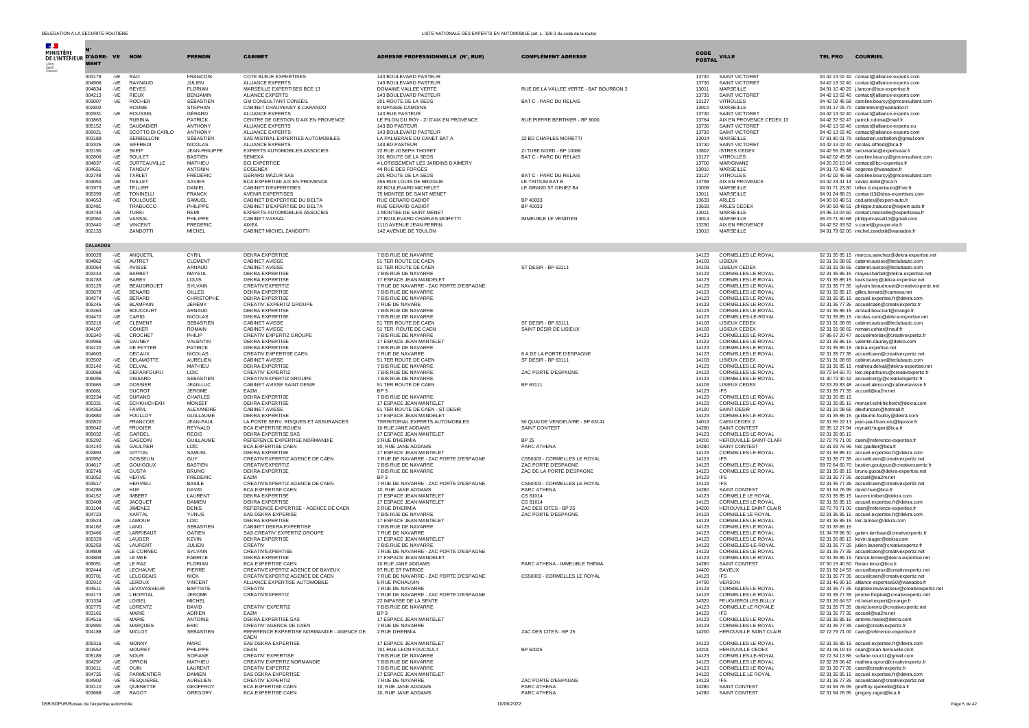| $\mathcal{A}$ .                              |                  |              |                                     |                                   |                                                                    |                                                                |                                                     |                       |                                                        |                                                                                                           |
|----------------------------------------------|------------------|--------------|-------------------------------------|-----------------------------------|--------------------------------------------------------------------|----------------------------------------------------------------|-----------------------------------------------------|-----------------------|--------------------------------------------------------|-----------------------------------------------------------------------------------------------------------|
| <b>MINISTÈRE</b><br>DE L'INTÉRIEUR D'AGRE-VE |                  |              | <b>NOM</b>                          | <b>PRENOM</b>                     | <b>CABINET</b>                                                     | ADRESSE PROFESSIONNELLE (N°, RUE)                              | <b>COMPLÉMENT ADRESSE</b>                           | CODE<br><b>POSTAL</b> | <b>VILLE</b>                                           | <b>TEL PRO</b><br><b>COURRIEL</b>                                                                         |
|                                              | <b>MENT</b>      |              |                                     |                                   |                                                                    |                                                                |                                                     |                       |                                                        |                                                                                                           |
|                                              | 003179           | $-VE$        | <b>RAO</b>                          | <b>FRANCOIS</b>                   | COTE BLEUE EXPERTISES                                              | 143 BOULEVARD PASTEUR                                          |                                                     | 13730                 | SAINT VICTORET                                         | 04 42 13 02 40 contact@alliance-experts.com                                                               |
|                                              | 004906<br>004834 | $-VE$<br>-VE | RAYNAUD<br><b>REYES</b>             | JULIEN.<br><b>FLORIAN</b>         | ALLIANCE EXPERTS<br>MARSEILLE EXPERTISES BCE 13                    | 143 BOULEVARD PASTEUR<br>DOMAINE VALLEE VERTE                  | RUE DE LA VALLEE VERTE - BAT BOURBON 2              | 13730<br>13011        | SAINT VICTORET<br>MARSEILLE                            | 04 42 13 02 40 contact@alliance-experts.com<br>04 91 10 40 20 j.lancon@bce-expertise.fr                   |
|                                              | 004213           | $-VE$        | <b>RIEUX</b>                        | <b>BENJAMIN</b>                   | ALIANCE EXPERTS                                                    | 143 BOULEVARD PASTEUR                                          |                                                     | 13730                 | SAINT VICTORET                                         | 04 42 13 02 40 contact@alliance-experts.com                                                               |
|                                              | 003007<br>002802 | -VE          | <b>ROCHER</b><br><b>ROUME</b>       | SÉBASTIEN<br><b>STEPHAN</b>       | <b>GM CONSULTANT CONSEIL</b><br>CABINET CHAUVENSY & CARANDO        | 201 ROUTE DE LA SEDS<br>8 IMPASSE CAMOINS                      | BAT C - PARC DU RELAIS                              | 13127<br>13010        | <b>VITROLLES</b><br><b>MARSEILLE</b>                   | 04 42 02 45 58 caroline.bourcy@gmconsultant.com<br>04 91 17 05 70 cabinetevm@wanadoo.fr                   |
|                                              | 002931           | -VE          | <b>ROUSSEL</b>                      | GÉRARD                            | ALLIANCE EXPERTS                                                   | 143 RUE PASTEUR                                                |                                                     | 13730                 | SAINT VICTORET                                         | 04 42 13 02 40 contact@alliance-experts.com                                                               |
|                                              | 001863<br>005152 | $-VE$        | <b>RUBINIA</b><br>SAUDADIER         | PATRICK<br>ANTHONY                | CENTRE DE GESTION D'AIX EN PROVENCE<br>ALLIANCE EXPERTS            | LE PILON DU ROY - ZI D'AIX EN PROVENCE<br>143 BD PASTEUR       | RUE PIERRE BERTHIER - BP 9000                       | 13764<br>13730        | AIX EN PROVENCE CEDEX 13<br>SAINT VICTORET             | 04 42 37 52 47 patrick.rubinia@maif.fr<br>04 42 13 02 40 contact@alliance-experts.eu                      |
|                                              | 005021           | -VE          | SCOTTO DI CARLO                     | <b>ANTHONY</b>                    | ALLIANCE EXPERTS                                                   | 143 BOULEVARD PASTEUR                                          |                                                     | 13730                 | SAINT VICTORET                                         | 04 42 13 02 40 contact@alliance-experts.com                                                               |
|                                              | 003189<br>003325 | $-VE$        | SERBELLONI<br>SIFFREDI              | SÉBASTIEN<br><b>NICOLAS</b>       | SAS MISTRAL EXPERTIES AUTOMOBILES<br>ALLIANCE EXPERTS              | LA PALMERAIE DU CANET BAT A<br>143 BD PASTEUR                  | 22 BD CHARLES MORETTI                               | 13014<br>13730        | MARSEILLE<br>SAINT VICTORET                            | 07 81 80 01 79 sebastien.serbelloni@gmail.com<br>04 42 13 02 40 nicolas.siffredi@bca.fr                   |
|                                              | 003190           | -VE          | <b>SKEIF</b>                        | JEAN-PHILIPPE                     | EXPERTS AUTOMOBILES ASSOCIES                                       | 22 RUE JOSEPH THORET                                           | ZI TUBE NORD - BP 10068                             | 13802                 | <b>ISTRES CEDEX</b>                                    | 04 42 55 23 48 secretariat@expertseaa.fr                                                                  |
|                                              | 002806<br>004837 | -VE<br>-VF   | SOULET<br>SURTEAUVILLE              | <b>BASTIEN</b><br><b>MATHIFU</b>  | <b>SEMEXA</b><br><b>BCI EXPERTISE</b>                              | 201 ROUTE DE LA SEDS<br>4 LOTISSEMENT LES JARDINS D'AIMERY     | BAT C - PARC DU RELAIS                              | 13127<br>13700        | <b>VITROLLES</b><br>MARIGNANE                          | 04 42 02 45 58 caroline.bourcy@gmconsultant.com<br>04 20 20 13 04 contact@bci-expertise.fr                |
|                                              | 004651           | -VE          | TANGUY                              | ANTONIN                           | SOGENEX                                                            | 44 RUE DES FORGES                                              |                                                     | 13010                 | MARSEILLE                                              | 04 91 72 48 48 sogenex@wanadoo.fr                                                                         |
|                                              | 003748<br>004050 | $-VE$<br>-VE | TARLET<br>TEILLET                   | FRÉDÉRIC<br><b>XAVIER</b>         | GERARD MAZUR SAS<br>BCA EXPERTISE AIX EN PROVENCE                  | 201 ROUTE DE LA SEDS<br>355 RUE LOUIS DE BROGLIE               | BAT C - PARC DU RELAIS<br>LE TRITIUM BAT B          | 13127<br>13799        | <b>VITROLLES</b><br>AIX EN PROVENCE                    | 04 42 02 45 58 caroline.bourcy@gmconsultant.com<br>04 42 24 41 14 xavier.teillet@bca.fr                   |
|                                              | 001973           | -VE          | TELLIER                             | DANIEL                            | CABINET D'EXPERTISES                                               | 82 BOULEVARD MICHELET                                          | LE GRAND ST GINIEZ B4                               | 13008                 | MARSEILLE                                              | 04 91 71 23 30 tellier.d.expertauto@free.fr                                                               |
|                                              | 005399<br>004653 | -VE          | <b>TONINELL</b>                     | <b>FRANCK</b><br>SAMUEL           | <b>AVENIR EXPERTISES</b><br>CABINET D'EXPERTISE DU DELTA           | 75 MONTEE DE SAINT MENET<br><b>RUE GERARD GADIOT</b>           | BP 40033                                            | 13011<br>13633        | MARSEILLE<br><b>ARLES</b>                              | 04 91 24 88 21 contact13@idea-expertises.com                                                              |
|                                              | 002481           | -VE          | <b>TOULOUSE</b><br>TRABUCCC         | PHILIPPE                          | CABINET D'EXPERTISE DU DELTA                                       | <b>RUE GERARD GADIOT</b>                                       | BP 40033                                            | 13633                 | ARLES CEDEX                                            | 04 90 93 48 51 ced.arles@expert-auto.fr<br>04 90 93 48 51 philippe.trabucco@expert-auto.fr                |
|                                              | 004749           | $-VE$        | <b>TURKI</b>                        | <b>REMI</b>                       | EXPERTS AUTOMOBILES ASSOCIES                                       | 1 MONTEE DE SAINT MENET                                        | <b>IMMEUBLE LE VENITIEN</b>                         | 13011                 | MARSEILLE                                              | 04 96 13 04 60 contact.marseille@expertseaa.fr                                                            |
|                                              | 002060<br>003440 | -VE<br>-VE   | VASSAL<br>VINCENT                   | PHILIPPE<br><b>FREDERIC</b>       | CABINET VASSAL<br>AIXEA                                            | 27 BOULEVARD CHARLES MORETTI<br>1110 AVENUE JEAN PERRIN        |                                                     | 13014<br>13290        | MARSEILLE<br>AIX EN PROVENCE                           | 06 23 71 60 68 philippevassal13@gmail.com<br>04 42 52 93 52 s.canel@groupe-ela.fr                         |
|                                              | 002133           |              | ZANDOTTI                            | <b>MICHEL</b>                     | CABINET MICHEL ZANDOTTI                                            | 142 AVENUE DE TOULON                                           |                                                     | 13010                 | MARSEILLE                                              | 04 91 79 62 00 michel.zandotti@wanadoo.fr                                                                 |
|                                              | <b>CALVADOS</b>  |              |                                     |                                   |                                                                    |                                                                |                                                     |                       |                                                        |                                                                                                           |
|                                              | 000028           | -VE          | ANQUETIL                            | CYRIL                             | <b>DEKRA EXPERTISE</b>                                             | 7 BIS RUE DE NAVARRE                                           |                                                     | 14123                 | CORMELLES LE ROYAL                                     | 02 31 35 85 15 marcos.sanchez@dekra-expertise.net                                                         |
|                                              | 004862<br>000064 | -VE<br>-VE   | AUTRET<br>AVISSE                    | <b>CLEMENT</b><br>ARNAUD          | CABINET AVISSE<br>CABINET AVISSE                                   | 51 TER ROUTE DE CAEN<br>51 TER ROUTE DE CAEN                   | ST DESIR - BP 63111                                 | 14103<br>14103        | LISIEUX<br>LISIEUX CEDEX                               | 02 31 31 08 65 cabinet.avisse@leclubauto.com                                                              |
|                                              | 003443           | $-VE$        | BARBET                              | MAYEUL                            | <b>DEKRA EXPERTISE</b>                                             | 7 BIS RUE DE NAVARRE                                           |                                                     | 14123                 | CORMELLES LE ROYAL                                     | 02 31 31 08 65 cabinet.avisse@leclubauto.com<br>02 31 35 85 15 mayeul.barbet@dekra-expertise.net          |
|                                              | 004783           | $-VE$        | BAREY                               | LOUIS                             | DEKRA EXPERTISE                                                    | 17 ESPACE JEAN MANDELET                                        |                                                     | 14123                 | CORMELLES LE ROYAL                                     | 02 31 35 85 15 louis.barey@dekra-expertise.net                                                            |
|                                              | 003129<br>003678 | -VE<br>-VE   | <b>RFAUDROUET</b><br><b>BENARD</b>  | SYLVAIN<br><b>GILLES</b>          | CREATIV'EXPERTIZ<br><b>DEKRA EXPERTISE</b>                         | 7 RUE DE NAVARRE - ZAC PORTE D'ESPAGNE<br>7 BIS RUE DE NAVARRE |                                                     | 14123<br>14123        | <b>CORMELLES LE ROYAL</b><br>CORMELLES LE ROYAL        | 02 31 35 77 35 sylvain.beaudrouet@creativexpertiz.net<br>02 31 35 85 15 gilles.benard@camexa.net          |
|                                              | 004274           | $-VE$        | <b>BERARD</b>                       | CHRISTOPHE                        | <b>DEKRA EXPERTISE</b>                                             | 7 BIS RUE DE NAVARRE                                           |                                                     | 14123                 | CORMELLES LE ROYAL                                     | 02 31 35 85 15 accueil.expertise.fr@dekra.com                                                             |
|                                              | 005245<br>003463 | -VE<br>-VE   | <b>BI AMPAIN</b><br><b>BOUCOURT</b> | JÉRÉMY<br>ARNAUD                  | CREATIV' EXPERTIZ GROUPE<br>DEKRA EXPERTISE                        | 7 RUE DE NAVARE<br>7 BIS RUE DE NAVARRE                        |                                                     | 14123<br>14123        | <b>CORMELLES LE ROYAL</b><br><b>CORMELLES LE ROYAL</b> | 02 31 35 77 35 accueilcaen@creativexpertiz.fr<br>02 31 35 85 15 arnaud.boucourt@orange.fr                 |
|                                              | 004470           | -VE          | CARIO                               | <b>NICOLAS</b>                    | <b>DEKRA EXPERTISE</b>                                             | 7 BIS RUE DE NAVARRE                                           |                                                     | 14123                 | CORMELLES-LE-ROYAL                                     | 02 31 35 85 15 nicolas.cario@dekra-expertise.net                                                          |
|                                              | 003216<br>004107 | -VE          | <b>CLEMENT</b><br>COHIER            | SEBASTIEN<br><b>ROMAIN</b>        | CABINET AVISSE<br>CABINET AVISSE                                   | 51 TER ROUTE DE CAEN<br>51 TER, ROUTE DE CAEN                  | ST DESIR - BP 63111<br>SAINT DÉSIR DE LISIEUX       | 14103<br>14103        | LISIEUX CEDEX<br>LISIEUX CEDEX                         | 02 31 31 08 65 cabinet.avisse@leclubauto.com<br>02 31 31 08 65 romain.cohier@neuf.fr                      |
|                                              | 005340           | $-VE$        | CROCHET                             | PHILIP                            | CREATIV EXPERTIZ GROUPE                                            | 7 BIS RUE DE NAVARRE                                           |                                                     | 14123                 | <b>CORMELLES LE ROYAL</b>                              | 07 86 67 20 47 accueilmorlaix@creativexpertiz.fr                                                          |
|                                              | 004966<br>004120 | $-VE$<br>-VE | DAUNEY<br>DE FEYTER                 | VALENTIN<br>PATRICK               | <b>DEKRA EXPERTISE</b><br>DEKRA EXPERTISE                          | 17 ESPACE JEAN MANTELET<br>7 BIS RUE DE NAVARRE                |                                                     | 14123<br>14123        | CORMELLES LE ROYAL<br><b>CORMELLES LE ROYAL</b>        | 02 31 35 85 15 valentin.dauney@dekra.com<br>02 31 35 85 15 dekra-expertise.net                            |
|                                              | 004603           |              | DECAUX                              | <b>NICOLAS</b>                    | CREATIV EXPERTISE CAEN                                             | 7 RUE DE NAVARRE                                               | 8 A DE LA PORTE D'ESPAGNE                           | 14123                 | <b>CORMELLES LE ROYAL</b>                              | 02 31 35 77 35 accueilcaen@creativexpertiz.net                                                            |
|                                              | 003502           | $-VE$        | DELAMOTTE                           | <b>AURELIEN</b>                   | CABINET AVISSE                                                     | 51 TER ROUTE DE CAEN                                           | ST DESIR - BP 63111                                 | 14103                 | LISIEUX CEDEX                                          | 02 31 31 08 65 cabinet.avisse@leclubauto.com                                                              |
|                                              | 003140<br>003068 | $-VE$<br>-VE | DELVAL<br>DEPARFOURU                | MATHIEU<br>LOIC                   | <b>DEKRA EXPERTISE</b><br>CREATIV' EXPERTIZ                        | 7 BIS RUE DE NAVARRE<br>7 BIS RUE DE NAVARRE                   | ZAC PORTE D'ESPAGNE                                 | 14123<br>14123        | CORMELLES LE ROYAL<br>CORMELLES LE ROYAL               | 02 31 35 85 15 mathieu.delval@dekra-expertise.net<br>09 72 64 60 70 loic.deparfourru@creativexpertiz.fr   |
|                                              | 005095           |              | <b>DISSARD</b>                      | <b>SEBASTIEN</b>                  | CREATIV'EXPERTIZ GROUPE                                            | 7 BIS RUE DE NAVARRE                                           |                                                     | 14123                 | CORMELLES LE ROYAL                                     | 01 30 72 30 42 accueilcergy@creativexpertiz-fr                                                            |
|                                              | 000665<br>000681 | -VE          | <b>DOSSIER</b><br><b>DUCROT</b>     | JEAN-LUC<br><b>JEROME</b>         | CABINET AVISSE SAINT DESIR<br>EA2M                                 | 51 TER ROUTE DE CAEN<br>BP <sub>3</sub>                        | BP 63111                                            | 14103<br>14123        | LISIEUX CEDEX<br><b>IFS</b>                            | 02 33 29 83 48 accueil.alencon@cabinetavisse.fr<br>02 31 35 77 35 accueil@ea2m.net                        |
|                                              | 003234           | $-VE$        | <b>DURAND</b>                       | CHARLES                           | <b>DEKRA EXPERTISE</b>                                             | 7 BIS RUE DE NAVARRE                                           |                                                     | 14123                 | <b>CORMELLES LE ROYAL</b>                              | 02 31 35 85 15                                                                                            |
|                                              | 005331<br>004353 | -VE<br>$-VE$ | <b>ECHKHICHEKH</b><br>FAVRIL        | <b>MONSEE</b><br>ALEXANDRE        | <b>DEKRA EXPERTISE</b><br>CABINET AVISSE                           | 17 ESPACE JEAN MANTELET<br>51 TER ROUTE DE CAEN - ST DESIR     |                                                     | 14123<br>14100        | CORMELLES LE ROYAL<br>SAINT-DESIR                      | 02 31 35 85 15 monsef.echkhichekh@dekra.com<br>02 31 31 08 65 alexfuncars@hotmail.fr                      |
|                                              | 004880           | -VE          | FOULLOY                             | <b>GUILLAUME</b>                  | <b>DEKRA EXPERTISE</b>                                             | 17 ESPACE JEAN MANDELET                                        |                                                     | 14123                 | CORMELLES LE ROYAL                                     | 02 31 35 85 15 guillaume.foulloy@dekra.com                                                                |
|                                              | 000820<br>005042 | $-VE$        | <b>FRANCOIS</b><br><b>FRUGIER</b>   | JFAN-PAUL<br>REYNALD              | LA POSTE SERV. RISQUES ET ASSURANCES<br><b>BCA EXPERTISE ROUEN</b> | TERRITORIAL EXPERTS AUTOMOBILES<br>10 RUE JANE ADDAMS          | 50 QUAI DE VENDEUVRE - BP 63141<br>SAINT CONTEST    | 14019<br>14280        | CAEN CEDEX 2<br>SAINT CONTEST                          | 02 31 55 22 11 jean-paul.francois@laposte.fr<br>02 35 12 27 94 reynald.frugier@bca.fr                     |
|                                              | 005032           | $-VE$        | GARDEL                              | <b>REGIS</b>                      | <b>DEKRA EXPERTISE SAS</b>                                         | 17 ESPACE JEAN MANTELET                                        |                                                     | 14123                 | <b>CORMELLES LE ROYAL</b>                              | 02 31 35 85 15                                                                                            |
|                                              | 005292<br>004140 | -VE<br>$-VE$ | GASCOIN<br>GAULTIER                 | <b>GUILLAUME</b><br>LOÏC          | REFERENCE EXPERTISE NORMANDIE<br><b>BCA EXPERTISE CAEN</b>         | 2 RUE D'HERMIA<br>10, RUE JANE ADDAMS                          | <b>BP 25</b><br>PARC ATHENA                         | 14200<br>14280        | HEROUVILLE-SAINT-CLAIR<br>SAINT CONTEST                | 02 72 79 71 00 caen@reference-expertise.fr<br>02 31 93 76 95 loic.gaultier@bca.fr                         |
|                                              | 002893           | -VE          | <b>GITTON</b>                       | SAMUEL                            | DEKRA EXPERTISE                                                    | 17 ESPACE JEAN MANTELET                                        |                                                     | 14123                 | CORMELLES LE ROYAL                                     | 02 31 35 85 10 accueil.expertise.fr@dekra.com                                                             |
|                                              | 000952<br>004617 | $-VE$        | GOSSELIN<br>GOUIGOUX                | <b>GUY</b><br><b>BASTIEN</b>      | CREATIV'EXPERTIZ AGENCE DE CAEN<br>CREATIV'EXPERTIZ                | 7 RUE DE NAVARRE - ZAC PORTE D'ESPAGNE<br>7 BIS RUE DE NAVARRE | CS50003 - CORMELLES LE ROYAL<br>ZAC PORTE D'ESPAGNE | 14123<br>14123        | <b>IFS</b><br><b>CORMELLES LE ROYAL</b>                | 02 31 35 77 35 accueilcaen@creativexpertiz.net                                                            |
|                                              | 002748           | -VE          | GUSTA                               | <b>BRUNO</b>                      | <b>DEKRA EXPERTISE</b>                                             | 7 BIS RUE DE NAVARRE                                           | ZAC DE LA PORTE D'ESPAGNE                           | 14123                 | CORMELLES LE ROYAL                                     | 09 72 64 60 70 bastien.gouigoux@creativexpertiz.fr<br>02 31 35 85 15 bruno.gusta@dekra-expertise.net      |
|                                              | 001052           | $-VE$        | <b>HERVE</b>                        | <b>FREDERIC</b>                   | EA2M                                                               | BP <sub>3</sub>                                                |                                                     | 14123                 | <b>IFS</b>                                             | 02 31 35 77 35 accueil@ea2m.net                                                                           |
|                                              | 003517<br>004286 | -VE          | <b>HERVIEU</b><br>HUE               | <b>BASILE</b><br>DAVID            | CREATIV'EXPERTIZ AGENCE DE CAEN<br><b>BCA EXPERTISE CAEN</b>       | 7 RUE DE NAVARRE - ZAC PORTE D'ESPAGNE<br>10, RUE JANE ADDAMS  | CS50003 - CORMELLES LE ROYAL<br>PARC ATHENA         | 14123<br>14280        | <b>IFS</b><br>SAINT CONTEST                            | 02 31 35 77 35 accueilcaen@creativexpertiz.net<br>02 31 94 76 95 david.hue@bca.fr                         |
|                                              | 004152           | -VE          | IMBERT                              | LAURENT                           | <b>DEKRA EXPERTISE</b>                                             | 17 ESPACE JEAN MANTELET                                        | CS 81014                                            | 14123                 | CORMELLE LE ROYAL                                      | 02 31 35 85 15 laurent.imbert@dekra.com                                                                   |
|                                              | 003408<br>001104 | -VE<br>-VE   | <b>JACQUET</b><br><b>JIMENEZ</b>    | <b>DAMIEN</b><br><b>DENIS</b>     | <b>DEKRA EXPERTISE</b><br>REFERENCE EXPERTISE - AGENCE DE CAEN     | 17 ESPACE JEAN MANTELET<br>2 RUE D'HERMIA                      | CS 81014<br>ZAC DES CITES - BP 25                   | 14123<br>14200        | <b>CORMELLES LE ROYAL</b><br>HEROUVILLE SAINT CLAIR    | 02 31 35 85 15 accueil.expertise.fr@dekra.com<br>02 72 79 71 00 caen@reference-expertise.fr               |
|                                              | 004723           |              | KARTAL                              | <b>YUNUS</b>                      | <b>SAS DEKRA EXPERISE</b>                                          | 7 BIS RUE DE NAVARRE                                           | ZAC PORTE D'ESPAGNE                                 | 14123                 | CORMELLE LE ROYAL                                      | 02 31 35 85 15 accueil.expertise.fr@dekra.com                                                             |
|                                              | 003524<br>004162 | -VF<br>-VE   | <b>LAMOUR</b><br>LANG               | LOIC.<br><b>SEBASTIEN</b>         | DEKRA EXPERTISE<br>CABINET DEKRA EXPERTISE                         | 17 ESPACE JEAN MANTELET<br>7 BIS RUE DE NAVARRE                |                                                     | 14123<br>14123        | <b>CORMELLES LE ROYAL</b><br>CORMELLES LE ROYAL        | 02 31 35 85 15 loic.lamour@dekra.com<br>02 31 35 85 15                                                    |
|                                              | 003466           | $-VE$        | LARRIBAUT                           | GATIEN                            | SAS CREATIV' EXPERTIZ GROUPE                                       | 7 RUE DE NAVARRE                                               |                                                     | 14123                 | CORMELLES LE ROYAL                                     | 01 34 78 96 30 gatien.larribaut@creativexpertiz.fr                                                        |
|                                              | 005329<br>005259 | -VE<br>$-VE$ | LAUGER<br>LAURENT                   | <b>KEVIN</b><br>JULIEN            | <b>DEKRA EXPERTISE</b><br>CREATIV                                  | 17 ESPACE JEAN MANTELET<br>7 BIS RUE DE NAVARRE                |                                                     | 14123<br>14123        | <b>CORMELLES LE ROYAL</b><br>CORMELLES-LE-ROYAL        | 02 31 35 85 15 kevin.lauger@dekra.com<br>02 31 35 77 35 julien.laurent@creativexpertiz.fr                 |
|                                              | 004808           | $-VE$        | LE CORNEC                           | SYLVAIN                           | CREATIV'EXPERTISE                                                  | 7 RUE DE NAVARRE - ZAC PORTE D'ESPAGNE                         |                                                     | 14123                 | <b>CORMELLES LE ROYAL</b>                              | 02 31 35 77 35 accueilcaen@creativexpertiz.net                                                            |
|                                              | 004809<br>005051 | -VE<br>-VE   | LE MEE<br>LE RAZ                    | <b>FABRICE</b><br><b>FLORIAN</b>  | <b>DEKRA EXPERTISE</b><br><b>BCA EXPERTISE CAEN</b>                | 17 ESPACE JEAN MANDELET<br>10 RUE JANE ADDAMS                  | PARC ATHENA - IMMEURI E THEMA                       | 14123<br>14280        | CORMELLES LE ROYAL<br>SAINT CONTEST                    | 02 31 35 85 15 fabrice.lemee@dekra-expertise.net<br>07 50 15 40 50 florian.leraz@bca.fr                   |
|                                              | 002444           | -VE          | <b>I FCHAUVE</b>                    | PIFRRE                            | CREATIV'EXPERTIZ AGENCE DE BAYEUX                                  | 97 RUE ST PATRICE                                              |                                                     | 14400                 | BAYEUX                                                 | 02 31 92 14 53 accueilbayeux@creativexpertiz.net                                                          |
|                                              | 003701           | $-VE$        | LELOGEAIS                           | <b>NICK</b>                       | CREATIV'EXPERTIZ AGENCE DE CAEN                                    | 7 RUE DE NAVARRE - ZAC PORTE D'ESPAGNE<br>5 RUE PICHAUVIN      | CS50003 - CORMELLES LE ROYAL                        | 14123                 | IES.                                                   | 02 31 35 77 35 accueilcaen@creativexpertiz.net                                                            |
|                                              | 002910<br>004511 | -VE<br>-VE   | LEROUX<br><b>I EVAVASSEUR</b>       | <b>VINCENT</b><br><b>BAPTISTE</b> | ALLIANCE EXPERTISE AUTOMOBILE<br>CREATIV                           | 7 RUE DE NAVARRE                                               |                                                     | 14790<br>14123        | <b>VERSON</b><br>CORMELLES LE ROYAL                    | 02 31 46 90 10 alliance-expertise50@wanadoo.fr<br>02 31 35 77 35 baptiste.levavasseur@creativexpertiz.net |
|                                              | 004173           | $-VE$        | <b>L'HOPITAL</b>                    | <b>JEROME</b>                     | CREATIV'EXPERTIZ                                                   | 7 RUE DE NAVARRE - ZAC PORTE D'ESPAGNE                         |                                                     | 14123                 | CORMELLES LE ROYAL                                     | 02 31 35 77 35 jerome.lhopital@creativexpertiz.net                                                        |
|                                              | 001334<br>002775 | $-VE$<br>-VE | LOISEL<br>LORENTZ                   | <b>MICHEL</b><br><b>DAVID</b>     | CREATIV' EXPERTIZ                                                  | 22 IMPASSE DE LA SENTE<br>7 BIS RUE DE NAVARRE                 |                                                     | 14320<br>14123        | FEUGUEROLLES BULLY<br>CORMELLE LE ROYALE               | 02 31 26 64 57 ml.loisel.expert@orange.fr<br>02 31 35 77 35 david.lorentz@creativexpertiz.net             |
|                                              | 003165           |              | MARIE                               | ADRIEN                            | EA2M                                                               | BP <sub>3</sub>                                                |                                                     | 14123                 | <b>IFS</b>                                             | 02 31 35 77 35 accueil@ea2m.net                                                                           |
|                                              | 004516<br>002990 | -VF<br>$-VE$ | MARIE<br><b>MAROUES</b>             | ANTOINE<br>ERIC                   | DEKRA EXPERTISE SAS<br>CREATIV' AGENCE DE CAEN                     | 17 ESPACE JEAN MANTELET<br>7 RUE DE NAVARRE                    |                                                     | 14123<br>14123        | CORMELLES LE ROYAL<br>CORMELLES LE ROYAL               | 02 31 35 85 16 antoine.marie@dekra.com<br>02 31 35 77 35 caen@creativexpertiz.fr                          |
|                                              | 004188           |              | -VE MICLOT                          | SEBASTIEN                         | REFERENCE EXPERTISE NORMANDIE - AGENCE DE<br>CAEN                  | 2 RUE D'HERMIA                                                 | ZAC DES CITES - BP 25                               | 14200                 | HEROUVILLE SAINT CLAIR                                 | 02 72 79 71 00 caen@reference-expertise.fr                                                                |
|                                              | 005316           | -VE          | <b>MONNY</b>                        | <b>MARC</b>                       | SAS DEKRA EXPERTISE                                                | 17 ESPACE JEAN MANTELET                                        |                                                     | 14123                 | CORMELLES LE ROYAL                                     | 02 31 35 85 15 accueil.expertise.fr@dekra.com                                                             |
|                                              | 001552           |              | <b>MOURET</b>                       | PHILIPPE                          | CEAN                                                               | 701 RUE LEON FOUCAULT                                          | BP 60025                                            | 14201                 | HEROUVILLE CEDEX                                       | 02 31 06 19 19 cean@cean-herouville.com                                                                   |
|                                              | 005189<br>004297 | $-VE$<br>-VE | <b>NOUR</b><br>OPRON                | SOFIANE<br>MATHIEU                | CREATIV' EXPERTISE<br>CREATIV EXPERTIZ NORMANDIE                   | 7 BIS RUE DE NAVARRE<br>7 BIS RUE DE NAVARRE                   |                                                     | 14123<br>14123        | CORMELLES-LE-ROYAL<br>CORMELLES LE ROYAL               | 02 72 34 13 86 sofiane.nour11@gmail.com<br>02 32 28 06 42 mathieu.opron@creativexpertiz.fr                |
|                                              | 001611           | $-VE$        | OUIN                                | LAURENT                           | CREATIV EXPERTIZ                                                   | 7 BIS RUE DE NAVARRE                                           |                                                     | 14123                 | CORMELLES LE ROYAL                                     | 02 31 35 77 35 caen@creativexpertiz.fr                                                                    |
|                                              | 004735<br>004902 | -VF<br>$-VE$ | PARMENTIFR<br>PESQUEREL             | <b>DAMIEN</b><br><b>AURELIEN</b>  | SAS DEKRA EXPERTISE<br>CREATIV' EXPERTIZ                           | 17 ESPACE JEAN MANTELET<br>7 RUE DE NAVARRE                    | ZAC PORTE D'ESPAGNE                                 | 14123<br>14123        | CORMELLE LE ROYAL<br><b>IFS</b>                        | 02 31 35 85 15 accueil.expertise.fr@dekra.com<br>02 31 35 77 35 accueilcaen@creativexpertiz.net           |
|                                              | 003110           | $-VE$        | QUENETTE                            | <b>GEOFFROY</b>                   | <b>BCA EXPERTISE CAEN</b>                                          | 10. RUE JANE ADDAMS                                            | PARC ATHENA                                         |                       | 14280 SAINT CONTEST                                    | 02 31 94 76 95 geoffroy.quenette@bca.fr                                                                   |
|                                              | 003668           |              | -VE RAGOT                           | GREGORY                           | <b>BCA EXPERTISE CAEN</b>                                          | 10, RUE JANE ADDAMS                                            | PARC ATHENA                                         | 14280                 | SAINT CONTEST                                          | 02 31 94 76 95 gregory.ragot@bca.fr                                                                       |

DSR/SDPUR/Bureau de l'expertise automobile 10/06/2022 Page 5 de 42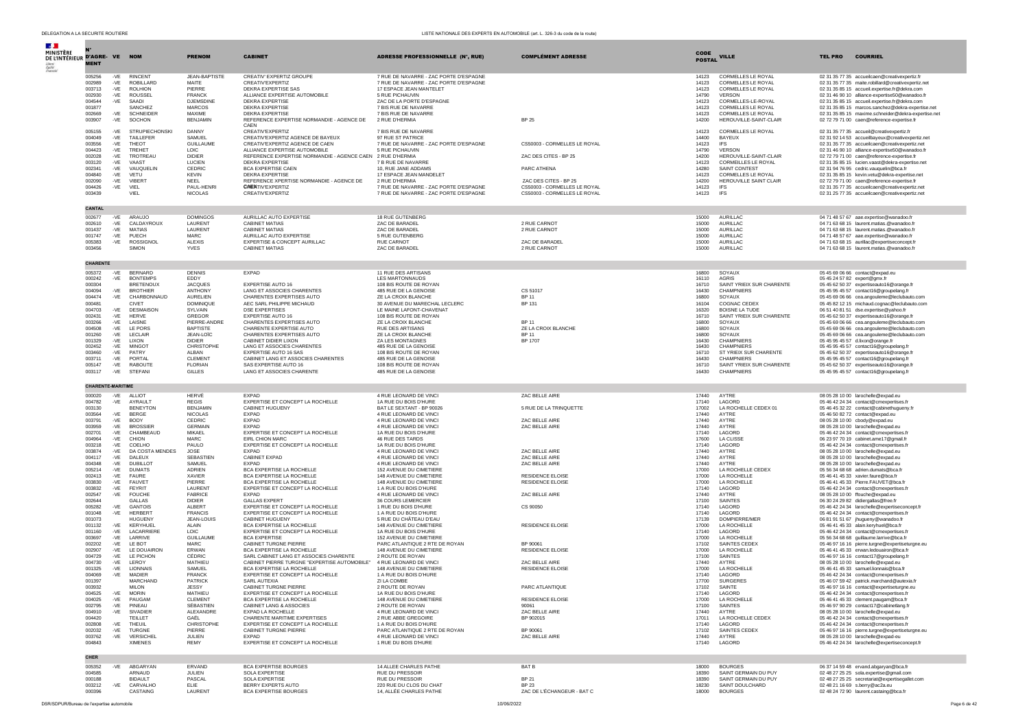| $\sim$                                     |                          |                   |                                     |                                     |                                                                     |                                                                   |                                                       |                       |                                                        |                                                                                                          |
|--------------------------------------------|--------------------------|-------------------|-------------------------------------|-------------------------------------|---------------------------------------------------------------------|-------------------------------------------------------------------|-------------------------------------------------------|-----------------------|--------------------------------------------------------|----------------------------------------------------------------------------------------------------------|
| MINISTÈRE<br>DE L'INTÉRIEUR D'AGRE- VE NOM |                          |                   |                                     | <b>PRENOM</b>                       | <b>CABINET</b>                                                      | <b>ADRESSE PROFESSIONNELLE (N°, RUE)</b>                          | <b>COMPLÉMENT ADRESSE</b>                             | CODE<br><b>POSTAL</b> | <b>VILLE</b>                                           | <b>COURRIEL</b><br><b>TEL PRO</b>                                                                        |
|                                            | <b>MENT</b>              |                   |                                     |                                     |                                                                     |                                                                   |                                                       |                       |                                                        |                                                                                                          |
|                                            | 005256                   | -VE               | <b>RINCENT</b>                      | <b>JEAN-BAPTISTE</b>                | CREATIV' EXPERTIZ GROUPE                                            | 7 RUE DE NAVARRE - ZAC PORTE D'ESPAGNE                            |                                                       | 14123                 | CORMELLES LE ROYAL                                     | 02 31 35 77 35 accueilcaen@creativexpertiz.fr                                                            |
|                                            | 002989<br>003713         | -VE<br>-VE        | <b>ROBILLARD</b><br><b>ROLHION</b>  | MAITE<br>PIERRE                     | CREATIV'EXPERTIZ<br><b>DEKRA EXPERTISE SAS</b>                      | 7 RUE DE NAVARRE - ZAC PORTE D'ESPAGNE<br>17 ESPACE JEAN MANTELET |                                                       | 14123<br>14123        | <b>CORMELLES LE ROYAL</b><br><b>CORMELLES LE ROYAL</b> | 02 31 35 77 35 maite.robillard@creativexpertiz.net<br>02 31 35 85 15 accueil.expertise.fr@dekra.com      |
|                                            | 002930                   | -VE               | ROUSSEL                             | <b>FRANCK</b>                       | ALLIANCE EXPERTISE AUTOMOBILE                                       | 5 RUE PICHAUVIN                                                   |                                                       | 14790                 | <b>VERSON</b>                                          | 02 31 46 90 10 alliance-expertise50@wanadoo.fr                                                           |
|                                            | 004544                   | -VE               | SAADI<br><b>SANCHEZ</b>             | DJEMSDINE<br><b>MARCOS</b>          | <b>DEKRA EXPERTISE</b><br>DEKRA EXPERTISE                           | ZAC DE LA PORTE D'ESPAGNE                                         |                                                       | 14123                 | CORMELLES-LE-ROYAL<br>CORMELLES LE ROYAL               | 02 31 35 85 15 accueil.expertise.fr@dekra.com                                                            |
|                                            | 001877<br>002669         | $-VE$             | <b>SCHNEIDER</b>                    | MAXIME                              | <b>DEKRA EXPERTISE</b>                                              | 7 BIS RUE DE NAVARRE<br>7 BIS RUE DE NAVARRE                      |                                                       | 14123<br>14123        | CORMELLES LE ROYAL                                     | 02 31 35 85 15 marcos.sanchez@dekra-expertise.net<br>02 31 35 85 15 maxime.schneider@dekra-expertise.net |
|                                            | 003907                   | $-VE$             | SOCHON                              | <b>BENJAMIN</b>                     | REFERENCE EXPERTISE NORMANDIE - AGENCE DE                           | 2 RUE D'HERMIA                                                    | <b>BP 25</b>                                          | 14200                 | HEROUVILLE-SAINT-CLAIR                                 | 02 72 79 71 00 caen@reference-expertise.fr                                                               |
|                                            | 005155                   | $-VE$             | <b>STRUPIECHONSKI</b>               | DANNY                               | CAEN<br>CREATIV'EXPERTIZ                                            | 7 BIS RUE DE NAVARRE                                              |                                                       | 14123                 | CORMELLES LE ROYAL                                     | 02 31 35 77 35 accueil@creativexpertiz.fr                                                                |
|                                            | 004049                   | $-VE$             | TAILLEFER                           | SAMUEL                              | CREATIV'EXPERTIZ AGENCE DE BAYEUX                                   | 97 RUE ST PATRICE                                                 |                                                       | 14400                 | BAYEUX                                                 | 02 31 92 14 53 accueilbaveux@creativexpertiz.net                                                         |
|                                            | 003556<br>004423         | $-VE$<br>-VE      | THEOT<br><b>TREHET</b>              | <b>GUILLAUME</b><br>LOIC            | CREATIV'EXPERTIZ AGENCE DE CAEN<br>ALLIANCE EXPERTISE AUTOMOBILE    | 7 RUE DE NAVARRE - ZAC PORTE D'ESPAGNE<br>5 RUE PICHAUVIN         | CS50003 - CORMELLES LE ROYAL                          | 14123<br>14790        | IFS<br><b>VERSON</b>                                   | 02 31 35 77 35 accueilcaen@creativexpertiz.net<br>02 31 46 90 10 alliance-expertise50@wanadoo.fr         |
|                                            | 002028                   | $-VE$             | TROTREAU                            | <b>DIDIER</b>                       | REFERENCE EXPERTISE NORMANDIE - AGENCE CAEN 2 RUE D'HERMIA          |                                                                   | ZAC DES CITES - BP 25                                 | 14200                 | HEROUVILLE-SAINT-CLAIR                                 | 02 72 79 71 00 caen@reference-expertise.fr                                                               |
|                                            | 003120<br>002341         | $-VE$<br>$-VE$    | VAAST<br>VAUOUELIN                  | LUCIEN<br>CEDRIC                    | <b>DEKRA EXPERTISE</b><br>BCA EXPERTISE CAEN                        | 7 B RUE DE NAVARRE<br>10, RUE JANE ADDAMS                         | PARC ATHENA                                           | 14123<br>14280        | CORMEILLES LE ROYAL<br>SAINT CONTEST                   | 02 31 35 85 15 lucien.vaast@dekra-expertise.net<br>02 31 94 76 95 cedric.vauguelin@bca.fr                |
|                                            | 004840                   | -VE               | <b>VETU</b>                         | <b>KFVIN</b>                        | DEKRA EXPERTISE                                                     | 17 ESPACE JEAN MANDELET                                           |                                                       | 14123                 | CORMELLES LE ROYAL                                     | 02 31 35 85 15 kevin.vetu@dekra-expertise.net                                                            |
|                                            | 002090<br>004426         | $-VE$<br>-VE VIEL | VIBERT                              | NEEL<br>PAUL-HENRI                  | REFERENCE XPERTISE NORMANDIE - AGENCE DE<br><b>CAENTIV'EXPERTIZ</b> | 2 RUE D'HERMIA<br>7 RUE DE NAVARRE - ZAC PORTE D'ESPAGNE          | ZAC DES CITES - BP 25<br>CS50003 - CORMELLES LE ROYAL | 14200<br>14123        | HEROUVILLE SAINT CLAIR<br><b>IFS</b>                   | 02 72 79 71 00 caen@reference-expertise.fr<br>02.31.35.77.35 accueilcaen@creativexpertiz.net             |
|                                            | 003439                   |                   | VIEL                                | <b>NICOLAS</b>                      | CREATIV'EXPERTIZ                                                    | 7 RUE DE NAVARRE - ZAC PORTE D'ESPAGNE                            | CS50003 - CORMELLES LE ROYAL                          | 14123                 | <b>IFS</b>                                             | 02 31 25 77 35 accueilcaen@creativexpertiz.net                                                           |
|                                            | CANTAL                   |                   |                                     |                                     |                                                                     |                                                                   |                                                       |                       |                                                        |                                                                                                          |
|                                            | 002677                   | -VE               | ARAUJO                              | <b>DOMINGOS</b>                     | AURILLAC AUTO EXPERTISE                                             | 18 RUE GUTENBERG                                                  |                                                       | 15000                 | AURILLAC                                               | 04 71 48 57 67 aae.expertise@wanadoo.fr                                                                  |
|                                            | 002610                   | $-VE$             | CALDAYROUX                          | LAURENT                             | <b>CABINET MATIAS</b>                                               | ZAC DE BARADEL                                                    | 2 RUE CARNOT                                          | 15000                 | <b>AURILLAC</b>                                        | 04 71 63 68 15 laurent.matias.@wanadoo.fr                                                                |
|                                            | 001437<br>001747         | -VE<br>$-VE$      | MATIAS<br>PUECH                     | LAURENT<br><b>MARC</b>              | <b>CABINET MATIAS</b><br>AURILLAC AUTO EXPERTISE                    | <b>ZAC DE BARADEL</b><br>5 RUE GUTENBERG                          | 2 RUE CARNOT                                          | 15000<br>15000        | AURILLAC<br><b>AURILLAC</b>                            | 04 71 63 68 15 laurent.matias.@wanadoo.fr<br>04 71 48 57 67 aae.expertise@wanadoo.fr                     |
|                                            | 005383                   | -VE               | ROSSIGNOL                           | <b>ALEXIS</b>                       | EXPERTISE & CONCEPT AURILLAC                                        | <b>RUE CARNOT</b>                                                 | ZAC DE BARADEL                                        | 15000                 | AURILLAC                                               | 04 71 63 68 15 aurillac@expertiseconcept.fr                                                              |
|                                            | 003456                   |                   | <b>SIMON</b>                        | <b>YVES</b>                         | <b>CABINET MATIAS</b>                                               | ZAC DE BARADEL                                                    | 2 RUE CARNOT                                          | 15000                 | AURILLAC                                               | 04 71 63 68 15 laurent.matias.@wanadoo.fr                                                                |
|                                            | CHARENTE                 |                   |                                     |                                     |                                                                     |                                                                   |                                                       |                       |                                                        |                                                                                                          |
|                                            | 005372                   | -VE               | <b>BERNARD</b>                      | DENNIS                              | <b>EXPAD</b>                                                        | 11 RUE DES ARTISANS                                               |                                                       | 16800                 | SOYAUX                                                 | 05 45 69 06 66 contact@expad.eu                                                                          |
|                                            | 000242                   | $-VE$             | <b>BONTEMPS</b>                     | EDDY                                |                                                                     | LES MARTONNAUDS                                                   |                                                       | 16110                 | <b>AGRIS</b>                                           | 05 45 24 57 82 expert@gmx.fr                                                                             |
|                                            | 000304<br>004094         | $-VE$             | <b>BRETENOUX</b><br><b>BROTHIER</b> | <b>JACOUES</b><br>ANTHONY           | <b>EXPERTISE AUTO 16</b><br>LANG ET ASSOCIES CHARENTES              | 108 BIS ROUTE DE ROYAN<br>485 RUE DE LA GENOISE                   | CS 51017                                              | 16710<br>16430        | SAINT YRIEIX SUR CHARENTE<br>CHAMPNIERS                | 05 45 62 50 37 expertiseauto16@orange.fr<br>05 45 95 45 57 contact16@groupelang.fr                       |
|                                            | 004474                   | $-VE$             | CHARBONNAUD                         | <b>AURELIEN</b>                     | CHARENTES EXPERTISES AUTO                                           | ZE LA CROIX BLANCHE                                               | <b>BP11</b>                                           | 16800                 | SOYAUX                                                 | 05.45.69.06.66 cea.angouleme@leclubauto.com                                                              |
|                                            | 000481                   |                   | <b>CIVET</b>                        | <b>DOMINIQUE</b>                    | AFC SARL PHILIPPE MICHAUD                                           | 30 AVENUE DU MARECHAL LECLERC                                     | <b>BP 131</b>                                         | 16104                 | COGNAC CEDEX                                           | 05 45 82 12 15 michaud.cognac@leclubauto.com                                                             |
|                                            | 004703<br>002431         | -VE<br>-VE        | <b>DESMAISON</b><br>HERVE           | SYLVAIN<br>GREGOR                   | <b>DSE EXPERTISES</b><br>EXPERTISE AUTO 16                          | LE MAINE LAFONT-CHAVENAT<br>108 BIS ROUTE DE ROYAN                |                                                       | 16320<br>16710        | <b>BOISNE LA TUDE</b><br>SAINT YRIEIX SUR CHARENTE     | 06 51 40 81 51 dse.expertise@yahoo.fr<br>05 45 62 50 37 expertiseauto16@orange.fr                        |
|                                            | 003266                   | $-VE$             | LAISNE                              | PIERRE-ANDRE                        | CHARENTES EXPERTISES AUTO                                           | ZE LA CROIX BLANCHE                                               | <b>BP11</b>                                           | 16800                 | SOYAUX                                                 | 05 45 69 06 66 cea.angouleme@leclubauto.com                                                              |
|                                            | 004508<br>001260         | $-VE$<br>-VE      | LE PORS<br>LECLAIR                  | <b>BAPTISTE</b><br>JEAN-LOIC        | CHARENTE EXPERTISE AUTO<br>CHARENTES EXPERTISES AUTO                | <b>RUE DES ARTISANS</b><br>ZE LA CROIX BLANCHE                    | ZE LA CROIX BLANCHE<br><b>BP11</b>                    | 16800<br>16800        | SOYAUX<br>SOYAUX                                       | 05 45 69 06 66 cea.angouleme@leclubauto.com<br>05 45 69 06 66 cea.angouleme@leclubauto.com               |
|                                            | 001329                   | $-VE$             | LIXON                               | <b>DIDIER</b>                       | CABINET DIDIER LIXON                                                | ZA LES MONTAGNES                                                  | BP 1707                                               | 16430                 | <b>CHAMPNIERS</b>                                      | 05 45 95 45 57 d.lixon@orange.fr                                                                         |
|                                            | 002452<br>003460         | $-VE$<br>$-VE$    | <b>MINGOT</b><br>PATRY              | CHRISTOPHE<br>AI RAN                | LANG ET ASSOCIES CHARENTES<br><b>EXPERTISE AUTO 16 SAS</b>          | 485 RUE DE LA GENOISE<br>108 BIS ROUTE DE ROYAN                   |                                                       | 16430<br>16710        | <b>CHAMPNIERS</b><br>ST YRIFIX SUR CHARENTE            | 05 45 95 45 57 contact16@groupelang.fr<br>05 45 62 50 37 expertiseauto16@orange.fr                       |
|                                            | 003711                   | $-VE$             | PORTAL                              | CLEMENT                             | CABINET LANG ET ASSOCIES CHARENTES                                  | 485 RUE DE LA GENOISE                                             |                                                       | 16430                 | CHAMPNIERS                                             | 05 45 95 45 57 contact16@groupelang.fr                                                                   |
|                                            | 005147<br>003117         | $-VE$<br>-VE      | RABOUTE<br>STEFANI                  | <b>FLORIAN</b><br>GILLES            | SAS EXPERTISE AUTO 16<br>LANG ET ASSOCIES CHARENTE                  | 108 BIS ROUTE DE ROYAN<br>485 RUE DE LA GENOISE                   |                                                       | 16710<br>16430        | SAINT YRIEIX SUR CHARENTE<br>CHAMPNIERS                | 05 45 62 50 37 expertiseauto16@orange.fr<br>05 45 95 45 57 contact16@groupelang.fr                       |
|                                            |                          |                   |                                     |                                     |                                                                     |                                                                   |                                                       |                       |                                                        |                                                                                                          |
|                                            | <b>CHARENTE-MARITIME</b> |                   |                                     |                                     |                                                                     |                                                                   |                                                       |                       |                                                        |                                                                                                          |
|                                            | 000020<br>004782         | -VE               | ALLIOT<br>AYRAULT                   | HERVÉ<br><b>REGIS</b>               | <b>EXPAD</b><br>EXPERTISE ET CONCEPT LA ROCHELLE                    | 4 RUE LEONARD DE VINCI<br>1A RUE DU BOIS D'HURE                   | ZAC BELLE AIRE                                        | 17440<br>17140        | AYTRE<br>LAGORD                                        | 08 05 28 10 00 larochelle@expad.eu<br>05 46 42 24 34 contact@cmexpertises.fr                             |
|                                            | 003130                   | $-VE$             | <b>BENEYTON</b>                     | <b>BFNJAMIN</b>                     | CABINET HUGUENY                                                     | BAT I F SEXTANT - BP 90026                                        | 5 RUE DE LA TRINQUETTE                                | 17002                 | LA ROCHELLE CEDEX 01                                   | 05 46 45 32 22 contact@cabinethugueny.fr                                                                 |
|                                            | 003564<br>003791         | -VE<br>$-VE$      | BERGE<br><b>BODY</b>                | <b>NICOLAS</b><br>CEDRIC            | <b>EXPAD</b><br>EXPAD                                               | 4 RUE LEONARD DE VINCI<br>4 RUE LEONARD DE VINCI                  | ZAC BELLE AIRE                                        | 17440<br>17440        | AYTRE<br>AYTRE                                         | 05 46 50 82 72 contact@expad.eu<br>08 05 28 10 00 cbody@expad.eu                                         |
|                                            | 003959                   | -VE               | <b>BROSSIER</b>                     | <b>GERMAIN</b>                      | <b>EXPAD</b>                                                        | 4 RUE LEONARD DE VINCI                                            | ZAC BELLE AIRE                                        | 17440                 | AYTRE                                                  | 08 05 28 10 00 larochelle@expad.eu                                                                       |
|                                            | 002701                   | -VE               | CHAMBEAUD                           | <b>MIKAEL</b>                       | EXPERTISE ET CONCEPT LA ROCHELLE                                    | 1A RUE DU BOIS D'HURE                                             |                                                       | 17140                 | LAGORD                                                 | 05 46 42 24 34 contact@cmexpertises.fr                                                                   |
|                                            | 004964<br>003218         | $-VE$<br>$-VE$    | CHION<br>COELHO                     | MARC.<br>PAULO                      | FIRL CHION MARC<br>EXPERTISE ET CONCEPT LA ROCHELLE                 | 46 RUE DES TARDS<br>1A RUE DU BOIS D'HURE                         |                                                       | 17600<br>17140        | <b>LA CLISSE</b><br>LAGORD                             | 06 23 97 70 19 cabinet.ame17@gmail.fr<br>05 46 42 24 34 contact@cmexpertises.fr                          |
|                                            | 003874                   | $-VE$             | DA COSTA MENDES                     | JOSE                                | <b>EXPAD</b>                                                        | 4 RUE LEONARD DE VINCI                                            | ZAC BELLE AIRE                                        | 17440                 | AYTRE                                                  | 08 05 28 10 00 larochelle@expad.eu                                                                       |
|                                            | 004117<br>004348         | $-VE$<br>$-VE$    | DAI FUX<br><b>DUBILLOT</b>          | <b>SEBASTIEN</b><br>SAMUEL          | CABINET EXPAD<br><b>EXPAD</b>                                       | 4 RUE LEONARD DE VINCI<br>4 RUE LEONARD DE VINCI                  | ZAC BELLE AIRE<br>ZAC BELLE AIRE                      | 17440<br>17440        | AYTRE<br>AYTRE                                         | 08 05 28 10 00 larochelle@expad.eu<br>08 05 28 10 00 larochelle@expad.eu                                 |
|                                            | 005214                   | $-VE$             | <b>DUMATS</b>                       | ADRIEN                              | BCA EXPERTISE LA ROCHELLE                                           | 152 AVENUE DU CIMETIERE                                           |                                                       | 17000                 | LA ROCHELLE CEDEX                                      | 05 56 34 68 68 adrien.dumats@bca.fr                                                                      |
|                                            | 002413<br>003830         | -VE<br>$-VE$      | <b>FAURE</b><br><b>FAUVET</b>       | <b>XAVIER</b><br>PIERRE             | BCA EXPERTISE LA ROCHELLE<br>BCA EXPERTISE LA ROCHELLE              | 148 AVENUE DU CIMETIERE<br>148 AVENUE DU CIMETIERE                | <b>RESIDENCE ELOISE</b><br><b>RESIDENCE ELOISE</b>    | 17000<br>17000        | <b>LA ROCHELLE</b><br>LA ROCHELLE                      | 05 46 41 45 33 xavier.faure@bca.fr<br>05 46 41 45 33 Pierre.FAUVET@bca.fr                                |
|                                            | 003832                   | $-VE$             | FEYRIT                              | LAURENT                             | EXPERTISE ET CONCEPT LA ROCHELLE                                    | 1 A RUE DU BOIS D'HURE                                            |                                                       | 17140                 | LAGORD                                                 | 05 46 42 24 34 contact@cmexpertises.fr                                                                   |
|                                            | 002547<br>002644         | -VE               | <b>FOUCHE</b><br><b>GALLAS</b>      | <b>FABRICE</b><br><b>DIDIER</b>     | <b>EXPAD</b><br><b>GALLAS EXPERT</b>                                | 4 RUE LEONARD DE VINCI<br>36 COURS LEMERCIER                      | ZAC BELLE AIRE                                        | 17440<br>17100        | AYTRE<br>SAINTES                                       | 08 05 28 10 00 ffouche@expad.eu<br>06 30 24 29 82 didiergallas@free.fr                                   |
|                                            | 005282                   | -VF               | GANTOIS                             | AI BERT                             | EXPERTISE ET CONCEPT LA ROCHELLE                                    | 1 RUE DU BOIS D'HURE                                              | CS 90050                                              | 17140                 | <b>LAGORD</b>                                          | 05 46 42 24 34 larochelle@expertiseconcept.fr                                                            |
|                                            | 001048<br>001073         | -VE               | <b>HERBERT</b><br>HUGUENY           | <b>FRANCIS</b><br><b>JEAN-LOUIS</b> | EXPERTISE ET CONCEPT LA ROCHELLE<br>CABINET HUGUENY                 | 1 A RUE DU BOIS D'HURE<br>5 RUE DU CHÂTEAU D'EAU                  |                                                       | 17140<br>17139        | LAGORD<br>DOMPIERRE/MER                                | 05 46 42 24 34 contact@cmexpertises.fr<br>06 81 91 51 67 jhugueny@wanadoo.fr                             |
|                                            | 001132                   | -VE               | KERYHUEL                            | AI AIN                              | BCA EXPERTISE LA ROCHELLE                                           | 148 AVENUE DU CIMETIERE                                           | <b>RESIDENCE ELOISE</b>                               | 17000                 | LA ROCHELLE                                            | 05 46 41 45 33 alain.kervhuel@bca.fr                                                                     |
|                                            | 001160<br>003697         | $-VE$<br>$-VE$    | LACARRIERE<br>LARRIVE               | LOIC<br><b>GUILLAUME</b>            | EXPERTISE ET CONCEPT LA ROCHELLE<br><b>BCA EXPERTISE</b>            | 1A RUE DU BOIS D'HURE<br>152 AVENUE DU CIMETIERE                  |                                                       | 17140<br>17000        | LAGORD<br>LA ROCHELLE                                  | 05 46 42 24 34 contact@cmexpertises.fr<br>05 56 34 68 68 quillaume.larrive@bca.fr                        |
|                                            | 002202                   | -VE               | LE BOT                              | MARC.                               | <b>CABINET TURGNE PIERRE</b>                                        | PARC ATLANTIQUE 2 RTE DE ROYAN                                    | BP 90061                                              | 17102                 | SAINTES CEDEX                                          | 05 46 97 16 16 pierre.turgne@expertiseturgne.eu                                                          |
|                                            | 002907<br>004729         | -VE<br>$-VE$      | LE DOUAIRON<br>LE PICHON            | ERWAN<br>CÉDRIC                     | BCA EXPERTISE LA ROCHELLE<br>SARL CABINET LANG ET ASSOCIES CHARENTE | 148 AVENUE DU CIMETIERE<br>2 ROUTE DE ROYAN                       | RESIDENCE ELOISE                                      | 17000<br>17100        | LA ROCHELLE<br><b>SAINTES</b>                          | 05 46 41 45 33 erwan.ledouairon@bca.fr                                                                   |
|                                            | 004730                   | -VE               | LEROY                               | MATHIEU                             | CABINET PIERRE TURGNE "EXPERTISE AUTOMOBILE" 4 RUE LEONARD DE VINCI |                                                                   | ZAC BELLE AIRE                                        | 17440                 | AYTRE                                                  | 05 46 97 16 16 contact17@groupelang.fr<br>08 05 28 10 00 larochelle@expad.eu                             |
|                                            | 001325                   |                   | -VE LIONNAIS                        | SAMUEL<br><b>FRANCK</b>             | BCA EXPERTISE LA ROCHELLE                                           | 148 AVENUE DU CIMETIERE                                           | <b>RESIDENCE ELOISE</b>                               | 17000                 | LA ROCHELLE                                            | 05 46 41 45 33 samuel.lionnais@bca.fr<br>05.46.42.24.34 contact@cmexpertises.fr                          |
|                                            | 004069<br>001397         | -VE               | MADIFR<br>MARCHAND                  | <b>PATRICK</b>                      | EXPERTISE ET CONCEPT LA ROCHELLE<br>SARL AUTEXIA                    | 1 A RUE DU BOIS D'HURE<br>ZI LA COMBE                             |                                                       | 17140<br>17700        | <b>LAGORD</b><br><b>SURGERES</b>                       | 05 46 07 59 42 patrick.marchand@autexia.fr                                                               |
|                                            | 003932                   |                   | MII ON                              | <b>JESSY</b>                        | CABINET TURGNE PIERRE                                               | 2 ROUTE DE ROYA                                                   | PARC ATLANTIQUE                                       | 17102                 | SAINTE                                                 | 05.46.97.16.16 contact@expertiseturane.eu                                                                |
|                                            | 004525<br>004025         | $-VE$<br>$-VE$    | <b>MORIN</b><br>PAUGAM              | MATHIEU<br>CLEMENT                  | EXPERTISE ET CONCEPT LA ROCHELLE<br>BCA EXPERTISE LA ROCHELLE       | 1A RUE DU BOIS D'HURE<br>148 AVENUE DU CIMETIERE                  | <b>RESIDENCE ELOISE</b>                               | 17140<br>17000        | LAGORD<br>LA ROCHELLE                                  | 05 46 42 24 34 contact@cmexpertises.fr<br>05 46 41 45 33 clement.paugam@bca.fr                           |
|                                            | 002795                   | -VE               | PINEAU                              | SÉBASTIEN                           | CABINET LANG & ASSOCIES                                             | 2 ROUTE DE ROYAN                                                  | 90061                                                 | 17100                 | SAINTES                                                | 05 46 97 90 29 contact17@cabinetlang.fr                                                                  |
|                                            | 004910<br>004420         | $-VE$             | SIVADIER<br>TEILLET                 | ALEXANDRE<br>GAËL                   | EXPAD LA ROCHELLE<br>CHARENTE MARITIME EXPERTISES                   | 4 RUE LEONARD DE VINCI<br>2 RUE ABBE GREGOIRE                     | ZAC BELLE AIRE<br>BP 902015                           | 17440<br>17011        | AYTRE<br>LA ROCHELLE CEDEX                             | 08 05 28 10 00 larochelle@expad.eu<br>05 46 42 24 34 contact@cmexpertises.fr                             |
|                                            | 002808                   | $-VE$             | THEUIL                              | CHRISTOPHE                          | EXPERTISE ET CONCEPT LA ROCHELLE                                    | 1 A RUE DU BOIS D'HURE                                            |                                                       | 17140                 | LAGORD                                                 | 05 46 42 24 34 contact@cmexpertises.fr                                                                   |
|                                            | 002032<br>003762         | $-VE$<br>$-VE$    | TURGNE<br>VERSICHEL                 | PIERRE<br>JULIEN                    | CABINET TURGNE PIERRE<br><b>EXPAD</b>                               | PARC ATLANTIQUE 2 RTE DE ROYAN<br>4 RUE LEONARD DE VINCI          | BP 90061<br>ZAC BELLE AIRE                            | 17102<br>17440        | SAINTES CEDEX<br>AYTRE                                 | 05 46 97 16 16 pierre.turgne@expertiseturgne.eu<br>08 05 28 10 00 larochelle@expad-eu                    |
|                                            | 004843                   |                   | <b>XIMENES</b>                      | <b>REMY</b>                         | EXPERTISE ET CONCEPT LA ROCHELLE                                    | 1 RUE DU BOIS D'HURE                                              |                                                       | 17140                 | LAGORD                                                 | 05 46 42 24 34 larochelle@expertiseconcept.fr                                                            |
|                                            | CHER                     |                   |                                     |                                     |                                                                     |                                                                   |                                                       |                       |                                                        |                                                                                                          |
|                                            | 005352                   | -VE               | ABGARYAN                            | ERVAND                              | <b>BCA EXPERTISE BOURGES</b>                                        | 14 ALLEE CHARLES PATHE                                            | <b>BAT B</b>                                          | 18000                 | <b>BOURGES</b>                                         | 06 37 14 59 48 ervand.abgaryan@bca.fr                                                                    |
|                                            | 004585                   |                   | ARNAUD                              | JULIEN                              | SOLA EXPERTISE                                                      | <b>RUE DU PRESSOIR</b>                                            |                                                       | 18390                 | SAINT GERMAIN DU PUY                                   | 02 48 27 25 25 sola.expertise@gmail.com                                                                  |
|                                            | 000188<br>003212         | -VE               | <b>BIDAULT</b><br>CARVALHO          | PASCAL<br>ELIE                      | SOLA EXPERTISE<br>BERRY EXPERTS AUTO                                | RUE DU PRESSOIR<br>220 RUE DU CLOS DU CHAT                        | <b>BP 21</b><br><b>BP 23</b>                          | 18390<br>18230        | SAINT GERMAIN DU PUY<br>SAINT DOULCHARD                | 02 48 27 25 25 secretariat@expertisegallet.com<br>02 48 21 16 69 s.berry@ac2a.eu                         |
|                                            | 000396                   |                   | CASTAING                            | LAURENT                             | <b>BCA EXPERTISE BOURGES</b>                                        | 14, ALLÉE CHARLES PATHE                                           | ZAC DE L'ÉCHANGEUR - BAT C                            | 18000                 | <b>BOURGES</b>                                         | 02 48 24 72 90 laurent.castaing@bca.fr                                                                   |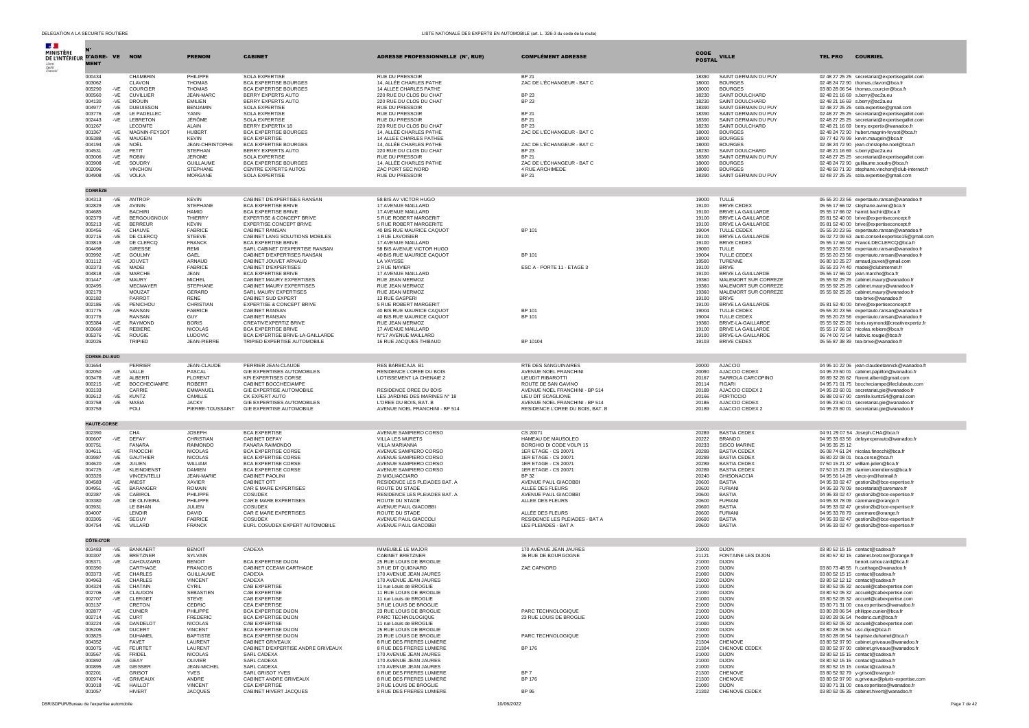| $\mathcal{A}$ .<br>MINISTÈRE<br>DE L'INTÉRIEUR D'AGRE-VE NOM |                     |                |                                      | <b>PRENOM</b>                      | <b>CABINET</b>                                               | <b>ADRESSE PROFESSIONNELLE (N°, RUE)</b>                | <b>COMPLÉMENT ADRESSE</b>                              | <b>CODE</b>    | <b>VILLE</b>                                    | <b>COURRIEL</b><br><b>TEL PRO</b>                                                           |
|--------------------------------------------------------------|---------------------|----------------|--------------------------------------|------------------------------------|--------------------------------------------------------------|---------------------------------------------------------|--------------------------------------------------------|----------------|-------------------------------------------------|---------------------------------------------------------------------------------------------|
|                                                              | <b>MENT</b>         |                |                                      |                                    |                                                              |                                                         |                                                        | <b>POSTAL</b>  |                                                 |                                                                                             |
|                                                              | 000434<br>003062    |                | CHAMBRIN<br>CLAVON                   | PHILIPPE<br><b>THOMAS</b>          | <b>SOLA EXPERTISE</b><br><b>BCA EXPERTISE BOURGES</b>        | <b>RUE DU PRESSOIR</b><br>14, ALLÉE CHARLES PATHE       | <b>BP 21</b><br>ZAC DE L'ÉCHANGEUR - BAT C             | 18390<br>18000 | SAINT GERMAIN DU PUY<br><b>BOURGES</b>          | 02 48 27 25 25 secretariat@expertisegallet.com<br>02 48 24 72 90 thomas.clavon@bca.fr       |
|                                                              | 005290              | $-VE$          | COURCIER                             | <b>THOMAS</b>                      | <b>BCA EXPERTISE BOURGES</b>                                 | 14 ALLEE CHARLES PATHE                                  |                                                        | 18000          | <b>BOURGES</b>                                  | 03 80 28 06 54 thomas.courcier@bca.fr                                                       |
|                                                              | 000560              | $-VE$          | <b>CUVILLIER</b>                     | JEAN-MARC                          | BERRY EXPERTS AUTO                                           | 220 RUE DU CLOS DU CHAT                                 | <b>BP 23</b>                                           | 18230          | SAINT DOULCHARD                                 | 02 48 21 16 69 s.berry@ac2a.eu                                                              |
|                                                              | 004130<br>004977    | $-VE$<br>-VE   | <b>DROUIN</b><br><b>DUBUISSON</b>    | FMILIEN<br>BENJAMIN                | BERRY EXPERTS AUTO<br>SOLA EXPERTISE                         | 220 RUE DU CLOS DU CHAT<br>RUE DU PRESSOIR              | <b>BP 23</b>                                           | 18230<br>18390 | SAINT DOULCHARD<br>SAINT GERMAIN DU PUY         | 02 48 21 16 69 s.berry@ac2a.eu<br>02 48 27 25 25 sola.expertise@gmail.com                   |
|                                                              | 003776              | $-VE$          | LE PADELLEC                          | YANN                               | SOLA EXPERTISE                                               | RUE DU PRESSOIR                                         | <b>BP 21</b>                                           | 18390          | SAINT GERMAIN DU PUY                            | 02 48 27 25 25 secretariat@expertisegallet.com                                              |
|                                                              | 002443              | $-VE$          | <b>I FRRETON</b>                     | JÉRÔME                             | SOLA EXPERTISE                                               | <b>RUE DU PRESSOIR</b>                                  | <b>BP 21</b>                                           | 18390          | SAINT GERMAIN DU PUY                            | 02 48 27 25 25 secretariat@expertisegallet.com                                              |
|                                                              | 001267<br>001367    | $-VE$          | LECOMTE<br>MAGNIN-FEYSOT             | ALAIN<br><b>HUBERT</b>             | <b>BERRY EXPERTIX 18</b><br><b>BCA EXPERTISE BOURGES</b>     | 220 RUE DU CLOS DU CHAT<br>14. ALLÉE CHARLES PATHE      | <b>BP 23</b><br>ZAC DE L'ÉCHANGEUR - BAT C             | 18230<br>18000 | SAINT DOULCHARD<br><b>BOURGES</b>               | 02 48 21 16 69 berry.expertix@wanadoo.fr<br>02 48 24 72 90 hubert.magnin-fevsot@bca.fr      |
|                                                              | 005388              | -VE            | <b>MAUGEIN</b>                       | <b>KEVIN</b>                       | <b>BCA EXPERTISE</b>                                         | 14 ALLEE CHARLES PATHEE                                 |                                                        | 18000          | <b>BOURGES</b>                                  | 09 77 42 79 99 kevin.maugein@bca.fr                                                         |
|                                                              | 004194<br>004531    | $-VE$<br>$-VE$ | NOËL<br>PETIT                        | JEAN-CHRISTOPHE<br><b>STEPHAN</b>  | <b>BCA EXPERTISE BOURGES</b><br>BERRY EXPERTS AUTO           | 14, ALLÉE CHARLES PATHE<br>220 RUE DU CLOS DU CHAT      | ZAC DE L'ÉCHANGEUR - BAT C<br>BP 23                    | 18000<br>18230 | <b>BOURGES</b><br>SAINT DOULCHARD               | 02 48 24 72 90 jean-christophe.noel@bca.fr<br>02 48 21 16 69 s.berry@ac2a.eu                |
|                                                              | 003006              | $-VE$          | <b>ROBIN</b>                         | JEROME                             | SOLA EXPERTISE                                               | RUE DU PRESSOIR                                         | <b>BP 21</b>                                           | 18390          | SAINT GERMAIN DU PUY                            | 02 48 27 25 25 secretariat@expertisegallet.com                                              |
|                                                              | 003908              | $-VE$          | SOUDRY                               | <b>GUILLAUME</b>                   | <b>BCA EXPERTISE BOURGES</b>                                 | 14, ALLÉE CHARLES PATHE                                 | ZAC DE L'ÉCHANGEUR - BAT C                             | 18000          | <b>BOURGES</b>                                  | 02 48 24 72 90 quillaume.soudry@bca.fr                                                      |
|                                                              | 002096<br>004908    | $-VE$          | <b>VINCHON</b><br>VOLKA              | <b>STEPHANE</b><br>MORGANE         | CENTRE EXPERTS AUTOS<br>SOLA EXPERTISE                       | ZAC PORT SEC NORD<br>RUE DU PRESSOIR                    | 4 RUE ARCHIMEDE<br><b>BP 21</b>                        | 18000<br>18390 | <b>BOURGES</b><br>SAINT GERMAIN DU PUY          | 02 48 50 71 30 stephane.vinchon@club-internet.fr<br>02 48 27 25 25 sola.expertise@gmail.com |
|                                                              |                     |                |                                      |                                    |                                                              |                                                         |                                                        |                |                                                 |                                                                                             |
|                                                              | CORRÈZE<br>004313   | -VE            | ANTROP                               | <b>KEVIN</b>                       | CABINET D'EXPERTISES RANSAN                                  | 58 BIS AV VICTOR HUGO                                   |                                                        | 19000          | TULLE                                           | 05 55 20 23 56 expertauto.ransan@wanadoo.fr                                                 |
|                                                              | 002829              | -VE            | AVININ                               | <b>STEPHANE</b>                    | <b>BCA EXPERTISE BRIVE</b>                                   | 17 AVENUE MAILLARD                                      |                                                        | 19100          | <b>RRIVE CEDEX</b>                              | 05 55 17 66 02 stephane.avinin@bca.fr                                                       |
|                                                              | 004685              |                | <b>BACHIRI</b>                       | <b>HAMID</b>                       | <b>BCA EXPERTISE BRIVE</b><br>EXPERTISE & CONCEPT BRIVE      | 17 AVENUE MAILLARD                                      |                                                        | 19100          | BRIVE LA GAILLARDE                              | 05 55 17 66 02 hamid.bachiri@bca.fr<br>05 81 52 40 00 brive@expertiseconcept.fr             |
|                                                              | 002379<br>005213    | $-VE$<br>$-VE$ | <b>BERGOUGNOUX</b><br><b>BERREUR</b> | THIERRY<br>KÉVIN                   | <b>EXPERTISE CONCEPT BRIVE</b>                               | 5 RUE ROBERT MARGERIT<br>5 RUE ROBERT MARGERITE         |                                                        | 19100<br>19100 | BRIVE LA GAILLARDE<br>BRIVE LA GAILLARDE        | 05 81 52 40 00 brive@expertiseconcept.fr                                                    |
|                                                              | 000456              | -VE            | CHAUVE                               | <b>FABRICE</b>                     | CABINET RANSAN                                               | 40 BIS RUE MAURICE CAQUOT                               | BP 101                                                 | 19004          | TULLE CEDEX                                     | 05 55 20 23 56 expertauto.ransan@wanadoo.fr                                                 |
|                                                              | 002716<br>003819    | $-VE$<br>-VE   | DE CLERCC<br>DE CLERCQ               | <b>STEEVE</b><br><b>FRANCK</b>     | CABINET LANG SOLUTIONS MOBILES<br><b>BCA EXPERTISE BRIVE</b> | 1 RUE LAVOISIER<br>17 AVENUE MAILLARD                   |                                                        | 19100<br>19100 | <b>BRIVE LA GAILLARDE</b><br><b>BRIVE CEDEX</b> | 06 02 72 09 63 auto.conseil.expertise15@gmail.com<br>05 55 17 66 02 Franck.DECLERCQ@bca.fr  |
|                                                              | 004498              |                | <b>GIRESSE</b>                       | REMI                               | SARL CABINET D'EXPERTISE RANSAN                              | 58 BIS AVENUE VICTOR HUGO                               |                                                        | 19000          | TULLE                                           | 05 55 20 23 56 expertauto.ransan@wanadoo.fr                                                 |
|                                                              | 003992              | $-VE$          | GOULMY                               | GAEL                               | CABINET D'EXPERTISES RANSAN                                  | 40 BIS RUE MAURICE CAQUOT                               | BP 101                                                 | 19004          | TULLE CEDEX                                     | 05 55 20 23 56 expertauto.ransan@wanadoo.fr                                                 |
|                                                              | 001112<br>002373    | -VE<br>$-VE$   | JOUVET<br>MADEI                      | ARNAUD<br><b>FABRICE</b>           | CABINET JOUVET ARNAUD<br>CABINET D'EXPERTISES                | LA VAYSSE<br>2 RUE NAVIER                               | ESC A - PORTE 11 - ETAGE 3                             | 19500<br>19100 | TURENNE<br><b>BRIVE</b>                         | 06 80 10 25 27 arnaud.jouvet@gmail.com<br>05 55 23 74 40 madei@clubinternet.fr              |
|                                                              | 004818              | $-VE$          | <b>MARCHE</b>                        | <b>JEAN</b>                        | <b>BCA EXPERTISE BRIVE</b>                                   | 17 AVENUE MAILLARD                                      |                                                        | 19100          | BRIVE LA GAILLARDE                              | 05 55 17 66 02 jean.marche@bca.fr                                                           |
|                                                              | 001447<br>002495    | -VE            | MAURY<br><b>MECMAYER</b>             | <b>MICHEL</b><br>STEPHANE          | CABINET MAURY EXPERTISES<br>CABINET MAURY EXPERTISES         | RUE JEAN MERMOZ<br>RUE JEAN MERMOZ                      |                                                        | 19360<br>19360 | MALEMORT SUR CORREZE<br>MALEMORT SUR CORREZE    | 05 55 92 25 26 cabinet.maury@wanadoo.fr<br>05 55 92 25 26 cabinet.maury@wanadoo.fr          |
|                                                              | 002179              |                | MOUZAT                               | GERARD                             | SARL MAURY EXPERTISES                                        | RUE JEAN MERMOZ                                         |                                                        | 19360          | MALEMORT SUR CORREZE                            | 05 55 92 25 26 cabinet.maury@wanadoo.fr                                                     |
|                                                              | 002182              |                | PARROT                               | <b>RENE</b>                        | CABINET SUD EXPERT<br><b>EXPERTISE &amp; CONCEPT BRIVE</b>   | 13 RUE GASPERI                                          |                                                        | 19100          | <b>BRIVE</b>                                    | tea-brive@wanadoo.fr<br>05 81 52 40 00 brive@expertiseconcept.fr                            |
|                                                              | 002186<br>001775    | $-VE$<br>-VE   | PENICHOU<br>RANSAN                   | CHRISTIAN<br><b>FABRICE</b>        | CABINET RANSAN                                               | 5 RUE ROBERT MARGERIT<br>40 BIS RUE MAURICE CAQUOT      | BP 101                                                 | 19100<br>19004 | BRIVE LA GAILLARDE<br>TULLE CEDEX               | 05 55 20 23 56 expertauto.ransan@wanadoo.fr                                                 |
|                                                              | 001776              |                | <b>RANSAN</b>                        | GUY                                | CABINET RANSAN                                               | 40 BIS RUE MAURICE CAOUOT                               | <b>BP 101</b>                                          | 19004          | TULLE CEDEX                                     | 05 55 20 23 56 expertauto.ransan@wanadoo.fr                                                 |
|                                                              | 005384<br>003669    | $-VF$<br>-VE   | RAYMOND<br>REBIERE                   | <b>BORIS</b><br>NICOLAS            | CREATIV'EXPERTIZ BRIVE<br><b>BCA EXPERTISE BRIVE</b>         | RUE JEAN MERMOZ<br>17 AVENUE MAILLARD                   |                                                        | 19360<br>19100 | BRIVE-LA-GAILLARDE<br>BRIVE LA GAILLARDE        | 05 55 92 25 26 boris.raymond@creativexpertiz.fr<br>05 55 17 66 02 nicolas.rebiere@bca.fr    |
|                                                              | 005376              | $-VE$          | ROUGIE                               | LUDOVIC                            | BCA EXPERTISE BRIVE-LA-GAILLARDE                             | N°17 AVENUE MAILLARD                                    |                                                        | 19100          | BRIVE-LA-GAILLARDE                              | 06 74 00 72 54 ludovic.rougie@bca.fr                                                        |
|                                                              | 002026              |                | <b>TRIPIED</b>                       | JEAN-PIERRE                        | TRIPIED EXPERTISE AUTOMOBILE                                 | 16 RUE JACOUES THIBAUD                                  | BP 10104                                               | 19103          | <b>BRIVE CEDEX</b>                              | 05 55 87 38 39 tea-brive@wanadoo.fr                                                         |
|                                                              | <b>CORSE-DU-SUD</b> |                |                                      |                                    |                                                              |                                                         |                                                        |                |                                                 |                                                                                             |
|                                                              | 001654              |                | PERRIER                              | JEAN-CLAUDE                        | PERRIER JEAN-CLAUDE                                          | RES BARBICAJA B1                                        | RTE DES SANGUINAIRES                                   | 20000          | <b>AJACCIO</b>                                  | 04 95 10 22 06 jean-claudeetannick@wanadoo.fr                                               |
|                                                              | 002050<br>003478    | -VE<br>$-VE$   | VALLE<br>AI BERTI                    | PASCAL<br><b>FLORENT</b>           | GIE EXPERTISES AUTOMOBILES<br>KPI EXPERTISES CORSE           | RESIDENCE L'OREE DU BOIS<br>LOTISSEMENT LA CHENAIE 2    | AVENUE NOEL FRANCHINI<br><b>LIFUDIT RIBAROTTI</b>      | 20090<br>20167 | AJACCIO CEDEX<br>SARROLA CARCOPINO              | 04 95 23 60 01 cabinet.papillon@wanadoo.fr<br>06 89 32 26 62 florent.alberti@gmail.com      |
|                                                              | 000215              | -VE            | BOCCHECIAMPE                         | <b>ROBERT</b>                      | CABINET BOCCHECIAMPE                                         |                                                         | ROUTE DE SAN GAVINO                                    | 20114          | <b>FIGARI</b>                                   | 04 95 71 01 75 boccheciampe@leclubauto.com                                                  |
|                                                              | 003133<br>002612    | $-VE$          | CARRIE<br><b>KUNTZ</b>               | EMMANUEL<br>CAMILLE                | GIE EXPERTISE AUTOMOBILE<br>CK EXPERT AUTO                   | RESIDENCE OREE DU BOIS<br>LES JARDINS DES MARINES N° 18 | AVENUE NOEL FRANCHINI - BP 514<br>LIEU DIT SCAGLIONE   | 20189<br>20166 | AJACCIO CEDEX 2<br>PORTICCIO                    | 04 95 23 60 01 secretariat.gie@wanadoo.fr<br>06 88 03 67 90 camille.kuntz54@gmail.com       |
|                                                              | 003758              | $-VE$          | MASIA                                | <b>JACKY</b>                       | GIE EXPERTISES AUTOMOBILES                                   | L'OREE DU BOIS, BAT, B                                  | AVENUE NOEL FRANCHINI - BP 514                         | 20186          | AJACCIO CEDEX                                   | 04 95 23 60 01 secretariat.gie@wanadoo.fr                                                   |
|                                                              | 003759              |                | POLI                                 | PIERRE-TOUSSAINT                   | GIE EXPERTISE AUTOMOBILE                                     | AVENUE NOEL FRANCHINI - BP 514                          | RESIDENCE L'OREE DU BOIS, BAT. B                       | 20189          | AJACCIO CEDEX 2                                 | 04 95 23 60 01 secretariat.gie@wanadoo.fr                                                   |
|                                                              | <b>HAUTE-CORSE</b>  |                |                                      |                                    |                                                              |                                                         |                                                        |                |                                                 |                                                                                             |
|                                                              | 002390              |                | CHA                                  | <b>JOSEPH</b>                      | <b>BCA EXPERTISE</b>                                         | AVENUE SAMPIERO CORSO                                   | CS 20071                                               | 20289          | <b>BASTIA CEDEX</b>                             | 04 91 29 07 54 Joseph.CHA@bca.fr                                                            |
|                                                              | 000607<br>000751    | $-VE$          | DEFAY<br>FANARA                      | CHRISTIAN<br>RAIMONDO              | <b>CABINET DEFAY</b><br>FANARA RAIMONDO                      | VILLA LES MURETS<br>VILLA MARIANNA                      | HAMEAU DE MAUSOLEO<br>BORGHIO DI CODE VOLPI 15         | 20222<br>20233 | <b>BRANDO</b><br><b>SISCO MARINE</b>            | 04 95 33 63 56 defayexperauto@wanadoo.fr<br>04 95 35 25 12                                  |
|                                                              | 004611              | $-VE$          | <b>FINOCCHI</b>                      | NICOLAS                            | <b>BCA EXPERTISE CORSE</b>                                   | AVENUE SAMPIERO CORSO                                   | 1ER ETAGE - CS 20071                                   | 20289          | <b>BASTIA CEDEX</b>                             | 06 08 74 61 24 nicolas.finocchi@bca.fr                                                      |
|                                                              | 003987<br>004620    | -VE<br>$-VE$   | <b>GAUTHIER</b><br>JULIEN            | <b>NICOLAS</b><br>WILLIAM          | <b>BCA EXPERTISE CORSE</b><br><b>BCA EXPERTISE CORSE</b>     | AVENUE SAMPIERO CORSO<br>AVENUE SAMPIERO CORSO          | 1ER ETAGE - CS 20071<br>1ER ETAGE - CS 20071           | 20289<br>20289 | <b>BASTIA CEDEX</b><br><b>BASTIA CEDEX</b>      | 06 80 22 08 01 bca.corse@bca.fr<br>07 50 15 21 37 william.julien@bca.fr                     |
|                                                              | 004725              | $-VE$          | <b>KLEINDIENST</b>                   | <b>DAMIEN</b>                      | <b>BCA EXPERTISE CORSE</b>                                   | AVENUE SAMPIERO CORSO                                   | 1ER ETAGE - CS 20071                                   | 20289          | <b>BASTIA CEDEX</b>                             | 07 50 15 21 26 damien.kleindienst@bca.fr                                                    |
|                                                              | 003326              |                | VINCENTELLI                          | JEAN-MARIE                         | <b>CABINET PAOLINI</b>                                       | ZI MIGLIACCIARO                                         | <b>BP 32</b>                                           | 20240          | <b>GHISONACCIA</b>                              | 04 95 56 14 28 vince-jm@hotmail.fr                                                          |
|                                                              | 004583<br>004951    | $-VE$<br>-VE   | ANEST<br><b>BARANGER</b>             | XAVIER<br><b>ROMAIN</b>            | CABINET OTT<br>CAR E MARE EXPERTISES                         | RESIDENCE LES PLEIADES BAT. A<br>ROUTE DU STADE         | AVENUE PAUL GIACOBBI<br>ALLEE DES FLEURS               | 20600<br>20600 | <b>BASTIA</b><br><b>FURIANI</b>                 | 04 95 33 02 47 gestion2b@bce-expertise.fr<br>04 95 33 78 09 secretariat@caremare.fr         |
|                                                              | 002387              | $-VE$          | CABIROL                              | PHILIPPE                           | COSUDEX                                                      | RESIDENCE LES PLEIADES BAT. A                           | AVENUE PAUL GIACOBB                                    | 20600          | <b>BASTIA</b>                                   | 04 95 33 02 47 gestion2b@bce-expertise.fr                                                   |
|                                                              | 003380<br>003931    | $-VE$          | DE OLIVEIRA<br>LE BIHAN              | PHILIPPE<br>JULIEN                 | CAR E MARE EXPERTISES<br>COSUDEX                             | ROUTE DU STADE<br>AVENUE PAUL GIACOBBI                  | ALLEE DES FLEURS                                       | 20600<br>20600 | <b>FURIANI</b><br><b>BASTIA</b>                 | 04 95 33 78 09 caremare@orange.fr<br>04 95 33 02 47 gestion2b@bce-expertise.fr              |
|                                                              | 004007              |                | LENOIR                               | DAVID                              | CAR E MARE EXPERTISES                                        | ROUTE DU STADE                                          | ALLÉE DES FLEURS                                       | 20600          | <b>FURIANI</b>                                  | 04 95 33 78 79 caremare@orange.fr                                                           |
|                                                              | 003305<br>004754    | -VF<br>$-VE$   | SEGUY<br>VILLARD                     | <b>FABRICE</b><br><b>FRANCK</b>    | COSUDEX<br>EURL COSUDEX EXPERT AUTOMOBILE                    | AVENUE PAUL GIACCOLI<br>AVENUE PAUL GIACOBBI            | RESIDENCE LES PLEIADES - BAT A<br>LES PLEIADES - BAT A | 20600<br>20600 | <b>BASTIA</b><br><b>BASTIA</b>                  | 04 95 33 02 47 gestion2b@bce-expertise.fr<br>04 95 33 02 47 gestion2b@bce-expertise.fr      |
|                                                              |                     |                |                                      |                                    |                                                              |                                                         |                                                        |                |                                                 |                                                                                             |
|                                                              | <b>CÔTE-D'OR</b>    |                |                                      |                                    |                                                              |                                                         |                                                        |                |                                                 |                                                                                             |
|                                                              | 003483<br>000307    | -VE<br>$-VE$   | BANKAERT<br><b>BRETZNER</b>          | <b>BENOIT</b><br>SYLVAIN           | CADEXA                                                       | <b>IMMEUBLE LE MAJOR</b><br>CARINET BRETZNER            | 170 AVENUE JEAN JAURES<br>36 RUE DE BOURGOGNE          | 21000<br>21121 | <b>DIJON</b><br>FONTAINE LES DIJON              | 03 80 52 15 15 contact@cadexa.fr<br>03 80 57 32 15 cabinet.bretzner@orange.fr               |
|                                                              | 005371              | -VE            | CAHOUZARD                            | <b>BENOIT</b>                      | <b>BCA EXPERTISE DIJON</b>                                   | 25 RUE LOUIS DE BROGLIE                                 |                                                        | 21000          | <b>DIJON</b>                                    | benoit.cahouzard@bca.fr                                                                     |
|                                                              | 000390              | $-VF$          | CARTHAGE<br>CHARLES                  | FRANCOIS                           | CABINET CCEAMI CARTHAGE<br>CADEXA                            | 3 RUE DT OUIGNARD                                       | <b>ZAF CAPNORD</b>                                     | 21000          | <b>DIJON</b>                                    | 03.80.73.48.55 fr.carthage@wanadoo.fr                                                       |
|                                                              | 003373<br>004963    | -VE            | CHARLES                              | <b>GUILLAUME</b><br><b>VINCENT</b> | CADEXA                                                       | 170 AVENUE JEAN JAURES<br>170 AVENUE JEAN JAURES        |                                                        | 21000<br>21000 | DIJON<br><b>DIJON</b>                           | 03 80 52 15 15 contact@cadexa.fr<br>03 80 52 12 12 contact@cadexa.fr                        |
|                                                              | 004324              | $-VE$          | CHATAIN                              | <b>CYRIL</b>                       | CAB EXPERTISE                                                | 11 rue Louis de BROGLIE                                 |                                                        | 21000          | <b>DIJON</b>                                    | 03 80 52 05 32 accueil@cabexpertise.com                                                     |
|                                                              | 002706<br>002707    | -VE<br>-VE     | CLAUDON<br>CLERGET                   | SEBASTIEN<br><b>STEVE</b>          | CAB EXPERTISE<br>CAB EXPERTISE                               | 11 RUE LOUIS DE BROGLIE<br>11 rue Louis de BROGLIE      |                                                        | 21000<br>21000 | <b>DIJON</b><br><b>DIJON</b>                    | 03 80 52 05 32 accueil@cabexpertise.com<br>03 80 52 05 32 accueil@cabexpertise.com          |
|                                                              | 003137              |                | CRETON                               | CEDRIC.                            | CEA EXPERTISE                                                | 3 RUE LOUIS DE BROGLIE                                  |                                                        | 21000          | DIJON                                           | 03 80 71 31 00 cea.expertises@wanadoo.fr                                                    |
|                                                              | 002877              | $-VE$          | <b>CUNIER</b>                        | PHILIPPE                           | <b>BCA EXPERTISE DIJON</b>                                   | 23 RUE LOUIS DE BROGLIE                                 | PARC TECHNOLOGIQUE                                     | 21000          | DIJON                                           | 03 80 28 06 54 philippe.cunier@bca.fr                                                       |
|                                                              | 002714<br>003224    | $-VE$<br>-VE   | CURT<br>DANDELOT                     | <b>FREDERIC</b><br><b>NICOLAS</b>  | <b>BCA EXPERTISE DIJON</b><br>CAB EXPERTISE                  | PARC TECHNOLOGIQUE<br>11 rue Louis de BROGLIE           | 23 RUE LOUIS DE BROGLIE                                | 21000<br>21000 | <b>DIJON</b><br><b>DIJON</b>                    | 03 80 28 06 54 frederic.curt@bca.fr<br>03 80 52 05 32 accueil@cabexpertise.com              |
|                                                              | 005205              | $-VE$          | <b>DUCERT</b>                        | <b>VINCENT</b>                     | <b>BCA EXPERTISE DIJON</b>                                   | 25 RUE LOUIS DE BROGLIE                                 |                                                        | 21000          | <b>DIJON</b>                                    | 03 80 28 06 54 usc.dijon@bca.fr                                                             |
|                                                              | 003825<br>004352    |                | DUHAMEL<br><b>FAVET</b>              | <b>BAPTISTE</b><br>LAURENT         | BCA EXPERTISE DIJON<br>CABINET GRIVEAUX                      | 23 RUE LOUIS DE BROGLIE<br>8 RUE DES FRERES LUMIERE     | PARC TECHNOLOGIQUE                                     | 21000          | <b>DIJON</b><br>CHENOVE                         | 03 80 28 06 54 baptiste.duhamel@bca.fr                                                      |
|                                                              | 003075              | $-VE$          | <b>FEURTET</b>                       | LAURENT                            | CABINET D'EXPERTISE ANDRE GRIVEAUX                           | 8 RUE DES FRERES LUMIERE                                | <b>BP 176</b>                                          | 21304<br>21304 | CHENOVE CEDEX                                   | 03 80 52 97 90 cabinet.griveaux@wanadoo.fr<br>03 80 52 97 90 cabinet.griveaux@wanadoo.fr    |
|                                                              | 003567              | $-VE$          | FRIDEL                               | <b>NICOLAS</b>                     | SARL CADEXA                                                  | 170 AVENUE JEAN JAURES                                  |                                                        | 21000          | <b>DIJON</b>                                    | 03.80.52.15.15 contact@cadexa.fr                                                            |
|                                                              | 000892<br>000895    | $-VE$<br>$-VE$ | GEAY<br><b>GEISSER</b>               | OLIVIER<br>JEAN-MICHEL             | SARL CADEXA<br>SARL CADEXA                                   | 170 AVENUE JEAN JAURES<br>170 AVENUE JEAN JAURES        |                                                        | 21000<br>21000 | <b>DIJON</b><br><b>DIJON</b>                    | 03 80 52 15 15 contact@cadexa.fr<br>03 80 52 15 15 contact@cadexa.fr                        |
|                                                              | 002201              |                | GRISOT                               | <b>YVES</b>                        | SARL GRISOT YVES                                             | 8 RUE DES ERERES LUMIERE                                | BP 7                                                   | 21300          | CHENOVE                                         | 03 80 52 92 79 y-grisot@orange.fr                                                           |
|                                                              | 000974<br>001018    | $-VE$<br>$-VE$ | GRIVEAUX<br><b>HAILLOT</b>           | ANDRE<br><b>VINCENT</b>            | CABINET ANDRE GRIVEAUX<br>CEA EXPERTISE                      | 8 RUE DES FRERES LUMIERE<br>3 RUE LOUIS DE BROGLIE      | <b>BP 176</b>                                          | 21300<br>21000 | CHENOVE<br>DIJON                                | 03 80 52 97 90 a.griveaux@pluris-expertise.com<br>03 80 71 31 00 cea.expertises@wanadoo.fr  |
|                                                              | 001057              |                | <b>HIVERT</b>                        | <b>JACQUES</b>                     | CABINET HIVERT JACOUES                                       | 8 RUE DES FRERES LUMIERE                                | BP 95                                                  | 21302          | CHENOVE CEDEX                                   | 03 80 52 05 35 cabinet.hivert@wanadoo.fr                                                    |
|                                                              |                     |                |                                      |                                    |                                                              |                                                         |                                                        |                |                                                 |                                                                                             |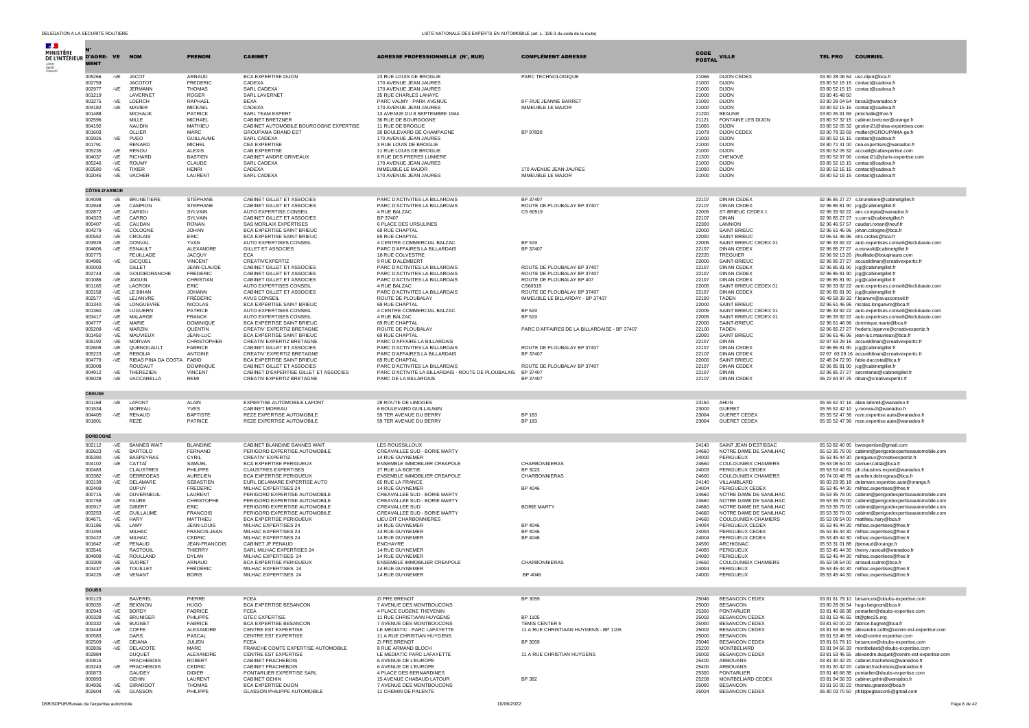| DE L'INTÉRIEUR D'AGRE- VE NOM<br><b>MENT</b> |              |                                    | <b>PRENOM</b>                   | <b>CABINET</b>                                                 | ADRESSE PROFESSIONNELLE (N°, RUE)                               | <b>COMPLÉMENT ADRESSE</b>                    | <b>CODE</b><br><b>POSTAL</b> | <b>VILLE</b>                                     | <b>TEL PRO</b><br><b>COURRIEL</b>                                                                                |
|----------------------------------------------|--------------|------------------------------------|---------------------------------|----------------------------------------------------------------|-----------------------------------------------------------------|----------------------------------------------|------------------------------|--------------------------------------------------|------------------------------------------------------------------------------------------------------------------|
| 005266                                       | -VE          | <b>JACOT</b>                       | ARNAUD                          | <b>BCA EXPERTISE DIJON</b>                                     | 23 RUE LOUIS DE BROGLIE                                         | PARC TECHNOLOGIQUE                           | 21066                        | DIJON CEDEX                                      | 03 80 28 06 54 usc.diion@bca.fr                                                                                  |
| 002759                                       |              | JACOTO <sub>1</sub>                | <b>EREDERIC</b>                 | CADEXA                                                         | 170 AVENUE JEAN JAURES                                          |                                              | 21000                        | <b>DIJON</b>                                     | 03 80 52 15 15 contact@cadexa.fr                                                                                 |
| 002977                                       | $-VE$        | <b>JERMANN</b>                     | <b>THOMAS</b>                   | SARL CADEXA                                                    | 170 AVENUE JEAN JAURES                                          |                                              | 21000                        | <b>DIJON</b>                                     | 03 80 52 15 15 contact@cadexa.fr                                                                                 |
| 001219<br>003275                             | $-VE$        | <b>I AVERNET</b><br>LOERCH         | <b>ROGER</b><br>RAPHAEL         | SARL LAVERNET<br><b>BEXA</b>                                   | 35 RUE CHARLES LAHAYE<br>PARC VALMY - PARK AVENUE               | 8 F RUE JEANNE BARRET                        | 21000<br>21000               | <b>DIJON</b><br>DIJON                            | 03 80 45 48 50<br>03 80 28 04 64 bexa3@wanadoo.fr                                                                |
| 004182                                       | -VE          | MAVIER                             | <b>MICKAEL</b>                  | CADEXA                                                         | 170 AVENUE JEAN JAURES                                          | IMMEUBLE LE MAJOR                            | 21000                        | <b>DIJON</b>                                     | 03 80 52 15 15 contact@cadexa.fr                                                                                 |
| 001488                                       |              | <b>MICHALIK</b>                    | <b>PATRICK</b>                  | SARL TEAM EXPERT                                               | 13 AVENUE DU 8 SEPTEMBRE 1944                                   |                                              | 21200                        | <b>BEAUNE</b>                                    | 03 80 26 91 69 pmichalik@free.fr                                                                                 |
| 002596<br>004192                             |              | MILLE<br><b>NAUDIN</b>             | MICHAEL<br>MATHIEU              | CABINET BRETZNER<br>CABINET AUTOMOBILE BOURGOGNE EXPERTISE     | 36 RUE DE BOURGOGNE<br>11 RUE DE BROGLIE                        |                                              | 21121<br>21000               | FONTAINE LES DIJON                               | 03 80 57 32 15 cabinet.bretzner@orange.fr                                                                        |
| 001603                                       |              | OLLIER                             | MARC.                           | <b>GROUPAMA GRAND EST</b>                                      | 30 BOULEVARD DE CHAMPAGNE                                       | BP 97830                                     | 21078                        | <b>DIJON</b><br><b>DIJON CEDEX</b>               | 03 80 52 05 32 gestion21@idea-expertises.com<br>03 80 78 33 69 mollier@GROUPAMA-ge.fr                            |
| 002926                                       | -VE          | PUEO                               | <b>GUILLAUME</b>                | SARL CADEXA                                                    | 170 AVENUE JEAN JAURES                                          |                                              | 21000                        | <b>DIJON</b>                                     | 03 80 52 15 15 contact@cadexa.fr                                                                                 |
| 001791                                       |              | RENARD                             | <b>MICHEL</b>                   | <b>CEA EXPERTISE</b>                                           | 3 RUE LOUIS DE BROGLIE                                          |                                              | 21000                        | <b>DIJON</b>                                     | 03 80 71 31 00 cea.expertises@wanadoo.fr                                                                         |
| 005235<br>004037                             | -VE<br>-VE   | <b>RENOU</b><br><b>RICHARD</b>     | <b>ALEXIS</b><br><b>BASTIEN</b> | CAB EXPERTISE<br>CABINET ANDRE GRIVEAUX                        | 11 RUE LOUIS DE BROGLIE<br>8 RUE DES FRERES LUMIERE             |                                              | 21000<br>21300               | DIJON<br>CHENOVE                                 | 03 80 52 05 32 accueil@cabexpertise.com<br>03 80 52 97 90 contact21@pluris-expertise.com                         |
| 005246                                       | $-VE$        | <b>ROUMY</b>                       | CLAUDE                          | SARL CADEXA                                                    | 170 AVENUE JEAN JAURES                                          |                                              | 21000                        | DIJON.                                           | 03 80 52 15 15 contact@cadexa.fr                                                                                 |
| 003580                                       | $-VE$        | <b>TIXIER</b>                      | <b>HENRI</b>                    | CADEXA                                                         | IMMEUBLE LE MAJOR                                               | 170 AVENUE JEAN JAURES                       | 21000                        | DIJON                                            | 03 80 52 15 15 contact@cadexa.fr                                                                                 |
| 002045                                       | -VE          | VACHER                             | LAURENT                         | SARL CADEXA                                                    | 170 AVENUE JEAN JAURES                                          | IMMEUBLE LE MAJOR                            | 21000                        | DIJON                                            | 03 80 52 15 15 contact@cadexa.fr                                                                                 |
| <b>CÔTES-D'ARMOR</b><br>004098               | -VE          | <b>BRUNETIERE</b>                  | STÉPHANE                        | CABINET GILLET ET ASSOCIES                                     | PARC D'ACTIVITES LA BILLARDAIS                                  | BP 37407                                     | 22107                        | <b>DINAN CEDEX</b>                               |                                                                                                                  |
| 002948                                       | -VE          | CAMPION                            | <b>STEPHANE</b>                 | CABINET GILLET ET ASSOCIES                                     | PARC D'ACTIVITES LA BILLARDAIS                                  | ROUTE DE PLOUBALAY BP 37407                  | 22107                        | <b>DINAN CEDEX</b>                               | 02 96 85 27 27 s.brunetiere@cabinetgillet.fr<br>02 96 85 81 90 jcg@cabinetgillet.fr                              |
| 002872                                       | -VE          | CARIOU                             | SYLVAIN                         | AUTO EXPERTISE CONSEIL                                         | 4 RUE BALZAC                                                    | CS 60519                                     | 22005                        | ST-BRIEUC CEDEX 1                                | 02 96 33 92 22 aec.compta@wanadoo.fr                                                                             |
| 004323                                       | $-VE$        | CARRO                              | SYI VAIN                        | CABINET GILLET ET ASSOCIES                                     | BP 37407                                                        |                                              | 22107                        | <b>DINAN</b>                                     | 02 96 85 27 27 s.carro@cabinetgillet.fr                                                                          |
| 000407<br>004279                             | -VE<br>$-VE$ | CAUDAN<br>COLOGNE                  | <b>RONAN</b><br><b>JOHAN</b>    | SAS MORLAIX EXPERTISES<br>BCA EXPERTISE SAINT BRIEUC           | 6 PLACE DES URSULINES<br>69 RUE CHAPTAL                         |                                              | 22300<br>22000               | LANNION<br>SAINT BRIEUC                          | 02 96 46 57 57 caudan.ronan@neuf.fr<br>02 96 61 46 96 johan.cologne@bca.fr                                       |
| 000552                                       | -VE          | CROLAIS                            | FRIC.                           | BCA EXPERTISE SAINT BRIEUC                                     | 69 RUE CHAPTAL                                                  |                                              | 22000                        | <b>SAINT BRIEUC</b>                              | 02 96 61 46 96 eric.crolais@bca.fr                                                                               |
| 003926                                       | $-VE$        | <b>DONVAL</b>                      | YVAN                            | AUTO EXPERTISES CONSEIL                                        | 4 CENTRE COMMERCIAL BALZAC                                      | <b>BP 519</b>                                | 22005                        | SAINT BRIEUC CEDEX 01                            | 02 96 33 92 22 auto.expertises.conseil@leclubauto.com                                                            |
| 004606                                       | $-VE$        | ESNAULT                            | ALEXANDRE                       | GILLET ET ASSOCIES<br>ECA                                      | PARC D'AFFAIRES LA BILLARDAIS                                   | BP 37407                                     | 22107                        | <b>DINAN CEDEX</b>                               | 02 96 85 27 27 a.esnault@cabinetgillet.fr                                                                        |
| 000775<br>004985                             | -VE          | <b>FEUILLADE</b><br><b>GICQUEL</b> | <b>JACOUY</b><br><b>VINCENT</b> | CREATIV'EXPERTIZ                                               | 18 RUE COLVESTRE<br>9 RUE D'ALEMBERT                            |                                              | 22220<br>22000               | <b>TREGUIER</b><br>SAINT-BRIEUC                  | 02 96 92 13 20 jfeuillade@bouqinauto.com<br>02 96 85 27 27 accueildinan@creativexpertiz.fr                       |
| 000003                                       |              | <b>GILLET</b>                      | JEAN-CLAUDE                     | CABINET GILLET ET ASSOCIES                                     | PARC D'ACTIVITES LA BILLARDAIS                                  | ROUTE DE PLOUBALAY BP 37407                  | 22107                        | <b>DINAN CEDEX</b>                               | 02 96 85 81 90 jcg@cabinetgillet.fr                                                                              |
| 002744                                       | -VE          | GOUDEDRANCHE                       | <b>FREDERIC</b>                 | CABINET GILLET ET ASSOCIES                                     | PARC D'ACTIVITES LA BILLARDAIS                                  | ROUTE DE PLOUBALAY BP 37407                  | 22107                        | <b>DINAN CEDEX</b>                               | 02 96 85 81 90 jcg@cabinetgillet.fr                                                                              |
| 001086                                       | $-VE$        | <b>JAGUIN</b><br><b>LACROIX</b>    | CHRISTIAN                       | CABINET GILLET ET ASSOCIES                                     | PARC D'ACTIVITES LA BILLARDAIS                                  | ROUTE DE PLOUBALAY BP 407                    | 22107                        | DINAN CEDEX                                      | 02 96 85 81 90 jcg@cabinetgillet.fr                                                                              |
| 001165<br>003158                             | $-VE$<br>-VE | LE BIHAN                           | FRIC.<br><b>JOHANN</b>          | AUTO EXPERTISES CONSEIL<br>CABINET GILLET ET ASSOCIES          | 4 RUE BALZAC<br>PARC D'ACTIVITES LA BILLARDAIS                  | CS60519<br>ROUTE DE PLOUBALAY BP 37407       | 22005<br>22107               | SAINT BRIEUC CEDEX 01<br>DINAN CEDEX             | 02 96 33 92 22 auto.expertises.conseil@leclubauto.com<br>02 96 85 81 90 jcg@cabinetgillet.fr                     |
| 002577                                       | $-VE$        | LEJANVRE                           | <b>FRÉDÉRIC</b>                 | AVUS CONSEIL                                                   | ROUTE DE PLOUBALAY                                              | IMMEUBLE LE BILLARDAY - BP 37407             | 22100                        | <b>TADEN</b>                                     | 06 49 58 39 32 f.lejanvre@avusconseil.fr                                                                         |
| 001340                                       | -VE          | LONGUEVRE                          | <b>NICOLAS</b>                  | BCA EXPERTISE SAINT BRIEUC                                     | 69 RUE CHAPTAL                                                  |                                              | 22000                        | <b>SAINT BRIEUC</b>                              | 02 96 61 46 96 nicolas.longuevre@bca.fr                                                                          |
| 001360                                       | -VE          | LUGUERN                            | PATRICE                         | AUTO EXPERTISES CONSEIL                                        | 4 CENTRE COMMERCIAL BALZAC                                      | <b>BP 519</b>                                | 22005                        | SAINT BRIEUC CEDEX 01                            | 02 96 33 92 22 auto.expertises.conseil@leclubauto.com                                                            |
| 003417<br>004777                             | $-VE$<br>-VE | MALARGE<br>MARIE                   | <b>FRANCK</b><br>DOMINIQUE      | AUTO EXPERTISES CONSEIL<br>BCA EXPERTISE SAINT BRIEUC          | 4 RUE BALZAC<br>69 RUE CHAPTAL                                  | <b>BP 519</b>                                | 22005<br>22000               | SAINT BRIEUC CEDEX 01<br>SAINT-BRIEUC            | 02 96 33 92 22 auto.expertises.conseil@leclubauto.com<br>02 96 61 46 96 dominique.marie@bca.fr                   |
| 005209                                       | -VE          | MARZIN                             | QUENTIN                         | CREATIV' EXPERTIZ BRETAGNE                                     | ROUTE DE PLOUBALAY                                              | PARC D'AFFAIRES DE LA BILLARDAISE - BP 37407 | 22100                        | <b>TADEN</b>                                     | 02 96 85 27 27 frederic.lejanvre@creativexpertiz.fr                                                              |
| 001450                                       | $-VE$        | <b>MAUVIFUX</b>                    | JEAN-LUC                        | <b>RCA EXPERTISE SAINT BRIEUC</b>                              | 69 RUE CHAPTAL                                                  |                                              | 22000                        | <b>SAINT BRIEUC</b>                              | 02 96 61 46 96 jean-luc.mauvieux@bca.fr                                                                          |
| 005192                                       | -VE          | MORVAN                             | CHRISTOPHER                     | CREATIV EXPERTIZ BRETAGNE                                      | PARC D'AFFAIRE LA BILLARDAIS                                    |                                              | 22107                        | <b>DINAN</b>                                     | 02 97 63 29 16 accueildinan@creativexpertiz.fr                                                                   |
| 002609<br>005223                             | -VE<br>-VE   | QUENOUAULT<br><b>REBOLIA</b>       | <b>FABRICE</b><br>ANTOINE       | CABINET GILLET ET ASSOCIES<br>CREATIV' EXPERTIZ BRETAGNE       | PARC D'ACTIVITES LA BILLARDAIS<br>PARC D'AFFAIRES LA BILLARDAIS | ROUTE DE PLOUBALAY BP 37407<br>BP 37407      | 22107<br>22107               | <b>DINAN CEDEX</b><br><b>DINAN CEDEX</b>         | 02 96 85 81 90 jcg@cabinetgillet.fr                                                                              |
| 004779                                       | $-VE$        | RIBAS PINA DA COSTA                | <b>FABIO</b>                    | BCA EXPERTISE SAINT BRIEUC                                     | 69 RUE CHAPTAL                                                  |                                              | 22000                        | <b>SAINT BRIEUC</b>                              | 02 97 63 29 16 accueildinan@creativexpertiz.fr<br>02 48 24 72 90 fabio.dacosta@bca.fr                            |
| 003008                                       |              | <b>ROUDAUT</b>                     | <b>DOMINIOUE</b>                | CABINET GILLET ET ASSOCIES                                     | PARC D'ACTIVITES LA BILLARDAIS                                  | ROUTE DE PLOUBALAY BP 37407                  | 22107                        | <b>DINAN CEDEX</b>                               | 02 96 85 81 90 jcg@cabinetgillet.fr                                                                              |
| 004912                                       | -VE          | THEREZIEN                          | <b>VINCENT</b>                  | CABINET D'EXPERTISE GILLET ET ASSOCIES                         | PARC D'ACTIVITE LA BILLARDAIS - ROUTE DE PLOUBALAIS             | BP 37407                                     | 22107                        | <b>DINAN</b>                                     | 02 96 85 27 27 secretariat@cabinetgillet.fr                                                                      |
| 005028                                       | -VE          | VACCARELLA                         | REMI                            | CREATIV EXPERTIZ BRETAGNE                                      | PARC DE LA BILLARDAIS                                           | BP 37407                                     | 22107                        | <b>DINAN CEDEX</b>                               | 06 22 64 87 25 dinan@creativexpertiz.fr                                                                          |
| <b>CREUSE</b><br>001168                      | -VE          | LAFONT                             | ALAIN                           | EXPERTISE AUTOMOBILE LAFONT                                    | 28 ROUTE DE LIMOGES                                             |                                              | 23150                        | AHUN                                             | 05 55 62 47 16 alain.lafont4@wanadoo.fr                                                                          |
| 001534                                       |              | <b>MORFAU</b>                      | <b>YVES</b>                     | CABINET MOREAU                                                 | 6 BOULEVARD GUILLAUMIN                                          |                                              | 23000                        | <b>GUERET</b>                                    | 05 55 52 42 10 y.moreau3@wanadoo.fr                                                                              |
| 004405                                       | -VE          | RENAUD                             | <b>BAPTISTE</b>                 | REZE EXPERTISE AUTOMOBILE                                      | 59 TER AVENUE DU BERRY                                          | <b>BP 183</b>                                | 23004                        | <b>GUERET CEDEX</b>                              | 05 55 52 47 36 reze.expertise.auto@wanadoo.fr                                                                    |
| 001801                                       |              | REZE                               | PATRICE                         | REZE EXPERTISE AUTOMOBILE                                      | 59 TER AVENUE DU BERRY                                          | BP 183                                       | 23004                        | <b>GUERET CEDEX</b>                              | 05 55 52 47 36 reze.expertise.auto@wanadoo.fr                                                                    |
| <b>DORDOGNE</b><br>002112                    | -VE          | <b>BANNES WAIT</b>                 | <b>BI ANDINE</b>                | CABINET BLANDINE BANNES WAIT                                   | <b>LES ROUSSILLOUX</b>                                          |                                              | 24140                        | SAINT JEAN D'ESTISSAC                            |                                                                                                                  |
| 002623                                       | -VE          | <b>BARTOLO</b>                     | FERNAND                         | PERIGORD EXPERTISE AUTOMOBILE                                  | CREAVALLEE SUD - BORIE MARTY                                    |                                              | 24660                        | NOTRE DAME DE SANILHAC                           | 05 53 82 40 95 bwexpertise@gmail.com<br>05 53 35 79 00 cabinet@perigordexpertiseautomobile.com                   |
| 005390                                       | $-VE$        | <b>BASPEYRAS</b>                   | CYRIL                           | CREATIV' EXPERTIZ                                              | 14 RUE GUYNEMER                                                 |                                              | 24000                        | PERIGUEUX                                        | 05 53 45 44 30 perigueux@creativexpertiz.fr                                                                      |
| 004102                                       | -VE          | CATTAÏ                             | SAMUEL                          | <b>BCA EXPERTISE PERIGUEUX</b>                                 | ENSEMBLE IMMOBILIER CREAPOLE                                    | CHARBONNIERAS                                | 24660                        | <b>COULOUNIEIX CHAMIERS</b>                      | 05 53 08 54 00 samuel.cattai@bca.fr                                                                              |
| 000483<br>003382                             | -VE          | <b>CLAUSTRES</b><br>DEBREGEAS      | PHILIPPE<br><b>AURELIEN</b>     | <b>CLAUSTRES EXPERTISES</b><br>BCA EXPERTISE PERIGUEUX         | 27 RUE LA BOETIE<br>ENSEMBLE IMMOBILIER CREAPOLE                | BP 3023<br>CHARBONNIERAS                     | 24003<br>24660               | PERIGUEUX CEDEX<br><b>COULOUNIEIX CHAMIERS</b>   | 05 53 53 40 61 ph.claustres.expert@wanadoo.fr<br>06 74 00 48 78 aurelien.debregeas@bca.fr                        |
| 003139                                       | -VE          | DELAMARE                           | SÉBASTIEN                       | EURL DELAMARE EXPERTISE AUTO                                   | 65 RUE LA FRANCE                                                |                                              | 24140                        | VILLAMBLARD                                      | 06 83 29 95 18 delamare.expertise.auto@orange.fr                                                                 |
| 002409                                       |              | <b>DUPUY</b>                       | <b>FREDERIC</b>                 | MILHAC EXPERTISES 24                                           | 14 RUE GUYNEMER                                                 | BP 4046                                      | 24004                        | PERIGUEUX CEDEX                                  | 05 53 45 44 30 milhac.expertises@free.fr                                                                         |
| 000715                                       | $-VE$        | <b>DUVERNEUIL</b>                  | <b>I AURENT</b>                 | PERIGORD EXPERTISE AUTOMOBILE                                  | CREAVALLEE SUD - BORIE MARTY                                    |                                              | 24660                        | NOTRE DAME DE SANILHAC                           | 05 53 35 79 00 cabinet@perigordexpertiseautomobile.com                                                           |
| 000759<br>000917                             | -VE<br>$-VE$ | <b>FAURE</b><br><b>GIBERT</b>      | CHRISTOPHE<br>ERIC              | PERIGORD EXPERTISE AUTOMOBILE<br>PERIGORD EXPERTISE AUTOMOBILE | CREAVALLEE SUD - BORIE MARTY<br>CREAVALLEE SUD                  | <b>BORIE MARTY</b>                           | 24660<br>24660               | NOTRE DAME DE SANILHAC<br>NOTRE DAME DE SANILHAC | 05 53 35 79 00 cabinet@perigordexpertiseautomobile.com<br>05 53 35 79 00 cabinet@perigordexpertiseautomobile.com |
| 003253                                       | -VE          | <b>GUILLAUME</b>                   | <b>FRANCOIS</b>                 | PERIGORD EXPERTISE AUTOMOBILE                                  | CREAVALLEE SUD - BORIE MARTY                                    |                                              | 24660                        | NOTRE DAME DE SANILHAC                           | 05 53 35 79 00 cabinet@perigordexpertiseautomobile.com                                                           |
| 004671                                       | -VE          | <b>HARY</b>                        | MATTHIEU                        | BCA EXPERTISE PERIGUEUX                                        | LIEU DIT CHARBONNIERES                                          |                                              | 24660                        | COULOUNIEIX-CHAMIERS                             | 05 53 08 54 00 matthieu.hary@bca.fr                                                                              |
| 001186                                       | -VE          | LAMY                               | JEAN-LOUIS                      | MILHAC EXPERTISES 24                                           | 14 RUE GUYNEMER                                                 | BP 4046                                      | 24004                        | PERIGUEUX CEDEX                                  | 05 53 45 44 30 milhac.expertises@free.fr                                                                         |
| 001494<br>003422                             | -VE          | MILHAC<br>MILHAC                   | FRANCIS-JEAN<br>CEDRIC          | MILHAC EXPERTISES 24<br>MILHAC EXPERTISES 24                   | 14 RUE GUYNEMER<br>14 RUE GUYNEMER                              | BP 4046<br>BP 4046                           | 24004<br>24004               | PERIGUEUX CEDEX<br>PERIGUEUX CEDEX               | 05 53 45 44 30 milhac.expertises@free.fr<br>05 53 45 44 30 milhac.expertises@free.fr                             |
| 001642                                       | -VE          | PENAUD                             | JEAN-FRANCOIS                   | CABINET JF PENAUD                                              | <b>ENCHAYRE</b>                                                 |                                              | 24590                        | <b>ARCHIGNAC</b>                                 | 05 53 31 01 88 jfpenaud@orange.fr                                                                                |
| 003546                                       |              | <b>RASTOUIL</b>                    | THIERRY                         | SARL MILHAC EXPERTISES 24                                      | 14 RUE GUYNEMER                                                 |                                              | 24000                        | PERIGUEUX                                        | 05 53 45 44 30 thierry.rastouil@wanadoo.fr                                                                       |
| 004909                                       | $-VE$        | ROULLAND                           | <b>DYLAN</b>                    | MILHAC EXPERTISES 24                                           | 14 RUE GUYNEMER                                                 |                                              | 24000                        | PERIGUEUX                                        | 05 53 45 44 30 milhac.expertises@free.fr                                                                         |
| 003309<br>003437                             | -VE<br>$-VE$ | SUDRET<br><b>TOUILLET</b>          | <b>ARNAUD</b><br>FRÉDÉRIC       | <b>RCA EXPERTISE PERIGUEUX</b><br>MILHAC EXPERTISES 24         | ENSEMBLE IMMOBILIER CREAPOLE<br>14 RUE GUYNEMER                 | CHARBONNIERAS                                | 24660<br>24004               | COULOUNIEIX CHAMIERS<br>PERIGUEUX                | 05 53 08 54 00 arnaud.sudret@bca.fr<br>05 53 45 44 30 milhac.expertises@free.f                                   |
| 004226                                       |              | -VE VENANT                         | <b>BORIS</b>                    | MILHAC EXPERTISES 24                                           | 14 RUE GUYNEMER                                                 | BP 4046                                      | 24000                        | PERIGUEUX                                        | 05 53 45 44 30 milhac.expertises@free.fr                                                                         |
|                                              |              |                                    |                                 |                                                                |                                                                 |                                              |                              |                                                  |                                                                                                                  |
| 000123                                       |              | <b>BAVEREL</b>                     | PIERRE                          | <b>FCEA</b>                                                    | ZI PRE BRENOT                                                   | BP 3059                                      | 25046                        | BESANCON CEDEX                                   | 03 81 61 79 10 besancon@doubs-expertise.com                                                                      |
| 005035<br>002943                             | -VE<br>$-VE$ | <b>BEIGNON</b><br><b>BORDY</b>     | HUGO<br><b>FABRICE</b>          | BCA EXPERTISE BESANCON<br><b>FCEA</b>                          | 7 AVENUE DES MONTBOUCONS<br>4 PLACE EUGENE THEVENIN             |                                              | 25000<br>25300               | <b>BESANCON</b><br>PONTARLIER                    | 03 80 28 06 54 hugo.beignon@bca.fr                                                                               |
| 000328                                       | $-VE$        | <b>BRUNIGER</b>                    | PHILIPPE                        | <b>GTEC EXPERTISE</b>                                          | 11 RUE CHRISTIAAN HUYGENS                                       | BP 1105                                      | 25002                        | BESANCON CEDEX                                   | 03 81 46 68 38 pontarlier@doubs-expertise.com<br>03 81 53 46 55 bt@gtec25.org                                    |
| 000332                                       | -VE          | <b>BUGNET</b>                      | <b>FABRICE</b>                  | BCA EXPERTISE BESANCON                                         | 7 AVENUE DES MONTBOUCONS                                        | TEMIS CENTER 5                               | 25000                        | <b>BESANCON CEDEX</b>                            | 03 81 50 00 22 fabrice.bugnet@bca.fr                                                                             |
| 003448                                       | $-VE$        | COFFE                              | ALEXANDRE                       | CENTRE EST EXPERTISE                                           | LE MEDIATIC - PARC LAFAYETTE                                    | 11 A RUE CHRISTIAAN HUYGENS - BP 1105        | 25002                        | <b>BESANCON CEDEX</b>                            | 03 81 53 46 55 alexandre.coffe@centre-est-expertise.com                                                          |
| 000583                                       |              | <b>DARS</b>                        | PASCAL                          | <b>CENTRE EST EXPERTISE</b>                                    | 11 A RUE CHRISTIAN HUYGENS<br><b>7I PRE BRENOT</b>              |                                              | 25000                        | <b>BESANCON</b>                                  | 03 81 53 46 55 info@centre expertise.com                                                                         |
| 002509<br>002836                             | $-VE$<br>-VE | DEIANA<br>DELACOTE                 | JULIEN<br><b>MARC</b>           | <b>FCEA</b><br>FRANCHE COMTE EXPERTISE AUTOMOBILE              | 8 RUE ARMAND BLOCH                                              | BP 3059                                      | 25046<br>25200               | <b>BESANCON CEDEX</b><br>MONTRELIARD             | 03 81 61 79 10 besancon@doubs-expertise.com<br>03 81 94 56 33 montbeliard@doubs-expertise.com                    |
| 002884                                       |              | <b>DUOUET</b>                      | AI FXANDRE                      | CENTRE EST EXPERTISE                                           | LE MEDIATIC PARC LAFAYETTE                                      | 11 A RUE CHRISTIAN HUYGENS                   | 25002                        | BESANÇON CEDEX                                   | 03 81 53 46 55 alexandre.duquet@centre-est-expertise.com                                                         |
| 000815                                       |              | <b>FRACHEBOIS</b>                  | <b>ROBERT</b>                   | <b>CABINET FRACHEBOIS</b>                                      | 6 AVENUE DE L'EUROPE                                            |                                              | 25400                        | ARBOUANS                                         | 03 81 30 42 20 cabinet.frachebois@wanadoo.fr                                                                     |
| 003243                                       | $-VE$        | <b>FRACHEBOIS</b>                  | CEDRIC                          | CABINET FRACHEBOIS                                             | 6 AVENUE DE L'EUROPE                                            |                                              | 25400                        | ARBOUANS                                         | 03 81 30 42 20 cabinet.frachebois@wanadoo.fr                                                                     |
| 000873<br>000893                             |              | GAUDEY<br><b>GEHIN</b>             | <b>DIDIER</b><br>LAURENT        | PONTARLIER EXPERTISE SARL<br>CABINET GEHIN                     | 4 PLACE DES BERNARDINES<br>15 AVENUE CHABAUD LATOUR             | BP 382                                       | 25300<br>25208               | PONTARLIER<br>MONTBELIARD CEDEX                  | 03 81 46 68 38 pontarlier@doubs-expertise.com<br>03 81 94 56 33 cabinet.gehin@wanadoo.fr                         |
| 004936                                       | -VE          | GIRARDOT                           | <b>THOMAS</b>                   | BCA EXPERTISE DIJON                                            | 7 AVENUE DES MONTBOUCONS                                        |                                              | 25000                        | <b>BESANCON</b>                                  | 03 81 50 00 22 thomas.girardot@bca.fr                                                                            |
| 002604                                       | -VE          | <b>GLASSON</b>                     | PHILIPPE                        | <b>GLASSON PHILIPPE AUTOMOBILE</b>                             | 11 CHEMIN DE PALENTE                                            |                                              | 25024                        | <b>BESANCON CEDEX</b>                            | 06 80 03 70 50 philippeglasson5@gmail.com                                                                        |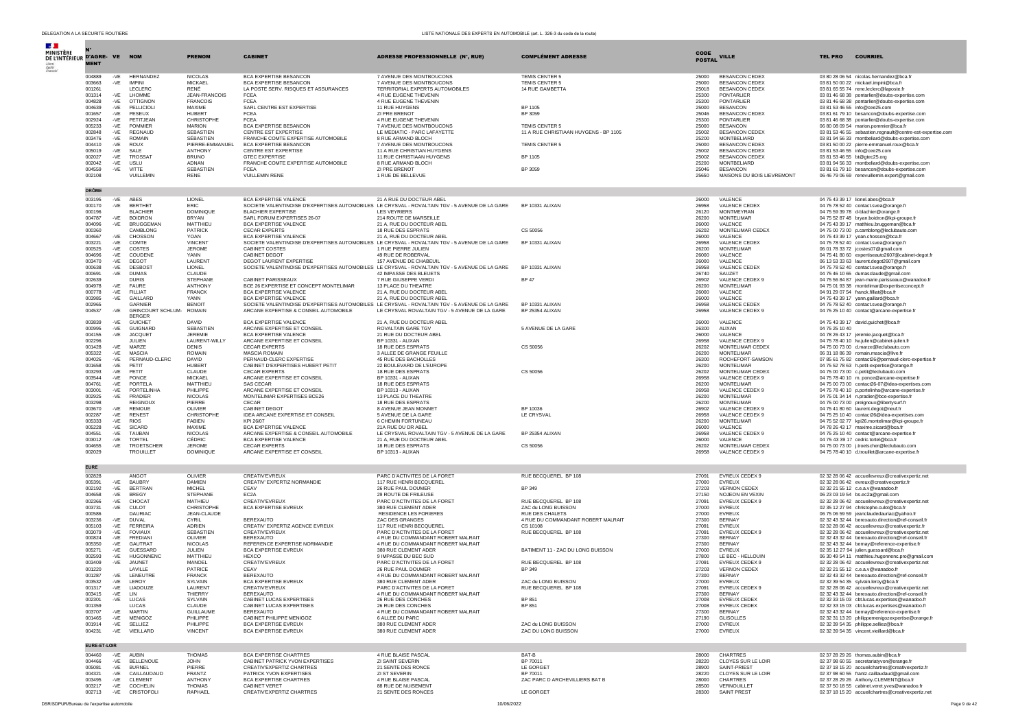| <b>Section</b>                             |                  |                |                                   |                                   |                                                                     |                                                                                                                             |                                                |                       |                                             |                                                                                                      |
|--------------------------------------------|------------------|----------------|-----------------------------------|-----------------------------------|---------------------------------------------------------------------|-----------------------------------------------------------------------------------------------------------------------------|------------------------------------------------|-----------------------|---------------------------------------------|------------------------------------------------------------------------------------------------------|
| MINISTÈRE<br>DE L'INTÉRIEUR D'AGRE- VE NOM |                  |                |                                   | <b>PRENOM</b>                     | <b>CABINET</b>                                                      | ADRESSE PROFESSIONNELLE (N°, RUE)                                                                                           | <b>COMPLÉMENT ADRESSE</b>                      | CODE<br><b>POSTAL</b> | <b>VILLE</b>                                | <b>COURRIEL</b><br><b>TEL PRO</b>                                                                    |
|                                            | <b>MENT</b>      |                |                                   |                                   |                                                                     |                                                                                                                             |                                                |                       |                                             |                                                                                                      |
|                                            | 004889<br>003663 | $-VE$          | HERNANDEZ<br><b>IMPINI</b>        | <b>NICOLAS</b><br><b>MICKAEL</b>  | <b>BCA EXPERTISE BESANCON</b><br><b>BCA EXPERTISE BESANCON</b>      | 7 AVENUE DES MONTBOUCONS<br>7 AVENUE DES MONTBOUCONS                                                                        | TEMIS CENTER 5<br>TEMIS CENTER 5               | 25000<br>25000        | <b>BESANCON CEDEX</b><br>BESANCON CEDEX     | 03 80 28 06 54 nicolas.hernandez@bca.fr                                                              |
|                                            | 001261           | $-VE$          | LECLERO                           | RENÉ                              | LA POSTE SERV. RISQUES ET ASSURANCES                                | TERRITORIAL EXPERTS AUTOMOBILES                                                                                             | 14 RUE GAMBETTA                                | 25018                 | <b>BESANCON CEDEX</b>                       | 03 81 50 00 22 mickael.impini@bca.fr<br>03 81 65 55 74 rene.leclerc@laposte.fr                       |
|                                            | 001314           | $-VE$          | <b>I HOMME</b>                    | JEAN-FRANCOIS                     | <b>FCEA</b>                                                         | 4 RUE FUGENE THEVENIN                                                                                                       |                                                | 25300                 | PONTARLIFR                                  | 03 81 46 68 38 pontarlier@doubs-expertise.com                                                        |
|                                            | 004828<br>004639 | -VE<br>-VE     | <b>OTTIGNON</b><br>PELLICIOLI     | <b>FRANCOIS</b><br>MAXIME         | <b>FCEA</b><br>SARL CENTRE EST EXPERTISE                            | 4 RUE EUGENE THEVENIN<br>11 RUE HUYGENS                                                                                     | BP 1105                                        | 25300<br>25000        | PONTARLIER<br><b>BESANCON</b>               | 03 81 46 68 38 pontarlier@doubs-expertise.com<br>03 81 53 46 55 info@cee25.com                       |
|                                            | 001657           | $-VE$          | PESEUX                            | <b>HUBERT</b>                     | <b>FCFA</b>                                                         | <b>ZI PRE BRENOT</b>                                                                                                        | BP 3059                                        | 25046                 | <b>BESANCON CEDEX</b>                       | 03 81 61 79 10 besancon@doubs-expertise.com                                                          |
|                                            | 002924<br>005233 | -VE<br>$-VE$   | PETITJEAN<br>POMMIER              | CHRISTOPHE<br><b>MARION</b>       | <b>FCEA</b><br>BCA EXPERTISE BESANCON                               | 4 RUE EUGENE THEVENIN<br>7 AVENUE DES MONTBOUCONS                                                                           | TEMIS CENTER 5                                 | 25300<br>25000        | PONTARLIER<br><b>BESANCON</b>               | 03 81 46 68 38 pontarlier@doubs-expertise.com<br>06.80.08.09.54 marion.pommier@bca.fr                |
|                                            | 002848           | $-VE$          | <b>REGNAUD</b>                    | <b>SEBASTIEN</b>                  | CENTRE EST EXPERTISE                                                | LE MEDIATIC - PARC LAFAYETTE                                                                                                | 11 A RUE CHRISTIAAN HUYGENS - BP 1105          | 25002                 | <b>BESANCON CEDEX</b>                       | 03 81 53 46 55 sebastien.regnault@centre-est-expertise.com                                           |
|                                            | 003476<br>004410 | -VE<br>$-VE$   | <b>ROMAIN</b><br>ROUX             | SÉBASTIEN<br>PIERRE-EMMANUEL      | FRANCHE COMTE EXPERTISE AUTOMOBILE<br><b>BCA EXPERTISE BESANCON</b> | 8 RUE ARMAND BLOCH<br>7 AVENUE DES MONTBOUCONS                                                                              | TEMIS CENTER 5                                 | 25200<br>25000        | <b>MONTBELIARD</b><br><b>BESANCON CEDEX</b> | 03 81 94 56 33 montbeliard@doubs-expertise.com<br>03 81 50 00 22 pierre-emmanuel.roux@bca.fr         |
|                                            | 005019           | -VE            | SALE                              | <b>ANTHONY</b>                    | <b>CENTRE EST EXPERTISE</b>                                         | 11 A RUE CHRISTIAN HUYGENS                                                                                                  |                                                | 25002                 | <b>BESANCON CEDEX</b>                       | 03 81 53 46 55 info@cee25.com                                                                        |
|                                            | 002027<br>002042 | -VE<br>-VE     | <b>TROSSAT</b><br>USLU            | <b>BRUNO</b><br>ADNAN             | <b>GTEC EXPERTISE</b><br>FRANCHE COMTE EXPERTISE AUTOMOBILE         | 11 RUE CHRISTIAAN HUYGENS<br>8 RUE ARMAND BLOCH                                                                             | BP 1105                                        | 25002<br>25200        | <b>BESANCON CEDEX</b><br>MONTRELIARD        | 03 81 53 46 55 bt@gtec25.org<br>03 81 94 56 33 montbeliard@doubs-expertise.com                       |
|                                            | 004559           | -VE            | <b>VITTE</b>                      | <b>SEBASTIEN</b>                  | <b>FCEA</b>                                                         | ZI PRE BRENOT                                                                                                               | BP 3059                                        | 25046                 | <b>BESANCON</b>                             | 03 81 61 79 10 besancon@doubs-expertise.com                                                          |
|                                            | 002108           |                | VUILLEMIN                         | <b>RENE</b>                       | <b>VUILLEMIN RENE</b>                                               | 1 RUE DE BELLEVUE                                                                                                           |                                                | 25650                 | MAISONS DU BOIS LIEVREMONT                  | 06 46 79 06 69 renevuillemin.expert@gmail.com                                                        |
|                                            | <b>DRÔME</b>     |                |                                   |                                   |                                                                     |                                                                                                                             |                                                |                       |                                             |                                                                                                      |
|                                            | 003195           | -VE            | ABES                              | LIONEL                            | <b>BCA EXPERTISE VALENCE</b>                                        | 21 A RUE DU DOCTEUR ABEL                                                                                                    |                                                | 26000                 | VALENCE                                     | 04 75 43 39 17 lionel.abes@bca.fr                                                                    |
|                                            | 000170<br>000196 | -VE            | <b>BERTHET</b><br><b>BLACHIER</b> | ERIC<br>DOMINIQUE                 | <b>BLACHIER EXPERTISE</b>                                           | SOCIETE VALENTINOISE D'EXPERTISES AUTOMOBILES LE CRYSVAL - ROVALTAIN TGV - 5 AVENUE DE LA GARE<br><b>LES VEYRIERS</b>       | BP 10331 ALIXAN                                | 26958<br>26120        | VALENCE CEDEX<br><b>MONTMEYRAN</b>          | 04 75 78 52 40 contact.svea@orange.fr<br>04 75 59 39 78 d-blachier@orange.fr                         |
|                                            | 004787           | $-VE$          | <b>BOIDRON</b>                    | <b>BRYAN</b>                      | SARL FORUM EXPERTISES 26-07                                         | 214 ROUTE DE MARSEILLE                                                                                                      |                                                | 26200                 | MONTELIMAR                                  | 04 75 52 87 48 bryan.boidron@kpi-groupe.fr                                                           |
|                                            | 004096<br>000360 | -VE            | <b>BRUGGEMAN</b><br>CAMBLONG      | MATTHIEU<br><b>PATRICK</b>        | BCA EXPERTISE VALENCE<br>CECAR EXPERTS                              | 21 A, RUE DU DOCTEUR ABEL<br>18 RUE DES ESPRATS                                                                             | CS 50056                                       | 26000<br>26202        | VALENCE<br>MONTELIMAR CEDEX                 | 04 75 43 39 17 matthieu.bruggeman@bca.fr<br>04 75 00 73 00 p.camblong@leclubauto.com                 |
|                                            | 004667           | $-VE$          | CHOSSON                           | YOAN                              | <b>BCA EXPERTISE VALENCE</b>                                        | 21 A, RUE DU DOCTEUR ABEL                                                                                                   |                                                | 26000                 | VALENCE                                     | 04 75 43 39 17 yoan.chosson@bca.fr                                                                   |
|                                            | 003221<br>000525 | -VE<br>$-VE$   | COMTE<br>COSTES                   | <b>VINCENT</b><br><b>JEROME</b>   | <b>CABINET COSTES</b>                                               | SOCIETE VALENTINOISE D'EXPERTISES AUTOMOBILES LE CRYSVAL - ROVALTAIN TGV - 5 AVENUE DE LA GARE<br>1 RUE PIERRE JULIEN       | BP 10331 ALIXAN                                | 26958<br>26200        | VALENCE CEDEX<br><b>MONTELIMAR</b>          | 04 75 78 52 40 contact.svea@orange.fr<br>06 01 78 33 72 jcostes07@gmail.com                          |
|                                            | 004696           | $-VE$          | COUDENE                           | YANN                              | <b>CABINET DEGOT</b>                                                | 49 RUE DE ROBERVAL                                                                                                          |                                                | 26000                 | VALENCE                                     | 04 75 41 80 60 expertiseauto2607@cabinet-degot.fr                                                    |
|                                            | 003470<br>000638 | -VE<br>$-VE$   | <b>DEGOT</b><br><b>DESBOST</b>    | LAURENT<br><b>LIONEL</b>          | <b>DEGOT LAURENT EXPERTISE</b>                                      | 157 AVENUE DE CHABEUIL<br>SOCIETE VALENTINOISE D'EXPERTISES AUTOMOBILES LE CRYSVAL - ROVALTAIN TGV - 5 AVENUE DE LA GARE    | BP 10331 ALIXAN                                | 26000<br>26958        | VALENCE<br>VALENCE CEDEX                    | 06 13 53 33 63 laurent.degot2607@gmail.com<br>04 75 78 52 40 contact.svea@orange.fr                  |
|                                            | 000691           | -VE            | <b>DUMAS</b>                      | CLAUDE                            |                                                                     | 42 IMPASSE DES BLEUETS                                                                                                      |                                                | 26740                 | SAUZET                                      | 04 75 46 10 65 dumasclaude@gmail.com                                                                 |
|                                            | 002639<br>004978 | $-VE$          | <b>DURIS</b><br><b>FAURE</b>      | <b>STEPHANE</b><br><b>ANTHONY</b> | CABINET PARISSEAUX<br>BCE 26 EXPERTISE ET CONCEPT MONTELIMAR        | 7 RUE GIUSEPPE VERDI<br>13 PLACE DU THEATRE                                                                                 | <b>BP47</b>                                    | 26902<br>26200        | VALENCE CEDEX 9<br><b>MONTELIMAR</b>        | 04 75 56 84 87 jean-marie.parisseaux@wanadoo.fr<br>04 75 01 93 38 montelimar@expertiseconcept.fr     |
|                                            | 000778           | $-VE$          | FILLIAT                           | <b>FRANCK</b>                     | BCA EXPERTISE VALENCE                                               | 21 A, RUE DU DOCTEUR ABEL                                                                                                   |                                                | 26000                 | VALENCE                                     | 04 91 29 07 54 franck.filliat@bca.fr                                                                 |
|                                            | 003985<br>002965 | $-VE$          | GAILLARD<br>GARNIFR               | YANN<br><b>RENOIT</b>             | <b>BCA EXPERTISE VALENCE</b>                                        | 21 A. RUE DU DOCTEUR ABEL<br>SOCIETE VALENTINOISE D'EXPERTISES AUTOMOBILES LE CRYSVAL - ROVALTAIN TGV - 5 AVENUE DE LA GARE | BP 10331 ALIXAN                                | 26000<br>26958        | VALENCE<br>VALENCE CEDEX                    | 04 75 43 39 17 vann.gaillard@bca.fr<br>04 75 78 52 40 contact.svea@orange.fr                         |
|                                            | 004537           | -VE            | GRINCOURT SCHLUM- ROMAIN          |                                   | ARCANE EXPERTISE & CONSEIL AUTOMOBILE                               | LE CRYSVAL ROVALTAIN TGV - 5 AVENUE DE LA GARE                                                                              | BP 25354 ALIXAN                                | 26958                 | VALENCE CEDEX 9                             | 04 75 25 10 40 contact@arcane-expertise.fr                                                           |
|                                            | 003839           |                | <b>BERGER</b><br><b>GUICHET</b>   | <b>DAVID</b>                      | BCA EXPERTISE VALENCE                                               | 21 A. RUE DU DOCTEUR ABEL                                                                                                   |                                                | 26000                 | VALENCE                                     |                                                                                                      |
|                                            | 000995           | $-VE$<br>$-VE$ | <b>GUIGNARD</b>                   | SEBASTIEN                         | ARCANE EXPERTISE ET CONSEIL                                         | ROVALTAIN GARE TGV                                                                                                          | 5 AVENUE DE LA GARE                            | 26300                 | ALIXAN                                      | 04 75 43 39 17 david.guichet@bca.fr<br>04 75 25 10 40                                                |
|                                            | 004155           | $-VE$          | <b>JACOUET</b>                    | <b>JEREMIE</b>                    | BCA EXPERTISE VALENCE                                               | 21 RUE DU DOCTEUR ABEL                                                                                                      |                                                | 26000                 | VALENCE                                     | 04 78 26 43 17 jeremie.jacquet@bca.fr                                                                |
|                                            | 002296<br>001428 | $-VE$          | JULIEN<br>MARZE                   | LAURENT-WILLY<br><b>DENIS</b>     | ARCANE EXPERTISE ET CONSEIL<br><b>CECAR EXPERTS</b>                 | BP 10331 - ALIXAN<br>18 RUE DES ESPRATS                                                                                     | CS 50056                                       | 26958<br>26202        | VALENCE CEDEX 9<br>MONTELIMAR CEDEX         | 04 75 78 40 10 lw.julien@cabinet-julien.fr<br>04 75 00 73 00 d.marze@leclubauto.com                  |
|                                            | 005322           | $-VE$          | MASCIA                            | <b>ROMAIN</b>                     | MASCIA ROMAIN                                                       | 3 ALLEE DE GRANGE FEUILLE                                                                                                   |                                                | 26200                 | <b>MONTELIMAR</b>                           | 06 31 18 86 39 romain.mascia@live.fr                                                                 |
|                                            | 004026<br>001658 | -VE<br>$-VE$   | PERNAUD-CLERC<br>PETIT            | DAVID<br><b>HUBERT</b>            | PERNAUD-CLERC EXPERTISE<br>CABINET D'EXPERTISES HUBERT PETIT        | 45 RUE DES BACHOLLES<br>22 BOULEVARD DE L'EUROPE                                                                            |                                                | 26300<br>26200        | ROCHEFORT-SAMSON<br><b>MONTELIMAR</b>       | 07 85 61 75 82 contact26@pernaud-clerc-expertise.fr<br>04 75 52 78 63 h.petit-expertise@orange.fr    |
|                                            | 003293           | $-VE$          | PETIT                             | CLAUDE                            | CECAR EXPERTS                                                       | 18 RUE DES ESPRATS                                                                                                          | CS 50056                                       | 26202                 | MONTELIMAR CEDEX                            | 04 75 00 73 00 c.petit@leclubauto.com                                                                |
|                                            | 003544<br>004761 | -VE<br>$-VE$   | PONCE<br>PORTELA                  | <b>MICKAEL</b><br>MATTHIEU        | ARCANE EXPERTISE ET CONSEIL<br>SAS CECAR                            | BP 10331 - ALIXAN<br>18 RUE DES ESPRATS                                                                                     |                                                | 26958<br>26200        | VALENCE CEDEX 9<br><b>MONTELIMAR</b>        | 04 75 78 40 10 m. ponce@arcane-expertise.fr<br>04 75 00 73 00 contact26-07@idea-expertises.com       |
|                                            | 003001           | $-VE$          | PORTELINHA                        | PHII IPPF                         | ARCANE EXPERTISE ET CONSEIL                                         | BP 10313 - ALIXAN                                                                                                           |                                                | 26958                 | VALENCE CEDEX 9                             | 04 75 78 40 10 p.portelinha@arcane-expertise.fr                                                      |
|                                            | 002925<br>003298 | -VE            | PRADIER<br><b>REIGNOUX</b>        | <b>NICOLAS</b><br>PIERRE          | MONTELIMAR EXPERTISES BCE26<br>CECAR                                | 13 PLACE DU THEATRE<br>18 RUE DES ESPRATS                                                                                   |                                                | 26200<br>26200        | <b>MONTELIMAR</b><br><b>MONTELIMAR</b>      | 04 75 01 34 14 n.pradier@bce-expertise.fr<br>04 75 00 73 00 prejanoux@libertysurf.fr                 |
|                                            | 003670           | -VE            | <b>REMOUE</b>                     | OLIVIER                           | CABINET DEGOT                                                       | 8 AVENUE JEAN MONNET                                                                                                        | BP 10036                                       | 26902                 | VALENCE CEDEX 9                             | 04 75 41 80 60 laurent.degot@neuf.fr                                                                 |
|                                            | 002287<br>005333 | -VE<br>-VE     | <b>RENEST</b><br><b>RIOS</b>      | CHRISTOPHE<br><b>FABIEN</b>       | IDEA ARCANE EXPERTISE ET CONSEIL<br>KPI 26/07                       | 5 AVENUE DE LA GARE<br>6 CHEMIN FORTUNEAU                                                                                   | LE CRYSVAL                                     | 26958<br>26200        | VALENCE CEDEX 9<br><b>MONTELIMAR</b>        | 04 75 25 10 40 contact26@idea-expertises.com<br>04 75 52 02 77 kpi26.montelimar@kpi-groupe.fr        |
|                                            | 005228           | -VE            | SICARD                            | MAXIME                            | BCA EXPERTISE VALENCE                                               | 21A RUE DU DR ABEL                                                                                                          |                                                | 26000                 | VALENCE                                     | 04 78 26 43 17 maxime.sicard@bca.fr                                                                  |
|                                            | 004551           | $-VE$          | TAUBAN<br><b>TORTEL</b>           | <b>NICOLAS</b>                    | ARCANE EXPERTISE & CONSEIL AUTOMOBILE                               | LE CRYSVAL ROVALTAIN TGV - 5 AVENUE DE LA GARE                                                                              | BP 25354 ALIXAN                                | 26958                 | VALENCE CEDEX 9                             | 04 75 25 10 40 contact@arcane-expertise.fr                                                           |
|                                            | 003012<br>004655 | $-VE$<br>-VE   | TROETSCHER                        | CÉDRIC<br><b>JEROME</b>           | BCA EXPERTISE VALENCE<br><b>CECAR EXPERTS</b>                       | 21 A, RUE DU DOCTEUR ABEL<br>18 RUE DES ESPRATS                                                                             | CS 50056                                       | 26000<br>26202        | VALENCE<br>MONTELIMAR CEDEX                 | 04 75 43 39 17 cedric.tortel@bca.fr<br>04 75 00 73 00 j.troetscher@leclubauto.com                    |
|                                            | 002029           |                | <b>TROUILLET</b>                  | <b>DOMINIQUE</b>                  | ARCANE EXPERTISE ET CONSEIL                                         | BP 10313 - ALIXAN                                                                                                           |                                                | 26958                 | VALENCE CEDEX 9                             | 04 75 78 40 10 d.trouillet@arcane-expertise.fr                                                       |
|                                            | <b>EURE</b>      |                |                                   |                                   |                                                                     |                                                                                                                             |                                                |                       |                                             |                                                                                                      |
|                                            | 002828           |                | ANGOT                             | OLIVIER                           | CREATIV'EVREUX                                                      | PARC D'ACTIVITES DE LA FORET                                                                                                | RUE BECQUEREL BP 108                           | 27091                 | EVREUX CEDEX 9                              | 02 32 28 06 42 accueilevreux@creativexpertiz.net                                                     |
|                                            | 005391<br>002192 | -VE<br>-VE     | BAUBRY<br><b>BERTRAN</b>          | <b>DAMIEN</b><br><b>MICHEL</b>    | CREATIV' EXPERTIZ NORMANDIE<br>CEAV                                 | 117 RUE HENRI BECQUEREL<br>26 RUE PAUL DOUMER                                                                               | BP 349                                         | 27000<br>27203        | <b>EVREUX</b><br><b>VERNON CEDEX</b>        | 02 32 28 06 42 evreux@creativexpertiz.fr<br>02 32 21 55 12 c.e.a.v@wanadoo.fr                        |
|                                            | 004658           | -VE            | <b>BREGY</b>                      | <b>STEPHANE</b>                   | EC <sub>2</sub> A                                                   | 29 ROUTE DE FRILEUSE                                                                                                        |                                                | 27150                 | NOJEON EN VEXIN                             | 06 23 03 19 54 bs.ec2a@gmail.com                                                                     |
|                                            | 002366<br>003731 | -VE<br>$-VE$   | CHOCAT<br><b>CULOT</b>            | MATHIEU<br>CHRISTOPHE             | CREATIV'EVREUX<br><b>BCA EXPERTISE EVREUX</b>                       | PARC D'ACTIVITES DE LA FORET<br>380 RUE CLEMENT ADER                                                                        | RUE BECQUEREL BP 108<br>ZAC du LONG BUISSON    | 27091<br>27000        | <b>EVREUX CEDEX 9</b><br><b>EVREUX</b>      | 02 32 28 06 42 accueilevreux@creativexpertiz.net<br>02 35 12 27 94 christophe.culot@bca.fr           |
|                                            | 000586           |                | <b>DAURIAC</b>                    | JEAN-CLAUDE                       |                                                                     | <b>RESIDENCE LES FORIERES</b>                                                                                               | <b>RUE DES CHALETS</b>                         | 27000                 | <b>FVREUX</b>                               | 06 75 06 59 59 ieanclaudedauriac@vahoo.fr                                                            |
|                                            | 003236<br>005103 | $-VE$<br>$-VE$ | <b>DUVAL</b><br>FERREIRA          | CYRIL<br>ADRIEN                   | <b>BEREXAUTO</b><br>CREATIV' EXPERTIZ AGENCE EVREUX                 | ZAC DES GRANGES<br>117 RUE HENRI BECQUEREL                                                                                  | 4 RUE DU COMMANDANT ROBERT MALRAIT<br>CS 10108 | 27300<br>27091        | BERNAY<br><b>EVREUX</b>                     | 02 32 43 32 44 berexauto.direction@ref-conseil.fr<br>02 32 28 06 42 accueilevreux@creativexpertiz.fr |
|                                            | 003079           | -VE            | <b>FOVIAUX</b>                    | SEBASTIEN                         | CREATIV'EVREUX                                                      | PARC D'ACTIVITES DE LA FORET                                                                                                | RUE BECQUEREL BP 108                           | 27091                 | EVREUX CEDEX 9                              | 02 32 28 06 42 accueilevreux@creativexpertiz.net                                                     |
|                                            | 000824<br>005350 | -VE            | <b>FREDIAN</b><br>GAUTRAT         | OLIVIER<br><b>NICOLAS</b>         | BEREXAUTO                                                           | 4 RUE DU COMMANDANT ROBERT MALRAIT<br>4 RUE DU COMMANDANT ROBERT MALRAIT                                                    |                                                | 27300                 | BERNAY<br><b>BERNAY</b>                     | 02 32 43 32 44 berexauto.direction@ref-conseil.fr<br>02 32 43 32 44 bernay@reference-expertise.fr    |
|                                            | 005271           | $-VE$<br>-VE   | GUESSARD                          | JULIEN                            | REFERENCE EXPERTISE NORMANDIE<br><b>BCA EXPERTISE EVREUX</b>        | 380 RUE CLEMENT ADER                                                                                                        | BATIMENT 11 - ZAC DU LONG BUISSON              | 27300<br>27000        | <b>EVREUX</b>                               | 02 35 12 27 94 julien.guessard@bca.fr                                                                |
|                                            | 002593<br>003409 | $-VE$          | <b>HUGONNENC</b><br>JAUNET        | MATTHIEU                          | <b>HEXCO</b>                                                        | 9 IMPASSE DU BEC SUD                                                                                                        |                                                | 27800                 | LE BEC - HELLOUIN<br>EVREUX CEDEX 9         | 06 30 49 54 11 matthieu.hugonnenc.pro@gmail.com                                                      |
|                                            | 001220           | -VE            | LAVILLE                           | MANOEL<br>PATRICE                 | <b>CREATIV'EVREUX</b><br>CEAV                                       | PARC D'ACTIVITES DE LA FORET<br>26 RUE PAUL DOUMER                                                                          | RUE BECQUEREL BP 108<br>BP 349                 | 27091<br>27203        | <b>VERNON CEDEX</b>                         | 02 32 28 06 42 accueilevreux@creativexpertiz.net<br>02 32 21 55 12 c.e.a.v@wanadoo.fr                |
|                                            | 001287           | $-VE$          | LENEUTRE                          | <b>FRANCK</b>                     | BEREXAUTO                                                           | 4 RUE DU COMMANDANT ROBERT MALRAIT                                                                                          |                                                | 27300                 | <b>BERNAY</b>                               | 02 32 43 32 44 berexauto.direction@ref-conseil.fr                                                    |
|                                            | 003532<br>00131/ | $-VE$<br>-VE.  | LEROY<br>LIADOUZE                 | SYLVAIN<br>LAUREN I               | <b>BCA EXPERTISE EVREUX</b><br>CREATIV'EVREUX                       | 380 RUE CLEMENT ADER<br>PARC D'ACTIVITES DE LA FORET                                                                        | ZAC du LONG BUISSON<br>KOF RECODEREL BL 108    | 27000<br>27091        | <b>EVREUX</b><br><b>EAREOX CEDEX 8</b>      | 02 32 39 54 35 sylvain.leroy@bca.fr<br>UZ 32 28 Ub 42 accuellevreux@creativexpertiz.net              |
|                                            | 003415           | -VE LIN        |                                   | THIERRY                           | BEREXAUTO                                                           | 4 RUE DU COMMANDANT ROBERT MALRAIT                                                                                          |                                                | 27300                 | BERNAY                                      | 02 32 43 32 44 berexauto.direction@ref-conseil.fr                                                    |
|                                            | 002301<br>001359 | -VE            | LUCAS<br><b>LUCAS</b>             | SYLVAIN<br>CLAUDE                 | CABINET LUCAS EXPERTISES<br>CABINET LUCAS EXPERTISES                | 26 RUE DES CONCHES<br>26 RUE DES CONCHES                                                                                    | BP 851<br><b>BP 851</b>                        | 27008<br>27008        | <b>EVREUX CEDEX</b><br><b>EVREUX CEDEX</b>  | 02 32 33 15 03 cbt.lucas.expertises@wanadoo.fr<br>02 32 33 15 03 cbt.lucas.expertises@wanadoo.fr     |
|                                            | 003707           | $-VE$          | <b>MARTIN</b>                     | <b>GUILLAUME</b>                  | BEREXAUTO                                                           | 4 RUE DU COMMANDANT ROBERT MALRAIT                                                                                          |                                                | 27300                 | <b>BERNAY</b>                               | 02 32 43 32 44 bernay@reference-expertise.fr                                                         |
|                                            | 001465<br>001914 | -VE<br>-VE     | <b>MENIGOZ</b><br><b>SELLIEZ</b>  | PHILIPPE<br>PHILIPPE              | CABINET PHILIPPE MENIGOZ<br>BCA EXPERTISE EVREUX                    | 6 ALLEE DU PARC<br>380 RUE CLEMENT ADER                                                                                     | ZAC du LONG BUISSON                            | 27190<br>27000        | <b>GLISOLLES</b><br><b>EVREUX</b>           | 02 32 31 13 20 philippemenigozexpertise@orange.fr<br>02 32 39 54 35 philippe.selliez@bca.fr          |
|                                            | 004231           | -VE            | VIEILLARD                         | <b>VINCENT</b>                    | <b>BCA EXPERTISE EVREUX</b>                                         | 380 RUE CLEMENT ADER                                                                                                        | ZAC DU LONG BUISSON                            | 27000                 | <b>EVREUX</b>                               | 02 32 39 54 35 vincent.vieillard@bca.fr                                                              |
|                                            | EURE-ET-LOIR     |                |                                   |                                   |                                                                     |                                                                                                                             |                                                |                       |                                             |                                                                                                      |
|                                            | 004460           | -VE            | AUBIN                             | <b>THOMAS</b>                     | <b>BCA EXPERTISE CHARTRES</b>                                       | 4 RUE BLAISE PASCAL                                                                                                         | BAT-B                                          | 28000                 | CHARTRES                                    | 02 37 28 29 26 thomas.aubin@bca.fr                                                                   |
|                                            | 004466<br>005081 | $-VE$<br>-VE   | BELLENOUE<br><b>BURNEL</b>        | <b>JOHN</b><br>PIFRRE             | CABINET PATRICK YVON EXPERTISES<br>CREATIV'EXPERTIZ CHARTRES        | ZI SAINT SEVERIN<br>21 SENTE DES RONCE                                                                                      | BP 70011<br>LE GORGET                          | 28220<br>28900        | CLOYES SUR LE LOIR<br>SAINT-PRIEST          | 02 37 98 60 55 secretariatyvon@orange.fr<br>02 37 18 15 20 accueilchartres@creativexpertiz.fr        |
|                                            | 004321           | -VE            | CAILLAUDAUD                       | FRANTZ                            | PATRICK YVON EXPERTISES                                             | ZI ST SEVERIN                                                                                                               | BP 70011                                       | 28220                 | CLOYES SUR LE LOIR                          | 02 37 98 60 55 frantz.caillaudaud@gmail.com                                                          |
|                                            | 003495<br>003217 | $-VE$<br>-VE   | <b>CLEMENT</b><br>COCHELIN        | ANTHONY<br><b>THOMAS</b>          | <b>BCA EXPERTISE CHARTRES</b><br>CABINET VERET                      | 4 RUE BLAISE PASCAL<br>88 RUE DE NUISEMENT                                                                                  | ZAC PARC D ARCHEVILLIERS BAT B                 | 28000<br>28500        | CHARTRES<br>VERNOUILLET                     | 02 37 28 29 26 Anthony.CLEMENT@bca.fr<br>02 37 50 18 55 cabinet.veret.vves@wanadoo.fr                |
|                                            | 002713           |                | -VE CRISTOFOLI                    | RAPHAEL                           | CREATIV'EXPERTIZ CHARTRES                                           | 21 SENTE DES RONCES                                                                                                         | LE GORGET                                      | 28300                 | <b>SAINT PREST</b>                          | 02 37 18 15 20 accueilchartres@creativexpertiz.net                                                   |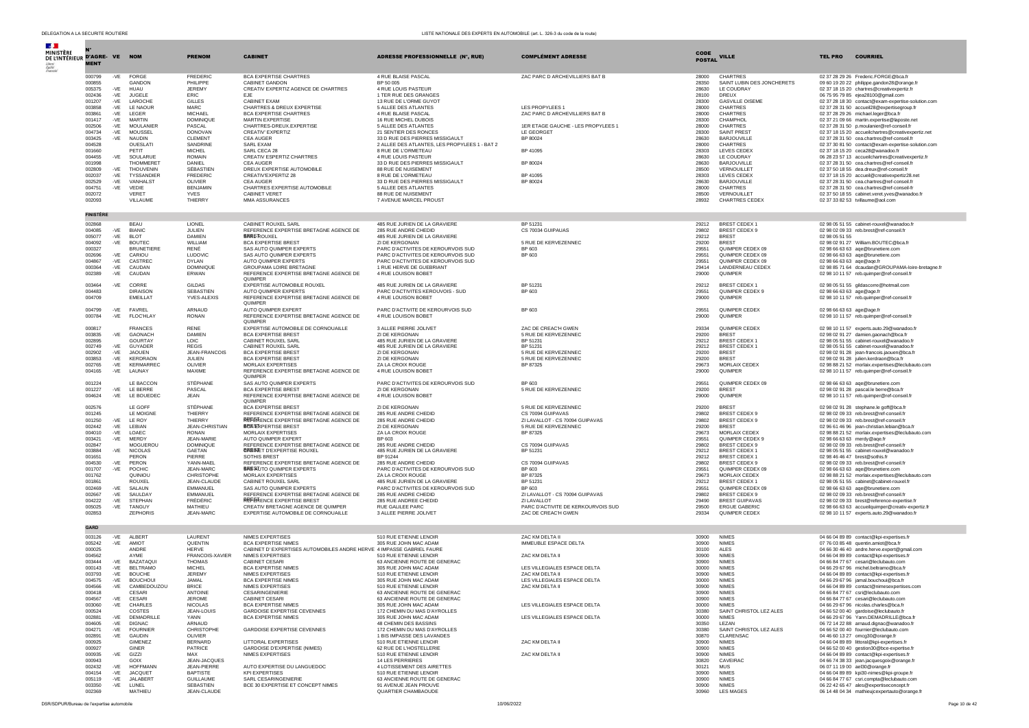| $\mathbf{r}$<br>MINISTÈRE<br>DE L'INTÉRIEUR D'AGRE- VE NOM |                  |              |                                  | <b>PRENOM</b>                       | <b>CABINET</b>                                                              | ADRESSE PROFESSIONNELLE (N°, RUE)                                        | <b>COMPLÉMENT ADRESSE</b>                               | CODE           | <b>VILLE</b>                            | <b>TEL PRO</b>            | <b>COURRIEL</b>                                                                                  |
|------------------------------------------------------------|------------------|--------------|----------------------------------|-------------------------------------|-----------------------------------------------------------------------------|--------------------------------------------------------------------------|---------------------------------------------------------|----------------|-----------------------------------------|---------------------------|--------------------------------------------------------------------------------------------------|
|                                                            | <b>MENT</b>      |              |                                  |                                     |                                                                             |                                                                          |                                                         | <b>POSTAL</b>  |                                         |                           |                                                                                                  |
|                                                            | 000799<br>000855 | -VE          | <b>FORGE</b><br>GANDON           | FREDERIC<br>PHILIPPE                | <b>BCA EXPERTISE CHARTRES</b><br>CABINET GANDON                             | 4 RUE BLAISE PASCAL<br>BP 50 005                                         | ZAC PARC D ARCHEVILLIERS BAT B                          | 28000<br>28350 | CHARTRES<br>SAINT LUBIN DES JONCHERETS  |                           | 02 37 28 29 26 Frederic.FORGE@bca.fr<br>09 60 19 20 22 philippe.gandon28@orange.fr               |
|                                                            | 005375           | -VE          | HUAU                             | <b>JEREMY</b>                       | CREATIV EXPERTIZ AGENCE DE CHARTRES                                         | 4 RUE LOUIS PASTEUR                                                      |                                                         | 28630          | LE COUDRAY                              |                           | 02 37 18 15 20 chartres@creativexpertiz.fr                                                       |
|                                                            | 002436           | $-VE$        | <b>JUGELE</b>                    | ERIC                                | EJE                                                                         | 1 TER RUE DES GRANGES                                                    |                                                         | 28100          | DREUX                                   |                           | 06 75 95 79 85 ejea28100@gmail.com                                                               |
|                                                            | 001207<br>003858 | $-VE$<br>-VE | LAROCHE<br><b>LE NAOUR</b>       | <b>GILLES</b><br>MARC.              | CABINET EXAM<br>CHARTRES & DREUX EXPERTISE                                  | 13 RUE DE L'ORME GUYOT<br>5 ALLEE DES ATLANTES                           | <b>I FS PROPYLEES 1</b>                                 | 28300<br>28000 | <b>GASVILLE OISEME</b><br>CHARTRES      |                           | 02 37 28 18 30 contact@exam-expertise-solution.com<br>02 37 28 31 50 accueil28@expertisegroup.fr |
|                                                            | 003861           | $-VE$        | LEGER                            | <b>MICHAEL</b>                      | BCA EXPERTISE CHARTRES                                                      | 4 RUE BLAISE PASCAL                                                      | ZAC PARC D ARCHEVILLIERS BAT B                          | 28000          | CHARTRES                                |                           | 02 37 28 29 26 michael.leger@bca.fr                                                              |
|                                                            | 001417           | $-VE$        | <b>MARTIN</b>                    | <b>DOMINIOUE</b>                    | MARTIN EXPERTISE                                                            | 16 RUE MICHEL DUBOIS                                                     |                                                         | 28300          | CHAMPHOL                                |                           | 02.37.21.09.66 martin expertise@laposte.net                                                      |
|                                                            | 002506<br>004734 | -VE          | MOULANIER<br>-VE MOUSSEL         | PASCAL<br><b>DONOVAN</b>            | CHARTRES-DREUX.EXPERTISE<br>CREATIV' EXPERTIZ                               | 5 ALLEE DES ATLANTES<br>21 SENTIER DES RONCES                            | 1ER ETAGE GAUCHE - LES PROPYLEES 1<br>LE GEORGET        | 28000<br>28300 | CHARTRES<br><b>SAINT PREST</b>          |                           | 02 37 28 31 50 p.moulanier@ref-conseil.fr<br>02 37 18 15 20 accueilchartres@creativexpertiz.net  |
|                                                            | 003425           | -VE          | <b>NAUDIN</b>                    | CI EMENT                            | CEA AUGER                                                                   | 33 D RUE DES PIERRES MISSIGAULT                                          | BP 80024                                                | 28630          | BARJOUVILLE                             |                           | 02 37 28 31 50 cea.chartres@ref-conseil.fr                                                       |
|                                                            | 004528           |              | OUESLAT                          | SANDRINE                            | SARL EXAM                                                                   | 2 ALLEE DES ATLANTES, LES PROPYLEES 1 - BAT 2                            |                                                         | 28000          | CHARTRES                                |                           | 02 37 30 81 50 contact@exam-expertise-solution.com                                               |
|                                                            | 001660<br>004455 | -VE          | PETIT<br>SOULARUE                | <b>MICHEL</b><br><b>ROMAIN</b>      | SARL CECA 28<br>CREATIV ESPERTIZ CHARTRES                                   | 8 RUE DE L'ORMETEAU<br>4 RUE LOUIS PASTEUR                               | BP 41095                                                | 28303<br>28630 | LEVES CEDEX<br>LE COUDRAY               |                           | 02 37 18 15 20 ceca28@wanadoo.fr<br>06 28 23 57 13 accueilchartres@creativexpertiz.fr            |
|                                                            | 001998           |              | <b>THOMMERET</b>                 | DANIEL                              | <b>CEA AUGER</b>                                                            | 33 D RUE DES PIERRES MISSIGAULT                                          | BP 80024                                                | 28630          | BARJOUVILLE                             |                           | 02 37 28 31 50 cea.chartres@ref-conseil.fr                                                       |
|                                                            | 002809           | $-VE$        | THOUVENIN<br>TYSSANDIER          | SÉBASTIEN<br><b>FREDERIC</b>        | DREUX EXPERTISE AUTOMOBILE<br>CREATIV'EXPERTIZ 28                           | 88 RUE DE NUISEMENT<br>8 RUE DE L'ORMETEAU                               | BP 41095                                                | 28500<br>28303 | VERNOUILLET                             |                           | 02 37 50 18 55 dea.dreux@ref-conseil.fr<br>02 37 18 15 20 accueil@creativexpertiz28.net          |
|                                                            | 002037<br>002529 | -VE<br>$-VE$ | VANHALST                         | OLIVIER                             | <b>CEA AUGER</b>                                                            | 33 D RUE DES PIERRES MISSIGAULT                                          | BP 80024                                                | 28630          | LEVES CEDEX<br><b>BARJOUVILLE</b>       |                           | 02 37 28 31 50 cea.chartres@ref-conseil.fr                                                       |
|                                                            | 004751           |              | -VE VEDIE                        | <b>BENJAMIN</b>                     | CHARTRES EXPERTISE AUTOMOBILE                                               | 5 ALLEE DES ATLANTES                                                     |                                                         | 28000          | <b>CHARTRES</b>                         |                           | 02 37 28 31 50 cea.chartres@ref-conseil-fr                                                       |
|                                                            | 002072<br>002093 |              | <b>VERET</b><br>VILLAUME         | <b>YVES</b><br>THIERRY              | <b>CABINET VERET</b><br>MMA ASSURANCES                                      | 88 RUE DE NUISEMENT<br>7 AVENUE MARCEL PROUST                            |                                                         | 28500<br>28932 | VERNOUILLET<br><b>CHARTRES CEDEX</b>    |                           | 02 37 50 18 55 cabinet.veret.yves@wanadoo.fr<br>02 37 33 82 53 tvillaume@aol.com                 |
|                                                            | <b>FINISTÈRE</b> |              |                                  |                                     |                                                                             |                                                                          |                                                         |                |                                         |                           |                                                                                                  |
|                                                            | 002868           |              | <b>BEAU</b>                      | LIONEL                              | CABINET ROUXEL SARL                                                         | 485 RUE JURIEN DE LA GRAVIERE                                            | BP 51231                                                | 29212          | BREST CEDEX 1                           |                           | 02 98 05 51 55 cabinet-rouxel@wanadoo.fr                                                         |
|                                                            | 004085<br>005077 | $-VE$<br>-VE | <b>BIANIC</b><br><b>BLOT</b>     | JULIEN<br><b>DAMIEN</b>             | REFERENCE EXPERTISE BRETAGNE AGENCE DE<br><b>BRES ROUXEL</b>                | 285 RUE ANDRE CHEDID<br>485 RUE JURIEN DE LA GRAVIERE                    | CS 70034 GUIPAUAS                                       | 29802<br>29212 | BREST CEDEX 9<br><b>BREST</b>           | 02 98 05 51 55            | 02 98 02 09 33 reb.brest@ref-conseil.fr                                                          |
|                                                            | 004092           | -VE          | <b>BOUTEC</b>                    | WII I IAM                           | <b>BCA EXPERTISE BREST</b>                                                  | ZI DE KERGONAN                                                           | 5 RUE DE KERVEZENNEC                                    | 29200          | <b>BREST</b>                            |                           | 02 98 02 91 27 William.BOUTEC@bca.fr                                                             |
|                                                            | 000327<br>002696 | $-VE$        | <b>BRUNETIERE</b><br>CARIOU      | RENÉ<br>LUDOVIC                     | SAS AUTO QUIMPER EXPERTS                                                    | PARC D'ACTIVITES DE KEROURVOIS SUD                                       | BP 603                                                  | 29551<br>29551 | QUIMPER CEDEX 09<br>OUIMPER CEDEX 09    |                           | 02 98 66 63 63 aqe@brunetiere.com                                                                |
|                                                            | 004867           | $-VE$        | CASTREC                          | <b>DYLAN</b>                        | SAS AUTO QUIMPER EXPERTS<br>AUTO OUIMPER EXPERTS                            | PARC D'ACTIVITES DE KEROURVOIS SUD<br>PARC D'ACTIVITES DE KEROURVOIS SUD | BP 603                                                  | 29551          | OUIMPER CEDEX 09                        | 02 98 66 63 63 age@age.fr | 02 98 66 63 63 age@brunetiere.com                                                                |
|                                                            | 000364           | -VE          | CAUDAN                           | DOMINIQUE                           | GROUPAMA LOIRE BRETAGNE                                                     | 1 RUE HERVE DE GUEBRIANT                                                 |                                                         | 29414          | LANDERNEAU CEDEX                        |                           | 02 98 85 71 64 dcaudan@GROUPAMA-loire-bretagne.fr                                                |
|                                                            | 002389           |              | -VE CAUDAN                       | ERWAN                               | REFERENCE EXPERTISE BRETAGNE AGENCE DE<br><b>OUIMPER</b>                    | 4 RUE LOUISON BOBET                                                      |                                                         | 29000          | QUIMPER                                 |                           | 02 98 10 11 57 reb.quimper@ref-conseil.fr                                                        |
|                                                            | 003464<br>004483 |              | -VE CORRE<br><b>DIRAISON</b>     | GILDAS<br>SEBASTIEN                 | EXPERTISE AUTOMOBILE ROUXEL<br>AUTO QUIMPER EXPERTS                         | 485 RUE JURIEN DE LA GRAVIERE<br>PARC D'ACTIVITES KEROUVOIS - SUD        | BP 51231<br>BP 603                                      | 29212<br>29551 | BREST CEDEX 1<br>QUIMPER CEDEX 9        | 02 98 66 63 63 age@age.fr | 02 98 05 51 55 gildascorre@hotmail.com                                                           |
|                                                            | 004709           |              | EMEILLAT                         | YVES-ALEXIS                         | REFERENCE EXPERTISE BRETAGNE AGENCE DE<br>OUIMPER                           | 4 RUE LOUISON BOBET                                                      |                                                         | 29000          | OUIMPER                                 |                           | 02 98 10 11 57 reb.quimper@ref-conseil.fr                                                        |
|                                                            | 004799           |              | -VF FAVRFI                       | ARNAUD                              | AUTO QUIMPER EXPERT                                                         | PARC D'ACTIVITE DE KEROURVOIS SUD                                        | BP 603                                                  | 29551          | <b>OUIMPER CEDEX</b>                    | 02 98 66 63 63 age@age.fr |                                                                                                  |
|                                                            | 000784           |              | -VE FLOC'HLAY                    | RONAN                               | REFERENCE EXPERTISE BRETAGNE AGENCE DE<br>OUIMPER                           | 4 RUE LOUISON BOBET                                                      |                                                         | 29000          | OUIMPER                                 |                           | 02 98 10 11 57 reb.quimper@ref-conseil.fr                                                        |
|                                                            | 000817           |              | <b>FRANCES</b>                   | <b>RENE</b>                         | EXPERTISE AUTOMOBILE DE CORNOUAILLE<br><b>BCA EXPERTISE BREST</b>           | 3 ALLEE PIERRE JOLIVET                                                   | ZAC DE CREAC'H GWEN                                     | 29334          | QUIMPER CEDEX                           |                           | 02 98 10 11 57 experts.auto.29@wanadoo.fr                                                        |
|                                                            | 003835<br>002895 | -VE          | <b>GAONACH</b><br>GOURTAY        | <b>DAMIEN</b><br>LOIC               | CABINET ROUXEL SARL                                                         | <b>ZI DE KERGONAN</b><br>485 RUE JURIEN DE LA GRAVIERE                   | 5 RUE DE KERVEZENNEC<br>BP 51231                        | 29200<br>29212 | <b>BREST</b><br>BREST CEDEX 1           |                           | 02 98 02 91 27 damien.gaonach@bca.fr<br>02 98 05 51 55 cabinet-rouxel@wanadoo.fr                 |
|                                                            | 002749           | -VE          | GUYADER                          | <b>REGIS</b>                        | CABINET ROUXEL SARL                                                         | 485 RUE JURIEN DE LA GRAVIERE                                            | BP 51231                                                | 29212          | BREST CEDEX 1                           |                           | 02 98 05 51 55 cabinet-rouxel@wanadoo.fr                                                         |
|                                                            | 002902<br>003853 | -VE<br>-VE   | <b>JAOUEN</b><br>KERDRAON        | JEAN-FRANCOIS<br>JULIEN             | <b>BCA EXPERTISE BREST</b><br><b>BCA EXPERTISE BREST</b>                    | ZI DE KERGONAN<br>ZI DE KERGONAN                                         | 5 RUE DE KERVEZENNEC<br>5 RUE DE KERVEZENNEC            | 29200<br>29200 | <b>BREST</b><br><b>BREST</b>            |                           | 02 98 02 91 28 jean-francois.jaouen@bca.fr<br>02 98 02 91 28 julien.kerdraon@bca.fr              |
|                                                            | 002765           |              | -VE KERMARREC                    | OLIVIER                             | MORLAIX EXPERTISES                                                          | ZA LA CROIX ROUGE                                                        | BP 87325                                                | 29673          | MORLAIX CEDEX                           |                           | 02 98 88 21 52 morlaix.expertises@leclubauto.com                                                 |
|                                                            | 004165           | -VE          | LAUNAY                           | MAXIME                              | REFERENCE EXPERTISE BRETAGNE AGENCE DE<br><b>OUIMPER</b>                    | 4 RUE LOUISON BOBET                                                      |                                                         | 29000          | OUIMPER                                 |                           | 02 98 10 11 57 reb.quimper@ref-conseil.fr                                                        |
|                                                            | 001224<br>001227 |              | LE BACCON<br>-VE IF BERRE        | STÉPHANE<br>PASCAL                  | SAS AUTO OUIMPER EXPERTS<br><b>BCA EXPERTISE BREST</b>                      | PARC D'ACTIVITES DE KEROURVOIS SUD<br>ZI DE KERGONAN                     | BP 603<br>5 RUE DE KERVEZENNEC                          | 29551<br>29200 | OUIMPER CEDEX 09<br><b>BREST</b>        |                           | 02 98 66 63 63 age@brunetiere.com<br>02 98 02 91 28 pascal.le berre@bca.fr                       |
|                                                            | 004624           |              | -VE LE BOUEDEC                   | <b>JEAN</b>                         | REFERENCE EXPERTISE BRETAGNE AGENCE DE<br><b>OUIMPER</b>                    | 4 RUE LOUISON BOBET                                                      |                                                         | 29000          | QUIMPER                                 |                           | 02 98 10 11 57 reb.quimper@ref-conseil.fr                                                        |
|                                                            | 002576           |              | LE GOFF                          | STÉPHANE                            | <b>BCA EXPERTISE BREST</b>                                                  | ZI DE KERGONAN                                                           | 5 RUE DE KERVEZENNEC                                    | 29200          | <b>BREST</b>                            |                           | 02 98 02 91 28 stephane.le goff@bca.fr                                                           |
|                                                            | 001245           |              | LE MOIGNE                        | THIERRY                             | REFERENCE EXPERTISE BRETAGNE AGENCE DE                                      | 285 RUE ANDRE CHEDID                                                     | CS 70094 GUIPAVAS                                       | 29802          | BREST CEDEX 9                           |                           | 02 98 02 09 33 reb.brest@ref-conseil.fr                                                          |
|                                                            | 001250<br>002442 | -VE<br>-VE   | LE ROY<br>LEBIAN                 | THIERRY<br><b>JEAN-CHRISTIAN</b>    | <b>REFERENCE EXPERTISE BRETAGNE AGENCE DE</b><br><b>BRASEXPERTISE BREST</b> | 285 RUE ANDRE CHEDID<br>ZI DE KERGONAN                                   | ZI LAVALLOT - CS 70094 GUIPAVAS<br>5 RUE DE KERVEZENNEC | 29802<br>29200 | BREST CEDEX 9<br><b>BREST</b>           |                           | 02 98 02 09 33 reb.brest@ref-conseil.fr<br>02 96 61 46 96 jean-christian.lebian@bca.fr           |
|                                                            | 004010           | $-VE$        | LOAEC                            | <b>RONAN</b>                        | MORLAIX EXPERTISES                                                          | ZA LA CROIX ROUGE                                                        | BP 87325                                                | 29673          | MORLAIX CEDEX                           |                           | 02 98 88 21 52 morlaix.expertises@leclubauto.com                                                 |
|                                                            | 003421           | -VE          | MERDY                            | <b>JEAN-MARIE</b>                   | AUTO QUIMPER EXPERT                                                         | BP 603                                                                   |                                                         | 29551          | QUIMPER CEDEX 9                         |                           | 02 98 66 63 63 merdy@age.fr                                                                      |
|                                                            | 002847<br>003884 | $-VE$        | MOGUEROL<br><b>NICOLAS</b>       | DOMINIQUE<br>GAETAN                 | REFERENCE EXPERTISE BRETAGNE AGENCE DE<br><b>BRESTET D'EXPERTISE ROUXEL</b> | 285 RUE ANDRE CHEDID<br>485 RUE JURIEN DE LA GRAVIERE                    | CS 70094 GUIPAVAS<br>BP 51231                           | 29802<br>29212 | BREST CEDEX 9<br>BREST CEDEX 1          |                           | 02 98 02 09 33 reb.brest@ref-conseil.fr<br>02 98 05 51 55 cabinet-rouxel@wanadoo.fr              |
|                                                            | 001651           |              | PERON                            | PIFRRE                              | <b>SOTHIS BREST</b>                                                         | BP 91244                                                                 |                                                         | 29212          | BREST CEDEX 1                           |                           | 02 98 46 46 47 brest@sothis.fr                                                                   |
|                                                            | 004530           | -VE          | PERON                            | YANN-MAEL                           | REFERENCE EXPERTISE BRETAGNE AGENCE DE                                      | 285 RUE ANDRE CHEDID                                                     | CS 70094 GUIPAVAS                                       | 29802          | BREST CEDEX 9                           |                           | 02 98 02 09 33 reb.brest@ref-conseil.fr                                                          |
|                                                            | 001707<br>001762 |              | -VE POCHIC<br><b>OUINIOU</b>     | JEAN-MARC<br>CHRISTOPHE             | <b>BRESIUTO QUIMPER EXPERTS</b><br>MORI AIX EXPERTISES                      | PARC D'ACTIVITES DE KEROURVOIS SUD<br><b>ZA LA CROIX ROUGE</b>           | BP 603<br>BP 87325                                      | 29551<br>29673 | QUIMPER CEDEX 09<br>MORLAIX CEDEX       |                           | 02 98 66 63 63 age@brunetiere.com<br>02 98 88 21 52 morlaix.expertises@leclubauto.com            |
|                                                            | 001861           |              | <b>ROUXEL</b>                    | JEAN-CLAUDE                         | CABINET ROUXEL SARL                                                         | 485 RUE JURIEN DE LA GRAVIERE                                            | BP 51231                                                | 29212          | BREST CEDEX 1                           |                           | 02 98 05 51 55 cabinet@cabinet-rouxel.fr                                                         |
|                                                            | 002469           | $-VE$        | SALAUN                           | EMMANUEL                            | SAS AUTO QUIMPER EXPERTS                                                    | PARC D'ACTIVITES DE KEROURVOIS SUD                                       | BP 603                                                  | 29551          | QUIMPER CEDEX 09                        |                           | 02 98 66 63 63 age@brunetiere.com                                                                |
|                                                            | 002667<br>004222 | -VE<br>$-VE$ | SAULDAY<br><b>STEPHAN</b>        | EMMANUEL<br>FRÉDÉRIC                | REFERENCE EXPERTISE BRETAGNE AGENCE DE<br><b>REFERENCE EXPERTISE BREST</b>  | 285 RUE ANDRE CHEDID<br>285 RUE ANDREE CHEDID                            | ZI LAVALLOT - CS 70094 GUIPAVAS<br>ZI LAVALLOT          | 29802<br>29490 | BREST CEDEX 9<br><b>BREST GUIPAVAS</b>  |                           | 02 98 02 09 33 reb.brest@ref-conseil.fr<br>02 98 02 09 33 brest@reference-expertise.fr           |
|                                                            | 005025           | $-VE$        | TANGUY                           | MATHIEU                             | CREATIV BRETAGNE AGENCE DE OUIMPER                                          | RUE GALILEE PARC                                                         | PARC D'ACTIVITE DE KERKOURVOIS SUD                      | 29500          | <b>ERGUE GABERIC</b>                    |                           | 02 98 66 63 63 accueilguimper@creativ-expertiz.fr                                                |
|                                                            | 002853           |              | ZEPHORIS                         | JEAN-MARC                           | EXPERTISE AUTOMOBILE DE CORNOUAILLE                                         | 3 ALLEE PIERRE JOLIVET                                                   | ZAC DE CREAC'H GWEN                                     | 29334          | QUIMPER CEDEX                           |                           | 02 98 10 11 57 experts.auto.29@wanadoo.fr                                                        |
|                                                            | GARD             |              |                                  |                                     |                                                                             |                                                                          |                                                         |                |                                         |                           |                                                                                                  |
|                                                            | 003126<br>005242 | -VE          | ALBERT<br>-VE AMIOT              | LAURENT<br><b>OUENTIN</b>           | <b>NIMES EXPERTISES</b><br><b>BCA EXPERTISE NIMES</b>                       | 510 RUE ETIENNE LENOIR<br>305 RUE JOHN MAC ADAM                          | ZAC KM DELTA II<br>IMMEUBLE ESPACE DELTA                | 30900<br>30900 | <b>NIMES</b><br><b>NIMES</b>            |                           | 04 66 04 89 89 contact@kpi-expertises.fr<br>07 76 03 85 48 quentin.amiot@bca.fr                  |
|                                                            | 000025           |              | ANDRE                            | <b>HERVE</b>                        | CABINET D'EXPERTISES AUTOMOBILES ANDRE HERVE 4 IMPASSE GABRIEL FAURE        |                                                                          |                                                         | 30100          | <b>ALES</b>                             |                           | 04 66 30 46 40 andre.herve.expert@gmail.com                                                      |
|                                                            | 004562           |              | AYME                             | FRANCOIS-XAVIER                     | NIMES EXPERTISES                                                            | 510 RUE ETIENNE LENOIR<br>63 ANCIENNE ROUTE DE GENERAC                   | ZAC KM DELTA II                                         | 30900          | <b>NIMES</b>                            |                           | 04 66 04 89 89 contact@kpi-expertises.fr                                                         |
|                                                            | 003444<br>000143 | -VE          | -VE BAZATAOUI<br><b>BELTRAMO</b> | <b>THOMAS</b><br><b>MICHEL</b>      | CABINET CESARI<br><b>BCA EXPERTISE NIMES</b>                                | 305 RUE JOHN MAC ADAM                                                    | LES VILLEGIALES ESPACE DELTA                            | 30900<br>30000 | <b>NIMES</b><br><b>NIMES</b>            |                           | 04 66 84 77 67 cesari@leclubauto.com<br>04 66 29 67 96 michel.beltramo@bca.fr                    |
|                                                            | 003793           | $-VE$        | <b>BOUCHE</b>                    | <b>JEREMY</b>                       | NIMES EXPERTISES                                                            | 510 RUE ETIENNE LENOIR                                                   | <b>ZAC KM DELTA II</b>                                  | 30900          | <b>NIMES</b>                            |                           | 04 66 04 89 89 contact@kpi-expertises.fr                                                         |
|                                                            | 004575           |              | -VE BOUCHOUI                     | JAMAI.                              | <b>BCA EXPERTISE NIMES</b>                                                  | 305 RUE JOHN MAC ADAM                                                    | LES VILLEGIALES ESPACE DELTA                            | 30000          | <b>NIMES</b>                            |                           | 04 66 29 67 96 jamal.bouchoui@bca.fr                                                             |
|                                                            | 004566<br>000418 | -VE          | CAMBEDOUZOU<br>CESARI            | <b>BRICE</b><br><b>ANTOINE</b>      | <b>NIMES EXPERTISES</b><br>CESARINGENIERIE                                  | 510 RUE ETIENNE LENOIR<br>63 ANCIENNE ROUTE DE GENERAC                   | ZAC KM DELTA II                                         | 30900<br>30900 | <b>NIMES</b><br><b>NIMES</b>            |                           | 04 66 04 89 89 contact@nimesexpertises.<br>04 66 84 77 67 csri@leclubauto.com                    |
|                                                            | 004567           | $-VF$        | CESARI                           | <b>JEROME</b>                       | CABINET CESARI                                                              | 63 ANCIENNE ROUTE DE GENERAC                                             |                                                         | 30900          | <b>NIMES</b>                            |                           | 04 66 84 77 67 cesari@leclubauto.com                                                             |
|                                                            | 003060<br>000524 | -VE          | CHARLES<br>COSTES                | <b>NICOLAS</b><br><b>JEAN-LOUIS</b> | <b>BCA EXPERTISE NIMES</b><br><b>GARDOISE EXPERTISE CEVENNES</b>            | 305 RUE JOHN MAC ADAM<br>172 CHEMIN DU MAS D'AYROLLES                    | LES VILLEGIALES ESPACE DELTA                            | 30000<br>30380 | <b>NIMES</b><br>SAINT CHRISTOL LEZ ALES |                           | 04 66 29 67 96 nicolas.charles@bca.fr<br>04 66 52 00 40 gardoise@leclubauto.fr                   |
|                                                            | 002881           | -VE          | <b>DEMADRILLE</b>                | YANN                                | <b>BCA EXPERTISE NIMES</b>                                                  | 305 RUE JOHN MAC ADAM                                                    | LES VILLEGIALES ESPACE DELTA                            | 30000          | <b>NIMES</b>                            |                           | 04 66 29 67 96 Yann.DEMADRILLE@bca.fr                                                            |
|                                                            | 004605           |              | -VE DIGNAC                       | ARNAUD                              |                                                                             | 48 CHEMIN DES BASSINS                                                    |                                                         | 30350          | LEZAN                                   |                           | 06 72 14 22 88 arnaud.dignac@wanadoo.fr                                                          |
|                                                            | 004271<br>002891 | -VE<br>-VE   | <b>FOURNIER</b><br>GAUDIN        | CHRISTOPHE<br>OLIVIER               | GARDOISE EXPERTISE CEVENNES                                                 | 172 CHEMIN DU MAS D'AYROLLES<br>1 BIS IMPASSE DES LAVANDES               |                                                         | 30380<br>30870 | SAINT CHRISTOL LEZ ALES<br>CLARENSAC    |                           | 04 66 52 00 40 fournier@leclubauto.com<br>04 46 60 13 27 omcg30@orange.fr                        |
|                                                            | 000925           |              | <b>GIMENEZ</b>                   | <b>BERNARD</b>                      | LITTORAL EXPERTISES                                                         | 510 RUE ETIENNE LENOIR                                                   | ZAC KM DELTA II                                         | 30900          | <b>NIMES</b>                            |                           | 04 66 04 89 89 littoral@kpi-expertises.fr                                                        |
|                                                            | 000927           |              | GINER                            | <b>PATRICE</b>                      | GARDOISE D'EXPERTISE (NIMES)                                                | 62 RUE DE L'HOSTELLERIE                                                  |                                                         | 30900          | <b>NIMES</b>                            |                           | 04 66 52 00 40 gestion30@bce-expertise.fr                                                        |
|                                                            | 000935<br>000943 | -VE          | GIZZI<br>GOIX                    | MAX<br>JEAN-JACQUES                 | NIMES EXPERTISES                                                            | 510 RUE ETIENNE LENOIR<br>14 LES PERRIERES                               | ZAC KM DELTA II                                         | 30900<br>30820 | <b>NIMES</b><br>CAVEIRAC                |                           | 04 66 04 89 89 contact@kpi-expertises.fr<br>04 66 74 38 33 jean.jacquesgoix@orange.fr            |
|                                                            | 002432           |              | -VE HOFFMANN                     | JEAN-PIERRE                         | AUTO EXPERTISE DU LANGUEDOC                                                 | 4 LOTISSEMENT DES AIRETTES                                               |                                                         | 30121          | <b>MUS</b>                              |                           | 06 07 11 19 00 ael30@orange.fr                                                                   |
|                                                            | 004154           | $-VE$        | <b>JACOUET</b><br>-VE JALABERT   | <b>BAPTISTE</b>                     | <b>KPI EXPERTISES</b>                                                       | 510 RUE ETIENNE LENOIR<br>63 ANCIENNE ROUTE DE GENERAC                   |                                                         | 30900          | <b>NIMES</b>                            |                           | 04 66 04 89 89 kpi30-nimes@kpi-groupe.fr                                                         |
|                                                            | 005119<br>003350 | -VE          | LUNEL                            | <b>GUILLAUME</b><br>SEBASTIEN       | SARL CESARINGENIERIE<br>BCE 30 EXPERTISE ET CONCEPT NIMES                   | 91 AVENUE JEAN PROUVE                                                    |                                                         | 30900<br>30900 | <b>NIMES</b><br><b>NIMES</b>            |                           | 04 66 84 77 67 csri.compta@leclubauto.com<br>06 22 42 65 47 ales@expertiseconcept.fr             |
|                                                            | 002369           |              | MATHIEU                          | JEAN-CLAUDE                         |                                                                             | QUARTIER CHAMBAOUDE                                                      |                                                         | 30960          | <b>LES MAGES</b>                        |                           | 06 14 48 04 34 mathieujcexpertauto@orange.fr                                                     |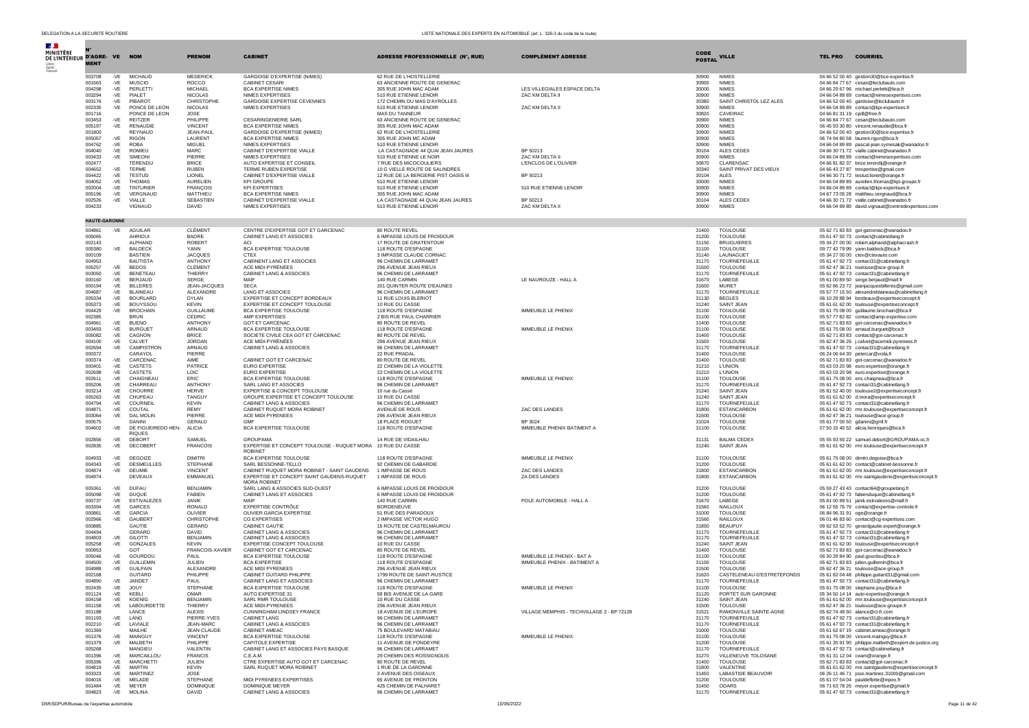| MINISTÈRE                    |                      |                |                                            |                                    |                                                                                |                                                             |                                                            |                       |                                              |                               |                                                                                                |
|------------------------------|----------------------|----------------|--------------------------------------------|------------------------------------|--------------------------------------------------------------------------------|-------------------------------------------------------------|------------------------------------------------------------|-----------------------|----------------------------------------------|-------------------------------|------------------------------------------------------------------------------------------------|
| DE L'INTÉRIEUR D'AGRE-VE NOM |                      |                |                                            | <b>PRENOM</b>                      | <b>CABINET</b>                                                                 | <b>ADRESSE PROFESSIONNELLE (N°, RUE)</b>                    | <b>COMPLÉMENT ADRESSE</b>                                  | CODE<br><b>POSTAL</b> | <b>VILLE</b>                                 | <b>TEL PRO</b>                | <b>COURRIEL</b>                                                                                |
|                              | <b>MENT</b>          |                |                                            |                                    |                                                                                |                                                             |                                                            |                       |                                              |                               |                                                                                                |
|                              | 003708               | -VE            | <b>MICHAUD</b>                             | <b>MEDERICK</b>                    | GARDOISE D'EXPERTISE (NIMES)<br><b>CABINET CESAR</b>                           | 62 RUE DE L'HOSTELLERIE                                     |                                                            | 30900                 | <b>NIMES</b><br><b>NIMES</b>                 |                               | 04 66 52 00 40 gestion30@bce-expertise.fr                                                      |
|                              | 001563<br>004298     | -VE<br>$-VE$   | <b>MUSCIO</b><br>PERLETTI                  | ROCCO<br><b>MICHAEL</b>            | <b>BCA EXPERTISE NIMES</b>                                                     | 63 ANCIENNE ROUTE DE GENERAC<br>305 RUE JOHN MAC ADAM       | LES VILLEGIALES ESPACE DELTA                               | 30900<br>30000        | <b>NIMES</b>                                 |                               | 04 66 84 77 67 cesari@leclubauto.com<br>04 66 29 67 96 michael.perletti@bca.fr                 |
|                              | 003294               | -VE            | PIALET                                     | NICOLAS                            | NIMES EXPERTISES                                                               | 510 RUE ETIENNE LENOIR                                      | ZAC KM DELTA II                                            | 30900                 | <b>NIMES</b>                                 |                               | 04 66 04 89 89 contact@nimesexpertises.com                                                     |
|                              | 003176<br>002335     | -VE<br>-VE     | PIBAROT<br>PONCE DE LEON                   | CHRISTOPHE<br><b>NICOLAS</b>       | GARDOISE EXPERTISE CEVENNES<br>NIMES EXPERTISES                                | 172 CHEMIN DU MAS D'AYROLLES<br>510 RUE ETIENNE LENOIR      | ZAC KM DELTA II                                            | 30380<br>30900        | SAINT CHRISTOL LEZ ALES<br><b>NIMES</b>      |                               | 04 66 52 00 40 gardoise@leclubauto.fr<br>04.66.04.89.89 contact@kni-expertises.fr              |
|                              | 001716               |                | PONCE DE LEON                              | <b>JOSE</b>                        |                                                                                | MAS DU TANNEUR                                              |                                                            | 30820                 | CAVEIRAC                                     | 04 66 81 31 19 cpdl@free.fr   |                                                                                                |
|                              | 003453               | $-VE$          | REITZER<br>RENAUDIE                        | PHILIPPE<br><b>VINCENT</b>         | CESARINGENIERIE SARL<br><b>BCA EXPERTISE NIMES</b>                             | 63 ANCIENNE ROUTE DE GENERAC<br>305 RUE JOHN MAC ADAM       |                                                            | 30900                 | <b>NIMES</b><br><b>NIMES</b>                 |                               | 04 66 84 77 67 cesari@leclubauto.com<br>06 45 93 30 80 vincent.renaudie@bca.fr                 |
|                              | 005197<br>001800     | -VE            | REYNAUD                                    | JEAN-PAUL                          | <b>GARDOISE D'EXPERTISE (NIMES)</b>                                            | 62 RUE DE L'HOSTELLERIE                                     |                                                            | 30900<br>30900        | <b>NIMES</b>                                 |                               | 04 66 52 00 40 gestion30@bce-expertise.fr                                                      |
|                              | 005057               | -VE            | <b>RIGON</b>                               | LAURENT                            | <b>BCA EXPERTISE NIMES</b>                                                     | 305 RUE JOHN MC ADAM                                        |                                                            | 30900                 | <b>NIMES</b>                                 |                               | 06 74 94 80 58 laurent.rigon@bca.fr                                                            |
|                              | 004762<br>004040     | -VE<br>-VE     | ROBA<br><b>ROMIEU</b>                      | MIGUEL<br><b>MARC</b>              | NIMES EXPERTISES<br>CABINET D'EXPERTISE VIALLE                                 | 510 RUE ETIENNE LENOIR<br>LA CASTAGNADE 44 QUAI JEAN JAURES | BP 50213                                                   | 30900<br>30104        | <b>NIMES</b><br>ALES CEDEX                   |                               | 04 66 04 89 89 pascal-jean.symesak@wanadoo.fr<br>04 66 30 71 72 vialle.cabinet@wanadoo.fr      |
|                              | 003433               | -VE            | SIMEONI                                    | PIERRE                             | NIMES EXPERTISES                                                               | 510 RUE ETIENNE LE NOIR                                     | ZAC KM DELTA II                                            | 30900                 | <b>NIMES</b>                                 |                               | 04 66 04 89 89 contact@nimesexpertises.com                                                     |
|                              | 002477<br>004652     | -VE            | TERENDIJ<br><b>TERME</b>                   | <b>BRICE</b><br><b>RUBEN</b>       | AUTO EXPERTISE ET CONSEIL<br>TERME RUBEN EXPERTISE                             | 7 RUE DES MICOCOULIERS<br>10 G VIELLE ROUTE DE SALINDRES    | L'ENCLOS DE L'OLIVIER                                      | 30870<br>30340        | CLARENSAC<br>SAINT PRIVAT DES VIEUX          |                               | 04 66 81 82 37 brice.terendij@orange.fr<br>04 66 43 27 87 trexpertise@gmail.com                |
|                              | 004422               | -VE            | <b>TESTUD</b>                              | LIONEL                             | CABINET D'EXPERTISE VIALLE                                                     | 12 RUE DE LA BERGERIE PIST OASIS III                        | BP 50213                                                   | 30104                 | <b>ALES</b>                                  |                               | 04 66 30 71 72 testud.lionel@orange.fr                                                         |
|                              | 004052               | $-VE$          | THOMAS                                     | <b>AURELIEN</b>                    | KPI GROUPE<br><b>KPI EXPERTISES</b>                                            | 510 RUE ETIENNE LENOIR                                      |                                                            | 30000                 | <b>NIMES</b>                                 |                               | 04 66 04 89 89 aurelien.thomas@kpi-groupe.fr<br>04.66.04.89.89 contact@kni-expertises.fr       |
|                              | 002004<br>005196     | $-VE$<br>-VE   | <b>TINTURIER</b><br>VERGNAUD               | <b>FRANCOIS</b><br><b>MATTHIFU</b> | <b>BCA EXPERTISE NIMES</b>                                                     | 510 RUE ETIENNE LENOIR<br>305 RUE JOHN MAC ADAM             | 510 RUE ETIENNE LENOIR                                     | 30900<br>30900        | <b>NIMES</b><br><b>NIMES</b>                 |                               | 04 67 73 05 28 matthieu.vergnaud@bca.fr                                                        |
|                              | 002526               | $-VE$          | VIALLE                                     | SEBASTIEN                          | CABINET D'EXPERTISE VIALLE                                                     | LA CASTAGNADE 44 QUAI JEAN JAURES                           | BP 50213                                                   | 30104                 | ALES CEDEX                                   |                               | 04 66 30 71 72 vialle.cabinet@wanadoo.fr                                                       |
|                              | 004233               |                | VIGNAUD                                    | <b>DAVID</b>                       | NIMES EXPERTISES                                                               | 510 RUE ETIENNE LENOIR                                      | ZAC KM DELTA II                                            | 30900                 | <b>NIMES</b>                                 |                               | 04 66 04 89 89 david.vignaud@centredexpertises.com                                             |
|                              | <b>HAUTE-GARONNE</b> |                |                                            |                                    |                                                                                |                                                             |                                                            |                       |                                              |                               |                                                                                                |
|                              | 004861               | -VE            | AGUILAR                                    | CI ÉMENT                           | CENTRE D'EXPERTISE GOT ET GARCENAC                                             | 80 ROUTE REVEL                                              |                                                            | 31400                 | <b>TOULOUSE</b>                              |                               | 05 62 71 83 83 got-garcenac@wanadoo.fr                                                         |
|                              | 005065<br>002143     |                | <b>AHRIOUI</b><br>ALPHAND                  | <b>BADRE</b><br><b>ROBERT</b>      | CABINET LANG ET ASSOCIES<br>ACI                                                | 6 IMPASSE LOUIS DE FROIDOUR<br>17 ROUTE DE GRATENTOUR       |                                                            | 31200<br>31150        | TOULOUSE<br><b>BRUGUIERES</b>                |                               | 05 61 47 92 73 contact@cabinetlang.fr<br>05 34 27 00 00 robert.alphand@alphacrash.fr           |
|                              | 005380               | -VE            | <b>BALDECK</b>                             | YANN                               | <b>BCA EXPERTISE TOULOUSE</b>                                                  | 118 ROUTE D'ESPAGNE                                         |                                                            | 31100                 | <b>TOULOUSE</b>                              |                               | 09 77 42 79 99 yann.baldeck@bca.fr                                                             |
|                              | 000109<br>004953     |                | <b>BASTIEN</b><br><b>BAUTISTA</b>          | <b>JACQUES</b><br><b>ANTHONY</b>   | <b>CTEX</b><br>CABINENT LANG ET ASSOCIES                                       | 3 IMPASSE CLAUDE CORNAC<br>96 CHEMIN DE LARRAMET            |                                                            | 31140<br>31170        | LAUNAGUET<br><b>TOURNEFEUILLE</b>            |                               | 05 34 27 00 00 ctex@ctexauto.com<br>05 61 47 92 73 contact31@cabinetlang.fr                    |
|                              | 005257               | -VE            | <b>BEDOS</b>                               | CLÉMENT                            | ACE MIDI-PYRÉNÉES                                                              | 296 AVENUE JEAN RIEUX                                       |                                                            | 31500                 | <b>TOULOUSE</b>                              |                               | 05 62 47 36 21 toulouse@ace-group.fr                                                           |
|                              | 003050               | -VE            | BENETEAU                                   | THIERRY                            | CABINET LANG & ASSOCIES                                                        | 96 CHEMIN DE LARRAMET                                       |                                                            | 31170                 | <b>TOURNEFEUILLE</b>                         |                               | 05 61 47 92 73 contact31@cabinetlang.fr                                                        |
|                              | 000160<br>000194     | $-VE$<br>-VE   | BERJAUD<br><b>BILLERES</b>                 | <b>SERGE</b><br>JEAN-JACQUES       | MAIF<br><b>SECA</b>                                                            | 140 RUE CARMIN<br>201 QUINTER ROUTE D'EAUNES                | LE NAUROUZE - HALL A                                       | 31670<br>31600        | LABEGE<br><b>MURET</b>                       |                               | 05 61 00 89 50 serge.berjaud@maif.fr<br>05 62 86 23 72 jeanjacquesbilleres@gmail.com           |
|                              | 004687               | -VE            | <b>BLAINEAU</b>                            | ALEXANDRE                          | <b>LANG ET ASSOCIES</b>                                                        | 96 CHEMIN DE LARRAMET                                       |                                                            | 31170                 | TOURNEFEUILLE                                |                               | 05 57 77 15 50 alexandreblaineau@cabinetlang.fr                                                |
|                              | 005334<br>005373     | $-VE$<br>-VE   | <b>BOURLARD</b><br>BOUYSSOU                | <b>DYLAN</b><br><b>KEVIN</b>       | EXPERTISE ET CONCEPT BORDEAUX<br>EXPERTISE ET CONCEPT TOULOUSE                 | 11 RUE LOUIS BLERIOT<br>10 RUE DU CASSE                     |                                                            | 31130<br>31240        | <b>BEGLES</b><br>SAINT JEAN                  |                               | 06 10 29 88 94 bordeaux@expertiseconcept.fr<br>05 61 61 62 00 toulouse@expertiseconcept.fr     |
|                              | 004429               | $-VE$          | <b>BROCHAIN</b>                            | <b>GUILLAUME</b>                   | BCA EXPERTISE TOULOUSE                                                         | 118 ROUTE D'ESPAGNE                                         | IMMEUBLE LE PHENIX                                         | 31100                 | <b>TOULOUSE</b>                              |                               | 05 61 75 08 00 quillaume.brochain@bca.fr                                                       |
|                              | 002385               |                | <b>BRUN</b>                                | <b>CÉDRIC</b>                      | AMP EXPERTISES                                                                 | 2 BIS RUE PAUL CHARRIER                                     |                                                            | 31100                 | <b>TOULOUSE</b>                              |                               | 05 57 77 82 82 contact@amp-expertise.com                                                       |
|                              | 004961<br>003493     | $-VE$<br>$-VE$ | <b>BUENO</b><br><b>BURGUET</b>             | <b>ANTHONY</b><br>ARNAUD           | <b>GOT ET CARCENAC</b><br>BCA EXPERTISE TOULOUSE                               | 80 ROUTE DE REVEL<br>118 ROUTE D'ESPAGNE                    | <b>IMMEUBLE LE PHENIX</b>                                  | 31400<br>31100        | <b>TOULOUSE</b><br><b>TOULOUSE</b>           |                               | 05 62 71 83 83 got-carcenac@wanadoo.fr<br>05 61 75 08 00 arnaud.burguet@bca.fr                 |
|                              | 005082               | -VE            | CAGNON                                     | <b>BRICE</b>                       | SOCIETE CIVILE CEA GOT ET CARCENAC                                             | 80 ROUTE DE REVEL                                           |                                                            | 31400                 | TOULOUSE                                     |                               | 05 62 71 83 83 contact@got-carcenac.fr                                                         |
|                              | 004100<br>002694     | -VE<br>-VE     | CALVET<br>CAMPISTRON                       | <b>JORDAN</b><br>ARNAUD            | ACE MIDI-PYRÉNÉES<br>CABINET LANG & ASSOCIES                                   | 296 AVENUE JEAN RIEUX<br>96 CHEMIN DE LARRAMET              |                                                            | 31500<br>31170        | TOULOUSE<br>TOURNEEEUILLE                    |                               | 05 62 47 36 26 j.calvet@acemidi-pyrenees.fr<br>05 61 47 92 73 contact31@cabinetlang.fr         |
|                              | 000372               |                | CARAYOL                                    | PIERRE                             |                                                                                | 22 RUE PRADAL                                               |                                                            | 31400                 | TOULOUSE                                     |                               | 06 24 06 64 30 petercar@voila.fr                                                               |
|                              | 000374               | $-VE$          | CARCENAC                                   | AIMÉ<br><b>PATRICE</b>             | CABINET GOT ET CARCENAC                                                        | 80 ROUTE DE REVEL                                           |                                                            | 31400                 | <b>TOULOUSE</b>                              |                               | 05 62 71 83 83 got-carcenac@wanadoo.fr                                                         |
|                              | 000401<br>002698     | -VE<br>-VE     | CASTETS<br>CASTETS                         | LOIC                               | <b>EURO EXPERTISE</b><br>EURO EXPERTISE                                        | 22 CHEMIN DE LA VIOLETTE<br>22 CHEMIN DE LA VIOLETTE        |                                                            | 31210<br>31210        | <b>L'UNION</b><br><b>L'UNION</b>             |                               | 05 63 03 20 98 euro.expertise@orange.fr<br>05 63 03 20 98 euro.expertise@orange.fr             |
|                              | 002611               | $-VE$          | CHAIGNEAU                                  | ERIC                               | BCA EXPERTISE TOULOUSE                                                         | 118 ROUTE D'ESPAGNE                                         | <b>IMMEUBLE LE PHENIX</b>                                  | 31100                 | <b>TOULOUSE</b>                              |                               | 05.61.75.08.00 eric chaigneau@hca.fr                                                           |
|                              | 005206<br>003214     | -VE<br>$-VE$   | CHARREAU<br>CHOURRE                        | <b>ANTHONY</b><br><b>HERVE</b>     | SARL LANG ET ASSOCIES<br>EXPERTISE & CONCEPT TOULOUSE                          | 96 CHEMIN DE LARRAMET<br>10 rue du Cassé                    |                                                            | 31170<br>31240        | TOURNEEEUILLE<br>SAINT JEAN                  |                               | 05 61 47 92 73 contact31@cabinetlang.fr<br>05 81 52 40 00 toulouse2@expertiseconcept.fr        |
|                              | 005263               | $-VE$          | CHUPEAU                                    | TANGUY                             | GROUPE EXPERTISE ET CONCEPT TOULOUSE                                           | 10 RUE DU CASSE                                             |                                                            | 31240                 | SAINT JEAN                                   |                               | 05.61.61.62.00 d.mora@expertiseconcent.fr                                                      |
|                              | 004794<br>004871     | -VE<br>-VE     | COURNEIL<br>COUTAL                         | <b>KEVIN</b><br><b>REMY</b>        | CABINET LANG & ASSOCIES<br>CABINET RUQUET MORA ROBINET                         | 96 CHEMIN DE LARRAMET<br>AVENUE DE ROUS                     | ZAC DES LANDES                                             | 31170<br>31800        | TOURNEFEUILLE<br><b>ESTANCARBON</b>          |                               | 05 61 47 92 73 contact31@cabinetlang.fr<br>05 61 61 62 00 rmr.toulouse@expertiseconcept.fr     |
|                              | 003064               | -VE            | <b>DAL MOLIN</b>                           | PIFRRE                             | ACE MIDI PYRENEES                                                              | 296 AVENUE JEAN RIEUX                                       |                                                            | 31500                 | <b>TOULOUSE</b>                              |                               | 05 62 47 36 21 toulouse@ace-group.fr                                                           |
|                              | 000575               |                | DANINI                                     | GERALD                             | GM                                                                             | 18 PLACE ROGUET                                             | BP 3024                                                    | 31024                 | <b>TOULOUSE</b>                              | 05 61 77 00 50 gdanini@gmf.fr |                                                                                                |
|                              | 004602               | $-VE$          | DE FIGUEIREDO HEN- ALICIA<br><b>RIQUES</b> |                                    | BCA EXPERTISE TOULOUSE                                                         | 118 ROUTE D'ESPAGNE                                         | IMMEUBLE PHENIX BATIMENT A                                 | 31100                 | <b>TOULOUSE</b>                              |                               | 07 50 15 40 52 alicia.henriques@bca.fr                                                         |
|                              | 002856<br>002835     | $-VE$<br>$-VE$ | DEBORT<br>DECOBERT                         | SAMUEL<br><b>FRANCOIS</b>          | <b>GROUPAMA</b><br>EXPERTISE ET CONCEPT TOULOUSE - RUQUET MORA 10 RUE DU CASSE | 14 RUE DE VIDAILHAU                                         |                                                            | 31131<br>31240        | <b>BALMA CEDEX</b><br>SAINT JEAN             |                               | 05 55 93 50 22 samuel.debort@GROUPAMA-oc.fr<br>05 61 61 62 00 rmr.toulouse@expertiseconcept.fr |
|                              |                      |                |                                            |                                    | <b>ROBINET</b>                                                                 |                                                             |                                                            |                       |                                              |                               |                                                                                                |
|                              | 004933<br>004343     | -VE<br>-VE     | DEGOIZE<br><b>DESMEULLES</b>               | <b>DIMITRI</b><br><b>STEPHANE</b>  | BCA EXPERTISE TOULOUSE<br>SARL BESSONNE-TELLO                                  | 118 ROUTE D'ESPAGNE<br>92 CHEMIN DE GABARDIE                | <b>IMMEUBLE LE PHENIX</b>                                  | 31100<br>31200        | <b>TOULOUSE</b><br><b>TOULOUSE</b>           |                               | 05 61 75 08 00 dimitri.degoise@bca.fr<br>05 61 61 62 00 contact@cabinet-bessonne.fr            |
|                              | 004874               | -VE            | DEUMIE                                     | <b>VINCENT</b>                     | CABINET RUQUET MORA ROBINET - SAINT GAUDENS                                    | 1 IMPASSE DE ROUS                                           | ZAC DES LANDES                                             | 31800                 | <b>ESTANCARROM</b>                           |                               | 05 61 61 62 00 rmr.toulouse@expertiseconcept.fr                                                |
|                              | 004974               |                | DEVEAUX                                    | EMMANUEL                           | EXPERTISE ET CONCEPT SAINT GAUDENS-RUQUET<br>MORA ROBINET                      | 1 IMPASSE DE ROUS                                           | ZA DES LANDES                                              | 31800                 | ESTANCARBON                                  |                               | 05 61 61 62 00 rmr.saintgaudens@expertiseconcept.fr                                            |
|                              | 005361               |                | -VE DUFAU                                  | <b>BENJAMIN</b>                    | SARL LANG & ASSOCIES SUD-OUEST                                                 | 6 IMPASSE LOUIS DE FROIDOUR                                 |                                                            | 31200                 | <b>TOULOUSE</b>                              |                               | 05 59 27 43 43 contact64@groupelang.fr                                                         |
|                              | 005098<br>000737     | -VE<br>-VE     | <b>DUQUE</b><br><b>ESTIVALEZES</b>         | <b>FABIEN</b><br><b>JANIK</b>      | CABINET LANG ET ASSOCIES<br>MAIF                                               | 6 IMPASSE LOUIS DE FROIDOUR<br>140 RUE CARMIN               | POLE AUTOMOBILE - HALL A                                   | 31200<br>31670        | TOULOUSE<br>LABEGE                           |                               | 05 61 47 92 73 fabienduque@cabinetlang.fr<br>05 61 00 89 51 janik.estivalezes@maif.fr          |
|                              | 003394               | -VE            | GARCES                                     | RONALD                             | EXPERTISE CONTRÔLE                                                             | <b>BORDENEUVE</b>                                           |                                                            | 31560                 | NAILLOUX                                     |                               | 06 12 55 76 79 contact@expertise-controle.fr                                                   |
|                              | 000861<br>002966     | -VE<br>$-VE$   | <b>GARCIA</b><br>GAUBERT                   | OLIVIER<br>CHRISTOPHE              | OLIVIER GARCIA EXPERTISE<br><b>CG EXPERTISES</b>                               | 51 RUE DES PARADOUX<br>2 IMPASSE VICTOR HUGO                |                                                            | 31000<br>31560        | <b>TOULOUSE</b><br>NAILLOUX                  | 06 84 96 31 91 oge@orange.fr  | 06 01 46 83 60 contact@co-expertises.com                                                       |
|                              | 000885               |                | <b>GAUTIE</b>                              | GERARD                             | CABINET GAUTIE                                                                 | 15 ROUTE DE CASTELMAUROU                                    |                                                            | 31850                 | <b>BEAUPUY</b>                               |                               | 09 62 53 52 70 gerardgautie.expert@orange.fr                                                   |
|                              | 004494<br>004803     | $-VE$          | <b>GERARD</b><br><b>GILOTTI</b>            | <b>DAVID</b><br><b>BENJAMIN</b>    | CABINET LANG & ASSOCIES<br>CABINET LANG & ASSOCIES                             | 96 CHEMIN DE LARRAMET<br>96 CHEMIN DE LARRAMET              |                                                            | 31170<br>31170        | <b>TOURNEFEUILLE</b><br><b>TOURNEFEUILLE</b> |                               | 05 61 47 92 73 contact31@cabinetlang.fr<br>05 61 47 32 73 contact31@cabinetlang.fr             |
|                              | 005258               | -VE            | GONZALES                                   | <b>KEVIN</b>                       | EXPERTISE CONCEPT TOULOUSE                                                     | 10 RUE DU CASSE                                             |                                                            | 31240                 | SAINT JEAN                                   |                               | 05 61 61 62 00 toulouse@expertiseconcept.fr                                                    |
|                              | 000953               |                | GOT                                        | FRANCOIS-XAVIER                    | CABINET GOT ET CARCENAC                                                        | 80 ROUTE DE REVEL                                           |                                                            | 31400                 | TOULOUSE                                     |                               | 05 62 71 83 83 got-carcenac@wanadoo.fr                                                         |
|                              | 005046<br>004500     | -VE<br>-VE     | GOURDOU<br><b>GUILLEMIN</b>                | PAUL<br>JULIEN                     | BCA EXPERTISE TOULOUSE<br><b>BCA EXPERTISE</b>                                 | 118 ROUTE D'ESPAGNE<br>118 ROUTE D'ESPAGNE                  | IMMEURLE LE PHENIX - BAT A<br>IMMEUBLE PHENIX - BATIMENT A | 31100<br>31100        | <b>TOULOUSE</b><br>TOULOUSE                  |                               | 06 30 29 84 90 paul.gourdou@bca.fr<br>05 62 71 83 83 julien.guillemin@bca.fr                   |
|                              | 004988               | -VE            | <b>GUILPAIN</b>                            | ALEXANDRE                          | ACE MIDI PYRENEES                                                              | 296 AVENUE JEAN RIEUX                                       |                                                            | 31500                 | <b>TOULOUSE</b>                              |                               | 05 62 47 36 21 toulouse@ace-group.fr                                                           |
|                              | 002168<br>004890     | $-VE$          | GUITARD<br><b>JANDET</b>                   | PHII IPPF<br>PAUL                  | CABINET GUITARD PHILIPPE<br>CABINET LANG ET ASSOCIES                           | 1799 ROUTE DE SAINT-RUSTICE<br>96 CHEMIN DE LARRAMET        |                                                            | 31620<br>31170        | CASTELENEAU-D'ESTRETEFONDS<br>TOURNEFEUILLE  |                               | 05 61 82 04 48 philippe.guitard31@gmail.com<br>05 61 47 92 73 contact31@cabinetlang.fr         |
|                              | 002435               | -VE            | JOUY                                       | STEPHANE                           | BCA EXPERTISE TOULOUSE                                                         | 118 ROUTE D'ESPAGNE                                         | <b>IMMEUBLE LE PHENIX</b>                                  | 31100                 | <b>TOULOUSE</b>                              |                               | 05 61 75 08 00 stephane.jouy@bca.fr                                                            |
|                              | 001124               | -VE KEBLI      |                                            | OMAR                               | AUTO EXPERTISE 31                                                              | 59 BIS AVENUE DE LA GARE                                    |                                                            | 31120                 | PORTET SUR GARONNE                           |                               | 05 34 50 14 14 auto-expertise@orange.fr                                                        |
|                              | 004158<br>001158     | -VE            | <b>KOENIG</b><br>-VE LABOURDETTE           | <b>BENJAMIN</b><br>THIERRY         | SARL RMR TOULOUSE<br>ACE MIDI-PYRENEES                                         | 10 RUE DU CASSE<br>296 AVENUE JEAN RIEUX                    |                                                            | 31240<br>31500        | SAINT JEAN<br><b>TOULOUSE</b>                |                               | 05 61 61 62 00 rmr.toulouse@expertiseconcept.fr<br>05.62.47.36.21 toulouse@ace-groupe.fr       |
|                              | 001188               |                | LANCE                                      | <b>ALEXIS</b>                      | CUNNINGHAM LINDSEY FRANCE                                                      | 18 AVENUE DE L'EUROPE                                       | VILLAGE MEMPHIS - TECHVILLAGE 2 - BP 72128                 | 31521                 | RAMONVILLE SAINTE-AGNE                       |                               | 05 62 74 49 50 alance@cl-fr.com                                                                |
|                              | 001193<br>002210     | $-VE$          | LANG<br>I AVIALE                           | PIERRE-YVES<br>JEAN-MARC           | CABINET LANG<br>CABINET LANG & ASSOCIES                                        | 96 CHEMIN DE LARRAMET<br>96 CHEMIN DE LARRAMET              |                                                            | 31170<br>31170        | TOURNEFEUILLE<br><b>TOURNEFEUILLE</b>        |                               | 05 61 47 92 73 contact31@cabinetlang.fr<br>05 61 47 92 73 contact31@cabinetlang.fr             |
|                              | 001369               | -VE            | MAILHE                                     | JEAN-CLAUDE                        | CABINET AMEAC                                                                  | 75 BOULEVARD MATABIAU                                       |                                                            | 31000                 | TOULOUSE                                     |                               | 05 61 62 67 19 cabinet.ameac@orange.fr                                                         |
|                              | 001376               | $-VE$          | MAINGUY                                    | <b>VINCENT</b>                     | BCA EXPERTISE TOULOUSE                                                         | 118 ROUTE D'ESPAGNE                                         | <b>IMMEUBLE LE PHENIX</b>                                  | 31100                 | <b>TOULOUSE</b>                              |                               | 05 61 75 08 00 vincent.mainguv@bca.fr                                                          |
|                              | 001379<br>005268     | -VE            | MALBETH<br>MANGIEU                         | PHILIPPE<br>VALENTIN               | CAPITOLE EXPERTISE<br>CABINET LANG ET ASSOCIES PAYS BASQUE                     | 11 AVENUE DE FONDEYRE<br>96 CHEMIN DE LARRAMET              |                                                            | 31200<br>31170        | <b>TOULOUSE</b><br><b>TOURNEFEUILLE</b>      |                               | 05 61 35 91 90 philippe.malbeth@expert-de-justice.org<br>05 61 47 92 73 contact@cabinetlang.fr |
|                              | 001396               | $-VE$          | MARCAILLOU                                 | <b>FRANCIS</b>                     | C.E.A.M.                                                                       | 29 CHEMIN DES ROSSIGNOLIS                                   |                                                            | 31270                 | VILLENEUVE TOLOSANE                          |                               | 05 61 31 12 04 ceam@orange.fr                                                                  |
|                              | 005396<br>004819     | -VE            | -VE MARCHETTI<br><b>MARTIN</b>             | JULIEN<br><b>KEVIN</b>             | CTRE EXPERTISE AUTO GOT ET CARCENAC<br>SARL RUOUET MORA ROBINET                | 80 ROUTE DE REVEL<br>1 RUE DE LA GARONNE                    |                                                            | 31400<br>31800        | <b>TOULOUSE</b><br>VALENTINE                 |                               | 05 62 71 83 83 contact@got-carcenac.fr<br>05 61 61 62 00 rmr.saintgaudens@expertiseconcept.fr  |
|                              | 003323               | -VE            | <b>MARTINEZ</b>                            | JOSE                               |                                                                                | 3 AVENUE DES OISEAUX                                        |                                                            | 31450                 | LABASTIDE BEAUVOIR                           |                               | 06 26 11 46 71 jose.martinez.31000@gmail.com                                                   |
|                              | 004016               | -VE            | MELADE                                     | <b>STEPHANE</b>                    | MIDI PYRENEES EXPERTISES                                                       | 65 AVENUE DE FRONTON                                        |                                                            | 31200                 | TOULOUSE                                     |                               | 05 61 07 54 04 pauldeflotte@mpex.fr                                                            |
|                              | 001484<br>004823     |                | -VE MEYER<br>-VE MOLINA                    | <b>DOMINIQUE</b><br>DAVID          | DOMINIQUE MEYER<br>CABINET LANG & ASSOCIES                                     | 425 CHEMIN DE PALHARET<br>96 CHEMIN DE LARRAMET             |                                                            | 31450<br>31170        | ODARS<br>TOURNEFEUILLE                       |                               | 06 71 63 78 26 meyer.expertise@gmail.fr<br>05 61 47 92 73 contact31@cabinetlang.fr             |
|                              |                      |                |                                            |                                    |                                                                                |                                                             |                                                            |                       |                                              |                               |                                                                                                |

DSR/SDPUR/Bureau de l'expertise automobile 10/06/2022 Page 11 de 42 and 20/06/2022 Page 11 de 42 and 20/06/2022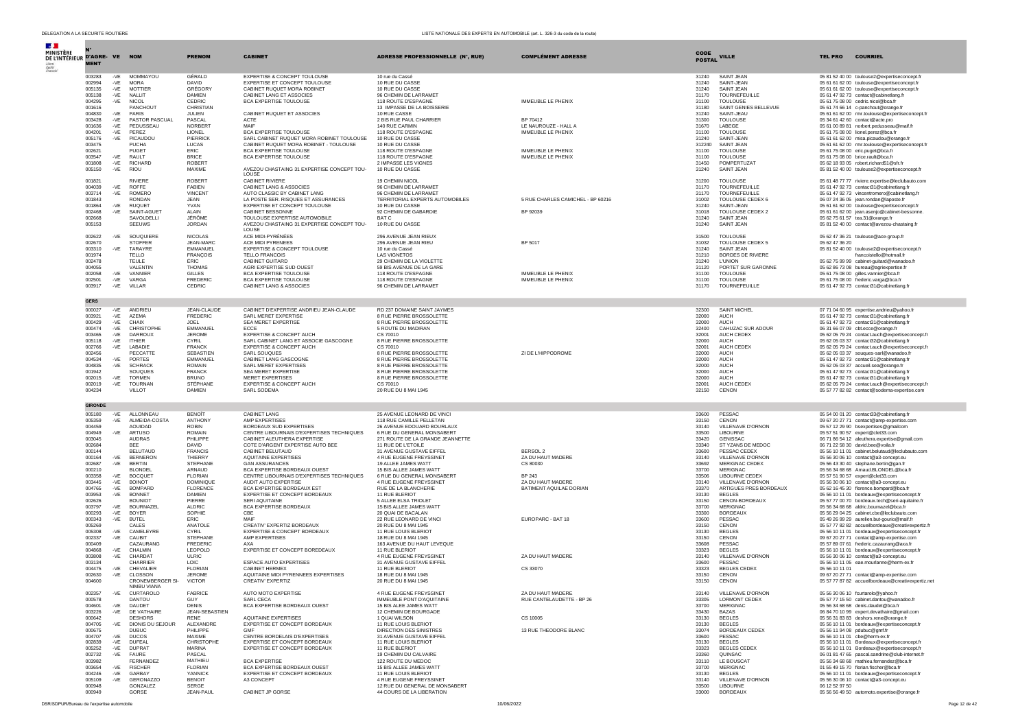| $\mathcal{A}$ .<br><b>MINISTÈRI</b><br>DE L'INTÉRIEUR D'AGRE- VE NOM |                       |                |                                    | <b>PRENOM</b>                         | <b>CABINET</b>                                                            | <b>ADRESSE PROFESSIONNELLE (N°, RUE)</b>                  | <b>COMPLÉMENT ADRESSE</b>                       | CODE           | <b>VILLE</b>                               | <b>COURRIEL</b><br><b>TEL PRO</b>                                                              |
|----------------------------------------------------------------------|-----------------------|----------------|------------------------------------|---------------------------------------|---------------------------------------------------------------------------|-----------------------------------------------------------|-------------------------------------------------|----------------|--------------------------------------------|------------------------------------------------------------------------------------------------|
|                                                                      | <b>MENT</b>           |                |                                    |                                       |                                                                           |                                                           |                                                 | <b>POSTAL</b>  |                                            |                                                                                                |
|                                                                      | 003283<br>002994      | -VE<br>$-VE$   | MOMMAYOU<br><b>MORA</b>            | GÉRALD<br><b>DAVID</b>                | EXPERTISE & CONCEPT TOULOUSE<br>EXPERTISE ET CONCEPT TOULOUSE             | 10 rue du Cassé<br>10 RUE DU CASSE                        |                                                 | 31240<br>31240 | <b>SAINT JEAN</b><br>SAINT-JEAN            | 05 81 52 40 00 toulouse2@expertiseconcept.fr<br>05 61 61 62 00 toulouse@expertiseconcept.fr    |
|                                                                      | 005135<br>005138      | -VE<br>$-VE$   | <b>MOTTIER</b><br>NALLIT           | GRÉGORY<br><b>DAMIEN</b>              | CABINET RUQUET MORA ROBINET<br>CABINET LANG ET ASSOCIES                   | 10 RUE DU CASSE<br>96 CHEMIN DE LARRAMET                  |                                                 | 31240<br>31170 | SAINT JEAN<br><b>TOURNEFEUILLE</b>         | 05 61 61 62 00 toulouse@expertiseconcept.fr<br>05 61 47 92 73 contact@cabinetlang.fr           |
|                                                                      | 004295<br>001616      | -VE            | <b>NICOL</b><br>PANCHOUT           | CEDRIC<br>CHRISTIAN                   | <b>BCA EXPERTISE TOULOUSE</b>                                             | 118 ROUTE D'ESPAGNE<br>13 IMPASSE DE LA BOISSERIE         | <b>IMMEUBLE LE PHENIX</b>                       | 31100<br>31180 | <b>TOULOUSE</b><br>SAINT GENIES BELLEVUE   | 05 61 75 08 00 cedric.nicol@bca.fr                                                             |
|                                                                      | 004830                | $-VE$          | PARIS                              | <b>JULIEN</b>                         | CABINET RUQUET ET ASSOCIES                                                | 10 RUE CASSE                                              |                                                 | 31240          | SAINT-JEAU                                 | 05 61 74 66 14 c-panchout@orange.fr<br>05 61 61 62 00 rmr.toulouse@expertiseconcept.fr         |
|                                                                      | 003428<br>001636      | -VE<br>-VE     | PASTOR PASCUAL<br>PEDUSSEAU        | PASCAL<br>NORBERT                     | <b>ACTE</b><br>MAIF                                                       | 2 BIS RUE PAUL CHARRIER<br>140 RUE CARMIN                 | BP 70412<br>LE NAUROUZE - HALL A                | 31300<br>31670 | <b>TOULOUSE</b><br>LABEGE                  | 05 34 61 42 60 contact@acte.pro<br>05 61 00 89 81 norbert.pedusseau@maif.fr                    |
|                                                                      | 004201<br>005176      | $-VE$<br>-VE   | PEREZ<br>PICAUDOU                  | LIONEL<br>PIERRICK                    | BCA EXPERTISE TOULOUSE<br>SARL CABINET RUQUET MORA ROBINET TOULOUSE       | 118 ROUTE D'ESPAGNE<br>10 RUE DU CASSE                    | IMMEUBLE LE PHENIX                              | 31100<br>31240 | <b>TOULOUSE</b><br>SAINT-JEAN              | 05 61 75 08 00 lionel.perez@bca.fr<br>05 61 61 62 00 misa.picaudou@orange.fr                   |
|                                                                      | 003475                |                | PUCHA                              | LUCAS                                 | CABINET RUQUET MORA ROBINET - TOULOUSE                                    | 10 RUE DU CASSE                                           |                                                 | 312240         | SAINT JEAN                                 | 05 61 61 62 00 rmr.toulouse@expertiseconcept.fr                                                |
|                                                                      | 002621<br>003547      | $-VE$          | PUGET<br>RAULT                     | FRIC.<br><b>BRICE</b>                 | BCA EXPERTISE TOULOUSE<br>BCA EXPERTISE TOULOUSE                          | 118 ROUTE D'ESPAGNE<br>118 ROUTE D'ESPAGNE                | <b>IMMEUBLE LE PHENIX</b><br>IMMEUBLE LE PHENIX | 31100<br>31100 | <b>TOULOUSE</b><br>TOULOUSE                | 05 61 75 08 00 eric.puget@bca.fr<br>05 61 75 08 00 brice.rault@bca.fr                          |
|                                                                      | 001808<br>005150      | $-VE$<br>-VE   | RICHARD<br><b>RIOU</b>             | ROBERT<br>MAXIME                      | AVEZOU CHASTAING 31 EXPERTISE CONCEPT TOU-<br>LOUSE                       | 2 IMPASSE LES VIGNES<br>10 RUE DU CASSE                   |                                                 | 31450<br>31240 | POMPERTUZAT<br>SAINT JEAN                  | 05 62 18 93 05 robert.richard51@sfr.fr<br>05 81 52 40 00 toulouse2@expertiseconcept.fr         |
|                                                                      | 001821<br>004039      | -VF            | <b>RIVIERE</b><br><b>ROFFE</b>     | ROBERT<br>FARIEN                      | CABINET RIVIERE<br>CABINET LANG & ASSOCIES                                | 19 CHEMIN NICOL<br>96 CHEMIN DE LARRAMET                  |                                                 | 31200<br>31170 | TOULOUSE<br><b>TOURNEEEUILLE</b>           | 05 61 48 77 77 riviere.expertise@leclubauto.com<br>05 61 47 92 73 contact31@cabinetlang.fr     |
|                                                                      | 003714<br>001843      | -VE            | <b>ROMERC</b><br><b>RONDAN</b>     | <b>VINCENT</b><br><b>JEAN</b>         | AUTO CLASSIC BY CABINET LANG<br>LA POSTE SER. RISOUES ET ASSURANCES       | 96 CHEMIN DE LARRAMET<br>TERRITORIAL EXPERTS AUTOMOBILES  | 5 RUE CHARLES CAMICHEL - BP 60216               | 31170<br>31002 | TOURNEFEUILLE<br>TOULOUSE CEDEX 6          | 05 61 47 92 73 vincentromero@cabinetlang.fr<br>06 07 24 36 05 jean.rondan@laposte.fr           |
|                                                                      | 001864                | $-VE$          | <b>RUOUET</b>                      | YVAN                                  | EXPERTISE ET CONCEPT TOULOUSE                                             | 10 RUE DU CASSE                                           |                                                 | 31240          | SAINT-JEAN                                 | 05 61 61 62 00 toulouse@expertiseconcept.fr                                                    |
|                                                                      | 002468<br>002668      | -VE            | SAINT-AGUE<br>SAVOLDELLI           | ALAIN<br>JÉRÔME                       | <b>CABINET BESSONNE</b><br>TOULOUSE EXPERTISE AUTOMOBILE                  | 92 CHEMIN DE GABARDIE<br>BAT C                            | BP 92039                                        | 31018<br>31240 | <b>TOULOUSE CEDEX 2</b><br>SAINT JEAN      | 05 61 61 62 00 jean.asenjo@cabinet-bessonne.<br>05 62 75 61 57 tea.31@orange.fr                |
|                                                                      | 005153                |                | SEEUWS                             | <b>JORDAN</b>                         | AVEZOU CHASTAING 31 EXPERTISE CONCEPT TOU-<br>LOUSE                       | 10 RUE DU CASSE                                           |                                                 | 31240          | SAINT JEAN                                 | 05 81 52 40 00 contact@avezou-chastaing.fr                                                     |
|                                                                      | 002622                | -VE            | SOUQUIERE                          | <b>NICOLAS</b>                        | ACE MIDI-PYRÉNÉES                                                         | 296 AVENUE JEAN RIEUX                                     |                                                 | 31500          | <b>TOULOUSE</b>                            | 05 62 47 36 21 toulouse@ace-group.fr                                                           |
|                                                                      | 002670<br>003310      | -VE            | <b>STOFFER</b><br><b>TARAYRE</b>   | JEAN-MARC<br><b>EMMANUEL</b>          | ACE MIDI PYRENEES<br>EXPERTISE & CONCEPT TOULOUSE                         | 296 AVENUE JEAN RIEU<br>10 rue du Cassé                   | BP 5017                                         | 31032<br>31240 | TOULOUSE CEDEX 5<br>SAINT JEAN             | 05 62 47 36 20<br>05 81 52 40 00 toulouse2@expertiseconcept.fr                                 |
|                                                                      | 001974<br>002478      |                | TELLO<br>TEULE                     | <b>FRANÇOIS</b><br>ÉRIC               | TELLO FRANCOIS<br>CABINET GUITARD                                         | <b>LAS VIGNETOS</b><br>29 CHEMIN DE LA VIOLETTE           |                                                 | 31210<br>31240 | <b>BORDES DE RIVIERE</b><br><b>L'UNION</b> | francoistello@hotmail.fr<br>05 62 75 99 99 cabinet-guitard@wanadoo.fr                          |
|                                                                      | 004055<br>002058      | -VE            | VALENTIN<br>VANNIER                | <b>THOMAS</b><br><b>GILLES</b>        | AGRI EXPERTISE SUD OUEST<br>BCA EXPERTISE TOULOUSE                        | 59 BIS AVENUE DE LA GARE<br>118 ROUTE D'ESPAGNE           | <b>IMMEUBLE LE PHENIX</b>                       | 31120<br>31100 | PORTET SUR GARONNE<br><b>TOULOUSE</b>      | 05 62 86 73 08 bureau@agriexpertise.fr<br>05 61 75 08 00 gilles.vannier@bca.fr                 |
|                                                                      | 002501                | -VE            | VARGA<br>-VE VILLAR                | <b>FREDERIC</b>                       | BCA EXPERTISE TOULOUSE                                                    | 118 ROUTE D'ESPAGNE                                       | <b>IMMEUBLE LE PHENIX</b>                       | 31100          | TOULOUSE<br><b>TOURNEFEUILLE</b>           | 05 61 75 08 00 frederic.varga@bca.fr                                                           |
|                                                                      | 003917<br><b>GERS</b> |                |                                    | CEDRIC                                | CABINET LANG & ASSOCIES                                                   | 96 CHEMIN DE LARRAMET                                     |                                                 | 31170          |                                            | 05 61 47 92 73 contact31@cabinetlang.fr                                                        |
|                                                                      | 000027                |                | -VE ANDRIEU                        | JEAN-CLAUDE                           | CABINET D'EXPERTISE ANDRIEU JEAN-CLAUDE                                   | RD 237 DOMAINE SAINT JAYMES                               |                                                 | 32300          | SAINT MICHEL                               | 07 71 04 60 95 expertise.andrieu@yahoo.fr                                                      |
|                                                                      | 003921<br>000429      | -VE<br>$-VE$   | AZEMA<br>CHAIX                     | <b>FREDERIC</b><br>JOEL               | SARL MERET EXPERTISE<br>SEA MERET EXPERTISE                               | 8 RUE PIERRE BROSSOLETTE<br>8 RUE PIERRE BROSSOLETTE      |                                                 | 32000<br>32000 | <b>AUCH</b><br><b>AUCH</b>                 | 05 61 47 92 73 contact31@cabinetlang.fr<br>05 61 47 92 73 contact31@cabinetlang.fr             |
|                                                                      | 000474                | $-VE$          | CHRISTOPHE                         | EMMANUEL                              | <b>ECCE</b>                                                               | 5 ROUTE DU MADIRAN                                        |                                                 | 32400          | CAHUZAC SUR ADOUR                          | 06 31 66 07 09 cbt.ecce@orange.fr                                                              |
|                                                                      | 003465<br>005118      | -VE<br>$-VE$   | <b>DARROUX</b><br><b>ITHIER</b>    | <b>JEROME</b><br>CYRIL                | EXPERTISE & CONCEPT AUCH<br>SARL CABINET LANG ET ASSOCIE GASCOGNE         | CS 70010<br>8 RUE PIERRE BROSSOLETTE                      |                                                 | 32001<br>32000 | AUCH CEDEX<br><b>AUCH</b>                  | 05 62 05 79 24 contact.auch@expertiseconcept.fr<br>05 62 05 03 37 contact32@cabinetlang.fr     |
|                                                                      | 002766<br>002456      | -VE            | LABADIE<br>PECCATTE                | <b>FRANCK</b><br><b>SEBASTIEN</b>     | EXPERTISE & CONCEPT AUCH<br>SARL SOUQUES                                  | CS 70010<br>8 RUE PIERRE BROSSOLETTE                      | ZI DE L'HIPPODROME                              | 32001<br>32000 | AUCH CEDEX<br>AUCH                         | 05 62 05 79 24 contact.auch@expertiseconcept.fr<br>05 62 05 03 37 souques-sarl@wanadoo.fr      |
|                                                                      | 004534<br>004835      | $-VE$          | PORTES<br><b>SCHRACK</b>           | <b>EMMANUEL</b><br><b>ROMAIN</b>      | CABINET LANG GASCOGNE<br>SARL MERET EXPERTISES                            | 8 RUE PIERRE BROSSOLETTE<br>8 RUE PIERRE BROSSOLETTE      |                                                 | 32000          | <b>AUCH</b>                                | 05 61 47 92 73 contact31@cabinetlang.fr                                                        |
|                                                                      | 001942                | -VE            | SOUQUES                            | <b>FRANCK</b>                         | SEA MERET EXPERTISE                                                       | 8 RUE PIERRE BROSSOLETTE                                  |                                                 | 32000<br>32000 | <b>AUCH</b><br><b>AUCH</b>                 | 05 62 05 03 37 accueil.sea@orange.fr<br>05 61 47 92 73 contact31@cabinetlang.fr                |
|                                                                      | 002015<br>002019      | -VF<br>-VE     | <b>TORMEN</b><br>TOURNAN           | <b>BRUNO</b><br>STÉPHANE              | MERET EXPERTISES<br>EXPERTISE & CONCEPT AUCH                              | 8 RUE PIERRE BROSSOLETTE<br>CS 70010                      |                                                 | 32000<br>32001 | AUCH<br>AUCH CEDEX                         | 05 61 47 92 73 contact31@cabinetlang.fr<br>05 62 05 79 24 contact.auch@expertiseconcept.fr     |
|                                                                      | 004234                |                | VILLOT                             | <b>DAMIEN</b>                         | SARL SODEMA                                                               | 20 RUE DU 8 MAI 1945                                      |                                                 | 32150          | CENON                                      | 05 57 77 82 82 contact@sodema-expertise.com                                                    |
|                                                                      | <b>GIRONDE</b>        |                |                                    |                                       |                                                                           |                                                           |                                                 |                |                                            |                                                                                                |
|                                                                      | 005180<br>005359      | -VE            | -VE ALLONNEAU<br>ALMEIDA-COSTA     | <b>BENOÎT</b><br>ANTHONY              | <b>CABINET LANG</b><br>AMP EXPERTISES                                     | 25 AVENUE LEONARD DE VINCI<br>118 RUE CAMILLE PELLETAN    |                                                 | 33600<br>33150 | PESSAC<br>CENON                            | 05 54 00 01 20 contact33@cabinetlang.fr<br>09 67 20 27 71 contact@amp-expertise.com            |
|                                                                      | 004459<br>004949      | -VE            | AOUIDAD<br>ARTUSO                  | <b>ROBIN</b><br><b>ROMAIN</b>         | BORDEAUX SUD EXPERTISES<br>CENTRE LIBOURNAIS D'EXPERTISES TECHNIQUES      | 26 AVENUE EDOUARD BOURLAUX<br>6 RUE DU GENERAL MONSABERT  |                                                 | 33140<br>33500 | VILLENAVE D'ORNON<br>LIBOURNE              | 05 57 12 29 90 bsexpertises@gmailcom<br>05 57 51 90 57 expert@clet33.com                       |
|                                                                      | 003045<br>002684      |                | AUDRAS<br><b>BEE</b>               | PHILIPPE<br><b>DAVID</b>              | CABINET ALEUTHERA EXPERTISE<br>COTE D'ARGENT EXPERTISE AUTO BEE           | 271 ROUTE DE LA GRANDE JEANNETTE<br>11 RUE DE L'ETOILE    |                                                 | 33420<br>33340 | <b>GENISSAC</b><br>ST YZANS DE MEDOC       | 06 71 86 54 12 aleuthera.expertise@gmail.com<br>06 71 22 58 30 david.bee@voila.fr              |
|                                                                      | 000144                |                | <b>BELUTAUD</b>                    | <b>FRANCIS</b>                        | CABINET BELUTAUD                                                          | 31 AVENUE GUSTAVE EIFFEL                                  | BERSOL 2                                        | 33600          | PESSAC CEDEX                               | 05 56 10 11 01 cabinet.belutaud@leclubauto.com                                                 |
|                                                                      | 000164<br>002687      | -VE<br>-VE     | <b>BERNERON</b><br><b>BERTIN</b>   | THIERRY<br>STEPHANE                   | AQUITAINE EXPERTISES<br><b>GAN ASSURANCES</b>                             | 4 RUE EUGENE FREYSSINET<br>19 ALLEE JAMES WATT            | ZA DU HAUT MADERE<br>CS 80030                   | 33140<br>33692 | VILLENAVE D'ORNON<br><b>MERIGNAC CEDEX</b> | 05 56 30 06 10 contact@a3-concept.eu<br>05 56 43 30 40 stephane.bertin@gan.fr                  |
|                                                                      | 000210<br>003358      | $-VE$          | <b>BLONDEL</b><br><b>BOCQUET</b>   | ARNAUD<br><b>FLORIAN</b>              | BCA EXPERTISE BORDEAUX OUEST<br>CENTRE LIBOURNAIS D'EXPERTISES TECHNIQUES | 15 BIS ALLEE JAMES WATT<br>6 RUE DU GENERAL MONSABERT     | <b>BP 243</b>                                   | 33700<br>33506 | <b>MERIGNAC</b><br>LIBOURNE CEDEX          | 05 56 34 68 68 Arnaud.BLONDEL@bca.fr<br>05 57 51 90 57 expert@clet33.com                       |
|                                                                      | 003445                | -VE            | <b>BOINOT</b>                      | <b>DOMINIQUE</b>                      | AUDIT AUTO EXPERTISE                                                      | 4 RUE EUGENE FREYSSINET                                   | ZA DU HAUT MADERE                               | 33140          | VILLENAVE D'ORNON                          | 05 56 30 06 10 contact@a3-concept.eu                                                           |
|                                                                      | 004765<br>003953      | $-VE$<br>-VE   | <b>BOMPARD</b><br><b>BONNET</b>    | <b>FLORENCE</b><br><b>DAMIEN</b>      | BCA EXPERTISE BORDEAUX EST<br>EXPERTISE ET CONCEPT BORDEAUX               | RUE DE LA BLANCHERIE<br>11 RUE BLERIOT                    | BATIMENT AQUILAE DORIAN                         | 33370<br>33130 | ARTIGUES PRES BORDEAUX<br><b>BEGLES</b>    | 05 62 16 45 30 florence.bompard@bca.fr<br>05 56 10 11 01 bordeaux@expertiseconcept.fr          |
|                                                                      | 002626<br>003797      | $-VE$          | <b>BOUNIOT</b><br>BOURNAZEL        | PIERRE<br><b>ALDRIC</b>               | SERI AQUITAINE<br>BCA EXPERTISE BORDEAUX                                  | 5 ALLEE ELSA TRIOLET<br>15 BIS ALLEE JAMES WATT           |                                                 | 33150<br>33700 | CENON-BORDEAUX<br>MERIGNAC                 | 05 57 77 00 70 bordeaux.tech@seri-aquitaine.fr<br>05 56 34 68 68 aldric.bournazel@bca.fr       |
|                                                                      | 000293<br>000343      | $-VE$<br>$-VE$ | <b>BOYER</b><br><b>BUTEL</b>       | SOPHIE<br>FRIC.                       | CBE<br>MAIF                                                               | 20 OUAI DE BACALAN<br>22 RUE LEONARD DE VINCI             | EUROPARC - BAT 18                               | 33300<br>33600 | <b>BORDEAUX</b><br>PESSAC                  | 05 56 29 04 25 cabinet.cbe@leclubauto.com<br>05 49 26 99 29 aurelien.but-gourio@maif.fr        |
|                                                                      | 005269                |                | CALES                              | ANATOLE                               | CREATIV' EXPERTIZ BORDEAUX                                                | 20 RUE DU 8 MAI 1945                                      |                                                 | 33150          | CENON                                      | 05 57 77 82 82 accueilbordeaux@creativexpertiz.fr                                              |
|                                                                      | 005308<br>002337      | $-VE$<br>-VE   | CAMELEYRE<br>CAUBIT                | <b>CYRIL</b><br>STEPHANE              | EXPERTISE & CONCEPT BORDEAUX<br>AMP EXPERTISES                            | 11 RUE LOUIS BLERIOT<br>18 RUE DU 8 MAI 1945              |                                                 | 33130<br>33150 | <b>BEGLES</b><br>CENON                     | 05 56 10 11 01 bordeaux@expertiseconcept.fr<br>09 67 20 27 71 contact@amp-expertise.com        |
|                                                                      | 000409<br>004868      | $-VE$          | CAZAURANG<br>CHALMIN               | <b>FREDERIC</b><br>LEOPOLD            | AXA<br>EXPERTISE ET CONCEPT BOREDEAUX                                     | 163 AVENUE DU HAUT LEVEQUE<br><b>11 RUE BLERIOT</b>       |                                                 | 33608<br>33323 | PESSAC<br><b>BEGLES</b>                    | 05 57 89 07 61 frederic.cazaurang@axa.fr<br>05 56 10 11 01 bordeaux@expertiseconcept.fr        |
|                                                                      | 003808<br>003134      | -VE            | CHARDAT<br>CHARRIER                | ULRIC<br>LOIC                         |                                                                           | 4 RUE EUGENE FREYSSINET                                   | ZA DU HAUT MADERE                               | 33140<br>33600 | VILLENAVE D'ORNON<br>PESSAC                | 05 56 30 06 10 contact@a3-concept.eu                                                           |
|                                                                      | 004475                | $-VF$          | CHEVALIER                          | <b>FLORIAN</b>                        | ESPACE AUTO EXPERTISES<br>CABINET HERMEX                                  | 31 AVENUE GUSTAVE EIFFEL<br>11 RUE BLERIOT                | CS 33070                                        | 33323          | <b>BEGLES CEDEX</b>                        | 05 56 10 11 05 eae.mourlanne@herm-ex.fr<br>05 56 10 11 01                                      |
|                                                                      | 002630<br>004600      | $-VE$          | CLOSSON<br><b>CRONEMBERGER SI-</b> | <b>JEROME</b><br><b>VICTOR</b>        | AQUITAINE MIDI PYRENNEES EXPERTISES<br>CREATIV' EXPERTIZ                  | 18 RUE DU 8 MAI 1945<br>20 RUE DU 8 MAI 1945              |                                                 | 33150<br>33150 | CENON<br>CENON                             | 09 67 20 27 71 contact@amp-expertise.com<br>05 57 77 87 82 accueilbordeaux@creativexpertiz.net |
|                                                                      | 002357                | $-VE$          | NIMBU VIANA<br>CURTAROLO           | FABRICE                               | AUTO MOTO EXPERTISE                                                       | 4 RUE EUGENE FREYSSINET                                   | ZA DU HAUT MADERE                               | 33140          | VILLENAVE D'ORNON                          | 05 56 30 06 10 fcurtarolo@yahoo.fr                                                             |
|                                                                      | 000578                |                | <b>DANTOU</b>                      | GUY                                   | SARL CECA                                                                 | IMMEUBLE PONT D'AQUITAINE                                 | RUE CANTELAUDETTE - BP 26                       | 33305          | LORMONT CEDEX                              | 05 57 77 15 50 cabinet dantou@wanadoo.fr                                                       |
|                                                                      | 004601<br>003226      | -VE<br>$-VE$   | <b>DAUDET</b><br>DE VATHAIRE       | <b>DENIS</b><br><b>JEAN-SEBASTIEN</b> | BCA EXPERTISE BORDEAUX OUEST                                              | 15 BIS ALEE JAMES WATT<br>12 CHEMIN DE BOURGADE           |                                                 | 33700<br>33430 | <b>MERIGNAC</b><br><b>BAZAS</b>            | 05 56 34 68 68 denis.daudet@bca.fr<br>06 84 70 10 99 expert.devathaire@gmail.com               |
|                                                                      | 000642<br>004705      | -VE            | <b>DESHORS</b><br>DIONIS DU SEJOUR | <b>RENE</b><br>ALEXANDRE              | AQUITAINE EXPERTISES<br>EXPERTISE ET CONCEPT BORDEAUX                     | 1 OUAI WILSON<br>11 RUE LOUIS BLERIOT                     | CS 10005                                        | 33130<br>33130 | <b>BEGLES</b><br><b>BEGLES</b>             | 05.56.31.83.83 deshors.rene@orange.fr<br>05 56 10 11 01 bordeaux@expertiseconcept.fr           |
|                                                                      | 000675                |                | <b>DUBUC</b>                       | PHILIPPE                              | <b>GMF</b>                                                                | DIRECTION DES SINISTRES                                   | 13 RUE THEODORE BLANC                           | 33074          | BORDEAUX CEDEX                             | 05 56 11 94 08 pdubuc@gmf.fr                                                                   |
|                                                                      | 004707<br>002839      | $-VE$<br>-VE   | <b>DUCOS</b><br>DUFEAL             | MAXIME<br>CHRISTOPHE                  | CENTRE BORDELAIS D'EXPERTISES<br>EXPERTISE ET CONCEPT BORDEAUX            | 31 AVENUE GUSTAVE EIFFEL<br>11 RUE LOUIS BLERIOT          |                                                 | 33600<br>33130 | PESSAC<br><b>BEGLES</b>                    | 05 56 10 11 01 cbe@herm-ex.fr<br>05 56 10 11 01 Bordeaux@expertiseconcept.fr                   |
|                                                                      | 005252<br>002732      | $-VE$<br>-VE   | <b>DUPRAT</b><br><b>FAURE</b>      | MARINA<br><b>PASCAL</b>               | EXPERTISE ET CONCEPT BORDEAUX                                             | 11 RUE BLERIOT<br>19 CHEMIN DU CALVAIRE                   |                                                 | 33323<br>33360 | <b>BEGLES CEDEX</b><br>OUINSAC             | 05 56 10 11 01 Bordeaux@expertiseconcept.fr<br>06 01 81 47 65 pascal.sandrine@club-internet.fr |
|                                                                      | 003982                |                | FERNANDEZ                          | MATHIEU                               | <b>BCA EXPERTISE</b>                                                      | 122 ROUTE DU MEDOC                                        |                                                 | 33110          | LE BOUSCAT                                 | 05 56 34 68 68 mathieu.fernandez@bca.fr                                                        |
|                                                                      | 003654<br>004246      | $-VE$<br>$-VF$ | <b>FISCHER</b><br>GARBAY           | <b>FLORIAN</b><br>YANNICK             | BCA EXPERTISE BORDEAUX OUEST<br>EXPERTISE ET CONCEPT BORDEAUX             | 15 BIS ALLEE JAMES WATT<br>11 RUE LOUIS BLERIOT           |                                                 | 33700<br>33130 | <b>MERIGNAC</b><br><b>BEGLES</b>           | 01 55 49 15 70 florian.fischer@bca.fr<br>05 56 10 11 01 bordeaux@expertiseconcept.fr           |
|                                                                      | 005109<br>000948      | -VE            | GERONAZZO<br>GONZALEZ              | <b>BENOIT</b><br>SERGE                | A3 CONCEPT                                                                | 4 RUE EUGENE FREYSSINET<br>12 RUE DU GENERAL DE MONSABERT |                                                 | 33140<br>33500 | VILLENAVE D'ORNON<br><b>LIBOURNE</b>       | 05 56 30 06 10 contact@a3-concept.eu<br>06 12 52 97 50                                         |
|                                                                      | 000949                |                | GORSE                              | JEAN-PAUL                             | CABINET JP GORSE                                                          | 44 COURS DE LA LIBERATION                                 |                                                 | 33000          | <b>BORDEAUX</b>                            | 05 56 56 49 50 automoto.expertise@orange.fr                                                    |

DSR/SDPUR/Bureau de l'expertise automobile 10/06/2022 Page 12 de 42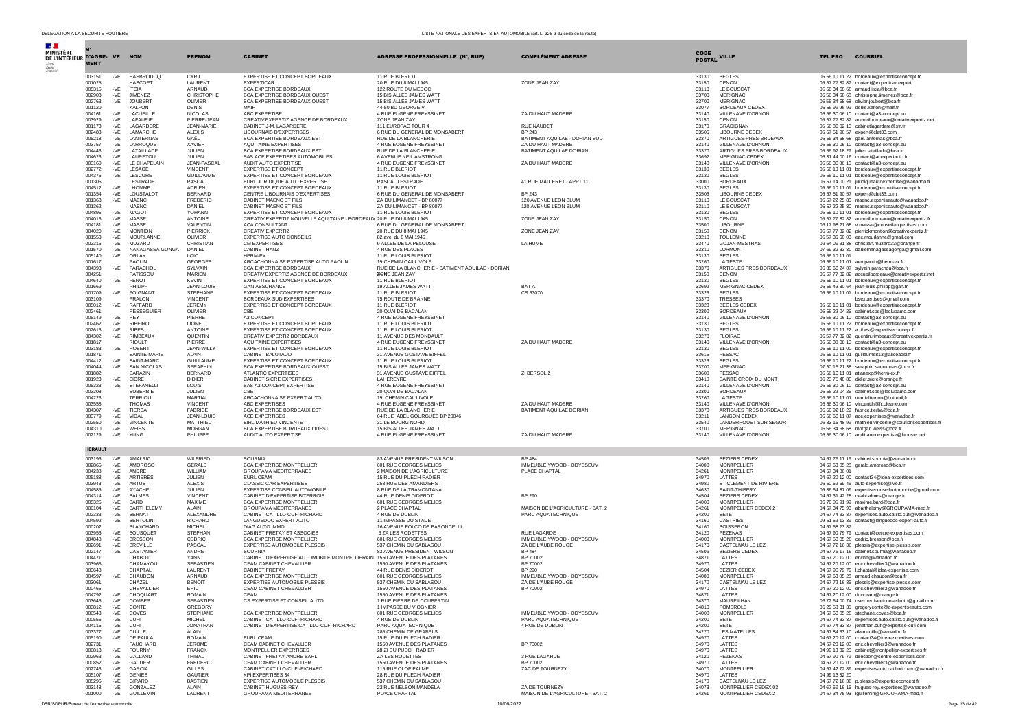| $\mathcal{A}$ .<br><b>MINISTÈRE</b><br>DE L'INTÉRIEUR D'AGRE- VE NOM | <b>MENT</b>      |              |                                    | <b>PRENOM</b>                    | <b>CABINET</b>                                                                               | <b>ADRESSE PROFESSIONNELLE (N°, RUE)</b>             | <b>COMPLÉMENT ADRESSE</b>                              | CODE<br><b>POSTAL</b> | <b>VILLE</b>                             | <b>TEL PRO</b> | <b>COURRIEL</b>                                                                                      |
|----------------------------------------------------------------------|------------------|--------------|------------------------------------|----------------------------------|----------------------------------------------------------------------------------------------|------------------------------------------------------|--------------------------------------------------------|-----------------------|------------------------------------------|----------------|------------------------------------------------------------------------------------------------------|
|                                                                      | 003151           | -VE          | <b>HASBROUCC</b>                   | CYRIL                            | EXPERTISE ET CONCEPT BORDEAUX                                                                | 11 RUE BLERIOT                                       |                                                        | 33130                 | <b>BEGLES</b>                            |                | 05 56 10 11 22 bordeaux@expertiseconcept.fr                                                          |
|                                                                      | 001025           |              | <b>HASCOET</b>                     | LAURENT                          | <b>EXPERTICAR</b>                                                                            | 20 RUE DU 8 MAI 1945                                 | ZONE JEAN ZAY                                          | 33150                 | CENON                                    |                | 05 57 77 82 82 contact@experticar.expert                                                             |
|                                                                      | 005315<br>002903 | -VE          | <b>ITCIA</b><br>-VE JIMENEZ        | ARNAUD<br>CHRISTOPHE             | BCA EXPERTISE BORDEAUX<br>BCA EXPERTISE BORDEAUX OUEST                                       | 122 ROUTE DU MEDOC<br>15 BIS ALLEE JAMES WATT        |                                                        | 33110<br>33700        | LE BOUSCAT<br><b>MERIGNAC</b>            |                | 05 56 34 68 68 arnaud.itcia@bca.fr<br>05 56 34 68 68 christophe.jimenez@bca.fr                       |
|                                                                      | 002763           | -VE          | JOUBERT                            | OLIVIER                          | BCA EXPERTISE BORDEAUX OUEST                                                                 | 15 BIS ALLEE JAMES WATT                              |                                                        | 33700                 | MERIGNAC.                                |                | 05 56 34 68 68 olivier.joubert@bca.fr                                                                |
|                                                                      | 001120           |              | KALFON                             | <b>DENIS</b>                     | MAIF                                                                                         | 44-50 BD GEORGE V                                    |                                                        | 33077                 | <b>BORDEAUX CEDEX</b>                    |                | 05 56 99 96 99 denis.kalfon@maif.fr                                                                  |
|                                                                      | 004161           | $-VE$        | LACUEILLE                          | <b>NICOLAS</b>                   | ABC EXPERTISE                                                                                | 4 RUE EUGENE FREYSSINET                              | ZA DU HAUT MADERE                                      | 33140                 | VILLENAVE D'ORNON                        |                | 05 56 30 06 10 contact@a3-concept.eu                                                                 |
|                                                                      | 003929<br>001173 | -VE<br>$-VE$ | <b>LAFAURIF</b><br>LAGARDERE       | PIERRE-JEAN<br><b>JEAN-MARIE</b> | CREATIV'EXPERTIZ AGENCE DE BORDEAUX<br>CABINET J-M. LAGARDERE                                | ZONE JEAN ZAY<br>111 EUROFAC TOUR 4                  | <b>RUE NAUDET</b>                                      | 33150<br>33170        | <b>CENON</b><br><b>GRADIGNAN</b>         |                | 05 57 77 82 82 accueilbordeaux@creativexpertiz.net<br>05 56 86 02 10 cabinetlagardere@sfr.fr         |
|                                                                      | 002488           | -VE          | LAMARCHE                           | <b>ALEXIS</b>                    | LIBOURNAIS D'EXPERTISES                                                                      | 6 RUE DU GENERAL DE MONSABERT                        | BP 243                                                 | 33506                 | LIBOURNE CEDEX                           |                | 05 57 51 90 57 expert@clet33.com                                                                     |
|                                                                      | 005218           | -VE          | LANTERNAS                          | GAËL                             | BCA EXPERTISE BORDEAUX EST                                                                   | RUE DE LA BLANCHERIE                                 | BATIMENT AQUILAE - DORIAN SUD                          | 33370                 | ARTIGUES-PRES-BRDEAUX                    |                | 05 56 34 68 68 gael.lanternas@bca.fr                                                                 |
|                                                                      | 003757           | -VE          | LARROOUE                           | XAVIER                           | <b>AOUITAINE EXPERTISES</b>                                                                  | 4 RUE EUGENE FREYSSINE®                              | ZA DU HAUT MADERE                                      | 33140                 | VILLENAVE D'ORNON                        |                | 05 56 30 06 10 contact@a3-concept.eu                                                                 |
|                                                                      | 004443<br>004623 | -VE<br>-VE   | LATAILLADE<br>LAURETOU             | JULIEN<br>JULIEN                 | BCA EXPERTISE BORDEAUX EST<br>SAS ACE EXPERTISES AUTOMOBILES                                 | RUE DE LA BLANCHERIE<br>6 AVENUE NEIL AMSTRONG       | BATIMENT AQUILAE DORIAN                                | 33370<br>33692        | ARTIGUES PRES BORDEAUX<br>MERIGNAC CEDEX |                | 05 56 92 18 29 julien.lataillade@bca.fr<br>06 31 44 00 16 contact@acexpertauto.fr                    |
|                                                                      | 003160           | $-VE$        | LE CHAPELAIN                       | <b>JEAN-PASCAL</b>               | AUDIT AUTO EXPERTISE                                                                         | 4 RUE EUGENE FREYSSINET                              | ZA DU HAUT MADERE                                      | 33140                 | VILLENAVE D'ORNON                        |                | 05.56.30.06.10 contact@a3-concent.eu                                                                 |
|                                                                      | 002772           | $-VE$        | LESAGE                             | <b>VINCENT</b>                   | <b>EXPERTISE ET CONCEPT</b>                                                                  | <b>11 RUE BLERIOT</b>                                |                                                        | 33130                 | <b>BEGLES</b>                            |                | 05 56 10 11 01 bordeaux@expertiseconcept.fr                                                          |
|                                                                      | 004375           | $-VE$        | LESCURE                            | <b>GUILLAUME</b>                 | EXPERTISE ET CONCEPT BORDEAUX                                                                | 11 RUE LOUIS BLERIOT                                 |                                                        | 33130                 | <b>BEGLES</b>                            |                | 05 56 10 11 01 bordeaux@expertiseconcept.fr                                                          |
|                                                                      | 001305           |              | LESTRADE<br>LHOMME                 | PASCAL<br><b>ADRIEN</b>          | EURL JURIDIOUE AUTO EXPERTISE                                                                | PASCAL LESTRADE                                      | 41 RUE MALLERET - APPT 11                              | 33000                 | <b>BORDEAUX</b>                          |                | 05 57 14 00 21 juridiqueautoexpertise@wanadoo.fr                                                     |
|                                                                      | 004512<br>001354 | -VE<br>$-VE$ | LOUSTALOT                          | <b>BERNARD</b>                   | EXPERTISE ET CONCEPT BORDEAUX<br>CENTRE LIBOURNAIS D'EXPERTISES                              | 11 RUE BLERIOT<br>6 RUE DU GENERAL DE MONSABERT      | <b>BP 243</b>                                          | 33130<br>33506        | <b>BEGLES</b><br>LIBOURNE CEDEX          |                | 05 56 10 11 01 bordeaux@expertiseconcept.fr<br>05 57 51 90 57 expert@clet33.com                      |
|                                                                      | 001363           | $-VE$        | MAENC                              | <b>FREDERIC</b>                  | CABINET MAENC ET FILS                                                                        | ZA DU LIMANCET - BP 80077                            | 120 AVENUE LEON BLUM                                   | 33110                 | LE BOUSCAT                               |                | 05 57 22 25 80 maenc.expertiseauto@wanadoo.fr                                                        |
|                                                                      | 001362           |              | MAENC                              | DANIEL                           | CABINET MAENC ET FILS                                                                        | ZA DU LIMANCET - BP 80077                            | 120 AVENUE LEON BLUM                                   | 33110                 | LE BOUSCAT                               |                | 05 57 22 25 80 maenc.expertiseauto@wanadoo.fr                                                        |
|                                                                      | 004895           | $-VE$        | MAGO <sup>-</sup>                  | YOHANN                           | EXPERTISE ET CONCEPT BORDEAUX                                                                | 11 RUE LOUIS BLERIOT                                 |                                                        | 33130                 | <b>BEGLES</b>                            |                | 05 56 10 11 01 bordeaux@expertiseconcept.fr                                                          |
|                                                                      | 004015<br>004181 | -VE<br>-VE   | MASSE<br>MASSE                     | ANTOINE<br>VALENTIN              | CREATIV EXPERTIZ NOUVELLE AQUITAINE - BORDEAUX 20 RUE DU 8 MAI 1945<br><b>ACA CONSULTANT</b> | 6 RUE DU GENERAL DE MONSABERT                        | ZONE JEAN ZAY                                          | 33150<br>33500        | <b>CENON</b><br>LIBOURNE                 |                | 05 57 77 82 82 accueilbordeaux@creativexpertiz.fr<br>06 17 98 21 68 v.masse@conseil-expertises.com   |
|                                                                      | 004020           | -VE          | <b>MONTION</b>                     | PIERRICK                         | CREATIV EXPERTIZ                                                                             | 20 RUE DU 8 MAI 1945                                 | ZONE JEAN ZAY                                          | 33150                 | <b>CENON</b>                             |                | 05 57 77 82 82 pierrickmontion@creativexpertiz.fr                                                    |
|                                                                      | 001553           | -VE          | MOURLANNE                          | <b>OLIVIER</b>                   | <b>EXPERTISE AUTO CONSEILS</b>                                                               | 82 ave. du 8 MAI 1945                                |                                                        | 33210                 | <b>TOULENNE</b>                          |                | 05 57 36 60 03 eac.mourlanne@gmail.com                                                               |
|                                                                      | 002316           | -VE          | MUZARD                             | CHRISTIAN                        | <b>CM EXPERTISES</b>                                                                         | 9 ALLEE DE LA PELOUSE                                | LA HUME                                                | 33470                 | <b>GUJAN-MESTRAS</b>                     |                | 09 64 09 31 88 christian.muzard33@orange.fr                                                          |
|                                                                      | 001570           |              | -VE NANAGASSA GONGA                | DANIEL                           | CABINET HANZ<br><b>HERM-EX</b>                                                               | 4 RUE DES PLACES                                     |                                                        | 33310                 | LORMONT                                  |                | 07 69 32 33 80 danielnanagassagonga@gmail.com                                                        |
|                                                                      | 005140<br>001617 | -VE          | ORLAY<br>PAOLIN                    | LOIC<br><b>GEORGES</b>           | ARCACHONNAISE EXPERTISE AUTO PAOLIN                                                          | 11 RUE LOUIS BLERIOT<br><b>19 CHEMIN CAILLIVOLE</b>  |                                                        | 33130<br>33260        | <b>BEGLES</b><br><b>LA TESTE</b>         | 05 56 10 11 01 | 05 56 10 11 01 aeo.paolin@herm-ex.fr                                                                 |
|                                                                      | 004393           |              | -VE PARACHOU                       | SYI VAIN                         | BCA EXPERTISE BORDEAUX                                                                       | RUE DE LA BLANCHERIE - BATIMENT AQUILAE - DORIAN     |                                                        | 33370                 | ARTIGUES PRES BORDEAUX                   |                | 06 30 63 24 07 sylvain.parachou@bca.fr                                                               |
|                                                                      | 004251           |              | PATISSOU                           | <b>MARIEN</b>                    | CREATIV'EXPERTIZ AGENCE DE BORDEAUX                                                          | SODE JEAN ZAY                                        |                                                        | 33150                 | CENON                                    |                | 05 57 77 82 82 accueilbordeaux@creativexpertiz.net                                                   |
|                                                                      | 004640           | -VE          | PENOT                              | <b>KEVIN</b>                     | EXPERTISE ET CONCEPT BORDEAUX                                                                | 11 RUE BLERIO"                                       |                                                        | 33130                 | <b>BEGLES</b>                            |                | 05 56 10 11 01 bordeaux@expertiseconcept.fr                                                          |
|                                                                      | 001669<br>001709 |              | PHII IPP                           | JEAN-LOUIS<br><b>STEPHANE</b>    | <b>GAN ASSURANCE</b><br>EXPERTISE ET CONCEPT BORDEAUX                                        | 19 ALLEE JAMES WATT<br>11 RUE BLERIOT                | <b>BAT A</b><br>CS 33070                               | 33692                 | <b>MERIGNAC CEDEX</b><br><b>BEGLES</b>   |                | 05 56 43 30 64 jean-louis.philipp@gan.fr<br>05 56 10 11 01 bordeaux@expertiseconcept.fr              |
|                                                                      | 003109           |              | -VE POIGNANT<br>PRALON             | <b>VINCENT</b>                   | BORDEAUX SUD EXPERTISES                                                                      | 75 ROUTE DE BRANNE                                   |                                                        | 33323<br>33370        | <b>TRESSES</b>                           |                | bsexpertises@gmail.com                                                                               |
|                                                                      | 005012           | -VE          | RAFFARD                            | <b>JEREMY</b>                    | EXPERTISE ET CONCEPT BORDEAUX                                                                | 11 RUE BLERIOT                                       |                                                        | 33323                 | <b>BEGLES CEDEX</b>                      |                | 05 56 10 11 01 bordeaux@expertiseconcept.fr                                                          |
|                                                                      | 002461           |              | <b>RESSEGUIER</b>                  | OLIVIER                          | CBE                                                                                          | 20 QUAI DE BACALAN                                   |                                                        | 33300                 | <b>BORDEAUX</b>                          |                | 05 56 29 04 25 cabinet.cbe@leclubauto.com                                                            |
|                                                                      | 005149           | -VE          | <b>RFY</b>                         | PIFRRE                           | A3 CONCEPT                                                                                   | 4 RUE EUGENE FREYSSINET                              |                                                        | 33140                 | VILLENAVE D'ORNON                        |                | 05 56 30 06 10 contact@a3-concept.eu                                                                 |
|                                                                      | 002462<br>002615 | -VE          | <b>RIBEIRO</b><br>-VE RIBES        | LIONEL<br>ANTOINE                | EXPERTISE ET CONCEPT BORDEAUX<br>EXPERTISE ET CONCEPT BORDEAUX                               | 11 RUE LOUIS BLERIOT<br>11 RUE LOUIS BLERIOT         |                                                        | 33130<br>33130        | <b>BEGLES</b><br><b>BEGLES</b>           |                | 05 56 10 11 22 bordeaux@expertiseconcept.fr<br>05 56 10 11 22 a.ribes@expertiseconcept.fr            |
|                                                                      | 004302           | -VE          | RIMBEAUX                           | <b>OUENTIN</b>                   | CREATIV EXPERTIZ BORDEAUX                                                                    | 11 AVENUE DES MONDAULT                               |                                                        | 33270                 | <b>FLOIRAC</b>                           |                | 05 57 77 82 82 quentin.rimbeaux@creativexpertiz.fr                                                   |
|                                                                      | 001817           |              | <b>RIOULT</b>                      | PIERRE                           | AQUITAINE EXPERTISES                                                                         | 4 RUE EUGENE FREYSSINET                              | ZA DU HAUT MADERE                                      | 33140                 | VILLENAVE D'ORNON                        |                | 05 56 30 06 10 contact@a3-concept.eu                                                                 |
|                                                                      | 003183           | $-VE$        | ROBERT                             | JEAN-WILLY                       | EXPERTISE ET CONCEPT BORDEAUX                                                                | 11 RUE LOUIS BLERIOT                                 |                                                        | 33130                 | <b>BEGLES</b>                            |                | 05 56 10 11 00 bordeaux@expertiseconcept.fr                                                          |
|                                                                      | 001871<br>004412 | $-VE$        | SAINTE-MARIE<br>SAINT-MARC         | ALAIN<br><b>GUILLAUME</b>        | CABINET BALUTAUD<br>EXPERTISE ET CONCEPT BORDEAUX                                            | 31 AVENUE GUSTAVE EIFFEL<br>11 RUE LOUIS BLERIOT     |                                                        | 33615<br>33323        | PESSAC<br><b>BEGLES</b>                  |                | 05 56 10 11 01 quillaume813@aliceadsl.fr<br>05 56 10 11 22 bordeaux@expertiseconcept.fr              |
|                                                                      | 004044           | -VE          | SAN NICOLAS                        | <b>SERAPHIN</b>                  | BCA EXPERTISE BORDEAUX OUEST                                                                 | 15 BIS ALLEE JAMES WATT                              |                                                        | 33700                 | <b>MERIGNAC</b>                          |                | 07 50 15 21 38 seraphin.sannicolas@bca.fr                                                            |
|                                                                      | 001882           |              | SARAZIN                            | <b>BERNARD</b>                   | ATLANTIC EXPERTISES                                                                          | 31 AVENUE GUSTAVE EIFFEL                             | ZI BERSOL 2                                            | 33600                 | PESSAC                                   |                | 05 56 10 11 01 atlanexp@herm-ex.fr                                                                   |
|                                                                      | 001923           | -VE          | <b>SICRE</b>                       | <b>DIDIER</b>                    | CABINET SICRE EXPERTISES                                                                     | LAHEREYRE                                            |                                                        | 33410                 | SAINTE CROIX DU MONT                     |                | 06 23 75 48 83 didier.sicre@orange.fr                                                                |
|                                                                      | 005323<br>003308 | -VE          | STEFANELLI<br><b>SUBERBIE</b>      | LOUIS<br>JULIEN                  | SAS A3 CONCEPT EXPERTISE<br>CBE                                                              | 4 RUE EUGENE FREYSSINET<br>20 QUAI DE BACALAN        |                                                        | 33140<br>33300        | VILLENAVE D'ORNON<br><b>BORDEAUX</b>     |                | 05 56 30 06 10 contact@a3-concept.eu<br>05 56 29 04 25 cabinet.cbe@leclubauto.com                    |
|                                                                      | 004223           |              | <b>TERRIOU</b>                     | MARTIAL                          | ARCACHONNAISE EXPERT AUTO                                                                    | 19, CHEMIN CAILLIVOLE                                |                                                        | 33260                 | LA TESTE                                 |                | 05 56 10 11 01 martialterriou@hotmail.fr                                                             |
|                                                                      | 003558           |              | <b>THOMAS</b>                      | <b>VINCENT</b>                   | ABC EXPERTISES                                                                               | <b>4 RUE EUGENE FREYSSINET</b>                       | ZA DU HAUT MADERE                                      | 33140                 | VILLENAVE D'ORNON                        |                | 05 56 30 06 10 vincentth@fr.oleane.com                                                               |
|                                                                      | 004307           | $-VE$        | TIERBA                             | <b>FABRICE</b>                   | BCA EXPERTISE BORDEAUX EST                                                                   | RUE DE LA BLANCHERIE                                 | BATIMENT AQUILAE DORIAN                                | 33370                 | ARTIGUES PRÈS BORDEAUX                   |                | 05 56 92 18 29 fabrice.tierba@bca.fr                                                                 |
|                                                                      | 003779           | $-VE$        | VIDAL                              | <b>JEAN-LOUIS</b>                | ACE EXPERTISES                                                                               | 64 RUE ABEL GOURGUES BP 20046                        |                                                        | 33211                 | LANGON CEDEX                             |                | 05 56 63 11 87 ace.expertises@wanadoo.fr                                                             |
|                                                                      | 002550<br>004310 | -VE          | VINCENTE<br>-VE WEISS              | MATTHIEU<br><b>MORGAN</b>        | EIRL MATHIEU VINCENTE<br>BCA EXPERTISE BORDEAUX OUEST                                        | 31 LE BOURG NORD<br>15 BIS ALLEE JAMES WATT          |                                                        | 33540<br>33700        | LANDERROUET SUR SEGUR<br><b>MERIGNAC</b> |                | 06 83 15 48 99 mathieu.vincente@solutionsexpertises.fr<br>05 56 34 68 68 morgan.weiss@bca.fr         |
|                                                                      | 002129           |              | -VE YUNG                           | PHILIPPE                         | AUDIT AUTO EXPERTISE                                                                         | 4 RUE EUGENE FREYSSINET                              | ZA DU HAUT MADERE                                      | 33140                 | VILLENAVE D'ORNON                        |                | 05 56 30 06 10 audit.auto.expertise@laposte.net                                                      |
|                                                                      | <b>HÉRAULT</b>   |              |                                    |                                  |                                                                                              |                                                      |                                                        |                       |                                          |                |                                                                                                      |
|                                                                      | 003196           | -VE          | AMAL RIC                           | WILERIED                         | SOURNIA                                                                                      | 83 AVENUE PRESIDENT WILSON                           | <b>BP 484</b>                                          | 34506                 | <b>BEZIERS CEDEX</b>                     |                | 04 67 76 17 16 cabinet.soumia@wanadoo.fr                                                             |
|                                                                      | 002865           | -VE          | AMOROSC                            | <b>GERALD</b>                    | <b>BCA EXPERTISE MONTPELLIER</b>                                                             | 601 RUE GEORGES MELIES                               | IMMEUBLE YWOOD - ODYSSEUM                              | 34000                 | MONTPELLIER                              |                | 04 67 63 05 28 gerald.amoroso@bca.fr                                                                 |
|                                                                      | 004238<br>005188 | -VE<br>$-VE$ | ANDRE<br>ARTIERES                  | WILLIAM<br>JULIEN                | GROUPAMA MEDITERRANEE<br><b>EURL CEAM</b>                                                    | 2 MAISON DE L'AGRICULTURE<br>15 RUE DU PUECH RADIER  | PLACE CHAPTAL                                          | 34261<br>34970        | <b>MONTPELLIER</b><br><b>LATTES</b>      | 04 67 34 86 01 |                                                                                                      |
|                                                                      | 003943           | $-VE$        | ARTUS                              | ALEXIS                           | CLASSIC CAR EXPERTISES                                                                       | 258 RUE DES AMANDIERS                                |                                                        | 34980                 | ST CLEMENT DE RIVIERE                    |                | 04 67 20 12 00 contact34@idea-expertises.com<br>06 50 59 69 46 auto-expertise@live.fr                |
|                                                                      | 004586           | -VE          | <b>AYACHE</b>                      | JULIEN                           | <b>EXPERTISE CONSEIL AUTOMOBILE</b>                                                          | 8 RUE DE LA TRAMONTANA                               |                                                        | 34630                 | SAINT-THIRFRY                            |                | 06 86 64 87 09 expertiseconseilautomobile@gmail.com                                                  |
|                                                                      | 004314           | -VE          | <b>BALMES</b>                      | <b>VINCENT</b>                   | CABINET D'EXPERTISE BITERROIS                                                                | 44 RUE DENIS DIDEROT                                 | <b>BP 290</b>                                          | 34504                 | <b>BEZIERS CEDEX</b>                     |                | 04 67 31 42 28 ceabbalmes@orange.fr                                                                  |
|                                                                      | 005325           |              | -VE BARD                           | MAXIME                           | BCA EXPERTISE MONTPELLIER                                                                    | 601 RUE GEORGES MELIES                               |                                                        | 34000                 | <b>MONTPELLIER</b>                       |                | 06 76 05 91 99 maxime.bard@bca.fr                                                                    |
|                                                                      | 000104<br>002333 | $-VE$<br>-VE | <b>BARTHELEMY</b><br><b>BERNAT</b> | AI AIN<br>ALEXANDRE              | GROUPAMA MEDITERRANEE<br>CABINET CATILLO-CUFI-RICHARD                                        | 2 PLACE CHAPTAL<br>4 RUE DE DUBLIN                   | MAISON DE L'AGRICULTURE - BAT. 2<br>PARC AQUATECHNIQUE | 34261<br>34200        | MONTPELLIER CEDEX 2<br>SETE              |                | 04 67 34 75 93 abarthelemy@GROUPAMA-med.fr<br>04 67 74 33 87 expertises.auto.catillo.cufi@wanadoo.fr |
|                                                                      | 004592           | $-VE$        | <b>BERTOLINI</b>                   | RICHARD                          | LANGUEDOC EXPERT AUTO                                                                        | 11 IMPASSE DU STADE                                  |                                                        | 34160                 | CASTRIES                                 |                | 09 51 69 13 39 contact@languedoc-expert-auto.fr                                                      |
|                                                                      | 000202           |              | <b>BLANCHARD</b>                   | <b>MICHEL</b>                    | <b>DIAG AUTO IMMO</b>                                                                        | 16 AVENUE FOLCO DE BARONCELLI                        |                                                        | 34160                 | <b>BOISSERON</b>                         | 04 67 58 23 87 |                                                                                                      |
|                                                                      | 003956           | $-VE$        | <b>BOUSQUET</b>                    | <b>STEPHAN</b>                   | CABINET FRETAY ET ASSOCIÉS                                                                   | 6 ZA LES RODETTES                                    | RUE LAGARDE                                            | 34120                 | PEZENAS                                  |                | 04 67 90 79 79 contact@centre-expertises.com                                                         |
|                                                                      | 004848           |              | -VE BRESSON                        | CEDRIC                           | BCA EXPERTISE MONTPELLIER                                                                    | 601 RUE GEORGES MELIES                               | IMMEUBLE YWOOD - ODYSSEUM                              | 34000                 | <b>MONTPELLIER</b>                       |                | 04 67 63 05 28 cedric.bresson@bca.fr                                                                 |
|                                                                      | 002691<br>002147 | -VE<br>-VE   | <b>BREVILLE</b><br>CASTANIEF       | PASCAL<br>ANDRE                  | EXPERTISE AUTOMOBILE PLESSIS<br>SOURNIA                                                      | 537 CHEMIN DU SABLASOU<br>83 AVENUE PRESIDENT WILSON | ZA DE L'AUBE ROUGE<br><b>BP 484</b>                    | 34170<br>34506        | CASTELNAU LE LEZ<br><b>BEZIERS CEDEX</b> |                | 04 67 72 16 36 plessis@expertise-plessis.com<br>04 67 76 17 16 cabinet.soumia@wanadoo.fr             |
|                                                                      | 004471           |              | CHABOT                             | YANN                             | CABINET D'EXPERTISE AUTOMOBILE MONTPELLIERAIN 1550 AVENUE DES PLATANES                       |                                                      | BP 70002                                               | 34871                 | LATTES                                   |                | 04 67 20 12 00 eriche@wanadoo.fr                                                                     |
|                                                                      | 003965           |              | CHAMAYOL                           | SEBASTIEN                        | CEAM CABINET CHEVALLIER                                                                      | 1550 AVENUE DES PLATANES                             | BP 70002                                               | 34970                 | LATTES                                   |                | 04 67 20 12 00 eric.chevallier3@wanadoo.fr                                                           |
|                                                                      | 003643           |              | CHAPTAL                            | LAURENT                          | CABINET FRETAY                                                                               | 44 RUE DENIS DIDEROT                                 | <b>BP 290</b>                                          | 34504                 | <b>BEZIER CEDEX</b>                      |                | 04 67 90 79 79 I.chaptal@idea-expertise.com                                                          |
|                                                                      | 004597<br>003061 | -VE          | CHAUDON<br>CHAZEL                  | ARNAUD<br><b>BENOIT</b>          | <b>BCA EXPERTISE MONTPELLIER</b><br><b>EXPERTISE AUTOMOBILE PLESSIS</b>                      | 601 RUE GEORGES MELIES<br>537 CHEMIN DU SABLASOU     | IMMEUBLE YWOOD - ODYSSEUM                              | 34000<br>34170        | MONTPELLIER                              |                | 04 67 63 05 28 arnaud.chaudon@bca.fr                                                                 |
|                                                                      | 000465           |              | CHEVALLIER                         | ERIC                             | CEAM CABINET CHEVALLIER                                                                      | 1550 AVENUE DES PLATANES                             | ZA DE L'AUBE ROUGE<br>BP 70002                         | 34970                 | CASTELNAU LE LEZ<br>LATTES               |                | 04 67 72 16 36 plessis@expertise-plessis.com<br>04 67 20 12 00 eric.chevallier3@wanadoo.fr           |
|                                                                      | 004792           | -VE          | CHOQUART                           | ROMAIN                           | <b>CEAM</b>                                                                                  | 1550 AVENUE DES PLATANES                             |                                                        | 34871                 | LATTES                                   |                | 04 67 20 12 00 docceam@orange.fr                                                                     |
|                                                                      | 003645           | $-VE$        | COMBES                             | SEBASTIEN                        | CS EXPERTISE ET CONSEIL AUTO                                                                 | 1 RUE PIERRE DE COUBERTIN                            |                                                        | 34370                 | MAUREILHAN                               |                | 06 72 64 00 74 csexpertiseetconseilauto@gmail.com                                                    |
|                                                                      | 003812           | $-VE$        | CONTE                              | GREGORY                          |                                                                                              | 1 IMPASSE DU VIOGNIER                                |                                                        | 34810                 | POMEROLS                                 |                | 06 29 58 31 35 gregoryconte@c-expertiseauto.com                                                      |
|                                                                      | 000543<br>000556 | -VE          | COVES<br>-VE CUFI                  | <b>STEPHANE</b><br><b>MICHEL</b> | <b>BCA EXPERTISE MONTPELLIER</b><br>CABINET CATILLO-CUFI-RICHARD                             | 601 RUE GEORGES MELIES<br>4 RUE DE DUBLIN            | IMMEUBLE YWOOD - ODYSSEUM<br>PARC AOUATECHNIOUE        | 34000<br>34200        | <b>MONTPELLIER</b><br>SETE               |                | 04 67 63 05 28 stephane.coves@bca.fr<br>04 67 74 33 87 expertises.auto.catillo.cufi@wanadoo.fr       |
|                                                                      | 004115           | $-VE$        | CUEL                               | JONATHAN                         | CABINET D'EXPERTISE CATILLO-CUFI-RICHARD                                                     | PARC AQUATECHNIOUE                                   | 4 RUE DE DUBLIN                                        | 34200                 | SETE                                     |                | 04 67 74 33 87 jonathan.cufi@expertise-cufi.com                                                      |
|                                                                      | 003377           | $-VE$        | <b>CUILLE</b>                      | ALAIN                            |                                                                                              | 285 CHEMIN DE GRABELS                                |                                                        | 34270                 | LES MATELLES                             |                | 04 67 84 33 10 alain.cuille@wanadoo.fr                                                               |
|                                                                      | 005190           | $-VE$        | DE PAULA                           | ROMAIN                           | EURL CEAM                                                                                    | 15 RUE DU PUECH RADIER                               |                                                        | 34970                 | LATTES                                   |                | 04 67 20 12 00 contact34@idea-expertises.com                                                         |
|                                                                      | 002731           |              | <b>FAUCHARD</b>                    | JEROME                           | CEAM CABINET CHEVALLIER                                                                      | 1550 AVENUE DES PLATANES                             | BP 70002                                               | 34970                 | LATTES                                   |                | 04 67 20 12 00 eric.chevallier3@wanadoo.fr                                                           |
|                                                                      | 000813<br>002963 | $-VE$        | FOURNY<br>-VE GALLAND              | <b>FRANCK</b><br>THIBAUT         | MONTPELLIER EXPERTISES<br>CABINET FRETAY ANDRE SARL                                          | 28 ZI DU PUECH RADIER<br><b>ZA LES RODETTES</b>      | 3 RUE LAGARDE                                          | 34970<br>34120        | LATTES<br>PEZENAS                        |                | 04 99 13 32 20 cabinet@montpellier-expertises.fr<br>04 67 90 79 79 direction@centre-expertises.com   |
|                                                                      | 000852           | -VE          | GALTIER                            | <b>FREDERIC</b>                  | CEAM CABINET CHEVALLIER                                                                      | 1550 AVENUE DES PLATANES                             | BP 70002                                               | 34970                 | LATTES                                   |                | 04 67 20 12 00 eric.chevallier3@wanadoo.fr                                                           |
|                                                                      | 002743           | $-VE$        | GARCIA                             | <b>GILLES</b>                    | CABINET CATILLO-CUFI-RICHARD                                                                 | 115 RUE OLOF PALME                                   | ZAC DE TOURNEZY                                        | 34070                 | <b>MONTPELLIER</b>                       |                | 04 67 42 72 89 expertisesauto.catillorichard@wanadoo.fr                                              |
|                                                                      |                  |              | -VE GENIES                         | GAUTIFR                          | KPI EXPERTISES 34                                                                            | 28 RUE DU PUECH RADIER                               |                                                        | 34970                 | <b>LATTES</b>                            | 04 99 13 32 20 |                                                                                                      |
|                                                                      | 005107           |              |                                    |                                  |                                                                                              |                                                      |                                                        |                       |                                          |                |                                                                                                      |
|                                                                      | 005295<br>003148 | -VE          | GIRARD<br>-VE GONZALEZ             | <b>BASTIEN</b><br>ALAIN          | EXPERTISE AUTOMOBILE PLESSIS<br>CABINET HUGUES-REY                                           | 537 CHEMIN DU SABLASOU<br>23 RUE NELSON MANDELA      | ZA DE TOURNEZY                                         | 34170<br>34073        | CASTELNAU LE LEZ<br>MONTPELLIER CEDEX 03 |                | 04 67 72 16 36 p.plessis@expertiseconcept.fr<br>04 67 69 16 16 hugues-rey.expertises@wanadoo.fr      |

DSR/SDPUR/Bureau de l'expertise automobile automobile 10/06/2022 Page 13 de 42 automobile 10/06/2022 Page 13 de 42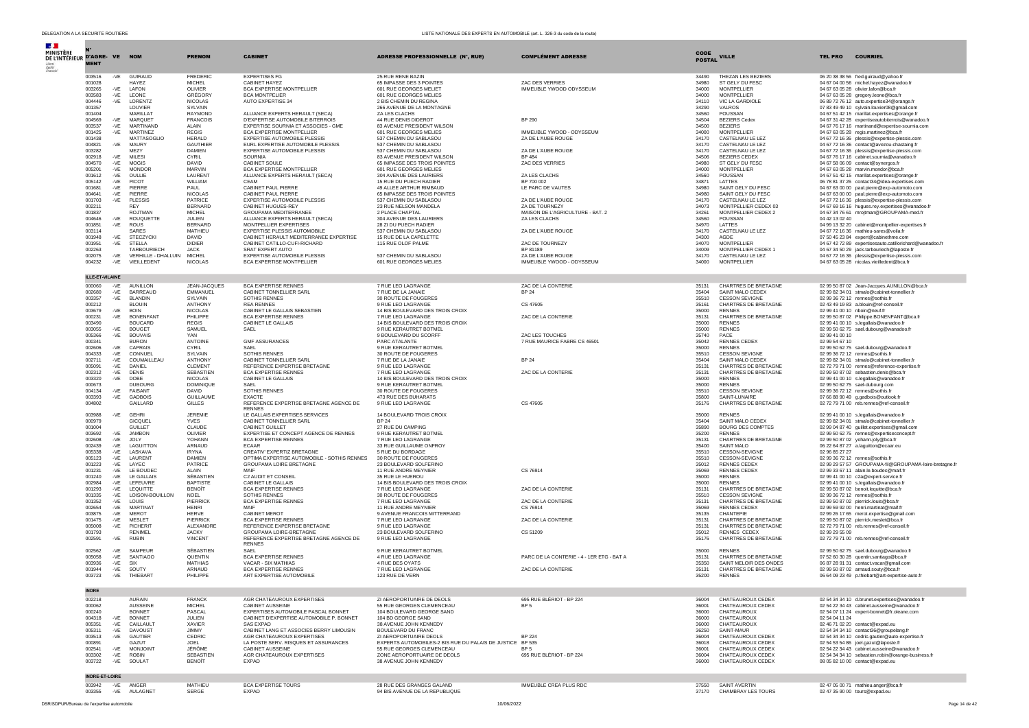| DE L'INTÉRIEUR D'AGRE-VE NOM<br><b>MENT</b> |                |                                    | <b>PRENOM</b>                    | <b>CABINET</b>                                                                  | ADRESSE PROFESSIONNELLE (N°, RUE)                         | <b>COMPLÉMENT ADRESSE</b>                 | <b>CODE</b><br><b>POSTAL</b> | <b>VILLE</b>                                 | <b>TEL PRO</b>               | <b>COURRIEL</b>                                                                                  |
|---------------------------------------------|----------------|------------------------------------|----------------------------------|---------------------------------------------------------------------------------|-----------------------------------------------------------|-------------------------------------------|------------------------------|----------------------------------------------|------------------------------|--------------------------------------------------------------------------------------------------|
| 003516                                      | -VE            | GUIRAUD                            | <b>FREDERIC</b>                  | <b>EXPERTISES FG</b>                                                            | 25 RUE RENE BAZIN                                         |                                           | 34490                        | THEZAN LES BEZIERS                           |                              | 06 20 38 38 56 fred.guiraud@yahoo.fr                                                             |
| 001028                                      |                | HAYEZ                              | <b>MICHEL</b>                    | CABINET HAYEZ                                                                   | 65 IMPASSE DES 3 POINTES                                  | <b>ZAC DES VERRIES</b>                    | 34980                        | ST GELY DU FESC                              |                              | 04 67 04 00 56 michel.hayez@wanadoo.fr                                                           |
| 003265                                      | -VE            | LAFON                              | OLIVIER                          | BCA EXPERTISE MONTPELLIER                                                       | 601 RUE GEORGES MELIET                                    | IMMEUBLE YWOOD ODYSSEUM                   | 34000                        | <b>MONTPELLIER</b>                           |                              | 04 67 63 05 28 olivier.lafon@bca.fr                                                              |
| 003583<br>004446                            | -VE            | LEONE<br>LORENTZ                   | <b>GRÉGORY</b><br><b>NICOLAS</b> | <b>BCA MONTPELIER</b><br>AUTO EXPERTISE 34                                      | 601 RUE GEORGES MELIES<br>2 BIS CHEMIN DU REGINA          |                                           | 34000<br>34110               | <b>MONTPELLIER</b><br>VIC LA GARDIOLE        |                              | 04 67 63 05 28 gregory.leone@bca.fr<br>06 89 72 76 12 auto.expertise34@orange.fr                 |
| 001357                                      | -VE            | LOUVIER                            | SYLVAIN                          |                                                                                 | 266 AVENUE DE LA MONTAGNE                                 |                                           | 34290                        | VALROS                                       |                              | 07 83 49 49 10 sylvain.louvier08@gmail.com                                                       |
| 001404                                      |                | MARILLAT                           | <b>RAYMOND</b>                   | ALLIANCE EXPERTS HERAULT (SECA)                                                 | ZA LES CLACHS                                             |                                           | 34560                        | POUSSAN                                      |                              | 04 67 51 42 15 marillat.expertises@orange.fr                                                     |
| 004569                                      | $-VE$          | <b>MARQUET</b>                     | <b>FRANCOIS</b>                  | D'EXPERTISE AUTOMOBILE BITERROIS                                                | 44 RUE DENIS DIDEROT                                      | BP 290                                    | 34504                        | <b>BEZIERS Cedex</b>                         |                              | 04 67 31 42 28 expertiseautobiterrois@wanadoo.fr                                                 |
| 003537                                      | $-VE$          | MARTINAND                          | ALAIN                            | EXPERTISE SOURNIA ET ASSOCIES - GME                                             | 83 AVENUE PRESIDENT WILSON                                |                                           | 34500                        | <b>BEZIERS</b>                               |                              | 04 67 76 17 16 martinand@expertise-sournia.com                                                   |
| 001425                                      | $-VE$          | MARTINEZ                           | <b>REGIS</b>                     | BCA EXPERTISE MONTPELLIER                                                       | 601 RUE GEORGES MELIES                                    | IMMEUBLE YWOOD - ODYSSEUM                 | 34000                        | <b>MONTPELLIER</b>                           |                              | 04 67 63 05 28 regis.martinez@bca.fr                                                             |
| 001438<br>004821                            | $-VE$          | MATTASOGLIO<br>MAURY               | <b>HERALD</b><br><b>GAUTHIER</b> | <b>EXPERTISE AUTOMOBILE PLESSIS</b><br>EURL EXPERTISE AUTOMOBILE PLESSIS        | 537 CHEMIN DU SABLASOU<br>537 CHEMIN DU SABLASOU          | ZA DE L'AUBE ROUGE                        | 34170<br>34170               | CASTELNAU LE LEZ<br>CASTELNAU LE LEZ         |                              | 04 67 72 16 36 plessis@expertise-plessis.com<br>04 67 72 16 36 contact@avezou-chastaing.fr       |
| 003282                                      |                | MEZY                               | <b>DAMIEN</b>                    | EXPERTISE AUTOMOBILE PLESSIS                                                    | 537 CHEMIN DU SABLASOU                                    | ZA DE L'AUBE ROUGE                        | 34170                        | CASTELNAU LE LEZ                             |                              | 04 67 72 16 36 plessis@expertise-plessis.com                                                     |
| 002918                                      | $-VE$          | MILESI                             | CYRIL                            | SOURNIA                                                                         | 83 AVENUE PRESIDENT WILSON                                | <b>BP 484</b>                             | 34506                        | <b>BEZIERS CEDEX</b>                         |                              | 04 67 76 17 16 cabinet.soumia@wanadoo.fr                                                         |
| 004570                                      | $-VE$          | <b>MOGIS</b>                       | DAVID                            | CABINET SOULE                                                                   | 65 IMPASSE DES TROIS POINTES                              | ZAC DES VERRIES                           | 34980                        | ST GELY DU FESC                              |                              | 04 67 58 06 09 contact@synergos.fr                                                               |
| 005201                                      | $-VE$          | <b>MONDOF</b>                      | <b>MARVIN</b>                    | BCA EXPERTISE MONTPELLIER                                                       | 601 RUE GEORGES MELIES                                    |                                           | 34000                        | <b>MONTPELLIER</b>                           |                              | 04 67 63 05 28 marvin.mondor@bca.fr                                                              |
| 001612<br>005142                            | $-VE$<br>$-VE$ | OULLIE<br>PICOT                    | LAURENT<br>WILLIAM               | ALLIANCE EXPERTS HERAULT (SECA)<br>CEAM                                         | 304 AVENUE DES LAURIERS<br>15 RUE DU PUECH RADIER         | ZA LES CLACHS<br>BP 700 002               | 34560<br>34871               | POUSSAN<br>LATTES                            |                              | 04 67 51 42 15 marillat.expertises@orange.fr<br>06 78 81 37 26 contact34@idea-expertises.com     |
| 001681                                      | $-VE$          | PIFRRE                             | PAUL                             | CABINET PAUL PIERRE                                                             | 49 ALLEE ARTHUR RIMBAUD                                   | LE PARC DE VAUTES                         | 34980                        | SAINT GELY DU FESC                           |                              | 04 67 63 00 00 paul.pierre@exp-automoto.com                                                      |
| 004641                                      | -VE            | PIERRE                             | <b>NICOLAS</b>                   | CABINET PAUL PIERRE                                                             | 65 IMPASSE DES TROIS POINTES                              |                                           | 34980                        | SAINT GELY DU FESC                           |                              | 04 67 63 00 00 paul.pierre@exp-automoto.com                                                      |
| 001703                                      | -VE            | PLESSIS                            | PATRICE                          | EXPERTISE AUTOMOBILE PLESSIS                                                    | 537 CHEMIN DU SABLASOU                                    | ZA DE L'AUBE ROUGE                        | 34170                        | CASTELNAU LE LEZ                             |                              | 04 67 72 16 36 plessis@expertise-plessis.com                                                     |
| 002211                                      |                | <b>RFY</b>                         | <b>BERNARD</b>                   | CABINET HUGUES-REY                                                              | 23 RUE NELSON MANDELA                                     | ZA DE TOURNEZY                            | 34073                        | MONTPELLIER CEDEX 03                         |                              | 04 67 69 16 16 hugues.rey.expertises@wanadoo.fr                                                  |
| 001837                                      |                | ROJTMAN                            | <b>MICHEL</b>                    | GROUPAMA MEDITERRANEE                                                           | 2 PLACE CHAPTAL<br>304 AVENUE DES LAURIERS                | MAISON DE L'AGRICULTURE - BAT. 2          | 34261                        | MONTPELLIER CEDEX 2                          |                              | 04 67 34 76 61 mrojtman@GROUPAMA-med.fr                                                          |
| 004646<br>001851                            | $-VE$<br>-VE   | ROUQUETTE<br>ROUS                  | <b>JULIEN</b><br><b>BERNARD</b>  | ALLIANCE EXPERTS HERAULT (SECA)<br>MONTPELLIER EXPERTISES                       | 28 ZI DU PUECH RADIER                                     | ZA LES CLACHS                             | 34560<br>34970               | POUSSAN<br>LATTES                            | 04 42 13 02 40               | 04 99 13 32 20 cabinet@montpellier-expertises.fr                                                 |
| 003114                                      |                | SARES                              | MATHIEU                          | EXPERTISE PLESSIS AUTOMOBILE                                                    | 537 CHEMIN DU SABLASOU                                    | ZA DE L'AUBE ROUGE                        | 34170                        | CASTELNAU LE LEZ                             |                              | 04 67 72 16 36 mathieu-sares@voila.fr                                                            |
| 001948                                      | $-VE$          | <b>STECZYCKI</b>                   | DAVID                            | CABINET HERAULT MEDITERRANEE EXPERTISE                                          | 15 RUE DE LA CAPELETTE                                    |                                           | 34300                        | AGDE                                         |                              | 07 50 45 23 84 expert@cabinethme.com                                                             |
| 001951                                      | -VE            | <b>STELLA</b>                      | <b>DIDIER</b>                    | CABINET CATILLO-CUFI-RICHARD                                                    | 115 RUE OLOF PALME                                        | ZAC DE TOURNEZY                           | 34070                        | MONTPELLIER                                  |                              | 04 67 42 72 89 expertisesauto.catillorichard@wanadoo.fr                                          |
| 002263                                      |                | TARBOURIECH                        | <b>JACK</b>                      | SRAT EXPERT AUTO                                                                |                                                           | BP 81189                                  | 34009                        | MONTPELLIER CEDEX 1                          |                              | 04 67 34 50 29 jack.tarbouriech@laposte.fr                                                       |
| 002075                                      | $-VE$          | VERHILLE - DHALLUIN MICHEL         |                                  | EXPERTISE AUTOMOBILE PLESSIS                                                    | 537 CHEMIN DU SABLASOU<br>601 RUE GEORGES MELIES          | ZA DE L'AUBE ROUGE                        | 34170                        | CASTELNAU LE LEZ<br><b>MONTPELLIER</b>       |                              | 04 67 72 16 36 plessis@expertise-plessis.com                                                     |
| 004232                                      | $-VE$          | VIEILLEDENT                        | <b>NICOLAS</b>                   | BCA EXPERTISE MONTPELLIER                                                       |                                                           | IMMEUBLE YWOOD - ODYSSEUM                 | 34000                        |                                              |                              | 04 67 63 05 28 nicolas.vieilledent@bca.fr                                                        |
| ILLE-ET-VILAINE                             |                |                                    |                                  |                                                                                 |                                                           |                                           |                              |                                              |                              |                                                                                                  |
| 000060<br>002680                            | $-VE$<br>-VE   | <b>AUNILLON</b><br><b>BARREAUD</b> | JEAN-JACQUES<br>EMMANUEL         | <b>BCA EXPERTISE RENNES</b><br>CABINET TONNELLIER SARL                          | 7 RUE LEO LAGRANGE<br>7 RUE DE LA JANAIE                  | ZAC DE LA CONTERIE<br><b>BP 24</b>        | 35131<br>35404               | CHARTRES DE BRETAGNE<br>SAINT MALO CEDEX     |                              | 02 99 50 87 02 Jean-Jacques.AUNILLON@bca.fr<br>02.99.82.34.01 stmalo@cabinet-tonnellier.fr       |
| 003357                                      | $-VE$          | <b>BLANDIN</b>                     | SYLVAIN                          | <b>SOTHIS RENNES</b>                                                            | 30 ROUTE DE FOUGERES                                      |                                           | 35510                        | CESSON SEVIGNE                               |                              | 02 99 36 72 12 rennes@sothis.fr                                                                  |
| 000212                                      |                | <b>BLOUIN</b>                      | <b>ANTHONY</b>                   | <b>REA RENNES</b>                                                               | 9 RUE LEO LAGRANGE                                        | CS 47605                                  | 35161                        | CHARTRES DE BRETAGNE                         |                              | 02 43 49 19 83 a.blouin@ref-conseil.fr                                                           |
| 003679                                      | $-VE$          | <b>BOIN</b>                        | <b>NICOLAS</b>                   | CABINET LE GALLAIS SEBASTIEN                                                    | 14 BIS BOULEVARD DES TROIS CROIX                          |                                           | 35000                        | <b>RENNES</b>                                | 02 99 41 00 10 nboin@neuf.fr |                                                                                                  |
| 000231                                      | $-VE$          | <b>BONENFANT</b>                   | PHILIPPE                         | <b>BCA EXPERTISE RENNES</b>                                                     | 7 RUE LEO LAGRANGE                                        | ZAC DE LA CONTERIE                        | 35131                        | CHARTRES DE BRETAGNE                         |                              | 02 99 50 87 02 Philippe.BONENFANT@bca.fr                                                         |
| 003490                                      |                | <b>BOUCARD</b>                     | <b>REGIS</b>                     | CABINET LE GALLAIS                                                              | 14 BIS BOULEVARD DES TROIS CROIX                          |                                           | 35000                        | <b>RENNES</b>                                |                              | 02 99 41 00 10 s.legallais@wanadoo.fr                                                            |
| 003055<br>005366                            | $-VE$<br>-VE   | <b>BOUGET</b><br><b>BOUVAIS</b>    | SAMUEL<br>YAN                    | SAFI                                                                            | 9 RUE KERAUTRET BOTMEL<br>9 BOULEVARD DU SCORFF           | ZAC LES TOUCHES                           | 35000<br>35740               | <b>RENNES</b><br>PACE                        | 02 99 41 00 10               | 02 99 50 62 75 sael.dubourg@wanadoo.fr                                                           |
| 000341                                      |                | <b>BURON</b>                       | ANTOINE                          | <b>GMF ASSURANCES</b>                                                           | PARC ATALANTE                                             | 7 RUE MAURICE FABRE CS 46501              | 35042                        | <b>RENNES CEDEX</b>                          | 02 99 54 67 10               |                                                                                                  |
| 002606                                      | $-VE$          | CAPRAIS                            | CYRIL                            | SAEL                                                                            | 9 RUE KERAUTRET BOTMEL                                    |                                           | 35000                        | <b>RENNES</b>                                |                              | 02 99 50 62 75 sael.dubourg@wanadoo.fr                                                           |
| 004333                                      | -VE            | CONNUEL                            | SYLVAIN                          | <b>SOTHIS RENNES</b>                                                            | 30 ROUTE DE FOUGERES                                      |                                           | 35510                        | <b>CESSON SEVIGNE</b>                        |                              | 02 99 36 72 12 rennes@sothis.fr                                                                  |
| 002711                                      | -VE            | COUMAILLEAU                        | <b>ANTHONY</b>                   | CABINET TONNELLIER SARL                                                         | 7 RUE DE LA JANAIE                                        | <b>BP 24</b>                              | 35404                        | SAINT MALO CEDEX                             |                              | 02 99 82 34 01 stmalo@cabinet-tonnellier.fr                                                      |
| 005091                                      | $-VE$          | DANIEL                             | CLEMENT                          | REFERENCE EXPERTISE BRETAGNE                                                    | 9 RUE LEO LAGRANGE                                        |                                           | 35131                        | CHARTRES DE BRETAGNE                         |                              | 02 72 79 71 00 rennes@reference-expertise.fr                                                     |
| 002312<br>003320                            | -VE<br>$-VE$   | <b>DENIS</b><br>DOBE               | SEBASTIEN<br><b>NICOLAS</b>      | <b>BCA EXPERTISE RENNES</b><br>CABINET LE GALLAIS                               | 7 RUE LEO LAGRANGE<br>14 BIS BOULEVARD DES TROIS CROIX    | ZAC DE LA CONTERIE                        | 35131<br>35000               | CHARTRES DE BRETAGNE<br><b>RENNES</b>        |                              | 02 99 50 87 02 sebastien.denis@bca.fr<br>02 99 41 00 10 s.legallais@wanadoo.fr                   |
| 000673                                      |                | <b>DUBOURG</b>                     | DOMINIQUE                        | SAEL                                                                            | 9 RUE KERAUTRET BOTMEL                                    |                                           | 35000                        | <b>RENNES</b>                                |                              | 02 99 50 62 75 sael-dubourg.com                                                                  |
| 004134                                      | $-VE$          | FAISANT                            | DAVID                            | SOTHIS RENNES                                                                   | 30 ROUTE DE FOUGERES                                      |                                           | 35510                        | <b>CESSON SEVIGNE</b>                        |                              | 02 99 36 72 12 rennes@sothis.fr                                                                  |
| 003393                                      | $-VE$          | <b>GADBOIS</b>                     | <b>GUILLAUME</b>                 | <b>EXACTE</b>                                                                   | 473 RUE DES BUHARATS                                      |                                           | 35800                        | SAINT-LUNAIRE                                |                              | 07 66 88 90 49 g.gadbois@outlook.fr                                                              |
| 004802                                      |                | GAILLARD                           | <b>GILLES</b>                    | REFERENCE EXPERTISE BRETAGNE AGENCE DE<br><b>RENNES</b>                         | 9 RUE LEO LAGRANGE                                        | CS 47605                                  | 35176                        | CHARTRES DE BRETAGNE                         |                              | 02 72 79 71 00 reb.rennes@ref-conseil.fr                                                         |
| 003988                                      | $-VE$          | GEHRI                              | <b>JEREMIF</b>                   | LE GALLAIS EXPERTISES SERVICES                                                  | 14 BOULEVARD TROIS CROIX<br><b>BP 24</b>                  |                                           | 35000                        | <b>RENNES</b>                                |                              | 02 99 41 00 10 s.legallais@wanadoo.fr                                                            |
| 000979<br>001004                            |                | <b>GICQUEL</b><br><b>GUILLET</b>   | YVES<br>CLAUDE                   | CABINET TONNELLIER SARL<br>CABINET GUILLET                                      | 27 RUE DU CAMPING                                         |                                           | 35404<br>35890               | SAINT MALO CEDEX<br><b>BOURG DES COMPTES</b> |                              | 02 99 82 34 01 stmalo@cabinet-tonnellier.fr<br>02 99 04 87 40 quillet.expertises@gmail.com       |
| 003692                                      | $-VE$          | <b>JAMBON</b>                      | OLIVIER                          | EXPERTISE ET CONCEPT AGENCE DE RENNES                                           | 9 RUE KERAUTRET BOTMEL                                    |                                           | 35200                        | <b>RENNES</b>                                |                              | 02 99 50 62 75 rennes@expertiseconcept.fr                                                        |
| 002608                                      | -VE            | JOLY                               | YOHANN                           | <b>BCA EXPERTISE RENNES</b>                                                     | 7 RUE LEO LAGRANGE                                        |                                           | 35131                        | CHARTRES DE BRETAGNE                         |                              | 02 99 50 87 02 yohann.joly@bca.fr                                                                |
| 002439                                      | $-VE$          | LAGUITTON                          | ARNAUD                           | <b>FCAAR</b>                                                                    | 33 RUE GUILLAUME ONFROY                                   |                                           | 35400                        | SAINT MALO                                   |                              | 06 22 64 87 27 a.laguitton@ecaar.eu                                                              |
| 005338                                      | $-VE$          | LASKAVA                            | <b>IRYNA</b>                     | CREATIV' EXPERTIZ BRETAGNE                                                      | 5 RUE DU BORDAGE                                          |                                           | 35510                        | CESSON-SEVIGNE                               | 02 96 85 27 27               |                                                                                                  |
| 005123                                      | -VE            | LAURENT                            | <b>DAMIEN</b>                    | OPTIMA EXPERTISE AUTOMOBILE - SOTHIS RENNES                                     | 30 ROUTE DE FOUGERES                                      |                                           | 35510                        | CESSON-SEVIGNE                               |                              | 02 99 36 72 12 rennes@sothis.fr                                                                  |
| 001223<br>001231                            | -VE<br>$-VE$   | LAYEC<br>LE BOUDEC                 | PATRICE<br>ALAIN                 | GROUPAMA LOIRE BRETAGNE<br>MAIF                                                 | 23 BOULEVARD SOLFERINO<br>11 RUE ANDRE MEYNIER            | CS 76914                                  | 35012<br>35069               | <b>RENNES CEDEX</b><br><b>RENNES CEDEX</b>   |                              | 02 99 29 57 57 GROUPAMA-fil@GROUPAMA-loire-bretagne.fr<br>02 99 33 67 11 alain.le.boudec@maif.fr |
| 001240                                      | $-VE$          | <b>LE GALLAIS</b>                  | SÉBASTIEN                        | C2 AUDIT ET CONSEIL                                                             | 35 RUE LE HUEROU                                          |                                           | 35000                        | <b>RENNES</b>                                |                              | 02 99 41 00 10 c2a@expert-service.fr                                                             |
| 002984                                      | $-VE$          | LEFEUVRE                           | <b>BAPTISTE</b>                  | CABINET LE GALLAIS                                                              | 14 BIS BOULEVARD DES TROIS CROIX                          |                                           | 35000                        | <b>RENNES</b>                                |                              | 02 99 41 00 10 s.legallais@wanadoo.fr                                                            |
| 001293                                      | $-VE$          | LEQUITTE                           | <b>BENOÎT</b>                    | <b>BCA EXPERTISE RENNES</b>                                                     | 7 RUE LEO LAGRANGE                                        | ZAC DE LA CONTERIE                        | 35131                        | CHARTRES DE BRETAGNE                         |                              | 02 99 50 87 02 benoit.lequitte@bca.fr                                                            |
| 001335                                      | -VE            | LOISON-BOUILLON                    | <b>NOEL</b>                      | SOTHIS RENNES                                                                   | 30 ROUTE DE FOUGERES                                      |                                           | 35510                        | <b>CESSON SEVIGNE</b>                        |                              | 02 99 36 72 12 rennes@sothis.fr                                                                  |
| 001352                                      | $-VE$          | LOUIS<br><b>MARTINAT</b>           | PIERRICK<br><b>HENRI</b>         | <b>BCA EXPERTISE RENNES</b><br>MAIF                                             | 7 RUE LEO LAGRANGE                                        | ZAC DE LA CONTERIE                        | 35131                        | CHARTRES DE BRETAGNE                         |                              | 02 99 50 87 02 pierrick.louis@bca.fr                                                             |
| 002654<br>003875                            | $-VE$<br>$-VE$ | <b>MEROT</b>                       | <b>HFRVF</b>                     | <b>CABINET MEROT</b>                                                            | 11 RUE ANDRE MEYNIER<br>9 AVENUE FRANCOIS MITTERRAND      | CS 76914                                  | 35069<br>35135               | <b>RENNES CEDEX</b><br><b>CHANTEPIE</b>      |                              | 02 99 59 92 00 henri.martinat@maif.fr<br>02 99 26 17 65 merot.expertise@gmail.com                |
| 001475                                      | -VE            | MESLET                             | PIERRICK                         | <b>BCA EXPERTISE RENNES</b>                                                     | 7 RUE LEO LAGRANGE                                        | ZAC DE LA CONTERIE                        | 35131                        | CHARTRES DE BRETAGNE                         |                              | 02 99 50 87 02 pierrick.meslet@bca.fr                                                            |
| 005008                                      | $-VE$          | PICHERIT                           | ALEXANDRE                        | REFERENCE EXPERTISE BRETAGNE                                                    | 9 RUE LEO LAGRANGE                                        |                                           | 35131                        | CHARTRES DE BRETAGNE                         |                              | 02 72 79 71 00 reb.rennes@ref-conseil.fr                                                         |
| 001793<br>002591                            | $-VE$          | <b>RENIMEL</b><br><b>RUBIN</b>     | <b>JACKY</b><br><b>VINCENT</b>   | GROUPAMA LOIRE-BRETAGNE<br>REFERENCE EXPERTISE BRETAGNE AGENCE DE               | 23 BOULEVARD SOLFERINO<br>9 RUE LEO LAGRANGE              | CS 51209                                  | 35012<br>35176               | <b>RENNES CEDEX</b><br>CHARTRES DE BRETAGNE  | 02 99 29 55 09               | 02 72 79 71 00 reb.rennes@ref-conseil.fr                                                         |
|                                             |                |                                    |                                  | <b>RENNES</b>                                                                   |                                                           |                                           |                              |                                              |                              |                                                                                                  |
| 002562<br>005058                            | -VE<br>$-VE$   | SAMPFUR<br>SANTIAGO                | SÉBASTIEN<br>QUENTIN             | SAFI<br><b>BCA EXPERTISE RENNES</b>                                             | 9 RUE KERAUTRET BOTMEL<br>4 RUE LEO LAGRANGE              | PARC DE LA CONTERIE - 4 - 1ER ETG - BAT A | 35000<br>35131               | <b>RENNES</b><br>CHARTRES DE BRETAGNE        |                              | 02 99 50 62 75 sael.dubourg@wanadoo.fr<br>07 52 60 30 28 quentin.santiago@bca.fr                 |
| 003936                                      | $-VE$          | SIX                                | <b>MATHIAS</b>                   | VACAR - SIX MATHIAS                                                             | 4 RUE DES OYATS                                           |                                           | 35350                        | SAINT MELOIR DES ONDES                       |                              | 06 87 28 91 31 contact.vacar@gmail.com                                                           |
| 001944                                      | $-VE$          | SOUTY                              | <b>ARNAUD</b>                    | <b>BCA EXPERTISE RENNES</b>                                                     | 7 RUE LEO LAGRANGE                                        | ZAC DE LA CONTERIE                        | 35131                        | CHARTRES DE BRETAGNE                         |                              | 02 99 50 87 02 arnaud.souty@bca.fr                                                               |
| 003723                                      | -VE            | THIEBART                           | PHILIPPE                         | ART EXPERTISE AUTOMOBILE                                                        | 123 RUE DE VERN                                           |                                           | 35200                        | <b>RENNES</b>                                |                              | 06 64 09 23 49 p.thiebart@art-expertise-auto.fr                                                  |
| NDRE                                        |                |                                    |                                  |                                                                                 |                                                           |                                           |                              |                                              |                              |                                                                                                  |
| 002218                                      |                | <b>AURAIN</b>                      | <b>FRANCK</b>                    | AGR CHATEAUROUX EXPERTISES                                                      | ZI AEROPORTUAIRE DE DEOLS                                 | 695 RUE BLÉRIOT - BP 224                  | 36004                        | CHATEAUROUX CEDEX                            |                              | 02 54 34 34 10 d.brunet.expertises@wanadoo.fr                                                    |
| 000062                                      |                | <b>AUSSEINE</b>                    | <b>MICHEL</b>                    | CABINET AUSSEINE                                                                | 55 RUE GEORGES CLEMENCEAU                                 | BP <sub>5</sub>                           | 36001                        | CHATEAUROUX CEDEX                            |                              | 02 54 22 34 43 cabinet.ausseine@wanadoo.fr                                                       |
| 000240<br>004318                            | -VE            | <b>BONNET</b><br><b>BONNET</b>     | PASCAL<br><b>JULIEN</b>          | EXPERTISES AUTOMOBILE PASCAL BONNET<br>CABINET D'EXPERTISE AUTOMOBILE P. BONNET | 104 BOULEVARD GEORGE SAND<br>104 BD GEORGE SAND           |                                           | 36000                        | CHATEAUROUX<br>CHATEAUROUX                   | 02 54 04 11 24               | 02 54 07 11 24 expert-bonnet@fr.oleane.com                                                       |
| 005351                                      | -VE            | CAILLAULT                          | <b>XAVIER</b>                    | SAS EXPAD                                                                       | 38 AVENUE JOHN KENNEDY                                    |                                           | 36000<br>36000               | CHATEAUROUX                                  |                              | 02 46 71 02 20 contact@expad.eu                                                                  |
| 005311                                      | -VE            | <b>DAVOUST</b>                     | <b>JIMMY</b>                     | CABINET LANG ET ASSOCIES BERRY LIMOUSIN                                         | BOULEVARD DU FRANC                                        |                                           | 36250                        | SAINT-MAUR                                   |                              | 02 54 34 34 10 contact36@groupelang.fr                                                           |
| 003513                                      | -VE            | GAUTIER                            | CEDRIC                           | AGR CHATEAUROUX EXPERTISES                                                      | ZI AEROPORTUAIRE DEOLS                                    | <b>BP 224</b>                             | 36004                        | CHATEAUROUX CEDEX                            |                              | 02 54 34 34 10 cedric.gautier@auto-expertise.fr                                                  |
| 000891                                      |                | GAZUT                              | JOEL                             | LA POSTE SERV. RISQUES ET ASSURANCES                                            | EXPERTS AUTOMOBILES-2 BIS RUE DU PALAIS DE JUSTICE BP 535 |                                           | 36018                        | CHATEAUROUX CEDEX                            |                              | 02 54 53 54 86 joel.gazut@laposte.fr                                                             |
| 002541                                      | $-VE$          | <b>MONJOINT</b>                    | JÉRÔME                           | CABINET AUSSEINE                                                                | 55 RUE GEORGES CLEMENCEAU                                 | BP <sub>5</sub>                           | 36001                        | CHATEAUROUX CEDEX                            |                              | 02 54 22 34 43 cabinet.ausseine@wanadoo.fr                                                       |
| 003302<br>003722                            | -VE<br>-VE     | <b>ROBIN</b><br>SOULAT             | SEBASTIEN<br>BENOÎT              | AGR CHATEAUROUX EXPERTISES<br><b>EXPAD</b>                                      | ZONE AEROPORTUAIRE DE DEOLS<br>38 AVENUE JOHN KENNEDY     | 695 RUE BLÉRIOT - BP 224                  | 36004<br>36000               | CHATEAUROUX CEDEX<br>CHATEAUROUX CEDEX       |                              | 02 54 34 34 10 sebastien.robin@orange-business.fr<br>08 05 82 10 00 contact@expad.eu             |
|                                             |                |                                    |                                  |                                                                                 |                                                           |                                           |                              |                                              |                              |                                                                                                  |
| <b>INDRE-ET-LOIRE</b><br>003942             | $-VE$          | ANGER                              | MATHIEU                          | <b>BCA EXPERTISE TOURS</b>                                                      | 28 RUE DES GRANGES GALAND                                 | IMMEUBLE CREA PLUS RDC                    | 37550                        | <b>SAINT AVERTIN</b>                         |                              | 02 47 05 00 71 mathieu.anger@bca.fr                                                              |
| 003355                                      |                | -VE AULAGNET                       | <b>SERGE</b>                     | <b>EXPAD</b>                                                                    | 94 BIS AVENUE DE LA REPUBLIOUE                            |                                           | 37170                        | CHAMBRAY LES TOURS                           |                              | 02.47.35.90.00 tours@expad.eu                                                                    |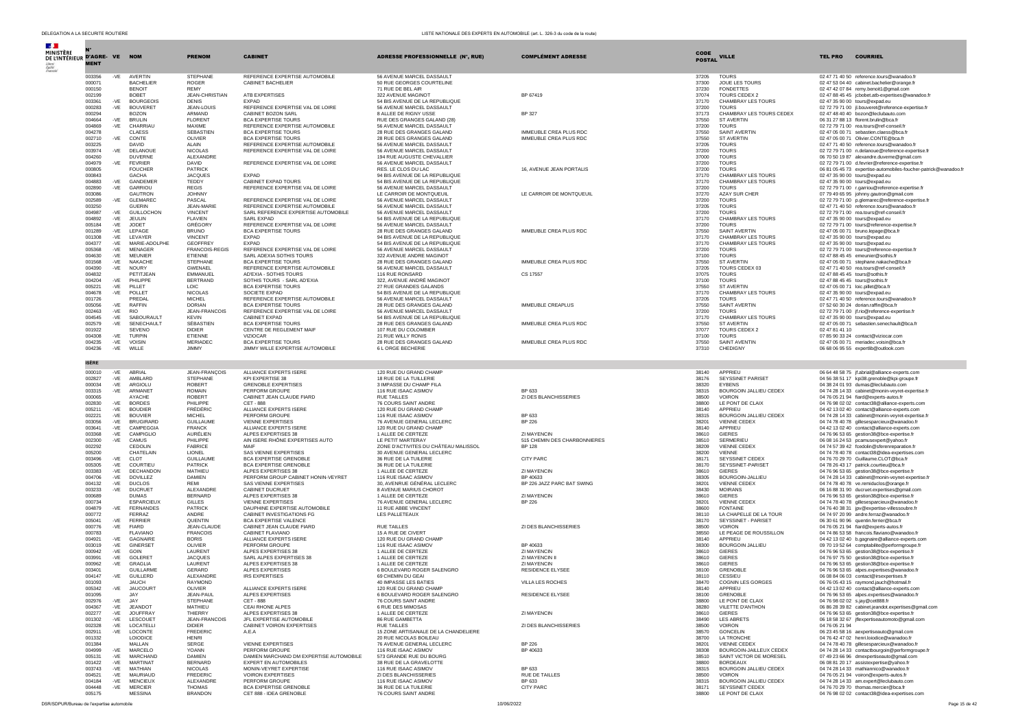| $\mathcal{A}$ .<br><b>MINISTÈRE</b> |                  |              |                                    |                                       |                                                                       |                                                             |                                                  | CODE           |                                               |                |                                                                                                |
|-------------------------------------|------------------|--------------|------------------------------------|---------------------------------------|-----------------------------------------------------------------------|-------------------------------------------------------------|--------------------------------------------------|----------------|-----------------------------------------------|----------------|------------------------------------------------------------------------------------------------|
| DE L'INTÉRIEUR D'AGRE- VE           | <b>MENT</b>      |              | <b>NOM</b>                         | <b>PRENOM</b>                         | <b>CABINET</b>                                                        | <b>ADRESSE PROFESSIONNELLE (N°, RUE)</b>                    | <b>COMPLÉMENT ADRESSE</b>                        | <b>POSTAL</b>  | <b>VILLE</b>                                  | <b>TEL PRO</b> | <b>COURRIEL</b>                                                                                |
|                                     | 003356           | -VE          | AVERTIN                            | <b>STEPHANE</b>                       | REFERENCE EXPERTISE AUTOMOBILE                                        | 56 AVENUE MARCEL DASSAULT                                   |                                                  | 37205          | <b>TOURS</b>                                  |                | 02 47 71 40 50 reference.tours@wanadoo.fr                                                      |
|                                     | 000071<br>000150 |              | <b>BACHELIER</b><br><b>BENOIT</b>  | <b>ROGER</b><br><b>REMY</b>           | <b>CABINET BACHELIER</b>                                              | 50 RUE GEORGES COURTELINE<br>71 RUE DE BEL AIR              |                                                  | 37300<br>37230 | JOUE LES TOURS<br><b>FONDETTES</b>            |                | 02 47 53 04 40 cabinet.bachelier@orange.fr<br>02 47 42 07 84 remy.benoit1@gmail.com            |
|                                     | 002199           |              | <b>BOBET</b>                       | JEAN-CHRISTIAN                        | ATB EXPERTISES                                                        | 322 AVENUE MAGINOT                                          | BP 67419                                         | 37074          | TOURS CEDEX 2                                 |                | 02 47 88 45 45 jcbobet.atb-expertises@wanadoo.fr                                               |
|                                     | 003361           | $-VE$        | <b>BOURGEOIS</b>                   | <b>DENIS</b>                          | <b>EXPAD</b>                                                          | 54 BIS AVENUE DE LA REPUBLIQUE                              |                                                  | 37170          | CHAMBRAY LES TOURS                            |                | 02 47 35 90 00 tours@expad.eu                                                                  |
|                                     | 000283<br>000294 | -VE          | <b>BOUVERET</b><br><b>BOZON</b>    | JEAN-LOUIS<br>ARMAND                  | REFERENCE EXPERTISE VAL DE LOIRE<br>CABINET BOZON SARL                | 56 AVENUE MARCEL DASSAULT<br>8 ALLEE DE RIGNY USSE          | BP 327                                           | 37200<br>37173 | <b>TOURS</b><br>CHAMBRAY LES TOURS CEDEX      |                | 02 72 79 71 00 il.bouveret@reference-expertise.fr<br>02 47 48 40 40 bozon@leclubauto.com       |
|                                     | 004664           | $-VE$        | <b>BRULIN</b>                      | <b>FLORENT</b>                        | BCA EXPERTISE TOURS                                                   | RUE DES GRANGES GALAND (28)                                 |                                                  | 37550          | ST AVERTIN                                    |                | 06 31 27 88 13 florent.brulin@bca.fr                                                           |
|                                     | 004869           | -VE          | CHARRIAU                           | MAXIME                                | REFERENCE EXPERTISE AUTOMOBILE                                        | 56 AVENUE MARCEL DASSAULT                                   |                                                  | 37200          | <b>TOURS</b>                                  |                | 02 72 79 71 00 rea.tours@ref-conseil.fr                                                        |
|                                     | 004278<br>002710 |              | CLAESS<br>-VE CONTE                | SEBASTIEN<br>OLIVIER                  | <b>BCA EXPERTISE TOURS</b><br><b>BCA EXPERTISE TOURS</b>              | 28 RUE DES GRANGES GALAND<br>28 RUE DES GRANGES GALAND      | IMMEUBLE CREA PLUS RDC<br>IMMEUBLE CREA PLUS RDC | 37550<br>37550 | SAINT AVERTIN<br>ST AVERTIN                   |                | 02 47 05 00 71 sebastien.claess@bca.fr<br>02 47 05 00 71 Olivier.CONTE@bca.fr                  |
|                                     | 003225           |              | <b>DAVID</b>                       | ALAIN                                 | REFERENCE EXPERTISE AUTOMOBILE                                        | 56 AVENUE MARCEL DASSAULT                                   |                                                  | 37205          | <b>TOURS</b>                                  |                | 02 47 71 40 50 reference.tours@wanadoo.fr                                                      |
|                                     | 003974           |              | -VE DELANOUE                       | <b>NICOLAS</b>                        | REFERENCE EXPERTISE VAL DE LOIRE                                      | 56 AVENUE MARCEL DASSAULT                                   |                                                  | 37200          | <b>TOURS</b>                                  |                | 02 72 79 71 00 n.delanoue@reference-expertise.fr                                               |
|                                     | 004260<br>004979 | -VE          | <b>DUVERNE</b><br><b>FEVRIER</b>   | ALEXANDRE<br><b>DAVID</b>             | REFERENCE EXPERTISE VAL DE LOIRE                                      | 194 RUE AUGUSTE CHEVALLIER<br>56 AVENUE MARCEL DASSAULT     |                                                  | 37000<br>37200 | <b>TOURS</b><br><b>TOURS</b>                  |                | 06 70 50 19 87 alexandre.duverne@gmail.com<br>02 72 79 71 00 d.fevrier@reference-expertise.fr  |
|                                     | 000805           |              | <b>FOUCHER</b>                     | PATRICK                               |                                                                       | RES. LE CLOS DU LAC                                         | 16, AVENUE JEAN PORTALIS                         | 37200          | <b>TOURS</b>                                  |                | 06 81 05 45 73 expertise-automobiles-foucher-patrick@wanadoo.fr                                |
|                                     | 000843           |              | <b>GACHA</b>                       | <b>JACOUES</b>                        | <b>FXPAD</b>                                                          | 94 BIS AVENUE DE LA REPUBLIQUE                              |                                                  | 37170          | CHAMBRAY LES TOURS                            |                | 02 47 35 90 00 tours@expad.eu                                                                  |
|                                     | 004883<br>002890 | -VE<br>-VE   | GANDEMER<br>GARRIOU                | TEDDY<br><b>REGIS</b>                 | CABINET EXPAD TOURS<br>REFERENCE EXPERTISE VAL DE LOIRE               | 54 BIS AVENUE DE LA REPUBLIQUE<br>56 AVENUE MARCEL DASSAULT |                                                  | 37170<br>37200 | CHAMBRAY LES TOURS<br><b>TOURS</b>            |                | 02 47 35 90 00 tours@expad.eu<br>02 72 79 71 00 r.garriou@reference-expertise.fr               |
|                                     | 003086           |              | GAUTRON                            | JOHNNY                                |                                                                       | LE CARROIR DE MONTOUEUIL                                    | LE CARROIR DE MONTQUEUIL                         | 37270          | <b>AZAY SUR CHER</b>                          |                | 07 79 49 65 95 johnny.gautron@gmail.com                                                        |
|                                     | 002589           | -VE          | <b>GLEMAREC</b>                    | PASCAL                                | REFERENCE EXPERTISE VAL DE LOIRE                                      | 56 AVENUE MARCEL DASSAULT                                   |                                                  | 37200          | <b>TOURS</b>                                  |                | 02 72 79 71 00 p.glemarec@reference-expertise.fr<br>02.47.71.40.50 reference tours@wanadoo.fr  |
|                                     | 003250<br>004987 | -VE          | <b>GUERIN</b><br>GUILLOCHON        | JEAN-MARIE<br><b>VINCENT</b>          | REFERENCE EXPERTISE AUTOMOBILE<br>SARL REFERENCE EXPERTISE AUTOMOBILE | 56 AVENUE MARCEL DASSAULT<br>56 AVENUE MARCEL DASSAULT      |                                                  | 37205<br>37200 | <b>TOURS</b><br><b>TOURS</b>                  |                | 02 72 79 71 00 rea.tours@ref-conseil.fr                                                        |
|                                     | 004892           | -VE          | <b>JEULIN</b>                      | <b>FLAVIEN</b>                        | <b>SARL EXPAD</b>                                                     | 54 BIS AVENUE DE LA REPUBLIQUE                              |                                                  | 37170          | CHAMBRAY LES TOURS                            |                | 02 47 35 90 00 tours@expad.eu                                                                  |
|                                     | 005184           | -VE          | <b>JODET</b>                       | GRÉGORY                               | REFERENCE EXPERTISE VAL DE LOIRE                                      | 56 AVENUE MARCEL DASSAULT                                   |                                                  | 37200          | <b>TOURS</b>                                  |                | 02 72 79 71 00 tours@reference-expertise.fr                                                    |
|                                     | 001289<br>001308 | -VE<br>$-VE$ | LEPAGE<br>LEVAYER                  | <b>BRUNO</b><br><b>VINCENT</b>        | BCA EXPERTISE TOURS<br><b>EXPAD</b>                                   | 28 RUE DES GRANGES GALAND<br>94 BIS AVENUE DE LA REPUBLIQUE | IMMEUBLE CREA PLUS RDC                           | 37550<br>37170 | SAINT AVERTIN<br><b>CHAMBRAY LES TOURS</b>    |                | 02 47 05 00 71 bruno.lepage@bca.fr<br>02 47 35 90 00 tours@expad.eu                            |
|                                     | 004377           | -VE          | MARIE-ADOLPHE                      | <b>GEOFFREY</b>                       | <b>FXPAD</b>                                                          | 54 BIS AVENUE DE LA REPUBLIOUE                              |                                                  | 37170          | <b>CHAMBRAY LES TOURS</b>                     |                | 02 47 35 90 00 tours@expad.eu                                                                  |
|                                     | 005368           | -VE          | MENAGER                            | FRANCOIS-REGIS                        | REFERENCE EXPERTISE VAL DE LOIRE                                      | 56 AVENUE MARCEL DASSAULT                                   |                                                  | 37200          | <b>TOURS</b>                                  |                | 02 72 79 71 00 tours@reference-expertise.fr                                                    |
|                                     | 004630<br>001568 | $-VE$<br>-VE | <b>MEUNIER</b><br>NAKACHE          | <b>ETIENNE</b><br><b>STEPHANE</b>     | SARL ADEXIA SOTHIS TOURS<br>BCA EXPERTISE TOURS                       | 322 AVENUE ANDRE MAGINOT<br>28 RUE DES GRANGES GALAND       | <b>IMMEUBLE CREA PLUS RDC</b>                    | 37100<br>37550 | <b>TOURS</b><br>ST AVERTIN                    |                | 02 47 88 45 45 emeunier@sothis.fr<br>02 47 05 00 71 stephane.nakache@bca.fr                    |
|                                     | 004390           | -VE          | NOURY                              | <b>GWENAEL</b>                        | REFERENCE EXPERTISE AUTOMOBILE                                        | 56 AVENUE MARCEL DASSAULT                                   |                                                  | 37205          | TOURS CEDEX 03                                |                | 02 47 71 40 50 rea.tours@ref-conseil.fr                                                        |
|                                     | 004832           |              | PETITJEAN                          | EMMANUEL                              | AD'EXIA - SOTHIS TOURS                                                | 116 RUE RONSARD                                             | CS 17557                                         | 37075          | <b>TOURS</b>                                  |                | 02 47 88 45 45 tours@sothis.fr                                                                 |
|                                     | 004204<br>005221 | -VE<br>-VE   | PHILIPPE<br>PILLET                 | <b>BERTRAND</b><br>LOIC               | SOTHIS TOURS - SARL AD'EXIA<br><b>BCA EXPERTISE TOURS</b>             | 322, AVENUE ANDRÉ MAGINOT<br>27 RUE GRANDES GALANDS         |                                                  | 37100<br>37550 | <b>TOURS</b><br>ST AVERTIN                    |                | 02 47 88 45 45 tours@sothis.fr<br>02 47 05 00 71 loic.pillet@bca.fr                            |
|                                     | 004678           | -VE          | <b>POLLET</b>                      | <b>NICOLAS</b>                        | SOCIETE EXPAD                                                         | 54 BIS AVENUE DE LA REPUBLIQUE                              |                                                  | 37170          | CHAMBRAY LES TOURS                            |                | 02 47 35 90 00 tours@expad.eu                                                                  |
|                                     | 001726           |              | PREDAL                             | <b>MICHEL</b>                         | REFERENCE EXPERTISE AUTOMOBILE                                        | 56 AVENUE MARCEL DASSAULT                                   |                                                  | 37205          | <b>TOURS</b>                                  |                | 02 47 71 40 50 reference.tours@wanadoo.fr                                                      |
|                                     | 005056<br>002463 | $-VE$<br>-VE | RAFFIN<br><b>RIO</b>               | <b>DORIAN</b><br><b>JEAN-FRANCOIS</b> | <b>BCA EXPERTISE TOURS</b><br>REFERENCE EXPERTISE VAL DE LOIRE        | 28 RUE DES GRANGES GALAND<br>56 AVENUE MARCEL DASSAULT      | <b>IMMEUBLE CREAPLUS</b>                         | 37550<br>37200 | SAINT AVERTIN<br><b>TOURS</b>                 |                | 07.52.60.30.24 dorian.raffin@hca.fr                                                            |
|                                     | 004545           | $-VE$        | SABOURAULT                         | <b>KEVIN</b>                          | CABINET EXPAD                                                         | 54 BIS AVENUE DE LA REPUBLIOUE                              |                                                  | 37170          | CHAMBRAY LES TOURS                            |                | 02 72 79 71 00 jf.rio@reference-expertise.fr<br>02 47 35 90 00 tours@expad.eu                  |
|                                     | 002579           | -VE          | SENECHAULT                         | SÉBASTIEN                             | <b>BCA EXPERTISE TOURS</b>                                            | 28 RUE DES GRANGES GALAND                                   | IMMEUBLE CREA PLUS RDC                           | 37550          | ST AVERTIN                                    |                | 02 47 05 00 71 sebastien.senechault@bca.fr                                                     |
|                                     | 001922<br>004308 | -VE          | <b>SEVENO</b><br><b>TURPIN</b>     | <b>DIDIER</b><br>ETIENNE              | CENTRE DE REGLEMENT MAIF<br><b>VIZIOCAR</b>                           | 107 RUE DU COLOMBIER<br>21 RUE WILLY RONIS                  |                                                  | 37077<br>37100 | <b>TOURS CEDEX 2</b><br><b>TOURS</b>          | 02 47 81 41 10 | 07 85 90 33 24 contact@viziocar.com                                                            |
|                                     | 004235           | $-VE$        | <b>VOISIN</b>                      | <b>MERIADEC</b>                       | BCA EXPERTISE TOURS                                                   | 28 RUE DES GRANGES GALAND                                   | IMMEUBLE CREA PLUS RDC                           | 37550          | SAINT AVENTIN                                 |                | 02.47.05.00.71 meriadec.voisin@hca.fr                                                          |
|                                     | 004236           |              | -VE WILLE                          | <b>JIMMY</b>                          | JIMMY WILLE EXPERTISE AUTOMOBILE                                      | 6 L ORGE BECHERIE                                           |                                                  | 37310          | CHEDIGNY                                      |                | 06 68 06 95 55 expertlib@outlook.com                                                           |
|                                     | <b>ISÈRE</b>     |              |                                    |                                       |                                                                       |                                                             |                                                  |                |                                               |                |                                                                                                |
|                                     | 000010           | -VE          | ABRIAL                             | JEAN-FRANÇOIS                         | ALLIANCE EXPERTS ISERE                                                | 120 RUE DU GRAND CHAMP                                      |                                                  | 38140          | APPRIEU                                       |                | 06 64 48 58 75 jf.abrial@alliance-experts.com                                                  |
|                                     | 002827           | -VE          | AMBLARD                            | <b>STEPHANE</b>                       | KPI EXPERTISE 38                                                      | 18 RUE DE LA TUILLERIE                                      |                                                  | 38176          | SEYSSINET PARISET                             |                | 04 56 38 51 17 kpi38.grenoble@kpi-groupe.fr                                                    |
|                                     | 000034           | $-VE$        | ARGIOLU                            | <b>ROBERT</b>                         | <b>GRENOBLE EXPERTISES</b>                                            | 3 IMPASSE DU CHAMP FILA                                     |                                                  | 38320          | <b>FYRENS</b>                                 |                | 04 38 24 01 93 dumas@leclubauto.com                                                            |
|                                     | 003315<br>000065 | -VE          | <b>ARMANET</b><br>AYACHE           | <b>ROMAIN</b><br><b>ROBERT</b>        | PERFORM GROUPE<br>CABINET JEAN CLAUDE FIARD                           | 116 RUE ISAAC ASIMOV<br><b>RUE TAILLES</b>                  | BP 633<br>ZI DES BLANCHISSERIES                  | 38315<br>38500 | BOURGOIN JALLIEU CEDEX<br><b>VOIRON</b>       |                | 04 74 28 14 33 cabinet@monin-veyret-expertise.fr<br>04 76 05 21 94 fiard@experts-autos.fr      |
|                                     | 002830           | -VE          | <b>BORDES</b>                      | PHILIPPE                              | CET - 888                                                             | 76 COURS SAINT ANDRE                                        |                                                  | 38800          | LE PONT DE CLAIX                              |                | 04 76 98 02 02 contact38@alliance-experts.com                                                  |
|                                     | 005211           | $-VE$        | <b>BOUDIER</b>                     | FRÉDÉRIC                              | ALLIANCE EXPERTS ISERE                                                | 120 RUE DU GRAND CHAMP                                      |                                                  | 38140          | APPRIEU                                       |                | 04 42 13 02 40 contact@alliance-experts.com                                                    |
|                                     | 002221<br>003056 | $-VE$<br>-VE | <b>BOUVIER</b><br><b>BRUGIRARD</b> | <b>MICHEL</b><br><b>GUILLAUME</b>     | PERFORM GROUPE<br><b>VIENNE EXPERTISES</b>                            | 116 RUE ISAAC ASIMOV<br>76 AVENUE GENERAL LECLERC           | BP 633<br><b>BP 226</b>                          | 38315<br>38201 | BOURGOIN JALLIEU CEDEX<br>VIENNE CEDEX        |                | 04 74 28 14 33 cabinet@monin-veyret-expertise.fr<br>04 74 78 40 78 gillesesparcieux@wanadoo.fr |
|                                     | 003641           | $-VE$        | CAMPEGGIA                          | <b>FRANCK</b>                         | ALLIANCE EXPERTS ISERE                                                | 120 RUE DU GRAND CHAMP                                      |                                                  | 38140          | APPRIEU                                       |                | 04 42 13 02 40 contact@alliance-experts.com                                                    |
|                                     | 003368           | -VE          | CAMPIGLIO                          | AURÉLIEN                              | ALPES EXPERTISES 38                                                   | 1 ALLEE DE CERTEZE                                          | <b>ZI MAYENCIN</b>                               | 38610          | <b>GIFRES</b>                                 |                | 04 76 96 53 65 gestion38@bce-expertise.fr                                                      |
|                                     | 002300<br>002292 | -VE          | CAMUS<br>CEDOLIN                   | PHILIPPE<br>FABRICE                   | AIN ISERE RHÔNE EXPERTISES AUTO<br>MAIF                               | LE PETIT MARTERAY<br>ZONE D'ACTIVITES DU CHÂTEAU MALISSOL   | 515 CHEMIN DES CHARBONNIERES<br><b>BP 128</b>    | 38510<br>38209 | <b>SERMERIEU</b><br><b>VIENNE CEDEX</b>       |                | 06 08 16 24 53 pcamusexpert@yahoo.fr<br>04 74 57 39 42 fcedolin@sferenreparation.fr            |
|                                     | 005200           |              | CHATELAIN                          | LIONEL                                | SAS VIENNE EXPERTISES                                                 | 30 AVENUE GENERAL LECLERC                                   |                                                  | 38200          | <b>VIENNE</b>                                 |                | 04 74 78 40 78 contact38@idea-expertises.com                                                   |
|                                     | 003496           | $-VE$        | CLOT                               | <b>GUILLAUME</b>                      | <b>BCA EXPERTISE GRENOBLE</b>                                         | 36 RUE DE LA TUILERIE                                       | CITY PARC                                        | 38171          | <b>SEYSSINET CEDEX</b>                        |                | 04 76 70 29 70 Guillaume.CLOT@bca.fr                                                           |
|                                     | 005305<br>003383 | $-VE$<br>-VE | COURTIFU<br>DECHANDON              | <b>PATRICK</b><br>MATHIEU             | BCA EXPERTISE GRENOBLE<br>ALPES EXPERTISES 38                         | 36 RUE DE LA TUILERIE<br>1 ALLEE DE CERTEZE                 | ZI MAYENCIN                                      | 38170<br>38610 | SEYSSINET-PARISET<br><b>GIERES</b>            |                | 04 78 26 43 17 patrick.courtieu@bca.fr<br>04 76 96 53 65 gestion38@bce-expertise.fr            |
|                                     | 004706           |              | -VE DOVILLEZ                       | <b>DAMIEN</b>                         | PERFORM GROUP CABINET HONIN-VEYRET                                    | 116 RUE ISAAC ASIMOV                                        | BP 40633                                         | 38305          | BOURGOIN-JALLIEU                              |                | 04 74 28 14 33 cabinet@monin-veynet-expertise.fr                                               |
|                                     | 004132           |              | -VE DUCLOS                         | RFMI                                  | SAS VIENNE EXPERTISES                                                 | 30, AVENRUE GÉNÉRAL LECLERC                                 | BP 226 JAZZ PARC BAT SWING                       | 38201          | <b>VIENNE CEDEX</b>                           |                | 04 74 78 40 78 ve.remiduclos@orange.fr                                                         |
|                                     | 003233<br>000689 | -VE          | <b>DUCRUET</b><br><b>DUMAS</b>     | ALEXANDRE<br><b>BERNARD</b>           | CABINET DUCRUET<br>ALPES EXPERTISES 38                                | 8 AVENUE MARIUS CHOROT<br>1 ALLEE DE CERTEZE                | <b>ZI MAYENCIN</b>                               | 38430<br>38610 | <b>MOIRANS</b><br><b>GIERES</b>               |                | 06 16 88 31 90 ducruet.expertises@gmail.com<br>04 76 96 53 65 gestion38@bce-expertise.fr       |
|                                     | 000734           |              | <b>ESPARCIEUX</b>                  | <b>GILLES</b>                         | <b>VIENNE EXPERTISES</b>                                              | 76 AVENUE GENERAL LECLERC                                   | <b>BP 226</b>                                    | 38201          | <b>VIENNE CEDEX</b>                           |                | 04 74 78 40 78 gillesesparcieux@wanadoo.fr                                                     |
|                                     | 004879           | -VE          | FERNANDES                          | PATRICK                               | DAUPHINE EXPERTISE AUTOMOBILE                                         | 11 RUE ABBE VINCENT                                         |                                                  | 38600          | <b>FONTAINE</b>                               |                | 04 76 40 38 31 jpv@expertise-villessoubre.fr                                                   |
|                                     | 000772<br>005041 | -VE          | FERRAZ<br>FERRIER                  | ANDRE<br>QUENTIN                      | CABINET INVESTIGATIONS FG<br>BCA EXPERTISE VALENCE                    | LES PALLETEAUX                                              |                                                  | 38110<br>38170 | LA CHAPELLE DE LA TOUR<br>SEYSSINET - PARISET |                | 04 74 97 20 99 andre.ferraz@wanadoo.fr<br>06 30 61 90 96 quentin.ferrier@bca.fr                |
|                                     | 000776           | $-VE$        | <b>FIARD</b>                       | JEAN-CLAUDE                           | CABINET JEAN CLAUDE FIARD                                             | <b>RUE TAILLES</b>                                          | ZI DES BLANCHISSERIES                            | 38500          | <b>VOIRON</b>                                 |                | 04 76 05 21 94 fiard@experts-autos.fr                                                          |
|                                     | 000783           |              | <b>FLAVIANO</b>                    | <b>FRANCOIS</b>                       | CABINET FLAVIANO                                                      | 15 A RUE DE CIVERT                                          |                                                  | 38550          | LE PEAGE DE ROUSSILLON                        |                | 04 74 86 53 58 francois.flaviano@wanadoo.fr                                                    |
|                                     | 004921<br>003019 | -VE<br>$-VE$ | GAGNAIRE<br><b>GINERSET</b>        | <b>BORIS</b><br>OLIVIER               | ALLIANCE EXPERTS ISERE<br>PERFORM GROUPE                              | 120 RUE DU GRAND CHAMP<br>116 RUE ISAAC ASIMOV              | BP 40633                                         | 38140<br>38300 | <b>APPRIEL</b><br>BOURGOIN JALLIEU            |                | 04 42 13 02 40 b.gagnaire@alliance-experts.com<br>09 70 19 52 64 comptabilite@performgroupe.fr |
|                                     | 000942           | $-VE$        | GOIN                               | LAURENT                               | ALPES EXPERTISES 38                                                   | 1 ALLEE DE CERTEZE                                          | ZI MAYENCIN                                      | 38610          | <b>GIERES</b>                                 |                | 04 76 96 53 65 gestion38@bce-expertise.fr                                                      |
|                                     | 003991           | -VE          | GOLERET                            | <b>JACQUES</b>                        | SARL ALPES EXPERTISES 38                                              | 1 ALLEE DE CERTEZE<br>1 ALLEE DE CERTEZE                    | ZI MAYENCIN II                                   | 38610          | <b>GIERES</b>                                 |                | 04 76 97 75 50 gestion38@bce-expertise.fr                                                      |
|                                     | 000962<br>003401 | $-VE$        | GRAGLIA<br><b>GUILLARME</b>        | LAURENT<br>GERARD                     | ALPES EXPERTISES 38<br>ALPES EXPERTISES                               | 6 BOULEVARD ROGER SALENGRO                                  | <b>ZI MAYENCIN</b><br><b>RESIDENCE ELYSEE</b>    | 38610<br>38100 | <b>GIERES</b><br>GRENOBLE                     |                | 04 76 96 53 65 gestion38@bce-expertise.fr<br>04 76 96 53 65 alpes.expertises@wanadoo.fr        |
|                                     | 004147           | -VE          | GUILLERD                           | ALEXANDRE                             | <b>IRS EXPERTISES</b>                                                 | 69 CHEMIN DU GEAI                                           |                                                  | 38110          | CESSIEU                                       |                | 06 08 84 06 03 contact@irsexpertises.fr                                                        |
|                                     | 001093           |              | JAUCH                              | <b>RAYMOND</b>                        |                                                                       | 40 IMPASSE LES BATIES                                       | VILLA LES ROCHES                                 | 38470          | COGNIN LES GORGES                             |                | 06.76.05.43.15 raymond.jauch@hotmail.fr                                                        |
|                                     | 005342<br>001095 | $-VE$        | <b>JAUCOURT</b><br>JAY             | <b>OLIVIER</b><br>JEAN-PAUL           | ALLIANCE EXPERTS ISERE<br>ALPES EXPERTISES                            | 120 RUE DU GRAND CHAMP<br>6 BOULEVARD ROGER SALENGRO        | RESIDENCE ELYSEE                                 | 38140<br>38100 | APPRIEU<br>GRENOBLE                           |                | 04 42 13 02 40 contact@alliance-experts.com<br>04 76 96 53 65 alpes.expertises@wanadoo.fr      |
|                                     | 002976           | -VF          | JAY                                | <b>STEPHANE</b>                       | CFT-888                                                               | 76 COURS SAINT ANDRE                                        |                                                  | 38800          | LE PONT DE CLAIX                              |                | 04 76 98 02 02 s.jay@cet888.fr                                                                 |
|                                     | 004367           | $-VE$        | <b>JEANDOT</b>                     | MATHIEU                               | CEAI RHONE ALPES                                                      | 6 RUE DES MIMOSAS                                           |                                                  | 38280          | VILETTE D'ANTHON                              |                | 06 86 28 39 82 cabinet.jeandot.expertises@gmail.com                                            |
|                                     | 002277<br>001302 | $-VE$<br>-VE | <b>JOUFFRAY</b><br>LESCOUET        | THIERRY<br>JEAN-FRANCOIS              | ALPES EXPERTISES 38<br>JFL EXPERTISE AUTOMOBILE                       | 1 ALLEE DE CERTEZE<br><b>86 RUE GAMBETTA</b>                | ZI MAYENCIN                                      | 38610<br>38490 | <b>GIERES</b><br><b>LES ABRETS</b>            |                | 04 76 96 53 65 gestion38@bce-expertise.fr<br>06 18 58 32 67 jflexpertiseautomoto@gmail.com     |
|                                     | 002328           | $-VE$        | LOCATELLI                          | <b>DIDIER</b>                         | CABINET VOIRON EXPERTISES                                             | RUF TAILLES                                                 | <b>ZI DES BLANCHISSERIES</b>                     | 38500          | <b>VOIRON</b>                                 | 04 76 05 21 94 |                                                                                                |
|                                     | 002911           | -VE          | LOCONTE                            | <b>FREDERIC</b>                       | A.E.A                                                                 | 15 ZONE ARTISANALE DE LA CHANDELIERE                        |                                                  | 38570          | <b>GONCELIN</b>                               |                | 06 23 45 58 16 aexpertiseauto@gmail.com                                                        |
|                                     | 001332<br>001384 |              | LOIODICE<br>MALLAN                 | <b>HENRI</b><br>SERGE                 | <b>VIENNE EXPERTISES</b>                                              | 20 RUE NICOLAS BOILEAU<br>76 AVENUE GENERAL LECLERC         |                                                  | 38700<br>38201 | LA TRONCHE<br><b>VIENNE CEDEX</b>             |                | 04 76 42 47 02 henri.loiodice@wanadoo.fr<br>04 74 78 40 78 gillesesparcieux@wanadoo.fr         |
|                                     | 004999           | -VF          | MARCELO                            | YOANN                                 | PERFORM GROUPE                                                        | 116 RUE ISAAC ASIMOV                                        | BP 226<br>BP 40633                               | 38308          | BOURGOIN-JAILLEUX CEDEX                       |                | 04 74 28 14 33 contactbourgoin@performgroupe.fr                                                |
|                                     | 005131           | -VE          | <b>MARCHAND</b>                    | <b>DAMIEN</b>                         | DAMIEN MARCHAND DM EXPERTISE AUTOMOBILE                               | 573 GRANDE RUE DU BOURG                                     |                                                  | 38510          | SAINT VICTOR DE MORESEL                       |                | 07 49 23 66 96 dmexpertiseauto@gmail.com                                                       |
|                                     | 001422           | $-VE$        | MARTINAT<br>MATHIAN                | <b>BERNARD</b><br><b>NICOLAS</b>      | EXPERT EN AUTOMOBILES<br>MONIN-VEYRET EXPERTISE                       | 38 RUE DE LA GRAVELOTTE                                     | BP 633                                           | 38800          | <b>BORDEAUX</b>                               |                | 06 08 81 20 17 assistexpertise@yahoo.fr                                                        |
|                                     | 003743<br>004521 | -VE<br>-VE   | MAURIAUD                           | <b>FREDERIC</b>                       | <b>VOIRON EXPERTISES</b>                                              | 116 RUE ISAAC ASIMOV<br>ZI DES BLANCHISSERIES               | RUE DE TAILLES                                   | 38315<br>38500 | BOURGOIN JALLIEU CEDEX<br><b>VOIRON</b>       |                | 04 74 28 14 33 mathiannico@wanadoo.fr<br>04 76 05 21 94 voiron@experts-autos.fr                |
|                                     | 004184           | $-VE$        | MENCIEUX                           | ALEXANDRE                             | PERFORM GROUPE                                                        | 116 RUE ISAAC ASIMOV                                        | BP 633                                           | 38315          | BOURGOIN JALLIEU CEDEX                        |                | 04 74 28 14 33 am.expert@leclubauto.com                                                        |
|                                     | 004448           | -VE          | <b>MERCIER</b>                     | <b>THOMAS</b>                         | <b>BCA EXPERTISE GRENOBLE</b>                                         | 36 RUE DE LA TUILERIE                                       | CITY PARC                                        | 38171          | SEYSSINET CEDEX                               |                | 04 76 70 29 70 thomas.mercier@bca.fr                                                           |
|                                     | 005175           |              | <b>MESSINA</b>                     | <b>BRANDON</b>                        | CET 888 - IDEA GRENOBLE                                               | 76 COURS SAINT ANDRE                                        |                                                  | 38800          | LE PONT DE CLAIX                              |                | 04 76 98 02 02 contact38@idea-expertises.com                                                   |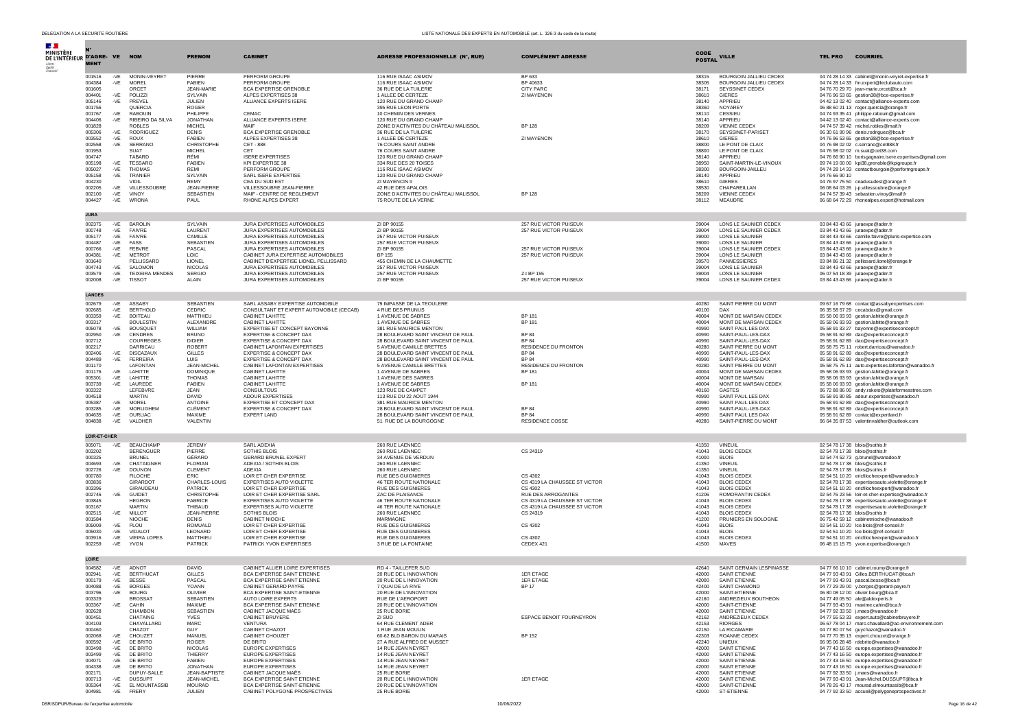| <b>Section</b>                             |                         |              |                                         |                                   |                                                                             |                                                                          |                                                  |                       |                                                  |                                                                                                 |
|--------------------------------------------|-------------------------|--------------|-----------------------------------------|-----------------------------------|-----------------------------------------------------------------------------|--------------------------------------------------------------------------|--------------------------------------------------|-----------------------|--------------------------------------------------|-------------------------------------------------------------------------------------------------|
| MINISTÈRE<br>DE L'INTÉRIEUR D'AGRE- VE NOM |                         |              |                                         | <b>PRENOM</b>                     | <b>CABINET</b>                                                              | <b>ADRESSE PROFESSIONNELLE (N°, RUE)</b>                                 | <b>COMPLÉMENT ADRESSE</b>                        | CODE<br><b>POSTAL</b> | <b>VILLE</b>                                     | <b>TEL PRO</b><br><b>COURRIEL</b>                                                               |
|                                            | <b>MENT</b>             |              |                                         |                                   |                                                                             |                                                                          |                                                  |                       |                                                  |                                                                                                 |
|                                            | 001516<br>004384        | -VE          | -VE MONIN-VEYRET<br>MOREL               | PIERRE<br><b>FABIEN</b>           | PERFORM GROUPE<br>PERFORM GROUPE                                            | 116 RUE ISAAC ASIMOV<br>116 RUE ISAAC ASIMOV                             | BP 633<br>BP 40633                               | 38315<br>38305        | BOURGOIN JALLIEU CEDEX<br>BOURGOIN JALLIEU CEDEX | 04 74 28 14 33 cabinet@monin-veyret-expertise.fr<br>04 74 28 14 33 fm.expert@leclubauto.com     |
|                                            | 001605                  |              | <b>ORCET</b>                            | <b>JEAN-MARIE</b>                 | BCA EXPERTISE GRENOBLE                                                      | 36 RUE DE LA TUILERIE                                                    | <b>CITY PARC</b>                                 | 38171                 | SEYSSINET CEDEX                                  | 04 76 70 29 70 jean-marie.orcet@bca.fr                                                          |
|                                            | 004401<br>005146        | $-VE$<br>-VE | POLIZZI<br>PREVEL                       | SYLVAIN<br>JULIEN                 | ALPES EXPERTISES 38<br>ALLIANCE EXPERTS ISERE                               | 1 ALLEE DE CERTEZE<br>120 RUE DU GRAND CHAMP                             | ZI MAYENCIN                                      | 38610<br>38140        | <b>GIFRES</b><br>APPRIEU                         | 04 76 96 53 65 gestion38@bce-expertise.fr<br>04 42 13 02 40 contact@alliance-experts.com        |
|                                            | 001756                  |              | <b>OUERCIA</b>                          | <b>ROGER</b>                      |                                                                             | 395 RUE LEON PORTE                                                       |                                                  | 38360                 | NOYAREY                                          | 06 88 60 21 13 roger.quercia@orange.fr                                                          |
|                                            | 001767<br>004406        | $-VE$<br>-VE | <b>RABOUIN</b><br>RIBEIRO DA SILVA      | PHII IPPF<br><b>JONATHAN</b>      | CEMAC.<br>ALLIANCE EXPERTS ISERE                                            | 10 CHEMIN DES VERNES<br>120 RUE DU GRAND CHAMP                           |                                                  | 38110<br>38140        | CESSIEU<br>APPRIEU                               | 04 74 93 35 41 philippe.rabouin@gmail.com<br>04 42 13 02 40 contact@alliance-experts.com        |
|                                            | 001828                  |              | <b>ROBLES</b>                           | <b>MICHEL</b>                     | MAIF                                                                        | ZONE D'ACTIVITES DU CHÂTEAU MALISSOL                                     | <b>BP 128</b>                                    | 38209                 | <b>VIENNE CEDEX</b>                              | 04 74 57 39 42 michel.robles@maif.fr                                                            |
|                                            | 005306<br>003552        | -VE<br>-VE   | <b>RODRIGUEZ</b><br>ROUX                | <b>DENIS</b><br><b>FABIEN</b>     | BCA EXPERTISE GRENOBLE<br>ALPES EXPERTISES 38                               | 36 RUE DE LA TUILERIE<br>1 ALLEE DE CERTEZE                              | ZI MAYENCIN                                      | 38170<br>38610        | SEYSSINET-PARISET<br><b>GIERES</b>               | 06 30 61 90 96 denis.rodriguez@bca.fr<br>04 76 96 53 65 gestion38@bce-expertise.fr              |
|                                            | 002558                  | -VE          | SERRANO                                 | CHRISTOPHE                        | CET - 888                                                                   | 76 COURS SAINT ANDRE                                                     |                                                  | 38800                 | LE PONT DE CLAIX                                 | 04 76 98 02 02 c.serrano@cet888.fr                                                              |
|                                            | 001953<br>004747        |              | <b>SUAT</b><br>TABARD                   | <b>MICHEL</b><br>RÉMI             | CET<br><b>ISERE EXPERTISES</b>                                              | 76 COURS SAINT ANDRE<br>120 RUE DU GRAND CHAMP                           |                                                  | 38800<br>38140        | LE PONT DE CLAIX<br>APPRIEU                      | 04 76 98 02 02 m.suat@cet38.com<br>04 76 66 90 10 borisgagnaire.isere.expertises@gmail.com      |
|                                            | 005198                  | -VE          | <b>TESSARC</b>                          | FABIEN                            | <b>KPI EXPERTISE 38</b>                                                     | 334 RUE DES 20 TOISES                                                    |                                                  | 38950                 | SAINT-MARTIN-LE-VINOUX                           | 09 74 19 00 00 kpi38.grenoble@kpigroupe.fr                                                      |
|                                            | 005027<br>005158        | -VE<br>-VE   | <b>THOMAS</b><br>TRANIER                | RFMI<br>SYLVAIN                   | PERFORM GROUPE<br>SARL ISERE EXPERTISE                                      | 116 RUE ISAAC ASIMOV<br>120 RUE DU GRAND CHAMP                           |                                                  | 38300<br>38140        | BOURGOIN-JAILLEU<br>APPRIEU                      | 04 74 28 14 33 contactbourgoin@performgroupe.fr<br>04 76 66 90 10                               |
|                                            | 004230                  |              | VIDIL                                   | <b>REMY</b>                       | CEA DU SUD EST                                                              | ZI MAYENCIN II                                                           |                                                  | 38610                 | <b>GIERES</b>                                    | 04 76 97 75 50 ceadusudest@orange.fr                                                            |
|                                            | 002205<br>002100        | -VE<br>$-VE$ | VILLESSOUBRE<br>VINOY                   | <b>JEAN-PIERRE</b><br>SEBASTIEN   | VILLESSOUBRE JEAN-PIERRE<br>MAIF - CENTRE DE REGLEMENT                      | 42 RUE DES APALOIS<br>ZONE D'ACTIVITES DU CHÂTEAU MALISSOL               | <b>BP 128</b>                                    | 38530<br>38209        | CHAPAREILLAN<br>VIENNE CEDEX                     | 06 08 64 03 26 j-p.villessoubre@orange.fr<br>04 74 57 39 43 sebastien.vinoy@maif.fr             |
|                                            | 004427                  | -VE          | <b>WRONA</b>                            | PAUL                              | RHONE ALPES EXPERT                                                          | 75 ROUTE DE LA VERNE                                                     |                                                  | 38112                 | MEAUDRE                                          | 06 68 64 72 29 rhonealpes.expert@hotmail.com                                                    |
|                                            | <b>JURA</b>             |              |                                         |                                   |                                                                             |                                                                          |                                                  |                       |                                                  |                                                                                                 |
|                                            | 002375                  | -VE          | <b>BAROLIN</b>                          | SYLVAIN                           | JURA EXPERTISES AUTOMOBILES                                                 | ZI BP 90155                                                              | 257 RUE VICTOR PUISEUX                           | 39004                 | LONS LE SAUNIER CEDEX                            | 03 84 43 43 66 juraexpe@ader.fr                                                                 |
|                                            | 000748                  | $-VE$        | <b>FAIVRE</b>                           | LAURENT<br>CAMILLE                | JURA EXPERTISES AUTOMOBILES                                                 | ZI BP 90155<br>257 RUE VICTOR PUISEUX                                    | 257 RUE VICTOR PUISEUX                           | 39004                 | LONS LE SAUNIER CEDEX                            | 03 84 43 43 66 juraexpe@ader.fr                                                                 |
|                                            | 005177<br>004487        | -VE<br>-VE   | <b>FAIVRE</b><br>FASS                   | <b>SEBASTIEN</b>                  | JURA EXPERTISES AUTOMOBILES<br>JURA EXPERTISES AUTOMOBILES                  | 257 RUE VICTOR PUISEUX                                                   |                                                  | 39000<br>39000        | LONS LE SAUNIER<br>LONS LE SAUNIER               | 03 84 43 43 66 camille.faivre@pluris-expertise.com<br>03 84 43 43 66 juraexpe@ader.fr           |
|                                            | 000766<br>004381        | $-VE$        | <b>FEBVRE</b><br><b>METROT</b>          | PASCAL<br>LOIC                    | JURA EXPERTISES AUTOMOBILES                                                 | ZI BP 90155<br>BP 155                                                    | 257 RUE VICTOR PUISEUX<br>257 RUE VICTOR PUISEUX | 39004<br>39004        | LONS LE SAUNIER CEDEX                            | 03 84 43 43 66 juraexpe@ader.fr                                                                 |
|                                            | 001640                  | -VE          | PELLISSARD                              | LIONEL                            | CABINET JURA EXPERTISE AUTOMOBILES<br>CABINET D'EXPERTISE LIONEL PELLISSARD | 455 CHEMIN DE LA CHAUMETTE                                               |                                                  | 39570                 | LONS LE SAUNIER<br>PANNESSIERES                  | 03 84 43 43 66 juraexpe@ader.fr<br>03 84 86 21 32 pellissard.lionel@orange.fr                   |
|                                            | 004743                  | $-VE$        | SALOMON                                 | <b>NICOLAS</b>                    | JURA EXPERTISES AUTOMOBILES                                                 | 257 RUE VICTOR PUISEUX                                                   |                                                  | 39004                 | LONS LE SAUNIER                                  | 03 84 43 43 66 juraexpe@ader.fr                                                                 |
|                                            | 003579<br>002008        | -VE<br>-VE   | <b>TEIXEIRA MENDES</b><br><b>TISSOT</b> | <b>SERGIO</b><br>ALAIN            | JURA EXPERTISES AUTOMOBILES<br><b>JURA EXPERTISES AUTOMOBILES</b>           | 257 RUE VICTOR PUISEUX<br>ZI BP 90155                                    | Z.I BP 155<br>257 RUE VICTOR PUISEUX             | 39004<br>39004        | LONS LE SAUNIER<br>LONS LE SAUNIER CEDEX         | 06 07 54 18 39 juraexpe@ader.fr<br>03 84 43 43 66 juraexpe@ader.fr                              |
|                                            |                         |              |                                         |                                   |                                                                             |                                                                          |                                                  |                       |                                                  |                                                                                                 |
|                                            | <b>LANDES</b><br>002679 | $-VE$        | ASSABY                                  | SEBASTIEN                         | SARL ASSABY EXPERTISE AUTOMOBILE                                            | 79 IMPASSE DE LA TEOULERE                                                |                                                  | 40280                 | SAINT PIERRE DU MONT                             |                                                                                                 |
|                                            | 002685                  | -VE          | <b>BERTHOLD</b>                         | CEDRIC                            | CONSULTANT ET EXPERT AUTOMOBILE (CECAB)                                     | 4 RUE DES PRUNUS                                                         |                                                  | 40100                 | DAX                                              | 09 67 16 79 68 contact@assabyexpertises.com<br>06 35 58 57 29 cecabdax@gmail.com                |
|                                            | 003359<br>003317        | $-VE$        | <b>BOITEAU</b><br><b>BOULESTIN</b>      | MATTHIEU<br>ALEXANDRE             | CABINET LAHITTE<br>CABINET LAHITTE                                          | 1 AVENUE DE SABRES<br>1 AVENUE DE SABRES                                 | <b>BP 181</b><br><b>BP 181</b>                   | 40004<br>40004        | MONT DE MARSAN CEDEX<br>MONT DE MARSAN CEDEX     | 05 58 06 93 93 gestion.lahitte@orange.fr<br>05 58 06 93 93 gestion.lahitte@orange.fr            |
|                                            | 005078                  | -VE          | <b>BOUSQUET</b>                         | WILLIAM                           | EXPERTISE ET CONCEPT BAYONNE                                                | 381 RUE MAURICE MENTON                                                   |                                                  | 40990                 | SAINT PAUL LES DAX                               | 05 58 91 33 27 bayonne@expertiseconcept.fr                                                      |
|                                            | 002950<br>002712        | $-VE$        | CENDRES<br>COURREGES                    | <b>BRUNO</b><br><b>DIDIER</b>     | EXPERTISE & CONCEPT DAX<br><b>EXPERTISE &amp; CONCEPT DAX</b>               | 28 BOULEVARD SAINT VINCENT DE PAUL<br>28 BOULEVARD SAINT VINCENT DE PAUL | <b>BP 84</b><br><b>BP84</b>                      | 40990<br>40990        | SAINT-PAUL-LES-DAX<br>SAINT-PAUL-LES-DAX         | 05 58 91 62 89 dax@expertiseconcept.fr<br>05 58 91 62 89 dax@expertiseconcept.fr                |
|                                            | 002217                  |              | DARRICAU                                | <b>ROBERT</b>                     | CABINET LAFONTAN EXPERTISES                                                 | 5 AVENUE CAMILLE BRETTES                                                 | RESIDENCE DU FRONTON                             | 40280                 | SAINT PIERRE DU MONT                             | 05 58 75 75 11 robert.darricau@wanadoo.fr                                                       |
|                                            | 002406<br>004489        | $-VE$<br>-VE | <b>DISCAZAUX</b><br><b>FERREIRA</b>     | <b>GILLES</b><br>LUIS             | EXPERTISE & CONCEPT DAX<br>EXPERTISE & CONCEPT DAX                          | 28 BOULEVARD SAINT VINCENT DE PAUL<br>28 BOULEVARD SAINT VINCENT DE PAUL | <b>BP 84</b><br><b>BP 84</b>                     | 40990<br>40990        | SAINT-PAUL-LES-DAX<br>SAINT-PAUL-LES-DAX         | 05 58 91 62 89 dax@expertiseconcept.fr<br>05 58 91 62 89 dax@expertiseconcept.fr                |
|                                            | 001170                  |              | LAFONTAN                                | <b>JEAN-MICHEL</b>                | CABINET LAFONTAN EXPERTISES                                                 | 5 AVENUE CAMILLE BRETTES                                                 | <b>RESIDENCE DU FRONTON</b>                      | 40280                 | SAINT PIERRE DU MONT                             | 05 58 75 75 11 auto.expertises.lafontan@wanadoo.fr                                              |
|                                            | 001176<br>005301        | -VE          | -VE LAHITTE<br>LAHITTE                  | <b>DOMINIOUE</b><br><b>THOMAS</b> | CABINET LAHITTE<br>CABINET LAHITTE                                          | 1 AVENUE DE SABRES<br>1 AVENUE DES SABRES                                | <b>BP 181</b>                                    | 40004<br>40004        | MONT DE MARSAN CEDEX<br>MONT DE MARSAN           | 05 58 06 93 93 gestion.lahitte@orange.fr<br>05 58 06 93 93 gestion.lahitte@orange.fr            |
|                                            | 003739                  | -VE          | LAUREDE                                 | <b>FABIEN</b>                     | CABINET LAHITTE                                                             | 1 AVENUE DE SABRES                                                       | BP 181                                           | 40004                 | MONT DE MARSAN CEDEX                             | 05 58 06 93 93 gestion.lahitte@orange.fr                                                        |
|                                            | 003322<br>004518        |              | LEFEBVRE<br><b>MARTIN</b>               | JFAN.<br>DAVID                    | CONSULTOUS<br>ADOUR EXPERTISES                                              | 123 RUE DE CAMPET<br>113 RUE DU 22 AOUT 1944                             |                                                  | 40160<br>40990        | GASTES<br>SAINT PAUL LES DAX                     | 06 72 88 86 00 andy.rakoto@plateformeastree.com<br>05 58 91 80 85 adour.expertises@wanadoo.fr   |
|                                            | 005387                  | $-VE$        | <b>MOREL</b>                            | ANTOINE                           | EXPERTISE ET CONCEPT DAX                                                    | 381 RUE MAURICE MENTON                                                   |                                                  | 40990                 | SAINT PAUL LES DAX                               | 05 58 91 62 89 dax@expertiseconcept.fr                                                          |
|                                            | 003285<br>004635        | -VE<br>-VE   | <b>MORI IGHEN</b><br>OURLIAC            | CI FMENT<br>MAXIME                | <b>EXPERTISE &amp; CONCEPT DAX</b><br>EXPERT LAND                           | 28 BOULEVARD SAINT VINCENT DE PAUL<br>28 BOULEVARD SAINT VINCENT DE PAUL | <b>BP84</b><br><b>BP 84</b>                      | 40990<br>40990        | SAINT-PAUL-LES-DAX<br>SAINT PAUL LES DAX         | 05 58 91 62 89 dax@expertiseconcept.fr<br>05 58 91 62 89 contact@expertland.fr                  |
|                                            | 004838                  | $-VE$        | VALDHER                                 | VALENTIN                          |                                                                             | 51 RUE DE LA BOURGOGNE                                                   | <b>RESIDENCE COSSE</b>                           | 40280                 | SAINT-PIERRE DU MONT                             | 06 64 35 87 53 valentinvaldher@outlook.com                                                      |
|                                            | LOIR-ET-CHER            |              |                                         |                                   |                                                                             |                                                                          |                                                  |                       |                                                  |                                                                                                 |
|                                            | 005071                  | -VE          | <b>BEAUCHAMF</b>                        | JEREMY                            | SARI ADEXIA                                                                 | 260 RUE LAENNEC                                                          |                                                  | 41350                 | VINEUIL                                          | 02 54 78 17 38 blois@sothis.fr                                                                  |
|                                            | 003202<br>000325        |              | <b>BERENGUER</b><br><b>BRUNEL</b>       | PIERRE<br>GÉRARD                  | SOTHIS BLOIS<br><b>GERARD BRUNEL EXPERT</b>                                 | 260 RUE LAENNEC<br>34 AVENUE DE VERDUN                                   | CS 24319                                         | 41043<br>41000        | <b>BLOIS CEDEX</b><br><b>BLOIS</b>               | 02 54 78 17 38 blois@sothis.fr<br>02 54 74 52 73 g.brunel@wanadoo.fr                            |
|                                            | 004693                  | $-VE$        | CHATAIGNEF                              | <b>FI ORIAN</b>                   | ADEXIA / SOTHIS BLOIS                                                       | 260 RUE LAENNEC                                                          |                                                  | 41350                 | <b>VINEUIL</b>                                   | 02 54 78 17 38 blois@sothis.fr                                                                  |
|                                            | 002726<br>000780        | -VE          | <b>DOUNON</b><br><b>FILOCHE</b>         | <b>CLEMENT</b><br>ERIC            | ADEXIA<br>LOIR ET CHER EXPERTISE                                            | 260 RUE LAENNEC<br><b>RUE DES GUIGNIERES</b>                             | CS 4302                                          | 41350<br>41043        | <b>VINEUIL</b><br><b>BLOIS CEDEX</b>             | 02 54 78 17 38 blois@sothis.fr<br>02 54 51 10 20 ericfilocheexpert@wanadoo.fr                   |
|                                            | 003836                  |              | GIRARDOT                                | CHARLES-LOUIS                     | <b>EXPERTISES AUTO VIOLETTE</b>                                             | 46 TER ROUTE NATIONALE                                                   | CS 4319 LA CHAUSSEE ST VICTOR                    | 41043                 | <b>BLOIS CEDEX</b>                               | 02 54 78 17 38 expertisesauto.violette@orange.fr                                                |
|                                            | 003396<br>002746        | -VE          | GIRAUDEAU<br><b>GUIDET</b>              | <b>PATRICK</b><br>CHRISTOPHE      | LOIR ET CHER EXPERTISE<br>LOIR ET CHER EXPERTISE SARL                       | RUE DES GUIGNIERES<br>ZAC DE PLAISANCE                                   | CS 4302<br>RUE DES ARROGANTES                    | 41043<br>41206        | <b>BLOIS CEDEX</b><br>ROMORANTIN CEDEX           | 02 54 51 10 20 ericfilocheexpert@wanadoo.fr<br>02 54 76 23 56 loir-et-cher-expertise@wanadoo.fr |
|                                            | 003845                  |              | <b>HEGRON</b>                           | FABRICE                           | EXPERTISES AUTO VIOLETTE                                                    | 46 TER ROUTE NATIONALE                                                   | CS 4319 LA CHAUSSEE ST VICTOR                    | 41043                 | <b>BLOIS CEDEX</b>                               | 02 54 78 17 38 expertisesauto.violette@orange.fr                                                |
|                                            | 003167<br>002515        | -VE          | <b>MARTIN</b><br>MILLOT                 | THIBAUD<br>JEAN-PIERRE            | EXPERTISES AUTO VIOLETTE<br>SOTHIS BLOIS                                    | 46 TER ROUTE NATIONALE<br>260 RUE LAENNEC                                | CS 4319 LA CHAUSSEE ST VICTOR<br>CS 24319        | 41043<br>41043        | <b>BLOIS CEDEX</b><br><b>BLOIS CEDEX</b>         | 02 54 78 17 38 expertisesauto.violette@orange.fr<br>02 54 78 17 38 blois@sothis.fr              |
|                                            | 001584                  |              | NIOCHE                                  | <b>DENIS</b>                      | CABINET NIOCHE                                                              | MARMAGNE                                                                 |                                                  | 41200                 | PRUNIERS EN SOLOGNE                              | 06 75 42 59 12 cabinetnioche@wanadoo.fr                                                         |
|                                            | 005009<br>005030        | -VE<br>$-VE$ | PLOU<br>VIDALO <sub>1</sub>             | ROMUALD<br>LEONARD                | LOIR ET CHER EXPERTISE<br>LOIR ET CHER EXPERTISE                            | <b>RUE DES GUIGNIERES</b><br><b>RUE DES GUIGNIERES</b>                   | CS 4302                                          | 41043<br>41043        | <b>BLOIS</b><br><b>BLOIS</b>                     | 02 54 51 10 20 Ice.blois@ref-conseil.fr<br>02 54 51 10 20 Ice.blois@ref-conseil.fr              |
|                                            | 003916                  | -VE          | <b>VIEIRA LOPES</b>                     | MATTHIEU                          | LOIR ET CHER EXPERTISE                                                      | RUE DES GUIGNIERES                                                       | CS 4302                                          | 41043                 | <b>BLOIS CEDEX</b>                               | 02 54 51 10 20 ericfilocheexpert@wanadoo.fr                                                     |
|                                            | 002259                  | -VE          | YVON                                    | <b>PATRICK</b>                    | PATRICK YVON EXPERTISES                                                     | 3 RUE DE LA FONTAINE                                                     | CEDEX 421                                        | 41500                 | MAVES                                            | 06 48 15 15 75 yvon.expertise@orange.fr                                                         |
|                                            | LOIRE                   |              |                                         |                                   |                                                                             |                                                                          |                                                  |                       |                                                  |                                                                                                 |
|                                            | 004582                  |              | -VE ADNOT                               | <b>DAVID</b>                      | CABINET ALLIER LOIRE EXPERTISES                                             | RD 4 - TAILLEFER SUD                                                     |                                                  | 42640                 | SAINT GERMAIN LESPINASSE                         | 04 77 66 10 10 cabinet.roumy@orange.fr                                                          |
|                                            | 002941<br>000179        | -VE<br>-VE   | <b>BERTHUCAT</b><br><b>BESSE</b>        | <b>GILLES</b><br>PASCAL           | BCA EXPERTISE SAINT ETIENNE<br>BCA EXPERTISE SAINT ETIENNE                  | 20 RUE DE L INNOVATION<br>20 RUE DE L INNOVATION                         | <b>1ER ETAGE</b><br><b>1ER ETAGE</b>             | 42000<br>42000        | SAINT ETIENNE<br>SAINT ETIENNE                   | 04 77 93 43 91 Gilles.BERTHUCAT@bca.fr<br>04 77 93 43 91 pascal.besse@bca.fr                    |
|                                            | 004088                  | .VF          | <b>BORGE</b>                            | YOANN                             | CARINET CERARD E                                                            | 7 OI IAI DE LA RIV                                                       | BP 17                                            | 42400                 | SAINT CHAMON                                     | 04 77 29 29 00 y.borges@gerard-payre                                                            |
|                                            | 003796<br>003329        | -VE          | <b>BOURG</b><br><b>BROSSAT</b>          | OLIVIER<br>SEBASTIEN              | BCA EXPERTISE SAINT-ETIENNE<br>AUTO LOIRE EXPERTS                           | 20 RUE DE L'INNOVATION<br>RUE DE L'AEROPORT                              |                                                  | 42000<br>42160        | SAINT-ETIENNE<br>ANDREZIEUX BOUTHEON             | 06 80 08 12 00 olivier.bourg@bca.fr<br>04 77 49 05 50 ale@aldexnerts.fr                         |
|                                            | 003367                  | -VE          | CAHIN                                   | MAXIME                            | BCA EXPERTISE SAINT ETIENNE<br>CABINET JACQUE MAËS                          | 20 RUE DE L'INNOVATION                                                   |                                                  | 42000                 | SAINT-ETIENNE                                    | 04 77 93 43 91 maxime.cahin@bca.fr                                                              |
|                                            | 002628<br>000451        |              | CHAMBON<br>CHATAING                     | SEBASTIEN<br><b>YVES</b>          | CABINET BRUYERE                                                             | 25 RUE BORIE<br>ZI SUD                                                   | ESPACE BENOIT FOURNEYRON                         | 42000<br>42162        | SAINT ETIENNE<br>ANDREZIEUX CEDEX                | 04 77 92 33 50 j.maes@wanadoo.fr<br>04 77 55 53 33 expert.auto@cabinetbruyere.fr                |
|                                            | 004103                  |              | CHAVALLARD                              | MARC                              | VENTURA                                                                     | 64 RUE CLEMENT ADER                                                      |                                                  | 42153                 | <b>RIORGES</b>                                   | 06 67 78 04 17 marc.chavallard@ac-environnement.com                                             |
|                                            | 000460<br>002068        | $-VE$        | CHAZOT<br>CHOUZET                       | GUY<br>MANUFI                     | CABINET CHAZOT<br>CABINET CHOUZET                                           | 1 RUE JEAN MOULIN<br>60-62 BLD BARON DU MARAIS                           | BP 152                                           | 42150<br>42303        | <b>LA RICAMARIE</b><br>ROANNE CEDEX              | 04 77 80 07 54 auvchazot@wanadoo.fr<br>04 77 70 35 13 expert.chouzet@orange.fr                  |
|                                            | 000592                  | -VE          | DE BRITO                                | ROGER                             | DE BRITO<br><b>EUROPE EXPERTISES</b>                                        | 27 A RUE ALFRED DE MUSSET                                                |                                                  | 42240                 | <b>UNIEUX</b>                                    | 06 95 06 28 48 rdebrito@wanadoo.fr                                                              |
|                                            | 003498<br>003499        | $-VE$        | DE BRITO<br>-VE DE BRITO                | <b>NICOLAS</b><br>THIFRRY         | EUROPE EXPERTISES                                                           | 14 RUE JEAN NEYRET<br>14 RUE JEAN NEYRET                                 |                                                  | 42000<br>42000        | SAINT ETIENNE<br>SAINT ETIENNE                   | 04 77 43 16 50 europe.expertises@wanadoo.fr<br>04 77 43 16 50 europe.expertises@wanadoo.fr      |
|                                            | 004071<br>004338        | $-VE$        | DE BRITO<br>-VE DE BRITO                | FABIEN<br><b>JONATHAN</b>         | EUROPE EXPERTISES<br>EUROPE EXPERTISES                                      | 14 RUE JEAN NEYRET<br>14 RUE JEAN NEYRET                                 |                                                  | 42000<br>42000        | SAINT ETIENNE<br>SAINT ETIENNE                   | 04 77 43 16 50 europe.expertises@wanadoo.fr<br>04 77 43 16 50 europe.expertises@wanadoo.fr      |
|                                            | 002171                  |              | DUPUY-SALLE                             | JEAN-BAPTISTE                     | CABINET JACQUE MAËS                                                         | 25 RUE BORIE                                                             |                                                  | 42000                 | SAINT ETIENNE                                    | 04 77 92 33 50 j.maes@wanadoo.fr                                                                |
|                                            | 000713<br>005364        | $-VE$        | <b>DUSSUPT</b><br>-VE EL MOUNTASSIB     | JEAN-MICHEL<br><b>MOURAD</b>      | BCA EXPERTISE SAINT ETIENNE<br>BCA EXPERTISE SAINT-FTIENNE                  | 20 RUE DE L INNOVATION<br>20 RUE DE L'INNOVATION                         | <b>1ER ETAGE</b>                                 | 42000<br>42000        | SAINT ETIENNE<br>SAINT-FTIFNNF                   | 04 77 93 43 91 Jean-Michel.DUSSUPT@bca.fr<br>04 78 26 43 17 mourad.elmountassib@bca.fr          |
|                                            | 004981                  |              | -VE FRERY                               | JULIEN                            | CABINET POLYGONE PROSPECTIVES                                               | 25 RUE BORIE                                                             |                                                  | 42000                 | ST-ETIENNE                                       | 04 77 92 33 50 accueil@polygoneprospectives.fr                                                  |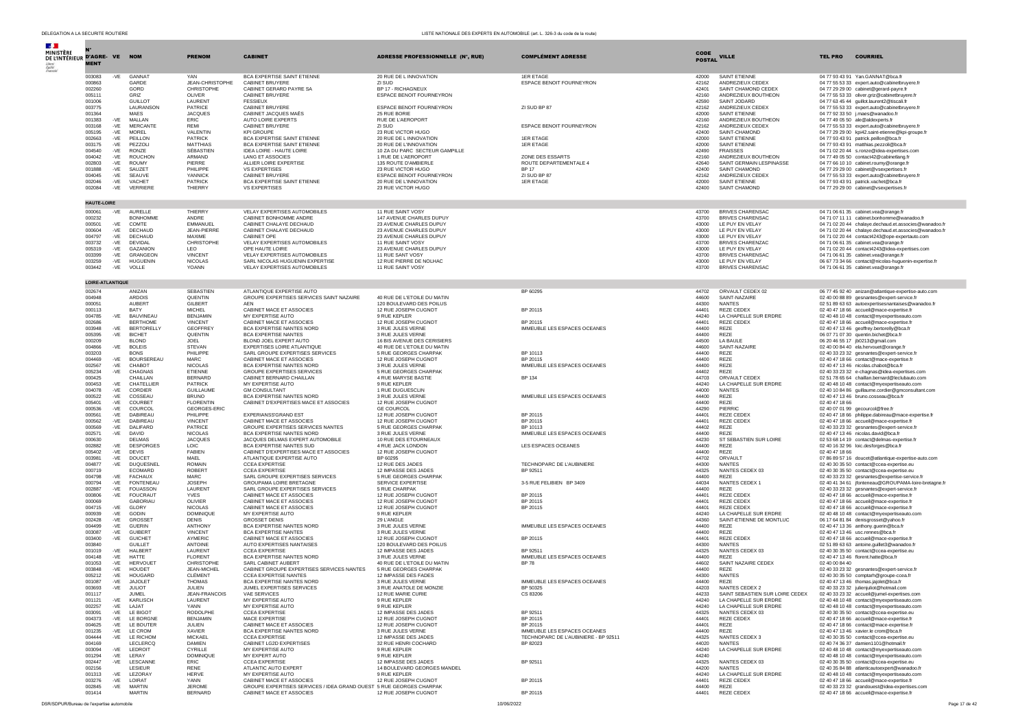| $\mathcal{A}$ .<br><b>MINISTÈRE</b><br>DE L'INTÉRIEUR D'AGRE- VE | <b>MENT</b>        |                | <b>NOM</b>                | <b>PRENOM</b>                    | <b>CABINET</b>                                                      | ADRESSE PROFESSIONNELLE (N°, RUE)                   | <b>COMPLÉMENT ADRESSE</b>              | CODE<br><b>POSTAL</b> | <b>VILLE</b>                              | <b>COURRIEL</b><br><b>TEL PRO</b>                                                        |
|------------------------------------------------------------------|--------------------|----------------|---------------------------|----------------------------------|---------------------------------------------------------------------|-----------------------------------------------------|----------------------------------------|-----------------------|-------------------------------------------|------------------------------------------------------------------------------------------|
|                                                                  | 003083             | -VE            | <b>GANNAT</b>             | YAN                              | <b>BCA EXPERTISE SAINT ETIENNE</b>                                  | 20 RUE DE L INNOVATION                              | <b>1ER ETAGE</b>                       | 42000                 | SAINT ETIENNE                             | 04 77 93 43 91 Yan.GANNAT@bca.fr                                                         |
|                                                                  | 000863             |                | GARDE                     | JEAN-CHRISTOPHE                  | CABINET BRUYERE                                                     | ZI SUD                                              | ESPACE BENOIT FOURNEYRON               | 42162                 | ANDREZIEUX CEDEX                          | 04 77 55 53 33 expert.auto@cabinetbruyere.fr                                             |
|                                                                  | 002260             |                | GORD                      | CHRISTOPHE                       | CABINET GERARD PAYRE SA                                             | BP 17 - RICHAGNEUX                                  |                                        | 42401                 | SAINT CHAMOND CEDEX                       | 04 77 29 29 00 cabinet@gerard-payre.fr                                                   |
|                                                                  | 005111             |                | GRIZ                      | OLIVER                           | CABINET BRUYERE                                                     | ESPACE BENOIT FOURNEYRON                            |                                        | 42160                 | ANDREZIEUX BOUTHEON                       | 04 77 55 53 33 oliver.griz@cabinetbruyere.fr                                             |
|                                                                  | 001006             |                | <b>GUILLOT</b>            | LAURENT                          | <b>FESSIEUX</b>                                                     |                                                     |                                        | 42590                 | SAINT JODARD                              | 04 77 63 45 44 guillot.laurent2@tiscali.fr                                               |
|                                                                  | 003775             |                | LAURANSON                 | PATRICE                          | <b>CABINET BRUYERE</b>                                              | ESPACE BENOIT FOURNEYRON                            | ZI SUD BP 87                           | 42162                 | ANDREZIEUX CEDEX                          | 04 77 55 53 33 expert.auto@cabinetbruyere.fr                                             |
|                                                                  | 001364<br>001383   | $-VE$          | MAES<br>MALLAN            | <b>JACQUES</b><br><b>ERIC</b>    | CABINET JACQUES MAËS<br>AUTO LOIRE EXPERTS                          | 25 RUE BORIE<br>RUE DE L'AEROPORT                   |                                        | 42000<br>42160        | SAINT ETIENNE<br>ANDREZIEUX BOUTHEON      | 04 77 92 33 50 j.maes@wanadoo.fr<br>04 77 49 05 50 ale@aldexperts.fr                     |
|                                                                  | 003168             | $-VE$          | <b>MERCANTE</b>           | RFMI                             | CABINET BRUYERE                                                     | ZI SUD                                              | ESPACE BENOIT FOURNEYRON               | 42162                 | ANDREZIEUX CEDEX                          | 04 77 55 53 33 expert.auto@cabinetbruyere.fr                                             |
|                                                                  | 005195             | $-VE$          | MOREL                     | VALENTIN                         | KPI GROUPE                                                          | 23 RUE VICTOR HUGO                                  |                                        | 42400                 | SAINT-CHAMOND                             | 04 77 29 29 00 kpi42.saint-etienne@kpi-groupe.fr                                         |
|                                                                  | 002663             | $-VE$          | PEILLON                   | <b>PATRICK</b>                   | BCA EXPERTISE SAINT ETIENNE                                         | 20 RUE DE L INNOVATION                              | <b>1ER ETAGE</b>                       | 42000                 | SAINT ETIENNE                             | 04 77 93 43 91 patrick.peillon@bca.fr                                                    |
|                                                                  | 003175             | $-VE$          | PEZZOL                    | <b>MATTHIAS</b>                  | BCA EXPERTISE SAINT ETIENNE                                         | 20 RUE DE L'INNOVATION                              | <b>1ER ETAGE</b>                       | 42000                 | <b>SAINT ETIENNE</b>                      | 04 77 93 43 91 matthias.pezzoli@bca.fr                                                   |
|                                                                  | 004540             | $-VE$          | RONZE                     | SÉBASTIEN                        | IDEA LOIRE - HAUTE LOIRE                                            | 10 ZA DU PARC SECTEUR GAMPILLE                      |                                        | 42490                 | <b>FRAISSES</b>                           | 04 71 02 20 44 s.ronze@idea-expertises.com                                               |
|                                                                  | 004042             | $-VE$          | <b>ROUCHON</b>            | ARMAND                           | <b>LANG ET ASSOCIES</b>                                             | 1 RUE DE L'AEROPORT                                 | ZONE DES ESSARTS                       | 42160                 | ANDREZIEUX BOUTHEON                       | 04 77 49 05 50 contact42@cabinetlang.fr                                                  |
|                                                                  | 002803<br>001888   | $-VE$<br>$-VE$ | ROUMY<br>SAUZET           | PIERRE<br>PHILIPPE               | ALLIER LOIRE EXPERTISE<br><b>VS EXPERTISES</b>                      | 135 ROUTE D'AMBIERLE<br>23 RUE VICTOR HUGO          | ROUTE DEPARTEMENTALE 4<br><b>BP 17</b> | 42640<br>42400        | SAINT GERMAIN LESPINASSE<br>SAINT CHAMOND | 04 77 66 10 10 cabinet.roumy@orange.fr<br>04 77 29 29 00 cabinet@vsexpertises.fr         |
|                                                                  | 004045             | $-VE$          | SEAUVE                    | YANNICK                          | CABINET BRUYERE                                                     | <b>ESPACE BENOIT FOURNEYRON</b>                     | ZI SUD BP 87                           | 42162                 | ANDREZIEUX CEDEX                          | 04 77 55 53 33 expert.auto@cabinetbruyere.fr                                             |
|                                                                  | 002046             | $-VE$          | VACHET                    | <b>PATRICK</b>                   | BCA EXPERTISE SAINT ETIENNE                                         | 20 RUE DE L'INNOVATION                              | <b>1ER ETAGE</b>                       | 42000                 | SAINT ETIENNE                             | 04 77 93 43 91 patrick.vachet@bca.fr                                                     |
|                                                                  | 002084             | $-VE$          | VERRIERE                  | THIERRY                          | <b>VS EXPERTISES</b>                                                | 23 RUE VICTOR HUGO                                  |                                        | 42400                 | SAINT CHAMOND                             | 04 77 29 29 00 cabinet@vsexpertises.fr                                                   |
|                                                                  | <b>HAUTE-LOIRE</b> |                |                           |                                  |                                                                     |                                                     |                                        |                       |                                           |                                                                                          |
|                                                                  | 000061             | $-VE$          | AURELLE                   | THIERRY                          | VELAY EXPERTISES AUTOMOBILES                                        | 11 RUE SAINT VOSY                                   |                                        | 43700                 | <b>BRIVES CHARENSAC</b>                   | 04 71 06 61 35 cabinet.vea@orange.fr                                                     |
|                                                                  | 000232             |                | <b>BONHOMME</b>           | ANDRE                            | CABINET BONHOMME ANDRE                                              | 147 AVENUE CHARLES DUPUY                            |                                        | 43700                 | <b>BRIVES CHARENSAC</b>                   | 04 71 07 11 11 cabinet.bonhomme@wanadoo.fr                                               |
|                                                                  | 000501             | $-VE$          | COMTE                     | EMMANUEL                         | CABINET CHALAYE DECHAUD                                             | 23 AVENUE CHARLES DUPUY                             |                                        | 43000                 | LE PUY EN VELAY                           | 04 71 02 20 44 chalaye.dechaud.et.associes@wanadoo.fr                                    |
|                                                                  | 000604             | $-VE$          | DECHAUD                   | JEAN-PIERRE                      | CABINET CHALAYE DECHAUD                                             | 23 AVENUE CHARLES DUPUY                             |                                        | 43000                 | LE PUY EN VELAY                           | 04 71 02 20 44 chalaye.dechaud.et.associes@wanadoo.fr                                    |
|                                                                  | 004797             | $-VE$          | DECHAUD                   | MAXIME                           | CABINET OPE                                                         | 23 AVENUE CHARLES DUPUY                             |                                        | 43000                 | LE PUY EN VELAY                           | 04 71 02 20 44 contact4243@ope-expertauto.com                                            |
|                                                                  | 003732             | $-VE$          | <b>DEVIDAL</b>            | CHRISTOPHE                       | VELAY EXPERTISES AUTOMOBILES                                        | 11 RUE SAINT VOSY                                   |                                        | 43700                 | <b>BRIVES CHARENZAC</b>                   | 04 71 06 61 35 cabinet.vea@orange.fr                                                     |
|                                                                  | 005319             | $-VE$          | <b>GAZANION</b>           | <b>LEO</b>                       | OPE HAUTE LOIRE                                                     | 23 AVENUE CHARLES DUPUY                             |                                        | 43000                 | LE PUY EN VELAY                           | 04 71 02 20 44 contact4243@idea-expertises.com                                           |
|                                                                  | 003399             | $-VE$          | GRANGEON                  | <b>VINCENT</b>                   | VELAY EXPERTISES AUTOMOBILES                                        | 11 RUE SANT VOSY                                    |                                        | 43700                 | <b>BRIVES CHARENSAC</b>                   | 04 71 06 61 35 cabinet.vea@orange.fr                                                     |
|                                                                  | 003259             | $-VE$          | <b>HUGUENIN</b>           | <b>NICOLAS</b>                   | SARL NICOLAS HUGUENIN EXPERTISE                                     | 12 RUE PIERRE DE NOLHAC                             |                                        | 43000                 | LE PUY EN VELAY                           | 06 67 73 34 66 contact@nicolas-huguenin-expertise.fr                                     |
|                                                                  | 003442             | $-VE$          | VOLLE                     | <b>YOANN</b>                     | VELAY EXPERTISES AUTOMOBILES                                        | 11 RUE SAINT VOSY                                   |                                        | 43700                 | <b>BRIVES CHARENSAC</b>                   | 04 71 06 61 35 cabinet.vea@orange.fr                                                     |
|                                                                  | LOIRE-ATLANTIQUE   |                |                           |                                  |                                                                     |                                                     |                                        |                       |                                           |                                                                                          |
|                                                                  | 002674             |                | ANIZAN                    | SEBASTIEN                        | ATLANTIQUE EXPERTISE AUTO                                           |                                                     | BP 60295                               | 44702                 | ORVAULT CEDEX 02                          | 06 77 45 92 40 anizan@atlantique-expertise-auto.com                                      |
|                                                                  | 004948             |                | <b>ARDOIS</b>             | <b>OUENTIN</b>                   | GROUPE EXPERTISES SERVICES SAINT NAZAIRE                            | 40 RUE DE L'ETOILE DU MATIN                         |                                        | 44600                 | SAINT-NAZAIRE                             | 02 40 00 88 89 gesnantes@expert-service.fr                                               |
|                                                                  | 000051             |                | AUBERT                    | GILBERT                          | AFN                                                                 | 120 BOULEVARD DES POILUS                            |                                        | 44300                 | <b>NANTES</b>                             | 02 51 89 63 63 autoexpertisesnantaises@wanadoo.fr                                        |
|                                                                  | 000113<br>004785   | $-VE$          | BATY<br>BAUVINEAU         | <b>MICHEL</b><br>BENJAMIN        | CABINET MACE ET ASSOCIES<br>MY EXPERTISE AUTO                       | 12 RUE JOSEPH CUGNOT<br>9 RUE KEPLER                | BP 20115                               | 44401<br>44240        | REZE CEDEX<br>LA CHAPELLE SUR ERDRE       | 02 40 47 18 66 accueil@mace-expertise.fr                                                 |
|                                                                  | 002686             |                | <b>BERTHOME</b>           | <b>VINCENT</b>                   | CABINET MACE ET ASSOCIES                                            | 12 RUE JOSEPH CUGNOT                                | BP 20115                               | 44401                 | <b>REZE CEDEX</b>                         | 02 40 48 10 48 contact@myexpertiseauto.com<br>02 40 47 18 66 accueil@mace-expertise.fr   |
|                                                                  | 003948             | $-VE$          | BERTORELLY                | <b>GEOFFREY</b>                  | BCA EXPERTISE NANTES NORD                                           | 3 RUE JULES VERNE                                   | IMMEUBLE LES ESPACES OCEANES           | 44400                 | REZE                                      | 02 40 47 13 46 geoffrey.bertorelly@bca.fr                                                |
|                                                                  | 005395             | $-VE$          | <b>BICHET</b>             | <b>OUENTIN</b>                   | <b>BCA EXPERTISE NANTES</b>                                         | 3 RUE JULES VERNE                                   |                                        | 44400                 | REZE                                      | 06 07 71 07 30 quentin.bichet@bca.fr                                                     |
|                                                                  | 000209             |                | <b>BLOND</b>              | <b>JOEL</b>                      | BLOND JOEL EXPERT AUTO                                              | 16 BIS AVENUE DES CERISIERS                         |                                        | 44500                 | LA BAULE                                  | 06 20 46 55 17 jb0213@gmail.com                                                          |
|                                                                  | 004866             | $-VE$          | <b>BOLEIS</b>             | <b>STEVAN</b>                    | EXPERTISES LOIRE ATLANTIQUE                                         | 40 RUE DE L'ETOILE DU MATIN                         |                                        | 44600                 | SAINT-NAZAIRE                             | 02 40 00 84 40 ela.hervouet@orange.fr                                                    |
|                                                                  | 003203             |                | <b>BONS</b>               | PHII IPPF                        | SARL GROUPE EXPERTISES SERVICES                                     | 5 RUE GEORGES CHARPAK                               | BP 10113                               | 44400                 | RF7F                                      | 02 40 33 23 32 gesnantes@expert-service.fr                                               |
|                                                                  | 004469             | $-VE$          | BOURSEREAU                | <b>MARC</b>                      | CABINET MACE ET ASSOCIES                                            | 12 RUE JOSEPH CUGNOT                                | BP 20115                               | 44400                 | REZE                                      | 02 40 47 18 66 contact@mace-expertise.fr                                                 |
|                                                                  | 002567             | $-VE$          | CHABOT                    | <b>NICOLAS</b>                   | <b>BCA EXPERTISE NANTES NORD</b>                                    | 3 RUE JULES VERNE                                   | IMMEUBLE LES ESPACES OCEANES           | 44400                 | REZE                                      | 02 40 47 13 46 nicolas.chabot@bca.fr                                                     |
|                                                                  | 005234             | $-VE$          | CHAGNAS                   | ETIENNE                          | <b>GROUPE EXPERTISES SERVICES</b>                                   | 5 RUE GEORGES CHARPAK                               |                                        | 44402                 | RF7F                                      | 02 40 33 23 32 e-chagnas@idea-expertises.com                                             |
|                                                                  | 000425             |                | CHAILLAN                  | <b>BERNARD</b>                   | CABINET BERNARD CHAILLAN                                            | 4 RUE MARYSE BASTIE                                 | BP 134                                 | 44703                 | ORVAULT CEDEX                             | 02 51 78 65 64 chaillan.bernard@leclubauto.com                                           |
|                                                                  | 000453             | $-VE$          | CHATELLIEF                | <b>PATRICK</b>                   | MY EXPERTISE AUTO                                                   | 9 RUE KEPLER                                        |                                        | 44240                 | LA CHAPELLE SUR ERDRE                     | 02 40 48 10 48 contact@myexpertiseauto.com                                               |
|                                                                  | 004078<br>000522   | $-VE$<br>$-VE$ | CORDIER<br>COSSEAU        | <b>GUILLAUME</b><br><b>BRUNO</b> | <b>GM CONSULTANT</b><br>BCA EXPERTISE NANTES NORD                   | 1 RUE DUGUESCLIN<br>3 RUE JULES VERNE               | IMMEUBLE LES ESPACES OCEANES           | 44000<br>44400        | NANTES<br>REZE                            | 02 40 10 84 86 guillaume.cordier@gmconsultant.com<br>02 40 47 13 46 bruno.cosseau@bca.fr |
|                                                                  | 005401             | $-VE$          | COURBET                   | <b>FLORENTIN</b>                 | CABINET D'EXPERTISES MACE ET ASSOCIES                               | 12 RUE JOSEPH CUGNOT                                |                                        | 44400                 | <b>REZE</b>                               | 02 40 47 18 66                                                                           |
|                                                                  | 000536             | $-VE$          | COURCOL                   | <b>GEORGES-ERIC</b>              |                                                                     | <b>GE COURCOL</b>                                   |                                        | 44290                 | PIERRIC                                   | 02 40 07 01 99 gecourcol@free.fr                                                         |
|                                                                  | 000561             | $-VE$          | <b>DABIREAU</b>           | PHILIPPE                         | EXPERIANSS'GRAND EST                                                | 12 RUE JOSEPH CUGNOT                                | BP 20115                               | 44401                 | REZE CEDEX                                | 02 40 47 18 66 philippe.dabireau@mace-expertise.fr                                       |
|                                                                  | 000562             | $-VE$          | <b>DABIREAU</b>           | <b>VINCENT</b>                   | CABINET MACE ET ASSOCIES                                            | 12 RUE JOSEPH CUGNOT                                | BP 20115                               | 44401                 | <b>REZE CEDEX</b>                         | 02 40 47 18 66 accueil@mace-expertise.fr                                                 |
|                                                                  | 000569             | $-VE$          | DALIFARD                  | PATRICE                          | GROUPE EXPERTISES SERVICES NANTES                                   | 5 RUE GEORGES CHARPAK                               | BP 10113                               | 44402                 | REZE                                      | 02 40 33 23 32 gesnantes@expert-service.fr                                               |
|                                                                  | 002571             | $-VE$          | DAVID                     | <b>NICOLAS</b>                   | BCA EXPERTISE NANTES NORD                                           | 3 RUE JULES VERNE                                   | IMMEUBLE LES ESPACES OCEANES           | 44400                 | <b>REZE</b>                               | 02 40 47 13 46 nicolas.david@bca.fr                                                      |
|                                                                  | 000630             |                | <b>DELMAS</b>             | <b>JACQUES</b>                   | JACQUES DELMAS EXPERT AUTOMOBILE                                    | 10 RUE DES ETOURNEAUX                               |                                        | 44230                 | ST SEBASTIEN SUR LOIRE                    | 02 53 68 14 19 contact@delmas-expertise.fr                                               |
|                                                                  | 002882<br>005402   | $-VE$          | <b>DESFORGES</b>          | LOIC<br><b>FABIEN</b>            | BCA EXPERTISE NANTES SUD<br>CABINET D'EXPERTISES MACE ET ASSOCIES   | 4 RUE JACK LONDON<br>12 RUE JOSEPH CUGNOT           | LES ESPACES OCEANES                    | 44400<br>44400        | REZE<br>REZE                              | 02 40 16 32 96 loic.desforges@bca.fr                                                     |
|                                                                  | 003981             | $-VE$<br>$-VE$ | <b>DEVIS</b><br>DOUCET    | MAEL                             | ATLANTIQUE EXPERTISE AUTO                                           | BP 60295                                            |                                        | 44702                 | ORVAULT                                   | 02 40 47 18 66<br>07 86 89 57 16 doucet@atlantique-expertise-auto.com                    |
|                                                                  | 004877             | $-VE$          | <b>DUQUESNEL</b>          | <b>ROMAIN</b>                    | <b>CCEA EXPERTISE</b>                                               | 12 RUE DES JADES                                    | TECHNOPARC DE L'AUBINIERE              | 44300                 | NANTES                                    | 02 40 30 35 50 contact@ccea-expertise.eu                                                 |
|                                                                  | 000719             |                | <b>FCOMARD</b>            | <b>ROBERT</b>                    | <b>CCEA EXPERTISE</b>                                               | 12 IMPASSE DES JADES                                | BP 92511                               | 44325                 | NANTES CEDEX 03                           | 02 40 30 35 50 contact@ccea-expertise.eu                                                 |
|                                                                  | 004798             | $-VE$          | <b>FACHAUX</b>            | <b>MARC</b>                      | SARL GROUPE EXPERTISES SERVICES                                     | 5 RUE GEORGES CHARPAK                               |                                        | 44400                 | REZE                                      | 02 40 33 23 32 gesnantes@expertise-service.fr                                            |
|                                                                  | 000794             | $-VE$          | <b>FONTENEAU</b>          | <b>JOSEPH</b>                    | <b>GROUPAMA LOIRE BRETAGNE</b>                                      | SERVICE EXPERTISE                                   | 3-5 RUE FELIBIEN BP 3409               | 44034                 | NANTES CEDEX 1                            | 02 40 41 34 61 jfonteneau@GROUPAMA-loire-bretagne.fr                                     |
|                                                                  | 002887             | $-VE$          | <b>FOUASSON</b>           | LAURENT                          | SARL GROUPE EXPERTISES SERVICES                                     | 5 RUE CHARPAK                                       |                                        | 44400                 | <b>REZE</b>                               | 02 40 33 23 32 gesnantes@expert-service.fr                                               |
|                                                                  | 000806             | $-VE$          | FOUCRAUT                  | <b>YVES</b>                      | CABINET MACE ET ASSOCIES                                            | 12 RUE JOSEPH CUGNOT                                | BP 20115                               | 44401                 | REZE CEDEX                                | 02 40 47 18 66 accueil@mace-expertise.fr                                                 |
|                                                                  | 000069             |                | <b>GABORIAU</b>           | OLIVIER                          | CABINET MACE ET ASSOCIES                                            | 12 RUE JOSEPH CUGNOT                                | BP 20115                               | 44401                 | REZE CEDEX                                | 02 40 47 18 66 accueil@mace-expertise.fr                                                 |
|                                                                  | 004715<br>000939   | $-VE$<br>$-VE$ | GLORY<br>GODIN            | <b>NICOLAS</b><br>DOMINIQUE      | CABINET MACE ET ASSOCIES<br>MY EXPERTISE AUTO                       | 12 RUE JOSEPH CUGNOT<br>9 RUE KEPLER                | BP 20115                               | 44401<br>44240        | REZE CEDEX<br>LA CHAPELLE SUR ERDRE       | 02 40 47 18 66 accueil@mace-expertise.fr<br>02 40 48 10 48 contact@myexpertiseauto.com   |
|                                                                  | 002428             | $-VE$          | <b>GROSSET</b>            | <b>DENIS</b>                     | <b>GROSSET DENIS</b>                                                | 29 L'ANGLE                                          |                                        | 44360                 | SAINT-ETIENNE DE MONTLUC                  | 06 17 64 81 84 denisgrosset@yahoo.fr                                                     |
|                                                                  | 004499             | $-VE$          | <b>GUERIN</b>             | <b>ANTHONY</b>                   | BCA EXPERTISE NANTES NORD                                           | 3 RUE JULES VERNE                                   | IMMEUBLE LES ESPACES OCEANES           | 44400                 | REZE                                      | 02 40 47 13 36 anthony.guerin@bca.fr                                                     |
|                                                                  | 003087             | $-VE$          | <b>GUIBERT</b>            | <b>VINCENT</b>                   | BCA EXPERTISE NANTES                                                | 3 RUE JULES VERNE                                   |                                        | 44400                 | REZE                                      | 02 40 47 13 46 usc.rennes@bca.fr                                                         |
|                                                                  | 003400             | -VE            | <b>GUICHET</b>            | AYMERIC                          | CABINET MACE ET ASSOCIES                                            | 12 RUE JOSEPH CUGNOT                                | BP 20115                               | 44401                 | <b>REZE CEDEX</b>                         | 02 40 47 18 66 accueil@mace-expertise.fr                                                 |
|                                                                  | 003840             |                | <b>GUILLET</b>            | ANTOINE                          | AUTO EXPERTISES NANTAISES                                           | 120 BOULEVARD DES POILUS                            |                                        | 44300                 | NANTES                                    | 02 51 89 63 63 antoine.guillet3@wanadoo.fr                                               |
|                                                                  | 001019             | -VE            | <b>HALBERT</b>            | LAURENT                          | <b>CCEA EXPERTISE</b>                                               | 12 IMPASSE DES JADES                                | BP 92511                               | 44325                 | NANTES CEDEX 03                           | 02 40 30 35 50 contact@ccea-expertise.eu                                                 |
|                                                                  | 004148             | $-VE$          | HATTE                     | <b>FLORENT</b>                   | BCA EXPERTISE NANTES NORD                                           | 3 RUE JULES VERNE                                   | IMMEUBLE LES ESPACES OCEANES           | 44400                 | REZE                                      | 02 40 47 13 46 florent.hatte@bca.fr                                                      |
|                                                                  | 001053             | $-VE$          | <b>HERVOUET</b>           | CHRISTOPHE                       | SARL CABINET AUBERT                                                 | 40 RUE DE L'ETOILE DU MATIN                         | <b>BP 78</b>                           | 44602                 | SAINT NAZAIRE CEDEX                       | 02 40 00 84 40                                                                           |
|                                                                  | 003848             | $-VE$          | <b>HOUDET</b>             | JEAN-MICHEL                      | CABINET GROUPE EXPERTISES SERVICES NANTES                           | 5 RUE GEORGES CHARPAK                               |                                        | 44400                 | REZE                                      | 02 40 33 23 32 gesnantes@expert-service.fr                                               |
|                                                                  | 005212<br>001087   | $-VE$<br>$-VE$ | HOUGARD<br><b>JAJOLET</b> | CLÉMENT<br><b>THOMAS</b>         | CCEA EXPERTISE NANTES<br>BCA EXPERTISE NANTES NORD                  | 12 IMPASSE DES FADES<br>3 RUE JULES VERNE           | IMMEUBLE LES ESPACES OCEANES           | 44300<br>44400        | NANTES<br>REZE                            | 02 40 30 35 50 comptarh@groupe-ccea.fr<br>02 40 47 13 46 thomas.jajolet@bca.fr           |
|                                                                  | 003693             | $-VE$          | <b>JULIOT</b>             | JULIEN                           | JUMEL EXPERTISES SERVICES                                           | 3 RUE ANATOLE DE MONZIE                             | BP 50325                               | 44203                 | NANTES CEDEX 2                            | 02 40 33 23 32 julienjuliot@hotmail.com                                                  |
|                                                                  | 001117             |                | <b>JUMEL</b>              | JEAN-FRANCOIS                    | VAE SERVICES                                                        | 12 RUE MARIE CURIE                                  | CS 83206                               | 44233                 | SAINT SEBASTIEN SUR LOIRE CEDEX           | 02 40 33 23 32 accueil@jumel-expertises.com                                              |
|                                                                  | 001121             | $-VE$          | KARLISCH                  | LAURENT                          | MY EXPERTISE AUTO                                                   | 9 RUE KEPLER                                        |                                        | 44240                 | LA CHAPELLE SUR ERDRE                     | 02 40 48 10 48 contact@mvexpertiseauto.com                                               |
|                                                                  | 002257             | -VE            | LAJAT                     | YANN                             | MY EXPERTISE AUTO                                                   | 9 RUE KEPLER                                        |                                        | 44240                 | LA CHAPELLE SUR ERDRE                     | 02 40 48 10 48 contact@myexpertiseauto.com                                               |
|                                                                  | 003091             | $-VE$          | LE BIGOT                  | RODOLPHE                         | CCEA EXPERTISE                                                      | 12 IMPASSE DES JADES                                | BP 92511                               | 44325                 | NANTES CEDEX 03                           | 02 40 30 35 50 contact@ccea-expertise.eu                                                 |
|                                                                  | 004373             | $-VE$          | LE BORGNE                 | BENJAMIN                         | MACE EXPERTISE                                                      | 12 RUE JOSEPH CUGNOT                                | BP 20115                               | 44401                 | REZE CEDEX                                | 02 40 47 18 66 accueil@mace-expertise.fr                                                 |
|                                                                  | 004625             | -VE            | LE BOUTER                 | <b>JULIEN</b>                    | CABINET MACE ET ASSOCIES                                            | 12 RUE JOSEPH CUGNOT                                | BP 20115                               | 44401                 | RF7F                                      | 02 40 47 18 66 contact@mace-expertise.fr                                                 |
|                                                                  | 001235             | $-VE$          | LE CROM                   | XAVIER                           | BCA EXPERTISE NANTES NORD                                           | 3 RUE JULES VERNE                                   | IMMEUBLE LES ESPACES OCEANES           | 44400                 | REZE                                      | 02 40 47 13 46 xavier.le crom@bca.fr                                                     |
|                                                                  | 004444             | $-VE$          | <b>LE RICHOM</b>          | <b>MICKAEL</b>                   | <b>CCEA EXPERTISE</b>                                               | 12 IMPASSE DES JADES                                | TECHNOPARC DE L'AUBINIERE - BP 92511   | 44325                 | NANTES CEDEX 3                            | 02 40 30 35 50 contact@ccea-expertise.eu                                                 |
|                                                                  | 004169             |                | LECLERCO                  | <b>DAMIEN</b>                    | CABINET LG2D EXPERTISES                                             | 32 RUE HENRI COCHARD                                | BP 82023                               | 44020                 | NANTES                                    | 02 40 74 36 37 damien1101@hotmail.fr                                                     |
|                                                                  | 003094             | $-VE$          | LEDROIT                   | CYRILLE<br><b>DOMINIOUE</b>      | MY EXPERTISE AUTO<br>MY EXPERT AUTO                                 | 9 RUE KEPLER                                        |                                        | 44240                 | LA CHAPELLE SUR ERDRE                     | 02 40 48 10 48 contact@myexpertiseauto.com                                               |
|                                                                  | 001294             | $-VF$          | <b>I FRAY</b><br>LESCANNE | <b>ERIC</b>                      |                                                                     | 9 RUE KEPLER                                        |                                        | 44240<br>44325        |                                           | 02 40 48 10 48 contact@mvexpertiseauto.com                                               |
|                                                                  | 002447<br>002156   | $-VE$          | LESIEUR                   | RENE                             | <b>CCEA EXPERTISE</b><br>ATLANTIC AUTO EXPERT                       | 12 IMPASSE DES JADES<br>14 BOULEVARD GEORGES MANDEL | BP 92511                               | 44200                 | NANTES CEDEX 03<br>NANTES                 | 02 40 30 35 50 contact@ccea-expertise.eu<br>02 40 35 84 88 atlanticautoexpert@wanadoo.fr |
|                                                                  | 001313             | $-VE$          | <b>I FZORAY</b>           | <b>HFRVF</b>                     | MY EXPERTISE AUTO                                                   | 9 RUE KEPLER                                        |                                        | 44240                 | LA CHAPELLE SUR ERDRE                     | 02 40 48 10 48 contact@myexpertiseauto.com                                               |
|                                                                  | 003276             | -VE            | LOIRAT                    | YANN                             | CABINET MACE ET ASSOCIES                                            | 12 RUE JOSEPH CUGNOT                                | BP 20115                               | 44401                 | REZE CEDEX                                | 02 40 47 18 66 accueil@mace-expertise.fr                                                 |
|                                                                  | 002845             | -VE            | <b>MARTIN</b>             | JEROME                           | GROUPE EXPERTISES SERVICES / IDEA GRAND OUEST 5 RUE GEORGES CHARPAK |                                                     |                                        | 44400                 | RF7F                                      | 02 40 33 23 32 grandouest@idea-expertises.com                                            |
|                                                                  | 001414             |                | <b>MARTIN</b>             | <b>BERNARD</b>                   | CABINET MACE ET ASSOCIES                                            | 12 RUE JOSEPH CUGNOT                                | BP 20115                               | 44401                 | REZE CEDEX                                | 02 40 47 18 66 accueil@mace-expertise.fr                                                 |

DSR/SDPUR/Bureau de l'expertise automobile 10/06/2022 Page 17 de 42 auto 10/06/2022 Page 17 de 42 auto 10/06/2022 Page 17 de 42 auto 10/06/2022 Page 17 de 42 automobile 10/06/2022 Page 17 de 42 auto 10:00 page 17 de 42 aut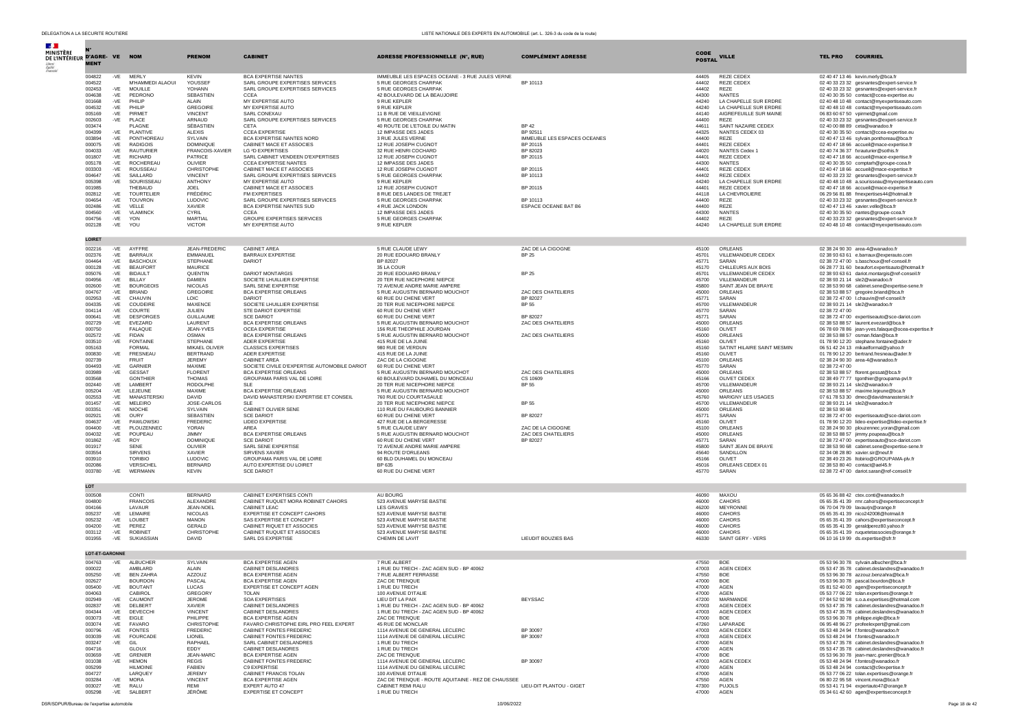| DELEGATION A LA SECURITE ROUTIERE |                       |                |                                |                                  |                                                                        | LISTE NATIONALE DES EXPERTS EN AUTOMOBILE (art. L. 326-3 du code de la route) |                              |                |                                        |                |                                                                                                |
|-----------------------------------|-----------------------|----------------|--------------------------------|----------------------------------|------------------------------------------------------------------------|-------------------------------------------------------------------------------|------------------------------|----------------|----------------------------------------|----------------|------------------------------------------------------------------------------------------------|
| <b>Section</b>                    |                       |                |                                |                                  |                                                                        |                                                                               |                              |                |                                        |                |                                                                                                |
| MINISTÈRE                         |                       |                |                                |                                  |                                                                        |                                                                               |                              | CODE           |                                        |                |                                                                                                |
| DE L'INTÉRIEUR D'AGRE- VE NOM     |                       |                |                                | <b>PRENOM</b>                    | <b>CABINET</b>                                                         | <b>ADRESSE PROFESSIONNELLE (N°, RUE)</b>                                      | <b>COMPLÉMENT ADRESSE</b>    | <b>POSTAL</b>  | <b>VILLE</b>                           | <b>TEL PRO</b> | <b>COURRIEL</b>                                                                                |
| Leberte<br>Égalité<br>Fraterin    | <b>MENT</b>           |                |                                |                                  |                                                                        |                                                                               |                              |                |                                        |                |                                                                                                |
|                                   | 004822                | $-VE$          | MERLY                          | <b>KEVIN</b>                     | BCA EXPERTISE NANTES                                                   | IMMEUBLE LES ESPACES OCEANE - 3 RUE JULES VERNE                               |                              | 44405          | REZE CEDEX                             |                | 02 40 47 13 46 kevin.merly@bca.fr                                                              |
|                                   | 004522                |                | M'HAMMEDI ALAOUI               | YOUSSEF                          | SARL GROUPE EXPERTISES SERVICES                                        | 5 RUE GEORGES CHARPAK                                                         | BP 10113                     | 44402          | <b>REZE CEDEX</b>                      |                | 02 40 33 23 32 gesnantes@expert-service.fr                                                     |
|                                   | 002453                | $-VE$          | <b>MOUILLE</b>                 | YOHANN<br><b>SEBASTIEN</b>       | SARL GROUPE EXPERTISES SERVICES                                        | 5 RUE GEORGES CHARPAK                                                         |                              | 44402<br>44300 | REZE                                   |                | 02 40 33 23 32 gesnantes@expert-service.fr                                                     |
|                                   | 004638<br>001668      | $-VE$<br>$-VE$ | PEDRONO<br>PHILIP              | ALAIN                            | CCEA<br>MY EXPERTISE AUTO                                              | 42 BOULEVARD DE LA BEAUJOIRE<br>9 RUE KEPLER                                  |                              | 44240          | <b>NANTES</b><br>LA CHAPELLE SUR ERDRE |                | 02 40 30 35 50 contact@ccea-expertise.eu<br>02 40 48 10 48 contact@myexpertiseauto.com         |
|                                   | 004532                | -VE            | PHILIP                         | <b>GREGOIRE</b>                  | MY EXPERTISE AUTO                                                      | 9 RUE KEPLER                                                                  |                              | 44240          | LA CHAPELLE SUR ERDRE                  |                | 02 40 48 10 48 contact@myexpertiseauto.com                                                     |
|                                   | 005169                | $-VE$          | PIRMET                         | <b>VINCENT</b>                   | SARL CONEXALL                                                          | 11 B RUE DE VIEILLEVIGNE                                                      |                              | 44140          | AIGREFEUILLE SUR MAINE                 |                | 06 83 60 67 50 vpirmet@gmail.com                                                               |
|                                   | 002603                | -VE            | PLACE                          | ARNAUD                           | SARL GROUPE EXPERTISES SERVICES                                        | 5 RUE GEORGES CHARPAK                                                         |                              | 44400          | REZE                                   |                | 02 40 33 23 32 gesnantes@expert-service.fr                                                     |
|                                   | 003474<br>004399      | $-VE$          | PLAGNE<br>PLANTIVE             | SÉBASTIEN<br>AI FXIS             | CETA<br>CCEA EXPERTISE                                                 | 40 ROUTE DE L'ETOILE DU MATIN<br>12 IMPASSE DES JADES                         | BP 42<br>BP 92511            | 44611<br>44325 | SAINT NAZAIRE CEDEX<br>NANTES CEDEX 03 |                | 02 40 00 88 89 ceta@wanadoo.fr<br>02 40 30 35 50 contact@ccea-expertise.eu                     |
|                                   | 003894                | -VE            | PONTHOREAU                     | SYLVAIN                          | BCA EXPERTISE NANTES NORD                                              | 3 RUE JULES VERNE                                                             | IMMEUBLE LES ESPACES OCEANES | 44400          | REZE                                   |                | 02 40 47 13 46 sylvain.ponthoreau@bca.fr                                                       |
|                                   | 000075                | $-VE$          | <b>RADIGOIS</b>                | <b>DOMINIOUE</b>                 | CABINET MACE ET ASSOCIES                                               | 12 RUE JOSEPH CUGNOT                                                          | BP 20115                     | 44401          | REZE CEDEX                             |                | 02 40 47 18 66 accueil@mace-expertise.fr                                                       |
|                                   | 004033                | $-VE$          | <b>RAUTURIER</b>               | FRANCOIS-XAVIER                  | LG <sup>2</sup> D EXPERTISES<br>SARL CABINET VENDEEN D'EXPERTISES      | 32 RUE HENRI COCHARD                                                          | BP 82023                     | 44020          | NANTES Cedex 1                         |                | 02 40 74 36 37 fxrauturier@sothis.fr                                                           |
|                                   | 001807<br>005178      | -VE<br>$-VE$   | <b>RICHARD</b><br>ROCHEREAU    | PATRICE<br>OLIVIER               | <b>CCEA EXPERTISE NANTES</b>                                           | 12 RUE JOSEPH CUGNOT<br>12 IMPASSE DES JADES                                  | BP 20115                     | 44401<br>44300 | <b>REZE CEDEX</b><br><b>NANTES</b>     |                | 02 40 47 18 66 accueil@mace-expertise.fr<br>02 40 30 35 50 comptarh@groupe-ccea.fr             |
|                                   | 003303                | $-VE$          | ROUSSEAU                       | CHRISTOPHE                       | CABINET MACE ET ASSOCIES                                               | 12 RUE JOSEPH CUGNOT                                                          | BP 20115                     | 44401          | REZE CEDEX                             |                | 02 40 47 18 66 accueil@mace-expertise.fr                                                       |
|                                   | 004647                | $-VE$          | SAILLARD                       | <b>VINCENT</b>                   | SARL GROUPE EXPERTISES SERVICES                                        | 5 RUE GEORGES CHARPAK                                                         | BP 10113                     | 44402          | REZE CEDEX                             |                | 02.40.33.23.32 gespantes@expert-service.fr                                                     |
|                                   | 005398                | $-VE$          | SOURISSEAU                     | <b>ANTHONY</b>                   | MY EXPERTISE AUTO                                                      | 9 RUE KEPLER                                                                  |                              | 44240          | LA CHAPELLE SUR ERDRE                  |                | 02 40 48 10 48 a.sourisseau@myexpertiseauto.com                                                |
|                                   | 001985<br>002812      | $-VE$          | THEBAUD<br><b>TOURTELIER</b>   | <b>JOEL</b><br>FRÉDÉRIC          | CABINET MACE ET ASSOCIES<br>FM EXPERTISES                              | 12 RUE JOSEPH CUGNOT<br>8 RUE DES LANDES DE TREJET                            | BP 20115                     | 44401<br>44118 | <b>REZE CEDEX</b><br>LA CHEVROLIERE    |                | 02 40 47 18 66 accueil@mace-expertise.fr<br>06 29 56 81 88 fmexpertises44@hotmail.fr           |
|                                   | 004654                | $-VE$          | <b>TOUVRON</b>                 | <b>LUDOVIC</b>                   | SARL GROUPE EXPERTISES SERVICES                                        | 5 RUE GEORGES CHARPAK                                                         | BP 10113                     | 44400          | RF7F                                   |                | 02 40 33 23 32 gesnantes@expert-service.fr                                                     |
|                                   | 002486                | -VE            | VELLE                          | <b>XAVIER</b>                    | BCA EXPERTISE NANTES SUD                                               | 4 RUE JACK LONDON                                                             | ESPACE OCEANE BAT B6         | 44400          | REZE                                   |                | 02 40 47 13 46 xavier.velle@bca.fr                                                             |
|                                   | 004560                | $-VE$          | VLAMINCK<br><b>YON</b>         | CYRIL<br>MARTIAL                 | <b>CCEA</b>                                                            | 12 IMPASSE DES JADES                                                          |                              | 44300<br>44402 | <b>NANTES</b><br>REZE                  |                | 02 40 30 35 50 nantes@groupe-ccea.fr                                                           |
|                                   | 004756<br>002128      | -VE<br>$-VE$   | YOU                            | <b>VICTOR</b>                    | GROUPE EXPERTISES SERVICES<br>MY EXPERTISE AUTO                        | 5 RUE GEORGES CHARPAK<br>9 RUE KEPLER                                         |                              | 44240          | LA CHAPELLE SUR ERDRE                  |                | 02 40 33 23 32 gesnantes@expert-service.fr<br>02 40 48 10 48 contact@mvexpertiseauto.com       |
|                                   |                       |                |                                |                                  |                                                                        |                                                                               |                              |                |                                        |                |                                                                                                |
|                                   | LOIRET                |                |                                |                                  |                                                                        |                                                                               |                              |                |                                        |                |                                                                                                |
|                                   | 002216                | $-VE$          | AYFFRE                         | JEAN-FREDERIC                    | CABINET AREA                                                           | 5 RUE CLAUDE LEWY                                                             | ZAC DE LA CIGOGNE            | 45100          | ORLEANS                                |                | 02 38 24 90 30 area-4@wanadoo.fr                                                               |
|                                   | 002376                | $-VE$          | <b>BARRAUX</b>                 | <b>FMMANUFL</b>                  | BARRAUX EXPERTISE                                                      | 20 RUE EDOUARD BRANLY                                                         | <b>BP 25</b>                 | 45701          | VILLEMANDEUR CEDEX                     |                | 02 38 93 63 61 e.barraux@experauto.com                                                         |
|                                   | 004464                | $-VE$          | <b>BASCHOUX</b>                | <b>STEPHANE</b>                  | <b>DARIOT</b>                                                          | BP 82027                                                                      |                              | 45771          | SARAN                                  |                | 02 38 72 47 00 s.baschoux@ref-conseil.fr                                                       |
|                                   | 000128                | $-VE$          | <b>BEAUFORT</b>                | <b>MAURICE</b>                   |                                                                        | 35 LA COUR                                                                    |                              | 45170          | CHILLEURS AUX BOIS                     |                | 06 28 77 31 60 beaufort.expertisauto@hotmail.fr                                                |
|                                   | 005076<br>004956      | $-VE$<br>-VE   | <b>BIDAULT</b><br>BILLAY       | <b>OUENTIN</b><br><b>DAMIEN</b>  | DARIOT MONTARGIS<br>SOCIETE LHUILLIER EXPERTISE                        | 20 RUE EDOUARD BRANLY<br>20 TER RUE NICEPHORE NIEPCE                          | <b>BP 25</b>                 | 45701<br>45700 | VILLEMANDEUR CEDEX<br>VILLEMANDEUR     |                | 02 38 93 63 61 dariot.montargis@ref-conseil.fr<br>02 38 93 21 14 sle2@wanadoo.fr               |
|                                   | 002600                | $-VE$          | <b>BOURGEOIS</b>               | NICOLAS                          | SARL SENE EXPERTISE                                                    | 72 AVENUE ANDRE MARIE AMPERE                                                  |                              | 45800          | SAINT JEAN DE BRAYE                    |                | 02 38 53 90 68 cabinet.sene@expertise-sene.fr                                                  |
|                                   | 004767                | $-VE$          | <b>BRIAND</b>                  | <b>GREGOIRE</b>                  | <b>BCA EXPERTISE ORLEANS</b>                                           | 5 RUE AUGUSTIN BERNARD MOUCHOT                                                | ZAC DES CHATELIERS           | 45000          | ORLEANS                                |                | 02 38 53 88 57 gregoire.briand@bca.fr                                                          |
|                                   | 002953<br>004335      | $-VE$<br>$-VF$ | CHAUVIN<br>COUDEIRE            | <b>LOIC</b><br><b>MAXENCE</b>    | DARIOT<br>SOCIETE LHUILLIER EXPERTISE                                  | 60 RUE DU CHENE VERT<br>20 TER RUE NICEPHORE NIEPCE                           | BP 82027<br><b>BP 55</b>     | 45771<br>45700 | SARAN<br><b>VILLEMANDEUR</b>           |                | 02 38 72 47 00 I.chauvin@ref-conseil.fr<br>02 38 93 21 14 sle2@wanadoo.fr                      |
|                                   | 004114                | $-VE$          | COURTE                         | <b>JULIEN</b>                    | STE DARIOT EXPERTISE                                                   | 60 RUE DU CHENE VERT                                                          |                              | 45770          | SARAN                                  | 02 38 72 47 00 |                                                                                                |
|                                   | 000641                | $-VE$          | <b>DESFORGES</b>               | <b>GUILLAUME</b>                 | <b>SCE DARIOT</b>                                                      | 60 RUE DU CHENE VERT                                                          | BP 82027                     | 45771          | SARAN                                  |                | 02 38 72 47 00 expertiseauto@sce-dariot.com                                                    |
|                                   | 002729                | -VE            | EVEZARD                        | LAURENT                          | <b>BCA EXPERTISE ORLEANS</b>                                           | 5 RUE AUGUSTIN BERNARD MOUCHOT                                                | ZAC DES CHATELIERS           | 45000          | ORLEANS                                |                | 02 38 53 88 57 laurent.evezard@bca.fr                                                          |
|                                   | 000750<br>002572      |                | <b>FALAOUE</b><br><b>FIDAN</b> | JEAN-YVES<br>OSMAN               | OCEA EXPERTISE<br><b>BCA EXPERTISE ORLEANS</b>                         | 156 RUE THEOPHILE JOURDAN<br>5 RUE AUGUSTIN BERNARD MOUCHOT                   | ZAC DES CHATELIERS           | 45160<br>45000 | OLIVET<br>ORLEANS                      |                | 06 78 69 78 86 jean-yves.falaque@ocea-expertise.fr<br>02 38 53 88 57 osman.fidan@bca.fr        |
|                                   | 003510                | $-VE$<br>$-VE$ | <b>FONTAINE</b>                | <b>STEPHANE</b>                  | <b>ADER EXPERTISE</b>                                                  | 415 RUE DE LA JUINE                                                           |                              | 45160          | OLIVET                                 |                | 01 78 90 12 20 stephane.fontaine@ader.fr                                                       |
|                                   | 005163                |                | <b>FORMAL</b>                  | MIKAFI OI IVER                   | <b>CLASSICS EXPERTISES</b>                                             | 980 RUE DE VERDUN                                                             |                              | 45160          | SATINT HILAIRE SAINT MESMIN            |                | 06 51 42 24 13 mikaelformal@yahoo.fr                                                           |
|                                   | 000830                | $-VE$          | <b>FRESNEAU</b>                | <b>BERTRAND</b>                  | ADER EXPERTISE                                                         | 415 RUE DE LA JUINE                                                           |                              | 45160          | OLIVET                                 |                | 01 78 90 12 20 bertrand.fresneau@ader.fr                                                       |
|                                   | 002739<br>004493      | $-VE$          | <b>FRUIT</b><br>GARNIER        | <b>JEREMY</b><br>MAXIME          | <b>CABINET AREA</b><br>SOCIETE CIVILE D'EXPERTISE AUTOMOBILE DARIOT    | ZAC DE LA CIGOGNE<br>60 RUE DU CHENE VERT                                     |                              | 45100<br>45770 | ORLEANS<br>SARAN                       | 02 38 72 47 00 | 02 38 24 90 30 area-4@wanadoo.fr                                                               |
|                                   | 003989                | -VE            | <b>GESSAT</b>                  | <b>FLORENT</b>                   | <b>BCA EXPERTISE ORLEANS</b>                                           | 5 RUE AUGUSTIN BERNARD MOUCHOT                                                | ZAC DES CHATELIERS           | 45000          | ORLEANS                                |                | 02 38 53 88 57 florent.gessat@bca.fr                                                           |
|                                   | 003568                |                | <b>GONTHIER</b>                | <b>THOMAS</b>                    | GROUPAMA PARIS VAL DE LOIRE                                            | 60 BOULEVARD DUHAMEL DU MONCEAU                                               | CS 10609                     | 45166          | OLIVET CEDEX                           |                | 02 38 49 77 77 tgonthier@groupama-pvl.fr                                                       |
|                                   | 002440                | $-VE$          | LAMBERT                        | <b>RODOLPHE</b>                  | SLE.                                                                   | 20 TER RUE NICEPHORE NIEPCE                                                   | <b>BP 55</b>                 | 45700          | VILLEMANDEUR                           |                | 02 38 93 21 14 sle2@wanadoo.fr                                                                 |
|                                   | 005204<br>002553      | -VE<br>-VE     | LEJEUNE<br>MANASTERSKI         | MAXIME<br>DAVID                  | <b>BCA EXPERTISE ORLEANS</b><br>DAVID MANASTERSKI EXPERTISE ET CONSEIL | 5 RUE AUGUSTIN BERNARD MOUCHOT<br>760 RUE DU COURTASAULE                      |                              | 45000<br>45760 | ORLEANS<br>MARIGNY LES USAGES          |                | 02 38 53 88 57 maxime.lejeune@bca.fr<br>07 61 78 53 30 dmec@davidmanasterski.fr                |
|                                   | 001457                | $-VE$          | MELEIRO                        | JOSE-CARLOS                      | SLE.                                                                   | 20 TER RUE NICEPHORE NIEPCE                                                   | <b>BP 55</b>                 | 45700          | VILLEMANDEUR                           |                | 02 38 93 21 14 sle2@wanadoo.fr                                                                 |
|                                   | 003351                | $-VE$          | <b>NIOCHE</b>                  | SYLVAIN                          | CABINET OLIVIER SENE                                                   | 110 RUE DU FAUBOURG BANNIER                                                   |                              | 45000          | ORLEANS                                | 02 38 53 90 68 |                                                                                                |
|                                   | 002921<br>004637      | $-VE$<br>-VF   | OURY<br>PAWI OWSKI             | SEBASTIEN<br><b>EREDERIC</b>     | <b>SCE DARIOT</b><br><b>LIDEO EXPERTISE</b>                            | 60 RUE DU CHENE VERT                                                          | BP 82027                     | 45771          | SARAN<br>OLIVET                        |                | 02 38 72 47 00 expertiseauto@sce-dariot.com                                                    |
|                                   | 004400                | $-VE$          | PLOUZENNEC                     | <b>YORAN</b>                     | AREA                                                                   | 427 RUE DE LA BERGERESSE<br>5 RUE CLAUDE LEWY                                 | ZAC DE LA CIGOGNE            | 45160<br>45100 | ORLEANS                                |                | 01 78 90 12 20 lideo-expertise@lideo-expertise.fr<br>02 38 24 90 30 plouzennec.yoran@gmail.com |
|                                   | 004032                | $-VE$          | POUPEAU                        | <b>JIMMY</b>                     | <b>BCA EXPERTISE ORLEANS</b>                                           | 5 RUE AUGUSTIN BERNARD MOUCHOT                                                | ZAC DES CHATELIERS           | 45000          | ORLEANS                                |                | 02 38 53 88 57 iimmy.poupeau@bca.fr                                                            |
|                                   | 001862                | -VE            | <b>ROY</b>                     | DOMINIQUE                        | <b>SCE DARIOT</b>                                                      | 60 RUE DU CHENE VERT                                                          | BP 82027                     | 45771          | SARAN                                  |                | 02 38 72 47 00 expertiseauto@sce-dariot.com                                                    |
|                                   | 001917<br>003554      |                | <b>SENE</b><br>SIRVENS         | OLIVIER<br><b>XAVIER</b>         | SARL SENE EXPERTISE<br>SIRVENS XAVIER                                  | 72 AVENUE ANDRE MARIE AMPERE<br>94 ROUTE D'ORLEANS                            |                              | 45800<br>45640 | SAINT JEAN DE BRAYE<br>SANDILLON       |                | 02 38 53 90 68 cabinet.sene@expertise-sene.fr<br>02 34 08 28 80 xavier.sir@neuf.fr             |
|                                   | 003910                |                | <b>TORIBIO</b>                 | LUDOVIC                          | GROUPAMA PARIS VAL DE LOIRE                                            | 60 BLD DUHAMEL DU MONCEAU                                                     |                              | 45166          | OLIVET                                 |                | 02 38 49 23 26 Itobirio@GROUPAMA-plv.fr                                                        |
|                                   | 002086                |                | VERSICHEL                      | <b>BERNARD</b>                   | AUTO EXPERTISE DU LOIRET                                               | BP 635                                                                        |                              | 45016          | ORLEANS CEDEX 01                       |                | 02 38 53 80 40 contact@ael45.fr                                                                |
|                                   | 003780                | $-VE$          | <b>WERMANN</b>                 | <b>KEVIN</b>                     | <b>SCE DARIOT</b>                                                      | 60 RUE DU CHENE VERT                                                          |                              | 45770          | SARAN                                  |                | 02 38 72 47 00 dariot.saran@ref-conseil.fr                                                     |
|                                   |                       |                |                                |                                  |                                                                        |                                                                               |                              |                |                                        |                |                                                                                                |
|                                   | LOT                   |                |                                |                                  |                                                                        |                                                                               |                              |                |                                        |                |                                                                                                |
|                                   | 000508<br>004800      |                | CONTI<br><b>FRANCOIS</b>       | <b>BERNARD</b><br>ALEXANDRE      | CABINET EXPERTISES CONTI<br>CABINET RUOUET MORA ROBINET CAHORS         | AU BOURG<br>523 AVENUE MARYSE BASTIE                                          |                              | 46090<br>46000 | MAXOU<br>CAHORS                        |                | 05 65 36 88 42 ctex.conti@wanadoo.fr<br>05 65 35 41 39 rmr.cahors@expertiseconcept.fr          |
|                                   | 004166                |                | <b>I AVAUR</b>                 | JEAN-NOFL                        | CABINET LEAC.                                                          | <b>IFS GRAVES</b>                                                             |                              | 46200          | MEYRONNE                               |                | 06 70 04 79 09 lavaurin@orange.fr                                                              |
|                                   | 005237                | $-VE$          | LEMAIRE                        | NICOLAS                          | EXPERTISE ET CONCEPT CAHORS                                            | 523 AVENUE MARYSE BASTIE                                                      |                              | 46000          | CAHORS                                 |                | 05 65 35 41 39 nico242008@hotmail.fr                                                           |
|                                   | 005232                | $-VE$          | LOUBET                         | MANON                            | SAS EXPERTISE ET CONCEPT                                               | 523 AVENUE MARYSE BASTIE                                                      |                              | 46000          | CAHORS                                 |                | 05.65.35.41.39 cabors@expertiseconcent.fr                                                      |
|                                   | 004200<br>003112      | -VF<br>$-VE$   | PEREZ<br><b>ROBINET</b>        | <b>GERALD</b><br>CHRISTOPHE      | CABINET RIQUET ET ASSOCIES<br>CABINET RUQUET ET ASSOCIES               | 523 AVENUE MARYSE BASTIE<br>523 AVENUE MARYSE BASTIE                          |                              | 46000<br>46000 | CAHORS<br>CAHORS                       |                | 05.65.35.41.39 geraldnerez80.vahoo.fr<br>05 65 35 41 39 ruguetetassocies@orange.fr             |
|                                   | 001955                | $-VE$          | SUKIASSIAN                     | DAVID                            | SARL DS EXPERTISE                                                      | CHEMIN DE LAVIT                                                               | LIEUDIT BOUZIES BAS          | 46330          | SAINT GERY - VERS                      |                | 06 10 16 19 99 ds.expertise@sfr.fr                                                             |
|                                   |                       |                |                                |                                  |                                                                        |                                                                               |                              |                |                                        |                |                                                                                                |
|                                   | <b>LOT-ET-GARONNE</b> |                |                                |                                  |                                                                        |                                                                               |                              |                |                                        |                |                                                                                                |
|                                   | 004763                | $-VE$          | <b>ALBUCHER</b>                | SYI VAIN                         | <b>BCA EXPERTISE AGEN</b>                                              | 7 RUE ALBERT                                                                  |                              | 47550          | <b>BOF</b>                             |                | 05 53 96 30 78 svlvain.albucher@bca.fr                                                         |
|                                   | 000022<br>005250      | $-VE$          | AMBLARD<br><b>BEN ZAHRA</b>    | ALAIN<br>AZZOUZ                  | CABINET DESI ANDRES<br>BCA EXPERTISE AGEN                              | 1 RUE DU TRECH - ZAC AGEN SUD - BP 40062<br>7 RUE ALBERT FERRASSE             |                              | 47003<br>47550 | AGEN CEDEX<br><b>BOF</b>               |                | 05 53 47 35 78 cabinet.deslandres@wanadoo.fr<br>05 53 96 30 78 azzouz.benzahra@bca.fr          |
|                                   | 002627                |                | <b>BOURDON</b>                 | PASCAL                           | <b>BCA EXPERTISE AGEN</b>                                              | ZAC DE TRENQUE                                                                |                              | 47000          | BOE                                    |                | 05 53 96 30 78 pascal.bourdon@bca.fr                                                           |
|                                   | 005400                | -VE            | <b>BOUTANT</b>                 | LUCAS                            | EXPERTISE ET CONCEPT AGEN                                              | 1 RUE DU TRECH                                                                |                              | 47000          | <b>AGEN</b>                            |                | 05 81 52 40 00 agen@expertiseconcept.fr                                                        |
|                                   | 004063                |                | CABIROL                        | GREGORY                          | <b>TOLAN</b><br>SOA EXPERTISES                                         | 100 AVENUE D'ITALIE                                                           |                              | 47000          | AGEN                                   |                | 05 53 77 06 22 tolan.expertises@orange.fr                                                      |
|                                   | 002949<br>002837      | $-VE$<br>$-VE$ | CAUMONT<br>DELBERT             | JEROME.<br>XAVIER                | CABINET DESLANDRES                                                     | LIEU DIT LA PAIX<br>1 RUE DU TRECH - ZAC AGEN SUD - BP 40062                  | <b>BEYSSAC</b>               | 47200<br>47003 | MARMANDE<br>AGEN CEDEX                 |                | 07 84 52 92 98 s.o.a.expertises@hotmail.com<br>05 53 47 35 78 cabinet.deslandres@wanadoo.fr    |
|                                   | 004344                | $-VE$          | DEVECCHI                       | <b>VINCENT</b>                   | CABINET DESLANDRES                                                     | 1 RUE DU TRECH - ZAC AGEN SUD - BP 40062                                      |                              | 47003          | <b>AGEN CEDEX</b>                      |                | 05 53 47 35 78 cabinet.deslandres@wanadoo.fr                                                   |
|                                   | 003073                | $-VE$          | EIGLE                          | PHILIPPE                         | BCA EXPERTISE AGEN                                                     | ZAC DE TRENOUE                                                                |                              | 47000          | <b>BOF</b>                             |                | 05 53 96 30 78 philippe.eigle@bca.fr                                                           |
|                                   | 003074                | -VE            | <b>FAVARO</b>                  | CHRISTOPHE                       | FAVARO CHRISTOPHE EIRL PRO FEEL EXPERT                                 | 45 RUE DE MONCLAR                                                             |                              | 47260          | LAPARADE                               |                | 06 95 48 96 27 profeelexpert@gmail.com                                                         |
|                                   | 000796<br>003039      | $-VF$<br>-VE   | <b>FONTES</b><br>FOURCADE      | <b>EREDERIC</b><br><b>LIONEL</b> | CABINET FONTES FREDERIC<br>CABINET FONTES FREDERIC                     | 1114 AVENUE DE GENERAL LECLERC<br>1114 AVENUE DE GENERAL LECLERC              | BP 30097<br>BP 30097         | 47003<br>47003 | AGEN CEDEX<br><b>AGEN CEDEX</b>        |                | 05 53 48 24 94 f.fontes@wanadoo.fr<br>05 53 48 24 94 f.fontes@wanadoo.fr                       |
|                                   | 003247                | -VE            | GIL                            | RAPHAEL                          | SARL CABINET DESLANDRES                                                | 1 RUE DU TRECH                                                                |                              | 47000          | AGEN                                   |                | 05 53 47 35 78 cabinet.deslandres@wanadoo.fr                                                   |
|                                   | 004716                |                | GLOUX                          | <b>FDDY</b>                      | CABINET DESLANDRES                                                     | 1 RUE DU TRECH                                                                |                              | 47000          | <b>AGEN</b>                            |                | 05 53 47 35 78 cabinet.deslandres@wanadoo.fr                                                   |
|                                   | 003659<br>001038      | -VE            | GRENIER<br><b>HEMON</b>        | JEAN-MARC<br><b>REGIS</b>        | BCA EXPERTISE AGEN<br>CABINET FONTES FREDERIC                          | ZAC DE TRENQUE<br>1114 AVENUE DE GENERAL LECLERC                              | BP 30097                     | 47000<br>47003 | <b>BOE</b><br>AGEN CEDEX               |                | 05 53 96 30 78 jean-marc.grenier@bca.fr<br>05.53.48.24.94 f.fontes@wanadoo.fr                  |
|                                   | 005299                | $-VE$          | <b>HILMOINE</b>                | <b>FABIEN</b>                    | C9 EXPERTISE                                                           | 1114 AVENUE DU GENERAL LECLERC                                                |                              | 47000          | <b>AGEN</b>                            |                | 05 53 48 24 94 contact@c9expertise.fr                                                          |
|                                   | 004727                |                | LARQUEY                        | <b>JEREMY</b>                    | CABINET FRANCIS TOLAN                                                  | 100 AVENUE D'ITALIE                                                           |                              | 47000          | <b>AGEN</b>                            |                | 05 53 77 06 22 tolan.expertises@orange.fr                                                      |
|                                   | 003284                | $-VE$          | <b>MORA</b>                    | <b>VINCENT</b>                   | <b>BCA EXPERTISE AGEN</b>                                              | ZAC DE TRENQUE - ROUTE AQUITAINE - REZ DE CHAUSSEE                            |                              | 47550          | AGEN                                   |                | 06.80.22.95.58 vincent mora@hca.fr                                                             |
|                                   | 003027<br>005298      | -VE<br>-VE     | RALU<br>SALBERT                | RFMI<br>JÉRÔME                   | <b>EXPERT AUTO 47</b><br><b>EXPERTISE ET CONCEPT</b>                   | CABINET REMI RALU<br>1 RUE DU TRECH                                           | LIEU-DIT PLANTOU - GIGET     | 47300<br>47000 | PUJOLS<br>AGEN                         |                | 05 53 41 71 94 expertauto47@orange.fr<br>05 34 61 42 60 agen@expertiseconcept.fr               |
|                                   |                       |                |                                |                                  |                                                                        |                                                                               |                              |                |                                        |                |                                                                                                |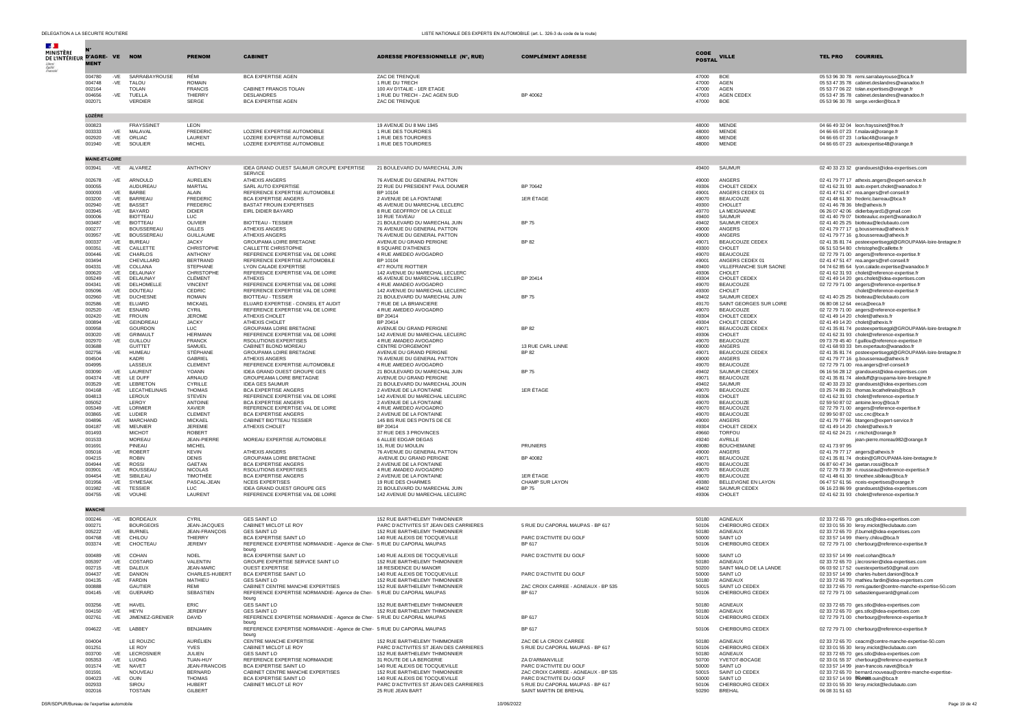| <b>Separate</b><br>MINISTÈRE<br>DE L'INTÉRIEUR D'AGRE- VE NOM |                       |              |                                      | <b>PRENOM</b>                       | <b>CABINET</b>                                                                                 | ADRESSE PROFESSIONNELLE (N°, RUE)                                       | <b>COMPLÉMENT ADRESSE</b>                                   | CODE           | <b>VILLE</b>                                | <b>COURRIEL</b><br><b>TEL PRO</b>                                                                      |
|---------------------------------------------------------------|-----------------------|--------------|--------------------------------------|-------------------------------------|------------------------------------------------------------------------------------------------|-------------------------------------------------------------------------|-------------------------------------------------------------|----------------|---------------------------------------------|--------------------------------------------------------------------------------------------------------|
|                                                               | <b>MENT</b>           |              |                                      |                                     |                                                                                                |                                                                         |                                                             | <b>POSTAL</b>  |                                             |                                                                                                        |
|                                                               | 004780<br>004748      | -VE          | -VE SARRABAYROUSE<br><b>TALOU</b>    | RÉMI<br>ROMAIN                      | <b>BCA EXPERTISE AGEN</b>                                                                      | ZAC DE TRENQUE<br>1 RUE DU TRECH                                        |                                                             | 47000<br>47000 | BOE<br>AGEN                                 | 05 53 96 30 78 remi.sarrabayrouse@bca.fr<br>05 53 47 35 78 cabinet.deslandres@wanadoo.fr               |
|                                                               | 002164                |              | <b>TOLAN</b>                         | <b>FRANCIS</b>                      | CABINET FRANCIS TOLAN                                                                          | 100 AV D'ITALIE - 1ER ETAGE                                             |                                                             | 47000          | <b>AGEN</b>                                 | 05 53 77 06 22 tolan.expertises@orange.fr                                                              |
|                                                               | 004656<br>002071      | -VE          | TUELLA<br>VERDIER                    | THIFRRY<br>SERGE                    | <b>DESI ANDRES</b><br><b>BCA EXPERTISE AGEN</b>                                                | 1 RUE DU TRECH - ZAC AGEN SUD<br>ZAC DE TRENQUE                         | BP 40062                                                    | 47003<br>47000 | <b>AGEN CEDEX</b><br>BOE                    | 05 53 47 35 78 cabinet.deslandres@wanadoo.fr<br>05 53 96 30 78 serge.verdier@bca.fr                    |
|                                                               | LOZÈRE                |              |                                      |                                     |                                                                                                |                                                                         |                                                             |                |                                             |                                                                                                        |
|                                                               | 000823                |              | <b>FRAYSSINET</b>                    | LEON                                |                                                                                                | 19 AVENUE DU 8 MAI 1945                                                 |                                                             | 48000          | <b>MENDE</b>                                | 04 66 49 32 04 leon.frayssinet@free.fr                                                                 |
|                                                               | 003333                | $-VE$        | MALAVAL                              | FREDERIC                            | LOZERE EXPERTISE AUTOMOBILE                                                                    | 1 RUE DES TOURDRES                                                      |                                                             | 48000          | MENDE<br><b>MENDE</b>                       | 04 66 65 07 23 f.malaval@orange.fr                                                                     |
|                                                               | 002920<br>001940      | -VE<br>-VE   | ORLIAC<br>SOULIER                    | LAURENT<br><b>MICHEL</b>            | LOZERE EXPERTISE AUTOMOBILE<br>LOZERE EXPERTISE AUTOMOBILE                                     | 1 RUE DES TOURDRES<br>1 RUE DES TOURDRES                                |                                                             | 48000<br>48000 | <b>MENDE</b>                                | 04 66 65 07 23 l.orliac48@orange.fr<br>04 66 65 07 23 autoexpertise48@orange.fr                        |
|                                                               | <b>MAINE-ET-LOIRE</b> |              |                                      |                                     |                                                                                                |                                                                         |                                                             |                |                                             |                                                                                                        |
|                                                               | 003941                | $-VE$        | ALVAREZ                              | ANTHONY                             | IDEA GRAND OUEST SAUMUR GROUPE EXPERTISE<br><b>SERVICE</b>                                     | 21 BOULEVARD DU MARECHAL JUIN                                           |                                                             | 49400          | SAUMUR                                      | 02 40 33 23 32 grandouest@idea-expertises.com                                                          |
|                                                               | 002678                | -VE          | ARNOULD                              | <b>AURELIEN</b>                     | ATHEXIS ANGERS                                                                                 | 76 AVENUE DU GENERAL PATTON                                             |                                                             | 49000          | ANGERS                                      | 02 41 79 77 17 athexis.angers@expert-service.fr                                                        |
|                                                               | 000055<br>000093      | -VE          | AUDUREAU<br><b>BARBE</b>             | <b>MARTIAL</b><br><b>ALAIN</b>      | SARL AUTO EXPERTISE<br>REFERENCE EXPERTISE AUTOMOBILE                                          | 22 RUE DU PRESIDENT PAUL DOUMER<br>BP 10104                             | BP 70642                                                    | 49306<br>49001 | CHOLET CEDEX<br>ANGERS CEDEX 01             | 02 41 62 31 93 auto.expert.cholet@wanadoo.fr<br>02 41 47 51 47 rea.angers@ref-conseil.fr               |
|                                                               | 003200                | -VE          | BARREAL                              | <b>FREDERIC</b>                     | <b>BCA EXPERTISE ANGERS</b>                                                                    | 2 AVENUE DE LA FONTAINE                                                 | 1ER ÉTAGE                                                   | 49070          | BEAUCOUZE                                   | 02 41 48 61 30 frederic.barreau@bca.fr                                                                 |
|                                                               | 002940<br>003945      | -VE          | -VE BASSET<br><b>BAYARD</b>          | <b>FREDERIC</b><br><b>DIDIER</b>    | <b>BASTAT FROUIN EXPERTISES</b><br>EIRL DIDIER BAYARD                                          | 45 AVENUE DU MARECHAL LECLERC<br>8 RUE GEOFFROY DE LA CELLE             |                                                             | 49300<br>49770 | CHOLLET<br><b>LA MEIGNANNE</b>              | 02 41 46 78 36 bfe@athexis.fr<br>06 26 07 42 06 didierbayard1@gmail.com                                |
|                                                               | 000006                |              | <b>BIOTTEAU</b>                      | LUC.                                |                                                                                                | 10 RUE TAVEAU                                                           |                                                             | 49400          | SAUMUR                                      | 02 41 40 79 07 biotteauluc.expert@wanadoo.fr                                                           |
|                                                               | 003487<br>000277      | -VE          | <b>BIOTTEAU</b><br><b>BOUSSEREAU</b> | OLIVIER<br><b>GILLES</b>            | <b>BIOTTEAU - TESSIER</b><br>ATHEXIS ANGERS                                                    | 21 BOULEVARD DU MARECHAL JUIN<br>76 AVENUE DU GENERAL PATTON            | <b>BP 75</b>                                                | 49402<br>49000 | SAUMUR CEDEX<br>ANGERS                      | 02 41 40 25 25 biotteau@leclubauto.com<br>02 41 79 77 17 g.boussereau@athexis.fr                       |
|                                                               | 003957                | -VE          | <b>BOUSSEREAU</b>                    | <b>GUILLAUME</b>                    | ATHEXIS ANGERS                                                                                 | 76 AVENUE DU GENERAL PATTON                                             |                                                             | 49000          | ANGERS                                      | 02 41 79 77 16 g.boussereau@athexis.fr                                                                 |
|                                                               | 000337                | -VE          | <b>BURFAU</b>                        | <b>JACKY</b>                        | <b>GROUPAMA LOIRE BRETAGNE</b>                                                                 | AVENUE DU GRAND PERIGNE                                                 | <b>BP 82</b>                                                | 49071          | BEAUCOUZE CEDEX                             | 02 41 35 81 74 posteexpertisegpl@GROUPAMA-loire-bretagne.fr                                            |
|                                                               | 000351<br>000446      | $-VE$<br>-VE | CAILLETTE<br>CHARLOS                 | CHRISTOPHE<br><b>ANTHONY</b>        | CAILLETTE CHRISTOPHE<br>REFERENCE EXPERTISE VAL DE LOIRE                                       | 8 SQUARE D'ATHENES<br>4 RUE AMEDEO AVOGADRO                             |                                                             | 49300<br>49070 | CHOLET<br><b>BEAUCOUZE</b>                  | 06 51 53 54 80 christophe@caillette.fr<br>02 72 79 71 00 angers@reference-expertise.fr                 |
|                                                               | 003494                |              | CHEVILLARD                           | <b>BERTRAND</b>                     | REFERENCE EXPERTISE AUTOMOBILE                                                                 | BP 10104                                                                |                                                             | 49001          | ANGERS CEDEX 01                             | 02 41 47 51 47 rea.angers@ref-conseil.fr                                                               |
|                                                               | 004331<br>000620      | -VE<br>$-VE$ | COLLANA<br>DELAUNAY                  | STEPHANE<br>CHRISTOPHE              | LYON CALADE EXPERTISE<br>REFERENCE EXPERTISE VAL DE LOIRE                                      | 477 ROUTE RIOTTIER<br>142 AVENUE DU MARECHAL LECLERC                    |                                                             | 49400<br>49306 | VILLEFRANCHE SUR SAONE<br>CHOLET            | 04 74 62 85 64 lyon.calade.expertise@wanadoo.fr<br>02 41 62 31 93 cholet@reference-expertise.fr        |
|                                                               | 005249                | -VE          | DELAUNAY                             | CLÉMENT                             | <b>ATHEXIS</b>                                                                                 | 45 AVENUE DU MARECHAL LECLERC                                           | BP 20414                                                    | 49304          | CHOLET CEDEX                                | 02 41 49 14 20 ges.cholet@idea-expertises.com                                                          |
|                                                               | 004341<br>005096      | -VE<br>$-VE$ | DELHOMELLE<br><b>DOUTEAU</b>         | <b>VINCENT</b><br><b>CEDRIC</b>     | REFERENCE EXPERTISE VAL DE LOIRE<br>REFERENCE EXPERTISE VAL DE LOIRE                           | 4 RUE AMADEO AVOGADRO<br>142 AVENUE DU MARECHAL LECLERC                 |                                                             | 49070<br>49300 | BEAUCOUZE<br>CHOLET                         | 02 72 79 71 00 angers@reference-expertise.fr<br>cholet@reference-expertise.fr                          |
|                                                               | 002960                | -VE          | <b>DUCHESNE</b>                      | <b>ROMAIN</b>                       | <b>BIOTTEAU - TESSIER</b>                                                                      | 21 BOULEVARD DU MARECHAL JUIN                                           | <b>BP 75</b>                                                | 49402          | SAUMUR CEDEX                                | 02 41 40 25 25 biotteau@leclubauto.com                                                                 |
|                                                               | 002586<br>002520      | -VE<br>-VE   | ELUARD<br><b>ESNARD</b>              | MICKAEL<br><b>CYRIL</b>             | ELUARD EXPERTISE - CONSEIL ET AUDIT<br>REFERENCE EXPERTISE VAL DE LOIRE                        | 7 RUE DE LA BRIANCIERE<br>4 RUE AMEDEO AVOGADRO                         |                                                             | 49170<br>49070 | SAINT GEORGES SUR LOIRE<br><b>BEAUCOUZE</b> | 06 80 08 12 64 eeca@eeca.fr<br>02 72 79 71 00 angers@reference-expertise.fr                            |
|                                                               | 002420                | -VE          | <b>FROUIN</b>                        | <b>JEROME</b>                       | ATHEXIS CHOLET                                                                                 | BP 20414                                                                |                                                             | 49304          | CHOLET CEDEX                                | 02 41 49 14 20 cholet@athexis.fr                                                                       |
|                                                               | 000894<br>000958      | -VE          | GEINDREAU<br>GOURDON                 | <b>JACKY</b><br>LUC.                | ATHEXIS CHOLET<br><b>GROUPAMA LOIRE BRETAGNE</b>                                               | BP 20414<br>AVENUE DU GRAND PERIGNE                                     | <b>BP 82</b>                                                | 49304<br>49071 | CHOLET CEDEX<br>BEAUCOUZE CEDEX             | 02.41.49.14.20 cholet@athexis.fr<br>02 41 35 81 74 posteexpertisegpl@GROUPAMA-loire-bretagne.fr        |
|                                                               | 003020                | -VE          | <b>GRIMAUL</b>                       | <b>HERMANN</b>                      | REFERENCE EXPERTISE VAL DE LOIRE                                                               | 142 AVENUE DU MARECHAL LECLERC                                          |                                                             | 49306          | CHOLET                                      | 02 41 62 31 93 cholet@reference-expertise.fr                                                           |
|                                                               | 002970                | $-VE$        | GUILLOU                              | <b>FRANCK</b>                       | <b>RSOLUTIONS EXPERTISES</b><br>CABINET BLOND MOREAU                                           | 4 RUE AMADEO AVOGADRO                                                   |                                                             | 49070          | BEAUCOUZE                                   | 09 73 79 45 40 f.quillou@reference-expertise.fr                                                        |
|                                                               | 003688<br>002756      | -VE          | <b>GUITTET</b><br>HUMEAU             | SAMUEL<br>STÉPHANE                  | GROUPAMA LOIRE BRETAGNE                                                                        | CENTRE D'ORGEMONT<br>AVENUE DU GRAND PERIGNE                            | 13 RUE CARL LINNE<br><b>BP 82</b>                           | 49000<br>49071 | ANGERS<br>BEAUCOUZE CEDEX                   | 02 41 68 93 33 bm.expertauto@wanadoo.fr<br>02 41 35 81 74 posteexpertisegpl@GROUPAMA-loire-bretagne.fr |
|                                                               | 004504                |              | KADRI                                | GABRIEL                             | ATHEXIS ANGERS<br>REFERENCE EXPERTISE AUTOMOBILE                                               | 76 AVENUE DU GENERAL PATTON                                             |                                                             | 49000          | ANGERS                                      | 02 41 79 77 16 g.boussereau@athexis.fr                                                                 |
|                                                               | 004995<br>003090      | -VE          | LASSEUX<br>LAURENT                   | CLEMENT<br>YOANN                    | IDEA GRAND OUEST GROUPE GES                                                                    | 4 RUE AMEDEO AVOGADRO<br>21 BOULEVARD DU MARECHAL JUIN                  | <b>BP 75</b>                                                | 49070<br>49402 | BEAUCOUZE<br>SAUMUR CEDEX                   | 02 72 79 71 00 rea.angers@ref-conseil.fr<br>06 16 56 28 12 grandouest@idea-expertises.com              |
|                                                               | 004374                | $-VE$        | LE DUFF                              | ARNAUD                              | GROUPEAMA LOIRE BRETAGNE                                                                       | AVENUE DU GRAND PERIGNE                                                 |                                                             | 49071          | BEAUCOUZE                                   | 02 41 35 81 74 aleduff@groupama-loire-bretagne.fr                                                      |
|                                                               | 003529<br>004168      | -VE<br>$-VE$ | LEBRETON<br><b>I FCATHELINAIS</b>    | CYRILLE<br><b>THOMAS</b>            | <b>IDEA GES SAUMUR</b><br><b>BCA EXPERTISE ANGERS</b>                                          | 21 BOULEVARD DU MARECHAL JOUIN<br>2 AVENUE DE LA FONTAINE               | 1ER ÉTAGE                                                   | 49402<br>49070 | SAUMUR<br><b>BEAUCOUZE</b>                  | 02 40 33 23 32 grandouest@idea-expertises.com<br>03.25.74.89.21 thomas lecathelinais@hca.fr            |
|                                                               | 004813                |              | LEROUX                               | <b>STEVEN</b>                       | REFERENCE EXPERTISE VAL DE LOIRE                                                               | 142 AVENUE DU MARECHAL LECLERC                                          |                                                             | 49306          | CHOLET                                      | 02 41 62 31 93 cholet@reference-expertise.fr                                                           |
|                                                               | 005052<br>005349      | $-VE$        | LEROY<br>LORMIER                     | ANTOINE<br><b>XAVIER</b>            | <b>BCA EXPERTISE ANGERS</b><br>REFERENCE EXPERTISE VAL DE LOIRE                                | 2 AVENUE DE LA FONTAINE<br>4 RUE AMEDEO AVOGADRO                        |                                                             | 49070<br>49070 | <b>BEAUCOUZE</b><br><b>BEAUCOUZE</b>        | 02 59 50 87 02 antoine.leroy@bca.fr<br>02 72 79 71 00 angers@reference-expertise.fr                    |
|                                                               | 003865                | -VE          | LUDIER                               | <b>CLEMENT</b>                      | <b>BCA EXPERTISE ANGERS</b>                                                                    | 2 AVENUE DE LA FONTAINE                                                 |                                                             | 49070          | BEAUCOUZE                                   | 02 99 50 87 02 usc.cnc@bca.fr                                                                          |
|                                                               | 004896<br>004187      | -VE<br>-VE   | MARCHAND<br><b>MEUNIFR</b>           | <b>MICKAEL</b><br>JEREMIE           | CABINET BIOTTEAU TESSIER<br>ATHEXIS CHOLET                                                     | 145 BIS RUE DES PONTS DE CE<br>BP 20414                                 |                                                             | 49000<br>49304 | ANGERS<br>CHOLET CEDEX                      | 02 41 79 77 66 btangers@expert-service.fr<br>02 41 49 14 20 cholet@athexis.fr                          |
|                                                               | 001493                |              | <b>MICHOT</b>                        | <b>ROBERT</b>                       |                                                                                                | 37 RUE DES 3 PROVINCES                                                  |                                                             | 49660          | TORFOU                                      | 02 41 62 24 21 r.michot@orange.fr                                                                      |
|                                                               | 001533<br>001691      |              | <b>MOREAU</b><br>PINFAU              | <b>JEAN-PIERRE</b><br><b>MICHEL</b> | MOREAU EXPERTISE AUTOMOBILE                                                                    | 6 ALLEE EDGAR DEGAS<br>15. RUE DU MOULIN                                | <b>PRUNIERS</b>                                             | 49240<br>49080 | AVRILLE<br><b>BOUCHEMAINE</b>               | jean-pierre.moreau982@orange.fr<br>02 41 73 97 95                                                      |
|                                                               | 005016                | -VE          | ROBERT                               | <b>KEVIN</b>                        | <b>ATHEXIS ANGERS</b>                                                                          | 76 AVENUE DU GENERAL PATTON                                             |                                                             | 49000          | ANGERS                                      | 02 41 79 77 17 angers@athexis.fr                                                                       |
|                                                               | 004215<br>004944      | -VE          | <b>ROBIN</b><br>ROSSI                | <b>DENIS</b><br><b>GAETAN</b>       | GROUPAMA LOIRE BRETAGNE<br>BCA EXPERTISE ANGERS                                                | AVENUE DU GRAND PERIGNE<br>2 AVENUE DE LA FONTAINE                      | BP 40082                                                    | 49071<br>49070 | BEAUCOUZE<br>BEAUCOUZE                      | 02 41 35 81 74 drobin@GROUPAMA-loire-bretagne.fr<br>06 87 60 47 34 gaetan.rossi@bca.fr                 |
|                                                               | 003901                | -VE          | ROUSSEAU                             | <b>NICOLAS</b>                      | RSOLUTIONS EXPERTISES                                                                          | 4 RUE AMADEO AVOGADRO                                                   |                                                             | 49070          | BEAUCOUZE                                   | 02 72 79 73 39 n.rousseau@reference-expertise.fr                                                       |
|                                                               | 004454<br>001956      | -VE<br>-VE   | SIBIL FAU<br>SYMESAK                 | TIMOTHÉE<br>PASCAL-JEAN             | <b>BCA EXPERTISE ANGERS</b><br><b>NCEIS EXPERTISES</b>                                         | 2 AVENUE DE LA FONTAINE<br>19 RUE DES CHARMES                           | 1ER ÉTAGE<br>CHAMP SUR LAYON                                | 49070<br>49380 | BEAUCOUZE<br>BELLEVIGNE EN LAYON            | 02 41 48 61 30 timothee.sibileau@bca.fr<br>06 47 57 61 56 nceis-expertises@orange.fr                   |
|                                                               | 001982                | -VE          | <b>TESSIER</b>                       | LUC                                 | IDEA GRAND OUEST GROUPE GES                                                                    | 21 BOULEVARD DU MARECHAL JUIN                                           | <b>BP 75</b>                                                | 49402          | SAUMUR CEDEX                                | 06 16 23 86 99 grandouest@idea-expertises.com                                                          |
|                                                               | 004755                | -VE          | <b>VOUHE</b>                         | LAURENT                             | REFERENCE EXPERTISE VAL DE LOIRE                                                               | 142 AVENUE DU MARECHAL LECLERC                                          |                                                             | 49306          | CHOLET                                      | 02 41 62 31 93 cholet@reference-expertise.fr                                                           |
|                                                               | <b>MANCHE</b>         |              |                                      |                                     |                                                                                                |                                                                         |                                                             |                |                                             |                                                                                                        |
|                                                               | 000246                | -VE          | <b>BORDEAUX</b>                      | <b>CYRIL</b><br>JEAN-JACOUES        | <b>GES SAINT LO</b>                                                                            | 152 RUE BARTHELEMY THIMONNIER                                           |                                                             | 50180          | AGNEAUX                                     | 02 33 72 65 70 ges.stlo@idea-expertises.com                                                            |
|                                                               | 000271<br>005222      | $-VE$        | <b>BOURGEOIS</b><br><b>BURNEL</b>    | JEAN-FRANÇOIS                       | CABINET MICLOT LE ROY<br><b>GES SAINT LO</b>                                                   | PARC D'ACTIVITES ST JEAN DES CARRIERES<br>152 RUE RARTHELEMY THIMONNIER | 5 RUE DU CAPORAL MAUPAS - BP 617                            | 50106<br>50180 | CHERBOURG CEDEX<br>AGNEAUX                  | 02 33 01 55 30 leroy.miclot@leclubauto.com<br>02 33 72 65 70 jf.burnel@idea-expertises.com             |
|                                                               | 004768                | -VE          | CHILOU                               | THIERRY                             | BCA EXPERTISE SAINT LO                                                                         | 140 RUE ALEXIS DE TOCQUEVILLE                                           | PARC D'ACTIVITE DU GOLF                                     | 50000          | SAINT LO                                    | 02 33 57 14 99 thierry.chilou@bca.fr                                                                   |
|                                                               | 003374                | -VE          | CHOCTEAU                             | <b>JEREMY</b>                       | REFERENCE EXPERTISE NORMANDIE - Agence de Cher- 5 RUE DU CAPORAL MAUPAS<br>bourg               |                                                                         | BP 617                                                      | 50106          | CHERBOURG CEDEX                             | 02 72 79 71 00 cherbourg@reference-expertise.fr                                                        |
|                                                               | 000489<br>005397      | -VE<br>-VE   | COHAN<br>COSTARD                     | <b>NOEL</b><br><b>VALENTIN</b>      | BCA EXPERTISE SAINT LO<br>GROUPE EXPERTISE SERVICE SAINT LO                                    | 140 RUE ALEXIS DE TOCQUEVILLE<br>152 RUE BARTHELEMY THIMONNIER          | PARC D'ACTIVITE DU GOLF                                     | 50000<br>50180 | SAINT LO<br><b>AGNEAUX</b>                  | 02 33 57 14 99 noel.cohan@bca.fr<br>02 33 72 65 70 j.lecrosnier@idea-expertises.com                    |
|                                                               | 002715                | -VE          | DALEUX                               | JFAN-MARC                           | <b>OUEST EXPERTISE</b>                                                                         | 18 RESIDENCE DU MANOIR                                                  |                                                             | 50200          | SAINT MALO DE LA LANDE                      | 06 03 92 17 52 ouestexpertise50@gmail.com                                                              |
|                                                               | 004437<br>004135      | $-VE$<br>-VE | <b>DANION</b><br><b>FARDIN</b>       | CHARLES-HUBERT<br>MATHIEU           | BCA EXPERTISE SAINT LO<br><b>GES SAINT LO</b>                                                  | 140 RUE ALEXIS DE TOCQUEVILLE<br>152 RUE BARTHELEMY THIMONNIER          | PARC D'ACTIVITE DU GOLF                                     | 50000<br>50180 | SAINT LO<br><b>AGNEAUX</b>                  | 02 33 57 14 99 charles-hubert.danion@bca.fr<br>02 33 72 65 70 mathieu.fardin@idea-expertises.com       |
|                                                               | 000888                |              | GALITIER                             | REMI                                | CARINET CENTRE MANCHE EXPERTISES                                                               | 152 RUE RARTHELEMY THIMONNIER                                           | ZAC CROIX CARREE - AGNEAUX - BP 535                         | 50015          | SAINT LO CED                                | 02 33 72 65 70 remi.gautier@centr                                                                      |
|                                                               | 004145                | -VE          | <b>GUERARD</b>                       | SEBASTIEN                           | REFERENCE EXPERTISE NORMANDIE- Agence de Cher- 5 RUE DU CAPORAL MAUPAS<br>bourg                |                                                                         | BP 617                                                      | 50106          | CHERBOURG CEDEX                             | 02 72 79 71 00 sebastienguerard@gmail.com                                                              |
|                                                               | 003256                |              | -VE HAVEL                            | FRIC.                               | <b>GES SAINT LO</b>                                                                            | 152 RUE BARTHELEMY THIMONNIER                                           |                                                             | 50180          | AGNEAUX                                     | 02 33 72 65 70 ges.stlo@idea-expertises.com                                                            |
|                                                               | 004150<br>002761      | -VE<br>$-VE$ | <b>HEYN</b><br>JIMENEZ-GRENIER       | <b>JEREMY</b><br>DAVID              | <b>GES SAINT LO</b><br>REFERENCE EXPERTISE NORMANDIE - Agence de Cher- 5 RUE DU CAPORAL MAUPAS | 152 RUE BARTHELEMY THIMONNIER                                           | BP 617                                                      | 50180<br>50106 | <b>AGNEAUX</b><br>CHERBOURG CEDEX           | 02 33 72 65 70 ges.stlo@idea-expertises.com<br>02 72 79 71 00 cherbourg@reference-expertise.fr         |
|                                                               | 004622                |              | -VE LABBEY                           | <b>BENJAMIN</b>                     | bourg<br>REFERENCE EXPERTISE NORMANDIE - Agence de Cher- 5 RUE DU CAPORAL MAUPAS               |                                                                         | BP 617                                                      | 50106          | CHERBOURG CEDEX                             | 02 72 79 71 00 cherbourg@reference-expertise.fr                                                        |
|                                                               |                       |              |                                      |                                     | bourg                                                                                          |                                                                         |                                                             |                |                                             |                                                                                                        |
|                                                               | 004004<br>001251      |              | LE ROUZIC<br>LE ROY                  | AURÉLIEN<br><b>YVES</b>             | CENTRE MANCHE EXPERTISE<br>CABINET MICLOT LE ROY                                               | 152 RUE BARTHELEMY THIMMONIER<br>PARC D'ACTIVITES ST JEAN DES CARRIERES | ZAC DE LA CROIX CARREE<br>5 RUE DU CAPORAL MAUPAS - BP 617  | 50180<br>50106 | AGNEAUX<br>CHERBOURG CEDEX                  | 02 33 72 65 70 ceacm@centre-manche-expertise-50.com<br>02 33 01 55 30 leroy.miclot@leclubauto.com      |
|                                                               | 003700                | $-VE$        | LECROSNIER                           | JULIEN                              | GES SAINT LO                                                                                   | 152 RUE BARTHELEMY THIMONNIER                                           |                                                             | 50180          | AGNEAUX                                     | 02 33 72 65 70 ges.stlo@idea-expertises.com                                                            |
|                                                               | 005353<br>001574      | -VE          | -VE LUONG<br>NAVET                   | TUAN-HUY<br>JEAN-FRANCOIS           | REFERENCE EXPERTISE NORMANDIE<br>BCA EXPERTISE SAINT LO                                        | 31 ROUTE DE LA BERGERIE<br>140 RUE ALEXIS DE TOCQUEVILLE                | ZA D'ARMANVILLE<br>PARC D'ACTIVITE DU GOLF                  | 50700<br>50000 | YVETOT-BOCAGE<br>SAINT LO                   | 02 33 01 55 37 cherbourg@reference-expertise.fr<br>02 33 57 14 99 jean-francois.navet@bca.fr           |
|                                                               | 001591                |              | NOUVEAU                              | <b>BERNARD</b>                      | CABINET CENTRE MANCHE EXPERTISES                                                               | 152 RUE BARTHELEMY THIMONNIER                                           | ZAC CROIX CARREE - AGNEAUX - BP 535                         | 50015          | SAINT LO CEDEX                              | 02 33 72 65 70 bernard.nouveau@centre-manche-expertise-                                                |
|                                                               | 004023<br>002933      | -VE          | OUIN<br>SIROU                        | <b>THOMAS</b><br><b>HUBERT</b>      | BCA EXPERTISE SAINT LO<br>CABINET MICLOT LE ROY                                                | 140 RUE ALEXIS DE TOCQUEVILLE<br>PARC D'ACTIVITES ST JEAN DES CARRIERES | PARC D'ACTIVITE DU GOLF<br>5 RUE DU CAPORAL MAUPAS - BP 617 | 50000<br>50106 | SAINT LO<br>CHERBOURG CEDEX                 | 02 33 57 14 99 <i>Elonara cuin@bca.fr</i><br>02 33 01 55 30 leroy.miclot@leclubauto.com                |
|                                                               | 002016                |              | <b>TOSTAIN</b>                       | <b>GILBERT</b>                      |                                                                                                | 25 RUE JEAN BART                                                        | SAINT MARTIN DE BREHAL                                      | 50290          | <b>BREHAL</b>                               | 06 08 31 51 63                                                                                         |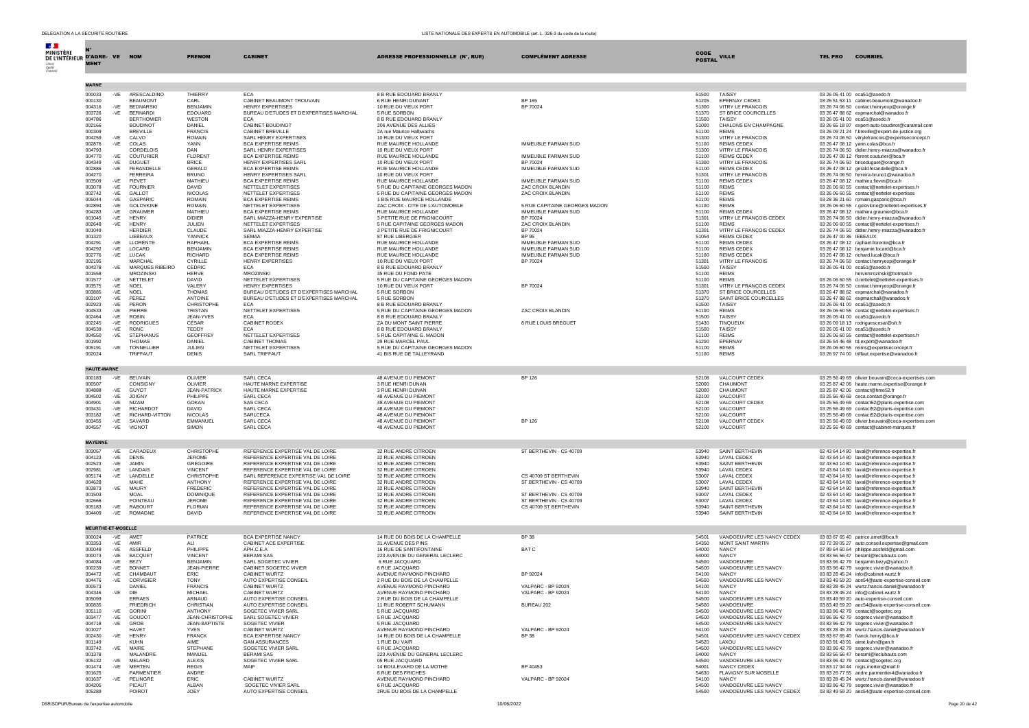| DELEGATION A LA SECURITE ROUTIERE                                    |                                    |                                    |                                     |                                                                      |                                                                | LISTE NATIONALE DES EXPERTS EN AUTOMOBILE (art. L. 326-3 du code de la route) |                       |                                                |                        |                                                                                                |
|----------------------------------------------------------------------|------------------------------------|------------------------------------|-------------------------------------|----------------------------------------------------------------------|----------------------------------------------------------------|-------------------------------------------------------------------------------|-----------------------|------------------------------------------------|------------------------|------------------------------------------------------------------------------------------------|
| <b>Contract</b><br><b>MINISTÈRE</b><br>DE L'INTÉRIEUR D'AGRE- VE NOM | <b>MENT</b>                        |                                    | <b>PRENOM</b>                       | <b>CABINET</b>                                                       | ADRESSE PROFESSIONNELLE (N°, RUE)                              | <b>COMPLÉMENT ADRESSE</b>                                                     | CODE<br><b>POSTAL</b> | <b>VILLE</b>                                   | <b>TEL PRO</b>         | <b>COURRIEL</b>                                                                                |
|                                                                      |                                    |                                    |                                     |                                                                      |                                                                |                                                                               |                       |                                                |                        |                                                                                                |
|                                                                      | <b>MARNE</b>                       |                                    |                                     |                                                                      |                                                                |                                                                               |                       |                                                |                        |                                                                                                |
|                                                                      | 000033<br>-VE<br>000130            | ARESCALDINO<br><b>BEAUMONT</b>     | THIERRY<br>CARL                     | <b>ECA</b><br>CABINET BEAUMONT TROUVAIN                              | 8 B RUE EDOUARD BRANLY<br>6 RUE HENRI DUNANT                   | <b>BP 165</b>                                                                 | 51500<br>51205        | TAISSY<br><b>FPERNAY CEDEX</b>                 |                        | 03 26 05 41 00 eca51@axedo.fr<br>03 26 51 53 11 cabinet-beaumont@wanadoo.fr                    |
|                                                                      | 004316<br>-VE                      | <b>BEDNARSKI</b>                   | <b>BENJAMIN</b>                     | <b>HENRY EXPERTISES</b>                                              | 10 RUE DU VIEUX PORT                                           | BP 70024                                                                      | 51300                 | VITRY I F FRANCOIS                             |                        | 03 26 74 06 50 contact.henryexp@orange.fr                                                      |
|                                                                      | 003726<br>-VE                      | <b>BERNARDI</b>                    | <b>EDOUARD</b>                      | BUREAU D'ETUDES ET D'EXPERTISES MARCHAL                              | 5 RUE SORBON                                                   |                                                                               | 51370                 | ST BRICE COURCELLES                            |                        | 03 26 47 88 62 expmarchal@wanadoo.fr                                                           |
|                                                                      | 004786<br>002166                   | <b>BERTHOMIER</b><br>BOUDINOT      | <b>WESTON</b><br>DANIEL             | FCA<br>CABINET BOUDINOT                                              | 8 B RUE EDOUARD BRANLY<br>206 AVENUE DES ALLIES                |                                                                               | 51500<br>51000        | <b>TAISSY</b><br>CHALONS EN CHAMPAGNE          |                        | 03 26 05 41 00 eca51@axedo.fr<br>03 26 65 18 97 expert-auto-boudinot@caramail.com              |
|                                                                      | 000309                             | BREVILLE                           | <b>FRANCIS</b>                      | CABINET BREVILLE                                                     | 2A rue Maurice Halbwachs                                       |                                                                               | 51100                 | <b>REIMS</b>                                   |                        | 03 26 09 21 24 f.breville@expert-de-justice.org                                                |
|                                                                      | 004259<br>-VE                      | CALVO                              | <b>ROMAIN</b>                       | SARL HENRY EXPERTISES                                                | 10 RUE DU VIEUX PORT                                           |                                                                               | 51300                 | VITRY LE FRANCOIS                              |                        | 03 26 74 06 50 vitrylefrancois@expertiseconcept.fr                                             |
|                                                                      | 002876<br>-VE<br>004793            | COLAS<br>CORDELOIS                 | YANN<br>DAN                         | <b>BCA EXPERTISE REIMS</b><br>SARL HENRY EXPERTISES                  | RUE MAURICE HOLLANDE<br>10 RUE DU VIEUX PORT                   | IMMEUBLE FARMAN SUD                                                           | 51100<br>51300        | REIMS CEDEX<br>VITRY LE FRANCOIS               |                        | 03 26 47 08 12 yann.colas@bca.fr<br>03 26 74 06 50 didier.henry-miazza@wanadoo.fr              |
|                                                                      | 004770<br>$-VE$                    | COUTURIER                          | <b>FLORENT</b>                      | <b>BCA EXPERTISE REIMS</b>                                           | RUE MAURICE HOLLANDE                                           | IMMEUBLE FARMAN SUD                                                           | 51100                 | REIMS CEDEX                                    |                        | 03 26 47 08 12 florent.couturier@bca.fr                                                        |
|                                                                      | 004349<br>-VE                      | <b>DUGUET</b>                      | <b>BRICE</b>                        | HENRY EXPERTISES SARL                                                | 10 RUE DU VIEUX PORT                                           | BP 70024                                                                      | 51300                 | VITRY LE FRANCOIS                              |                        | 03.26.74.06.50 briceduquet@orange.fr                                                           |
|                                                                      | 002886<br>$-VE$<br>004270          | FERANDELLE<br><b>FERREIRA</b>      | <b>GERALD</b><br><b>BRUNO</b>       | <b>BCA EXPERTISE REIMS</b><br>HENRY EXPERTISES SARL                  | RUE MAURICE HOLLANDE<br>10 RUE DU VIEUX PORT                   | IMMEUBLE FARMAN SUD                                                           | 51100<br>51301        | <b>REIMS CEDEX</b><br>VITRY LE FRANCOIS        |                        | 03 26 47 08 12 gerald.ferandelle@bca.fr<br>03 26 74 06 50 ferreira-bruno1@wanadoo.fr           |
|                                                                      | 003509<br>$-VE$                    | <b>FIEVET</b>                      | MATHIEU                             | <b>BCA EXPERTISE REIMS</b>                                           | RUE MAURICE HOLLANDE                                           | IMMEUBLE FARMAN SUD                                                           | 51100                 | <b>REIMS CEDEX</b>                             |                        | 03.26.47.08.12 mathieu.fievet@hca.fr                                                           |
|                                                                      | 003078<br>-VE                      | <b>FOURNIER</b>                    | <b>DAVID</b>                        | NETTELET EXPERTISES                                                  | 5 RUE DU CAPITAINE GEORGES MADON                               | <b>ZAC CROIX BI ANDIN</b>                                                     | 51100                 | <b>REIMS</b>                                   |                        | 03 26 06 60 55 contact@nettelet-expertises.fr                                                  |
|                                                                      | 002742<br>$-VE$<br>005044<br>$-VE$ | GALLOT<br>GASPARIC                 | <b>NICOLAS</b><br><b>ROMAIN</b>     | NETTELET EXPERTISES<br><b>BCA EXPERTISE REIMS</b>                    | 5 RUE DU CAPITAINE GEORGES MADON<br>1 BIS RUE MAURICE HOLLANDE | ZAC CROIX BLANDIN                                                             | 51100<br>51100        | <b>REIMS</b><br><b>REIMS</b>                   |                        | 03 26 06 60 55 contact@nettelet-expertises<br>03 28 36 21 60 romain.gasparic@bca.fr            |
|                                                                      | 002894<br>$-VE$                    | GOLOVKINE                          | <b>ROMAIN</b>                       | NETTELET EXPERTISES                                                  | ZAC CROIX - CITE DE L'AUTOMOBILE                               | 5 RUE CAPITAINE GEORGES MADON                                                 | 51100                 | <b>REIMS</b>                                   |                        | 03 26 06 60 55 r.golovkine@nettelet-expertises.fr                                              |
|                                                                      | 004283<br>-VE<br>001045<br>-VE     | <b>GRAUMER</b><br><b>HENRY</b>     | MATHIEU<br><b>DIDIFR</b>            | <b>BCA EXPERTISE REIMS</b><br>SARL MIAZZA-HENRY EXPERTISE            | RUE MAURICE HOLLANDE<br>3 PETITE RUE DE FRIGNICOURT            | IMMEUBLE FARMAN SUD<br>BP 70024                                               | 51100<br>51301        | REIMS CEDEX                                    |                        | 03 26 47 08 12 mathieu.graumer@bca.fr                                                          |
|                                                                      | 002648<br>-VE                      | <b>HENRY</b>                       | JULIEN                              | NETTELET EXPERTISES                                                  | 5 RUE CAPITAINE GEORGES MADON                                  | ZAC CROIX BLANDIN                                                             | 51100                 | VITRY LE FRANÇOIS CEDEX<br><b>REIMS</b>        |                        | 03 26 74 06 50 didier.henry-miazza@wanadoo.fr<br>03 26 06 60 55 contact@nettelet-expertises.fr |
|                                                                      | 001049                             | <b>HERDIER</b>                     | CLAUDE                              | SARL MIAZZA-HENRY EXPERTISE                                          | 3 PETITE RUE DE FRIGNICOURT                                    | BP 70024                                                                      | 51301                 | VITRY LE FRANÇOIS CEDEX                        |                        | 03 26 74 06 50 didier.henry-miazza@wanadoo.fr                                                  |
|                                                                      | 001320<br>004291<br>-VE            | <b>I IFREAUX</b><br>LLORENT        | <b>YANNICK</b><br>RAPHAEL           | SEMAA<br><b>BCA EXPERTISE REIMS</b>                                  | 87 RUE LIBERGIER<br>RUE MAURICE HOLLANDE                       | BP 95<br>IMMEUBLE FARMAN SUD                                                  | 51054<br>51100        | <b>REIMS CEDEX</b><br><b>REIMS CEDEX</b>       | 03 26 47 00 36 IEBEAUX | 03 26 47 08 12 raphael.llorente@bca.fr                                                         |
|                                                                      | 004292<br>$-VE$                    | LOCARD                             | <b>BENJAMIN</b>                     | <b>BCA EXPERTISE REIMS</b>                                           | RUE MAURICE HOLLANDE                                           | IMMEUBLE FARMAN SUD                                                           | 51100                 | <b>REIMS CEDEX</b>                             |                        | 03 26 47 08 12 benjamin.locard@bca.fr                                                          |
|                                                                      | 002776<br>-VE                      | <b>LUCAK</b>                       | <b>RICHARD</b>                      | <b>BCA EXPERTISE REIMS</b>                                           | RUE MAURICE HOLLANDE                                           | IMMEUBLE FARMAN SUD                                                           | 51100                 | <b>REIMS CEDEX</b>                             |                        | 03 26 47 08 12 richard.lucak@bca.fr                                                            |
|                                                                      | 002195<br>004378<br>-VE            | <b>MARCHAI</b><br>MARQUES RIBEIRO  | CYRILLE<br>CEDRIC                   | HENRY EXPERTISES<br><b>ECA</b>                                       | 10 RUE DU VIEUX PORT<br>8 B RUE EDOUARD BRANLY                 | BP 70024                                                                      | 51301<br>51500        | VITRY LE FRANCOIS<br><b>TAISSY</b>             |                        | 03 26 74 06 50 contact.henryexp@orange.fr<br>03 26 05 41 00 eca51@axedo.fr                     |
|                                                                      | 001558                             | <b>MROZINSKI</b>                   | <b>HERVE</b>                        | MROZINSKI                                                            | 35 RUE DU FOND PATE                                            |                                                                               | 51100                 | <b>REIMS</b>                                   |                        | hervemrozinski@hotmail.fr                                                                      |
|                                                                      | 001577<br>-VE                      | NETTELET                           | DAVID                               | NETTELET EXPERTISES<br><b>HENRY EXPERTISES</b>                       | 5 RUE DU CAPITAINE GEORGES MADON                               | BP 70024                                                                      | 51100                 | <b>REIMS</b>                                   |                        | 03 26 06 60 55 d.nettelet@nettelet-expertises.fr                                               |
|                                                                      | 003575<br>-VE<br>003885<br>$-VE$   | <b>NOEL</b><br>NOEL                | VALERY<br><b>THOMAS</b>             | BUREAU D'ETUDES ET D'EXPERTISES MARCHAL                              | 10 RUE DU VIEUX PORT<br>5 RUE SORBON                           |                                                                               | 51301<br>51370        | VITRY LE FRANÇOIS CEDEX<br>ST BRICE COURCELLES |                        | 03 26 74 06 50 contact.henryexp@orange.fr<br>03 26 47 88 62 expmarchal@wanadoo.fr              |
|                                                                      | 003107<br>$-VE$                    | PEREZ                              | ANTOINE                             | BUREAU D'ETUDES ET D'EXPERTISES MARCHAL                              | 5 RUE SORBON                                                   |                                                                               | 51370                 | SAINT BRICE COURCELLES                         |                        | 03.26.47.88.62 expmarchall@wanadoo.fr                                                          |
|                                                                      | 002923<br>-VE<br>004533<br>-VE     | PERON<br>PIERRE                    | CHRISTOPHE<br>TRISTAN               | <b>ECA</b><br>NETTELET EXPERTISES                                    | 8 B RUE EDOUARD BRANLY<br>5 RUE DU CAPITAINE GEORGES MADON     | ZAC CROIX BLANDIN                                                             | 51500<br>51100        | TAISSY<br><b>REIMS</b>                         |                        | 03 26 05 41 00 eca51@axedo.fr<br>03 26 06 60 55 contact@nettelet-expertises.fr                 |
|                                                                      | 002464<br>$-VE$                    | <b>ROBIN</b>                       | JEAN-YVES                           | <b>ECA</b>                                                           | 8 B RUE EDOUARD BRANLY                                         |                                                                               | 51500                 | <b>TAISSY</b>                                  |                        | 03 26 05 41 00 eca51@axedo.fr                                                                  |
|                                                                      | 002245<br>$-VE$                    | <b>RODRIGUES</b>                   | CÉSAR                               | CABINET RODEX                                                        | ZA DU MONT SAINT PIERRE                                        | 8 RUE LOUIS BREGUET                                                           | 51430                 | TINQUEUX                                       |                        | 03 26 09 18 13 rodriguescesar@sfr.fr                                                           |
|                                                                      | 004539<br>-VE<br>004550<br>-VE     | <b>RONC</b><br><b>STEPHANUS</b>    | TEDDY<br><b>GEOFFREY</b>            | <b>ECA</b><br>NETTELET EXPERTISES                                    | 8 B RUE EDOUARD BRANLY<br>5 RUE CAPITAINE G. MADON             |                                                                               | 51500<br>51100        | TAISSY<br><b>REIMS</b>                         |                        | 03 26 05 41 00 eca51@axedo.fr<br>03 26 06 60 55 contact@nettelet-expertises.fr                 |
|                                                                      | 001992                             | <b>THOMAS</b>                      | DANIEL                              | CABINET THOMAS                                                       | 29 RUE MARCEL PAUL                                             |                                                                               | 51200                 | EPERNAY                                        |                        | 03 26 54 46 48 td.expert@wanadoo.fr                                                            |
|                                                                      | 005191<br>-VE<br>002024            | <b>TONNELLIER</b><br>TRIFFAUT      | <b>JULIEN</b><br>DENIS              | NETTELET EXPERTISES<br>SARL TRIFFAUT                                 | 5 RUE DU CAPITAINE GEORGES MADON<br>41 BIS RUE DE TALLEYRAND   |                                                                               | 51100<br>51100        | <b>REIMS</b><br><b>REIMS</b>                   |                        | 03 26 06 60 55 reims@expertiseconcept.fr<br>03 26 97 74 00 triffaut.expertise@wanadoo.fr       |
|                                                                      |                                    |                                    |                                     |                                                                      |                                                                |                                                                               |                       |                                                |                        |                                                                                                |
|                                                                      | <b>HAUTE-MARNE</b>                 |                                    |                                     |                                                                      |                                                                |                                                                               |                       |                                                |                        |                                                                                                |
|                                                                      | 000183<br>-VE                      | <b>BEUVAIN</b>                     | OLIVIER                             | SARL CECA                                                            | 48 AVENUE DU PIEMONT                                           | <b>BP 126</b>                                                                 | 52108                 | VALCOURT CEDEX                                 |                        | 03 25 56 49 69 olivier.beuvain@ceca-expertises.com                                             |
|                                                                      | 000507<br>004888                   | CONSIGNY                           | OLIVIER<br><b>JFAN-PATRICK</b>      | HAUTE MARNE EXPERTISE<br>HAUTE MARNE EXPERTISE                       | 3 RUE HENRI DUNAN                                              |                                                                               | 52000<br>52000        | CHAUMONT                                       |                        | 03 25 87 42 06 haute.marne.expertise@orange.fr                                                 |
|                                                                      | $-VE$<br>004502<br>$-VE$           | <b>GUYOT</b><br><b>JOIGNY</b>      | PHILIPPE                            | SARL CECA                                                            | 3 RUE HENRI DUNAN<br>48 AVENUE DU PIEMONT                      |                                                                               | 52100                 | CHAUMONT<br>VALCOURT                           |                        | 03 25 87 42 06 contact@hme52.fr<br>03 25 56 49 69 ceca.contact@orange.fr                       |
|                                                                      | 004901<br>$-VE$                    | <b>NIZAM</b>                       | <b>GOKAN</b>                        | <b>SAS CECA</b>                                                      | 48 AVENUE DU PIEMONT                                           |                                                                               | 52108                 | VALCOURT CEDEX                                 |                        | 03 25 56 49 69 contact52@pluris-expertise.com                                                  |
|                                                                      | 003431<br>$-VE$<br>003182<br>$-VE$ | <b>RICHARDOT</b><br>RICHARD-VITTON | <b>DAVID</b><br><b>NICOLAS</b>      | <b>SARL CECA</b><br>SARLCECA                                         | 48 AVENUE DU PIEMONT<br>48 AVENUE DU PIEMONT                   |                                                                               | 52100<br>52100        | VALCOURT<br>VALCOURT                           |                        | 03 25 56 49 69 contact52@pluris-expertise.com<br>03 25 56 49 69 contact52@pluris-expertise.com |
|                                                                      | 003455<br>-VE                      | SAVARD                             | EMMANUEL                            | SARL CECA                                                            | 48 AVENUE DU PIEMONT                                           | <b>BP 126</b>                                                                 | 52108                 | VALCOURT CEDEX                                 |                        | 03 25 56 49 69 olivier.beuvain@ceca-expertises.com                                             |
|                                                                      | 004557<br>-VE                      | VIGNOT                             | SIMON                               | SARL CECA                                                            | 48 AVENUE DU PIEMONT                                           |                                                                               | 52100                 | VALCOURT                                       |                        | 03 25 56 49 69 contact@cabinet-marques.fr                                                      |
|                                                                      | <b>MAYENNE</b>                     |                                    |                                     |                                                                      |                                                                |                                                                               |                       |                                                |                        |                                                                                                |
|                                                                      | 003057<br>-VE                      | CARADEUX                           | CHRISTOPHE                          | REFERENCE EXPERTISE VAL DE LOIRE                                     | 32 RUE ANDRE CITROEN                                           | ST BERTHEVIN - CS 40709                                                       | 53940                 | SAINT BERTHEVIN                                |                        | 02 43 64 14 80 laval@reference-expertise.fr                                                    |
|                                                                      | 004123<br>$-VE$                    | <b>DENIS</b>                       | <b>JEROME</b>                       | REFERENCE EXPERTISE VAL DE LOIRE                                     | 32 RUE ANDRE CITROEN                                           |                                                                               | 53940                 | <b>LAVAL CEDEX</b>                             |                        | 02 43 64 14 80 laval@reference-expertise.fr                                                    |
|                                                                      | 002523<br>$-VE$<br>002981<br>$-VE$ | .1AMIN<br>LANDAIS                  | GREGOIRE<br><b>VINCENT</b>          | REFERENCE EXPERTISE VAL DE LOIRE<br>REFERENCE EXPERTISE VAL DE LOIRE | 32 RUE ANDRE CITROEN<br>32 RUE ANDRE CITROEN                   |                                                                               | 53940<br>53940        | SAINT BERTHEVIN<br>LAVAL CEDEX                 |                        | 02 43 64 14 80 laval@reference-expertise.fr<br>02 43 64 14 80 laval@reference-expertise.fr     |
|                                                                      | 005174                             | LANDELLE<br>-VE                    | CHRISTOPHE                          | SARL REFERENCE EXPERTISE VAL DE LOIRE                                | 32 RUE ANDRE CITROEN                                           | CS 40709 ST BERTHEVIN                                                         | 53007                 | <b>LAVAL CEDEX</b>                             |                        | 02 43 64 14 80 laval@reference-expertise.fr                                                    |
|                                                                      | 004628                             | MAHF                               | <b>ANTHONY</b>                      | REFERENCE EXPERTISE VAL DE LOIRE                                     | 32 RUE ANDRE CITROEN                                           | ST BERTHEVIN - CS 40709                                                       | 53007                 | LAVAL CEDEX                                    |                        | 02 43 64 14 80 laval@reference-expertise.fr                                                    |
|                                                                      | 003873<br>001503                   | -VE<br><b>MAURY</b><br><b>MOAL</b> | <b>FREDERIC</b><br><b>DOMINIQUE</b> | REFERENCE EXPERTISE VAL DE LOIRE<br>REFERENCE EXPERTISE VAL DE LOIRE | 32 RUE ANDRE CITROEN<br>32 RUE ANDRE CITROEN                   | ST BERTHEVIN - CS 40709                                                       | 53940<br>53007        | SAINT BERTHEVIN<br><b>LAVAL CEDEX</b>          |                        | 02 43 64 14 80 laval@reference-expertise.fr<br>02 43 64 14 80 laval@reference-expertise.fr     |
|                                                                      | 002666                             | POINTEAU                           | <b>JEROME</b>                       | REFERENCE EXPERTISE VAL DE LOIRE                                     | 32 RUE ANDRE CITROEN                                           | ST BERTHEVIN - CS 40709                                                       | 53007                 | LAVAL CEDEX                                    |                        | 02 43 64 14 80 laval@reference-expertise.fr                                                    |
|                                                                      | 005183<br>-VE                      | <b>RABOURT</b><br><b>ROMAGNE</b>   | <b>FLORIAN</b>                      | REFERENCE EXPERTISE VAL DE LOIRE<br>REFERENCE EXPERTISE VAL DE LOIRE | 32 RUE ANDRE CITROEN<br>32 RUE ANDRE CITROEN                   | CS 40709 ST BERTHEVIN                                                         | 53940<br>53940        | SAINT BERTHEVIN<br>SAINT BERTHEVIN             |                        | 02 43 64 14 80 laval@reference-expertise.fr                                                    |
|                                                                      | 004409<br>-VE                      |                                    | DAVID                               |                                                                      |                                                                |                                                                               |                       |                                                |                        | 02 43 64 14 80 laval@reference-expertise.fr                                                    |
|                                                                      | MEURTHE-ET-MOSELLE                 |                                    |                                     |                                                                      |                                                                |                                                                               |                       |                                                |                        |                                                                                                |
|                                                                      | 000024<br>-VE                      | AMFT                               | <b>PATRICE</b>                      | <b>BCA EXPERTISE NANCY</b>                                           | 14 RUE DU BOIS DE LA CHAMPELLE                                 | <b>BP 38</b>                                                                  | 54501                 | VANDOEUVRE LES NANCY CEDEX                     |                        | 03 83 67 65 40 patrice.amet@bca.fr                                                             |
|                                                                      | 003353<br>-VE                      | AMIR                               | ALI                                 | CABINET ACE EXPERTISE                                                | 31 AVENUE DES PINS                                             |                                                                               | 54350                 | <b>MONT SAINT MARTIN</b>                       |                        | 03 72 39 05 27 auto.conseil.expertise@gmail.com                                                |
|                                                                      | 000048<br>-VE<br>000073<br>$-VE$   | ASSFELD<br><b>BACQUET</b>          | PHILIPPE<br><b>VINCENT</b>          | APH.C.E.A<br><b>BERAMI SAS</b>                                       | 16 RUE DE SANTIFONTAINE<br>223 AVENUE DU GENERAL LECLERC       | BAT C                                                                         | 54000<br>54000        | <b>NANCY</b><br><b>NANCY</b>                   |                        | 07 89 64 60 64 philippe.assfeld@gmail.com<br>03 83 56 56 47 berami@leclubauto.com              |
|                                                                      | 004084<br>$-VE$                    | BEZY                               | <b>BENJAMIN</b>                     | SARL SOGETEC VIVIER                                                  | 6 RUE JACQUARD                                                 |                                                                               | 54500                 | VANDOFUVRE                                     |                        | 03 83 96 42 79 benjamin.bezy@yahoo.fr                                                          |
|                                                                      | 000239<br>$-VE$                    | <b>BONNET</b>                      | JEAN-PIERRE                         | CABINET SOGETEC VIVIER                                               | 6 RUE JACQUARD                                                 |                                                                               | 54500                 | VANDOEUVRE LES NANCY                           |                        | 03 83 96 42 79 sogetec.vivier@wanadoo.fr                                                       |
|                                                                      | 004472<br>-VE<br>004476<br>$-VE$   | CHAMBAUT<br>CORVISIER              | ERIC<br><b>TONY</b>                 | CABINET WURTZ<br>AUTO EXPERTISE CONSEIL                              | AVENUE RAYMOND PINCHARD<br>2 RUE DU BOIS DE LA CHAMPELLE       | BP 92024                                                                      | 54100<br>54500        | <b>NANCY</b><br>VANDOEUVRE LES NANCY           |                        | 03 83 28 45 24 info@cabinet-wurtz.fr<br>03 83 49 59 20 ace54@auto-expertise-conseil.com        |
|                                                                      | 000573                             | DANIEL                             | <b>FRANCIS</b>                      | CABINET WURTZ                                                        | AVENUE RAYMOND PINCHARD                                        | VALPARC - BP 92024                                                            | 54100                 | NANCY                                          |                        | 03 83 28 45 24 wurtz.francis.daniel@wanadoo.fr                                                 |
|                                                                      | 004346<br>005099                   | -VE<br>DIE<br><b>ERRAES</b>        | <b>MICHAEL</b><br>ARNAUD            | CABINET WURTZ<br>AUTO EXPERTISE CONSEIL                              | AVENUE RAYMOND PINCHARD<br>2 RUE DU BOIS DE LA CHAMPELLE       | <b>VALPARC - BP 92024</b>                                                     | 54100<br>54500        | NANCY<br>VANDOEUVRE LES NANCY                  |                        | 03 83 28 45 24 info@cabinet-wurtz.fr<br>03 83 49 59 20 auto-expertise-conseil.com              |
|                                                                      | 000835                             | <b>FRIEDRICH</b>                   | CHRISTIAN                           | AUTO EXPERTISE CONSEIL                                               | 11 RUE ROBERT SCHUMANN                                         | BUREAU 202                                                                    | 54500                 | VANDOEUVRE                                     |                        | 03 83 49 59 20 aec54@auto-expertise-conseil.com                                                |
|                                                                      | 005110<br>-VE                      | <b>GORIN</b>                       | <b>ANTHONY</b>                      | SOGETEC VIVIER SARL                                                  | 5 RUE JACQUARD                                                 |                                                                               | 54500                 | VANDOEUVRE LES NANCY                           |                        | 03 83 96 42 79 contact@sogetec.org                                                             |
|                                                                      | 003477<br>$-VE$<br>004718<br>-VE   | GOUDOT<br>GROB                     | JEAN-CHRISTOPHE<br>JEAN-BAPTISTE    | SARL SOGETEC VIVIER<br>SOGETEC VIVIER                                | 5 RUE JACQUARD<br>5 RUE JACQUARD                               |                                                                               | 54500<br>54500        | VANDOEUVRE LES NANCY<br>VANDOEUVRE LES NANCY   |                        | 03 86 96 42 79 sogetec.vivier@wanadoo.fr<br>03 83 96 42 79 sogetec.vivier@wanadoo.fr           |
|                                                                      | 001027                             | <b>HAVET</b>                       | <b>YVES</b>                         | CABINET WURTZ                                                        | AVENUE RAYMOND PINCHARD                                        | VALPARC - BP 92024                                                            | 54100                 | <b>NANCY</b>                                   |                        | 03 83 28 45 24 wurtz.francis.daniel@wanadoo.fr                                                 |
|                                                                      | -VE<br>002430                      | <b>HENRY</b><br><b>KUHN</b>        | <b>FRANCK</b><br><b>AIME</b>        | <b>BCA EXPERTISE NANCY</b><br><b>GAN ASSURANCES</b>                  | 14 RUE DU BOIS DE LA CHAMPELLE<br>1 RUE DU VAIR                | <b>BP 38</b>                                                                  | 54501<br>54520        | VANDOEUVRE LES NANCY CEDEX<br>LAXOU            |                        | 03 83 67 65 40 franck.henry@bca.fr<br>03 83 91 43 91 aimé.kuhn@gan.fr                          |
|                                                                      | 001149<br>003742<br>-VE            | MAIRE                              | STEPHANE                            | SOGETEC VIVIER SARL                                                  | 6 RUE JACQUARD                                                 |                                                                               | 54500                 | VANDOEUVRE LES NANCY                           |                        | 03 83 96 42 79 sogetec.vivier@wanadoo.fr                                                       |
|                                                                      | 001378                             | MAI ANDRE                          | MANUEL                              | <b>BERAMI SAS</b>                                                    | 223 AVENUE DU GENERAL LECLERC                                  |                                                                               | 54000                 | NANCY                                          |                        | 03 83 56 56 47 berami@leclubauto.com                                                           |
|                                                                      | 005132<br>-VE<br>001474<br>$-VE$   | MELARD<br><b>MERTEN</b>            | ALEXIS<br><b>REGIS</b>              | SOGETEC VIVIER SARL<br>MAIF                                          | 05 RUE JACQUARD<br>14 BOULEVARD DE LA MOTHE                    | BP 40453                                                                      | 54500<br>54001        | VANDOEUVRE LES NANCY<br>NANCY CEDEX            |                        | 03 83 96 42 79 contact@sogetec.org<br>03 83 17 94 44 regis.merten@maif.fr                      |
|                                                                      | 001625                             | PARMENTIER                         | ANDRE                               |                                                                      | 6 RUE DES FRICHES                                              |                                                                               | 54630                 | FLAVIGNY SUR MOSELLE                           |                        | 03 83 26 77 55 andre.parmentier4@wanadoo.fr                                                    |
|                                                                      | 001637<br>-VE<br>004205            | PELINGRE<br>PICAUT                 | ERIC<br>ALBAN                       | CABINET WURTZ<br>SOGETEC VIVIER SARL                                 | AVENUE RAYMOND PINCHARD<br>6 RUE JACOUARD                      | VALPARC - BP 92024                                                            | 54100<br>54500        | <b>NANCY</b><br>VANDOEUVRE LES NANCY           |                        | 03 83 28 45 24 wurtz, francis, daniel@wanadoo,fr<br>03 83 96 42 79 sogetec.vivier@wanadoo.fr   |
|                                                                      | 005289                             | POIROT                             | JOEY                                | AUTO EXPERTISE CONSEIL                                               | 2RUE DU BOIS DE LA CHAMPELLE                                   |                                                                               | 54500                 | VANDOEUVRE LES NANCY CEDEX                     |                        | 03 83 49 59 20 aec54@auto-expertise-conseil.com                                                |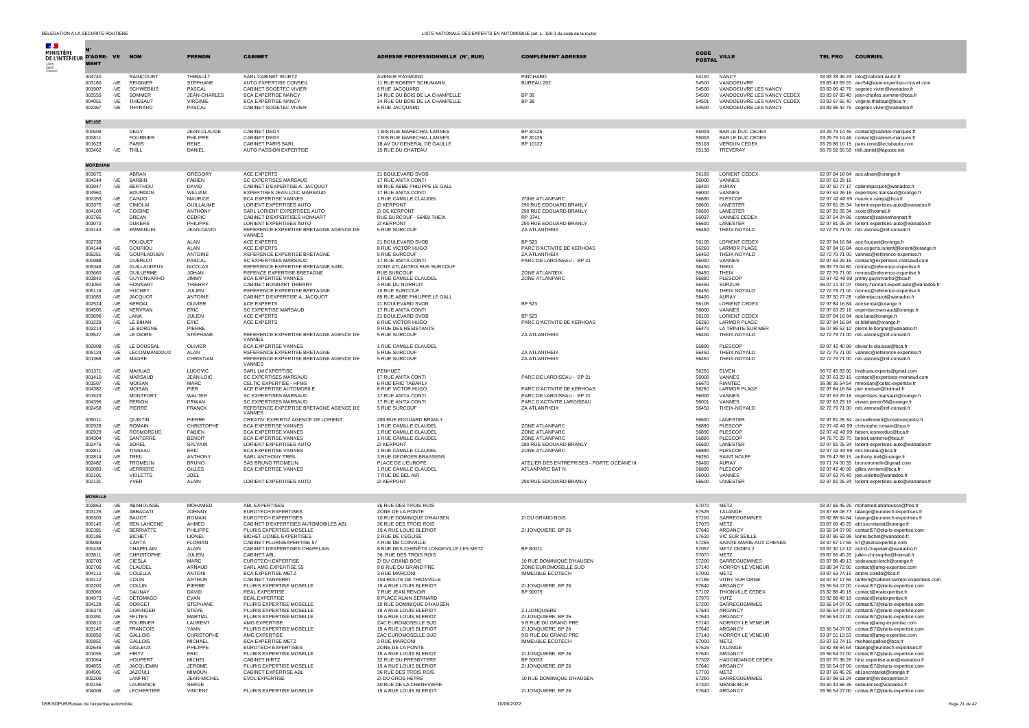| $\mathcal{A}$ .                              |                  |                |                                     |                                |                                                               |                                                        |                                                         |                |                                             |                                                                                                       |
|----------------------------------------------|------------------|----------------|-------------------------------------|--------------------------------|---------------------------------------------------------------|--------------------------------------------------------|---------------------------------------------------------|----------------|---------------------------------------------|-------------------------------------------------------------------------------------------------------|
| <b>MINISTÈRE</b><br>DE L'INTÉRIEUR D'AGRE-VE |                  |                |                                     | <b>PRENOM</b>                  | <b>CABINET</b>                                                | ADRESSE PROFESSIONNELLE (N°, RUE)                      | <b>COMPLÉMENT ADRESSE</b>                               | CODE           | <b>VILLE</b>                                | <b>TEL PRO</b><br><b>COURRIEL</b>                                                                     |
|                                              | <b>MENT</b>      |                |                                     |                                |                                                               |                                                        |                                                         | <b>POSTAL</b>  |                                             |                                                                                                       |
|                                              |                  |                |                                     |                                |                                                               |                                                        |                                                         |                |                                             |                                                                                                       |
|                                              | 004740<br>003180 | $-VE$          | <b>RAINCOURT</b><br><b>REIGNIER</b> | THIBAULT<br><b>STEPHANE</b>    | SARL CABINET WURTZ<br>AUTO EXPERTISE CONSEIL                  | AVENUE RAYMOND<br>11 RUE ROBERT SCHUMANN               | PINCHARD<br>BUREAU 202                                  | 54100<br>54500 | <b>NANCY</b><br>VANDOEUVRE                  | 03 83 28 45 24 info@cabinet-wurtz.fr<br>03 83 49 59 20 aec54@auto-expertise-conseil.com               |
|                                              | 001907           | $-VE$          | <b>SCHWEBIUS</b>                    | <b>PASCAL</b>                  | CABINET SOGETEC VIVIER                                        | 6 RUE JACOUARD                                         |                                                         | 54500          | VANDOFUVRE LES NANCY                        | 03 83 96 42 79 sogetec.vivier@wanadoo.fr                                                              |
|                                              | 003555           | -VE            | SOMMER                              | JEAN-CHARLES                   | <b>BCA EXPERTISE NANCY</b>                                    | 14 RUE DU BOIS DE LA CHAMPELLE                         | <b>BP 38</b>                                            | 54500          | VANDOEUVRE LES NANCY CEDEX                  | 03 83 67 65 40 jean-charles.sommer@bca.fr                                                             |
|                                              | 004051           | $-VE$          | THIEBAUT                            | <b>VIRGINIE</b>                | <b>BCA EXPERTISE NANCY</b>                                    | 14 RUE DU BOIS DE LA CHAMPELLE                         | <b>BP 38</b>                                            | 54501          | VANDOEUVRE LES NANCY CEDEX                  | 03 83 67 65 40 virginie.thiebaut@bca.fr                                                               |
|                                              | 002367           | -VE            | THYRARD                             | PASCAL                         | CABINET SOGETEC VIVIER                                        | 6 RUE JACQUARD                                         |                                                         | 54500          | VANDOEUVRE LES NANCY                        | 03 83 96 42 79 sogetec.vivier@wanadoo.fr                                                              |
|                                              |                  |                |                                     |                                |                                                               |                                                        |                                                         |                |                                             |                                                                                                       |
|                                              | <b>MEUSE</b>     |                |                                     |                                |                                                               |                                                        |                                                         |                |                                             |                                                                                                       |
|                                              | 000609<br>000811 |                | DEGY<br><b>FOURNIEF</b>             | JEAN-CLAUDE<br>PHILIPPE        | CABINET DEGY<br>CABINET DEGY                                  | 7 BIS RUE MARECHAL LANNES<br>7 BIS RUE MARECHAL LANNES | BP 30125<br>BP 30125                                    | 55003<br>55003 | BAR LE DUC CEDEX<br><b>BAR LE DUC CEDEX</b> | 03 29 79 14 46 contact@cabinet-marques.fr<br>03 29 79 14 46 contact@cabinet-marques.fr                |
|                                              | 001623           |                | PARIS                               | <b>RENE</b>                    | CABINET PARIS SARI                                            | 18 AV DU GENERAL DE GAULLE                             | BP 10122                                                | 55103          | VERDUN CEDEX                                | 03 29 86 10 15 paris.rene@leclubauto.com                                                              |
|                                              | 003462           | -VE            | THILL                               | DANIEL                         | AUTO PASSION EXPERTISE                                        | 15 RUE DU CHATEAU                                      |                                                         | 55130          | TREVERAY                                    | 06 79 92 60 59 thill.daniel@laposte.net                                                               |
|                                              |                  |                |                                     |                                |                                                               |                                                        |                                                         |                |                                             |                                                                                                       |
|                                              | <b>MORBIHAN</b>  |                |                                     |                                |                                                               |                                                        |                                                         |                |                                             |                                                                                                       |
|                                              | 003675<br>004244 | $-VF$          | ABRAN<br>BARBIN                     | GRÉGORY<br><b>FABIEN</b>       | ACE EXPERTS<br>SC EXPERTISES MARSAUD                          | 21 BOULEVARD SVOB<br>17 RUE ANITA CONTI                |                                                         | 56105<br>56000 | LORIENT CEDEX<br>VANNES                     | 02 97 84 16 84 ace.abran@orange.fr                                                                    |
|                                              | 003947           | $-VE$          | BERTHOL                             | DAVID                          | CABINET D'EXPERTISE A. JACQUOT                                | 89 RUE ABBE PHILIPPE LE GALL                           |                                                         | 56400          | <b>AURAY</b>                                | 02 97 63 29 16<br>02 97 50 77 17 cabinetjacquot@wanadoo.fr                                            |
|                                              | 004960           |                | <b>BOURDON</b>                      | WILLIAM                        | EXPERTISES JEAN LOIC MARSAUD                                  | 17 RUE ANITA CONTI                                     |                                                         | 56000          | VANNES                                      | 02 97 63 26 16 expertises.marsaud@orange.fr                                                           |
|                                              | 000353           | $-VE$          | CAIN.IO                             | <b>MAURICE</b>                 | <b>BCA EXPERTISE VANNES</b>                                   | 1 RUE CAMILLE CLAUDEL                                  | <b>7ONE ATLANPARC</b>                                   | 56890          | PLESCOP                                     | 02 97 42 40 99 maurice.cainjo@bca.fr                                                                  |
|                                              | 003375<br>004109 | -VE<br>$-VE$   | CIMOLAI<br>COISINE                  | <b>GUILLAUME</b><br>ANTHONY    | LORIENT EXPERTISES AUTO<br>SARL LORIENT EXPERTISES AUTO       | ZI KERPONT<br>ZI DE KERPONT                            | 290 RUE EDOUARD BRANLY<br>290 RUE EDOUARD BRANLY        | 56600<br>56600 | LANESTER<br>LANESTER                        | 02 97 81 05 34 lorient-expertises-auto@wanadoo.fr<br>02 97 81 05 34 scoiz@hotmail.fr                  |
|                                              | 003765           |                | DREAN                               | CEDRIC                         | CABINET D'EXPERTISES HONNART                                  | RUE SURCOUF - 56450 THEIX                              | RP 3741                                                 | 56037          | VANNES CEDEX                                | 02 97 54 24 86 contact@cabinethonnart.fr                                                              |
|                                              | 003072           |                | <b>DUKERS</b>                       | PHILIPPE                       | LORIENT EXPERTISES AUTO                                       | <b>ZI KERPONT</b>                                      | 290 RUE EDOUARD BRANLY                                  | 56600          | LANESTER                                    | 02 97 81 05 34 lorient-expertises-auto@wanadoo.fr                                                     |
|                                              | 003143           | $-VE$          | EMMANUEL                            | JEAN-DAVID                     | REFERENCE EXPERTISE BRETAGNE AGENCE DE<br>VANNES              | 5 RUE SURCOUF                                          | ZA ATLANTHEIX                                           | 56450          | THEIX-NOYALO                                | 02 72 79 71 00 reb.vannes@ref-conseil.fr                                                              |
|                                              | 002738           |                | <b>FOUQUET</b>                      | ALAN                           | ACE EXPERTS                                                   | 21 BOULEVARD SVOB                                      | <b>BP 523</b>                                           | 56105          | <b>LORIENT CEDEX</b>                        | 02 97 84 16 84 ace.fouquet@orange.fr                                                                  |
|                                              | 004144           | $-VE$          | GOURIOU                             | ALAN                           | ACE EXPERTS                                                   | 8 RUE VICTOR HUGO                                      | PARC D'ACTIVITE DE KERHOAS                              | 56260          | <b>LARMOR PLAGE</b>                         | 02 97 84 16 84 ace.experts.lorient@lorient@orange.fr                                                  |
|                                              | 005251           | -VE            | GOURLAOUEN                          | ANTOINE                        | REFERENCE EXPERTISE BRETAGNE                                  | 5 RUE SURCOUF                                          | ZA ATLANTHEIX                                           | 56450          | THEIX-NOYALO                                | 02 72 79 71 00 vannes@reference-expertise.fr                                                          |
|                                              | 000988<br>005348 | $-VE$          | <b>GUERLOT</b><br>GUILLAUDEUX       | PASCAL<br><b>NICOLAS</b>       | SC EXPERTISES MARSAUD<br>REFERENCE EXPERTISE BRETAGNE SARL    | 17 RUE ANITA CONTI<br>ZONE ATLANTEIX RUE SURCOUF       | PARC DE LAROISEAU - BP 21                               | 56000<br>56450 | VANNES<br><b>THEIX</b>                      | 02 97 63 29 16 contact@expertises-marsaud.com<br>06 33 73 04 80 rennes@reference-expertise.fr         |
|                                              | 003660           | -VE            | <b>GUILLERME</b>                    | <b>JOHAN</b>                   | REFENCE EXPERTISE BRETAGNE                                    | <b>RUE SURCOUF</b>                                     | <b>ZONE ATLANTEIX</b>                                   | 56450          | <b>THEIX</b>                                | 02 72 79 71 00 rennes@reference-expertise.fr                                                          |
|                                              | 003842           | -VE            | GUYONVARHO                          | <b>JIMMY</b>                   | <b>BCA EXPERTISE VANNES</b>                                   | 1 RUE CAMILLE CLAUDEL                                  | ZONE ATLANPARC                                          | 56890          | PLESCOF                                     | 02 97 42 40 99 jimmy.guyonvarho@bca.fr                                                                |
|                                              | 001060<br>005116 | -VE<br>-VE     | <b>HONNART</b><br><b>HUCHET</b>     | THIFRRY<br>JULIEN              | CABINET HONNART THIERRY<br>REFERENCE EXPERTISE BRETAGNE       | 4 RUE DU NORHUIT<br>10 RUE SURCOUF                     |                                                         | 56450<br>56450 | <b>SURZUR</b><br>THEIX NOYALO               | 06 07 11 37 07 thierry.honnart.expert.auto@wanadoo.fr<br>02 72 79 71 00 rennes@reference-expertise.fr |
|                                              | 001085           | $-VE$          | <b>JACOUOT</b>                      | ANTOINE                        | CABINET D'EXPERTISE A. JACQUOT                                | 89 RUE ABBE PHILIPPE LE GALL                           |                                                         | 56400          | AURAY                                       | 02 97 50 77 28 cabinetjacquot@wanadoo.fr                                                              |
|                                              | 002524           | -VE            | KERDAI                              | OLIVIER                        | ACE EXPERTS                                                   | 21 BOULEVARD SVOB                                      | <b>BP 523</b>                                           | 56105          | <b>LORIENT CEDEX</b>                        | 02 97 84 16 84 ace.kerdal@orange.fr                                                                   |
|                                              | 004505           | -VE            | KERVRAN                             | ERIC                           | SC EXPERTISE MARSAUD                                          | 17 RUE ANITA CONT                                      |                                                         | 56000          | VANNES                                      | 02 97 63 29 16 expertise.marsaud@orange.fr                                                            |
|                                              | 003696<br>001229 | $-VE$<br>-VE   | LANA<br>LE BIHAN                    | JULIEN<br>ÉRIC                 | <b>ACE EXPERTS</b><br>ACE EXPERTS                             | 21 BOULEVARD SVOE<br>8 RUE VICTOR HUGO                 | <b>BP 523</b><br>PARC D'ACTIVITE DE KERHOAS             | 56105<br>56260 | <b>LORIENT CEDEX</b><br>LARMOR PLAGE        | 02 97 84 16 84 ace.lana@orange.fr<br>02 97 84 16 84 er.lebihan@orange.fr                              |
|                                              | 002214           |                | LE BORGNE                           | PIERRE                         |                                                               | 9 RUE DES RESISTANTS                                   |                                                         | 56470          | LA TRINITE SUR MER                          | 06 07 86 53 10 pierre.le.borgne@wanadoo.fr                                                            |
|                                              | 003527           | -VE            | <b>LE DIORE</b>                     | STÉPHANE                       | REFERENCE EXPERTISE BRETAGNE AGENCE DE<br><b>VANNES</b>       | 5 RUE SURCOUF                                          | ZA ATLANTHEIX                                           | 56400          | THEIX-NOYALO                                | 02 72 79 71 00 reb.vannes@ref-conseil.fr                                                              |
|                                              | 002908           |                | -VE LE DOUSSAL                      | OLIVIER                        | <b>BCA EXPERTISE VANNES</b>                                   | 1 RUE CAMILLE CLAUDEL                                  |                                                         | 56890          | PLESCOP                                     | 02 97 42 40 99 olivier.le doussal@bca.fr                                                              |
|                                              | 005124           |                | -VE LECOMMANDOUX                    | <b>ALAN</b>                    | REFERENCE EXPERTISE BRETAGNE                                  | 5 RUE SURCOUF                                          | ZA ATLANTHEIX                                           | 56450          | THEIX-NOYALO                                | 02 72 79 71 00 vannes@reference-expertise.fr                                                          |
|                                              | 001368           | -VE            | MAGRE                               | CHRISTIAN                      | REFERENCE EXPERTISE BRETAGNE AGENCE DE<br>VANNES              | 5 RUE SURCOUF                                          | ZA ATLANTHEIX                                           | 56450          | THEIX-NOYALO                                | 02 72 79 71 00 reb.vannes@ref-conseil.fr                                                              |
|                                              | 001371           | -VE            | MAHUAS                              | <b>LUDOVIC</b>                 | SARL LM EXPERTISE                                             | PENHUET                                                |                                                         | 56250          | <b>ELVEN</b>                                | 06 72 45 83 90 Imahuas.experts@gmail.com                                                              |
|                                              | 001410           | -VE            | MARSAUD                             | JEAN-LOIC                      | SC EXPERTISES MARSAUD                                         | 17 RUE ANITA CONT                                      | PARC DE LAROISEAU - BP 21                               | 56000          | VANNES                                      | 02 97 63 29 16 contact@expertises-marsaud.com                                                         |
|                                              | 001507           | -VE            | <b>MOISAN</b>                       | <b>MARC</b>                    | CELTIC EXPERTISE - HFMS                                       | 6 RUE ERIC TABARLY                                     |                                                         | 56670          | RIANTEC                                     | 06 98 36 54 54 mmoisan@celtic-expertise.fr                                                            |
|                                              | 004382<br>001523 | $-VE$          | <b>MOISAN</b><br>MONTFOR'           | PIER<br>WALTER                 | ACE EXPERTISE AUTOMOBILE<br>SC EXPERTISES MARSAUD             | 8 RUE VICTOR HUGO<br>17 RUE ANITA CONTI                | PARC D'ACTIVITE DE KERHOAS<br>PARC DE LAROISEAU - BP 21 | 56260<br>56000 | <b>LARMOR PLAGE</b><br>VANNES               | 02 97 84 16 84 pier-moisan@hotmail.fr<br>02 97 63 29 16 expertises.marsaud@orange.fr                  |
|                                              | 004396           | $-VE$          | PERION                              | ERWAN                          | SC EXPERTISES MARSAUD                                         | 17 RUE ANITA CONTI                                     | PARC D'ACTIVITE LAROISEAU                               | 56001          | VANNES                                      | 02 97 63 29 16 erwan.perion56@orange.fr                                                               |
|                                              | 002458           | -VE            | PIERRE                              | <b>FRANCK</b>                  | REFERENCE EXPERTISE BRETAGNE AGENCE DE                        | 5 RUE SURCOUF                                          | ZA ATLANTHEIX                                           | 56450          | THEIX-NOYALO                                | 02 72 79 71 00 reb.vannes@ref-conseil.fr                                                              |
|                                              | 005011           |                | <b>OUINTIN</b>                      | PIERRE                         | <b>VANNES</b><br>CREATIV' EXPERTIZ AGENCE DE LORIENT          | 290 RUE EDOUARD BRANLY                                 |                                                         | 56600          | LANESTER                                    | 02 97 81 05 34 accueillorient@creativexpertiz.fr                                                      |
|                                              | 002928           | $-VE$          | <b>ROMAIN</b>                       | CHRISTOPHE                     | <b>BCA EXPERTISE VANNES</b>                                   | 1 RUE CAMILLE CLAUDEL                                  | ZONE ATLANPARC                                          | 56890          | PLESCOP                                     | 02 97 42 40 99 christophe.romain@bca.fr                                                               |
|                                              | 002929           | -VE            | ROSMORDUC                           | <b>FABIEN</b>                  | <b>BCA EXPERTISE VANNES</b>                                   | 1 RUE CAMILLE CLAUDEL                                  | ZONE ATLANPARC                                          | 56890          | PLESCOP                                     | 02 97 42 40 99 fabien.rosmorduc@bca.fr                                                                |
|                                              | 004304<br>002476 | $-VE$<br>-VE   | SANTERRE<br>SOREL                   | <b>BENOÎT</b><br>SYLVAIN       | <b>BCA EXPERTISE VANNES</b><br><b>LORIENT EXPERTISES AUTO</b> | 1 RUE CAMILLE CLAUDEL<br><b>ZI KERPONT</b>             | ZONE ATLANPARC<br>290 RUE EDOUARD BRANLY                | 56890<br>56600 | PLESCOP<br>LANESTER                         | 04 76 70 29 70 benoit.santerre@bca.fr<br>02 97 81 05 34 lorient-expertises-auto@wanadoo.fr            |
|                                              | 002811           | $-VE$          | TINSEAU                             | <b>ÉRIC</b>                    | BCA EXPERTISE VANNES                                          | 1 RUE CAMILLE CLAUDEL                                  | ZONE ATLANPARC                                          | 56890          | PLESCOP                                     | 02 97 42 40 99 eric.tinseau@bca.fr                                                                    |
|                                              | 002814           | $-VE$          | TREIL                               | ANTHONY                        | SARL ANTHONY TREIL                                            | 3 RUE GEORGES BRASSENS                                 |                                                         | 56250          | SAINT NOLFF                                 | 06 79 47 36 15 anthony.treil@orange.fr                                                                |
|                                              | 002482<br>002083 | $-VE$          | <b>TROMELIN</b><br>VERRIER          | <b>BRUNO</b>                   | <b>SAS BRUNO TROMELIN</b>                                     | PLACE DE L'EUROPE                                      | ATELIER DES ENTREPRISES - PORTE OCEANE III              | 56400<br>56890 | AURAY<br>PLESCOF                            | 09 71 74 00 35 brunotromelin@gmail.com                                                                |
|                                              | 002101           | $-VE$          | VIOLETTE                            | <b>GILLES</b><br>JOEL          | <b>BCA EXPERTISE VANNES</b>                                   | 1 RUE CAMILLE CLAUDEL<br>7 RUE DE BEL AIR              | ATLANPARC BAT N                                         | 56000          | VANNES                                      | 02 97 42 40 99 gilles.verriere@bca.fr<br>02 97 63 76 40 joel.violette@wanadoo.fr                      |
|                                              | 002131           |                | <b>YVER</b>                         | ALAIN                          | LORIENT EXPERTISES AUTO                                       | ZI KERPONT                                             | 290 RUE EDOUARD BRANLY                                  | 56600          | LANESTER                                    | 02 97 81 05 34 lorient-expertises-auto@wanadoo.fr                                                     |
|                                              |                  |                |                                     |                                |                                                               |                                                        |                                                         |                |                                             |                                                                                                       |
|                                              | <b>MOSELLE</b>   |                |                                     |                                |                                                               |                                                        |                                                         |                |                                             |                                                                                                       |
|                                              | 002863           | -VE            | ABAHOUSSE                           | <b>MOHAMED</b>                 | ABL EXPERTISES                                                | 36 RUE DES TROIS ROIS                                  |                                                         | 57070          | METZ                                        | 03 87 66 45 26 mohamed.abahousse@free.fr                                                              |
|                                              | 003125<br>005303 | $-VE$<br>$-VE$ | ABBADATI<br><b>BAIJOT</b>           | <b>JOHNNY</b><br>ROMAIN        | EUROTECH EXPERTISES<br><b>FUROTECH EXPERTISES</b>             | ZONE DE LA PONTE<br>10 RUE DOMINIQUE D'HAUSEN          | ZI DU GRAND BOIS                                        | 57525<br>57200 | TALANGE<br>SARREGUEMINES                    | 03 87 68 08 77 talange@eurotech-expertises.fr<br>03 82 88 64 64 talange@eurotech-expertises.fr        |
|                                              | 000145           | -VE            | BEN LAHCENE                         | AHMED                          | CABINET D'EXPERTISES AUTOMOBILES ABL                          | 36 RUE DES TROIS ROIS                                  |                                                         | 57070          | METZ                                        | 03 87 66 45 26 abl.secretariat@orange.fr                                                              |
|                                              | 002381           | -VE            | <b>BERRIATTE</b>                    | PHILIPPE                       | PLURIS EXPERTISE MOSELLE                                      | 19 A RUE LOUIS BLERIOT                                 | ZI JONQUIERE, BP 26                                     | 57640          | ARGANCY                                     | 03 56 54 07 00 contact57@pluris-expertise.com                                                         |
|                                              | 000186<br>005084 |                | <b>BICHET</b><br>CARTA              | LIONEL<br><b>FLORIAN</b>       | BICHET LIONEL EXPERTISES<br>CABINET PLURISEXPERTISE 57        | 2 RUE DE L'EGLISE<br>4 RUE DE COINVILLE                |                                                         | 57630<br>57255 | VIC SUR SEILLE<br>SAINTE MARIE AUX CHENES   | 03 87 86 63 98 lionel.bichet@wanadoo.fr.                                                              |
|                                              | 000438           |                | CHAPELAIN                           | AI AIN                         | CABINET D'EXPERTISES CHAPELAIN                                | 8 RUE DES CHENÊTS LONGEVILLE LES METZ                  | BP 80011                                                | 57057          | METZ CEDEX 2                                | 03 87 67 17 55 57@plurisexpertise.com<br>03 87 30 12 12 astrid.chapelain@wanadoo.fr                   |
|                                              | 003811           | -VE            | CHRISTOPHE                          | JULIEN                         | CABINET ABL                                                   | 36, RUE DES TROIS ROIS                                 |                                                         | 57070          | METZ                                        | 03 87 66 45 26 julien-christophe@hotmail.fr                                                           |
|                                              | 002703           | $-VE$          | CIESLA                              | <b>MARC</b>                    | EUROTECH EXPERTISE                                            | ZI DU GRAND BOIS                                       | 10 RUE DOMINIQUE D'HAUSEN                               | 57200          | SARREGUEMINES                               | 03 87 98 49 13 sodexauto-lerch@orange.fr                                                              |
|                                              | 002705<br>004110 | $-VE$<br>-VE   | CLAUDEL<br>COLELLA                  | <b>ARNAUD</b><br><b>ANTONI</b> | SARL AMG EXPERTISE 55<br><b>BCA EXPERTISE METZ</b>            | 9 B RUE DU GRAND PRE<br>3 RUE MARCONI                  | <b>7ONF EUROMOSELLE SUD</b><br><b>IMMEUBLE ECOTECH</b>  | 57140<br>57000 | NORROY LE VENEUR<br>METZ                    | 03 88 34 72 80 contact@amq-expertise.com<br>03 87 63 74 15 antoni.colella@bca.fr                      |
|                                              | 004112           |                | COLIN                               | ARTHUR                         | CABINET TANFERRI                                              | 104 ROUTE DE THIONVILLE                                |                                                         | 57185          | VITRY SUR ORNE                              | 03 87 67 17 55 tanferri@cabinet-tanferri-expertises.com                                               |
|                                              | 002200           | $-VE$          | COLLIN                              | PIFRRE                         | PLURIS EXPERTISE MOSELLE                                      | 19 A RUE LOUIS BLERIOT                                 | ZI JONQUIERE, BP 26                                     | 57640          | ARGANCY                                     | 03 56 54 07 00 contact57@pluris-expertise.com                                                         |
|                                              | 003066<br>004973 | $-VE$          | DAUNAY<br><b>DETOMASO</b>           | DAVID<br><b>FVAN</b>           | <b>REAL EXPERTISE</b><br><b>BEAL EXPERTISE</b>                | 7 RUE JEAN RENOIR<br>8 PLACE ALAIN BERNARD             | BP 90075                                                | 57102<br>57970 | THIONVILLE CEDEX<br><b>YUTZ</b>             | 03 82 88 49 18 contact@realexpertise.fr<br>03 82 88 49 18 contact@realexpertise.fr                    |
|                                              | 004129           | $-VE$          | DORGET                              | <b>STEPHANE</b>                | PLURIS EXPERTISE MOSELLE                                      | 10 RUE DOMINIQUE D'HAUSEN                              |                                                         | 57200          | SARREGUEMIMES                               | 03 56 54 07 00 contact57@pluris-expertise.com                                                         |
|                                              | 005379           | $-VE$          | <b>DORINGER</b>                     | STEVE                          | PLURIS EXPERTISE MOSELLE                                      | 19 A RUE LOUIS BLERIOT                                 | Z.I.JONOUIERE                                           | 57640          | ARGANCY                                     | 03 56 54 07 00 contact57@pluris-expertise.com                                                         |
|                                              | 003391           | $-VE$          | <b>FELTES</b>                       | MARTIAL                        | PLURIS EXPERTISE MOSELLE                                      | 19 A RUE LOUIS BLERIOT                                 | ZI JONQUIERE, BP 26<br>9 B RUE DU GRAND PRE             | 57640          | ARGANCY<br>NORROY LE VENEUR                 | 03 56 54 07 00 contact57@pluris-expertise.com                                                         |
|                                              | 000810<br>003145 | $-VE$<br>$-VE$ | <b>FOURNIER</b><br><b>FRANCOIS</b>  | LAURENT<br>YANN                | AMG EXPERTISE<br>PLURIS EXPERTISE MOSELLE                     | ZAC EUROMOSELLE SUD<br>19 A RUE LOUIS BLERIOT          | ZI JONOUIERE, BP 26                                     | 57140<br>57640 | ARGANCY                                     | contact@amg-expertise.com<br>03 56 54 07 00 contact57@pluris-expertise.com                            |
|                                              | 000850           | -VE            | GALLOIS                             | CHRISTOPHE                     | AMG EXPERTISE                                                 | ZAC EUROMOSELLE SUD                                    | 9 B RUE DU GRAND PRE                                    | 57140          | NORROY LE VENEUR                            | 03 87 51 13 53 contact@amg-expertise.com                                                              |
|                                              | 000851           | -VE            | <b>GALLOIS</b>                      | <b>MICHAEL</b>                 | <b>BCA EXPERTISE METZ</b>                                     | 3 RUE MARCONI                                          | <b>IMMEUBLE ECOTECH</b>                                 | 57000          | <b>METZ</b>                                 | 03 87 63 74 15 michael.gallois@bca.fr                                                                 |
|                                              | 002646<br>001055 | $-VE$<br>-VE   | <b>GIGLEUX</b><br><b>HIRTZ</b>      | PHILIPPE<br>ERIC               | EUROTECH EXPERTISES<br>PLURIS EXPERTISE MOSELLE               | ZONE DE LA PONTE<br>19 A RUE LOUIS BLERIOT             | ZI JONQUIERE, BP 26                                     | 57525<br>57640 | TALANGE<br>ARGANCY                          | 03 82 88 64 64 talange@eurotech-expertises.fr<br>03 56 54 07 00 contact57@pluris-expertise.com        |
|                                              | 001064           |                | <b>HOUPERT</b>                      | MICHEL                         | CABINET HIRTZ                                                 | 32 RUE DU PRESBYTERE                                   | BP 50033                                                | 57302          | HAGONDANGE CEDEX                            | 03 87 70 36 26 hirtz.expertise.auto@wanadoo.fr                                                        |
|                                              | 004855           | -VE            | <b>JACQUEMIN</b>                    | JEROME.                        | PLURIS EXPERTISE MOSELLE                                      | 19 A RUE LOUIS BLERIOT                                 | ZI JONQUIERE, BP 26                                     | 57640          | ARGANCY                                     | 03 56 54 07 00 contact57@pluris-expertise.com                                                         |
|                                              | 004501<br>002209 | -VE            | <b>JAZOULI</b><br>LANFRIT           | <b>MIMOUN</b><br>JEAN-MICHEL   | CABINET EXPERTISE ABL<br>EVOL'EXPERTISE                       | 36 RUE DES TROIS ROIS<br>ZI DU GROS HETRE              | 10 RUE DOMINIQUE D'HAUSEN                               | 57700<br>57200 | METZ<br>SARREGUEMIMES                       | 03 87 66 45 26 abl.secretariat@orange.fr<br>03 87 98 51 24 cabinet@evolexpertise.fr                   |
|                                              | 003156           |                | <b>LAURENCE</b>                     | SERGE                          |                                                               | 30 RUE DE LA CHENEVIERE                                |                                                         | 57320          | <b>MENSKIRCH</b>                            | 09 60 43 66 35 selaurence@wanadoo.fr                                                                  |
|                                              | 004006           |                | -VE LECHERTIER                      | <b>VINCENT</b>                 | PLURIS EXPERTISE MOSELLE                                      | 19 A RUE LOUIS BLERIOT                                 | ZI JONQUIERE, BP 26                                     | 57640          | ARGANCY                                     | 03 56 54 07 00 contact57@pluris-expertise.com                                                         |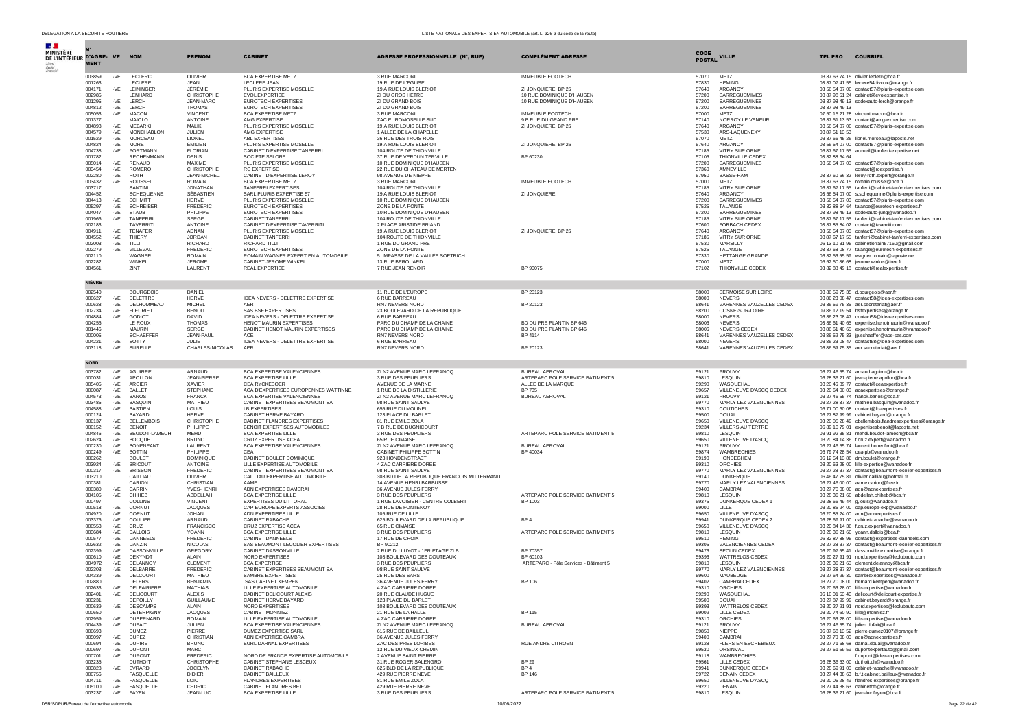| <b>Section</b>                             |                  |                |                                       |                                 |                                                                    |                                                                    |                                                   |                |                                            |                                                                                                             |
|--------------------------------------------|------------------|----------------|---------------------------------------|---------------------------------|--------------------------------------------------------------------|--------------------------------------------------------------------|---------------------------------------------------|----------------|--------------------------------------------|-------------------------------------------------------------------------------------------------------------|
| MINISTÈRE<br>DE L'INTÉRIEUR D'AGRE- VE NOM |                  |                |                                       | <b>PRENOM</b>                   | <b>CABINET</b>                                                     | ADRESSE PROFESSIONNELLE (N°, RUE)                                  | <b>COMPLÉMENT ADRESSE</b>                         | CODE           | <b>VILLE</b>                               | <b>TEL PRO</b><br><b>COURRIEL</b>                                                                           |
|                                            | <b>MENT</b>      |                |                                       |                                 |                                                                    |                                                                    |                                                   | <b>POSTAL</b>  |                                            |                                                                                                             |
|                                            | 003859           |                | -VE LECLERC                           | OLIVIER                         | <b>BCA EXPERTISE METZ</b>                                          | 3 RUE MARCONI                                                      | <b>IMMEUBLE ECOTECH</b>                           | 57070          | MFT7                                       | 03 87 63 74 15 olivier.leclerc@bca.fr                                                                       |
|                                            | 001263           |                | LECLERE                               | <b>JEAN</b>                     | LECLERE JEAN                                                       | 19 RUE DE L'EGLISE                                                 |                                                   | 57830          | <b>HEMING</b>                              | 03 87 07 41 55 leclere54divoux@orange.fr                                                                    |
|                                            | 004171<br>002985 |                | -VE LEININGER<br>LENHARD              | JÉRÉMIE<br>CHRISTOPHE           | PLURIS EXPERTISE MOSELLE<br>EVOL'EXPERTISE                         | 19 A RUE LOUIS BLERIOT<br>ZI DU GROS HETRE                         | ZI JONQUIERE, BP 26<br>10 RUE DOMINIQUE D'HAUSEN  | 57640<br>57200 | ARGANCY<br>SARREGUEMIMES                   | 03 56 54 07 00 contact57@pluris-expertise.com<br>03 87 98 51 24 cabinet@evolexpertise.fr                    |
|                                            | 001295           | $-VE$          | LERCH                                 | <b>JEAN-MARC</b>                | EUROTECH EXPERTISES                                                | ZI DU GRAND BOIS                                                   | 10 RUE DOMINIQUE D'HAUSEN                         | 57200          | SARREGUEMINES                              | 03 87 98 49 13 sodexauto-lerch@orange.fr                                                                    |
|                                            | 004812<br>005053 | -VE            | -VE LERCH<br>MACON                    | <b>THOMAS</b><br><b>VINCENT</b> | EUROTECH EXPERTISES<br><b>BCA EXPERTISE METZ</b>                   | ZI DU GRAND BOIS<br>3 RUE MARCONI                                  | IMMEUBLE ECOTECH                                  | 57200<br>57000 | SARREGUEMINES<br>METZ                      | 03 87 98 49 13<br>07 50 15 21 28 vincent.macon@bca.fr                                                       |
|                                            | 001377           |                | MAIOLO                                | ANTOINE                         | AMG EXPERTISE                                                      | ZAC EUROMOSELLE SUD                                                | 9 B RUE DU GRAND PRE                              | 57140          | NORROY LE VENEUR                           | 03 87 51 13 53 contact@amg-expertise.com                                                                    |
|                                            | 004898           | -VE            | <b>MEBARKI</b>                        | MAI IK                          | PLURIS EXPERTISE MOSELLE                                           | 19 A RUE LOUIS BLERIOT                                             | ZI JONQUIERE, BP 26                               | 57640          | ARGANCY                                    | 03 56 54 07 00 contact57@pluris-expertise.com                                                               |
|                                            | 004579<br>001529 | $-VE$<br>$-VE$ | MONCHABLON<br><b>MORCEAU</b>          | JULIEN<br>LIONEL                | AMG EXPERTISE<br>ABL EXPERTISES                                    | 1 ALLEE DE LA CHAPELLE<br>36 RUE DES TROIS ROIS                    |                                                   | 57530<br>57070 | ARS-LAQUENEXY<br>METZ                      | 03 87 51 13 53<br>03 87 66 45 26 lionel.morceau@laposte.net                                                 |
|                                            | 004824           | -VE            | <b>MORET</b>                          | <b>ÉMILIEN</b>                  | PLURIS EXPERTISE MOSELLE                                           | 19 A RUE LOUIS BLERIOT                                             | ZI JONQUIERE, BP 26                               | 57640          | <b>ARGANCY</b>                             | 03 56 54 07 00 contact57@pluris-expertise.com                                                               |
|                                            | 004738<br>001782 | -VE            | PORTMANN<br><b>RECHENMANN</b>         | <b>FLORIAN</b><br><b>DENIS</b>  | CABINET D'EXPERTISE TANFERRI<br>SOCIETE SELORE                     | 104 ROUTE DE THIONVILLE<br>37 RUE DE VERDUN TERVILLE               | BP 60230                                          | 57185<br>57106 | VITRY SUR ORNE<br>THIONVILLE CEDEX         | 03 87 67 17 55 accueil@tanferri-expertise.net<br>03 82 88 64 64                                             |
|                                            | 005014           | -VE            | RENAUD                                | MAXIME                          | PLURIS EXPERTISE MOSELLE                                           | 10 RUE DOMINIQUE D'HAUSEN                                          |                                                   | 57200          | SARREGUEMINES                              | 03 56 54 07 00 contact57@pluris-expertise.com                                                               |
|                                            | 003454<br>002280 | -VE<br>-VE     | ROMERO<br><b>ROTH</b>                 | CHRISTOPHE<br>JEAN-MICHEL       | RC EXPERTISE<br>CABINET D'EXPERTISE LEROY                          | 22 RUE DU CHATEAU DE MERTEN<br>98 AVENUE DE NIEPPE                 |                                                   | 57360<br>57950 | AMNEVILLE<br><b>BASSE-HAM</b>              | contact@rcexpertise.fr<br>03 87 60 66 32 leroy-roth.expert@orange.fr                                        |
|                                            | 003432           | -VE            | ROUSSEL                               | <b>ROMAIN</b>                   | BCA EXPERTISE METZ                                                 | 3 RUE MARCONI                                                      | <b>IMMEUBLE ECOTECH</b>                           | 57000          | METZ                                       | 03 87 63 74 15 romain.roussel@bca.fr                                                                        |
|                                            | 003717<br>004452 |                | SANTINI<br><b>SCHEOUENNE</b>          | <b>JONATHAN</b><br>SÉBASTIEN    | <b>TANFERRI EXPERTISES</b><br>SARL PLURIS EXPERTISE 57             | 104 ROUTE DE THIONVILLE<br>19 A RUE LOUIS BLERIOT                  | ZI JONQUIERE                                      | 57185<br>57640 | VITRY SUR ORNE<br>ARGANCY                  | 03 87 67 17 55 tanferri@cabinet-tanferri-expertises.com<br>03 56 54 07 00 s.schequenne@pluris-expertise.com |
|                                            | 004413           | -VE            | <b>SCHMITT</b>                        | HERVÉ                           | PLURIS EXPERTISE MOSELLE                                           | 10 RUE DOMINIQUE D'HAUSEN                                          |                                                   | 57200          | SARREGUEMIMES                              | 03 56 54 07 00 contact57@pluris-expertise.com                                                               |
|                                            | 005297<br>004047 | -VE<br>$-VE$   | <b>SCHREIBER</b><br><b>STAUB</b>      | FRÉDÉRIC<br>PHII IPPF           | EUROTECH EXPERTISES<br><b>EUROTECH EXPERTISES</b>                  | ZONE DE LA PONTE<br>10 RUE DOMINIQUE D'HAUSEN                      |                                                   | 57525<br>57200 | TALANGE<br>SARREGUEMINES                   | 03.82.88.64.64 talance@eurotech-expertises.fr<br>03 87 98 49 13 sodexauto-jung@wanadoo.fr                   |
|                                            | 001966           | -VE            | TANFERR                               | SERGE                           | <b>CABINET TANFERRI</b>                                            | 104 ROUTE DE THIONVILLE                                            |                                                   | 57185          | <b>VITRY SUR ORNE</b>                      | 03 87 67 17 55 tanferri@cabinet-tanferri-expertises.com                                                     |
|                                            | 002183           |                | <b>TAVERRIT</b>                       | ANTOINE                         | CABINET D'EXPERTISE TAVERRITI                                      | 2 PLACE ARISTIDE BRIAND                                            |                                                   | 57600          | <b>FORBACH CEDEX</b>                       | 03 87 85 84 02 contact@taverriti.com                                                                        |
|                                            | 004911<br>004552 | -VE<br>$-VE$   | TENAFER<br>THIERY                     | ADNAN<br><b>JORDAN</b>          | PLURIS EXPERTISE MOSELLE<br>CABINET TANFERRI                       | 19 A RUE LOUIS BLERIOT<br>104 ROUTE DE THIONVILLE                  | ZI JONQUIERE, BP 26                               | 57640<br>57185 | ARGANCY<br>VITRY SUR ORNE                  | 03 56 54 07 00 contact57@pluris-expertise.com<br>03 87 67 17 55 tanferri@cabinet-tanferri-expertises.com    |
|                                            | 002003           | -VE            | TILLI                                 | <b>RICHARD</b>                  | RICHARD TILLL                                                      | 1 RUE DU GRAND PRE                                                 |                                                   | 57530          | MARSILLY                                   | 06 13 10 31 95 cabinetlorrain57160@gmail.com                                                                |
|                                            | 002279<br>002110 | -VE            | VILLEVAL<br>WAGNER                    | <b>FREDERIC</b><br>ROMAIN       | <b>EUROTECH EXPERTISES</b><br>ROMAIN WAGNER EXPERT EN AUTOMOBILE   | ZONE DE LA PONTE<br>5 IMPASSE DE LA VALLÉE SOETRICH                |                                                   | 57525<br>57330 | TALANGE<br>HETTANGE GRANDE                 | 03 87 68 08 77 talange@eurotech-expertises.fr<br>03 82 53 55 59 wagner.romain@laposte.net                   |
|                                            | 002282           |                | WINKEL                                | <b>JEROME</b>                   | CABINET JEROME WINKEL                                              | 13 RUE BEROUARD                                                    |                                                   | 57000          | METZ                                       | 06 62 50 86 68 jerome.winkel@free.fr                                                                        |
|                                            | 004561           |                | ZINT                                  | LAURENT                         | <b>REAL EXPERTISE</b>                                              | 7 RUE JEAN RENOIR                                                  | BP 90075                                          | 57102          | THIONVILLE CEDEX                           | 03 82 88 49 18 contact@realexpertise.fr                                                                     |
|                                            | <b>NIÈVRE</b>    |                |                                       |                                 |                                                                    |                                                                    |                                                   |                |                                            |                                                                                                             |
|                                            | 002540           |                | <b>BOURGEOIS</b>                      | DANIEL                          |                                                                    | 11 RUE DE L'EUROPE                                                 | BP 20123                                          | 58000          | SERMOISE SUR LOIRE                         | 03 86 59 75 35 d.bourgeois@aer.fr                                                                           |
|                                            | 000627           | $-VE$          | DELETTRE                              | <b>HFRVF</b>                    | IDEA NEVERS - DELETTRE EXPERTISE                                   | 6 RUE BARREAU                                                      |                                                   | 58000          | <b>NEVERS</b>                              | 03 86 23 08 47 contact58@idea-expertises.com                                                                |
|                                            | 000628           | -VE            | DELHOMMEAU                            | <b>MICHEL</b>                   | <b>AER</b>                                                         | RN7 NEVERS NORD                                                    | BP 20123                                          | 58641          | VARENNES VAUZELLES CEDEX                   | 03 86 59 75 35 aer.secretariat@aer.fr                                                                       |
|                                            | 002734<br>004884 | $-VE$<br>$-VE$ | <b>FLEURIET</b><br><b>GODIOT</b>      | <b>BENOIT</b><br><b>DAVID</b>   | SAS BSF EXPERTISES<br>IDEA NEVERS - DELETTRE EXPERTISE             | 23 BOULEVARD DE LA REPUBLIQUE<br>6 RUE BARREAU                     |                                                   | 58200<br>58000 | COSNE-SUR-LOIRE<br><b>NEVERS</b>           | 09.86.12.19.54 hsfexnertises@orange.fr<br>03 86 23 08 47 contact58@idea-expertises.com                      |
|                                            | 004256           |                | LE ROUX                               | <b>THOMAS</b>                   | HENOT MAURIN EXPERTISES                                            | PARC DU CHAMP DE LA CHAINE                                         | BD DU PRE PLANTIN BP 646                          | 58006          | <b>NEVERS</b>                              | 03 86 61 40 65 expertise.henotmaurin@wanadoo.fr                                                             |
|                                            | 001446           |                | <b>MAURIN</b><br><b>SCHAEFFEF</b>     | SERGE                           | CABINET HENOT MAURIN EXPERTISES<br><b>ACE</b>                      | PARC DU CHAMP DE LA CHAINE<br><b>RN7 NEVERS NORD</b>               | BD DU PRE PLANTIN BP 646                          | 58006<br>58641 | NEVERS CEDEX<br>VARENNES VAUZELLES CEDEX   | 03 86 61 40 65 expertise.henotmaurin@wanadoo.fr<br>03 86 59 75 33 jp.schaeffer@ace-sas.com                  |
|                                            | 000005<br>004221 | $-VE$          | SOTTY                                 | JEAN-PAUL<br>JULIE              | IDEA NEVERS - DELETTRE EXPERTISE                                   | 6 RUE BARREAU                                                      | BP 4114                                           | 58000          | <b>NEVERS</b>                              | 03 86 23 08 47 contact58@idea-expertises.com                                                                |
|                                            | 003118           | $-VE$          | SURELLE                               | CHARLES-NICOLAS                 | AER                                                                | RN7 NEVERS NORD                                                    | BP 20123                                          | 58641          | VARENNES VAUZELLES CEDEX                   | 03 86 59 75 35 aer.secretariat@aer.fr                                                                       |
|                                            | <b>NORD</b>      |                |                                       |                                 |                                                                    |                                                                    |                                                   |                |                                            |                                                                                                             |
|                                            | 003782           |                | -VE AGUIRRE                           | ARNAUD                          | BCA EXPERTISE VALENCIENNES                                         | ZI N2 AVENUE MARC LEFRANCO                                         | <b>BUREAU AEROVAL</b>                             | 59121          | PROUVY                                     | 03 27 46 55 74 arnaud.aguirre@bca.fr                                                                        |
|                                            | 000031           | -VE            | APOLLON                               | <b>JEAN-PIERRE</b>              | BCA EXPERTISE LILLE                                                | 3 RUE DES PEUPLIERS                                                | ARTEPARC POLE SERVICE BATIMENT 5                  | 59810          | LESQUIN                                    | 03 28 36 21 60 jean-pierre.apollon@bca.fr                                                                   |
|                                            | 005405           | $-VE$          | ARCIER                                | <b>XAVIER</b>                   | CEA RYCKEBOER                                                      | AVENUE DE LA MARNE                                                 | ALLEE DE LA MAROUE                                | 59290          | WASQUEHAL                                  | 03.20.46.89.77 contact@ceaexpertise.fr                                                                      |
|                                            | 000087<br>004573 | -VE<br>-VE     | <b>BALLET</b><br><b>BANOS</b>         | STEPHANE<br><b>FRANCK</b>       | ACA D'EXPERTISES EUROPENNES WATTINNE<br>BCA EXPERTISE VALENCIENNES | 1 RUE DE LA DISTILLERIE<br>ZI N2 AVENUE MARC LEFRANCQ              | <b>BP 735</b><br><b>BUREAU AEROVAL</b>            | 59657<br>59121 | VILLENEUVE D'ASCQ CEDEX<br>PROUVY          | 03 20 64 00 00 acaexpertises@orange.fr<br>03 27 46 55 74 franck.banos@bca.fr                                |
|                                            | 003485           | -VE            | <b>BASOUIN</b>                        | MATHIFU                         | CABINET EXPERTISES BEAUMONT SA                                     | 98 RUE SAINT SAULVE                                                |                                                   | 59770          | MARLY LEZ VALENCIENNES                     | 03 27 28 37 37 mathieu.basquin@wanadoo.fr                                                                   |
|                                            | 004588<br>000124 | -VE            | <b>BASTIEN</b><br>BAYARD              | LOUIS<br><b>HERVE</b>           | <b>LB EXPERTISES</b><br>CABINET HERVE BAYARD                       | 655 RUE DU MOLINEL<br>123 PLACE DU BARLET                          |                                                   | 59310<br>59500 | COUTICHES<br><b>DOUAI</b>                  | 06 71 00 60 08 contact@lb-expertises.fr<br>03 27 87 99 99 cabinet.bayard@orange.fr                          |
|                                            | 000137           | $-VE$          | <b>BELLEMBOIS</b>                     | CHRISTOPHE                      | CABINET FLANDRES EXPERTISES                                        | 81 RUE EMILE ZOLA                                                  |                                                   | 59650          | VILLENEUVE D'ASCQ                          | 03 20 05 28 49 cbellembois.flandresexpertises@orange.fr                                                     |
|                                            | 000152<br>004846 | -VE<br>-VE     | <b>BENOIT</b><br>BEUDOT-LAMECH        | PHILIPPE<br><b>MEHDI</b>        | BENOIT EXPERTISES AUTOMOBILES<br><b>BCA EXPERTISE LILLE</b>        | 7 B RUE DE BUGNICOURT<br>3 RUE DES PEUPLIERS                       | ARTEPARC POLE SERVICE BATIMENT 5                  | 59234<br>59810 | <b>VILLERS AU TERTRE</b><br>LESOUIN        | 06 89 10 79 01 expertisesbenoit@laposte.net<br>03 91 92 35 81 mehdi.beudot-lamech@bca.fr                    |
|                                            | 002624           | $-VE$          | <b>BOCQUET</b>                        | <b>BRUNO</b>                    | CRUZ EXPERTISE ACEA                                                | 65 RUE CIMAISE                                                     |                                                   | 59650          | VILLENEUVE D'ASCQ                          | 03 20 84 14 36 f.cruz.expert@wanadoo.fr                                                                     |
|                                            | 000230           | $-VE$          | <b>BONENFANT</b>                      | LAURENT                         | BCA EXPERTISE VALENCIENNES                                         | ZI N2 AVENUE MARC LEFRANCQ                                         | <b>BUREAU AEROVAL</b>                             | 59121          | PROUVY                                     | 03 27 46 55 74 laurent.bonenfant@bca.fr                                                                     |
|                                            | 000249<br>000262 | $-VE$          | <b>BOTTIN</b><br><b>BOULET</b>        | PHILIPPE<br><b>DOMINIQUE</b>    | CEA<br>CABINET BOULET DOMINIQUE                                    | CABINET PHILIPPE BOTTIN<br>923 HONDENSTRAET                        | BP 40034                                          | 59874<br>59190 | <b>WAMBRECHIES</b><br>HONDEGHEM            | 06 79 74 28 54 cea-pb@wanadoo.fr<br>06 12 54 13 86 dm.boulet@orange.fr                                      |
|                                            | 003924           | $-VE$          | BRICOU <sup>®</sup>                   | <b>ANTOINE</b>                  | LILLE EXPERTISE AUTOMOBILE                                         | 4 ZAC CARRIERE DOREE                                               |                                                   | 59310          | ORCHIES                                    | 03 20 63 28 00 lille-expertise@wanadoo.fr                                                                   |
|                                            | 000317<br>003210 | -VE            | <b>BRISSON</b><br>CAILLIAU            | <b>FREDERIC</b><br>OLIVIER      | CABINET EXPERTISES BEAUMONT SA<br>CAILLIAU EXPERTISE AUTOMOBILE    | 98 RUE SAINT SAULVE<br>308 BD DE LA REPUBLIQUE FRANCOIS MITTERRAND |                                                   | 59770<br>59140 | MARLY LEZ VALENCIENNES<br><b>DUNKERQUE</b> | 03 27 28 37 37 contact@beaumont-lecolier-expertises.fr<br>06 46 47 75 81 olivier.cailliau@hotmail.fr        |
|                                            | 000381           |                | CARION                                | CHRISTIAN                       | AAME                                                               | 14 AVENUE HENRI BARBUSSE                                           |                                                   | 59770          | MARLY LEZ VALENCIENNES                     | 03 27 46 00 00 aame.carion@free.fr                                                                          |
|                                            | 000380<br>004105 | $-VE$          | CARRIN<br>CHIHEB                      | YVES-HENRI<br>ABDELLAH          | ADN EXPERTISES CAMBRAI                                             | 36 AVENUE JULES FERRY                                              |                                                   | 59400<br>59810 | CAMBRAI                                    | 03 27 70 08 00 adn@adnexpertises.fr                                                                         |
|                                            | 000497           | -VE            | COLLINS                               | <b>VINCENT</b>                  | BCA EXPERTISE LILLE<br>EXPERTISES DU LITTORAL                      | 3 RUE DES PEUPLIERS<br>1 RUE LAVOISIER - CENTRE COLBERT            | ARTEPARC POLE SERVICE BATIMENT 5<br>BP 1003       | 59375          | LESQUIN<br>DUNKERQUE CEDEX 1               | 03 28 36 21 60 abdellah.chiheb@bca.fr<br>03 28 66 49 44 g, louis@wanadoo.fr                                 |
|                                            | 000518           | -VE            | CORNUT                                | <b>JACQUES</b>                  | CAP EUROPE EXPERTS ASSOCIES                                        | 28 RUE DE FONTENOY                                                 |                                                   | 59000          | LILLE                                      | 03 20 85 24 00 cap.europe-exp@wanadoo.fr                                                                    |
|                                            | 004920<br>003376 | $-VE$<br>-VE   | CORNUT<br>COULIER                     | <b>JOHAN</b><br>ARNAUD          | ADN EXPERTISES LILLE<br>CABINET RABACHE                            | 105 RUE DE LILLE<br>625 BOULEVARD DE LA REPUBLIQUE                 | BP4                                               | 59650<br>59941 | VILLENEUVE D'ASCQ<br>DUNKERQUE CEDEX 2     | 03 20 85 24 00 adn@adnexpertises.fr<br>03 28 69 91 00 cabinet-rabache@wanadoo.fr                            |
|                                            | 000553           | -VE            | CRUZ                                  | <b>FRANCISCO</b>                | CRUZ EXPERTISE ACEA                                                | 65 RUE CIMAISE                                                     |                                                   | 59650          | VILLENEUVE D'ASCQ                          | 03 20 84 14 36 f.cruz.expert@wanadoo.fr                                                                     |
|                                            | 003684<br>000577 | -VE<br>$-VE$   | <b>DALLOIS</b><br>DANNEELS            | <b>YOANN</b><br><b>EREDERIC</b> | <b>BCA EXPERTISE LILLE</b><br>CARINET DANNEELS                     | 3 RUE DES PEUPLIERS<br>17 RUE DE CROIX                             | ARTEPARC POLE SERVICE BATIMENT 5                  | 59810<br>59510 | LESQUIN<br><b>HEMING</b>                   | 03 28 36 21 60 yoann.dallois@bca.fr<br>06 82 87 88 95 contact@expertises-danneels.com                       |
|                                            | 002632           | -VE            | DANZIN                                | <b>NICOLAS</b>                  | SAS BEAUMONT LECOLIER EXPERTISES                                   | BP 90212                                                           |                                                   | 59305          | <b>VALENCIENNES CEDEX</b>                  | 03 27 28 37 37 contact@beaumont-lecolier-expertises.fr                                                      |
|                                            | 002399           | -VE            | DASSONVILLE                           | GREGORY                         | CABINET DASSONVILLE                                                | 2 RUE DU LUYOT - 1ER ETAGE ZI B                                    | BP 70357                                          | 59473          | <b>SECLIN CEDEX</b>                        | 03 20 97 55 41 dassonville.expertise@orange.fr                                                              |
|                                            | 000610<br>004972 | $-VE$<br>$-VE$ | DEKYNDT<br><b>DELANNOY</b>            | <b>ALAIN</b><br><b>CLEMENT</b>  | NORD EXPERTISES<br><b>BCA EXPERTISE</b>                            | 108 BOULEVARD DES COUTEAUX<br>3 RUE DES PEUPLIERS                  | BP 60103<br>ARTEPARC - Pôle Services - Bâtiment 5 | 59393<br>59810 | WATTRELOS CEDEX<br>LESQUIN                 | 03 20 27 91 91 nord.expertises@leclubauto.com<br>03 28 36 21 60 clement.delannoy@bca.fr                     |
|                                            | 002303           | -VE            | DELBARRE                              | FREDERIC                        | CABINET EXPERTISES BEAUMONT SA                                     | 98 RUE SAINT SAULVE                                                |                                                   | 59770          | MARLY LEZ VALENCIENNES                     | 03.27.28.37.37 contact@beaumont-lecolier-expertises.fr                                                      |
|                                            | 004339<br>002880 | $-VE$          | DELCOURT<br><b>DELERS</b>             | MATHIFU<br><b>BENJAMIN</b>      | SAMBRE EXPERTISES<br>SAS CABINET KEMPEN                            | 25 RUE DES SARS<br>36 AVENUE JULES FERRY                           | <b>BP 106</b>                                     | 59600<br>59402 | MAUBEUGE<br>CAMBRAI CEDEX                  | 03 27 64 99 30 sambrexepertises@wanadoo.fr<br>03 27 70 08 00 bernard.kempen@wanadoo.fr                      |
|                                            | 002633           |                | DEL FAIRIE                            | MATHIAS                         | <b>I II I E EVOEDTICE ALITOMO</b>                                  | 4 ZAC CARRIERE DOREE                                               |                                                   | 59310          | ORCHIES                                    | 03 20 63 28 00 lille-exper                                                                                  |
|                                            | 002401<br>003231 | -VE            | DELICOURT<br>DEPOILLY                 | ALEXIS<br><b>GUILLAUME</b>      | CABINET DELICOURT ALEXIS<br>CABINET HERVE BAYARD                   | 20 RUE CLAUDE HUGUE<br>123 PLACE DU BARLET                         |                                                   | 59290<br>59500 | WASQUEHAL<br><b>DOUAI</b>                  | 06 10 01 53 43 delicourt@delicourt-expertise.fr<br>03 27 87 99 99 cabinet.bayard@orange.fr                  |
|                                            | 000639           | $-VF$          | <b>DESCAMPS</b>                       | <b>ALAIN</b>                    | NORD EXPERTISES                                                    | 108 BOULEVARD DES COUTEAUX                                         |                                                   | 59393          | WATTRELOS CEDEX                            | 03 20 27 91 91 nord.expertises@leclubauto.com                                                               |
|                                            | 000650<br>002959 | $-VE$          | <b>DETERPIGNY</b><br><b>DUBERNARD</b> | <b>JACQUES</b><br>ROMAIN        | CABINET MONNIEZ<br>LILLE EXPERTISE AUTOMOBILE                      | 21 RUE DE LA HALLE<br>4 ZAC CARRIERE DOREE                         | BP 115                                            | 59009<br>59310 | LILLE CEDEX<br>ORCHIES                     | 03 20 74 60 90 lille@monniez.fr<br>03 20 63 28 00 lille-expertise@wanadoo.fr                                |
|                                            | 004439           | -VE            | <b>DUFAIT</b>                         | <b>JULIEN</b>                   | BCA EXPERTISE VALENCIENNES                                         | ZI N2 AVENUE MARC LEFRANCQ                                         | BUREAU AEROVAL                                    | 59121          | PROUVY                                     | 03 27 46 55 74 julien.dufait@bca.fr                                                                         |
|                                            | 000693           |                | <b>DUMEZ</b>                          | PIERRE                          | DUMEZ EXPERTISE SARL                                               | 615 RUE DE BAILLEUL                                                |                                                   | 59850          | NIEPPE                                     | 06 07 68 13 52 pierre.dumez0107@orange.fr                                                                   |
|                                            | 005097<br>000694 | -VE<br>-VE     | DUPEZ<br><b>DUPIRE</b>                | CHRISTIAN<br><b>BRUNO</b>       | ADN EXPERTISE CAMBRAI<br>EURL DARNAL EXPERTISES                    | 36 AVENUE JULES FERRY<br>ZAC DES PRES LORIBES                      | RUE ANDRE CITROEN                                 | 59400<br>59128 | CAMBRAI<br>FLERS EN ESCREBIEUX             | 03 27 70 08 00 adn@adnexpertises.fr<br>03 27 71 68 68 darnal.douai@wanadoo.fr                               |
|                                            | 000697           |                | -VE DUPONT                            | MARC                            |                                                                    | 13 RUE DU VIEUX CHEMIN                                             |                                                   | 59530          | ORSINVAL                                   | 03 27 51 59 59 dupontexpertauto@gmail.com                                                                   |
|                                            | 000701           | -VE            | <b>DUPONT</b>                         | <b>EREDERIC</b>                 | NORD DE FRANCE EXPERTISE AUTOMOBILE                                | 2 AVENUE SAINT PIERRE                                              |                                                   | 59118          | <b>WAMBRECHIES</b>                         | f.dupont@idea-expertises.com                                                                                |
|                                            | 003235<br>003828 |                | <b>DUTHOIT</b><br>-VE EVRARD          | CHRISTOPHE<br><b>JOCELYN</b>    | CABINET STEPHANE LESCEUX<br>CABINET RABACHE                        | 31 RUE ROGER SALENGRO<br>625 BLD DE LA REPUBLIOUE                  | <b>BP 29</b><br>BP4                               | 59561<br>59941 | LILLE CEDEX<br>DUNKERQUE CEDEX             | 03 28 36 53 00 duthoit.ch@wanadoo.fr<br>03 28 69 91 00 cabinet-rabache@wanadoo.fr                           |
|                                            | 000756           |                | FASQUELLE                             | <b>DIDIER</b>                   | CABINET BAILLEUX                                                   | 429 RUE PIERRE NEVE                                                | <b>BP 146</b>                                     | 59722          | <b>DENAIN CEDEX</b>                        | 03.27.44.38.63 h.f.t.cabinet.bailleux@wanadoo.fr                                                            |
|                                            | 004711<br>005100 | $-VE$          | FASQUELLE<br>-VE FASQUELLE            | LOIC<br>CEDRIC.                 | <b>FLANDRES EXPERTISES</b><br>CABINET FLANDRES BFT                 | 81 RUE EMILE ZOLA<br>429 RUE PIERRE NEVE                           |                                                   | 59650<br>59220 | VILLENEUVE D'ASCO<br><b>DENAIN</b>         | 03 20 05 28 49 flandres.expertises@orange.fr<br>03 27 44 38 63 cabinetbft@orange.fr                         |
|                                            | 003237           |                | -VE FAYEN                             | JEAN-LUC                        | BCA EXPERTISE LILLE                                                | 3 RUE DES PEUPLIERS                                                | ARTEPARC POLE SERVICE BATIMENT 5                  | 59810          | LESQUIN                                    | 03 28 36 21 60 jean-luc.fayen@bca.fr                                                                        |

 $10062022$   $10062022$   $Page 22 de 42$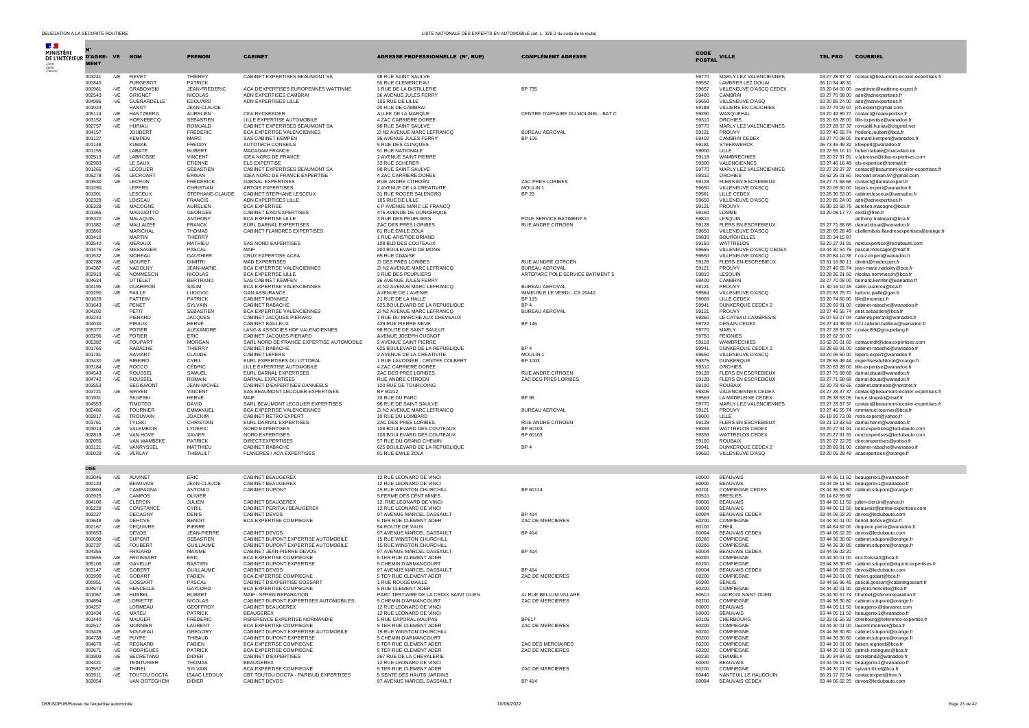| $\mathcal{A}$ .<br>MINISTÈRE  |                       |              |                                   |                                      |                                                                   |                                                             |                                                |                       |                                              |                |                                                                                                      |
|-------------------------------|-----------------------|--------------|-----------------------------------|--------------------------------------|-------------------------------------------------------------------|-------------------------------------------------------------|------------------------------------------------|-----------------------|----------------------------------------------|----------------|------------------------------------------------------------------------------------------------------|
| DE L'INTÉRIEUR D'AGRE- VE NOM | <b>MENT</b>           |              |                                   | <b>PRENOM</b>                        | <b>CABINET</b>                                                    | <b>ADRESSE PROFESSIONNELLE (N°, RUE)</b>                    | <b>COMPLÉMENT ADRESSE</b>                      | CODE<br><b>POSTAL</b> | <b>VILLE</b>                                 | TEL PRO        | <b>COURRIEL</b>                                                                                      |
|                               |                       |              |                                   |                                      |                                                                   |                                                             |                                                |                       |                                              |                |                                                                                                      |
|                               | 003241<br>000840      | -VE          | <b>FIFVET</b><br><b>FURGEROT</b>  | THIFRRY<br>PATRICK                   | CABINET EXPERTISES BEAUMONT SA                                    | 98 RUE SAINT SAULVE<br>50 RUE CLEMENCEAU                    |                                                | 59770<br>59552        | MARI Y LEZ VALENCIENNES<br>LAMBRES LEZ DOUAI | 06 10 34 48 31 | 03 27 28 37 37 contact@beaumont-lecolier-expertises.fr                                               |
|                               | 000961                | -VE          | <b>GRABOWSKI</b>                  | JEAN-FREDERIC                        | ACA D'EXPERTISES EUROPENNES WATTINNE                              | 1 RUE DE LA DISTILLERIE                                     | BP 735                                         | 59657                 | VILLENEUVE D'ASCO CEDEX                      |                | 03 20 64 00 00 awattinne@wattinne-expert.fr                                                          |
|                               | 002543<br>004986      | $-VE$<br>-VE | <b>GRIGNET</b><br>GUERARDELLE     | <b>NICOLAS</b><br>EDOUARD            | ADN EXPERTISES CAMBRAI<br>ADN EXPERTISES LILLE                    | 36 AVENUE JULES FERRY<br>105 RUE DE LILLE                   |                                                | 59400<br>59650        | CAMBRAI<br>VILLENEUVE D'ASO                  |                | 03 27 70 08 00 adn@adnexpertises.fr<br>03 20 85 24 00 adn@adnexpertises.fr                           |
|                               | 001024                |              | <b>HANOT</b>                      | JEAN-CLAUDE                          |                                                                   | 20 RUE DE CAMBRA                                            |                                                | 59188                 | VILLIERS EN CAUCHIES                         |                | 03 27 79 09 97 jch.expert@gmail.com                                                                  |
|                               | 005114<br>003152      | $-VE$<br>-VE | <b>HANTZBERG</b><br>HORNEBECO     | <b>AURELIEN</b><br><b>SEBASTIEN</b>  | CEA RYCKEBOER<br>LILLE EXPERTISE AUTOMOBILE                       | ALLEE DE LA MARQUE<br>4 ZAC CARRIERE DOREE                  | CENTRE D'AFFAIRE DU MOLINEL - BAT C            | 59290<br>59310        | WASQUEHAL<br>ORCHIES                         |                | 03 20 49 89 77 contact@ceaexpertise.fr<br>03 20 63 28 00 lille-expertise@wanadoo.fr                  |
|                               | 002757                |              | -VE HURIAU                        | ROMUALD.                             | CABINET EXPERTISES BEAUMONT SA                                    | 98 RUE SAINT SAULVE                                         |                                                | 59770                 | MARLY LEZ VALENCIENNES                       |                | 03 27 28 37 37 romuald.huriau@cegetel.net                                                            |
|                               | 004157<br>001127      |              | <b>JOUBERT</b><br><b>KEMPEN</b>   | <b>FREDERIC</b><br><b>MARC</b>       | BCA EXPERTISE VALENCIENNES<br>SAS CABINET KEMPEN                  | ZI N2 AVENUE MARC LEFRANCQ<br>36 AVENUE JULES FERRY         | <b>BUREAU AEROVAL</b><br>BP 106                | 59121<br>59402        | PROUVY<br>CAMBRAI CEDEX                      |                | 03 27 46 55 74 frederic.joubert@bca.fr<br>03 27 70 08 00 bernard.kempen@wanadoo.fr                   |
|                               | 001148                |              | KURIAK                            | FREDDY                               | AUTOTECH CONSEILS                                                 | 5 RUE DES CLINQUES                                          |                                                | 59181                 | <b>STEEKWERCK</b>                            |                | 06 73 45 49 32 kfexpert@wanadoo.fr                                                                   |
|                               | 001155<br>002513      | -VE          | LABATE<br>LABROSSE                | <b>HUBERT</b><br><b>VINCENT</b>      | MACADAM FRANCE<br>IDEA NORD DE FRANCE                             | 91 RUE NATIONALE<br>2 AVENUE SAINT PIERRE                   |                                                | 59000<br>59118        | LILLE<br><b>WAMBRECHIES</b>                  |                | 03 22 55 10 10 hubert.labate@macadam.eu<br>03 20 27 91 91 v.labrosse@idea-expertises.com             |
|                               | 002983<br>001265      | $-VE$        | LE SAUX<br>LECOLIER               | ÉTIENNE<br>SÉBASTIEN                 | <b>ELS EXPERTISE</b><br>CABINET EXPERTISES BEAUMONT SA            | 33 RUE SCHERER<br>98 RUE SAINT SAULVE                       |                                                | 59300<br>59770        | VALENCIENNES<br>MARLY LEZ VALENCIENNES       |                | 03 27 46 16 48 els-expertise@hotmail.fr<br>03 27 28 37 37 contact@beaumont-lecolier-expertises.fr    |
|                               | 005278                | -VE          | LECROAR <sup>®</sup>              | FRWAN                                | <b>IDEA NORD DE FRANCE EXPERTISE</b>                              | 4 ZAC CARRIERE DOREE                                        |                                                | 59310                 | ORCHIES                                      |                | 03 62 26 01 60 lecroart.erwan.97@gmail.com                                                           |
|                               | 003530<br>001290      | -VE          | LECRON<br>LEPERS                  | <b>FRÉDÉRICK</b><br>CHRISTIAN        | DARNAL EXPERTISES<br>ARTOIS EXPERTISES                            | RUE ANDRE CITROËN<br>2 AVENUE DE LA CREATIVITE              | <b>ZAC PRES LORIBES</b><br>MOULIN <sub>1</sub> | 59128<br>59650        | FLERS EN ESCREBIEUX<br>VILLENEUVE D'ASCQ     |                | 03 27 71 68 68 contact@darnal-expert.fr<br>03 20 05 50 00 lepers.expert@wanadoo.fr                   |
|                               | 001301                |              | <b>LESCEUX</b>                    | STEPHANE-CLAUDE                      | CABINET STEPHANE LESCEUX                                          | 31 RUE ROGER SALENGRO                                       | <b>BP 29</b>                                   | 59561                 | LILLE CEDEX                                  |                | 03.28.36.53.00 cabinet lesceux@wanadoo.fr                                                            |
|                               | 002329<br>005328      | -VE<br>-VE   | LOISEAU<br>MACOGNE                | <b>FRANCIS</b><br><b>AURELIEN</b>    | ADN EXPERTISES LILLE<br><b>BCA EXPERTISE</b>                      | 105 RUE DE LILLE<br>6 P AVENUE MARC LE FRANCO               |                                                | 59650<br>59121        | VILLENEUVE D'ASCQ<br>PROUVY                  |                | 03 20 85 24 00 adn@adnexpertises.fr<br>06 80 22 69 78 aurelien.macogne@bca.fr                        |
|                               | 001365                |              | MAGGIOTTO                         | <b>GEORGES</b>                       | <b>CABINET EXID EXPERTISES</b>                                    | 475 AVENUE DE DUNKEROUE                                     |                                                | 59160                 | LOMME                                        |                | 03 20 08 17 77 exid1@free.fr                                                                         |
|                               | 005320<br>001382      | $-VE$        | MALAOUIN<br>-VE MALLAIZEE         | ANTHONY<br><b>FRANCK</b>             | <b>BCA EXPERTISE LILLE</b><br>FURL DARNAL EXPERTISES              | 3 RUE DES PEUPLIERS<br>ZAC DES PRES LORIBES                 | POLE SERVICE BATIMENT 5<br>RUE ANDRE CITROEN   | 59810<br>59128        | LESQUIN<br>FLERS EN ESCREBIEUX               |                | anthony.malaquin@bca.fr<br>03 27 71 68 68 darnal.douai@wanadoo.fr                                    |
|                               | 003866                |              | MARICHAL                          | <b>THOMAS</b>                        | CABINET FLANDRES EXPERTISES                                       | 81 RUE EMILE ZOLA                                           |                                                | 59650                 | VILLENEUVE D'ASCQ                            |                | 03 20 05 28 49 cbellembois.flandresexpertises@orange.fr                                              |
|                               | 001419<br>003540      | -VE          | <b>MARTIN</b><br><b>MERIAUX</b>   | THIERRY<br>MATHIFU                   | SAS NORD EXPERTISES                                               | 1 RUE ARISTIDE BRIAND<br>108 BLD DES COUTEAUX               |                                                | 59830<br>59150        | <b>BOURGHELLES</b><br>WATTRELOS              | 03 20 34 15 87 | 03 20 27 91 91 nord.expertise@leclubauto.com                                                         |
|                               | 001476                | -VE          | MESSAGER                          | PASCAL                               | MAIF                                                              | 200 BOULEVARD DE MONS                                       |                                                | 59665                 | VILLENEUVE D'ASCQ CEDEX                      |                | 03 44 30 54 75 pascal.messager@maif.fr                                                               |
|                               | 001532<br>002788      | $-VE$<br>-VE | <b>MOREAU</b><br><b>MOURET</b>    | <b>GAUTHIER</b><br><b>DIMITRI</b>    | CRUZ EXPERTISE ACEA<br><b>MAD EXPERTISES</b>                      | 65 RUE CIMAISE<br>ZI DES PRÉS LORIBES                       | RUE AUNDRÉ CITROËN                             | 59650<br>59128        | VILLENEUVE D'ASCO<br>FLERS-EN-ESCREBIEUX     |                | 03 20 84 14 36 f.cruz.expert@wanadoo.fr<br>03 61 16 80 11 dimitri@madexpert.fr                       |
|                               | 004387                | $-VE$        | NADOLNY                           | JEAN-MARIE                           | BCA EXPERTISE VALENCIENNES                                        | ZI N2 AVENUE MARC LEFRANCQ                                  | <b>BUREAU AEROVAL</b>                          | 59121                 | PROUVY                                       |                | 03 27 46 55 74 jean-marie.nadolny@bca.fr                                                             |
|                               | 002919<br>004634      | -VE          | <b>NOMMESCH</b><br>OTTELET        | <b>NICOLAS</b><br><b>BERTRAND</b>    | <b>BCA EXPERTISE LILLE</b><br>SAS CABINET KEMFEN                  | 3 RUE DES PEUPLIERS<br>36 AVENUE JULES FERRY                | ARTEPARC POLE SERVICE BATIMENT 5               | 59810<br>59400        | LESOUIN<br>CAMBRAI                           |                | 03 28 36 21 60 nicolas.nommesch@bca.fr<br>03 27 70 08 00 bernard.kemfen@wanadoo.fr                   |
|                               | 004195                | $-VE$        | OUARIROU                          | SALIM                                | BCA EXPERTISE VALENCIENNES                                        | ZI N2 AVENUE MARC LEFRANCQ                                  | <b>BUREAU AEROVAL</b>                          | 59121                 | PROUVY                                       |                | 01 30 16 10 45 salim.ouarirou@bca.fr                                                                 |
|                               | 003290<br>001629      | -VE          | PAILLE<br>PATTEIN                 | LUDOVIC<br>PATRICK                   | GAN ASSURANCE<br><b>CABINET MONNIEZ</b>                           | AVENUE DE L'AVENIR<br>21 RUE DE LA HALLE                    | IMMEUBLE LE VERDI - CS 20440<br><b>BP 115</b>  | 59564<br>59009        | VILLENEUVE D'ASCO<br>LILLE CEDEX             |                | 03 20 63 75 70 ludovic.paille@gan.fr<br>03 20 74 60 90 lille@monniez.fr                              |
|                               | 001643                |              | -VE PENET                         | SYLVAIN                              | CABINET RABACHE                                                   | 625 BOULEVARD DE LA REPUBLIOUE                              | RP 4                                           | 59941                 | DUNKERQUE CEDEX 2                            |                | 03.28.69.91.00 cabinet-rabache@wanadoo.fr                                                            |
|                               | 004202<br>002242      |              | PETIT<br>PIERARD                  | <b>SEBASTIEN</b><br><b>JACQUES</b>   | BCA EXPERTISE VALENCIENNES<br>CABINET JACOUES PIERARD             | ZI N2 AVENUE MARC LEFRANCQ<br>7 RUE DU MARCHE AUX CHEVEAUX  | <b>BUREAU AEROVAL</b>                          | 59121<br>59360        | PROUVY<br>LE CATEAU CAMBRESIS                |                | 03 27 46 55 74 petit.sebastien@bca.fr<br>06 07 53 07 04 cabinetj.pierard@wanadoo.fr                  |
|                               | 004030                |              | PIRAUX                            | HERVÉ                                | CABINET BAILLEUX                                                  | 429 RUE PIERRE NEVE                                         | BP 146                                         | 59722                 | <b>DENAIN CEDEX</b>                          |                | 03 27 44 38 63 b.f.t.cabinet.bailleux@wanadoo.fr                                                     |
|                               | 005377<br>003296      | -VE<br>-VE   | POTIER<br>POTIER                  | AI EXANDRE<br>ERIC                   | LANG & ASSOCIES HDF VALENCIENNES<br>CABINET JACQUES PIERARD       | 98 ROUTE DE SAINT SAULUT<br>AVENUE JOSEPH CUGNOT            |                                                | 59770<br>59750        | MARI Y<br><b>FEIGNIES</b>                    | 03 27 62 50 00 | 03 27 28 37 37 contact59@groupelang.fr                                                               |
|                               | 005382                |              | -VE POUPART                       | MORGAN                               | SARL NORD DE FRANCE EXPERTISE AUTOMOBILE                          | 2 AVENUE SAINT PIERRE                                       |                                                | 59118                 | <b>WAMBRECHIES</b>                           |                | 03 62 26 01 60 contactndf@idea.expertises.com                                                        |
|                               | 001765<br>001781      |              | <b>RABACHE</b><br>RAVIART         | THIERRY<br>CLAUDE                    | CABINET RABACHE<br><b>CABINET LEPERS</b>                          | 625 BOULEVARD DE LA REPUBLIQUE<br>2 AVENUE DE LA CREATIVITE | RP 4<br>MOULIN 1                               | 59941<br>59650        | DUNKERQUE CEDEX 2<br>VILLENEUVE D'ASCO       |                | 03 28 69 91 00 cabinet-rabache@wanadoo.fr<br>03 20 05 50 00 lepers.expert@wanadoo.fr                 |
|                               | 003430                | -VF          | <b>RIBEIRO</b>                    | CYRIL                                | EURL EXPERTISES DU LITTORAL                                       | 1 RUE LAVOISIER - CENTRE COLBERT                            | BP 1003                                        | 59375                 | <b>DUNKERQUE</b>                             |                | 03 28 66 49 44 expertisesdulittoral@orange.fr                                                        |
|                               | 003184<br>004543      | -VE<br>$-VE$ | ROCCO<br>ROUSSEL                  | CÉDRIC<br>SAMUEL                     | LILLE EXPERTISE AUTOMOBILE<br>EURL DARNAL EXPERTISES              | 4 ZAC CARRIERE DOREE<br>ZAC DES PRES LORIBES                | <b>RUE ANDRE CITROEN</b>                       | 59310<br>59128        | ORCHIES<br><b>FLERS EN ESCREBIEUX</b>        |                | 03 20 63 28 00 lille-expertise@wanadoo.fr<br>03 27 71 68 68 darnal.douai@wanadoo.fr                  |
|                               | 004742                | -VE          | ROUSSEL                           | ROMAIN                               | DARNAL EXPERTISES                                                 | RUE ANDRE CITROEN                                           | ZAC DES PRES LORIBES                           | 59128                 | <b>FLERS EN ESCREBIEUX</b>                   |                | 03 27 71 68 68 darnal.douai@wanadoo.fr                                                               |
|                               | 003553<br>003721      |              | <b>SEGISMONT</b><br>-VE SIRVEN    | <b>JEAN-MICHEL</b><br><b>VINCENT</b> | CABINET D'EXPERTISES DANNEELS<br>SAS BEAUMONT LECOLIER EXPERTISES | 120 RUE DE TOURCOING<br>BP 90212                            |                                                | 59100<br>59305        | <b>ROUBAIX</b><br>VALENCIENNES CEDEX         |                | 03 20 73 43 65 cabinet.danneels@nordnet.fr<br>03 27 28 37 37 contact@beaumont-lecolier-expertises.fr |
|                               | 001931                |              | <b>SKUPSKI</b>                    | HERVÉ                                | MAIF                                                              | 20 RUE DU PARC                                              | BP 96                                          | 59563                 | LA MADELEINE CEDEX                           |                | 03 28 38 53 05 herve.skupski@maif.fr                                                                 |
|                               | 004553<br>002480      | -VE          | <b>TIMOTEO</b><br><b>TOURNIER</b> | <b>DAVID</b><br><b>FMMANUFI</b>      | SARL BEAUMONT LECOLIER EXPERTISES<br>BCA EXPERTISE VALENCIENNES   | 98 RUE DE SAINT SAULVE<br>ZI N2 AVENUE MARC LEERANCO        | <b>BUREAU AEROVAL</b>                          | 59770<br>59121        | MARLY LEZ VALENCIENNES<br>PROUVY             |                | 03 27 28 37 37 contact@beaumont-lecolier-expertises.fr<br>03 27 46 55 74 emmanuel.tournier@bca.fr    |
|                               | 002817                | -VE          | TROUVAIN                          | <b>JOACKIM</b>                       | CABINET RETRO EXPERT                                              | 10 RUE DU LOMBARD                                           |                                                | 59000                 | LILLE                                        |                | 06 18 93 73 08 retro.expert@yahoo.fr                                                                 |
|                               | 003761<br>003014      | -VE          | <b>TYLSKI</b><br>VALEMBOIS        | CHRISTIAN<br>LYDERIC                 | EURL DARNAL EXPERTISES<br><b>NORD EXPERTISES</b>                  | ZAC DES PRES LORIBES<br>108 BOULEVARD DES COUTEAUX          | RUE ANDRE CITROEN<br>BP 60103                  | 59128<br>59393        | FLERS EN ESCREBIEUX<br>WATTRELOS CEDEX       |                | 03 21 13 83 63 darnal.henin@wanadoo.fr<br>03 20 27 91 91 nord.expertises@leclubauto.com              |
|                               | 002818                | -VE          | VAN HOVE                          | XAVIER                               | NORD EXPERTISES                                                   | 108 BOULEVARD DES COUTEAUX                                  | BP 60103                                       | 59393                 | WATTRELOS CEDEX                              |                | 03 20 27 91 91 nord.expertises@leclubauto.com                                                        |
|                               | 002055<br>003121      | -VE          | VAN WAMBEKE<br>VANRYSSEL          | PATRICK<br><b>MATTHIFU</b>           | <b>DIRECTEXPERTISES</b><br>CABINET RABACHE                        | 57 RUE DU GRAND CHEMIN<br>625 BOULEVARD DE LA REPUBLIQUE    | RP <sub>4</sub>                                | 59100<br>59941        | <b>ROUBAIX</b><br>DUNKERQUE CEDEX 2          |                | 03 20 27 22 25 directexpertises@vahoo.fr<br>03 28 69 91 00 cabinet-rabache@wanadoo.fr                |
|                               | 005029                |              | -VE VERLAY                        | THIBAULT                             | FLANDRES / ACA EXPERTISES                                         | 81 RUE EMILE ZOLA                                           |                                                | 59650                 | VILLENEUVE D'ASQ                             |                | 03 20 05 28 49 acaexpertises@orange.fr                                                               |
|                               |                       |              |                                   |                                      |                                                                   |                                                             |                                                |                       |                                              |                |                                                                                                      |
|                               | <b>OISE</b><br>003046 | -VE          | AUVINET                           | ERIC                                 | CABINET BEAUGEREX                                                 | 12 RUE LEONARD DE VINCI                                     |                                                | 60000                 | <b>BEAUVAIS</b>                              |                | 03 44 05 11 50 beaugerex1@wanadoo.fr                                                                 |
|                               | 000134                |              | <b>BEAUVAIS</b>                   | JEAN-CLAUDE                          | CABINET BEAUGEREX                                                 | 12 RUE LEONARD DE VINCI                                     |                                                | 60000                 | <b>BEAUVAIS</b>                              |                | 03 44 05 11 50 beaugerex1@wanadoo.fr                                                                 |
|                               | 003804<br>003925      | -VE          | CAMPAGNA<br>CAMPOS                | <b>ANTONIO</b><br>OLIVIER            | CABINET DUPONT                                                    | 15 RUE WINSTON CHURCHILL<br>5 FERME DES CENT MINES          | BP 60114                                       | 60201<br>60510        | <b>COMPIEGNE CEDEX</b><br><b>BRESLES</b>     | 06 14 62 59 92 | 03 44 36 30 80 cabinet.sdupont@orange.fr                                                             |
|                               | 004106                | -VE          | <b>CLERCIN</b>                    | JULIEN                               | CABINET BEAUGEREX                                                 | 12. RUE LÉONARD DE VINCI                                    |                                                | 60000                 | <b>BEAUVAIS</b>                              |                | 03 44 05 11 50 julien-clercin@yahoo.fr                                                               |
|                               | 005229<br>003227      | -VE          | CONSTANCE<br>DECAGNY              | CYRIL<br><b>DENIS</b>                | CABINET PERITIA / BEAUGEREX<br>CABINET DEVOS                      | 12 RUE LEONARD DE VINCI<br>97 AVENUE MARCEL DASSAULT        | BP 414                                         | 60000<br>60004        | <b>BEAUVAIS</b><br><b>BEAUVAIS CEDEX</b>     |                | 03 44 05 11 50 beauvais@peritia-expertises.com<br>03 44 06 02 20 devos@leclubauto.com                |
|                               | 003648                | -VE          | DEHOVE                            | <b>BENOIT</b>                        | BCA EXPERTISE COMPIEGNE                                           | 5 TER RUE CLÉMENT ADER                                      | ZAC DE MERCIERES                               | 60200                 | COMPIEGNE                                    |                | 03 44 30 01 00 benoit.dehove@bca.fr                                                                  |
|                               | 002167<br>000653      | $-VE$        | <b>DEQUIVRE</b><br><b>DEVOS</b>   | PIERRE<br>JEAN-PIERRE                | <b>CABINET DEVOS</b>                                              | 54 ROUTE DE VAUX                                            |                                                | 60100<br>60004        | CREIL                                        |                | 03 44 64 62 00 dequivre.pierre@wanadoo.fr<br>03 44 06 02 20 devos@leclubauto.com                     |
|                               | 000698                | -VE          | <b>DUPONT</b>                     | <b>SEBASTIEN</b>                     | CABINET DUPONT EXPERTISE AUTOMOBILE                               | 97 AVENUE MARCEL DASSAULT<br>15 RUE WINSTON CHURCHILL       | BP 414                                         | 60200                 | <b>BEAUVAIS CEDEX</b><br>COMPIEGNE           |                | 03 44 36 30 80 cabinet.sdupont@orange.fr                                                             |
|                               | 002737<br>004355      | -VE          | <b>FOUBERT</b><br><b>FRIGARD</b>  | <b>GUILLAUME</b><br>MAXIME           | CABINET DUPONT EXPERTISE AUTOMOBILE<br>CARINET JEAN-PIERRE DEVOS  | 15 RUE WINSTON CHURCHILL<br>97 AVENUE MARCEL DASSAULT       | <b>BP 414</b>                                  | 60200<br>60004        | COMPIEGNE<br><b>BEAUVAIS CEDEX</b>           |                | 03 44 36 30 80 cabinet.sdupont@orange.fr                                                             |
|                               | 003655                | $-VE$        | <b>FROISSART</b>                  | ERIC                                 | BCA EXPERTISE COMPIEGNE                                           | 5 TER RUE CLEMENT ADER                                      |                                                | 60200                 | COMPIEGNE                                    | 03 44 06 02 20 | 03 44 30 01 00 eric.froissart@bca.fr                                                                 |
|                               | 005106                | -VE          | GAVELLE                           | <b>BASTIEN</b>                       | CABINET DUPONT EXPERTISE                                          | 5 CHEMIN D'ARMANCOURT                                       |                                                | 60200                 | COMPIEGNE                                    |                | 03 44 36 30 80 cabinet.sdupont@dupont.expertises.fr                                                  |
|                               | 003147<br>003990      | -VE<br>$-VE$ | GOBERT<br><b>GODART</b>           | <b>GUILLAUME</b><br><b>FABIEN</b>    | <b>CABINET DEVOS</b><br>BCA EXPERTISE COMPIEGNE                   | 97 AVENUE MARCEL DASSAULT<br>5 TER RUE CLEMENT ADER         | BP 414<br>ZAC DE MERCIERES                     | 60004<br>60200        | <b>BEAUVAIS CEDEX</b><br>COMPIEGNE           |                | 03 44 06 02 20 devos@leclubauto.com<br>03 44 30 01 00 fabien.godart@bca.fr                           |
|                               | 000951                | -VE          | <b>GOSSART</b>                    | PASCAL                               | CABINET D'EXPERTISE GOSSART                                       | 1 RUE ROUGEMAILLE                                           |                                                | 60300                 | SENLIS                                       |                | 03 44 66 96 45 pascal.gossart@cabinetgossart.fr                                                      |
|                               | 004673<br>001067      | -VE          | <b>HENCELLE</b><br>-VE HUBBEL     | GAYLORD<br>HUBERT                    | BCA EXPERTISE COMPIEGNE<br>MAIF - SFREN REPARATION                | 5 RUE CLEMENT ADER<br>PARC TERTIAIRE DE LA CROIX SAINT OUEN | 41 RUE BELLUM VILLARE                          | 60200<br>60610        | COMPIEGN<br><b>LACROIX SAINT OUEN</b>        |                | 03 44 30 01 00 gaylord.hencelle@bca.<br>03 44 30 57 74 hhubbel@sferenreparation.fr                   |
|                               | 004894                | -VE          | <b>LORIETTE</b>                   | NICOLAS                              | CABINET DUPONT EXPERTISES AUTOMOBILES                             | 5 CHEMIN D'ARMANCOURT                                       | ZAC DE MERCIERES                               | 60200                 | COMPIEGNE                                    |                | 03 44 36 30 80 cabinet.sdupont@orange.fr                                                             |
|                               | 004257<br>001434      |              | LORMEAU<br>-VE MATEU              | <b>GEOFFROY</b><br>PATRICK           | CABINET BEAUGEREX<br><b>BEAUGEREX</b>                             | 12 RUE LEONARD DE VINCI<br>12 RUE LEONARD DE VINCI          |                                                | 60000<br>60000        | <b>BEAUVAIS</b><br><b>BEAUVAIS</b>           |                | 03 44 05 11 50 beaugerex@darvanet.com<br>03 44 05 11 50 beaugerex1@wanadoo.fr                        |
|                               | 001440                | -VE          | <b>MAUGER</b>                     | <b>EREDERIC</b>                      | REFERENCE EXPERTISE NORMANDIE                                     | 5 RUE CAPORAL MAUPAS                                        | <b>BP617</b>                                   | 60106                 | CHERBOURG                                    |                | 02 33 01 55 33 cherbourg@reference-expertise.fr                                                      |
|                               | 002517<br>003426      | $-VE$        | <b>MONNIEF</b><br>-VE NOUVEAU     | LAURENT<br>GREGORY                   | BCA EXPERTISE COMPIEGNE<br>CABINET DUPONT EXPERTISE AUTOMOBILE    | 5 TER RUE CLEMENT ADER<br>15 RUE WINSTON CHURCHILL          | ZAC DE MERCIERES                               | 60200<br>60200        | COMPIEGNE<br>COMPIEGNE                       |                | 03 44 30 01 00 laurent.monnier@bca.fr<br>03.44.36.30.80 cabinet sdupont@orange.fr                    |
|                               | 004739                | -VE          | PUYPE                             | THIBAUD                              | CABINET DUPONT EXPERTISE                                          | 5 CHEMIN D'ARMANCOURT                                       |                                                | 60200                 | COMPIEGNE                                    |                | 03 44 36 30 80 cabinet.sdupont@orange.fr                                                             |
|                               | 004679<br>003671      | $-VE$        | <b>REGNARD</b><br>-VE RODRIGUES   | FABIEN<br><b>PATRICK</b>             | BCA EXPERTISE COMPIEGNE<br>BCA EXPERTISE COMPIEGNE                | 5 TER RUE CLEMENT ADER<br>5 TER RUE CLEMENT ADER            | <b>ZAC DES MERCIAIRES</b><br>ZAC DE MERCIERES  | 60200<br>60200        | COMPIEGNE<br>COMPIEGNE                       |                | 03 44 30 01 00 fabien.regnard@bca.fr<br>03 44 30 01 00 patrick.rodrigues@bca.fr                      |
|                               | 001909                | -VE          | SECRETAND                         | <b>DIDIER</b>                        | CABINET D'EXPERTISES                                              | 267 RUE DE LA CHEVALERIE                                    |                                                | 60230                 | CHAMBLY                                      |                | 01 30 34 84 91 secretand2@wanadoo.fr                                                                 |
|                               | 004421<br>003557      |              | <b>TEINTURIER</b><br>-VE THIREL   | <b>THOMAS</b><br>SYLVAIN             | <b>BEAUGEREX</b><br>BCA EXPERTISE COMPIEGNE                       | 12 RUE LEONARD DE VINCI<br>5 TER RUE CLÉMENT ADER           | ZAC DE MERCIERES                               | 60000<br>60200        | <b>BEAUVAIS</b><br>COMPIEGNE                 |                | 03 44 05 11 50 beaugerex1@wanadoo.fr<br>03 44 30 01 00 sylvain.thirel@bca.fr                         |
|                               | 003911                |              | -VE TOUTOU DOCTA                  | <b>ISAAC LEDOUX</b>                  | CBT TOUTOU DOCTA - PARISUD EXPERTISES                             | 5 SENTE DES HAUTS JARDINS                                   |                                                | 60440                 | NANTEUIL LE HAUDOUIN                         |                | 06 21 17 72 54 contactexpert@free.fr                                                                 |
|                               | 002054                |              | VAN OOTEGHEM                      | <b>DIDIER</b>                        | CABINET DEVOS                                                     | 97 AVENUE MARCEL DASSAULT                                   | BP 414                                         | 60004                 | <b>BEAUVAIS CEDEX</b>                        |                | 03 44 06 02 20 devos@leclubauto.com                                                                  |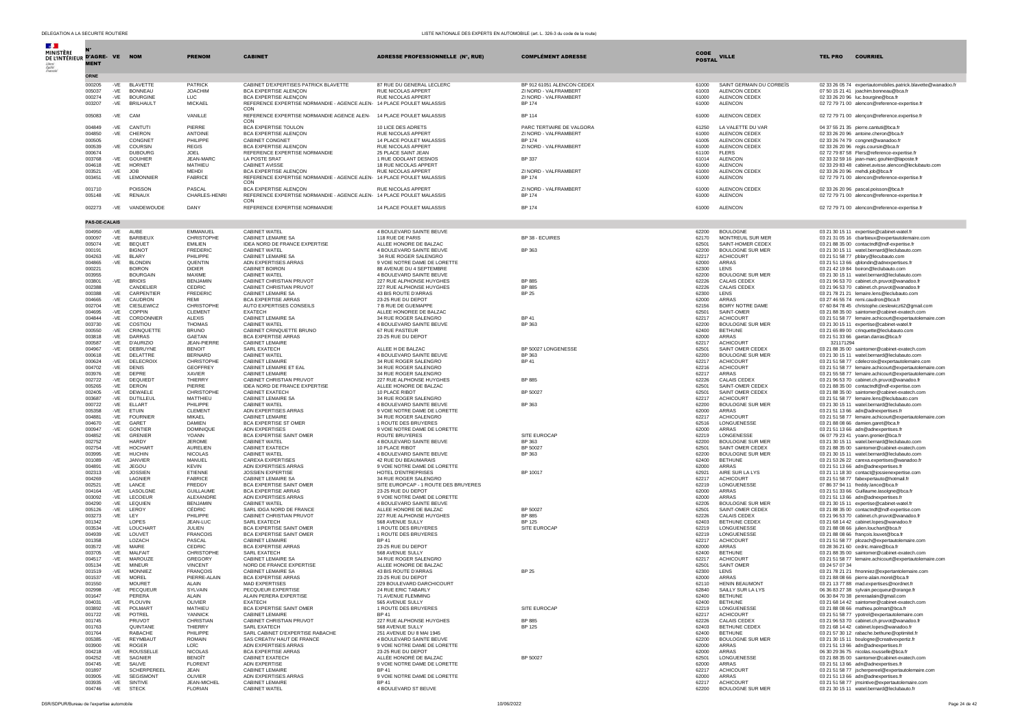| $\mathcal{A}$ .<br>MINISTÈRE<br>DE L'INTÉRIEUR D'AGRE-VE<br>Épelité<br>Fretorio | <b>MENT</b>          |                | <b>NOM</b>                           | <b>PRENOM</b>                     | <b>CABINET</b>                                                                                 | <b>ADRESSE PROFESSIONNELLE (N°, RUE)</b>                 | <b>COMPLÉMENT ADRESSE</b>              | <b>CODE</b><br><b>POSTAL</b> | <b>VILLE</b>                                | <b>TEL PRO</b> | <b>COURRIEL</b>                                                                                       |
|---------------------------------------------------------------------------------|----------------------|----------------|--------------------------------------|-----------------------------------|------------------------------------------------------------------------------------------------|----------------------------------------------------------|----------------------------------------|------------------------------|---------------------------------------------|----------------|-------------------------------------------------------------------------------------------------------|
|                                                                                 | <b>ORNE</b>          |                |                                      |                                   |                                                                                                |                                                          |                                        |                              |                                             |                |                                                                                                       |
|                                                                                 | 000205               | $-VE$          | <b>BLAVETTE</b>                      | <b>PATRICK</b>                    | CABINET D'EXPERTISES PATRICK BLAVETTE                                                          | 87 RUE DU GENERAL LECLERC                                | BP 912 61051 ALENCON CEDEX             | 61000                        | SAINT GERMAIN DU CORBEÏS                    |                | 02 33 26 05 74 expertautomobiles.patrick.blavette@wanadoo.fr                                          |
|                                                                                 | 005037               | $-VE$          | <b>BONNEAU</b>                       | <b>JOACHIM</b>                    | <b>BCA EXPERTISE ALENCON</b>                                                                   | RUE NICOLAS APPERT                                       | ZI NORD - VALFRAMBERT                  | 61003                        | ALENCON CEDEX                               |                | 07 50 15 21 41 ioachim.bonneau@bca.fr                                                                 |
|                                                                                 | 000274<br>003207     | $-VE$<br>$-VE$ | <b>BOURGINE</b><br><b>BRILHAULT</b>  | LUC.<br><b>MICKAEL</b>            | BCA EXPERTISE ALENÇON<br>REFERENCE EXPERTISE NORMANDIE - AGENCE ALEN- 14 PLACE POULET MALASSIS | RUE NICOLAS APPERT                                       | ZI NORD - VALFRAMBERT<br><b>BP 174</b> | 61000<br>61000               | ALENCON CEDEX<br>ALENCON                    |                | 02 33 26 20 96 luc.bourgine@bca.fr<br>02 72 79 71 00 alencon@reference-expertise.fr                   |
|                                                                                 |                      |                |                                      |                                   | CON                                                                                            |                                                          |                                        |                              |                                             |                |                                                                                                       |
|                                                                                 | 005083               | -VE CAM        |                                      | VANILLE                           | REFERENCE EXPERTISE NORMANDIE AGENCE ALEN- 14 PLACE POULET MALASSIS<br>CON                     |                                                          | BP 114                                 | 61000                        | ALENCON CEDEX                               |                | 02 72 79 71 00 alençon@reference.expertise.fr                                                         |
|                                                                                 | 004849               | -VE            | CANTUT                               | PIERRE                            | BCA EXPERTISE TOULON                                                                           | 10 LICE DES ADRETS                                       | PARC TERTIAIRE DE VALGORA              | 61250                        | LA VALETTE DU VAR                           |                | 04 37 55 21 35 pierre.cantuti@bca.fr                                                                  |
|                                                                                 | 004850               | -VE            | CHERON                               | ANTOINE                           | BCA EXPERTISE ALENÇON                                                                          | <b>RUE NICOLAS APPERT</b>                                | ZI NORD - VALFRAMBERT                  | 61000                        | ALENCON CEDEX                               |                | 02 33 26 20 96 antoine.cheron@bca.fr                                                                  |
|                                                                                 | 000505               |                | CONGNET                              | PHII IPPF                         | <b>CABINET CONGNET</b>                                                                         | 14 PLACE POULET MALASSIS                                 | <b>BP 174</b>                          | 61005                        | ALENCON CEDEX                               |                | 02 33 26 74 79 congnet@wanadoo.fr                                                                     |
|                                                                                 | 000539<br>000674     | $-VE$          | COURSIN<br><b>DUBOURG</b>            | <b>REGIS</b><br><b>JOEL</b>       | BCA EXPERTISE ALENÇON<br>REFERENCE EXPERTISE NORMANDIE                                         | <b>RUE NICOLAS APPERT</b><br>25 PLACE SAINT JEAN         | ZI NORD - VALFRAMBERT                  | 61000<br>61100               | ALENCON CEDEX<br><b>FLERS</b>               |                | 02 33 26 20 96 regis.coursin@bca.fr<br>02 72 79 87 58 Flers@reference-expertise.fr                    |
|                                                                                 | 003768               | $-VE$          | <b>GOUHIER</b>                       | JEAN-MARO                         | <b>LA POSTE SRAT</b>                                                                           | 1 RUE ODOLANT DESNOS                                     | <b>BP 337</b>                          | 61014                        | <b>ALENCON</b>                              |                | 02 33 32 59 16 jean-marc.gouhier@laposte.fr                                                           |
|                                                                                 | 004618<br>003521     | -VE<br>-VE     | HORNET<br><b>JOB</b>                 | MATHIEU<br><b>MEHDI</b>           | <b>CABINET AVISSE</b><br><b>BCA EXPERTISE ALENCON</b>                                          | 18 RUE NICOLAS APPERT<br>RUE NICOLAS APPERT              | ZI NORD - VALFRAMBERT                  | 61000<br>61000               | <b>ALENCON</b><br>ALENCON CEDEX             |                | 02 33 29 83 48 cabinet.avisse.alencon@leclubauto.com<br>02.33.26.20.96 mehdi.inh@hca.fr               |
|                                                                                 | 003451               | $-VE$          | LEMONNIER                            | <b>FABRICE</b>                    | REFERENCE EXPERTISE NORMANDIE - AGENCE ALEN- 14 PLACE POULET MALASSIS                          |                                                          | BP 174                                 | 61000                        | <b>ALENCON</b>                              |                | 02 72 79 71 00 alencon@reference-expertise.fr                                                         |
|                                                                                 |                      |                |                                      |                                   | CON                                                                                            |                                                          |                                        |                              |                                             |                |                                                                                                       |
|                                                                                 | 001710               |                | POISSON                              | PASCAL                            | BCA EXPERTISE ALENÇON                                                                          | RUE NICOLAS APPERT                                       | ZI NORD - VALFRAMBERT                  | 61000                        | ALENCON CEDEX                               |                | 02 33 26 20 96 pascal.poisson@bca.fr                                                                  |
|                                                                                 | 005148               | -VE            | RENAUX                               | CHARLES-HENRI                     | REFERENCE EXPERTISE NORMANDIE - AGENCE ALEN- 14 PLACE POULET MALASSIS<br>CON                   |                                                          | <b>BP 174</b>                          | 61000                        | <b>ALENCON</b>                              |                | 02 72 79 71 00 alencon@reference-expertise.fr                                                         |
|                                                                                 | 002273               |                | -VE VANDEWOUDE                       | DANY                              | REFERENCE EXPERTISE NORMANDIE                                                                  | 14 PLACE POULET MALASSIS                                 | BP 174                                 | 61000                        | <b>ALENCON</b>                              |                | 02 72 79 71 00 alencon@reference-expertise.fr                                                         |
|                                                                                 |                      |                |                                      |                                   |                                                                                                |                                                          |                                        |                              |                                             |                |                                                                                                       |
|                                                                                 | <b>PAS-DE-CALAIS</b> |                |                                      |                                   |                                                                                                |                                                          |                                        |                              |                                             |                |                                                                                                       |
|                                                                                 | 004950               | $-VE$          | AUBE                                 | EMMANUEL                          | CABINET WATEL                                                                                  | 4 BOULEVARD SAINTE BEUVE                                 |                                        | 62200                        | <b>BOULOGNE</b>                             |                | 03 21 30 15 11 expertise@cabinet-watel.fr                                                             |
|                                                                                 | 000097<br>005074     | $-VE$<br>-VE   | BARBIEUX<br><b>BEQUET</b>            | CHRISTOPHE<br><b>EMILIEN</b>      | CABINET LEMAIRE SA<br>IDEA NORD DE FRANCE EXPERTISE                                            | 118 RUE DE PARIS<br>ALLEE HONORE DE BALZAC               | BP 38 - ECUIRES                        | 62170<br>62501               | MONTREUIL SUR MER<br>SAINT-HOMER CEDEX      |                | 03 21 31 05 16 cbarbieux@expertautolemaire.com<br>03 21 88 35 00 contactndf@ndf-expertise.fr          |
|                                                                                 | 000191               |                | <b>BIGNOT</b>                        | <b>EREDERIC</b>                   | CABINET WATEL                                                                                  | 4 BOULEVARD SAINTE BEUVE                                 | <b>BP 363</b>                          | 62200                        | BOULOGNE SUR MER                            |                | 03 21 30 15 11 watel.bernard@leclubauto.com                                                           |
|                                                                                 | 004263               | $-VE$          | <b>BLARY</b>                         | PHILIPPE                          | CABINET LEMAIRE SA                                                                             | 34 RUE ROGER SALENGRO                                    |                                        | 62217                        | <b>ACHICOURT</b>                            |                | 03 21 51 58 77 pblary@lecubauto.com                                                                   |
|                                                                                 | 004865<br>000221     | $-VE$          | <b>BLONDIN</b><br><b>BOIRON</b>      | QUENTIN<br><b>DIDIER</b>          | ADN EXPERTISES ARRAS<br>CABINET BOIRON                                                         | 9 VOIE NOTRE DAME DE LORETTE<br>88 AVENUE DU 4 SEPTEMBRE |                                        | 62000<br>62300               | ARRAS<br><b>I FNS</b>                       |                | 03 21 51 13 66 qblondin@adnexpertises.fr<br>03 21 42 19 84 boiron@leclubauto.com                      |
|                                                                                 | 003955               |                | <b>BOURGAIN</b>                      | MAXIME                            | CABINET WATEL                                                                                  | 4 BOULEVARD SAINTE BEUVE                                 |                                        | 62200                        | <b>BOULOGNE SUR MER</b>                     |                | 03 21 30 15 11 watel.bernard@leclubauto.com                                                           |
|                                                                                 | 003801               | $-VE$          | <b>BRIOIS</b>                        | <b>BENJAMIN</b>                   | CABINET CHRISTIAN PRUVOT                                                                       | 227 RUE ALPHONSE HUYGHES                                 | BP 885                                 | 62226                        | CALAIS CEDEX                                |                | 03 21 96 53 70 cabinet.ch.pruvot@wanadoo.fr                                                           |
|                                                                                 | 002388<br>000388     | $-VE$          | CANDELIER<br>CARPENTIER              | CEDRIC<br><b>FREDERIC</b>         | CABINET CHRISTIAN PRUVOT<br>CABINET LEMAIRE SA                                                 | 227 RUE ALPHONSE HUYGHES<br>43 BIS ROUTE D'ARRAS         | BP 885<br><b>BP 25</b>                 | 62226<br>62300               | CALAIS CEDEX<br>LENS                        |                | 03 21 96 53 70 cabinet.ch.pruvot@wanadoo.fr                                                           |
|                                                                                 | 004665               | $-VE$          | CAUDRON                              | <b>REMI</b>                       | <b>BCA EXPERTISE ARRAS</b>                                                                     | 23-25 RUE DU DEPOT                                       |                                        | 62000                        | ARRAS                                       |                | 03 21 78 21 21 lemaire.lens@leclubauto.com<br>03 27 46 55 74 remi.caudron@bca.fr                      |
|                                                                                 | 002704               | $-VE$          | CIESLEWICZ                           | CHRISTOPHE                        | AUTO EXPERTISES CONSEILS                                                                       | 7 B RUE DE GUEMAPPE                                      |                                        | 62156                        | BOIRY NOTRE DAME                            |                | 07 60 84 78 45 christophe.cieslewicz62@gmail.com                                                      |
|                                                                                 | 004695               | $-VE$          | COPPIN<br>CORDONNIER                 | CLEMENT                           | <b>EXATECH</b>                                                                                 | ALLEE HONOREE DE BALZAC                                  |                                        | 62501                        | SAINT-OMER                                  |                | 03 21 88 35 00 saintomer@cabinet-exatech.com                                                          |
|                                                                                 | 004844<br>003730     | $-VE$<br>-VE   | COSTIOU                              | <b>ALEXIS</b><br><b>THOMAS</b>    | CABINET LEMAIRE SA<br>CABINET WATEL                                                            | 34 RUE ROGER SALENGRO<br>4 BOULEVARD SAINTE BEUVE        | <b>BP41</b><br>BP 363                  | 62217<br>62200               | <b>ACHICOURT</b><br><b>BOULOGNE SUR MER</b> |                | 03 21 51 58 77 lemaire.achicourt@expertautolemaire.com<br>03 21 30 15 11 expertise@cabinet-watel.fr   |
|                                                                                 | 000550               | $-VE$          | CRINOUETTE                           | <b>BRUNO</b>                      | CABINET CRINQUETTE BRUNO                                                                       | 67 RUE PASTEUR                                           |                                        | 62400                        | <b>BETHUNE</b>                              |                | 03 21 65 89 00 crinquette@leclubauto.com                                                              |
|                                                                                 | 003818               | $-VE$          | DARRAS                               | GAETAN                            | <b>BCA EXPERTISE ARRAS</b>                                                                     | 23-25 RUE DU DEPOT                                       |                                        | 62000                        | ARRAS                                       |                | 03 21 51 33 66 gaetan.darras@bca.fr                                                                   |
|                                                                                 | 000587<br>004967     | -VE<br>$-VE$   | <b>D'AURIZIO</b><br>DEBRUYNE         | JEAN-PIERRE<br><b>BENOIT</b>      | CABINET LEMAIRE<br>SARL EXATECH                                                                | ALLEE H DE BALZAC                                        | BP 50027 LONGENESSE                    | 62217<br>62501               | <b>ACHICOURT</b><br>SAINT OMER CEDEX        | 321171294      | 03 21 88 35 00 saintomer@cabinet-exatech.com                                                          |
|                                                                                 | 000618               | $-VE$          | DELATTRE                             | <b>BERNARD</b>                    | <b>CABINET WATEL</b>                                                                           | 4 BOULEVARD SAINTE BEUVE                                 | BP 363                                 | 62200                        | <b>BOULOGNE SUR MER</b>                     |                | 03 21 30 15 11 watel.bernard@leclubauto.com                                                           |
|                                                                                 | 000624               | $-VE$          | DELECROIX                            | CHRISTOPHE                        | <b>CABINET LEMAIRE</b>                                                                         | 34 RUE ROGER SALENGRO                                    | <b>BP 41</b>                           | 62217                        | <b>ACHICOURT</b>                            |                | 03 21 51 58 77 cdelecroix@expertautolemaire.com                                                       |
|                                                                                 | 004702               | $-VE$          | <b>DENIS</b><br>DEPRE                | <b>GEOFFREY</b><br>XAVIER         | CARINET LEMAIRE ET EAL<br><b>CABINET LEMAIRE</b>                                               | 34 RUE ROGER SALENGRO<br>34 RUE ROGER SALENGRO           |                                        | 62216                        | <b>ACHICOURT</b><br><b>ARRAS</b>            |                | 03 21 51 58 77 lemaire.achicourt@expertautolemaire.com                                                |
|                                                                                 | 003976<br>002722     | $-VE$<br>$-VE$ | DEQUIEDT                             | THIERRY                           | CABINET CHRISTIAN PRUVOT                                                                       | 227 RUE ALPHONSE HUYGHES                                 | BP 885                                 | 62217<br>62226               | CALAIS CEDEX                                |                | 03 21 55 58 77 lemaire.achicourt@expertautolemaire.com<br>03 21 96 53 70 cabinet.ch.pruvot@wanadoo.fr |
|                                                                                 | 005265               | $-VF$          | DERON                                | PIFRRE                            | IDEA NORD DE FRANCE EXPERTISE                                                                  | ALLEE HONORE DE BALZAC                                   |                                        | 62501                        | SAINT-OMER CEDEX                            |                | 03.21.88.35.00 contactndf@ndf-expertise.com                                                           |
|                                                                                 | 002405               | $-VE$          | DEWAELE                              | <b>CHRISTOPHE</b>                 | CABINET EXATECH                                                                                | 10 PLACE RIBOT                                           | BP 50027                               | 62501                        | SAINT OMER CEDEX                            |                | 03 21 88 35 00 saintomer@cabinet-exatech.com                                                          |
|                                                                                 | 003687<br>000722     | $-VE$<br>$-VE$ | <b>DUTILLEUL</b><br>ELLART           | MATTHIEU<br>PHILIPPE              | CABINET LEMAIRE SA<br>CABINET WATEL                                                            | 34 RUE ROGER SALENGRO<br>4 BOULEVARD SAINTE BEUVE        | BP 363                                 | 62217<br>62200               | <b>ACHICOURT</b><br><b>BOULOGNE SUR MER</b> |                | 03 21 51 58 77 lemaire.lens@leclubauto.com<br>03 21 30 15 11 watel.bernard@leclubauto.com             |
|                                                                                 | 005358               | $-VE$          | ETUIN                                | <b>CLEMENT</b>                    | ADN EXPERTISES ARRAS                                                                           | 9 VOIE NOTRE DAME DE LORETTE                             |                                        | 62000                        | <b>ARRAS</b>                                |                | 03 21 51 13 66 adn@adnexpertises.fr                                                                   |
|                                                                                 | 004881               | $-VE$          | <b>FOURNIER</b>                      | MIKAFI                            | <b>CABINET LEMAIRE</b>                                                                         | 34 RUE ROGER SALENGRO                                    |                                        | 62217                        | <b>ACHICOURT</b>                            |                | 03 21 51 58 77 lemaire.achicourt@expertautolemaire.com                                                |
|                                                                                 | 004670<br>000947     | $-VE$<br>$-VE$ | GARET<br><b>GONTIER</b>              | <b>DAMIEN</b><br><b>DOMINIQUE</b> | BCA EXPERTISE ST OMER<br><b>ADN EXPERTISES</b>                                                 | 1 ROUTE DES BRUYERES<br>9 VOIE NOTRE DAME DE LORETTE     |                                        | 62516<br>62000               | LONGUENESSE<br>ARRAS                        |                | 03 21 88 08 66 damien.garet@bca.fr<br>03 21 51 13 66 adn@adnexpertises.fr                             |
|                                                                                 | 004852               | $-VE$          | GRENIER                              | YOANN                             | <b>BCA EXPERTISE SAINT OMER</b>                                                                | ROUTE BRUYERES                                           | SITE EUROCAP                           | 62219                        | LONGENESSE                                  |                | 06 07 79 23 41 yoann.grenier@bca.fr                                                                   |
|                                                                                 | 002752               |                | <b>HARDY</b>                         | <b>JEROME</b>                     | CABINET WATEL                                                                                  | 4 BOULEVARD SAINTE BEUVE                                 | BP 363                                 | 62200                        | <b>BOULOGNE SUR MER</b>                     |                | 03 21 30 15 11 watel.bernard@leclubauto.com                                                           |
|                                                                                 | 002754<br>003995     | $-VE$<br>$-VE$ | HOCHAR <sup>1</sup><br><b>HUCHIN</b> | <b>AURELIEN</b><br><b>NICOLAS</b> | CABINET EXATECH<br><b>CABINET WATEL</b>                                                        | 10 PLACE RIBOT<br>4 BOULEVARD SAINTE BEUVE               | BP 50027<br>BP 363                     | 62501<br>62200               | SAINT OMER CEDEX<br><b>BOULOGNE SUR MER</b> |                | 03 21 88 35 00 saintomer@cabinet-exatech.com<br>03 21 30 15 11 watel.bernard@leclubauto.com           |
|                                                                                 | 001089               | -VE            | <b>JANVIER</b>                       | MANUEL                            | CAREXA EXPERTISES                                                                              | 42 RUE DU BEAUMARAIS                                     |                                        | 62400                        | <b>BETHUNE</b>                              |                | 03 21 53 26 22 carexa.expertises@wanadoo.fr                                                           |
|                                                                                 | 004891               | $-VE$          | <b>JEGOU</b>                         | <b>KEVIN</b>                      | ADN EXPERTISES ARRAS                                                                           | 9 VOIE NOTRE DAME DE LORETTE                             |                                        | 62000                        | <b>ARRAS</b>                                |                | 03 21 51 13 66 adn@adnexpertises.fr                                                                   |
|                                                                                 | 002313<br>004269     | $-VE$          | <b>JOSSIEN</b><br>LAGNIER            | ETIENNE<br><b>FABRICE</b>         | <b>JOSSIEN EXPERTISE</b><br>CABINET LEMAIRE SA                                                 | HOTEL D'ENTREPRISES<br>34 RUE ROGER SALENGRO             | BP 10017                               | 62921<br>62217               | AIRE SUR LA LYS<br><b>ACHICOURT</b>         |                | 03 21 11 18 30 contact@jossienexpertise.com<br>03 21 51 58 77 fabexpertauto@hotmail.fr                |
|                                                                                 | 002521               | $-VE$          | I ANCE                               | <b>FREDDY</b>                     | BCA EXPERTISE SAINT OMER                                                                       | SITE EUROPCAP - 1 ROUTE DES BRUYERES                     |                                        | 62219                        | LONGUENESSE                                 |                | 07 86 37 94 11 freddy.lance@bca.fr                                                                    |
|                                                                                 | 004164               | $-VE$          | LASOLGNE                             | <b>GUILLAUME</b>                  | <b>BCA EXPERTISE ARRAS</b>                                                                     | 23-25 RUE DU DEPOT                                       |                                        | 62000                        | <b>ARRAS</b>                                |                | 03 21 51 33 66 Guillaume.lasolgne@bca.fr                                                              |
|                                                                                 | 003092<br>004290     | $-VE$<br>$-VE$ | LECOEUR<br>LEQUIEN                   | ALEXANDRE<br><b>BENJAMIN</b>      | ADN EXPERTISES ARRAS<br>CABINET WATEL                                                          | 9 VOIE NOTRE DAME DE LORETTE<br>4 BOULEVARD SAINTE BEUVE |                                        | 62000<br>62205               | ARRAS<br><b>BOULOGNE SUR MER</b>            |                | 03 21 51 13 66 adn@adnexpertises.fr<br>03 21 30 15 11 expertise@cabinet-watel.f                       |
|                                                                                 | 005126               | -VE            | LEROY                                | <b>CÉDRIC</b>                     | SARL IDGA NORD DE FRANCE                                                                       | ALLEE HONORE DE BALZAC                                   | BP 50027                               | 62501                        | SAINT-OMER CEDEX                            |                | 03 21 88 35 00 contactndf@ndf-expertise.com                                                           |
|                                                                                 | 003273               | -VE            | LEY                                  | PHILIPPE                          | CABINET CHRISTIAN PRUVOT                                                                       | 227 RUE ALPHONSE HUYGHES                                 | BP 885                                 | 62226                        | CALAIS CEDEX                                |                | 03 21 96 53 70 cabinet.ch.pruvot@wanadoo.fr                                                           |
|                                                                                 | 001342<br>003534     | $-VE$          | LOPES<br>LOUCHAR'                    | JEAN-LUC<br><b>JULIEN</b>         | SARL EXATECH<br>BCA EXPERTISE SAINT OMER                                                       | 568 AVENUE SULLY<br>1 ROUTE DES BRUYERES                 | BP 125<br>SITE EUROCAP                 | 62403<br>62219               | BETHUNE CEDEX<br>LONGUENESSE                |                | 03 21 68 14 42 cabinet.lopes@wanadoo.fr<br>03 21 88 08 66 julien.louchart@bca.fr                      |
|                                                                                 | 004939               | $-VE$          | LOUVET                               | <b>FRANCOIS</b>                   | <b>BCA EXPERTISE SAINT OMER</b>                                                                | 1 ROUTE DES BRUYERES                                     |                                        | 62219                        | LONGUENESSE                                 |                | 03 21 88 08 66 françois.louvet@bca.fr                                                                 |
|                                                                                 | 001358               |                | LOZACH                               | PASCAL                            | CABINET LEMAIRE                                                                                | <b>BP41</b>                                              |                                        | 62217                        | <b>ACHICOURT</b>                            |                | 03 21 51 58 77 plozach@expertautolemaire.com                                                          |
|                                                                                 | 003572<br>003705     | $-VE$<br>$-VE$ | MAIRE<br><b>MAI FAIT</b>             | CEDRIC<br><b>CHRISTOPHE</b>       | <b>BCA EXPERTISE ARRAS</b><br>SARL EXATECH                                                     | 23-25 RUE DU DEPOT<br>568 AVENUE SULLY                   |                                        | 62000<br>62400               | <b>ARRAS</b><br><b>BETHUNE</b>              |                | 03 28 36 21 60 cedric.maire@bca.fr<br>03 21 88 35 00 saintomer@cabinet-exatech.com                    |
|                                                                                 | 004517               | $-VE$          | MAROUZE                              | GREGORY                           | CABINET LEMAIRE SA                                                                             | 34 RUE ROGER SALENGRO                                    |                                        | 62217                        | <b>ACHICOURT</b>                            |                | 03 21 51 58 77 lemaire.achicourt@expertautolemaire.com                                                |
|                                                                                 | 005134               | $-VE$          | <b>MINEUR</b>                        | <b>VINCENT</b>                    | NORD DE FRANCE EXPERTISE                                                                       | ALLEE HONORE DE BALZAC                                   |                                        | 62501                        | SAINT OMER                                  | 03 24 57 07 34 |                                                                                                       |
|                                                                                 | 001519               | $-VE$          | <b>MONNIEZ</b>                       | <b>FRANÇOIS</b>                   | CABINET LEMAIRE SA                                                                             | 43 BIS ROUTE D'ARRAS                                     | <b>BP 25</b>                           | 62300                        | LENS                                        |                | 03 21 78 21 21 fmonniez@expertantolemaire.com                                                         |
|                                                                                 | 001537<br>001550     | $-VE$          | MOREL<br><b>MOURET</b>               | PIERRE-ALAIN<br><b>ALAIN</b>      | <b>BCA EXPERTISE ARRAS</b><br>MAD EXPERTISES                                                   | 23-25 RUE DU DEPOT<br>229 BOULEVARD DARCHICOURT          |                                        | 62000<br>62110               | ARRAS<br><b>HENIN BEAUMONT</b>              |                | 03 21 88 08 66 pierre-alain.morel@bca.fr<br>03 21 13 77 88 mad.expertises@nordnet.fr                  |
|                                                                                 | 002998               | -VE            | PECQUEUR                             | SYLVAIN                           | PECQUEUR EXPERTISE                                                                             | 24 RUE ERIC TABARLY                                      |                                        | 62840                        | SAILLY SUR LA LYS                           |                | 06 36 83 27 38 sylvain.pecqueur@orange.fr                                                             |
|                                                                                 | 001647               |                | PERERA                               | ALAIN                             | ALAIN PERERA EXPERTISE                                                                         | 71 AVENUE FLEMMING                                       |                                        | 62400                        | <b>BETHUNE</b>                              |                | 06 30 84 70 38 pereraalain@gmail.com                                                                  |
|                                                                                 | 004031<br>003892     | -VF<br>$-VE$   | PLOUVIN<br>POLMART                   | <b>OLIVIER</b><br>MATHIEU         | <b>EXATECH</b><br>BCA EXPERTISE SAINT OMER                                                     | 565 AVENUE SULLY<br>1 ROUTE DES BRUYERES                 | SITE EUROCAP                           | 62400<br>62219               | <b>BETHUNE</b><br>LONGUENESSE               |                | 03 21 68 14 42 saintomer@cabinet-exatech.com<br>03 21 88 08 66 mathieu.polmart@bca.fr                 |
|                                                                                 | 001722               | $-VE$          | POTREL                               | YANNICK                           | CABINET LEMAIRE                                                                                | <b>BP 41</b>                                             |                                        | 62217                        | <b>ACHICOURT</b>                            |                | 03 21 51 58 77 ypotrel@expertautolemaire.com                                                          |
|                                                                                 | 001745               |                | PRUVOT                               | CHRISTIAN                         | CABINET CHRISTIAN PRUVOT                                                                       | 227 RUE ALPHONSE HUYGHES                                 | <b>BP 885</b>                          | 62226                        | CALAIS CEDEX                                |                | 03 21 96 53 70 cabinet.ch.pruvot@wanadoo.fr                                                           |
|                                                                                 | 001763<br>001764     |                | <b>OUINTANE</b><br><b>RABACHE</b>    | THIERRY<br>PHILIPPE               | SARL EXATECH<br>SARL CABINET D'EXPERTISE RABACHE                                               | 568 AVENUE SULLY<br>251 AVENUE DU 8 MAI 1945             | <b>BP 125</b>                          | 62403<br>62400               | <b>BETHUNE CEDEX</b><br><b>BETHUNE</b>      |                | 03 21 68 14 42 cabinet.lopes@wanadoo.fr<br>03 21 57 30 12 rabache.bethune@optimitel.fr                |
|                                                                                 | 005385               | $-VE$          | REYMBAUT                             | <b>ROMAIN</b>                     | SAS CREATIV HAUT DE FRANCE                                                                     | 4 BOULEVARD SAINTE BEUVE                                 |                                        | 62200                        | <b>BOULOGNE SUR MER</b>                     |                | 03 21 30 15 11 boulogne@creativexpertiz.fr                                                            |
|                                                                                 | 003900               | $-VE$          | <b>ROGER</b>                         | LOÏC                              | ADN EXPERTISES ARRAS                                                                           | 9 VOIE NOTRE DAME DE LORETTE                             |                                        | 62000                        | <b>ARRAS</b>                                |                | 03 21 51 13 66 adn@adnexpertises.fr                                                                   |
|                                                                                 | 004218<br>004252     | $-VF$<br>$-VE$ | <b>ROUSSELLE</b><br>SAGNIER          | <b>NICOLAS</b><br><b>BENOÎT</b>   | <b>BCA EXPERTISE ARRAS</b><br>CABINET EXATECH                                                  | 23-25 RUE DU DEPOT<br>ALLÉE HONORÉ DE BALZAC             | BP 50027                               | 62000<br>62501               | ARRAS<br>LONGUENESSE                        |                | 06 30 29 36 75 nicolas.rousselle@bca.fr<br>03 21 88 35 00 saintomer@cabinet-exatech.com               |
|                                                                                 | 004745               | $-VE$          | SAUVE                                | <b>FLORENT</b>                    | ADN EXPERTISE                                                                                  | 9 VOIE NOTRE DAME DE LORETTE                             |                                        | 62000                        | <b>ARRAS</b>                                |                | 03 21 51 13 66 adn@adnexpertises.fr                                                                   |
|                                                                                 | 001897               |                | <b>SCHERPEREEL</b>                   | <b>JEAN</b>                       | <b>CABINET LEMAIRE</b>                                                                         | <b>BP 41</b>                                             |                                        | 62217                        | <b>ACHICOURT</b>                            |                | 03 21 51 58 77 jscherpereel@expertautolemaire.com                                                     |
|                                                                                 | 003905<br>003935     | $-VE$<br>$-VE$ | SEGISMONT<br>SINTIVE                 | OLIVIER<br>JEAN-MICHEL            | ADN EXPERTISES ARRAS<br>CABINET LEMAIRE                                                        | 9 VOIE NOTRE DAME DE LORETTE<br><b>BP 41</b>             |                                        | 62000<br>62217               | ARRAS<br><b>ACHICOURT</b>                   |                | 03 21 51 13 66 adn@adnexpertises.fr<br>03 21 51 58 77 imsintive@expertautolemaire.com                 |
|                                                                                 | 004746               | $-VE$          | <b>STECK</b>                         | <b>FLORIAN</b>                    | CABINET WATEL                                                                                  | 4 BOULEVARD ST BEUVE                                     |                                        | 62200                        | <b>BOULOGNE SUR MER</b>                     |                | 03 21 30 15 11 watel.bernard@leclubauto.fr                                                            |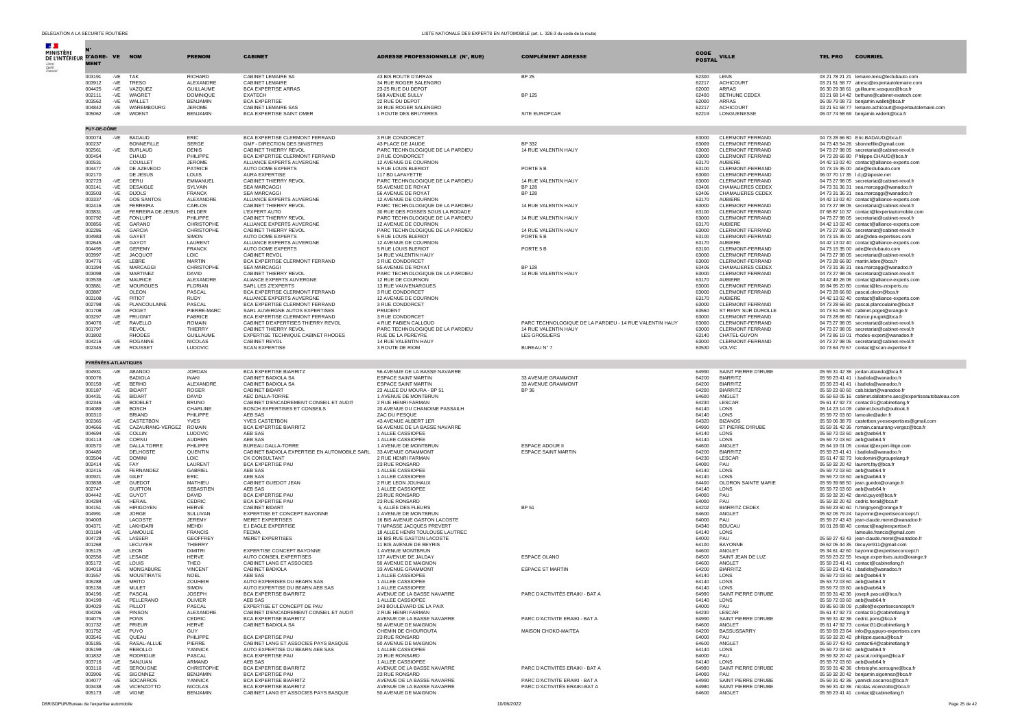| <b>Section</b>                             |                      |                   |                                      |                                      |                                                                         |                                                                                  |                                                                 |                |                                                        |                                                                                                                             |
|--------------------------------------------|----------------------|-------------------|--------------------------------------|--------------------------------------|-------------------------------------------------------------------------|----------------------------------------------------------------------------------|-----------------------------------------------------------------|----------------|--------------------------------------------------------|-----------------------------------------------------------------------------------------------------------------------------|
| MINISTÈRE<br>DE L'INTÉRIEUR D'AGRE- VE NOM |                      |                   |                                      | <b>PRENOM</b>                        | <b>CABINET</b>                                                          | ADRESSE PROFESSIONNELLE (N°, RUE)                                                | <b>COMPLÉMENT ADRESSE</b>                                       | CODE           | <b>VILLE</b>                                           | <b>COURRIEL</b><br><b>TEL PRO</b>                                                                                           |
|                                            | <b>MENT</b>          |                   |                                      |                                      |                                                                         |                                                                                  |                                                                 | <b>POSTAL</b>  |                                                        |                                                                                                                             |
|                                            | 003191               | -VE               | <b>TAK</b>                           | RICHARD                              | CABINET LEMAIRE SA                                                      | 43 BIS ROUTE D'ARRAS                                                             | <b>BP 25</b>                                                    | 62300          | LENS                                                   | 03 21 78 21 21 lemaire.lens@leclubauto.com                                                                                  |
|                                            | 003912               | $-VE$             | <b>TRESO</b>                         | ALEXANDRE                            | CABINET LEMAIRE                                                         | 34 RUE ROGER SALENGRO                                                            |                                                                 | 62217          | <b>ACHICOURT</b>                                       | 03 21 51 58 77 atreso@expertautolemaire.com                                                                                 |
|                                            | 004425<br>002111     | $-VE$<br>-VE      | VAZOUEZ<br>WAGRET                    | <b>GUILLAUME</b><br><b>DOMINIOUE</b> | <b>BCA EXPERTISE ARRAS</b><br><b>EXATECH</b>                            | 23-25 RUE DU DEPOT<br>568 AVENUE SULLY                                           | <b>BP 125</b>                                                   | 62000<br>62400 | <b>ARRAS</b><br>BETHUNE CEDEX                          | 06 30 29 38 61 guillaume.vasquez@bca.fr<br>03 21 68 14 42 bethune@cabinet-exatech.com                                       |
|                                            | 003562               | -VE               | WALLET                               | BENJAMIN                             | <b>BCA EXPERTISE</b>                                                    | 22 RUE DU DEPOT                                                                  |                                                                 | 62000          | ARRAS                                                  | 06 09 79 08 73 benjamin.wallet@bca.fr                                                                                       |
|                                            | 004842<br>005062     | -VE<br>$-VE$      | <b>WAREMBOURG</b><br>WIDENT          | <b>JEROME</b><br><b>BENJAMIN</b>     | CABINET I FMAIRE SAS<br><b>BCA EXPERTISE SAINT OMER</b>                 | 34 RUE ROGER SALENGRO<br>1 ROUTE DES BRUYERES                                    | SITE EUROPCAR                                                   | 62217<br>62219 | <b>ACHICOUR</b><br>LONGUENESSE                         | 03 21 51 58 77 lemaire.achicourt@expertautolemaire.com<br>06 07 74 58 69 benjamin.wident@bca.fr                             |
|                                            |                      |                   |                                      |                                      |                                                                         |                                                                                  |                                                                 |                |                                                        |                                                                                                                             |
|                                            | <b>PUY-DE-DÔME</b>   |                   |                                      |                                      |                                                                         |                                                                                  |                                                                 |                |                                                        |                                                                                                                             |
|                                            | 000074<br>000237     | -VE               | <b>BADAUD</b><br><b>BONNEFILLE</b>   | FRIC.<br>SERGE                       | BCA EXPERTISE CLERMONT FERRAND<br><b>GMF - DIRECTION DES SINISTRES</b>  | 3 RUE CONDORCET<br>43 PLACE DE JAUDE                                             | <b>BP 332</b>                                                   | 63000<br>63009 | <b>CLERMONT FERRAND</b><br><b>CLERMONT FERRAND</b>     | 04 73 28 66 80 Eric.BADAUD@bca.fr                                                                                           |
|                                            | 002561               | -VE               | <b>BURLAUD</b>                       | <b>DENIS</b>                         | CABINET THIERRY REVOL                                                   | PARC TECHNOLOGIQUE DE LA PARDIEU                                                 | 14 RUE VALENTIN HAUY                                            | 63000          | CLERMONT FERRAND                                       | 04 73 43 54 26 sbonnefille@gmail.com<br>04 73 27 98 05 secretariat@cabinet-revol.fr                                         |
|                                            | 000454<br>000531     |                   | CHAUD<br>COUILLET                    | PHILIPPE<br><b>JEROME</b>            | BCA EXPERTISE CLERMONT FERRAND<br>ALLIANCE EXPERTS AUVERGNE             | 3 RUE CONDORCET<br>12 AVENUE DE COURNON                                          |                                                                 | 63000<br>63170 | CLERMONT FERRAND<br>AUBIERE                            | 04 73 28 66 80 Philippe.CHAUD@bca.fr<br>04 42 13 02 40 contact@alliance-experts.com                                         |
|                                            | 004477               | -VE               | DE AZEVEDO                           | PATRICE                              | AUTO DOME EXPERTS                                                       | 5 RUE LOUIS BLERIOT                                                              | PORTE 5 B                                                       | 63100          | CLERMONT-FERRAND                                       | 04 73 15 35 00 ade@leclubauto.com                                                                                           |
|                                            | 002170<br>002723     | $-VE$             | DE JESUS<br>DERU                     | LOUIS<br>EMMANUEL                    | AURA EXPERTISE<br>CABINET THIERRY REVOL                                 | 117 BD LAFAYETTE<br>PARC TECHNOLOGIOUE DE LA PARDIEU                             | 14 RUE VALENTIN HAUY                                            | 63000<br>63000 | CLERMONT-FERRAND<br>CLERMONT FERRAND                   | 06 07 70 17 35 I.d.j@laposte.net<br>04 73 27 98 05 secretariat@cabinet-revol.fr                                             |
|                                            | 003141               | $-VE$             | <b>DESAIGLE</b>                      | SYLVAIN                              | <b>SEA MARCAGGI</b>                                                     | 55 AVENUE DE ROYAT                                                               | <b>BP 128</b>                                                   | 63406          | CHAMALIERES CEDEX                                      | 04 73 31 36 31 sea.marcaggi@wanadoo.fr                                                                                      |
|                                            | 003503<br>003337     | -VE<br>$-VE$      | <b>DIJOLS</b><br><b>DOS SANTOS</b>   | <b>FRANCK</b><br>ALEXANDRE           | <b>SEA MARCAGGI</b><br>ALLIANCE EXPERTS AUVERGNE                        | 56 AVENUE DE ROYAT<br>12 AVENUE DE COURNON                                       | <b>BP 128</b>                                                   | 63406<br>63170 | CHAMALIERES CEDEX<br>AUBIERE                           | 04 73 31 36 31 sea.marcaggi@wanadoo.fr<br>04 42 13 02 40 contact@alliance-experts.com                                       |
|                                            | 002416               | -VE               | FERREIRA                             | CARLOS                               | CABINET THIERRY REVOL                                                   | PARC TECHNOLOGIQUE DE LA PARDIEU                                                 | 14 RUE VALENTIN HAUY                                            | 63000          | CLERMONT FERRAND                                       | 04 73 27 98 05 secretariat@cabinet-revol.fr                                                                                 |
|                                            | 003831<br>000792     | -VE<br>$-VE$      | FERREIRA DE JESUS<br>FONLUPT         | HELDER<br>PHILIPPE                   | L'EXPERT AUTO<br>CABINET THIERRY REVOL                                  | 30 RUE DES FOSSES SOUS LA RODADE<br>PARC TECHNOLOGIQUE DE LA PARDIEU             | 14 RUE VALENTIN HAUY                                            | 63100<br>63000 | CLERMONT FERRAND<br><b>CLERMONT FERRAND</b>            | 07 68 87 10 37 contact@lexpertautomobile.com<br>04 73 27 98 05 secretariat@cabinet-revol.fr                                 |
|                                            | 000856               | -VE               | GARAND                               | CHRISTOPHE                           | ALLIANCE EXPERTS AUVERGNE                                               | 12 AVENUE DE COURNON                                                             |                                                                 | 63170          | AUBIERE                                                | 04 42 13 02 40 contact@alliance-experts.com                                                                                 |
|                                            | 002286<br>004983     | $-VE$<br>$-VE$    | GARCIA<br>GAYET                      | CHRISTOPHE<br><b>SIMON</b>           | CABINET THIERRY REVOL<br>AUTO DOME EXPERTS                              | PARC TECHNOLOGIQUE DE LA PARDIEU<br>5 RUE LOUIS BLERIOT                          | 14 RUE VALENTIN HAUY<br>PORTE 5 B                               | 63000<br>63100 | CLERMONT FERRAND<br>CLERMONT-FERRAND                   | 04 73 27 98 05 secretariat@cabinet-revol.fr<br>04 73 15 35 00 ade@idea-expertises.com                                       |
|                                            | 002645               | -VE               | GAYOT                                | LAURENT                              | ALLIANCE EXPERTS AUVERGNE                                               | 12 AVENUE DE COURNON                                                             |                                                                 | 63170          | <b>AUBIERE</b>                                         | 04 42 13 02 40 contact@alliance-experts.com                                                                                 |
|                                            | 004495<br>003997     | $-VE$<br>$-VE$    | <b>GEREMY</b><br><b>JACQUOT</b>      | <b>FRANCK</b><br>LOIC.               | AUTO DOME EXPERTS<br><b>CABINET REVOL</b>                               | 5 RUE LOUIS BLERIOT<br>14 RUE VALENTIN HAUY                                      | PORTE 5 B                                                       | 63100<br>63000 | CLERMONT-FERRAND<br><b>CLERMONT FERRAND</b>            | 04 73 15 35 00 ade@leclubauto.com<br>04 73 27 98 05 secretariat@cabinet-revol.fr                                            |
|                                            | 004776<br>001394     | -VE<br>$-VE$      | LEBRE<br>MARCAGGI                    | <b>MARTIN</b><br>CHRISTOPHE          | BCA EXPERTISE CLERMONT FERRAND<br>SEA MARCAGGI                          | 3 RUE CONDORCET<br>55 AVENUE DE ROYAT                                            | <b>BP 128</b>                                                   | 63000<br>63406 | CLERMONT-FERRAND<br>CHAMALIERES CEDEX                  | 04 73 28 66 80 martin.lebre@bca.fr                                                                                          |
|                                            | 003098               | -VE               | MARTINEZ                             | DAVID                                | CABINET THIERRY REVOL                                                   | PARC TECHNOLOGIQUE DE LA PARDIEU                                                 | 14 RUE VALENTIN HAUY                                            | 63000          | CLERMONT FERRAND                                       | 04 73 31 36 31 sea.marcaggi@wanadoo.fr<br>04 73 27 98 05 secretariat@cabinet-revol.fr                                       |
|                                            | 003539               | -VE               | <b>MAURICE</b><br><b>MOURGUES</b>    | ALEXANDRE                            | ALIANCE EXPERTS AUVERGNE                                                | 12 RUE DE COURNON<br>13 RUE VAUVENARGUES                                         |                                                                 | 63170          | <b>AUBIERE</b><br><b>CLERMONT FERRAND</b>              | 04 42 49 26 06 contact@alliance-experts.com                                                                                 |
|                                            | 003881<br>003887     | -VE               | OLEON                                | <b>FLORIAN</b><br>PASCAL             | SARL LES Z'EXPERTS<br>BCA EXPERTISE CLERMONT FERRAND                    | 3 RUE CONDORCET                                                                  |                                                                 | 63000<br>63000 | CLERMONT FERRAND                                       | 06 84 95 20 80 contact@les-zexperts.eu<br>04 73 28 66 80 pascal.oleon@bca.fr                                                |
|                                            | 003108<br>002798     | $-VE$<br>-VE      | PITIOT<br>PLANCOULAINE               | <b>RUDY</b><br><b>PASCAL</b>         | ALLIANCE EXPERTS AUVERGNE<br>BCA EXPERTISE CLERMONT FERRAND             | 12 AVENUE DE COURNON                                                             |                                                                 | 63170          | AUBIERE<br><b>CLERMONT FERRAND</b>                     | 04.42.13.02.40 contact@alliance-experts.com                                                                                 |
|                                            | 001708               | -VE               | POGET                                | PIFRRF-MARC                          | SARL AUVERGNE AUTOS EXPERTISES                                          | 3 RUE CONDORCET<br>PRUDENT                                                       |                                                                 | 63000<br>63550 | ST REMY SUR DUROLLE                                    | 04 73 28 66 80 pascal.plancoulaine@bca.fr<br>04 73 51 06 60 cabinet.poget@orange.fr                                         |
|                                            | 003297               | $-VE$             | PRUGNIT                              | FABRICE<br><b>ROMAIN</b>             | BCA EXPERTISE CLERMONT FERRAND                                          | 3 RUE CONDORCET<br>4 RUE FABIEN CALLOUD                                          | PARC TECHNOLOGIQUE DE LA PARDIEU - 14 RUE VALENTIN HAUY         | 63000          | CLERMONT FERRAND<br>CLERMONT-FERRAND                   | 04 73 28 66 80 fabrice.prugnit@bca.fr                                                                                       |
|                                            | 004076<br>001797     | -VE               | RAVELLO<br><b>REVOL</b>              | THIERRY                              | CABINET D'EXPERTISES THIERRY REVOL<br>CABINET THIERRY REVOL             | PARC TECHNOLOGIQUE DE LA PARDIEU                                                 | 14 RUE VALENTIN HAUY                                            | 63000<br>63000 | CLERMONT FERRAND                                       | 04 73 27 98 05 secretariat@cabinet-revol.fr<br>04 73 27 98 05 secretariat@cabinet-revol.fr                                  |
|                                            | 001802<br>004216     | $-VE$             | <b>RHODES</b><br>ROGANNE             | GUILLAUME<br><b>NICOLAS</b>          | EXPERTISE TECHNIQUE CABINET RHODES<br>CABINET REVOL                     | RUE DE LA PEREYRE<br>14 RUE VALENTIN HAUY                                        | <b>LES GROSLIERS</b>                                            | 63140<br>63000 | CHATEL-GUYON<br>CLERMONT-FERRAND                       | 04 73 86 19 01 rhodes-expert@wanadoo.fr<br>04 73 27 98 05 secretariat@cabinet-revol.fr                                      |
|                                            | 002345               | -VE               | <b>ROUSSET</b>                       | LUDOVIC                              | <b>SCAN EXPERTISE</b>                                                   | 3 ROUTE DE RIOM                                                                  | BUREAU Nº 7                                                     | 63530          | VOLVIC                                                 | 04 73 64 79 67 contact@scan-expertise.fr                                                                                    |
|                                            |                      |                   |                                      |                                      |                                                                         |                                                                                  |                                                                 |                |                                                        |                                                                                                                             |
|                                            | PYRÉNÉES-ATLANTIQUES |                   |                                      |                                      |                                                                         |                                                                                  |                                                                 |                |                                                        |                                                                                                                             |
|                                            | 004931<br>000076     | -VE               | ABANDO<br><b>BADIOLA</b>             | <b>JORDAN</b><br><b>INAKI</b>        | <b>BCA EXPERTISE BIARRITZ</b><br>CABINET BADIOLA SA                     | 56 AVENUE DE LA BASSE NAVARRE<br><b>ESPACE SAINT MARTIN</b>                      | 33 AVENUE GRAMMONT                                              | 64990<br>64200 | SAINT PIERRE D'IRUBE<br><b>BIARRITZ</b>                | 05 59 31 42 36 iordan abando@bca fr<br>05 59 23 41 41 i.badiola@wanadoo.fr                                                  |
|                                            | 000159               | -VE               | <b>BERHO</b>                         | ALEXANDRE                            | CABINET BADIOLA SA                                                      | <b>ESPACE SAINT MARTIN</b>                                                       | 33 AVENUE GRAMMONT                                              | 64200          | <b>BIARRITZ</b>                                        | 05 59 23 41 41 i.badiola@wanadoo.fr                                                                                         |
|                                            | 000187<br>004431     | -VE<br>-VE        | <b>BIDART</b><br><b>BIDART</b>       | <b>ROGER</b><br>DAVID                | <b>CABINET BIDART</b><br>AEC DALLA-TORRE                                | 23 ALLEE DU MOURA - BP 51<br>1 AVENUE DE MONTBRUN                                | <b>BP36</b>                                                     | 64200<br>64600 | BIARRITZ<br>ANGLET                                     | 05 59 23 60 60 cab.bidart@wanadoo.fr<br>05 59 63 05 16 cabinet.dallatorre.aec@expertiseautobateau.com                       |
|                                            | 002346               | -VE               | <b>BODELET</b>                       | <b>BRUNO</b>                         | CABINET D'ENCADREMENT CONSEIL ET AUDIT                                  | 2 RUE HENRI FARMAN                                                               |                                                                 | 64230<br>64140 | LESCAR                                                 | 05 61 47 92 73 contact31@cabinetlang.fr                                                                                     |
|                                            | 004089<br>000310     |                   | <b>BOSCH</b><br><b>BRIAND</b>        | CHARLINE                             | BOSCH EXPERTISES ET CONSEILS                                            | 20 AVENUE DU CHANOINE PASSAILH                                                   |                                                                 |                | LONS                                                   | 06 14 23 14 09 cabinet.bosch@outlook.fr                                                                                     |
|                                            |                      | -VE               |                                      | PHILIPPE                             | AEB SAS                                                                 | ZAC DU PESQUE                                                                    |                                                                 | 64140          | LONS                                                   | 05 59 72 03 60 lamoulie@ader.fr                                                                                             |
|                                            | 002365               | $-VE$             | CASTETBON                            | <b>YVES</b>                          | YVES CASTETBON                                                          | 43 AVENUE ALBERT 1ER                                                             |                                                                 | 64320          | <b>BIZANOS</b>                                         | 05 59 06 38 79 castetbon.yvesexpertises@gmail.com                                                                           |
|                                            | 004666<br>004694     | -VE<br>-VE        | CAZAURANG-VERGEZ ROMAIN<br>COLLIN    | LUDOVIC                              | <b>BCA EXPERTISE BIARRITZ</b><br>AEB SAS                                | 56 AVENUE DE LA BASSE NAVARRE<br>1 ALLEE CASSIOPEE                               |                                                                 | 64990<br>64140 | ST PIERRE D'IRUBE<br><b>LONS</b>                       | 05 59 31 42 36 romain.caraurang-vergez@bca.fr<br>05 59 72 03 60 aeb@aeb64.fr                                                |
|                                            | 004113               | -VE               | CORNU                                | <b>AUDREN</b>                        | AEB SAS                                                                 | 1 ALLEE CASSIOPEE                                                                |                                                                 | 64140          | LONS                                                   | 05 59 72 03 60 aeb@aeb64.fr                                                                                                 |
|                                            | 000570<br>004480     | -VE               | <b>DALLA TORRE</b><br>DELHOSTE       | PHILIPPE<br><b>OUENTIN</b>           | BUREAU DALLA-TORRE<br>CABINET BADIOLA EXPERTISE EN AUTOMOBILE SARL      | 1 AVENUE DE MONTBRUN<br>33 AVENUE GRAMMONT                                       | <b>ESPACE ADOUR II</b><br><b>ESPACE SAINT MARTIN</b>            | 64600<br>64200 | ANGLET<br><b>BIARRITZ</b>                              | 05 64 19 01 05 contact@expert-litige.com<br>05 59 23 41 41 i.badiola@wanadoo.fr                                             |
|                                            | 003504               | $-VE$             | DOMINI                               | LOIC.                                | CK CONSULTANT                                                           | 2 RUE HENRI FARMAN                                                               |                                                                 | 64230          | LESCAR                                                 | 05 61 47 92 73 loicdomini@groupelang.fr                                                                                     |
|                                            | 002414<br>002415     | $-VE$<br>$-VE$    | FAY<br>FERNANDEZ                     | LAURENT<br>GABRIEL                   | BCA EXPERTISE PAU<br>AEB SAS                                            | 23 RUE RONSARD<br>1 ALLEE CASSIOPEE                                              |                                                                 | 64000<br>64140 | PAU<br>LONS                                            | 05 59 32 20 42 laurent.fay@bca.fr<br>05 59 72 03 60 aeb@aeb64.fr                                                            |
|                                            | 000921               | $-VE$             | GILET                                | FRIC.                                | <b>AEB SAS</b>                                                          | 1 ALLEE CASSIOPEE                                                                |                                                                 | 64140          | LONS                                                   | 05 59 72 03 60 aeb@aeb64.fr                                                                                                 |
|                                            | 003838<br>002747     | -VE               | GUEDO <sub>1</sub><br><b>GUITTON</b> | MATHIEU<br>SEBASTIEN                 | CABINET GUEDOT JEAN<br>AEB SAS                                          | 2 RUE LEON JOUHAUX<br>1 ALLEE CASSIOPEE                                          |                                                                 | 64400<br>64140 | OLORON SAINTE MARIE<br>LONS                            | 05 59 39 68 50 jean.guedot@orange.fr<br>05 59 72 03 60 aeb@aeb64.fr                                                         |
|                                            | 004442               | -VE               | <b>GUYOT</b>                         | <b>DAVID</b>                         | BCA EXPERTISE PAU                                                       | 23 RUE RONSARD                                                                   |                                                                 | 64000          | PAU                                                    | 05 59 32 20 42 david.guyot@bca.fr                                                                                           |
|                                            | 004284<br>004151     | -VE<br>$-VE$      | <b>HERAIL</b><br><b>HIRIGOYEN</b>    | CEDRIC<br><b>HERVÉ</b>               | BCA EXPERTISE PAU<br>CABINET BIDART                                     | 23 RUE RONSARD<br>5. ALLÉE DES ELEURS                                            | <b>BP 51</b>                                                    | 64000<br>64202 | PAU<br><b>BIARRITZ CEDEX</b>                           | 05 59 32 20 42 cedric.herail@bca.fr<br>05 59 23 60 60 h.hirigoyen@orange.fr                                                 |
|                                            | 004991               | -VE               | JORGE                                | SULLIVAN                             | EXPERTISE ET CONCEPT BAYONNE                                            | 1 AVENUE DE MONTBRUN                                                             |                                                                 | 64600          | ANGLET                                                 | 05 62 05 79 24 bayonne@expertiseconcept.fr                                                                                  |
|                                            | 004003<br>004371     | -VE               | LACOSTE<br>LAKHDAR                   | <b>JEREMY</b><br><b>MEHDI</b>        | <b>MERET EXPERTISES</b><br>E.I EAGLE EXPERTISE                          | 16 BIS AVENUE GASTON LACOSTE<br>7 IMPASSE JACQUES PREVERT                        |                                                                 | 64000<br>64340 | PAU<br><b>BOUCAU</b>                                   | 05 59 27 43 43 iean-claude.meret@wanadoo.fr<br>06 01 28 68 40 contact@eagleexpertise.fr                                     |
|                                            | 001184<br>004728     | -VE<br>$-VE$      | LAMOULIE<br>LASSER                   | <b>FRANCIS</b>                       | <b>FECMA</b><br><b>MERET EXPERTISES</b>                                 | 18 ALLEE HENRI TOULOUSE LAUTREC                                                  |                                                                 | 64140<br>64000 | LONS<br>PAU                                            | lamoulie.francis@gmail.com                                                                                                  |
|                                            | 001268               |                   | LECUYER                              | <b>GEOFFREY</b><br>THIFRRY           |                                                                         | 16 BIS RUE GASTON LACOSTE<br>11 BIS AVENUE DE BEYRIS                             |                                                                 | 64100          | BAYONNE                                                | 05 59 27 43 43 jean-claude.meret@wanadoo.fr<br>06 62 05 44 35 tlecuyer911@gmail.com                                         |
|                                            | 005125<br>002556     | -VE<br>$-VE$      | LEON<br><b>LESAGE</b>                | <b>DIMITRI</b><br><b>HERVE</b>       | EXPERTISE CONCEPT BAYONNE<br>AUTO CONSEIL EXPERTISES                    | 1 AVENUE MONTBRUN<br>137 AVENUE DE JALDAY                                        |                                                                 | 64600<br>64500 | ANGLET<br>SAINT JEAN DE LUZ                            | 05 34 61 42 60 bayonne@expertiseconcept.fr                                                                                  |
|                                            | 005172               | $-VE$             | LOUIS                                | THEO                                 | CABINET LANG ET ASSOCIES                                                | 50 AVENUE DE MAIGNON                                                             | ESPACE OLANO                                                    | 64600          | ANGLET                                                 | 05 59 23 22 55 lesage.expertises.auto@orange.fr<br>05 59 23 41 41 contact@cabinetlang.fr                                    |
|                                            | 004018<br>001557     | $-VE$             | <b>MONGABURE</b><br>-VE MOUSTIRATS   | <b>VINCENT</b><br><b>NOFI</b>        | CABINET BADIOLA<br>AFR SAS                                              | 33 AVENUE GRAMMONT<br>1 ALLEE CASSIOPEE                                          | <b>ESPACE ST MARTIN</b>                                         | 64200<br>64140 | <b>BIARRITZ</b><br><b>LONS</b>                         | 05 59 23 41 41 i.badiola@wanadoo.fr<br>05 59 72 03 60 aeb@aeb64.fr                                                          |
|                                            | 005288               | $-VE$             | <b>MRITO</b>                         | ZOUHEIR                              | AUTO EXPERISES DU BEARN SAS                                             | 1 ALLEE CASSIOPEE                                                                |                                                                 | 64140          | LONS                                                   | 05 53 72 03 60 aeb@aeb64.fr                                                                                                 |
|                                            | 005136<br>004196     | -VE<br>-VE        | MULET<br>PASCAL                      | SIMON<br><b>JOSEPH</b>               | AUTO EXPERTISE DU BEARN AEB SAS<br><b>BCA EXPERTISE BIARRITZ</b>        | 1 ALLEE CASSIOPEE<br>AVENUE DE LA BASSE NAVARRE                                  | PARC D'ACTIVITÉS ERAIKI - BAT A                                 | 64140<br>64990 | LONS<br>SAINT PIERRE D'IRUBE                           | 05 59 72 03 60 aeb@aeb64.fr<br>05 59 31 42 36 joseph.pascal@bca.fr                                                          |
|                                            | 004199               | $-VE$             | PELLERANO                            | OLIVIER                              | AEB SAS                                                                 | 1 ALLEE CASSIOPEE                                                                |                                                                 | 64140          | LONS                                                   | 05 59 72 03 60 aeb@aeb64.fr                                                                                                 |
|                                            | 004029<br>004206     | $-VE$<br>-VE      | PILLOT<br>PINSON                     | PASCAL<br>ALEXANDRE                  | EXPERTISE ET CONCEPT DE PAU<br>CABINET D'ENCADREMENT CONSEIL ET AUDIT   | 243 BOULEVARD DE LA PAIX<br>2 RUE HENRI FARMAN                                   |                                                                 | 64000<br>64230 | PAU<br>LESCAR                                          | 09 85 60 08 09 p.pillot@expertiseconcept.fr<br>05 61 47 92 73 contact31@cabinetlang.fr                                      |
|                                            | 004075               | -VE               | PONS                                 | CEDRIC                               | BCA EXPERTISE BIARRITZ                                                  | AVENUE DE LA BASSE NAVARRE                                                       | PARC D'ACTIVITE ERAIKI - BAT A                                  | 64990          | SAINT PIERRE D'IRUBE                                   | 05 59 31 42 36 cedric.pons@bca.fr                                                                                           |
|                                            | 001732<br>001752     | $-VE$<br>-VE      | PRIFUR<br>PUYO                       | HERVÉ<br>GUY                         | CABINET BADIOLA SA                                                      | 50 AVENUE DE MAIGNON<br>CHEMIN DE CHOUROUTA                                      | MAISON CHOKO-MAITEA                                             | 64600<br>64200 | ANGLET<br><b>BASSUSSARRY</b>                           | 05 61 47 92 73 contact31@cabinetlang.fr<br>05 59 93 23 64 info@quypuyo-expertises.com                                       |
|                                            | 003545               | -VE               | QUEAU<br>RASAL-ALLUE                 | PHILIPPE<br>PIFRRE                   | BCA EXPERTISE PAU                                                       | 23 RUE RONSARD                                                                   |                                                                 | 64000          | PAU                                                    | 05 59 32 20 42 philippe.queau@bca.fr<br>05.59.27.43.43 contact64@cabinetlang.fr                                             |
|                                            | 005185<br>005199     | $-VE$<br>-VE      | REBOLLO                              | YANNICK                              | CABINET LANG ET ASSOCIES PAYS BASQUE<br>AUTO EXPERTISE DU BEARN AEB SAS | 50 AVENUE DE MAIGNON<br>1 ALLEE CASSIOPEE                                        |                                                                 | 64600<br>64140 | ANGLET<br><b>LONS</b>                                  | 05 59 72 03 60 aeb@aeb64.fr                                                                                                 |
|                                            | 001832<br>003716     | $-VE$             | RODRIGUE<br>SANJUAN                  | PASCAL<br>ARMAND                     | BCA EXPERTISE PAU<br>AEB SAS                                            | 23 RUE RONSARD<br>1 ALLEE CASSIOPEE                                              |                                                                 | 64000<br>64140 | PAU<br>LONS                                            | 05 59 32 20 42 pascal.rodrigue@bca.fr                                                                                       |
|                                            | 003116               | $-VE$<br>-VE      | SEROUGNE                             | CHRISTOPHE                           | BCA EXPERTISE BIARRITZ                                                  | AVENUE DE LA BASSE NAVARRE                                                       | PARC D'ACTIVITÉS ERAIKI - BAT A                                 | 64990          | SAINT PIERRE D'IRUBE                                   | 05 59 72 03 60 aeb@aeb64.fr<br>05 59 31 42 36 christophe.serougne@bca.fr                                                    |
|                                            | 003906<br>004077     | $-VE$             | SIGONNEZ<br>SOCARROS                 | BENJAMIN<br>YANNICK                  | BCA EXPERTISE PAU<br><b>BCA EXPERTISE BIARRITZ</b>                      | 23 RUE RONSARD                                                                   |                                                                 | 64000<br>64990 | PAU                                                    | 05 59 32 20 42 benjamin.sigonnez@bca.fr                                                                                     |
|                                            | 003438<br>005173     | -VE<br>-VE<br>-VE | VICENZOTTO<br>VIGNE                  | <b>NICOLAS</b><br><b>BENJAMIN</b>    | <b>BCA EXPERTISE BIARRITZ</b><br>CABINET LANG ET ASSOCIES PAYS BASQUE   | AVENUE DE LA BASSE NAVARRE<br>AVENUE DE LA BASSE NAVARRE<br>50 AVENUE DE MAIGNON | PARC D'ACTIVITE ERAIKI - BAT A<br>PARC D'ACTIVITÉS ERAIKI-BAT A | 64990<br>64600 | SAINT PIERRE D'IRUBE<br>SAINT PIERRE D'IRUBE<br>ANGLET | 05 59 31 42 36 yannick.socarros@bca.fr<br>05 59 31 42 36 nicolas.vicenzotto@bca.fr<br>05 59 23 41 41 contact@cabinetlang.fr |

DSR/SDPUR/Bureau de l'expertise automobile automobile 10/06/2022 Page 25 de 42 de 42 de 42 de 42 de 42 de 42 de 42 de 42 de 42 de 42 de 42 de 42 de 42 de 42 de 42 de 42 de 42 de 42 de 42 de 42 de 42 de 42 de 42 de 42 de 42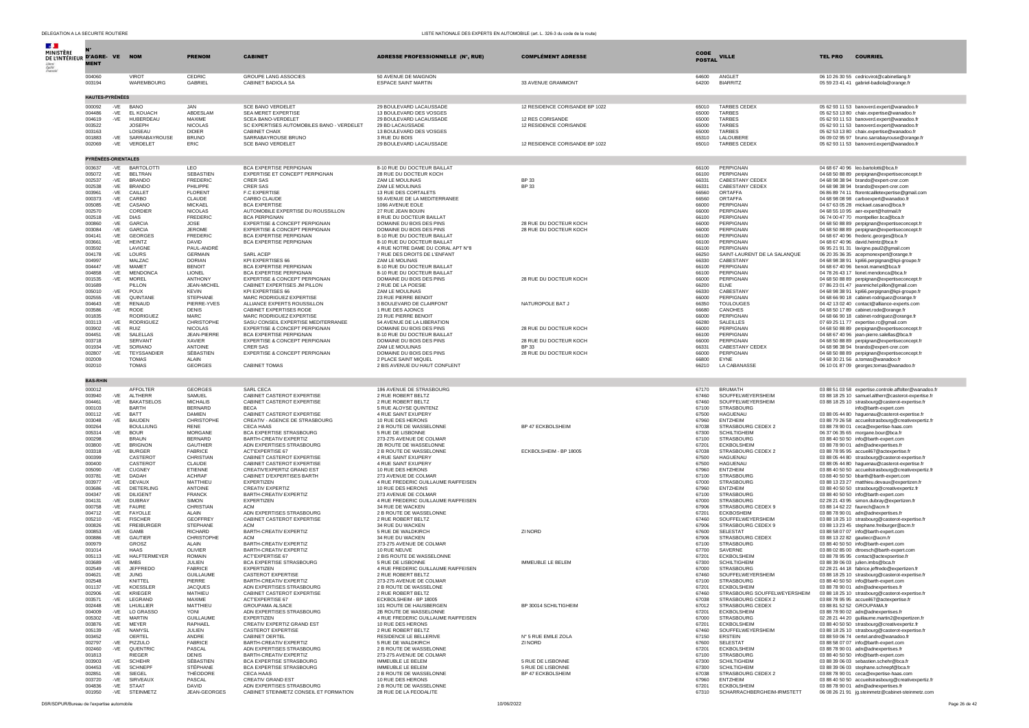| DELEGATION A LA SECURITE ROUTIERE |                        |                |                                    |                                   |                                                                        | LISTE NATIONALE DES EXPERTS EN AUTOMOBILE (art. L. 326-3 du code de la route) |                                               |                              |                                           |                                                                                                        |
|-----------------------------------|------------------------|----------------|------------------------------------|-----------------------------------|------------------------------------------------------------------------|-------------------------------------------------------------------------------|-----------------------------------------------|------------------------------|-------------------------------------------|--------------------------------------------------------------------------------------------------------|
| <b>Section</b>                    |                        |                |                                    |                                   |                                                                        |                                                                               |                                               |                              |                                           |                                                                                                        |
| <b>MINISTÈRE</b>                  |                        |                |                                    |                                   |                                                                        |                                                                               |                                               |                              |                                           |                                                                                                        |
| DE L'INTÉRIEUR D'AGRE- VE NOM     |                        |                |                                    | <b>PRENOM</b>                     | <b>CABINET</b>                                                         | ADRESSE PROFESSIONNELLE (N°, RUE)                                             | <b>COMPLÉMENT ADRESSE</b>                     | <b>CODE</b><br><b>POSTAL</b> | <b>VILLE</b>                              | <b>COURRIEL</b><br><b>TEL PRO</b>                                                                      |
| Leberte<br>Égalité<br>Fraterin    | <b>MENT</b>            |                |                                    |                                   |                                                                        |                                                                               |                                               |                              |                                           |                                                                                                        |
|                                   | 004060                 |                | VIROT                              | CEDRIC                            | <b>GROUPE LANG ASSOCIES</b>                                            | 50 AVENUE DE MAIGNON                                                          |                                               | 64600                        | ANGLET                                    | 06 10 26 30 55 cedricvirot@cabinetlang.fr                                                              |
|                                   | 003194                 |                | <b>WAREMBOURG</b>                  | GABRIEL                           | CABINET BADIOLA SA                                                     | <b>ESPACE SAINT MARTIN</b>                                                    | 33 AVENUE GRAMMONT                            | 64200                        | <b>BIARRITZ</b>                           | 05 59 23 41 41 gabriel-badiola@orange.fr                                                               |
|                                   |                        |                |                                    |                                   |                                                                        |                                                                               |                                               |                              |                                           |                                                                                                        |
|                                   | <b>HAUTES-PYRÉNÉES</b> |                |                                    |                                   |                                                                        |                                                                               |                                               |                              |                                           |                                                                                                        |
|                                   | 000092                 | -VE            | BANO                               | <b>JAN</b>                        | SCE BANO VERDELET                                                      | 29 BOULEVARD LACAUSSADE                                                       | 12 RESIDENCE CORISANDE BP 1022                | 65010                        | <b>TARBES CEDEX</b>                       | 05 62 93 11 53 banoverd.expert@wanadoo.fr                                                              |
|                                   | 004486                 | $-VE$          | EL KOUACH                          | ABDESLAM<br>MAXIME                | SEA MERET EXPERTISE                                                    | 13 BOULEVARD DES VOSGES                                                       | 12 RES CORISANDE                              | 65000                        | <b>TARBES</b><br><b>TARBES</b>            | 05 62 53 13 80 chaix.expertise@wanadoo.fr                                                              |
|                                   | 004619<br>003522       | $-VE$          | HUBERDEAU<br><b>JOSEPH</b>         | <b>NICOLAS</b>                    | <b>SCEA BANO-VERDELET</b><br>SC EXPERTISES AUTOMOBILES BANO - VERDELET | 29 BOULEVARD LACAUSSADE<br>29 BD LACAUSSADE                                   | 12 RESIDENCE CORISANDE                        | 65000<br>65000               | TARBES                                    | 05 62 93 11 53 banoverd.expert@wanadoo.fr<br>05 62 93 11 53 banoverd.expert@wanadoo.fr                 |
|                                   | 003163                 |                | LOISEAU                            | <b>DIDIER</b>                     | CABINET CHAIX                                                          | 13 BOULEVARD DES VOSGES                                                       |                                               | 65000                        | TARBES                                    | 05 62 53 13 80 chaix.expertise@wanadoo.fr                                                              |
|                                   | 001883<br>002069       | -VE<br>-VE     | SARRABAYROUSE<br>VERDELET          | <b>BRUNO</b><br>ERIC              | SARRABAYROUSE BRUNO<br>SCE BANO VERDELET                               | 3 RUE DU BOIS<br>29 BOULEVARD LACAUSSADE                                      | 12 RESIDENCE CORISANDE BP 1022                | 65310<br>65010               | LALOUBERE<br><b>TARBES CEDEX</b>          | 06 09 02 95 97 bruno.sarrabayrouse@orange.fr<br>05 62 93 11 53 banoverd.expert@wanadoo.fr              |
|                                   |                        |                |                                    |                                   |                                                                        |                                                                               |                                               |                              |                                           |                                                                                                        |
|                                   | PYRÉNÉES-ORIENTALES    |                |                                    |                                   |                                                                        |                                                                               |                                               |                              |                                           |                                                                                                        |
|                                   | 003637                 | -VE            | BARTOLOTTI                         | <b>LEO</b>                        | BCA EXPERTISE PERPIGNAN                                                | 8-10 RUE DU DOCTEUR BAILLAT                                                   |                                               | 66100                        | PERPIGNAN                                 | 04 68 67 40 96 leo.bartolotti@bca.fr                                                                   |
|                                   | 005072                 | $-VE$          | <b>BELTRAN</b>                     | <b>SEBASTIEN</b>                  | EXPERTISE ET CONCEPT PERPIGNAN                                         | 28 RUE DU DOCTEUR KOCH                                                        |                                               | 66100                        | PERPIGNAN                                 | 04 68 50 88 89 perpignan@expertiseconcept.fr                                                           |
|                                   | 002537                 | $-VE$          | <b>BRANDO</b>                      | <b>FREDERIC</b>                   | <b>CRER SAS</b>                                                        | ZAM LE MOULINAS                                                               | <b>BP33</b>                                   | 66331                        | CABESTANY CEDEX<br>CABESTANY CEDEX        | 04 68 98 38 94 brando@expert-crer.com                                                                  |
|                                   | 002538<br>003961       | $-VE$<br>-VE   | <b>BRANDO</b><br>CAILLET           | PHILIPPE<br><b>FLORENT</b>        | <b>CRER SAS</b><br>F.C EXPERTISE                                       | ZAM LE MOULINAS<br>13 RUE DES CORTALETS                                       | BP 33                                         | 66331<br>66560               | ORTAFFA                                   | 04 68 98 38 94 brando@expert-crer.com<br>06 86 89 74 11 florentcailletexpertise@gmail.com              |
|                                   | 000373                 | -VE            | CARBO                              | CLAUDE                            | CARBO CLAUDE                                                           | 59 AVENUE DE LA MEDITERRANEE                                                  |                                               | 66560                        | ORTAFFA                                   | 04 68 98 08 98 carboexpert@wanadoo.fr                                                                  |
|                                   | 005085                 | -VE            | CASANO<br>CORDIER                  | <b>MICKAEL</b>                    | <b>BCA EXPERTISE</b>                                                   | 1066 AVENUE EOLE                                                              |                                               | 66000                        | PERPIGNAN                                 | 04 67 63 05 28 mickael.casano@bca.fr                                                                   |
|                                   | 002570<br>002518       | -VE            | <b>DIAS</b>                        | NICOLAS<br><b>FREDERIC</b>        | AUTOMOBILE EXPERTISE DU ROUSSILLON<br><b>BCA PERPIGNAN</b>             | 27 RUE JEAN BOUIN<br>8 RUE DU DOCTEUR BAILLAT                                 |                                               | 66000<br>66100               | PERPIGNAN<br>PERPIGNAN                    | 04 68 55 10 95 aer-expert@hotmail.fr<br>06 74 00 47 70 montpellier.bca@bca.fr                          |
|                                   | 000860                 | -VE            | <b>GARCIA</b>                      | <b>JOSE</b>                       | EXPERTISE & CONCEPT PERPIGNAN                                          | DOMAINE DU BOIS DES PINS                                                      | 28 RUE DU DOCTEUR KOCH                        | 66000                        | PERPIGNAN                                 | 04 68 50 88 89 perpignan@expertiseconcept.fr                                                           |
|                                   | 003084<br>004141       | $-VE$<br>$-VE$ | <b>GARCIA</b><br><b>GEORGES</b>    | <b>JEROME</b><br><b>FREDERIC</b>  | EXPERTISE & CONCEPT PERPIGNAN<br>BCA EXPERTISE PERPIGNAN               | DOMAINE DU BOIS DES PINS<br>8-10 RUE DU DOCTEUR BAILLAT                       | 28 RUE DU DOCTEUR KOCH                        | 66000<br>66100               | PERPIGNAN<br>PERPIGNAN                    | 04 68 50 88 89 perpignan@expertiseconcept.fr                                                           |
|                                   | 003661                 | -VE            | <b>HEINTZ</b>                      | DAVID                             | <b>BCA EXPERTISE PERPIGNAN</b>                                         | 8-10 RUE DU DOCTEUR BAILLAT                                                   |                                               | 66100                        | <b>PERPIGNAN</b>                          | 04 68 67 40 96 frederic.georges@bca.fr<br>04 68 67 40 96 david.heintz@bca.fr                           |
|                                   | 003592                 |                | LAVIGNE                            | PAUL-ANDRÉ                        |                                                                        | 4 RUE NOTRE DAME DU CORAL APT N°8                                             |                                               | 66100                        | PERPIGNAN                                 | 06 95 21 91 31 lavigne.paul2@gmail.com                                                                 |
|                                   | 004178<br>004997       | -VE            | LOURS<br>MALZAC                    | <b>GERMAIN</b><br><b>DORIAN</b>   | SARL ACEP<br>KPI EXPERTISES 66                                         | 7 RUE DES DROITS DE L'ENFANT<br>ZAM LE MOLINAS                                |                                               | 66250<br>66330               | SAINT-LAURENT DE LA SALANQUE<br>CABESTANY | 06 20 35 36 35 acepmonexpert@orange.fr                                                                 |
|                                   | 004447                 | $-VE$          | MAMET                              | <b>BENOIT</b>                     | BCA EXPERTISE PERPIGNAN                                                | 8-10 RUE DU DOCTEUR BAILLAT                                                   |                                               | 66100                        | PERPIGNAN                                 | 04 68 98 38 91 kpi66.perpignan@kpi-groupe.fr<br>04 68 67 40 96 benoit.mamet@bca.fr                     |
|                                   | 004858                 | -VE            | <b>MENDONCA</b>                    | LIONEL                            | BCA EXPERTISE PERPIGNAN                                                | 8-10 RUE DU DOCTEUR BAILLAT                                                   |                                               | 66100                        | PERPIGNAN                                 | 04 78 26 43 17 lionel.mendonca@bca.fr                                                                  |
|                                   | 001535<br>001689       | $-VE$          | MOREL<br>PILLON                    | ANTHONY<br><b>JEAN-MICHEL</b>     | EXPERTISE & CONCEPT PERPIGNAN<br>CABINET EXPERTISES JM PILLON          | DOMAINE DU BOIS DES PINS<br>2 RUE DE LA POESIE                                | 28 RUE DU DOCTEUR KOCH                        | 66000<br>66200               | PERPIGNAN<br><b>ELNE</b>                  | 04 68 50 88 89 perpignan@expertiseconcept.fr<br>07 86 23 01 47 jeanmichel.pillon@gmail.com             |
|                                   | 005010                 | -VE            | POUX                               | <b>KFVIN</b>                      | <b>KPI EXPERTISES 66</b>                                               | ZAM I F MOULINAS                                                              |                                               | 66330                        | CABESTANY                                 | 04 68 98 38 91 kpi66.perpignan@kpi-groupe.fr                                                           |
|                                   | 002555                 | $-VE$          | QUINTANE                           | <b>STEPHANE</b>                   | MARC RODRIGUEZ EXPERTISE                                               | 23 RUE PIERRE BENOIT                                                          |                                               | 66000                        | PERPIGNAN                                 | 04 68 66 90 18 cabinet-rodriguez@orange.fr                                                             |
|                                   | 004643<br>003586       | -VE<br>-VE     | <b>RENAUD</b><br><b>RODE</b>       | PIERRE-YVES<br><b>DENIS</b>       | ALLIANCE EXPERTS ROUSSILLON<br>CABINET EXPERTISES RODE                 | 3 BOULEVARD DE CLAIRFONT<br>1 RUE DES AJONCS                                  | NATUROPOLE BAT J                              | 66350<br>66680               | <b>TOULOUGES</b><br>CANOHES               | 04 42 13 02 40 contact@alliance-experts.com<br>04 68 50 17 89 cabinet.rode@orange.fr                   |
|                                   | 001835                 |                | <b>RODRIGUEZ</b>                   | <b>MARC</b>                       | MARC RODRIGUEZ EXPERTISE                                               | 23 RUE PIERRE BENOIT                                                          |                                               | 66000                        | PERPIGNAN                                 | 04 68 66 90 18 cabinet-rodriguez@orange.fr                                                             |
|                                   | 003113                 | $-VE$          | RODRIGUEZ<br>RUIZ                  | CHRISTOPHE                        | SASU CONSEIL EXPERTISE MEDITERRANEE<br>EXPERTISE & CONCEPT PERPIGNAN   | 54 AVENUE DE LA LIBERATION                                                    |                                               | 66280                        | <b>SALEILLES</b>                          | 07 69 25 11 77 expertise.rc@gmail.com                                                                  |
|                                   | 003902<br>004451       | $-VE$<br>-VE   | SALELLAS                           | NICOLAS<br><b>JEAN-PIERRE</b>     | BCA EXPERTISE PERPIGNAN                                                | DOMAINE DU BOIS DES PINS<br>8-10 RUE DU DOCTEUR BAILLAT                       | 28 RUE DU DOCTEUR KOCH                        | 66000<br>66100               | PERPIGNAN<br>PERPIGNAN                    | 04 68 50 88 89 perpignan@expertiseconcept.fr<br>04 68 67 40 96 jean-pierre.salellas@bca.fr             |
|                                   | 003718                 |                | SERVANT                            | <b>XAVIER</b>                     | EXPERTISE & CONCEPT PERPIGNAN                                          | DOMAINE DU BOIS DES PINS                                                      | 28 RUE DU DOCTEUR KOCH                        | 66000                        | PERPIGNAN                                 | 04 68 50 88 89 perpignan@expertiseconcept.fr                                                           |
|                                   | 001934<br>002807       | $-VE$          | SORIANO<br>TEYSSANDIER             | ANTOINE<br>SÉBASTIEN              | <b>CRER SAS</b><br>EXPERTISE & CONCEPT PERPIGNAN                       | ZAM LE MOULINAS<br>DOMAINE DU BOIS DES PINS                                   | BP 33<br>28 RUE DU DOCTEUR KOCH               | 66331<br>66000               | CABESTANY CEDEX<br>PERPIGNAN              | 04 68 98 38 94 brando@expert-crer.com                                                                  |
|                                   | 002009                 | -VE            | <b>TOMAS</b>                       | AI AIN                            |                                                                        | 2 PLACE SAINT MIOUEL                                                          |                                               | 66800                        | <b>FYNF</b>                               | 04 68 50 88 89 perpignan@expertiseconcept.fr<br>04 68 30 21 56 a.tomas@wanadoo.fr                      |
|                                   | 002010                 |                | <b>TOMAS</b>                       | <b>GEORGES</b>                    | CABINET TOMAS                                                          | 2 BIS AVENUE DU HAUT CONFLENT                                                 |                                               | 66210                        | LA CABANASSE                              | 06 10 01 87 09 georges;tomas@wanadoo.fr                                                                |
|                                   |                        |                |                                    |                                   |                                                                        |                                                                               |                                               |                              |                                           |                                                                                                        |
|                                   | <b>BAS-RHIN</b>        |                |                                    |                                   |                                                                        |                                                                               |                                               |                              |                                           |                                                                                                        |
|                                   | 000012<br>003940       |                | AFFOLTER                           | <b>GEORGES</b>                    | <b>SARL CECA</b><br>CABINET CASTEROT EXPERTISE                         | 196 AVENUE DE STRASBOURG<br>2 RUE ROBERT BELTZ                                |                                               | 67170<br>67460               | <b>BRUMATH</b><br>SOUFFELWEYERSHEIM       | 03 88 51 03 58 expertise.controle.affolter@wanadoo.fr                                                  |
|                                   | 004461                 | -VF<br>$-VE$   | ALTHERF<br><b>BAKATSELOS</b>       | SAMUEL<br><b>MICHALIS</b>         | CABINET CASTEROT EXPERTISE                                             | 2 RUE ROBERT BELTZ                                                            |                                               | 67460                        | SOUFFELWEYERSHEIM                         | 03 88 18 25 10 samuel.altherr@casterot-expertise.fr<br>03 88 18 25 10 strasbourg@casterot-expertise.fr |
|                                   | 000103                 |                | BARTH                              | <b>BERNARD</b>                    | <b>BECA</b>                                                            | 5 RUE ALOYSE QUINTENZ                                                         |                                               | 67100                        | <b>STRASBOURG</b>                         | info@barth-expert.com                                                                                  |
|                                   | 000112<br>003048       | $-VE$<br>$-VE$ | <b>BATT</b><br><b>BAUDEN</b>       | <b>DAMIEN</b><br>CHRISTOPHE       | CABINET CASTEROT EXPERTISE<br>CREATIV - AGENCE DE STRASBOURG           | 4 RUE SAINT EXUPERY<br>10 RUE DES HERONS                                      |                                               | 67500<br>67960               | <b>HAGUENAU</b><br><b>ENTZHEIM</b>        | 03 88 05 44 80 haguenau@casterot-expertise.fr<br>03 88 79 26 58 accueilstrasbourg@creativexpertiz.fr   |
|                                   | 000264                 |                | <b>BOULLIUNG</b>                   | <b>RENE</b>                       | CECA HAAS                                                              | 2 B ROUTE DE WASSELONNE                                                       | BP 47 ECKBOLSHEIM                             | 67038                        | STRASBOURG CEDEX 2                        | 03 88 78 90 01 ceca@expertise-haas.com                                                                 |
|                                   | 005314                 | -VE            | <b>BOUR</b>                        | <b>MORGANE</b>                    | BCA EXPERTISE STRASBOURG                                               | 5 RUE DE LISBONNE                                                             |                                               | 67300                        | <b>SCHILTIGHEIM</b>                       | 06 37 06 35 65 morgane.bour@bca.fr                                                                     |
|                                   | 000298<br>003800       | -VE            | <b>BRAUN</b><br><b>BRIGNON</b>     | <b>BERNARD</b><br><b>GAUTHIER</b> | BARTH-CREATIV EXPERTIZ<br>ADN EXPERTISES STRASBOURG                    | 273-275 AVENUE DE COLMAR<br>2B ROUTE DE WASSELONNE                            |                                               | 67100<br>67201               | <b>STRASBOURG</b><br>ECKBOLSHEIM          | 03 88 40 50 50 info@barth-expert.com<br>03 88 78 90 01 adn@adnexpertises.fr                            |
|                                   | 003318                 | -VE            | <b>BURGER</b>                      | <b>FABRICE</b>                    | ACTEXPERTISE 67                                                        | 2 B ROUTE DE WASSELONNE                                                       | ECKBOLSHEIM - BP 18005                        | 67038                        | STRASBOURG CEDEX 2                        | 03 88 78 95 95 accueil67@actexpertise.fr                                                               |
|                                   | 000399                 |                | CASTERO <sup>®</sup>               | CHRISTIAN                         | CABINET CASTEROT EXPERTISE                                             | 4 RUE SAINT EXUPERY                                                           |                                               | 67500                        | <b>HAGUENAU</b>                           | 03 88 05 44 80 strasbourg@casterot-expertise.fr                                                        |
|                                   | 000400<br>005090       | $-VE$          | CASTERO <sup>®</sup><br>CUGNEY     | <b>CLAUDE</b><br>ETIENNE          | CABINET CASTEROT EXPERTISE<br>CREATIV'EXPERTIZ GRAND EST               | 4 RUE SAINT EXUPERY<br>10 RUE DES HERONS                                      |                                               | 67500<br>67960               | HAGUENAU<br>ENTZHEIM                      | 03 88 05 44 80 haguenau@casterot-expertise.fr<br>03 88 40 50 50 accueilstrasbourg@creativexpertiz.fr   |
|                                   | 003781                 | $-VE$          | DADAH                              | <b>ACHRAF</b>                     | CABINET D'EXPERTISES BARTH                                             | 273 AVENUE DE COLMAR                                                          |                                               | 67100                        | <b>STRASBOURG</b>                         | 03 88 40 50 50 bbarth@barth-expert.com                                                                 |
|                                   | 003977<br>003686       | $-VE$          | <b>DEVAUX</b><br>DIETERLING        | <b>MATTHIFU</b><br><b>ANTOINE</b> | <b>EXPERTIZEN</b>                                                      | 4 RUE FREDERIC GUILLAUME RAIFFEISEN<br>10 RUE DES HERONS                      |                                               | 67000<br>67960               | <b>STRASBOURG</b>                         | 03 88 13 23 27 matthieu.devaux@expertizen.fr                                                           |
|                                   | 004347                 | -VE<br>-VE     | DILIGENT                           | <b>FRANCK</b>                     | CREATIV EXPERTIZ<br>BARTH-CREATIV EXPERTIZ                             | 273 AVENUE DE COLMAR                                                          |                                               | 67100                        | <b>ENTZHEIM</b><br><b>STRASBOURG</b>      | 03 88 40 50 50 strasbourg@creativexpertiz.fr<br>03 88 40 50 50 info@barth-expert.com                   |
|                                   | 004131                 | $-VE$          | DUBRAY                             | <b>SIMON</b>                      | EXPERTIZEN                                                             | 4 RUE FREDERIC GUILLAUME RAIFFEISEN                                           |                                               | 67000                        | STRASBOURG                                | 02 28 21 43 95 simon.dubray@expertizen.fr                                                              |
|                                   | 000758                 | -VE<br>$-VE$   | FAURE<br>FAYOLLE                   | CHRISTIAN<br><b>ALAIN</b>         | <b>ACM</b>                                                             | 34 RUE DE WACKEN<br>2 B ROUTE DE WASSELONNE                                   |                                               | 67906<br>67201               | STRASBOURG CEDEX 9<br><b>ECKBOSHEIM</b>   | 03 88 14 62 22 faurech@acm.fr                                                                          |
|                                   | 004712<br>005210       | $-VE$          | <b>FISCHER</b>                     | <b>GEOFFREY</b>                   | ADN EXPERTISES STRASBOURG<br>CABINET CASTEROT EXPERTISE                | 2 RUE ROBERT BELTZ                                                            |                                               | 67460                        | SOUFFELWEYERSHEIM                         | 03 88 78 90 01 adn@adnexpertises.fr<br>03 88 18 25 10 strasbourg@casterot-expertise.fr                 |
|                                   | 000826                 | $-VE$          | <b>FREIBURGER</b>                  | STEPHANE                          | ACM                                                                    | 34 RUE DU WACKEN                                                              |                                               | 67906                        | STRASBOURG CEDEX 9                        | 03 88 13 23 45 stephane.freiburger@acm.fr                                                              |
|                                   | 000853<br>000886       | -VE<br>-VE     | GAMB<br>GAUTIER                    | <b>RICHARD</b><br>CHRISTOPHE      | BARTH-CREATIV EXPERTIZ<br><b>ACM</b>                                   | 5 RUE DE WALDKIRCH<br>34 RUE DU WACKEN                                        | ZI NORD                                       | 67600<br>67906               | <b>SELESTAT</b><br>STRASBOURG CEDEX       | 03 88 58 07 07 info@barth-expert.com<br>03 88 13 22 82 qautiecr@acm.fr                                 |
|                                   | 000979                 |                | GROSZ                              | ALAIN                             | BARTH-CREATIV EXPERTIZ                                                 | 273-275 AVENUE DE COLMAR                                                      |                                               | 67100                        | <b>STRASBOURG</b>                         | 03 88 40 50 50 info@barth-expert.com                                                                   |
|                                   | 001014                 |                | <b>HAAS</b>                        | OLIVIER                           | BARTH-CREATIV EXPERTIZ                                                 | 10 RUE NEUVE                                                                  |                                               | 67700                        | SAVERNE                                   | 03 88 02 85 00 dtroesch@barth-expert.com                                                               |
|                                   | 005113<br>003689       | -VE<br>-VE     | <b>HALFTERMEYER</b><br><b>IMBS</b> | <b>ROMAIN</b><br>JULIEN           | <b>ACTEXPERTISE 67</b><br>BCA EXPERTISE STRASBOURG                     | 2 BIS ROUTE DE WASSELONNE<br>5 RUE DE LISBONNE                                | <b>IMMEUBLE LE BELEM</b>                      | 67201<br>67300               | <b>ECKBOLSHEIM</b><br><b>SCHILTIGHEIM</b> | 03 88 78 95 95 contact@actexpsertise.fr<br>03 88 39 06 03 julien.imbs@bca.fr                           |
|                                   | 002549                 | $-VE$          | <b>JEFFREDO</b>                    | <b>FABRICE</b>                    | <b>EXPERTIZEN</b>                                                      | 4 RUE FREDERIC GUILLAUME RAIFFEISEN                                           |                                               | 67000                        | <b>STRASBOURG</b>                         | 02 28 21 44 18 fabrice.jeffredo@expertizen.fr                                                          |
|                                   | 004621                 | $-VE$          | <b>JUNG</b>                        | <b>GUILLAUME</b>                  | CASTEROT EXPERTISE                                                     | 2 RUE ROBERT BELTZ                                                            |                                               | 67460                        | SOUFFELWEYERSHEIM                         | 03 88 18 25 10 strasbourg@casterot-expertise.fr                                                        |
|                                   | 002548<br>001137       | $-VE$          | KNITTEL<br><b>KOESSLEF</b>         | PIFRRE<br><b>JACOUES</b>          | BARTH-CREATIV EXPERTIZ<br>ADN EXPERTISES STRASBOURG                    | 273-275 AVENUE DE COLMAR<br>2 B ROUTE DE WASSELONE                            |                                               | 67100<br>67201               | <b>STRASBOURG</b><br><b>ECKBOLSHEIM</b>   | 03 88 40 50 50 info@barth-expert.com<br>03 88 78 90 01 adn@adnexpertises.fr                            |
|                                   | 002906                 | $-VE$          | <b>KRIEGER</b>                     | MATHIEU                           | CABINET CASTEROT EXPERTISE                                             | 2 RUE ROBERT BELTZ                                                            |                                               | 67460                        | STRASBOURG SOUFFELWEYERSHEIM              | 03 88 18 25 10 strasbourg@casterot-expertise.fr                                                        |
|                                   | 003571<br>002448       | $-VE$<br>$-VE$ | LEGRAND<br>LHUILLIER               | MAXIME<br>MATTHIEU                | <b>ACTEXPERTISE 67</b><br><b>GROUPAMA ALSACE</b>                       | ECKBOLSHEIM - BP 18005<br>101 ROUTE DE HAUSBERGEN                             | BP 30014 SCHILTIGHEIM                         | 67038<br>67012               | STRASBOURG CEDEX 2<br>STRASBOURG CEDEX    | 03 88 78 95 95 accueil67@actexpertise.fr<br>03 88 81 52 52 GROUPAMA.fr                                 |
|                                   | 004009                 | $-VE$          | LO GRASSO                          | YONI                              | ADN EXPERTISES STRASBOURG                                              | 2B ROUTE DE WASSELONNE                                                        |                                               | 67201                        | <b>ECKBOLSHEIM</b>                        | 03 88 78 90 02 adn@adnexpertises.fr                                                                    |
|                                   | 005302                 | -VE            | <b>MARTIN</b>                      | <b>GUILLAUME</b>                  | EXPERTIZEN                                                             | 4 RUE FREDERIC GUILLAUME RAIFFEISEN                                           |                                               | 67000                        | <b>STRASBOURG</b>                         | 02 28 21 44 20 quillaume.martin2@expertizen.fr                                                         |
|                                   | 003876<br>005139       | -VE<br>-VE     | MEYER<br><b>NAMYSL</b>             | <b>RAPHAEL</b><br>JULIEN          | CREATIV EXPERTIZ GRAND EST<br>CASTEROT EXPERTISE                       | 10 RUE DES HERONS<br>2 RUE ROBERT BELTZ                                       |                                               | 67201<br>67460               | ECKBOLSHEIM<br>SOUFFELWEYERSHEIM          | 03 88 40 50 50 strasbourg@creativexpertiz.fr<br>03 88 18 25 10 strasbourg@casterot-expertise.fr        |
|                                   | 003452                 |                | OERTEL                             | ANDRE                             | CABINET OERTEL                                                         | RESIDENCE LE BELLERIVE                                                        | N° 5 RUE EMILE ZOLA                           | 67150                        | <b>ERSTEIN</b>                            | 03 88 59 06 74 oertel.andre@wanadoo.fr                                                                 |
|                                   | 002797                 |                | -VE $PIZZUIO$                      | <b>FABRICE</b>                    | BARTH-CREATIV EXPERTIZ                                                 | 5 RUE DE WALDKIRCH                                                            | ZI NORD                                       | 67600                        | SELESTAT                                  | 03 88 58 07 07 info@barth-expert.com                                                                   |
|                                   | 002460<br>001813       | -VE            | OUENTRIC<br><b>RIEGER</b>          | <b>PASCAL</b><br><b>DENIS</b>     | ADN EXPERTISES STRASBOURG<br>BARTH-CREATIV EXPERTIZ                    | 2 B ROUTE DE WASSELONNE<br>273-275 AVENUE DE COLMAR                           |                                               | 67201<br>67100               | <b>FCKBOLSHEIM</b><br><b>STRASBOURG</b>   | 03 88 78 90 01 adn@adnexpertises.fr<br>03 88 40 50 50 info@barth-expert.com                            |
|                                   | 003903                 | $-VE$          | <b>SCHEHR</b>                      | SÉBASTIEN                         | BCA EXPERTISE STRASBOURG                                               | <b>IMMEUBLE LE BELEM</b>                                                      | 5 RUE DE LISBONNE                             | 67300                        | <b>SCHILTIGHEIM</b>                       | 03 88 39 06 03 sebastien.schehr@bca.fr                                                                 |
|                                   | 004453                 | -VE            | <b>SCHNEPF</b>                     | STÉPHANE                          | BCA EXPERTISE STRASBOURG                                               | IMMEUBLE LE BELEM                                                             | 5 RUE DE LISBONNE<br><b>BP 47 ECKBOLSHEIM</b> | 67300                        | <b>SCHILTIGHEIM</b>                       | 03 88 39 06 03 stephane.schnepf@bca.fr                                                                 |
|                                   | 002851<br>003720       | $-VE$<br>-VE   | SIEGEL<br>SIRVEAUX                 | THÉODORE<br>PASCAL                | CECA HAAS<br>CREATIV GRAND EST                                         | 2 B ROUTE DE WASSELONNE<br>10 RUE DES HERONS                                  |                                               | 67038<br>67960               | STRASBOURG CEDEX 2<br><b>ENTZHEIM</b>     | 03 88 78 90 01 ceca@expertise-haas.com<br>03.88.40.50.50 accueilstrashouro@creativexpertiz.fr          |
|                                   | 004836                 | -VE            | <b>STAAT</b>                       | <b>DAVID</b>                      | ADN EXPERTISES STRASBOURG                                              | 2 B ROUTE DE WASSELONNE                                                       |                                               | 67201                        | <b>ECKBOLSHEIM</b>                        | 03 88 78 90 01 adn@adnexpertises.fr                                                                    |
|                                   | 001950                 |                | -VE STEINMETZ                      | JEAN-GEORGES                      | CABINET STEINMETZ CONSEIL ET FORMATION                                 | 28 RUE DE LA FEODALITE                                                        |                                               | 67310                        | SCHARRACHBERGHEIM-IRMSTETT                | 06 08 26 21 91 ig.steinmetz@cabinet-steinmetz.com                                                      |

DSR/SDPUR/Bureau de l'expertise automobile automobile 10/06/2022 Page 26 de 42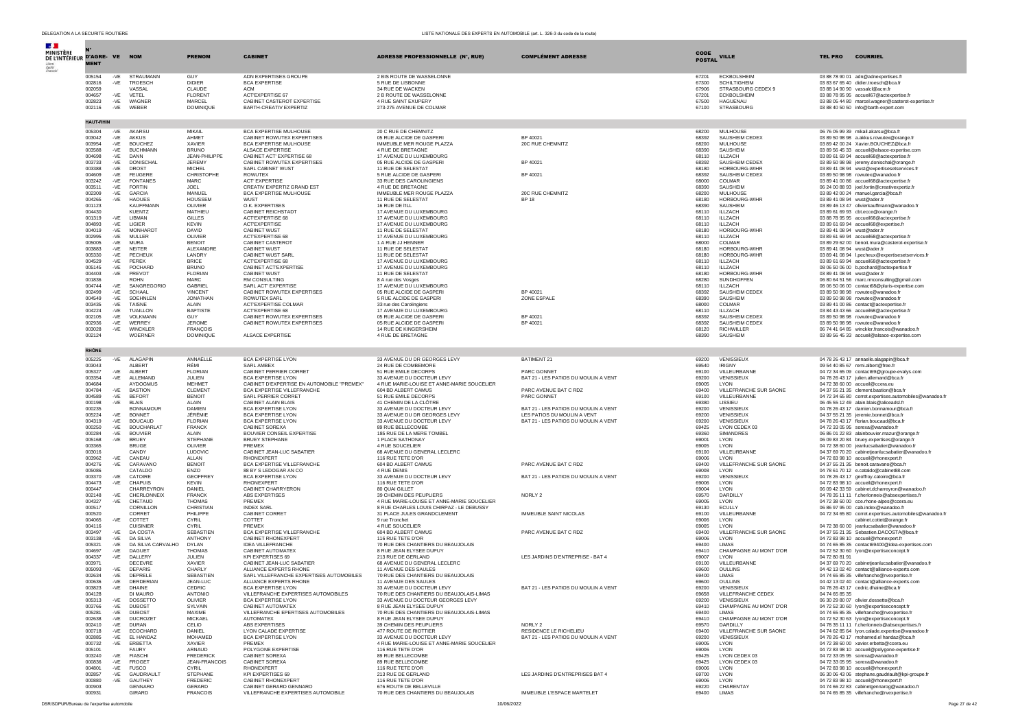| $\mathcal{A}$ .                            |                  |                |                                    |                                     |                                                                         |                                                                         |                                                                     |                              |                                           |                             |                                                                                                    |
|--------------------------------------------|------------------|----------------|------------------------------------|-------------------------------------|-------------------------------------------------------------------------|-------------------------------------------------------------------------|---------------------------------------------------------------------|------------------------------|-------------------------------------------|-----------------------------|----------------------------------------------------------------------------------------------------|
| MINISTÈRE<br>DE L'INTÉRIEUR D'AGRE- VE NOM | <b>MENT</b>      |                |                                    | <b>PRENOM</b>                       | <b>CABINET</b>                                                          | <b>ADRESSE PROFESSIONNELLE (N°, RUE)</b>                                | <b>COMPLÉMENT ADRESSE</b>                                           | <b>CODE</b><br><b>POSTAL</b> | <b>VILLE</b>                              | <b>TEL PRO</b>              | <b>COURRIEL</b>                                                                                    |
|                                            |                  |                |                                    |                                     |                                                                         |                                                                         |                                                                     |                              |                                           |                             |                                                                                                    |
|                                            | 005154<br>002816 | $-VE$          | -VE STRAUMANN<br>TROESCH           | <b>GUY</b><br><b>DIDIFR</b>         | ADN EXPERTISES GROUPE<br><b>BCA EXPERTISE</b>                           | 2 BIS ROUTE DE WASSELONNE<br>5 RUE DE LISBONNE                          |                                                                     | 67201<br>67300               | <b>ECKBOLSHEIM</b><br><b>SCHILTIGHEIM</b> |                             | 03 88 78 90 01 adn@adnexpertises.fr<br>03 83 67 65 40 didier.troesch@bca.fr                        |
|                                            | 002059           |                | VASSAL                             | CLAUDE                              | <b>ACM</b>                                                              | 34 RUE DE WACKEN                                                        |                                                                     | 67906                        | STRASBOURG CEDEX 9                        |                             | 03 88 14 90 90 vassalcl@acm.fr                                                                     |
|                                            | 004657<br>002823 | $-VE$<br>$-VE$ | VETEL<br>WAGNER                    | <b>FLORENT</b><br><b>MARCEL</b>     | <b>ACTEXPERTISE 67</b><br>CABINET CASTEROT EXPERTISE                    | 2 B ROUTE DE WASSELONNE<br>4 RUE SAINT EXUPERY                          |                                                                     | 67201<br>67500               | <b>ECKBOLSHEIM</b><br>HAGUENAU            |                             | 03 88 78 95 95 accueil67@actexpertise.fr<br>03 88 05 44 80 marcel.wagner@casterot-expertise.fr     |
|                                            | 002116           | -VE            | WEBER                              | <b>DOMINIQUE</b>                    | BARTH-CREATIV EXPERTIZ                                                  | 273-275 AVENUE DE COLMAR                                                |                                                                     | 67100                        | STRASBOURG                                |                             | 03 88 40 50 50 info@barth-expert.com                                                               |
|                                            | <b>HAUT-RHIN</b> |                |                                    |                                     |                                                                         |                                                                         |                                                                     |                              |                                           |                             |                                                                                                    |
|                                            | 005304           | -VE            | AKARSU                             | MIKAIL                              | BCA EXPERTISE MULHOUSE                                                  | 20 C RUE DE CHEMNITZ                                                    |                                                                     | 68200                        | <b>MULHOUSE</b>                           |                             | 06 76 05 99 39 mikail.akarsu@bca.fr                                                                |
|                                            | 003042           | $-VE$          | AKKUS                              | <b>AHMET</b>                        | CABINET ROWUTEX EXPERTISES                                              | 05 RUE ALCIDE DE GASPER                                                 | BP 40021                                                            | 68392                        | SAUSHEIM CEDEX                            |                             | 03 89 50 98 98 a.akkus.rowutex@orange.fr                                                           |
|                                            | 003954<br>003588 | $-VE$<br>$-VE$ | <b>BOUCHEZ</b><br><b>BUCHMANN</b>  | <b>XAVIER</b><br><b>BRUNO</b>       | <b>BCA EXPERTISE MULHOUSE</b><br>ALSACE EXPERTISE                       | IMMEUBLE MER ROUGE PLAZZA<br>4 RUE DE BRETAGNE                          | 20C RUE CHEMNITZ                                                    | 68200<br>68390               | <b>MULHOUSE</b><br>SAUSHEIM               |                             | 03 89 42 00 24 Xavier.BOUCHEZ@bca.fr<br>03 89 56 45 33 accueil@alsace-expertise.com                |
|                                            | 004698           | -VE            | DANN                               | JEAN-PHILIPPE                       | CABINET ACT' EXPERTISE 68                                               | 17 AVENUE DU LUXEMBOURG                                                 |                                                                     | 68110                        | ILLZACH                                   |                             | 03 89 61 69 94 accueil68@actexpertise.fr                                                           |
|                                            | 003733<br>003388 | $-VE$<br>$-VE$ | <b>DONISCHAL</b><br><b>DROST</b>   | <b>JEREMY</b><br><b>MICHEL</b>      | CABINET ROWUTEX EXPERTISES<br>SARL CABINET WUST                         | 05 RUE ALCIDE DE GASPERI<br>11 RUE DE SELESTAT                          | BP 40021                                                            | 68392<br>68180               | SAUSHEIM CEDEX<br>HORBOURG-WIHR           |                             | 03 89 50 98 98 ieremy.donischal@orange.fr<br>03.89.41.08.94 wust@expertisesetservices.fr           |
|                                            | 004609           | $-VE$          | <b>FEUGERE</b>                     | CHRISTOPHE                          | ROWUTEX                                                                 | 5 RUE ALCIDE DE GASPERI                                                 | BP 40021                                                            | 68392                        | SAUSHEIM CEDEX                            |                             | 03 89 50 98 98 rowutex@wanadoo.fr                                                                  |
|                                            | 003242<br>003511 | $-VE$<br>-VE   | <b>FONTANES</b><br><b>FORTIN</b>   | <b>MARC</b><br><b>JOEL</b>          | <b>ACT EXPERTISE</b><br>CREATIV EXPERTIZ GRAND EST                      | 33 RUE DES CAROLINGIENS<br>4 RUE DE BRETAGNE                            |                                                                     | 68000<br>68390               | COLMAR<br>SAUSHEIM                        |                             | 03 89 41 00 86 accueil68@actexpertise.fr<br>06 24 00 88 93 joel.fortin@creativexpertiz.fr          |
|                                            | 002309           | -VE            | GARCIA                             | MANUEL                              | BCA EXPERTISE MULHOUSE                                                  | IMMEUBLE MER ROUGE PLAZZA                                               | 20C RUE CHEMNITZ                                                    | 68200                        | MULHOUSE                                  |                             | 03 89 42 00 24 manuel.garcia@bca.fr                                                                |
|                                            | 004265<br>001123 | $-VE$          | <b>HAOUES</b><br>KAUFFMANN         | <b>HOUSSEM</b><br>OLIVIER           | WUST<br>O.K. EXPERTISES                                                 | 11 RUE DE SELESTAT<br>16 RUE DE l'ILL                                   | <b>BP 18</b>                                                        | 68180<br>68390               | HORBOURG-WIHR<br>SAUSHEIM                 | 03 89 41 08 94 wust@ader.fr | 03 89 46 13 47 olivierkauffmann@wanadoo.fr                                                         |
|                                            | 004430           |                | <b>KUENTZ</b>                      | MATHIEU                             | CABINET REICHSTADT                                                      | 17 AVENUE DU LUXEMBOURG                                                 |                                                                     | 68110                        | <b>ILLZACH</b>                            |                             | 03 89 61 69 93 cbt.ecce@orange.fr                                                                  |
|                                            | 001319<br>004893 | $-VE$<br>$-VE$ | <b>I IBMAN</b><br>LIGIER           | <b>GILLES</b><br><b>KEVIN</b>       | <b>ACT'EXPERTISE 68</b><br><b>ACT'EXPERTISE</b>                         | 17 AVENUE DU LUXEMBOURG<br>17 AVENUE DU LUXEMBOURG                      |                                                                     | 68110<br>68110               | $II$   $7$ ACH<br>ILLZACH                 |                             | 03 88 78 95 95 accueil68@actexpertise.fr<br>03 89 61 69 94 accueil68@expertise.fr                  |
|                                            | 004019           | $-VE$          | MONHARDT                           | DAVID                               | <b>CABINET WUST</b>                                                     | 11 RUE DE SELESTAT                                                      |                                                                     | 68180                        | HORBOURG-WIHR                             | 03 89 41 08 94 wust@ader.fr |                                                                                                    |
|                                            | 002995<br>005005 | $-VE$<br>$-VE$ | <b>MULLER</b><br><b>MURA</b>       | OLIVIER<br><b>BENOIT</b>            | <b>ACT'EXPERTISE 68</b><br>CABINET CASTEROT                             | 17 AVENUE DU LUXEMBOURG<br>1 A RUE JJ HENNER                            |                                                                     | 68110<br>68000               | II I ZACH<br>COLMAR                       |                             | 03 89 61 69 94 accueil68@actexpertise.fr<br>03 89 29 62 00 benoit.mura@casterot-expertise.fr       |
|                                            | 003883           | $-VE$          | NEITER                             | ALEXANDRE                           | <b>CABINET WUST</b>                                                     | 11 RUE DE SELESTAT                                                      |                                                                     | 68180                        | HORBOURG-WIHR                             | 03 89 41 08 94 wust@ader.fr |                                                                                                    |
|                                            | 005330<br>004529 | $-VE$<br>$-VE$ | PECHEUX<br>PEREK                   | LANDRY<br><b>BRICE</b>              | <b>CABINET WUST SARL</b><br><b>ACT'EXPERTISE 68</b>                     | 11 RUE DE SELESTAT<br>17 AVENUE DU LUXEMBOURG                           |                                                                     | 68180<br>68110               | HORBOURG-WIHR<br><b>ILLZACH</b>           |                             | 03 89 41 08 94 I.pecheux@expertisesetservices.fr<br>03 89 61 69 94 accueil68@actexpertise.fr       |
|                                            | 005145           | -VE            | POCHARD                            | <b>BRUNO</b>                        | CABINET ACT'EXPERTISE                                                   | 17 AVENUE DU LUXEMBOURG                                                 |                                                                     | 68110                        | <b>ILLZACH</b>                            |                             | 08 06 50 06 00 b.pochard@actexpertise.fr                                                           |
|                                            | 004403<br>001836 | -VE            | PREVOT<br><b>ROHN</b>              | <b>FLORIAN</b><br><b>MARC</b>       | <b>CABINET WUST</b><br><b>RM CONSULTING</b>                             | 11 RUE DE SELESTAT<br>8 A rue des Vosges                                |                                                                     | 68180<br>68280               | HORBOURG-WIHR<br><b>SUNDHOFFEN</b>        | 03 89 41 08 94 wust@ader.fr | 06 80 64 51 56 marc.rmconsulting@gmail.com                                                         |
|                                            | 004744           | $-VE$          | SANGREGORIO                        | GABRIEL                             | SARL ACT' EXPERTISE                                                     | 17 AVENUE DU LUXEMBOURG                                                 |                                                                     | 68110                        | $II$   $7$ ACH                            |                             | 08 06 50 06 00 contact68@pluris-expertise.com                                                      |
|                                            | 002499<br>004549 | $-VE$<br>$-VE$ | SCHAAL<br>SOEHNLEN                 | <b>VINCENT</b><br><b>JONATHAN</b>   | CABINET ROWUTEX EXPERTISES<br><b>ROWUTEX SARL</b>                       | 05 RUE ALCIDE DE GASPERI<br>5 RUE ALCIDE DE GASPERI                     | BP 40021<br>ZONE ESPALE                                             | 68392<br>68390               | SAUSHEIM CEDEX<br>SAUSHEIM                |                             | 03 89 50 98 98 rowutex@wanadoo.fr<br>03 89 50 98 98 rowutex@wanadoo.fr                             |
|                                            | 003435           | -VE            | <b>TAISNE</b>                      | AI AIN                              | ACTEXPERTISE COLMAR                                                     | 33 rue des Carolingiens                                                 |                                                                     | 68000                        | COLMAR                                    |                             | 03 89 41 00 86 contact@actexpertise.fr                                                             |
|                                            | 004224<br>002105 | $-VE$<br>$-VE$ | TUAILLON<br>VOLKMANN               | <b>BAPTISTE</b><br><b>GUY</b>       | ACTEXPERTISE 68<br>CABINET ROWUTEX EXPERTISES                           | 17 AVENUE DU LUXEMBOURG<br>05 RUE ALCIDE DE GASPERI                     | BP 40021                                                            | 68110<br>68392               | <b>ILLZACH</b><br>SAUSHEIM CEDEX          |                             | 03 84 43 43 66 accueil68@actexpertise.fr<br>03.89.50.98.98 rowutex@wanadoo.fr                      |
|                                            | 002936           | $-VE$          | WERREY                             | <b>JEROME</b>                       | CABINET ROWUTEX EXPERTISES                                              | 05 RUE ALCIDE DE GASPERI                                                | BP 40021                                                            | 68392                        | SAUSHEIM CEDEX                            |                             | 03 89 50 98 98 rowutex@wanadoo.fr                                                                  |
|                                            | 003028<br>002124 | $-VE$          | WINCKLER<br><b>WOERNER</b>         | <b>FRANÇOIS</b><br><b>DOMINIQUE</b> | ALSACE EXPERTISE                                                        | 14 RUE DE KINGERSHEIM<br>4 RUE DE BRETAGNE                              |                                                                     | 68120<br>68390               | <b>RICHWILLER</b><br>SAUSHEIM             |                             | 06 74 41 64 85 winckler.francois@wanadoo.fr<br>03 89 56 45 33 accueil@alsace-expertise.com         |
|                                            |                  |                |                                    |                                     |                                                                         |                                                                         |                                                                     |                              |                                           |                             |                                                                                                    |
|                                            | <b>RHÔNE</b>     |                |                                    |                                     |                                                                         |                                                                         |                                                                     |                              |                                           |                             |                                                                                                    |
|                                            | 005225<br>003043 | -VE            | ALAGAPIN<br>ALBERT                 | ANNAËLLE<br>RÉMI                    | <b>BCA EXPERTISE LYON</b><br><b>SARL AMBEX</b>                          | 33 AVENUE DU DR GEORGES LEVY<br>24 RUE DE COMBEMORE                     | <b>BATIMENT 21</b>                                                  | 69200<br>69540               | VENISSIEUX<br><b>IRIGNY</b>               |                             | 04 78 26 43 17 annaelle.alagapin@bca.fr<br>09 54 40 85 67 remi.albert@free.fr                      |
|                                            | 005327           | $-VE$          | ALBERT                             | <b>FLORIAN</b>                      | CABINET PERRIER CORRET                                                  | 51 RUE EMILE DECORPS                                                    | PARC GONNET                                                         | 69100                        | VILLEURBANNE                              |                             | 04 72 34 65 09 contact69@groupe-evalvs.com                                                         |
|                                            | 003354<br>004684 | $-VE$          | ALLEMAND<br>AYDOGMUS               | JULIEN<br><b>MEHMET</b>             | <b>BCA EXPERTISE LYON</b><br>CABINET D'EXPERTISE EN AUTOMOBILE "PREMEX" | 33 AVENUE DU DOCTEUR LEVY<br>4 RUE MARIE-LOUISE ET ANNE-MARIE SOUCELIER | BAT 21 - LES PATIOS DU MOULIN A VENT                                | 69200<br>69005               | <b>VENISSIEUX</b><br>LYON                 |                             | 04 78 26 43 17 julien.allemand@bca.fr<br>04 72 38 60 00 accueil@ccera.eu                           |
|                                            | 004784           | $-VE$          | <b>BASTION</b>                     | CLEMENT                             | BCA EXPERTISE VILLEERANCHE                                              | 604 BD ALBERT CAMUS                                                     | PARC AVENUE BAT C RDZ                                               | 69400                        | VILLEFRANCHE SUR SAONE                    |                             | 04 37 55 21 35 clement.bastion@bca.fr                                                              |
|                                            | 004589<br>000198 | $-VE$<br>$-VE$ | <b>BEFORT</b><br><b>BLAIS</b>      | <b>BENOIT</b><br>ALAIN              | SARL PERRIER CORRET<br>CABINET ALAIN BLAIS                              | 51 RUE EMILE DECORPS<br>41 CHEMIN DE LA CLÔTRE                          | PARC GONNET                                                         | 69100<br>69380               | VILLEURBANNE<br>LISSIEU                   |                             | 04 72 34 65 80 corret.expertises.automobiles@wanadoo.fr<br>06 45 55 12 49 alain.blais@aliceadsl.fr |
|                                            | 000235           |                | <b>BONNAMOUR</b>                   | <b>DAMIEN</b>                       | BCA EXPERTISE I YON                                                     | 33 AVENUE DU DOCTEUR LEVY                                               | BAT 21 - LES PATIOS DU MOULIN A VENT                                | 69200                        | VENISSIEUX                                |                             | 04 78 26 43 17 damien.bonnamour@bca.fr                                                             |
|                                            | 005224<br>004319 | $-VE$<br>$-VE$ | <b>BONNET</b><br><b>BOUCAUD</b>    | JÉRÉMIE<br><b>FLORIAN</b>           | <b>BCA EXPERTISE LYON</b><br><b>BCA EXPERTISE LYON</b>                  | 33 AVENUE DU DR GEORGES LEVY<br>33 AVENUE DU DOCTEUR LEVY               | LES PATIOS DU MOULIN A VENT<br>BAT 21 - LES PATIOS DU MOULIN A VENT | 69200<br>69200               | VENISSIEUX<br>VENISSIEUX                  |                             | 04 37 55 21 35 jeremie.bonnet@bca.fr<br>04 78 26 43 17 florian.boucaud@bca.fr                      |
|                                            | 000250           | $-VE$          | <b>BOUCHARLAT</b>                  | <b>FRANCK</b>                       | <b>CABINET SOREXA</b>                                                   | 89 RUE BELLECOMBE                                                       |                                                                     | 69425                        | LYON CEDEX 03                             |                             | 04 72 33 05 95 sorexa@wanadoo.fr                                                                   |
|                                            | 000284<br>005168 | -VE<br>$-VE$   | <b>BOUVIER</b><br><b>BRUEY</b>     | ALAIN<br>STEPHANE                   | BOUVIER CONSEIL EXPERTISE<br><b>BRUEY STEPHANE</b>                      | 185 RUE DE LA MERE TOMBEL<br>1 PLACE SATHONAY                           |                                                                     | 69360<br>69001               | <b>SIMANDRES</b><br>LYON                  |                             | 06 86 01 22 83 alainbouvier.mazur@orange.fr<br>06 09 83 20 84 bruey.expertises@orange.fr           |
|                                            | 003365           |                | <b>BRUGE</b>                       | OLIVIER                             | PREMEX                                                                  | 4 RUE SOUCELIER                                                         |                                                                     | 69005                        | LYON                                      |                             | 04 72 38 60 00 jeanlucsabatier@wanadoo.fr                                                          |
|                                            | 003016<br>003962 | $-VF$          | CANDY<br>CANEAU                    | LUDOVIC<br>ALLAN                    | CABINET JEAN-LUC SABATIER<br>RHONEXPERT                                 | 68 AVENUE DU GENERAL LECLERC<br>116 RUE TETE D'OR                       |                                                                     | 69100<br>69006               | VILLEURBANNE<br><b>LYON</b>               |                             | 04 37 69 70 20 cabinetjeanlucsabatier@wanadoo.fr<br>04 72 83 98 10 accueil@rhonexpert.fr           |
|                                            | 004276           | $-VE$          | CARAVANO                           | <b>BENOIT</b>                       | BCA EXPERTISE VILLEFRANCHE                                              | 604 BD ALBERT CAMUS                                                     | PARC AVENUE BAT C RDZ                                               | 69400                        | VILLEFRANCHE SUR SAONE                    |                             | 04 37 55 21 35 benoit.caravano@bca.fr                                                              |
|                                            | 005086<br>003370 | $-VE$          | CATALDO<br>CATOIRE                 | ENZO<br><b>GEOFFREY</b>             | 88 BY S LEDOGAR AN CO<br><b>BCA EXPERTISE LYON</b>                      | 4 RUE DENIS<br>33 AVENUE DU DOCTEUR LEVY                                | BAT 21 - LES PATIOS DU MOULIN A VENT                                | 69008<br>69200               | LYON<br>VENISSIEUX                        |                             | 04 78 61 70 12 e.cataldo@cabinet88.com<br>04 78 26 43 17 geoffroy.catoire@bca.fr                   |
|                                            | 004473           | $-VE$          | CHAPUIS                            | <b>KEVIN</b>                        | RHONEXPERT                                                              | 116 RUE TETE D'OR                                                       |                                                                     | 69006                        | LYON                                      |                             | 04 72 83 98 10 accueil@rhonexpert.fr                                                               |
|                                            | 000447<br>002148 | $-VE$          | CHARREYRON<br>CHERLONNEIX          | DANIEL<br><b>FRANCK</b>             | CABINET CHARRYERON<br>ABS EXPERTISES                                    | 80 OUAI GILLET<br>39 CHEMIN DES PEUPLIERS                               | NORLY 2                                                             | 69004<br>69570               | LYON<br>DARDILLY                          |                             | 06 09 42 33 59 cabinet.dcharrevron@wanadoo.fr<br>04 78 35 11 11 f.cherlonneix@absexpertises.fr     |
|                                            | 004327           | -VE            | CHETAUD                            | <b>THOMAS</b>                       | PREMEX                                                                  | 4 RUE MARIE-LOUISE ET ANNE-MARIE SOUCELIER                              |                                                                     | 69005                        | LYON                                      |                             | 04 72 38 60 00 cce.rhone-alpes@ccera.eu                                                            |
|                                            | 000517<br>000520 |                | CORNILLON<br>CORRET                | CHRISTIAN<br>PHILIPPE               | <b>INDEX SARI</b><br>CABINET CORRET                                     | 8 RUE CHARLES LOUIS CHIRPAZ - LE DEBUSSY<br>31 PLACE JULES GRANDCLEMENT | <b>IMMEUBLE SAINT NICOLAS</b>                                       | 69130<br>69100               | <b>FCULLY</b><br>VILLEURBANNE             |                             | 06 86 97 95 00 cab.index@wanadoo.fr<br>04 72 34 65 80 corret.expertises.automobiles@wanadoo.fr     |
|                                            | 004065           | $-VE$          | COTTET                             | <b>CYRIL</b>                        | COTTET                                                                  | 9 rue Tronchet                                                          |                                                                     | 69006                        | LYON                                      |                             | cabinet.cottet@orange.fr                                                                           |
|                                            | 004116<br>003497 | $-VE$          | CUISINIER<br>DA COSTA              | CYRIL<br><b>SEBASTIEN</b>           | PREMEX<br>BCA EXPERTISE VILLEFRANCHE                                    | 4 RUE SOUCELIER<br>604 BD ALBERT CAMUS                                  | PARC AVENUE BAT C RDZ                                               | 69005<br>69400               | <b>I YON</b><br>VILLEFRANCHE SUR SAONE    |                             | 04 72 38 60 00 jeanlucsabatier@wanadoo.fr<br>04 37 55 21 35 Sebastien.DACOSTA@bca.fr               |
|                                            | 003138<br>005321 | $-VE$          | <b>DA SILVA</b>                    | <b>ANTHONY</b><br>DYLAN             | CABINET RHONEXPERT<br><b>IDEA VILLEFRANCHE</b>                          | 116 RUE TETE D'OR<br>70 RUE DES CHANTIERS DU BEAUJOLAIS                 |                                                                     | 69006<br>69400               | <b>LYON</b><br><b>I IMAS</b>              |                             | 04 72 83 98 10 accueil@rhonexpert.fr                                                               |
|                                            | 004697           | -VE<br>-VE     | DA SILVA CARVALHO<br><b>DAGUET</b> | <b>THOMAS</b>                       | CABINET AUTOMATE>                                                       | 8 RUE JEAN ELYSEE DUPUY                                                 |                                                                     | 69410                        | CHAMPAGNE AU MONT D'OR                    |                             | 04 74 65 85 35 contact69400@idea-expertises.com<br>04 72 52 30 60 lyon@expertiseconcept.fr         |
|                                            | 004337           | -VE            | DALLERY                            | <b>JULIEN</b>                       | KPI EXPERTISES 69                                                       | 213 RUE DE GERI AND                                                     | LES JARDINS D'ENTREPRISE - BAT 4                                    | 69007                        | <b>I YON</b>                              | 04 72 80 81 91              |                                                                                                    |
|                                            | 003971<br>005093 | -VE            | <b>DECEVRE</b><br><b>DEPARIS</b>   | <b>XAVIER</b><br>CHARLY             | CABINET JEAN-LUC SABATIER<br>ALLIANCE EXPERTS RHONE                     | 68 AVENUE DU GENERAL LECLERC<br>11 AVENUE DES SAULES                    |                                                                     | 69100<br>69600               | VILLEURBANNE<br><b>OULLINS</b>            |                             | 04 37 69 70 20 cabinetjeanlucsabatier@wanadoo.fr<br>04 42 13 02 40 contact@alliance-experts.com    |
|                                            | 002634           | -VF            | DEPRELE<br>DERDERIAN               | <b>SEBASTIEN</b>                    | SARL VILLEFRANCHE EXPERTISES AUTOMOBILES                                | 70 RUE DES CHANTIERS DU BEAUJOLAIS                                      |                                                                     | 69400                        | <b>I IMAS</b>                             |                             | 04 74 65 85 35 villefranche@rvexpertise.fr                                                         |
|                                            | 000636<br>003823 | -VE<br>-VE     | DHAINE                             | JEAN-LUC<br>CEDRIC                  | ALLIANCE EXPERTS RHONE<br>BCA EXPERTISE LYON                            | 11 AVENUE DES SAULES<br>33 AVENUE DU DOCTEUR LEVY                       | BAT 21 - LES PATIOS DU MOULIN A VENT                                | 69600<br>69200               | OULLINS<br>VENISSIEUX                     |                             | 04 42 13 02 40 contact@alliance-experts.com<br>04 78 26 43 17 cedric.dhaine@bca.fr                 |
|                                            | 004128           |                | DI MAURO                           | ANTONIO                             | VILLEFRANCHE EXPERTISES AUTOMOBILES                                     | 70 RUE DES CHANTIERS DU BEAUJOLAIS-LIMAS                                |                                                                     | 69658                        | VILLEFRANCHE CEDEX                        | 04 74 65 85 35              |                                                                                                    |
|                                            | 005313<br>003766 | $-VE$<br>$-VE$ | DOSSETTO<br><b>DUBOST</b>          | OLIVIER<br>SYLVAIN                  | <b>BCA EXPERTISE LYON</b><br>CABINET AUTOMATEX                          | 33 AVENUE DU DOCTEUR GEORGES LEVY<br>8 RUE JEAN ELYSEE DUPUY            |                                                                     | 69200<br>69410               | VENISSIEUX<br>CHAMPAGNE AU MONT D'OR      |                             | 06 30 29 80 07 olivier.dossetto@bca.fr<br>04 72 52 30 60 lyon@expertiseconcept.fr                  |
|                                            | 005281<br>002638 | -VE            | <b>DUBOST</b><br><b>DUCROZET</b>   | MAXIME<br><b>MICKAEL</b>            | VILLEFRANCHE EPERTISES AUTOMOBILES<br><b>AUTOMATEX</b>                  | 70 RUE DES CHANTIERS DU BEAUJOLAIS-LIMAS<br>8 RUE JEAN ELYSEE DUPUY     |                                                                     | 69400<br>69410               | LIMAS<br>CHAMPAGNE AU MONT D'OR           |                             | 04 74 65 85 35 villefranche@rvexpertise.fr                                                         |
|                                            | 002410           | -VE<br>$-VE$   | DURAN                              | CELIO                               | ARS EXPERTISES                                                          | 39 CHEMIN DES PEUPLIERS                                                 | NORI Y 2                                                            | 69570                        | DARDILLY                                  |                             | 04 72 52 30 63 lyon@expertiseconcept.fr<br>04 78 35 11 11 f.cherlonneix@absexpertises.fr           |
|                                            | 000718           | -VE            | ECOCHARD                           | DANIEL                              | LYON CALADE EXPERTISE                                                   | 477 ROUTE DE RIOTTIER                                                   | RESIDENCE LE RICHELIEU                                              | 69400                        | VILLEFRANCHE SUR SAONE                    |                             | 04 74 62 85 64 lyon.calade.expertise@wanadoo.fr<br>04 78 26 43 17 mohamed.el handaz@bca.fr         |
|                                            | 002885<br>000732 | $-VE$<br>-VE   | EL HANDAZ<br>ERBETTA               | MOHAMED<br><b>XAVIER</b>            | BCA EXPERTISE LYON<br>PREMEX                                            | 33 AVENUE DU DOCTEUR LEVY<br>4 RUE MARIE-LOUISE ET ANNE-MARIE SOUCELIER | BAT 21 - LES PATIOS DU MOULIN A VENT                                | 69200<br>69005               | VENISSIEUX<br>LYON                        |                             | 04 72 38 60 00 xavier.erbetta@ccera.eu                                                             |
|                                            | 005101           |                | FAURY                              | ARNAUD                              | POLYGONE EXPERTISE                                                      | 116 RUE TETE D'OR                                                       |                                                                     | 69006                        | LYON<br>LYON CEDEX 03                     |                             | 04 72 83 98 10 accueil@polygone-expertise.fr<br>04 72 33 05 95 sorexa@wanadoo.fr                   |
|                                            | 003240<br>000836 | $-VE$<br>-VE   | <b>FIASCHI</b><br><b>FROGET</b>    | <b>FREDERICK</b><br>JEAN-FRANCOIS   | CABINET SOREXA<br>CABINET SOREXA                                        | 89 RUE BELLECOMBE<br>89 RUE BELLECOMBE                                  |                                                                     | 69425<br>69425               | <b>I YON CEDEX 03</b>                     |                             | 04 72 33 05 95 sorexa@wanadoo.fr                                                                   |
|                                            | 004801<br>002857 | $-VE$<br>$-VE$ | <b>FUSCO</b><br>GAUDRIAULT         | <b>CYRIL</b><br>STEPHANE            | RHONEXPERT<br>KPI EXPERTISES 69                                         | 116 RUE TETE D'OR<br>213 RUE DE GERLAND                                 | LES JARDINS D'ENTREPRISES BAT 4                                     | 69006<br>69700               | LYON<br>LYON                              |                             | 04 72 83 98 10 accueil@rhonexpert.fr<br>06 30 06 43 06 stephane.gaudriault@kpi-groupe.fr           |
|                                            | 000880           | -VE            | GAUTHEY                            | <b>FREDERIC</b>                     | CABINET RHONEXPERT                                                      | 116 RUE TETE D'OR                                                       |                                                                     | 69006                        | LYON                                      |                             | 04 72 83 98 10 accueil@rhonexpert.fr                                                               |
|                                            | 000903<br>000931 |                | <b>GENNARO</b><br>GIRARD           | GERARD<br><b>FRANCOIS</b>           | CABINET GERARD GENNARO<br>VILLEFRANCHE EXPERTISES AUTOMOBILE            | 676 ROUTE DE BELLEVILLE<br>70 RUE DES CHANTIERS DU BEAUJOLAIS           | IMMEUBLE L'ESPACE MARTELET                                          | 69220<br>69400               | CHARENTAY<br>LIMAS                        |                             | 04 74 66 22 83 cabinetgennarog@wanadoo.fr<br>04 74 65 85 35 villefranche@rvexpertise.fr            |
|                                            |                  |                |                                    |                                     |                                                                         |                                                                         |                                                                     |                              |                                           |                             |                                                                                                    |

DSR/SDPUR/Bureau de l'expertise automobile automobile 10/06/2022 Page 27 de 42 automobile 10/06/2022 Page 27 de 42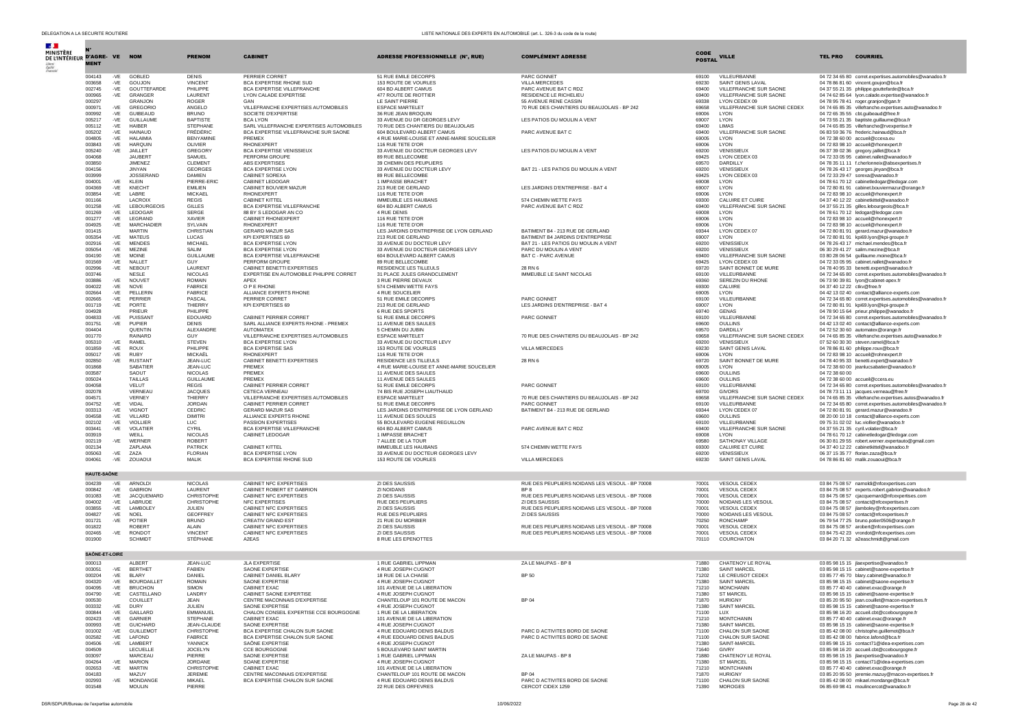| $\mathcal{A}$ .<br>MINISTÈRE<br>DE L'INTÉRIEUR D'AGRE- VE NOM |                    |                |                                     | <b>PRENOM</b>                       | <b>CABINET</b>                                                        | <b>ADRESSE PROFESSIONNELLE (N°, RUE)</b>                                 | <b>COMPLÉMENT ADRESSE</b>                                         | CODE<br><b>POSTAL</b> | <b>VILLE</b>                                 | <b>COURRIEL</b><br><b>TEL PRO</b>                                                                                  |
|---------------------------------------------------------------|--------------------|----------------|-------------------------------------|-------------------------------------|-----------------------------------------------------------------------|--------------------------------------------------------------------------|-------------------------------------------------------------------|-----------------------|----------------------------------------------|--------------------------------------------------------------------------------------------------------------------|
|                                                               | <b>MENT</b>        |                |                                     |                                     |                                                                       |                                                                          |                                                                   |                       |                                              |                                                                                                                    |
|                                                               | 004143<br>003658   | -VE<br>-VE     | GOBLED<br>GOUJON                    | <b>DENIS</b><br><b>VINCENT</b>      | PERRIER CORRET<br>BCA EXPERTISE RHONE SUD                             | 51 RUE EMILE DECORPS<br>153 ROUTE DE VOURLES                             | PARC GONNET<br><b>VILLA MERCEDES</b>                              | 69100<br>69230        | VILLEURBANNE<br>SAINT GENIS LAVAL            | 04 72 34 65 80 corret.expertises.automobiles@wanadoo.fr<br>04 78 86 81 60 vincent.goujon@bca.fr                    |
|                                                               | 002745             | $-VE$          | <b>GOUTTEFARDE</b>                  | PHILIPPE                            | BCA EXPERTISE VILLEERANCHE                                            | 604 BD ALBERT CAMUS                                                      | PARC AVENUE BAT C RDZ                                             | 69400                 | VILLEERANCHE SUR SAONE                       | 04 37 55 21 35 philippe.gouttefarde@bca.fr                                                                         |
|                                                               | 000965<br>000297   | $-VE$          | GRANGER<br>GRANJON                  | LAURENT<br><b>ROGER</b>             | LYON CALADE EXPERTISE<br>GAN                                          | 477 ROUTE DE RIOTTIER<br>LE SAINT PIERRE                                 | RESIDENCE LE RICHELIEU<br>55 AVENUE RENE CASSIN                   | 69400<br>69338        | VILLEFRANCHE SUR SAONE<br>LYON CEDEX 09      | 04 74 62 85 64 lyon.calade.expertise@wanadoo.fr<br>04 78 95 78 41 roger.granjon@gan.fr                             |
|                                                               | 000971             | $-VE$          | <b>GREGORIC</b>                     | ANGELO                              | VILLEFRANCHE EXPERTISES AUTOMOBILES                                   | <b>ESPACE MARTELET</b>                                                   | 70 RUE DES CHANTIERS DU BEAUJOLAIS - BP 242                       | 69658                 | VILLEFRANCHE SUR SAONE CEDEX                 | 04 74 65 85 35 villefranche.expertises.auto@wanadoo.fr                                                             |
|                                                               | 000992<br>005217   | $-VE$<br>$-VE$ | <b>GUIBEAUD</b><br><b>GUILLAUME</b> | <b>BRUNO</b><br><b>BAPTISTE</b>     | SOCIETE D'EXPERTISE<br><b>BCA LYON</b>                                | 36 RUE JEAN BROQUIN<br>33 AVENUE DU DR GEORGES LEVY                      | LES PATIOS DU MOULIN A VENT                                       | 69006<br>69007        | LYON<br>LYON                                 | 04 72 65 35 55 cbt.guibeaud@free.fr<br>04 73 55 21 35 baptiste.quillaume@bca.fr                                    |
|                                                               | 005112             | -VE            | <b>HAIBER</b>                       | STEPHANE                            | SARL VILLEFRANCHE EXPERTISES AUTOMOBILES                              | 70 RUE DES CHANTIERS DU BEAUJOLAIS                                       |                                                                   | 69400                 | LIMAS                                        | 04 74 65 85 35 villefranche@rvexpertise.fr                                                                         |
|                                                               | 005202<br>004805   | $-VE$<br>$-VE$ | HAINAUD<br>HAI AIMIA                | <b>FRÉDÉRIC</b><br><b>BENYAMINE</b> | BCA EXPERTISE VILLEFRANCHE SUR SAONE<br>PREMEX                        | 604 BOULEVARD ALBERT CAMUS<br>4 RUE MARIE-LOUISE ET ANNE-MARIE SOUCELIER | PARC AVENUE BAT C                                                 | 69400<br>69005        | VILLEFRANCHE SUR SAONE<br><b>I YON</b>       | 06 83 59 36 76 frederic.hainaud@bca.fr<br>04 72 38 60 00 accueil@ccexa.eu                                          |
|                                                               | 003843             | $-VE$          | <b>HARQUIN</b>                      | OLIVIER                             | <b>RHONEXPERT</b>                                                     | 116 RUE TETE D'OR                                                        |                                                                   | 69006                 | LYON                                         | 04 72 83 98 10 accueil@rhonexpert.fr                                                                               |
|                                                               | 005240<br>004068   | $-VE$          | JAILLET<br>JAURERT                  | GREGORY<br>SAMUEL                   | BCA EXPERTISE VENISSIEUX<br>PERFORM GROUPE                            | 33 AVENUE DU DOCTEUR GEORGES LEVY<br>89 RUE BELLECOMBE                   | LES PATIOS DU MOULIN A VENT                                       | 69200<br>69425        | VENISSIEUX<br>LYON CEDEX 03                  | 06 37 39 02 36 gregory.jaillet@bca.fr                                                                              |
|                                                               | 003850             |                | <b>JIMENEZ</b>                      | CLEMENT                             | ABS EXPERTISES                                                        | 39 CHEMIN DES PEUPLIERS                                                  |                                                                   | 69570                 | DARDILLY                                     | 04 72 33 05 95 cabinet.nallet@wanadoo.fr<br>04 78 35 11 11 f.cherlonneix@absexpertises.fr                          |
|                                                               | 004156             |                | <b>JINYAN</b><br><b>JOSSERAND</b>   | <b>GEORGES</b><br><b>DAMIEN</b>     | <b>BCA EXPERTISE LYON</b><br>CABINET SOREXA                           | 33 AVENUE DU DOCTEUR LEVY<br>89 RUE BELLECOMBE                           | BAT 21 - LES PATIOS DU MOULIN A VENT                              | 69200<br>69425        | VENISSIEUX<br>LYON CEDEX 03                  | 04 78 26 43 17 georges.jinyan@bca.fr                                                                               |
|                                                               | 003999<br>004001   | $-VE$          | KLEIN                               | PIERRE-ERIC                         | CABINET LEDOGAR                                                       | 1 IMPASSE BRACHET                                                        |                                                                   | 69008                 | LYON                                         | 04 72 33 29 47 sorexa@wanadoo.fr<br>04 78 61 70 12 cabinetledogar@ledogar.com                                      |
|                                                               | 004369<br>003854   | $-VE$<br>-VE   | KNECHT<br>LABRE                     | FMILIEN<br><b>MICKAEL</b>           | CABINET BOUVIER MAZUR<br><b>RHONEXPERT</b>                            | 213 RUE DE GERLAND<br>116 RUE TETE D'OR                                  | LES JARDINS D'ENTREPRISE - BAT 4                                  | 69007<br>69006        | LYON<br>LYON                                 | 04 72 80 81 91 cabinet.bouviermazur@orange.fr<br>04 72 83 98 10 accueil@rhonexpert.fr                              |
|                                                               | 001166             |                | LACROIX                             | <b>REGIS</b>                        | <b>CABINET KITTEL</b>                                                 | <b>IMMEUBLE LES HAUBANS</b>                                              | 574 CHEMIN WETTE FAYS                                             | 69300                 | <b>CALUIRE ET CUIRE</b>                      | 04 37 40 12 22 cabinetkittel@wanadoo.fr                                                                            |
|                                                               | 001258<br>001269   | $-VE$<br>$-VE$ | <b>LEBOURGEOIS</b><br>LEDOGAR       | GILLES<br><b>SERGE</b>              | BCA EXPERTISE VILLEFRANCHE<br>88 BY S LEDOGAR AN CO                   | 604 BD ALBERT CAMUS<br>4 RUE DENIS                                       | PARC AVENUE BAT C RDZ                                             | 69400<br>69008        | VILLEFRANCHE SUR SAONE<br>LYON               | 04 37 55 21 35 gilles.lebourgeois@bca.fr<br>04 78 61 70 12 ledogar@ledogar.com                                     |
|                                                               | 001277             | $-VE$          | LEGRAND                             | XAVIER                              | CABINET RHONEXPERT                                                    | 116 RUE TETE D'OR                                                        |                                                                   | 69006                 | LYON                                         | 04 72 83 98 10 accueil@rhonexpert.fr                                                                               |
|                                                               | 004925<br>001415   | $-VE$          | <b>MARCHADIER</b><br><b>MARTIN</b>  | SYLVAIN<br>CHRISTIAN                | RHONEXPERT<br><b>GERARD MAZUR SAS</b>                                 | 116 RUE TETE D'OR<br>LES JARDINS D'ENTREPRISE DE LYON GERLAND            | BATIMENT B4 - 213 RUE DE GERLAND                                  | 69006<br>69344        | LYON<br>LYON CEDEX 07                        | 04 72 83 98 10 accueil@rhonexpert.fr                                                                               |
|                                                               | 005354             | $-VE$          | MATEUS                              | LUCAS                               | KPI EXPERTISES 69                                                     | 213 RUE DE GERLAND                                                       | BATIMENT B4 JARDINS D'ENTREPRISE                                  | 69007                 | LYON                                         | 04 72 80 81 91 gerard.mazur@wanadoo.fr<br>04 72 80 81 91 kpi69.lvon@kpi-groupe.fr                                  |
|                                                               | 002916<br>005054   | -VE            | <b>MENDES</b><br><b>MEZINE</b>      | MICHAEL<br>SALIM                    | BCA EXPERTISE LYON<br><b>BCA EXPERTISE LYON</b>                       | 33 AVENUE DU DOCTEUR LEVY                                                | BAT 21 - LES PATIOS DU MOULIN A VENT                              | 69200<br>69200        | VENISSIEUX<br>VENISSIEUX                     | 04 78 26 43 17 michael.mendes@bca.fr                                                                               |
|                                                               | 004190             | $-VE$<br>$-VE$ | MOINE                               | <b>GUILLAUME</b>                    | <b>BCA EXPERTISE VILLEERANCHE</b>                                     | 33 AVENUE DU DOCTEUR GEORGES LEVY<br>604 BOULEVARD ALBERT CAMUS          | PARC DU MOULIN A VENT<br>BAT C - PARC AVENUE                      | 69400                 | VILLEERANCHE SUR SAONE                       | 06 30 29 41 27 salim.mezine@bca.fr<br>03 80 28 06 54 guillaume.moine@bca.fr                                        |
|                                                               | 001569             | -VE            | NALLET                              | GUY                                 | PERFORM GROUPE                                                        | 89 RUE BELLECOMBE                                                        | 28 RN 6                                                           | 69425                 | LYON CEDEX 03                                | 04 72 33 05 95 cabinet.nallet@wanadoo.fr                                                                           |
|                                                               | 002996<br>003746   | $-VE$          | NEBOUT<br>NESI F                    | LAURENT<br><b>NICOLAS</b>           | CABINET BENETTI EXPERTISES<br>EXPERTISE EN AUTOMOBILE PHILIPPE CORRET | RESIDENCE LES TILLEULS<br>31 PLACE JULES GRANDCLEMENT                    | IMMEUBLE LE SAINT NICOLAS                                         | 69720<br>69100        | SAINT BONNET DE MURE<br>VILLEURBANNE         | 04 78 40 95 33 benetti.expert@wanadoo.fr<br>04 72 34 65 80 corret.expertises.automobiles@wanadoo.fr                |
|                                                               | 003886             | $-VE$          | NOUVET                              | <b>ROMAIN</b>                       | APEX                                                                  | 3 RUE PIERRE DEVAUX                                                      |                                                                   | 69360                 | SEREZIN DU RHONE                             | 06 73 90 39 81 lyon@cabinet-apex.fr<br>04.37.40.12.22 ctkv@free.fr                                                 |
|                                                               | 004022<br>002664   | $-VE$<br>$-VE$ | NOVE<br>PELLERIN                    | <b>FABRICE</b><br><b>FABRICE</b>    | O P E RHONE<br>ALLIANCE EXPERTS RHONE                                 | 574 CHEMIN WETTE FAYS<br>4 RUE SOUCELIER                                 |                                                                   | 69300<br>69005        | CALUIRE<br>LYON                              | 04 42 13 02 40 contact@alliance-experts.com                                                                        |
|                                                               | 002665             | $-VE$          | PERRIER                             | PASCAL                              | PERRIER CORRET                                                        | 51 RUE EMILE DECORPS                                                     | PARC GONNET                                                       | 69100                 | VILLEURBANNE                                 | 04 72 34 65 80 corret.expertises.automobiles@wanadoo.fr                                                            |
|                                                               | 001719<br>004928   | $-VE$          | PORTE<br>PRIEUR                     | THIFRRY<br>PHILIPPE                 | KPI EXPERTISES 69                                                     | 213 RUE DE GERLAND<br>6 RUE DES SPORTS                                   | LES JARDINS D'ENTREPRISE - BAT 4                                  | 69007<br>69740        | LYON<br><b>GENAS</b>                         | 04 72 80 81 91 kpi69.lyon@kpi-groupe.fr<br>04 78 90 15 64 prieur.philippe@wanadoo.fr                               |
|                                                               | 004833             | $-VE$          | PUISSANT                            | EDOUARD                             | CABINET PERRIER CORRET                                                | 51 RUE EMILE DECORPS                                                     | PARC GONNET                                                       | 69100                 | VILLEURBANNE                                 | 04 72 34 65 80 corret.expertises.automobiles@wanadoo.fr                                                            |
|                                                               | 001751<br>004404   | $-VE$          | PUPIER<br>QUENTIN                   | <b>DENIS</b><br>ALEXANDRE           | SARL ALLIANCE EXPERTS RHONE - PREMEX<br><b>AUTOMATEX</b>              | 11 AVENUE DES SAULES<br>5 CHEMIN DU JUBIN                                |                                                                   | 69600<br>69570        | <b>OULLINS</b><br>DARDILLY                   | 04 42 13 02 40 contact@alliance-experts.com<br>04 72 52 30 60 automatex@orange.fr                                  |
|                                                               | 001770             |                | RAINARD                             | GUY                                 | VILLEFRANCHE EXPERTISES AUTOMOBILES                                   | <b>ESPACE MARTELET</b>                                                   | 70 RUE DES CHANTIERS DU BEAUJOLAIS - BP 242                       | 69658                 | VILLEFRANCHE SUR SAONE CEDEX                 | 04 74 65 85 35 villefranche.expertises.auto@wanadoo.fr                                                             |
|                                                               | 005310<br>001859   | $-VE$<br>$-VE$ | RAMEL<br><b>ROUX</b>                | <b>STEVEN</b><br>PHILIPPE           | BCA EXPERTISE I YON<br><b>BCA EXPERTISE SAS</b>                       | 33 AVENUE DU DOCTEUR LEVY<br>153 ROUTE DE VOURLES                        | <b>VILLA MERCEDES</b>                                             | 69200<br>69230        | VENISSIEUX<br>SAINT GENIS LAVAL              | 07 52 60 30 30 steven.ramel@bca.fr<br>04 78 86 81 60 philippe.roux@bca.fr                                          |
|                                                               | 005017             | $-VE$          | RUBY                                | MICKAËL                             | RHONEYPERT                                                            | 116 RUE TETE D'OR                                                        |                                                                   | 69006                 | <b>I YON</b>                                 | 04 72 83 98 10 accueil@rohnexpert.fr                                                                               |
|                                                               | 002850<br>001868   | -VE            | <b>RUSTANT</b><br>SABATIEF          | JEAN-LUC<br>JEAN-LUC                | CABINET BENETTI EXPERTISES<br>PREMEX                                  | RESIDENCE LES TILLEULS<br>4 RUE MARIE-LOUISE ET ANNE-MARIE SOUCELIER     | 28 RN 6                                                           | 69720<br>69005        | SAINT BONNET DE MURE<br>LYON                 | 04 78 40 95 33 benetti.expert@wanadoo.fr<br>04 72 38 60 00 jeanlucsabatier@wanadoo.fr                              |
|                                                               | 003587             |                | SAOUT                               | NICOLAS                             | PREMEX                                                                | 11 AVENUE DES SAULES                                                     |                                                                   | 69600                 | OULLINS                                      | 04 72 38 60 00                                                                                                     |
|                                                               | 005024<br>004058   |                | <b>TAILLAS</b><br><b>VELUT</b>      | <b>GUILLAUME</b><br><b>REGIS</b>    | PREMEX<br>CABINET PERRIER CORRET                                      | 11 AVENUE DES SAULES<br>51 RUE EMILE DECORPS                             | PARC GONNET                                                       | 69600<br>69100        | OULLINS<br>VILLEURBANNE                      | 04 72 38 60 00 accueil@ccera.eu<br>04 72 34 65 80 corret.expertises.automobiles@wanadoo.fr                         |
|                                                               | 002078             |                | <b>VERNEAL</b>                      | <b>JACQUES</b>                      | CETECA VERNEAU                                                        | 74 BIS RUE JOSEPH LIAUTHAUD                                              |                                                                   | 69700                 | <b>GIVORS</b>                                | 04 78 73 11 11 jacques.verneau@free.fr                                                                             |
|                                                               | 004571<br>004752   | $-VE$          | VERNEY<br>VIDAL                     | THIERRY<br><b>JORDAN</b>            | VILLEFRANCHE EXPERTISES AUTOMOBILES<br>CABINET PERRIER CORRET         | <b>ESPACE MARTELET</b><br>51 RUE EMILE DECORPS                           | 70 RUE DES CHANTIERS DU BEAUJOLAIS - BP 242<br>PARC GONNET        | 69658<br>69100        | VILLEFRANCHE SUR SAONE CEDEX<br>VILLEURBANNE | 04 74 65 85 35 villefranche.expertises.autos@wanadoo.fr<br>04 72 34 65 80 corret.expertises.automobiles@wanadoo.fr |
|                                                               | 003313             | $-VE$          | <b>VIGNOT</b>                       | CEDRIC                              | <b>GERARD MAZUR SAS</b>                                               | LES JARDINS D'ENTREPRISE DE LYON GERLAND                                 | BATIMENT B4 - 213 RUE DE GERLAND                                  | 69344                 | LYON CEDEX 07                                | 04 72 80 81 91 gerard.mazur@wanadoo.fr                                                                             |
|                                                               | 004558<br>002102   | $-VE$<br>$-VE$ | VILLARD<br>VIOLLIER                 | <b>DIMITRI</b><br>TUC.              | ALLIANCE EXPERTS RHONE<br>PASSION EXPERTISES                          | 11 AVENUE DES SOULES<br>55 BOULEVARD EUGENE REGUILLON                    |                                                                   | 69600<br>69100        | <b>OULLINS</b><br>VILL FURBANNE              | 08 20 00 10 18 contact@alliance-experts.com<br>09 75 31 02 02 luc.viollier@wanadoo.fr                              |
|                                                               | 003441             | -VE            | VOLATIER                            | <b>CYRIL</b>                        | BCA EXPERTISE VILLEFRANCHE                                            | 604 BD ALBERT CAMUS                                                      | PARC AVENUE BAT C RDZ                                             | 69400                 | VILLEFRANCHE SUR SAONE                       | 04 37 55 21 35 cyril.volatier@bca.fr                                                                               |
|                                                               | 003919<br>002119   | $-VE$          | WEILL<br>WERNER                     | <b>NICOLAS</b><br>ROBERT            | CABINET LEDOGAR                                                       | 1 IMPASSE BRACHET<br>7 ALLEE DE LA TOUR                                  |                                                                   | 69008<br>69580        | LYON<br>SATHONAY VILLAGE                     | 04 78 61 70 12 cabinetledogar@ledogar.com<br>06 30 81 29 55 robert.werner.expertauto@gmail.com                     |
|                                                               | 002134             |                | ZAPLANA                             | <b>PATRICK</b>                      | <b>CABINET KITTEL</b>                                                 | IMMEUBLE LES HAUBANS                                                     | 574 CHEMIN WETTE FAYS                                             | 69300                 | CALUIRE ET CUIRE                             | 04 37 40 12 22 cabinetkittel@wanadoo.fr                                                                            |
|                                                               | 005063<br>004061   | $-VE$<br>$-VE$ | ZAZA<br>ZOUAOUI                     | <b>FLORIAN</b><br>MALIK             | <b>BCA EXPERTISE LYON</b><br><b>BCA EXPERTISE RHONE SUD</b>           | 33 AVENUE DU DOCTEUR GEORGES LEVY<br>153 ROUTE DE VOURLES                | VILLA MERCEDES                                                    | 69200<br>69230        | VENISSIEUX<br>SAINT GENIS LAVAL              | 06 37 15 35 77 florian.zaza@bca.fr<br>04 78 86 81 60 malik.zouaoui@bca.fr                                          |
|                                                               |                    |                |                                     |                                     |                                                                       |                                                                          |                                                                   |                       |                                              |                                                                                                                    |
|                                                               | <b>HAUTE-SAÔNE</b> |                |                                     |                                     |                                                                       |                                                                          |                                                                   |                       |                                              |                                                                                                                    |
|                                                               | 004239<br>000842   | -VE<br>$-VE$   | ARNOLDI<br><b>GABRION</b>           | NICOLAS<br>LAURENT                  | CABINET NFC EXPERTISES<br>CABINET ROBERT ET GABRION                   | ZI DES SAUSSIS<br>ZI NOIDANS                                             | RUE DES PEUPLIERS NOIDANS LES VESOUL - BP 70008<br>BP 8           | 70001<br>70001        | VESOUL CEDEX<br><b>VESOUL CEDEX</b>          | 03 84 75 08 57 narnoldi@nfcexpertises.com<br>03 84 75 08 57 experts.robert.gabrion@wanadoo.fr                      |
|                                                               | 001083             | $-VE$          | JACQUEMARD                          | <b>CHRISTOPHE</b>                   | CABINET NFC EXPERTISES                                                | ZI DES SAUSSIS                                                           | RUE DES PEUPLIERS NOIDANS LES VESOUL - BP 70008                   | 70001                 | <b>VESOUL CEDEX</b>                          | 03 84 75 08 57 cjacquemard@nfcexpertises.com                                                                       |
|                                                               | 004002<br>003855   | -VE<br>$-VE$   | LABRUDE<br>LAMBOLEY                 | CHRISTOPHE<br><b>JULIEN</b>         | NFC EXPERTISES<br>CABINET NFC EXPERTISES                              | RUE DES PEUPLIERS<br>ZI DES SAUSSIS                                      | ZI DES SAUSSIS<br>RUE DES PEUPLIERS NOIDANS LES VESOUL - BP 70008 | 70000<br>70001        | NOIDANS LES VESOUL<br><b>VESOUL CEDEX</b>    | 03 84 75 08 57 contact@nfcexpertises.fr<br>03 84 75 08 57 ilambolev@nfcexpertises.com                              |
|                                                               | 004827             | $-VE$          | <b>NOEL</b>                         | GEOFFREY                            | CABINET NFC EXPERTISES                                                | <b>RUE DES PEUPLIERS</b>                                                 | ZI DES SAUSSIS                                                    | 70000                 | NOIDANS LES VESOUL                           | 03 84 75 08 57 contact@nfcexpertises.fr                                                                            |
|                                                               | 001721<br>001822   | -VE            | POTIER<br><b>ROBERT</b>             | <b>BRUNO</b><br>ALAIN               | CREATIV GRAND EST<br>CABINET NFC EXPERTISES                           | 21 RUE DU MORBIER<br>ZI DES SAUSSIS                                      | RUE DES PEUPLIERS NOIDANS LES VESOUL - BP 70008                   | 70250<br>70001        | <b>RONCHAMP</b><br><b>VESOUL CEDEX</b>       | 06 79 54 77 25 bruno.potier0506@orange.fr<br>03 84 75 08 57 arobert@nfcexpertises.com                              |
|                                                               | 002465             | -VE            | RONDOT                              | <b>VINCENT</b>                      | CABINET NFC EXPERTISES                                                | ZI DES SAUSSIS                                                           | RUE DES PEUPLIERS NOIDANS LES VESOUL - BP 70008                   | 70001                 | VESOUL CEDEX                                 | 03 84 75 42 23 vrondot@nfcexpertises.com                                                                           |
|                                                               | 001900             |                | SCHMIDT                             | STÉPHANE                            | A2EAS                                                                 | 8 RUE LES EPENOTTES                                                      |                                                                   | 70110                 | COURCHATON                                   | 03 84 20 71 32 a2easchmidt@gmail.com                                                                               |
|                                                               | SAÔNE-ET-LOIRE     |                |                                     |                                     |                                                                       |                                                                          |                                                                   |                       |                                              |                                                                                                                    |
|                                                               | 000013             |                | ALBERT                              | JEAN-LUC                            | <b>JLA EXPERTISE</b>                                                  | 1 RUE GABRIEL LIPPMAN                                                    | ZA LE MAUPAS - BP 8                                               | 71880                 | CHATENOY LE ROYAL                            | 03 85 98 15 15 ilaexpertise@wanadoo.fr                                                                             |
|                                                               | 003051<br>000204   | $-VF$<br>$-VE$ | <b>BERTHET</b><br><b>BLARY</b>      | <b>FARIEN</b><br>DANIEL             | SAONE EXPERTISE<br>CABINET DANIEL BLARY                               | 4 RUE JOSEPH CUGNOT<br>18 RUE DE LA CHAISE                               | BP 50                                                             | 71380<br>71202        | SAINT MARCEL<br>LE CREUSOT CEDEX             | 03.85.98.15.15 cabinet@saone-expertise.fr<br>03 85 77 45 70 blary.cabinet@wanadoo.fr                               |
|                                                               | 004320             | -VE            | <b>BOURDAILLET</b>                  | <b>ROMAIN</b>                       | SAONE EXPERTISE                                                       | 4 RUE JOSEPH CUGNOT                                                      |                                                                   | 71380                 | SAINT MARCEL                                 | 03.85.98.15.15 cabinet@saone-expertise.fr                                                                          |
|                                                               | 004095<br>004790   | $-VE$          | BRUCHON<br>CASTELLANO               | <b>SIMON</b><br>LANDRY              | CABINET EXAC<br>CABINET SAONE EXPERTISE                               | 101 AVENUE DE LA LIBERA<br>4 RUE JOSEPH CUGNOT                           |                                                                   | 71210<br>71380        | MONCHANIN<br><b>ST MARCEL</b>                | 03 85 77 40 40 cabinet.exac@orange.<br>03 85 98 15 15 cabinet@saone-expertise.fr                                   |
|                                                               | 000530             |                | COUILLET                            | JFAN                                | CENTRE MACONNAIS D'EXPERTISE                                          | CHANTELOUP 101 ROUTE DE MACON                                            | <b>BP 04</b>                                                      | 71870                 | <b>HURIGNY</b>                               | 03 85 20 95 50 jean.couillet@macon-expertises.fr                                                                   |
|                                                               | 003332             | -VE            | DURY                                | JULIEN                              | SAONE EXPERTISE                                                       | 4 RUE JOSEPH CUGNOT                                                      |                                                                   | 71380                 | SAINT MARCEL                                 | 03 85 98 15 15 cabinet@saone-expertise.fr                                                                          |
|                                                               | 000844<br>002423   | $-VE$<br>$-VE$ | GAILLARD<br>GARNIER                 | EMMANUEL<br>STEPHANE                | CHALON CONSEIL EXPERTISE CCE BOURGOGNE<br>CABINET EXAC                | 1 RUE DE LA LIBERATION<br>101 AVENUE DE LA LIBERATION                    |                                                                   | 71100<br>71210        | <b>LUX</b><br><b>MONTCHANIN</b>              | 03 85 98 16 20 accueil.cbt@ccebourgogne.fr<br>03 85 77 40 40 cabinet.exac@orange.fr                                |
|                                                               | 000993             | -VE            | <b>GUICHARD</b>                     | JEAN-CLAUDE                         | SAONE EXPERTISE                                                       | 4 RUE JOSEPH CUGNOT                                                      |                                                                   | 71380                 | SAINT MARCEL                                 | 03 85 98 15 15 cabinet@saone-expertise.fr                                                                          |
|                                                               | 001002<br>002582   | $-VE$<br>-VE   | <b>GUILLEMOT</b><br><b>LAEOND</b>   | CHRISTOPHE<br><b>FABRICE</b>        | BCA EXPERTISE CHALON SUR SAONE<br>BCA EXPERTISE CHALON SUR SAONE      | 4 RUE EDOUARD DENIS BALDUS<br>4 RUE EDOUARD DENIS BALDUS                 | PARC D ACTIVITES BORD DE SAONE<br>PARC D ACTIVITES BORD DE SAONE  | 71100<br>71100        | CHALON SUR SAONE<br>CHALON SUR SAONE         | 03 85 42 08 00 christophe.quillemot@bca.fr<br>03 85 42 08 00 fabrice.lafond@bca.fr                                 |
|                                                               | 004506             | -VE            | LAMBERT                             | YANNICK                             | SAÔNE EXPERTISE                                                       | 4 RUE JOSEPH CUGNOT                                                      |                                                                   | 71380                 | SAINT-MARCEL                                 | 03 85 98 15 15 contact71@idea-expertises.com                                                                       |
|                                                               | 004509<br>003097   |                | <b>LECUELLE</b><br><b>MARCEAU</b>   | JOCELYN<br>PIERRE                   | CCE BOURGOGNE<br>SAONE EXPERTISE                                      | 5 BOULEVARD SAINT MARTIN<br>1 RUE GABRIEL LIPPMAN                        | ZA LE MAUPAS - BP 8                                               | 71640<br>71880        | GIVRY<br>CHATENOY LE ROYAL                   | 03 85 98 16 20 accueil.cbt@ccebourgogne.fr<br>03 85 98 15 15 jlaexpertise@wanadoo.fr                               |
|                                                               | 004264             | $-VE$          | <b>MARION</b>                       | JORDANE                             | SOANE EXPERTISE                                                       | 4 RUE JOSEPH CUGNOT                                                      |                                                                   | 71380                 | ST MARCEL                                    | 03 85 98 15 15 contact71@idea-expertises.com                                                                       |
|                                                               | 002653<br>004183   | -VE            | <b>MARTIN</b><br>MAZUY              | CHRISTOPHE<br><b>JEREMIE</b>        | CABINET EXAC<br>CENTRE MACONNAIS D'EXPERTISE                          | 101 AVENUE DE LA LIBERATION<br>CHANTELOUP 101 ROUTE DE MACON             | BP 04                                                             | 71210<br>71870        | <b>MONTCHANIN</b><br><b>HURIGNY</b>          | 03 85 77 40 40 cabinet.exac@orange.fr<br>03 85 20 95 50 jeremie.mazuy@macon-expertises.fr                          |
|                                                               | 002993<br>001548   | $-VE$          | MONDANGE<br><b>MOULIN</b>           | MIKAEL<br>PIERRE                    | BCA EXPERTISE CHALON SUR SAONE                                        | 4 RUE EDOUARD DENIS BALDUS<br>22 RUE DES ORFEVRES                        | PARC D ACTIVITES BORD DE SAONE<br>CERCOT CIDEX 1259               | 71100<br>71390        | CHALON SUR SAONE<br>MOROGES                  | 03 85 42 08 00 mikael.mondange@bca.fr<br>06.85.69.98.41 moulincercot@wanadoo.fr                                    |
|                                                               |                    |                |                                     |                                     |                                                                       |                                                                          |                                                                   |                       |                                              |                                                                                                                    |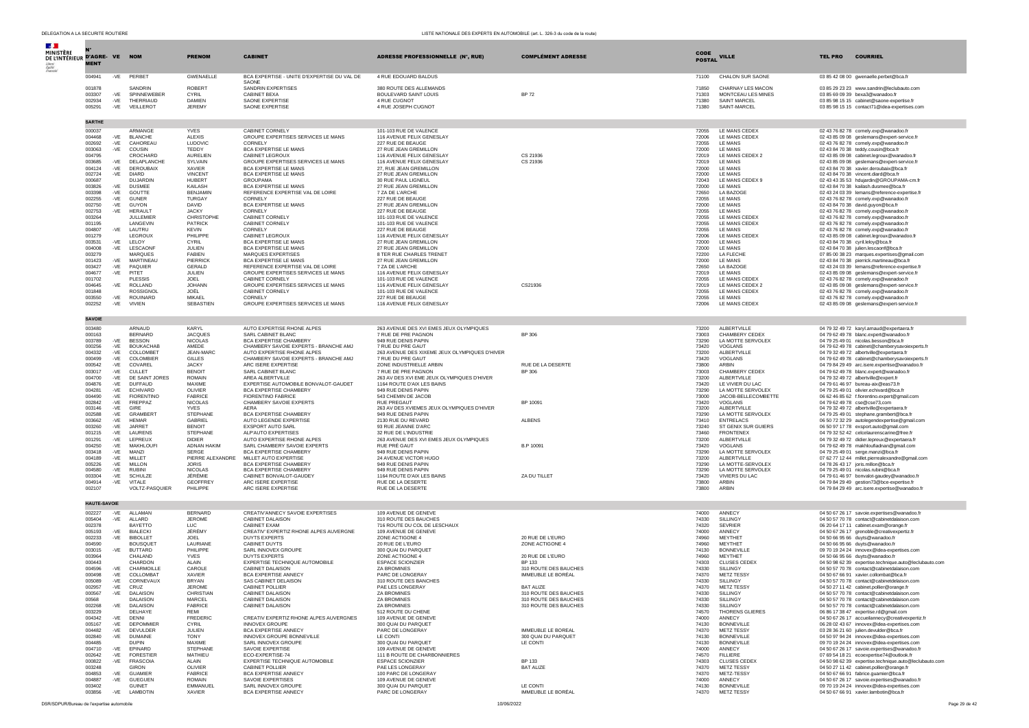| $\mathcal{L}$                                     |                     |                |                                     |                                  |                                                                        |                                                                   |                                                |                |                                         |                                                                                |                                                                                                    |
|---------------------------------------------------|---------------------|----------------|-------------------------------------|----------------------------------|------------------------------------------------------------------------|-------------------------------------------------------------------|------------------------------------------------|----------------|-----------------------------------------|--------------------------------------------------------------------------------|----------------------------------------------------------------------------------------------------|
| <b>MINISTÈRE</b><br>DE L'INTÉRIEUR D'AGRE- VE NOM |                     |                |                                     | <b>PRENOM</b>                    | <b>CABINET</b>                                                         | <b>ADRESSE PROFESSIONNELLE (N°, RUE)</b>                          | <b>COMPLÉMENT ADRESSE</b>                      | CODE           | <b>VILLE</b>                            | <b>TEL PRO</b>                                                                 | <b>COURRIEL</b>                                                                                    |
|                                                   | <b>MENT</b>         |                |                                     |                                  |                                                                        |                                                                   |                                                | <b>POSTAL</b>  |                                         |                                                                                |                                                                                                    |
|                                                   |                     |                |                                     |                                  |                                                                        |                                                                   |                                                |                |                                         |                                                                                |                                                                                                    |
|                                                   | 004941              |                | -VE PERBET                          | GWENAELLE                        | BCA EXPERTISE - UNITE D'EXPERTISE DU VAL DE                            | 4 RUE EDOUARD BALDUS                                              |                                                | 71100          | CHALON SUR SAONE                        |                                                                                | 03 85 42 08 00 gwenaelle.perbet@bca.fr                                                             |
|                                                   | 001878              |                | SANDRIN                             | ROBERT                           | SAONE<br>SANDRIN EXPERTISES                                            | 380 ROUTE DES ALLEMANDS                                           |                                                | 71850          | CHARNAY LES MACON                       |                                                                                | 03 85 29 23 23 www.sandrin@leclubauto.com                                                          |
|                                                   | 003307              | $-VE$          | SPINNEWEBER                         | CYRIL                            | <b>CABINET BEXA</b>                                                    | <b>BOULEVARD SAINT LOUIS</b>                                      | <b>BP 72</b>                                   | 71303          | MONTCEAU LES MINES                      | 03 85 69 09 39 bexa3@wanadoo.fr                                                |                                                                                                    |
|                                                   | 002934              | $-VE$          | THERRIAUD                           | <b>DAMIEN</b>                    | <b>SAONE EXPERTISE</b>                                                 | 4 RUE CUGNOT                                                      |                                                | 71380          | SAINT MARCEL                            |                                                                                | 03 85 98 15 15 cabinet@saone-expertise.fr                                                          |
|                                                   | 005291              |                | -VE VEILLEROT                       | <b>JEREMY</b>                    | SAONE EXPERTISE                                                        | 4 RUE JOSEPH CUGNOT                                               |                                                | 71380          | SAINT-MARCEL                            |                                                                                | 03 85 98 15 15 contact71@idea-expertises.com                                                       |
|                                                   | <b>SARTHE</b>       |                |                                     |                                  |                                                                        |                                                                   |                                                |                |                                         |                                                                                |                                                                                                    |
|                                                   | 000037              |                | ARMANGE                             | <b>YVES</b>                      | CABINET CORNELY                                                        |                                                                   |                                                | 72055          | LE MANS CEDEX                           |                                                                                |                                                                                                    |
|                                                   | 004468              | $-VE$          | <b>BLANCHE</b>                      | ALEXIS                           | GROUPE EXPERTISES SERVICES LE MANS                                     | 101-103 RUE DE VALENCE<br>116 AVENUE FELIX GENESLAY               |                                                | 72006          | LE MANS CEDEX                           |                                                                                | 02 43 76 82 78 cornely.exp@wanadoo.fr<br>02 43 85 09 08 geslemans@expert-service.fr                |
|                                                   | 002692              | $-VE$          | CAHOREAU                            | LUDOVIC                          | CORNELY                                                                | 227 RUE DE BEAUGE                                                 |                                                | 72055          | LE MANS                                 |                                                                                | 02 43 76 82 78 cornely.exp@wanadoo.fr                                                              |
|                                                   | 003063              | -VE            | COUSIN                              | TEDDY                            | BCA EXPERTISE LE MANS                                                  | 27 RUE JEAN GREMILLON                                             |                                                | 72000          | LE MANS                                 | 02 43 84 70 38 teddy.cousin@bca.fr                                             |                                                                                                    |
|                                                   | 004795<br>003685    | -VE            | CROCHARD<br>DELAPLANCHE             | <b>AURELIEN</b><br>SYLVAIN       | CABINET LEGROUX<br>GROUPE EXPERTISES SERVICES LE MANS                  | 116 AVENUE FELIX GENESLAY<br>116 AVENUE FELIX GENESLAY            | CS 21936<br>CS 21936                           | 72019<br>72019 | LE MANS CEDEX 2<br>LE MANS              |                                                                                | 02 43 85 09 08 cabinet.legroux@wanadoo.fr<br>02 43 85 09 08 geslemans@expert-service.fr            |
|                                                   | 004124              | -VE            | DEROUBAIX                           | XAVIER                           | BCA EXPERTISE LE MANS                                                  | 27, RUE JEAN GREMILLON                                            |                                                | 72000          | LE MANS                                 | 02 43 84 70 38 xavier.deroubaix@bca.fr                                         |                                                                                                    |
|                                                   | 002724              | $-VE$          | <b>DIARD</b>                        | <b>VINCENT</b>                   | BCA EXPERTISE LE MANS                                                  | 27 RUE JEAN GREMILLON                                             |                                                | 72000          | LE MANS                                 | 02 43 84 70 38 vincent.diard@bca.fr                                            |                                                                                                    |
|                                                   | 000687              | $-VE$          | <b>DUJARDIN</b><br><b>DUSMEE</b>    | <b>HUBERT</b><br>KAILASH         | <b>GROUPAMA</b><br>BCA EXPERTISE LE MANS                               | 30 RUE PAUL LIGNEUL                                               |                                                | 72043          | LE MANS CEDEX 9<br>LE MANS              |                                                                                | 02 43 43 35 53 hdujardin@GROUPAMA-cm.fr                                                            |
|                                                   | 003826<br>003398    | $-VE$          | <b>GOUTTE</b>                       | <b>BENJAMIN</b>                  | REFERENCE EXPERTISE VAL DE LOIRE                                       | 27 RUE JEAN GREMILLON<br>7 ZA DE L'ARCHE                          |                                                | 72000<br>72650 | <b>LA BAZOGE</b>                        | 02 43 84 70 38 kailash.dusmee@bca.fr                                           | 02 43 24 03 39 lemans@reference-expertise.fr                                                       |
|                                                   | 002255              | -VE            | <b>GUNER</b>                        | TURGAY                           | CORNELY                                                                | 227 RUE DE BEAUGE                                                 |                                                | 72055          | LE MANS                                 |                                                                                | 02 43 76 82 78 cornely.exp@wanadoo.fr                                                              |
|                                                   | 002750<br>002753    | -VE            | GUYON<br>HERAULT                    | <b>DAVID</b><br><b>JACKY</b>     | BCA EXPERTISE LE MANS<br>CORNELY                                       | 27 RUE JEAN GREMILLON<br>227 RUE DE BEAUGE                        |                                                | 72000<br>72055 | LE MANS<br>LE MANS                      | 02 43 84 70 38 david.guyon@bca.fr                                              |                                                                                                    |
|                                                   | 003264              | $-VE$          | JULLEMIER                           | CHRISTOPHE                       | CABINET CORNELY                                                        | 101-103 RUE DE VALENCE                                            |                                                | 72055          | LE MANS CEDEX                           | 02 43 76 82 78 cornely.exp@wanadoo.fr<br>02 43 76 82 78 cornely.exp@wanadoo.fr |                                                                                                    |
|                                                   | 001195              |                | LANGEVIN                            | PATRICK                          | CABINET CORNELY                                                        | 101-103 RUE DE VALENCE                                            |                                                | 72055          | LE MANS CEDEX                           |                                                                                | 02 43 76 82 78 cornely.exp@wanadoo.fr                                                              |
|                                                   | 004807              |                | -VE LAUTRU                          | <b>KFVIN</b>                     | CORNELY                                                                | 227 RUE DE BEAUGE                                                 |                                                | 72055          | <b>LE MANS</b>                          |                                                                                | 02 43 76 82 78 cornely.exp@wanadoo.fr                                                              |
|                                                   | 001279<br>003531    | $-VE$          | LEGROU><br>LELOY                    | PHILIPPE<br>CYRIL                | CABINET LEGROUX<br>BCA EXPERTISE LE MANS                               | 116 AVENUE FELIX GENESLAY<br>27 RUE JEAN GREMILLON                |                                                | 72006<br>72000 | LE MANS CEDEX<br>LE MANS                | 02 43 84 70 38 cyril.leloy@bca.fr                                              | 02 43 85 09 08 cabinet.legroux@wanadoo.fr                                                          |
|                                                   | 004008              | -VE            | LESCAONF                            | JULIEN                           | <b>BCA EXPERTISE LE MANS</b>                                           | 27 RUE JEAN GREMILLON                                             |                                                | 72000          | <b>LE MANS</b>                          | 02 43 84 70 38 julien.lescaonf@bca.fr                                          |                                                                                                    |
|                                                   | 003279              |                | MAROUES                             | <b>FABIEN</b>                    | MAROUES EXPERTISES                                                     | 8 TER RUE CHARLES TRENET                                          |                                                | 72200          | LA FLECHE                               |                                                                                | 07 85 00 38 23 marques.expertises@gmail.com                                                        |
|                                                   | 001423              | $-VE$          | MARTINEAL                           | PIERRICK                         | <b>BCA EXPERTISE LE MANS</b>                                           | 27 RUE JEAN GREMILLON                                             |                                                | 72000          | LE MANS                                 |                                                                                | 02 43 84 70 38 pierrick.martineau@bca.fr                                                           |
|                                                   | 003427<br>004677    | $-VE$<br>$-VE$ | PAQUIER<br>PITET                    | GERALD<br><b>JULIEN</b>          | REFERENCE EXPERTISE VAL DE LOIRE<br>GROUPE EXPERTISES SERVICES LE MANS | 7 ZA DE L'ARCHE<br>116 AVENUE FELIX GENESLAY                      |                                                | 72650<br>72019 | LA BAZOGE<br>LE MANS                    |                                                                                | 02 43 24 03 39 lemans@reference-expertise.fr<br>02 43 85 09 08 geslemans@expert-service.fr         |
|                                                   | 001702              |                | <b>PLESSIS</b>                      | JOEL                             | CABINET CORNELY                                                        | 101-103 RUE DE VALENCE                                            |                                                | 72055          | LE MANS CEDEX                           |                                                                                | 02 43 76 82 78 cornely.exp@wanadoo.fr                                                              |
|                                                   | 004645              | -VE            | ROLLAND                             | <b>JOHANN</b>                    | GROUPE EXPERTISES SERVICES LE MANS                                     | 116 AVENUE FELIX GENESLAY                                         | CS21936                                        | 72019          | LE MANS CEDEX 2                         |                                                                                | 02 43 85 09 08 geslemans@expert-service.fr                                                         |
|                                                   | 001848<br>003550    | -VE            | <b>ROSSIGNOL</b><br>ROUINARD        | JOËL<br><b>MIKAFI</b>            | CABINET CORNELY<br>CORNELY                                             | 101-103 RUE DE VALENCE<br>227 RUE DE BEAUGE                       |                                                | 72055<br>72055 | LE MANS CEDEX<br><b>LE MANS</b>         | 02 43 76 82 78 cornely.exp@wanadoo.fr<br>02 43 76 82 78 cornely.exp@wanadoo.fr |                                                                                                    |
|                                                   | 002252              |                | -VE VIVIEN                          | <b>SEBASTIEN</b>                 | GROUPE EXPERTISES SERVICES LE MANS                                     | 116 AVENUE FELIX GENESLAY                                         |                                                | 72006          | LE MANS CEDEX                           |                                                                                | 02 43 85 09 08 geslemans@expert-service.fr                                                         |
|                                                   |                     |                |                                     |                                  |                                                                        |                                                                   |                                                |                |                                         |                                                                                |                                                                                                    |
|                                                   | <b>SAVOIE</b>       |                |                                     |                                  |                                                                        |                                                                   |                                                |                |                                         |                                                                                |                                                                                                    |
|                                                   | 003480              |                | ARNAUD                              | KARYL                            | AUTO EXPERTISE RHONE ALPES                                             | 263 AVENUE DES XVI EMES JEUX OLYMPIQUES                           |                                                | 73200          | ALBERTVILLE                             |                                                                                | 04 79 32 49 72 karyl.arnaud@expertaera.fr                                                          |
|                                                   | 000163              |                | <b>BERNARD</b>                      | <b>JACQUES</b>                   | SARL CABINET BLANC                                                     | 7 RUE DE PRE PAGNON                                               | <b>BP 306</b>                                  | 73003          | CHAMBERY CEDEX                          |                                                                                | 04 79 62 49 78 blanc.expert@wanadoo.fr                                                             |
|                                                   | 003789<br>000256    | $-VE$<br>-VE   | <b>BESSON</b><br><b>BOUKACHAB</b>   | <b>NICOLAS</b><br>AMEDE          | BCA EXPERTISE CHAMBERY<br>CHAMBERY SAVOIE EXPERTS - BRANCHE AMJ        | 949 RUE DENIS PAPIN<br>7 RUE DU PRE GAUT                          |                                                | 73290<br>73420 | LA MOTTE SERVOLEX<br>VOGLANS            | 04 79 25 49 01 nicolas.besson@bca.fr                                           | 04 79 62 49 78 cabinet@chamberysavoiexnerts.fr                                                     |
|                                                   | 004332              | $-VE$          | COLLOMBET                           | JEAN-MARC                        | AUTO EXPERTISE RHONE ALPES                                             | 263 AVENUE DES XIXEME JEUX OLYMPIQUES D'HIVER                     |                                                | 73200          | ALBERTVILLE                             | 04 79 32 49 72 albertville@expertaera.fr                                       |                                                                                                    |
|                                                   | 000499              | -VE            | COLOMBIER                           | <b>GILLES</b>                    | CHAMBERY SAVOIE EXPERTS - BRANCHE AMJ                                  | 7 RUE DU PRE GAUT                                                 |                                                | 73420          | VOGLANS                                 |                                                                                | 04 79 62 49 78 cabinet@chamberysavoiexperts.fr                                                     |
|                                                   | 000542              | $-VE$          | COVAREL                             | <b>JACKY</b>                     | ARC ISERE EXPERTISE<br>SARL CABINET BLANC                              | ZONE INDUSTRIELLE ARBIN                                           | RUE DE LA DESERTE                              | 73800          | ARBIN                                   |                                                                                | 04 79 84 29 49 arc.isere.expertise@wanadoo.fr                                                      |
|                                                   | 003017<br>004700    | -VE<br>$-VE$   | <b>CULLET</b><br>DE SAINT JORES     | <b>BENOIT</b><br><b>ROMAIN</b>   | AREA ALBERTVILLE                                                       | 7 RUE DE PRE PAGNON<br>263 AV DES XVI EME JEUX OLYMPIQUES D'HIVER | <b>BP 306</b>                                  | 73003<br>73200 | CHAMBERY CEDEX<br>ALBERTVILLE           | 04 79 32 49 72 albertville@expert.fr                                           | 04 79 62 49 78 blanc.expert@wanadoo.fr                                                             |
|                                                   | 004876              | $-VE$          | <b>DUFFAUD</b>                      | MAXIME                           | EXPERTISE AUTOMOBILE BONVALOT-GAUDET                                   | 1164 ROUTE D'AIX LES BAINS                                        |                                                | 73420          | LE VIVIER DU LAC                        | 04 79 61 46 97 bureau-aix@eas73.fr                                             |                                                                                                    |
|                                                   | 004281              | -VE            | ECHIVARD                            | OLIVIER                          | <b>BCA EXPERTISE CHAMBERY</b>                                          | 949 RUE DENIS PAPIN                                               |                                                | 73290          | LA MOTTE SERVOLEX                       | 04 79 25 49 01 olivier.echivard@bca.fr                                         |                                                                                                    |
|                                                   | 004490<br>002842    | $-VE$<br>-VE   | <b>FIORENTINO</b><br><b>ERFPPAZ</b> | <b>FABRICE</b><br><b>NICOLAS</b> | FIORENTINO FABRICE<br>CHAMBERY SAVOIE EXPERTS                          | 543 CHEMIN DE JACOB<br><b>RUE PREGAUT</b>                         | BP 10091                                       | 73000<br>73420 | JACOB-BELLECOMBETTE<br>VOGLANS          | 04 79 62 49 78 cse@cse73.com                                                   | 06 62 46 85 62 f.fiorentino.expert@gmail.com                                                       |
|                                                   | 003146              | -VE            | GIRE                                | <b>YVES</b>                      | <b>AERA</b>                                                            | 263 AV DES XVIEMES JEUX OLYMPIQUES D'HIVER                        |                                                | 73200          | ALBERTVILLE                             | 04 79 32 49 72 albertville@expertaera.fr                                       |                                                                                                    |
|                                                   | 002588              |                | -VE GRAMBERT                        | STEPHANE                         | BCA EXPERTISE CHAMBERY                                                 | 949 RUE DENIS PAPIN                                               |                                                | 73290          | LA MOTTE SERVOLEX                       |                                                                                | 04 79 25 49 01 stephane.grambert@bca.fr                                                            |
|                                                   | 003662<br>003260    | -VE<br>-VE     | <b>HFMAR</b><br><b>JARRET</b>       | <b>GABRIEL</b><br><b>BENOIT</b>  | AUTO LEGENDE EXPERTISE<br>EXSPORT AUTO SARL                            | 2130 RUE DU REVARD<br>93 RUE JEANNE D'ARC                         | <b>ALBENS</b>                                  | 73410<br>73240 | <b>ENTRELACS</b><br>ST GENIX SUR GUIERS |                                                                                | 06 50 72 32 29 autolegendexpertise@gmail.com<br>06 50 97 17 78 exsport.auto@gmail.com              |
|                                                   | 001215              | -VE            | LAURENS                             | STEPHANE                         | ALP'AUTO EXPERTISES                                                    | 32 RUE DE L'INDUSTRIE                                             |                                                | 73460          | <b>FRONTENEX</b>                        |                                                                                | 04 79 32 52 42 celcelaurenscarine@free.fr                                                          |
|                                                   | 001291              | -VE            | LEPREUX                             | <b>DIDIER</b>                    | AUTO EXPERTISE RHONE ALPES                                             | 263 AVENUE DES XVI EMES JEUX OLYMPIQUES                           |                                                | 73200          | ALBERTVILLE                             |                                                                                | 04 79 32 49 72 didier.lepreux@expertaera.fr                                                        |
|                                                   | 004250              | -VE            | MAKHLOUF                            | <b>ADNAN HAKIM</b>               | SARL CHAMBERY SAVOIE EXPERTS                                           | RUE PRÉ GAUT                                                      | <b>B.P 10091</b>                               | 73420          | VOGLANS                                 |                                                                                | 04 79 62 49 78 makhloufiadnan@gmail.com                                                            |
|                                                   | 003418<br>004189    | -VE            | -VE MANZI<br>MILLET                 | SERGE<br>PIERRE ALEXANDRE        | <b>BCA EXPERTISE CHAMBERY</b><br>MILLET AUTO EXPERTISE                 | 949 RUE DENIS PAPIN<br>24 AVENUE VICTOR HUGO                      |                                                | 73290<br>73200 | LA MOTTE SERVOLEX<br>ALBERTVILLE        | 04 79 25 49 01 serge.manzi@bca.fr                                              | 07 62 77 12 44 millet.pierrealexandre@gmail.com                                                    |
|                                                   | 005226              | $-VE$          | MILLON                              | <b>JORIS</b>                     | <b>BCA EXPERTISE CHAMBERY</b>                                          | 949 RUE DENIS PAPIN                                               |                                                | 73290          | LA MOTTE-SERVOLEX                       | 04 78 26 43 17 ioris.millon@bca.fr                                             |                                                                                                    |
|                                                   | 004580              | -VE            | <b>RUBINI</b>                       | <b>NICOLAS</b>                   | <b>BCA EXPERTISE CHAMBERY</b>                                          | 949 RUE DENIS PAPIN                                               |                                                | 73290          | LA MOTTE SERVOLEX                       | 04 79 25 49 01 nicolas.rubini@bca.fr                                           |                                                                                                    |
|                                                   | 003304<br>004914    | -VE<br>-VE     | SCHULZE<br>VITALE                   | JÉRÉMIE<br><b>GEOFFREY</b>       | CABINET BONVALOT-GAUDEY<br>ARC ISERE EXPERTISE                         | 1164 ROUTE D'AIX LES BAINS<br>RUE DE LA DESERTE                   | ZA DU TILLET                                   | 73420<br>73800 | VIVIERS DU LAC<br>ARBIN                 |                                                                                | 04 79 61 46 97 bonvalot-gaudey@wanadoo.fr<br>04 79 84 29 49 gestion73@bce-expertise.fr             |
|                                                   | 002107              |                | VOLTZ-PASQUIER                      | PHILIPPE                         | ARC ISERE EXPERTISE                                                    | RUE DE LA DESERTE                                                 |                                                | 73800          | ARBIN                                   |                                                                                | 04 79 84 29 49 arc.isere.expertise@wanadoo.fr                                                      |
|                                                   |                     |                |                                     |                                  |                                                                        |                                                                   |                                                |                |                                         |                                                                                |                                                                                                    |
|                                                   | <b>HAUTE-SAVOIE</b> |                |                                     |                                  |                                                                        |                                                                   |                                                |                |                                         |                                                                                |                                                                                                    |
|                                                   | 002227              | -VE            | ALLAMAN                             | <b>BERNARD</b>                   | CREATIV'ANNECY SAVOIE EXPERTISES                                       | 109 AVENUE DE GENEVE                                              |                                                | 74000          | ANNECY                                  |                                                                                | 04 50 67 26 17 savoie.expertises@wanadoo.fr                                                        |
|                                                   | 005404<br>002378    | -VE            | ALLARD<br>BAYETTO                   | <b>JEROME</b><br>TUC.            | CABINET DALAISON<br>CABINET EXAM                                       | 310 ROUTE DES BAUCHES<br>716 ROUTE DU COL DE LESCHAUX             |                                                | 74330<br>74320 | <b>SILLINGY</b><br><b>SEVRIER</b>       | 06 20 64 17 11 cabinet.exam@orange.fr                                          | 04 50 57 70 78 contact@cabinetdalaison.com                                                         |
|                                                   | 005193              | $-VE$          | <b>BIALECKI</b>                     | JÉRÉMY                           | CREATIV' EXPERTIZ RHONE ALPES AUVERGNE                                 | 109 AVENUE DE GENEVE                                              |                                                | 74000          | ANNECY                                  |                                                                                | 04 50 67 26 17 grenoble@creativexpertiz.fr                                                         |
|                                                   | 002233              | $-VE$          | <b>BIBOLLET</b>                     | JOEL                             | <b>DUYTS EXPERTS</b>                                                   | ZONE ACTIGONE 4                                                   | 20 RUE DE L'EURO                               | 74960          | <b>MEYTHET</b>                          | 04.50.66.95.66 duvts@wanadoo.fr                                                |                                                                                                    |
|                                                   | 004590              |                | <b>BOUSQUET</b>                     | LAURIANE                         | <b>CABINET DUYTS</b>                                                   | 20 RUE DE L'EURO                                                  | ZONE ACTIGONE 4                                | 74960          | MEYTHET                                 | 04 50 66 95 66 duyts@wanadoo.fr                                                |                                                                                                    |
|                                                   | 003015<br>003964    |                | -VE BUTTARD<br>CHALAND              | PHILIPPE<br><b>YVES</b>          | SARL INNOVEX GROUPE<br><b>DUYTS EXPERTS</b>                            | 300 QUAI DU PARQUET<br>ZONE ACTIGONE 4                            | 20 RUE DE L'EURO                               | 74130<br>74960 | <b>BONNEVILLE</b><br><b>MEYTHET</b>     | 04 50 66 95 66 duvts@wanadoo.fr                                                | 09 70 19 24 24 innovex@idea-expertises.com                                                         |
|                                                   | 000443              |                | CHARDON                             | ALAIN                            | EXPERTISE TECHNIQUE AUTOMOBILE                                         | <b>ESPACE SCIONZIER</b>                                           | BP 133                                         | 74303          | <b>CLUSES CEDEX</b>                     |                                                                                | 04 50 98 62 39 expertise.technique.auto@leclubauto.com                                             |
|                                                   | 004596              |                | -VE CHARMOILLE                      | CAROLE                           | CABINET DALAISON                                                       | <b>ZA BROMINES</b>                                                | 310 ROUTE DES BAUCHES                          | 74330          | SILLINGY                                |                                                                                | 04 50 57 70 78 contact@cabinetdalaison.com                                                         |
|                                                   | 000498<br>005089    | -VE<br>-VE     | COLLOMBAT<br>CORNEVAUX              | <b>XAVIER</b><br><b>BRYAN</b>    | <b>BCA EXPERTISE ANNECY</b><br>SAS CABINET DELAISON                    | PARC DE LONGERAY<br>310 ROUTE DES BANCHES                         | IMMEUBLE LE BORÉAL                             | 74370<br>74330 | MFTZ TESSY<br>SILLINGY                  | 04 50 67 66 91 xavier.collombat@bca.fr                                         | 04 50 57 70 78 contact@cabinetdelaison.com                                                         |
|                                                   | 002957              | -VF            | CRUZ                                | <b>JEROME</b>                    | CABINET POLLIER                                                        | PAE LES LONGERAY                                                  | BAT ALIZE                                      | 74370          | MFTZ TESS                               | 04.50.27.11.42 cabinet.pollier@orange.fr                                       |                                                                                                    |
|                                                   | 000567              | -VE            | <b>DALAISON</b>                     | CHRISTIAN                        | CABINET DALAISON                                                       | <b>ZA BROMINES</b>                                                | 310 ROUTE DES BAUCHES                          | 74330          | SILLINGY                                |                                                                                | 04 50 57 70 78 contact@cabinetdalaison.com                                                         |
|                                                   | 00568               |                | <b>DALAISON</b>                     | MARCEL                           | CABINET DALAISON                                                       | <b>ZA BROMINES</b>                                                | 310 ROUTE DES BAUCHES<br>310 ROUTE DES BAUCHES | 74330          | <b>SILLINGY</b>                         |                                                                                | 04 50 57 70 78 contact@cabinetdalaison.com                                                         |
|                                                   | 002268<br>003229    | $-VE$          | DALAISON<br>DELHAYE                 | FABRICE<br>RFMI                  | CABINET DALAISON                                                       | <b>ZA BROMINES</b><br>512 ROUTE DU CHENE                          |                                                | 74330<br>74570 | <b>SILLINGY</b><br>THORENS GLIERES      | 06 86 17 38 47 expertise.rd@gmail.com                                          | 04 50 57 70 78 contact@cabinetdalaison.com                                                         |
|                                                   | 004342              | $-VE$          | <b>DENNI</b>                        | FREDERIC                         | CREATIV EXPERTIZ RHONE ALPES AUVERGNES                                 | 109 AVENUE DE GENEVE                                              |                                                | 74000          | ANNECY                                  |                                                                                | 04 50 67 26 17 accueilannecy@creativexpertiz.fr                                                    |
|                                                   | 005167              | -VE            | <b>DEPOMMIER</b>                    | CYRIL                            | INNOVEX GROUPE                                                         | 300 QUAI DU PARQUET                                               |                                                | 74130          | <b>BONNEVILLE</b>                       |                                                                                | 06 28 02 43 67 innovex@idea-expertises.com                                                         |
|                                                   | 004482<br>002840    | -VE<br>$-VE$   | DEVULDER<br><b>DUMAINE</b>          | <b>JULIEN</b><br><b>TONY</b>     | <b>BCA EXPERTISE ANNECY</b><br>INNOVEX GROUPE BONNEVILLE               | PARC DE LONGERAY<br>LE CONTI                                      | IMMEUBLE LE BOREAL<br>300 QUAI DU PARQUET      | 74370<br>74130 | <b>METZ TESSY</b><br><b>BONNEVILLE</b>  | 03 28 36 21 60 julien.devulder@bca.fr                                          | 04 50 97 94 24 innovex@idea-expertises.com                                                         |
|                                                   | 004485              |                | <b>DUPIN</b>                        | MAXIME                           | SARL INNOVEX GROUPE                                                    | 300 QUAI DU PARQUET                                               | LE CONTI                                       | 74130          | <b>BONNEVILLE</b>                       |                                                                                | 09 70 19 24 24 innovex@idea-expertises.com                                                         |
|                                                   | 004710              | -VE            | EPINARD                             | STEPHANE                         | SAVOIE EXPERTISE                                                       | 109 AVENUE DE GENEVE                                              |                                                | 74000          | ANNECY                                  |                                                                                | 04 50 67 26 17 savoie.expertises@wanadoo.fr                                                        |
|                                                   | 002642              | $-VE$          | <b>FORESTIER</b>                    | MATHIEU                          | ECO-EXPERTISE-74                                                       | 111 B ROUTE DE CHARBONNIERES                                      |                                                | 74570          | <b>FILLIERE</b>                         |                                                                                | 07 69 54 18 21 ecoexpertise74@outlook.fr                                                           |
|                                                   | 000822<br>003248    | -VE            | <b>FRASCOIA</b><br><b>GIRON</b>     | ALAIN<br>OLIVIER                 | EXPERTISE TECHNIQUE AUTOMOBILE<br><b>CABINET POLLIER</b>               | <b>ESPACE SCIONZIER</b><br>PAE LES LONGERAY                       | BP 133<br><b>BAT ALIZE</b>                     | 74303<br>74370 | <b>CLUSES CEDEX</b><br>METZ TESSY       |                                                                                | 04 50 98 62 39 expertise.technique.auto@leclubauto.com<br>04 50 27 11 42 cabinet.pollier@orange.fr |
|                                                   | 004853              | $-VE$          | <b>GUAMIER</b>                      | FABRICE                          | BCA EXPERTISE ANNECY                                                   | 100 PARC DE LONGERAY                                              |                                                | 74370          | METZ-TESSY                              | 04 50 67 66 91 fabrice.quamier@bca.fr                                          |                                                                                                    |
|                                                   | 004887              | -VE            | <b>GUEGUEN</b>                      | <b>ROMAIN</b>                    | SAVOIE EXPERTISES                                                      | 109 AVENUE DE GENEVE                                              |                                                | 74000          | ANNECY                                  |                                                                                | 04 50 67 26 17 savoie.expertises@wanadoo.fr                                                        |
|                                                   | 003402<br>003856    |                | <b>GUINET</b><br>-VE LAMBOTIN       | EMMANUEL<br>XAVIER               | SARL INNOVEX GROUPE<br><b>BCA EXPERTISE ANNECY</b>                     | 300 QUAI DU PARQUET<br>PARC DE LONGERAY                           | LE CONTI<br>IMMEUBLE LE BORÉAL                 | 74130<br>74370 | <b>BONNEVILLE</b><br><b>METZ TESSY</b>  | 04 50 67 66 91 xavier.lambotin@bca.fr                                          | 09 70 19 24 24 innovex@idea-expertises.com                                                         |

DSR/SDPUR/Bureau de l'expertise automobile 10/06/2022 Page 29 de 42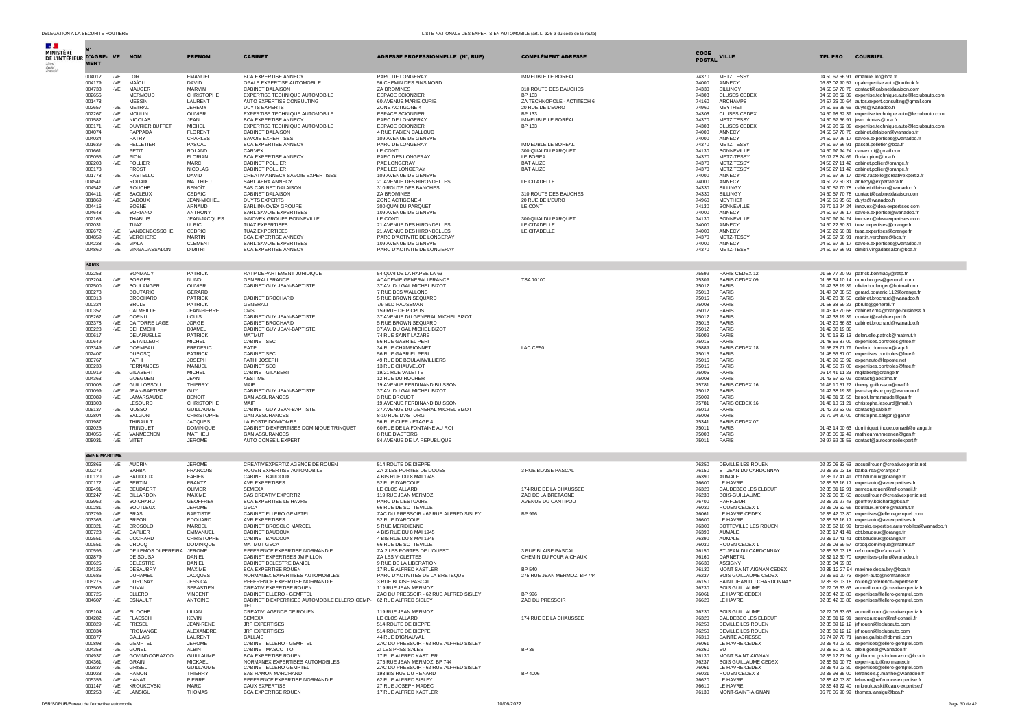| $\mathbf{r}$                                      |                       |                  |                                        |                                  |                                                                                 |                                                           |                                                  |                |                                                         |                                                                                                            |
|---------------------------------------------------|-----------------------|------------------|----------------------------------------|----------------------------------|---------------------------------------------------------------------------------|-----------------------------------------------------------|--------------------------------------------------|----------------|---------------------------------------------------------|------------------------------------------------------------------------------------------------------------|
| <b>MINISTÈRE</b><br>DE L'INTÉRIEUR D'AGRE- VE NOM |                       |                  |                                        | <b>PRENOM</b>                    | <b>CABINET</b>                                                                  | <b>ADRESSE PROFESSIONNELLE (N°, RUE)</b>                  | <b>COMPLÉMENT ADRESSE</b>                        | <b>CODE</b>    | <b>VILLE</b>                                            | <b>TEL PRO</b><br><b>COURRIEL</b>                                                                          |
|                                                   | <b>MENT</b>           |                  |                                        |                                  |                                                                                 |                                                           |                                                  | <b>POSTAL</b>  |                                                         |                                                                                                            |
|                                                   |                       |                  |                                        |                                  |                                                                                 |                                                           |                                                  |                |                                                         |                                                                                                            |
|                                                   | 004012<br>004179      | -VE LOR<br>$-VE$ | MAÏOLI                                 | EMANUEL<br><b>DAVID</b>          | BCA EXPERTISE ANNECY<br>OPALE EXPERTISE AUTOMOBILE                              | PARC DE LONGERAY<br>56 CHEMIN DES FINS NORD               | IMMEUBLE LE BOREAL                               | 74370<br>74000 | METZ TESSY<br>ANNECY                                    | 04 50 67 66 91 emanuel.lor@bca.fr<br>06 83 02 90 57 opalexpertise.auto@outlook.fr                          |
|                                                   | 004733                | -VE              | MAUGER                                 | <b>MARVIN</b>                    | <b>CABINET DALAISON</b>                                                         | <b>ZA BROMINES</b>                                        | 310 ROUTE DES BAUCHES                            | 74330          | SILLINGY                                                | 04 50 57 70 78 contact@cabinetdalaison.com                                                                 |
|                                                   | 002656<br>001478      |                  | MERMOUD<br><b>MESSIN</b>               | CHRISTOPHE<br>LAURENT            | EXPERTISE TECHNIQUE AUTOMOBILE<br>AUTO EXPERTISE CONSULTING                     | <b>ESPACE SCIONZIER</b><br>60 AVENUE MARIE CURIE          | BP 133<br>ZA TECHNOPOLE - ACTITECH 6             | 74303<br>74160 | <b>CLUSES CEDEX</b><br><b>ARCHAMPS</b>                  | 04 50 98 62 39 expertise.technique.auto@leclubauto.com<br>04 57 26 00 64 autos.expert.consulting@gmail.com |
|                                                   | 002657                | -VE              | METRAL                                 | JEREMY                           | <b>DUYTS EXPERTS</b>                                                            | ZONE ACTIGONE 4                                           | 20 RUE DE L'EURO                                 | 74960          | <b>MEYTHET</b>                                          | 04 50 66 95 66 duyts@wanadoo.fr                                                                            |
|                                                   | 002267                | -VE              | <b>MOULIN</b>                          | OLIVIER                          | EXPERTISE TECHNIQUE AUTOMOBILE                                                  | <b>ESPACE SCIONZIER</b>                                   | BP 133                                           | 74303          | <b>CLUSES CEDEX</b>                                     | 04 50 98 62 39 expertise.technique.auto@leclubauto.com                                                     |
|                                                   | 001582<br>003171      | -VE<br>-VE       | <b>NICOLAS</b><br>OUVRIER BUFFET       | JEAN<br>MICHEL                   | BCA EXPERTISE ANNECY<br>EXPERTISE TECHNIQUE AUTOMOBILE                          | PARC DE LONGERAY<br><b>ESPACE SCIONZIER</b>               | IMMEUBLE LE BORÉAL<br>BP 133                     | 74370<br>74303 | METZ TESSY<br><b>CLUSES CEDEX</b>                       | 04 50 67 66 91 iean.nicolas@bca.fr<br>04 50 98 62 39 expertise.technique.auto@leclubauto.com               |
|                                                   | 004074                |                  | PAPPADA                                | <b>FLORENT</b>                   | CABINET DALAISON                                                                | 4 RUE FABIEN CALLOUD                                      |                                                  | 74000          | ANNECY                                                  | 04 50 57 70 78 cabinet.dalaison@wanadoo.fr                                                                 |
|                                                   | 004024                |                  | PATRY                                  | CHARLES<br>PASCAL                | SAVOIE EXPERTISES                                                               | 109 AVENUE DE GENEVE                                      |                                                  | 74000<br>74370 | <b>ANNECY</b>                                           | 04 50 67 26 17 savoie.expertises@wanadoo.fr                                                                |
|                                                   | 001639<br>001661      | -VE              | PELLETIER<br>PETIT                     | <b>ROLAND</b>                    | BCA EXPERTISE ANNECY<br>CARVEX                                                  | PARC DE LONGERAY<br>LE CONTI                              | <b>IMMEUBLE LE BOREAL</b><br>300 QUAI DU PARQUET | 74130          | METZ TESSY<br><b>BONNEVILLE</b>                         | 04 50 67 66 91 pascal.pelletier@bca.fr<br>04 50 97 94 24 carvex.dt@gmail.com                               |
|                                                   | 005055                |                  | -VE PION                               | <b>FLORIAN</b>                   | <b>BCA EXPERTISE ANNECY</b>                                                     | PARC DES LONGERAY                                         | LE BOREA                                         | 74370          | METZ-TESSY                                              | 06 07 78 24 69 florian.pion@bca.fr                                                                         |
|                                                   | 002203<br>003178      | -VE              | POLLIER<br><b>PROST</b>                | <b>MARC</b><br><b>NICOLAS</b>    | <b>CABINET POLLIER</b><br>CABINET POLLIER                                       | PAE LONGERAY<br>PAE LES LONGERAY                          | <b>BAT ALIZE</b><br><b>BAT ALIZE</b>             | 74370<br>74370 | <b>METZ TESSY</b><br><b>METZ TESSY</b>                  | 04 50 27 11 42 cabinet.pollier@orange.fr<br>04 50 27 11 42 cabinet.pollier@orange.fr                       |
|                                                   | 001778                | -VE              | RASTELLO                               | <b>DAVID</b>                     | CREATIV'ANNECY SAVOIE EXPERTISES                                                | 109 AVENUE DE GENEVE                                      |                                                  | 74000          | ANNECY                                                  | 04 50 67 26 17 david.rastello@creativexpertiz.fr                                                           |
|                                                   | 004541                |                  | <b>ROUAIX</b>                          | MATTHIEU                         | SARI AFRA ANNECY                                                                | 21 AVENUE DES HIRONDELLES                                 | LE CITADELLE                                     | 74000          | ANNECY                                                  | 04 50 22 60 31 annecy@expertaera.fr                                                                        |
|                                                   | 004542<br>004411      | -VF<br>-VE       | <b>ROUCHE</b><br>SACLEUX               | <b>BENOÎT</b><br>CEDRIC          | SAS CABINET DAI AISON<br>CABINET DALAISON                                       | 310 ROUTE DES BANCHES<br><b>ZA BROMINES</b>               | 310 ROUTE DES BAUCHES                            | 74330<br>74330 | SILLINGY<br><b>SILLINGY</b>                             | 04 50 57 70 78 cabinet dilaison@wanadoo.fr<br>04 50 57 70 78 contact@cabinetdalaison.com                   |
|                                                   | 001869                | -VE              | SADOUX                                 | JEAN-MICHEL                      | <b>DUYTS EXPERTS</b>                                                            | ZONE ACTIGONE 4                                           | 20 RUE DE L'EURO                                 | 74960          | MEYTHET                                                 | 04 50 66 95 66 duyts@wanadoo.fr                                                                            |
|                                                   | 004416                |                  | SOENE                                  | ARNAUD                           | SARL INNOVEX GROUPE                                                             | 300 QUAI DU PARQUET                                       | LE CONTI                                         | 74130          | <b>BONNEVILLE</b>                                       | 09 70 19 24 24 innovex@idea-expertises.com                                                                 |
|                                                   | 004648<br>002165      | -VE              | SORIANO<br><b>THABUIS</b>              | ANTHONY<br>JEAN-JACQUES          | SARL SAVOIE EXPERTISES<br>INNOVEX GROUPE BONNEVILLE                             | 109 AVENUE DE GENEVE<br>LE CONTI                          | 300 QUAI DU PARQUET                              | 74000<br>74130 | ANNECY<br><b>BONNEVILLE</b>                             | 04 50 67 26 17 savoie.expertise@wanadoo.fr<br>04 50 97 94 24 innovex@idea-expertises.com                   |
|                                                   | 002031                |                  | TUAZ                                   | <b>ULRIC</b>                     | <b>TUAZ EXPERTISES</b>                                                          | 21 AVENUE DES HIRONDELLES                                 | LE CITADELLE                                     | 74000          | ANNECY                                                  | 04 50 22 60 31 tuaz.expertises@orange.fr                                                                   |
|                                                   | 002672                | $-VE$            | VANDENBOSSCHE                          | CEDRIC                           | <b>TUAZ EXPERTISES</b>                                                          | 21 AVENUE DES HIRONDELLES                                 | LE CITADELLE                                     | 74000          | ANNECY                                                  | 04 50 22 60 31 tuaz.expertises@orange.fr                                                                   |
|                                                   | 004859<br>004228      | -VE<br>-VE       | VERCHERE<br>VIALA                      | <b>MARTIN</b><br><b>CLEMENT</b>  | BCA EXPERTISE ANNECY<br>SARL SAVOIE EXPERTISES                                  | PARC D'ACTIVITE DE LONGERAY<br>109 AVENUE DE GENEVE       |                                                  | 74370<br>74000 | METZ-TESSY<br>ANNECY                                    | 04 50 67 66 91 martin.verchere@bca.fr<br>04 50 67 26 17 savoie.expertises@wanadoo.fr                       |
|                                                   | 004860                |                  | -VE VINGADASSALON                      | <b>DIMITRI</b>                   | BCA EXPERTISE ANNECY                                                            | PARC D'ACTIVITE DE LONGERAY                               |                                                  | 74370          | METZ-TESSY                                              | 04 50 67 66 91 dimitri.vingadassalon@bca.fr                                                                |
|                                                   |                       |                  |                                        |                                  |                                                                                 |                                                           |                                                  |                |                                                         |                                                                                                            |
|                                                   | <b>PARIS</b>          |                  |                                        |                                  |                                                                                 |                                                           |                                                  |                |                                                         |                                                                                                            |
|                                                   | 002253                |                  | <b>BONMACY</b>                         | <b>PATRICK</b>                   | RATP DEPARTEMENT JURIDIQUE                                                      | 54 QUAI DE LA RAPEE LA 63                                 |                                                  | 75599          | PARIS CEDEX 12                                          | 01 58 77 20 92 patrick.bonmacy@ratp.fr                                                                     |
|                                                   | 003204                | $-VE$            | <b>BORGES</b>                          | <b>NUNO</b><br>OLIVIER           | <b>GENERALI FRANCE</b>                                                          | ACADEMIE GENERALI FRANCE                                  | <b>TSA 70100</b>                                 | 75309          | PARIS CEDEX 09<br>PARIS                                 | 01 58 34 10 14 nuno.borges@generali.com                                                                    |
|                                                   | 002500<br>000278      | -VE              | <b>BOULANGER</b><br><b>BOUTARIC</b>    | <b>GERARD</b>                    | CABINET GUY JEAN-BAPTISTE                                                       | 37 AV. DU GAL MICHEL BIZOT<br>7 RUE DES WALLONS           |                                                  | 75012<br>75013 | PARIS                                                   | 01 42 38 19 39 olivierboulanger@hotmail.com<br>01 47 07 08 58 gerard.boutaric.112@orange.fr                |
|                                                   | 000318                |                  | <b>BROCHARD</b>                        | PATRICK                          | CABINET BROCHARD                                                                | 5 RUE BROWN SEQUARD                                       |                                                  | 75015          | PARIS                                                   | 01 43 20 86 53 cabinet.brochard@wanadoo.fr                                                                 |
|                                                   | 000324                |                  | <b>BRULE</b>                           | PATRICK                          | <b>GENERALI</b>                                                                 | 7/9 BLD HAUSSMAN                                          |                                                  | 75008          | PARIS                                                   | 01 58 38 59 22 pbrule@generali.fr                                                                          |
|                                                   | 000357<br>005262      | -VE              | CALMEILLE<br>CORNU                     | <b>JEAN-PIERRE</b><br>LOUIS      | <b>CMS</b><br>CABINET GUY JEAN-BAPTISTE                                         | 159 RUE DE PICPUS<br>37 AVENUE DU GENERAL MICHEL BIZOT    |                                                  | 75012<br>75012 | <b>PARIS</b><br>PARIS                                   | 01 43 43 70 68 cabinet.cms@orange-business.fr<br>01 42 38 19 39 contact@cabjb-expert.fr                    |
|                                                   | 003378                |                  | -VE DA TORRE LAGE                      | JORGE                            | CABINET BROCHARD                                                                | 5 RUE BROWN SEOUARD                                       |                                                  | 75015          | PARIS                                                   | 01 43 20 86 83 cabinet.brochard@wanadoo.fr                                                                 |
|                                                   | 003228                |                  | -VE DEHEMCHI                           | D.IAMEL                          | CABINET GUY JEAN-BAPTISTE                                                       | 37 AV. DU GAL MICHEL BIZOT                                |                                                  | 75012          | <b>PARIS</b>                                            | 01 42 38 19 39                                                                                             |
|                                                   | 000617<br>000649      |                  | DELARUELLE<br>DETAILLEUR               | PATRICH<br><b>MICHEL</b>         | MATMUT<br>CABINET SEC                                                           | 74 RUE SAINT LAZARE<br>56 RUE GABRIEL PERI                |                                                  | 75009<br>75015 | PARIS<br>PARIS                                          | 01 40 16 33 13 delaruelle.patrick@matmut.fr<br>01 48 56 87 00 expertises.controles@free.fr                 |
|                                                   | 003349                |                  | -VE DORMEAU                            | <b>FREDERIC</b>                  | RATP                                                                            | 34 RUE CHAMPIONNET                                        | LAC CE50                                         | 75889          | PARIS CEDEX 18                                          | 01 58 78 71 79 frederic.dormeau@ratp.fr                                                                    |
|                                                   | 002407                |                  | <b>DUBOSO</b>                          | PATRICK                          | CABINET SEC                                                                     | 56 RUE GABRIEL PERI                                       |                                                  | 75015          | PARIS                                                   | 01 48 56 87 00 expertises.controles@free.fr                                                                |
|                                                   | 003767<br>003238      |                  | FATHI<br><b>FERNANDES</b>              | <b>JOSEPH</b><br>MANUEL          | FATHI JOSEPH<br>CABINET SEC                                                     | 49 RUE DE BOULAINVILLIERS<br>13 RUE CHAUVELOT             |                                                  | 75016<br>75015 | PARIS<br>PARIS                                          | 01 43 99 53 92 expertauto@laposte.net<br>01 48 56 87 00 expertises.controles@free.fr                       |
|                                                   | 000919                | -VE              | GILABERT                               | <b>MICHEL</b>                    | CABINET GILABERT                                                                | 19/21 RUE VALETTE                                         |                                                  | 75005          | PARIS                                                   | 06 14 41 11 23 mailabert@orange.fr                                                                         |
|                                                   | 004363                |                  | <b>GUEGUEN</b>                         | JFAN.                            | <b>AFSTIME</b>                                                                  | 12 RUE DU ROCHER                                          |                                                  | 75008          | <b>PARIS</b>                                            | 01 43 57 63 09 contact@aestime.fr                                                                          |
|                                                   | 001005<br>001099      | -VE<br>-VE       | GUILLOSSOU<br>JEAN-BAPTISTE            | <b>THIERRY</b><br>GUY            | MAIF<br>CABINET GUY JEAN-BAPTISTE                                               | 19 AVENUE FERDINAND BUISSON<br>37 AV. DU GAL MICHEL BIZOT |                                                  | 75781<br>75012 | PARIS CEDEX 16<br>PARIS                                 | 01 46 10 51 22 thierry.guillossou@maif.fr<br>01 42 38 19 39 iean-baptiste.ouv@wanadoo.fr                   |
|                                                   | 003089                | -VE              | LAMARSAUDE                             | <b>BENOIT</b>                    | <b>GAN ASSURANCES</b>                                                           | 3 RUE DROUOT                                              |                                                  | 75009          | <b>PARIS</b>                                            | 01 42 81 68 55 benoit.lamarsaude@gan.fr                                                                    |
|                                                   | 001303                |                  | LESOURD                                | CHRISTOPHE                       | MAIF                                                                            | 19 AVENUE FERDINAND BUISSON                               |                                                  | 75781          | PARIS CEDEX 16                                          | 01 46 10 51 21 christophe.lesourd@maif.fr                                                                  |
|                                                   | 005137                | -VE              | MUSSO                                  | <b>GUILLAUME</b>                 | CABINET GUY JEAN-BAPTISTE                                                       | 37 AVENUE DU GENERAL MICHEL BIZOT                         |                                                  | 75012          | PARIS<br>PARIS                                          | 01 42 29 53 09 contact@cabib.fr                                                                            |
|                                                   | 002804<br>001987      | -VE              | SALGON<br>THIBAUL <sup>®</sup>         | CHRISTOPHE<br><b>JACQUES</b>     | <b>GAN ASSURANCES</b><br>LA POSTE DOMI/DMRE                                     | 8-10 RUE D'ASTORG<br>56 RUE CLER - ETAGE 4                |                                                  | 75008<br>75341 | PARIS CEDEX 07                                          | 01 70 94 20 00 christophe.salgon@gan.fr                                                                    |
|                                                   | 002025                |                  | <b>TRINOUET</b>                        | <b>DOMINIOUE</b>                 | CABINET D'EXPERTISES DOMINIQUE TRINQUET                                         | 60 RUE DE LA FONTAINE AU ROI                              |                                                  | 75011          | PARIS                                                   | 01 43 14 00 63 dominiquetrinquetconseil@orange.fr                                                          |
|                                                   | 004056<br>005031      | $-VE$<br>-VE     | VANMEENEN<br>VITET                     | MATHIEU<br><b>JEROME</b>         | <b>GAN ASSURANCES</b><br>AUTO CONSEIL EXPERT                                    | 8 RUE D'ASTORG<br>84 AVENUE DE LA REPUBLIQUE              |                                                  | 75008<br>75011 | PARIS<br>PARIS                                          | 07 85 05 02 49 mathieu.vanmeenen@gan.fr<br>08 97 69 05 55 contact@autoconseilexpert.fr                     |
|                                                   |                       |                  |                                        |                                  |                                                                                 |                                                           |                                                  |                |                                                         |                                                                                                            |
|                                                   | <b>SEINE-MARITIME</b> |                  |                                        |                                  |                                                                                 |                                                           |                                                  |                |                                                         |                                                                                                            |
|                                                   | 002866                | -VE              | <b>AUDRIN</b>                          | <b>JEROME</b>                    | CREATIV'EXPERTIZ AGENCE DE ROUEN                                                | 514 ROUTE DE DIEPPE                                       |                                                  | 76250          | DEVILLE LES ROUEN                                       | 02 22 06 33 63 accueilrouen@creativexpertiz.net                                                            |
|                                                   | 002272                |                  | <b>BARBA</b>                           | <b>FRANCOIS</b>                  | ROUEN EXPERTISE AUTOMOBILE                                                      | ZA 2 LES PORTES DE L'OUEST                                | 3 RUE BLAISE PASCAL                              | 76150          | ST JEAN DU CARDONNAY                                    | 02 35 36 03 18 barba-rea@orange.fr                                                                         |
|                                                   | 000120<br>000172      | $-VE$<br>-VE     | <b>BAUDOUX</b><br><b>BERTIN</b>        | <b>FABIEN</b><br>FRANTZ          | CABINET BAUDOUX<br><b>AVR EXPERTISES</b>                                        | 4 BIS RUE DU 8 MAI 1945<br>52 RUE D'ARCOLE                |                                                  | 76390<br>76600 | AUMALE<br>LE HAVRE                                      | 02 35 17 41 41 cbt.baudoux@orange.fr<br>02 35 53 16 17 expertauto@avrexpertises.fr                         |
|                                                   | 002491                | $-VE$            | <b>BEUDAERT</b>                        | OLIVIER                          | <b>SEMEXA</b>                                                                   | LE CLOS ALLARD                                            | 174 RUE DE LA CHAUSSEE                           | 76320          | CAUDEBEC LES ELBEUF                                     | 02 35 81 12 91 semexa.rouen@ref-conseil.fr                                                                 |
|                                                   | 005247                | -VE              | BILLARDON                              | MAXIME                           | SAS CREATIV EXPERTIZ                                                            | 119 RUE JEAN MERMOZ                                       | ZAC DE LA BRETAGNE                               | 76230          | <b>BOIS-GUILLAUME</b>                                   | 02 22 06 33 63 accueilrouen@creativexpertiz.net                                                            |
|                                                   | 003952<br>000281      | -VE<br>-VE       | <b>BOICHARD</b><br><b>BOUTLEUX</b>     | GEOFFREY<br><b>JEROME</b>        | BCA EXPERTISE LE HAVRE<br><b>GECA</b>                                           | PARC DE L'ESTUAIRE<br>66 RUE DE SOTTEVILLE                | AVENUE DU CANTIPOU                               | 76700<br>76030 | <b>HARFLEUR</b><br>ROUEN CEDEX 1                        | 02 35 21 27 43 geoffrey.boichard@bca.fr<br>02 35 03 62 66 boutleux.jerome@matmut.fr                        |
|                                                   | 003799                | -VE              | <b>BRAS</b>                            | <b>BAPTISTE</b>                  | CABINET ELLERO GEMPTEL                                                          | ZAC DU PRESSOIR - 62 RUE ALFRED SISLEY                    | <b>BP 996</b>                                    | 76061          | LE HAVRE CEDEX                                          | 02 35 42 03 80 expertises@ellero-gemptel.com                                                               |
|                                                   | 003363                | -VE              | <b>BREON</b>                           | EDOUARD                          | AVR EXPERTISES                                                                  | 52 RUE D'ARCOLE                                           |                                                  | 76600          | LE HAVRE                                                | 02 35 53 16 17 expertauto@avrexpertises.fr                                                                 |
|                                                   | 000321<br>003728      | $-VE$<br>-VE     | <b>BROSOLO</b><br>CAPLIER              | MARCEL<br>EMMANUEL               | CABINET BROSOLO MARCEL<br>CABINET BAUDOUX                                       | 5 RUE MERIDIENNE<br>4 BIS RUE DU 8 MAI 1945               |                                                  | 76300<br>76390 | SOTTEVILLE LES ROUEN<br><b>AUMALE</b>                   | 02 35 62 10 99 brosolo.expertise.automobiles@wanadoo.fr<br>02 35 17 41 41 cbt.baudoux@orange.fr            |
|                                                   | 002551                | -VE              | COCHARD                                | CHRISTOPHE                       | CABINET BAUDOUX                                                                 | 4 BIS RUE DU 8 MAI 1945                                   |                                                  | 76390          | AUMALE                                                  | 02 35 17 41 41 cbt.baudoux@orange.fr                                                                       |
|                                                   | 000551                | $-VE$            | CROCQ                                  | <b>DOMINIQUE</b>                 | MATMUT GECA                                                                     | 66 RUE DE SOTTEVILLE                                      |                                                  | 76030          | ROUEN CEDEX 1                                           | 02 35 03 69 57 crocq.dominique@matmut.fr                                                                   |
|                                                   | 000596<br>002879      | -VE              | DE LEMOS DI PEREIRA JEROME<br>DE SOUSA | DANIEL                           | REFERENCE EXPERTISE NORMANDIE<br>CABINET EXPERTISES JM PILLON                   | ZA 2 LES PORTES DE L'OUEST<br>ZA LES VIOLETTES            | 3 RUE BLAISE PASCAL<br>CHEMIN DU FOUR A CHAUX    | 76150<br>76160 | ST JEAN DU CARDONNAY<br>DARNETAL                        | 02 35 36 03 18 ref.rouen@ref-conseil.fr<br>02 32 12 50 70 expertises-pillon@wanadoo.fr                     |
|                                                   | 000626                |                  | DELESTRE                               | DANIEL                           | CABINET DELESTRE DANIEL                                                         | 9 RUE DE LA LIBERATION                                    |                                                  | 76630          | <b>ASSIGNY</b>                                          | 02 35 04 69 33                                                                                             |
|                                                   | 004125                | $-VE$            | DESAUBR'                               | MAXIME                           | <b>BCA EXPERTISE ROUEN</b>                                                      | 17 RUE ALFRED KASTLER                                     | BP 540                                           | 76130          | MONT SAINT AIGNAN CEDEX                                 | 02 35 12 27 94 maxime.desaubry@bca.fr                                                                      |
|                                                   | 000686<br>005275      |                  | <b>DUHAMEL</b><br>-VE DUROSAY          | <b>JACOUES</b><br><b>JESSICA</b> | NORMANEX EXPERTISES AUTOMOBILES<br>REFERENCE EXPERTISE NORMANDIE                | PARC D'ACTIVITES DE LA BRETEQUE<br>3 RUE BLAISE PASCAL    | 275 RUE JEAN MERMOZ BP 744                       | 76237<br>76150 | <b>BOIS GUILLAUME CEDEX</b><br>SAINT JEAN DU CHARDONNAY | 02 35 61 00 73 expert-auto@normanex.fr<br>02.35.36.03.18 rouen@reference-expertise.fr                      |
|                                                   | 003506                | - VE             | DUVAI                                  | SEBASTIEN                        | CREATIV EXPERTISE ROUEN                                                         | 119 RUE JEAN MERMOZ                                       |                                                  | 76230          | <b>BOIS GUILLAUMI</b>                                   | 02 22 06 33 63 accueilrouen@creativexpertiz.t                                                              |
|                                                   | 000725                |                  | ELLERO                                 | <b>VINCENT</b>                   | CABINET ELLERO - GEMPTEL                                                        | ZAC DU PRESSOIR - 62 RUE ALFRED SISLEY                    | <b>BP 996</b>                                    | 76061          | LE HAVRE CEDEX                                          | 02 35 42 03 80 expertises@ellero-gemptel.com                                                               |
|                                                   | 004607                |                  | -VE ESNAULT                            | <b>ANTOINE</b>                   | CABINET D'EXPERTISES AUTOMOBILE ELLERO GEMP- 62 RUE ALFRED SISLEY<br><b>TFI</b> |                                                           | ZAC DU PRESSOIR                                  | 76620          | LE HAVRE                                                | 02 35 42 03 80 expertises@ellero-gemptel.com                                                               |
|                                                   | 005104                |                  | -VE FILOCHE                            | LILIAN                           | CREATIV' AGENCE DE ROUEN                                                        | 119 RUE JEAN MERMOZ                                       |                                                  | 76230          | <b>BOIS GUILLAUME</b>                                   | 02 22 06 33 63 accueilrouen@creativexpertiz.fr                                                             |
|                                                   | 004282                |                  | -VE FLAESCH                            | <b>KEVIN</b>                     | SEMEXA                                                                          | LE CLOS ALLARD                                            | 174 RUE DE LA CHAUSSEE                           | 76320          | CAUDEBEC LES ELBEUF                                     | 02 35 81 12 91 semexa.rouen@ref-conseil.fr                                                                 |
|                                                   | 000829<br>003834      | $-VE$            | <b>FRESEL</b><br>FROMANGE              | JEAN-RENE<br>ALEXANDRE           | JRF EXPERTISES<br><b>JRF EXPERTISES</b>                                         | 514 ROUTE DE DIEPPE<br>514 ROUTE DE DIEPPE                |                                                  | 76250<br>76250 | DEVILLE LES ROUEN.<br>DEVILLE LES ROUEN                 | 02 35 89 12 12 jrf.rouen@leclubauto.com<br>02 35 89 12 12 jrf.rouen@leclubauto.com                         |
|                                                   | 000877                |                  | GALLAIS                                | <b>I AURENT</b>                  | GALLAIS                                                                         | 44 RUE D'IGNAUVAL                                         |                                                  | 76310          | SAINTE ADRESSE                                          | 06 74 97 70 71 janine.gallais@dbmail.com                                                                   |
|                                                   | 000898                | $-VE$            | <b>GEMPTEL</b>                         | <b>JEROME</b>                    | CABINET ELLERO - GEMPTEL                                                        | ZAC DU PRESSOIR - 62 RUE ALFRED SISLEY                    |                                                  | 76061          | LE HAVRE CEDEX                                          | 02 35 42 03 80 expertises@ellero-gemptel.com                                                               |
|                                                   | 004358<br>004937      | $-VE$            | -VE GONEL<br>GOVINDOORAZOO             | ALBIN<br><b>GUILLAUME</b>        | CABINET MASCOTTO<br><b>BCA EXPERTISE ROUEN</b>                                  | ZI LES PRES SALES<br>17 RUE ALFRED KASTLER                | BP 36                                            | 76260<br>76130 | <b>EU</b><br>MONT SAINT AIGNAN                          | 02 35 50 09 00 albin.gonel@wanadoo.fr<br>02 35 12 27 94 guillaume.govindoorazoo@bca.fr                     |
|                                                   | 004361                | $-VE$            | <b>GRAIN</b>                           | <b>MICKAEL</b>                   | NORMANEX EXPERTISES AUTOMOBILES                                                 | 275 RUE JEAN MERMOZ BP 744                                |                                                  | 76237          | BOIS GUILLAUME CEDEX                                    | 02 35 61 00 73 expert-auto@normanex.fr                                                                     |
|                                                   | 003837                |                  | -VE GRISEL                             | <b>GUILLAUME</b>                 | CABINET ELLERO GEMPTEL                                                          | ZAC DU PRESSOIR - 62 RUE ALFRED SISLEY                    |                                                  | 76061          | LE HAVRE CEDEX                                          | 02 35 42 03 80 expertises@ellero-gemptel.com                                                               |
|                                                   | 001023<br>005356      | $-VE$            | -VE HAMON<br><b>HANAT</b>              | THIFRRY<br>PIERRE                | SAS HAMON MARCHAND<br>REFERENCE EXPERTISE NORMANDIE                             | 193 BIS RUE DU RENARD<br>62 RUE ALFRED SISLEY             | BP 4006                                          | 76021<br>76620 | ROUEN CEDEX 3<br>LE HAVRE                               | 02 35 98 35 00 lefrancois.g.marthe@wanadoo.fr<br>02 35 42 03 80 lehavre@reference-expertise.fr             |
|                                                   | 001147                |                  | -VE KROUKOVSKI                         | MARC.                            | CAUX EXPERTISE                                                                  | 27 RUE JOSEPH MADEC                                       |                                                  | 76610          | <b>IF HAVRE</b>                                         | 02 35 49 22 40 m.kroukovski@caux-expertise.fr                                                              |
|                                                   | 005253                |                  | -VE LANSIGU                            | THOMAS                           | BCA EXPERTISE ROUEN                                                             | 17 RUE ALFRED KASTLER                                     |                                                  | 76130          | MONT-SAINT-AIGNAN                                       | 06 76 05 90 99 thomas.lansigu@bca.fr                                                                       |

DSR/SDPUR/Bureau de l'expertise automobile automobile 10/06/2022 Page 30 de 42 and 20/06/2022 Page 30 de 42 and 20/06/2022 Page 30 de 42 and 20:00 page 30 de 42 and 20:00 page 30 de 42 and 20:00 page 30 de 42 and 20:00 pag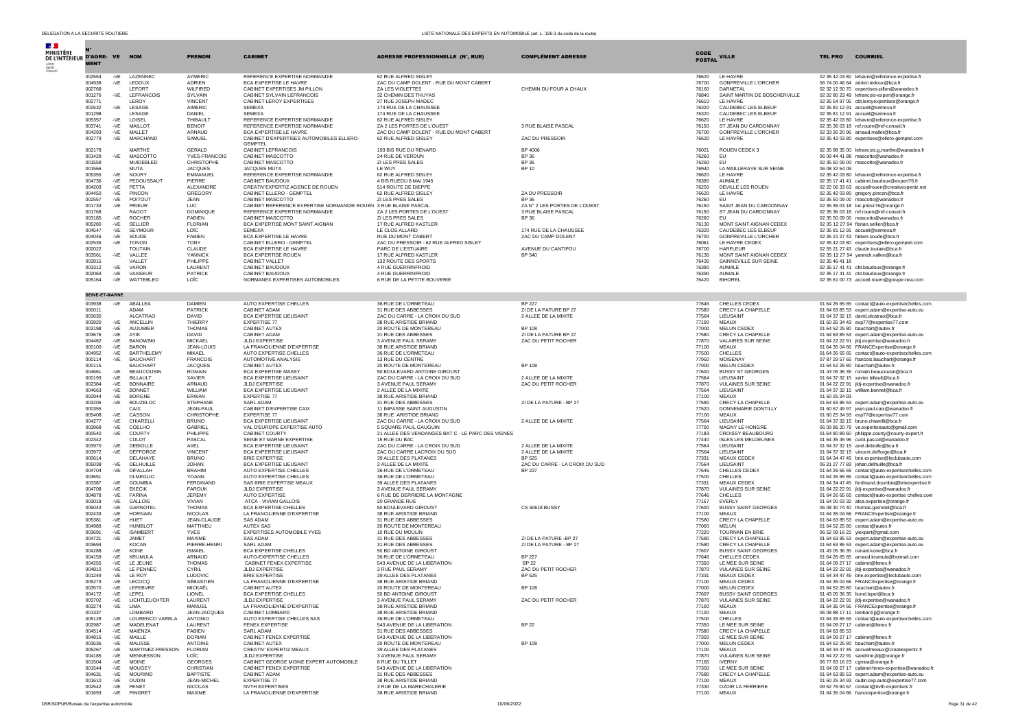**Contract** 

| $\mathcal{A}$ .                            |                          |                |                                  |                                   |                                                                                     |                                                               |                                               |                |                                                         |                |                                                                                                      |
|--------------------------------------------|--------------------------|----------------|----------------------------------|-----------------------------------|-------------------------------------------------------------------------------------|---------------------------------------------------------------|-----------------------------------------------|----------------|---------------------------------------------------------|----------------|------------------------------------------------------------------------------------------------------|
| MINISTÈRE<br>DE L'INTÉRIEUR D'AGRE- VE NOM |                          |                |                                  | <b>PRENOM</b>                     | <b>CABINET</b>                                                                      | <b>ADRESSE PROFESSIONNELLE (N°, RUE)</b>                      | <b>COMPLÉMENT ADRESSE</b>                     | <b>CODE</b>    | <b>VILLE</b>                                            | <b>TEL PRO</b> | <b>COURRIEL</b>                                                                                      |
|                                            | <b>MENT</b>              |                |                                  |                                   |                                                                                     |                                                               |                                               | <b>POSTAL</b>  |                                                         |                |                                                                                                      |
|                                            | 002554                   | -VE            | LAZENNEC                         | AYMERIC                           | REFERENCE EXPERTISE NORMANDIE                                                       | 62 RUE ALFRED SISLEY                                          |                                               | 76620          | LE HAVRE                                                |                | 02 35 42 03 80 lehavre@reference-expertise.fr                                                        |
|                                            | 004938                   | $-VE$          | LEDOUX                           | <b>ADRIEN</b>                     | BCA EXPERTISE LE HAVRE                                                              | ZAC DU CAMP DOLENT - RUE DU MONT CABERT                       |                                               | 76700          | <b>GONFREVILLE L'ORCHER</b>                             |                | 06 74 00 46 64 adrien.ledoux@bca.fr                                                                  |
|                                            | 002768                   |                | <b>I FFORT</b>                   | WILFIRED                          | CABINET EXPERTISES JM PILLON                                                        | ZA LES VIOLETTES                                              | CHEMIN DU FOUR A CHAUX                        | 76160          | DARNETAL                                                |                | 02 32 12 50 70 expertises-pillon@wanadoo.fr                                                          |
|                                            | 001276<br>002771         | -VE            | LEFRANCOIS<br>LEROY              | SYLVAIN<br><b>VINCENT</b>         | CABINET SYLVAIN LEFRANCOIS<br>CABINET LEROY EXPERTISES                              | 32 CHEMIN DES THUYAS<br>27 RUE JOSEPH MADEC                   |                                               | 76840<br>76610 | SAINT MARTIN DE BOSCHERVILLE<br>LE HAVRE                |                | 02 32 80 23 49 lefrancois-expert@orange.fr<br>02 35 54 97 05 cbt.lerovexpertises@orange.fr           |
|                                            | 002532                   | -VE            | LESAGE                           | <b>AIMERIC</b>                    | SEMEXA                                                                              | 174 RUE DE LA CHAUSSEE                                        |                                               | 76320          | CAUDEREC LES ELBEUE                                     |                | 02 35 81 12 91 accueil@semexa.fr                                                                     |
|                                            | 001298<br>005357         | $-VE$          | LESAGE<br>LOISEL                 | DANIEL<br>THIBAULT                | <b>SEMEXA</b><br>REFERENCE EXPERTISE NORMANDIE                                      | 174 RUE DE LA CHAUSSEE<br>62 RUE ALFRED SISLEY                |                                               | 76320<br>76620 | CAUDEBEC LES ELBEUF<br>LE HAVRE                         |                | 02 35 81 12 91 accueil@semexa.fr<br>02 35 42 03 80 lehavre@reference-expertise.fr                    |
|                                            | 003741                   | -VE            | MAILLOT                          | <b>BENOIT</b>                     | REFERENCE EXPERTISE NORMANDIE                                                       | ZA 2 LES PORTES DE L'OUEST                                    | 3 RUE BLAISE PASCAL                           | 76150          | ST JEAN DU CARDONNAY                                    |                | 02 35 36 03 18 ref.rouen@ref-conseil.fr                                                              |
|                                            | 004293                   | $-VE$          | MALLET                           | ARNAUD                            | BCA EXPERTISE LE HAVRE                                                              | ZAC DU CAMP DOLENT - RUE DU MONT CABERT                       |                                               | 76700          | <b>GONFREVILLE L'ORCHER</b>                             |                | 02 33 26 20 96 arnaud.mallet@bca.fr                                                                  |
|                                            | 002779                   | -VE            | MARCHAND                         | SAMUEL                            | CABINET D'EXPERTISES AUTOMOBILES ELLERO-<br><b>GEMPTEL</b>                          | 62 RUE ALFRED SISLEY                                          | ZAC DU PRESSOIR                               | 76620          | LE HAVRE                                                |                | 02 35 42 03 80 expertises@ellero-gemptel.com                                                         |
|                                            | 002178                   |                | MARTHE                           | GERALD                            | CABINET LEFRANCOIS                                                                  | 193 BIS RUE DU RENARD                                         | BP 4006                                       | 76021          | ROUEN CEDEX 3                                           |                | 02 35 98 35 00 lefrancois.g.marthe@wanadoo.fr                                                        |
|                                            | 001429<br>001559         | -VE            | MASCOTTO<br>MUIDEBLED            | YVES-FRANCOIS<br>CHRISTOPHE       | CABINET MASCOTTO<br>CABINET MASCOTTO                                                | 24 RUE DE VERDUN<br>ZI LES PRES SALES                         | <b>BP 36</b><br><b>BP 36</b>                  | 76260<br>76260 | EU<br>EU                                                |                | 06 09 44 41 88 mascotto@wanadoo.fr<br>02 35 50 09 00 mascotto@wanadoo.fr                             |
|                                            | 001566                   |                | <b>MUTA</b>                      | <b>JACOUES</b>                    | <b>JACOUES MUTA</b>                                                                 | LE WUY                                                        | <b>BP 10</b>                                  | 76940          | LA MAILLERAYE SUR SEINE                                 | 06 08 32 54 09 |                                                                                                      |
|                                            | 005355<br>004736         | -VE<br>$-VE$   | NOURY<br>PEDOUSSAUT              | EMMANUEL<br>PIERRE                | REFERENCE EXPERTISE NORMANDIE<br>CABINET BAUDOUX                                    | 62 RUE ALFRED SISLEY<br>4 BIS RUEDU 8 MAI 1945                |                                               | 76620<br>76390 | LE HAVRE<br>AUMALE                                      |                | 02 35 42 03 80 lehavre@reference-expertise.fr<br>02 35 17 41 41 cabinet.baudoux@expert76.fr          |
|                                            | 004203                   | $-VE$          | PETTA                            | ALEXANDRE                         | CREATIV'EXPERTIZ AGENCE DE ROUEN                                                    | 514 ROUTE DE DIEPPE                                           |                                               | 76250          | DEVILLE LES ROUEN                                       |                | 02 22 06 33 63 accueilrouen@creativexpertiz.net                                                      |
|                                            | 004450                   | -VE            | PINCON                           | GRÉGORY                           | CABINET ELLERO - GEMPTEL                                                            | 62 RUE ALFRED SISLEY                                          | ZA DU PRESSOIR                                | 76620          | LE HAVRE                                                |                | 02 35 42 03 80 gregory.pincon@bca.fr                                                                 |
|                                            | 002557<br>001733         | $-VE$<br>-VE   | POITOUT<br>PRIEUR                | <b>JEAN</b><br><b>LUC</b>         | CABINET MASCOTTO<br>CABINET REFERENCE EXPERTISE NORMANDIE ROUEN 3 RUE BLAISE PASCAL | ZI LES PRES SALES                                             | <b>BP 36</b><br>ZA N° 2 LES PORTES DE L'OUEST | 76260<br>76150 | EU<br>SAINT JEAN DU CARDONNAY                           |                | 02 35 50 09 00 mascotto@wanadoo.fr<br>02 35 36 03 18 luc.prieur76@orange.fr                          |
|                                            | 001768                   |                | <b>RAGOT</b>                     | DOMINIQUE                         | REFERENCE EXPERTISE NORMANDIE                                                       | ZA 2 LES PORTES DE L'OUEST                                    | 3 RUE BLAISE PASCAL                           | 76150          | ST JEAN DU CARDONNAY                                    |                | 02 35 36 03 18 ref.rouen@ref-conseil.fr                                                              |
|                                            | 003185<br>005280         | $-VE$<br>-VE   | <b>ROCHER</b><br><b>SELLIER</b>  | <b>FABIEN</b><br><b>FLORIAN</b>   | CABINET MASCOTTO<br>BCA EXPERTISE MONT SAINT AIGNAN                                 | ZI LES PRES SALES<br>17 RUE ALFRED KASTLER                    | <b>BP 36</b>                                  | 76260<br>76130 | MONT SAINT AIGNAN CEDEX                                 |                | 02 35 50 09 00 mascotto@wanadoo.fr<br>02 35 12 27 94 florian.sellier@bca.fr                          |
|                                            | 004547                   | $-VE$          | <b>SEYMOUF</b>                   | LOIC                              | <b>SEMEXA</b>                                                                       | LE CLOS ALLARD                                                | 174 RUE DE LA CHAUSSEE                        | 76320          | CAUDEBEC LES ELBEUF                                     |                | 02 35 81 12 91 accueil@semexa.fr                                                                     |
|                                            | 004046                   | $-VE$          | SOUDE                            | FABIEN                            | BCA EXPERTISE LE HAVRE                                                              | RUE DU MONT CABERT                                            | ZAC DU CAMP DOLENT                            | 76700          | <b>GONFREVILLE L'ORCHER</b>                             |                | 02 35 21 27 43 fabien.soude@bca.fr                                                                   |
|                                            | 002535<br>002022         | -VE            | <b>TONON</b><br><b>TOUTAIN</b>   | <b>TONY</b><br>CLAUDE             | CABINET ELLERO - GEMPTEL<br>BCA EXPERTISE LE HAVRE                                  | ZAC DU PRESSOIR - 62 RUE ALFRED SISLEY<br>PARC DE L'ESTUAIRE  | AVENUE DU CANTIPOU                            | 76061<br>76700 | LE HAVRE CEDEX<br>HARFLEUR                              |                | 02 35 42 03 80 expertises@ellero-gemptel.com<br>02 35 21 27 43 claude.toutain@bca.fr                 |
|                                            | 003561                   | -VE            | VALLEE                           | YANNICK                           | <b>BCA EXPERTISE ROUEN</b>                                                          | 17 RUE ALFRED KASTLER                                         | <b>BP 540</b>                                 | 76130          | MONT SAINT AIGNAN CEDEX                                 |                | 02 35 12 27 94 yannick.vallee@bca.fr                                                                 |
|                                            | 003915<br>003312         | $-VE$          | VALLET<br>VARON                  | PHILIPPE<br>LAURENT               | CABINET VALLET<br>CABINET BAUDOU>                                                   | 132 ROUTE DES SPORTS<br>4 RUE GUERRINFROID                    |                                               | 76430<br>76390 | SAINNEVILLE SUR SEINE<br>AUMALE                         | 02 35 46 41 18 | 02 35 17 41 41 cbt.baudoux@orange.fr                                                                 |
|                                            | 002063                   | $-VE$          | VASSEUR                          | PATRICK                           | CABINET BAUDOUX                                                                     | 4 RUE GUERRINFROID                                            |                                               | 76390          | AUMALE                                                  |                | 02 35 17 41 41 cbt.baudoux@orange.fr                                                                 |
|                                            | 005164                   | -VE            | WATTEBLED                        | LOÏC                              | NORMANEX EXPERTISES AUTOMOBILES                                                     | 6 RUE DE LA PETITE BOUVERIE                                   |                                               | 76420          | BIHOREL                                                 |                | 02 35 61 00 73 accueil.rouen@groupe-nea.com                                                          |
|                                            |                          |                |                                  |                                   |                                                                                     |                                                               |                                               |                |                                                         |                |                                                                                                      |
|                                            | SEINE-ET-MARNE<br>003938 |                |                                  | <b>DAMIEN</b>                     |                                                                                     |                                                               | <b>BP 227</b>                                 | 77646          |                                                         |                |                                                                                                      |
|                                            | 000011                   | -VE            | ABALLEA<br>ADAM                  | <b>PATRICK</b>                    | AUTO EXPERTISE CHELLES<br>CABINET ADAM                                              | 36 RUE DE L'ORMETEAU<br>31 RUE DES ABBESSES                   | ZI DE LA PATURE BP 27                         | 77580          | CHELLES CEDEX<br>CRECY LA CHAPELLE                      |                | 01 64 26 65 65 contact@auto-expertisechelles.com<br>01 64 63 85 53 expert.adam@expertise-auto.eu     |
|                                            | 003635<br>003920         | $-VE$          | <b>ALCATRAO</b><br>ANCELLIN      | DAVID<br>THIERRY                  | <b>BCA EXPERTISE LIEUSAINT</b><br><b>EXPERTISE 77</b>                               | ZAC DU CARRE - LA CROIX DU SUD<br>38 RUE ARISTIDE BRIAND      | 2 ALLEE DE LA MIXITE                          | 77564          | LIEUSAINT<br><b>MEAUX</b>                               |                | 01 64 37 32 15 david.alcatrao@bca.fr                                                                 |
|                                            | 003198                   | $-VE$          | AUJUMIER                         | <b>THOMAS</b>                     | CABINET AUTEX                                                                       | 20 ROUTE DE MONTEREAU                                         | <b>BP 108</b>                                 | 77100<br>77000 | MELUN CEDEX                                             |                | 01 60 25 34 43 exp77@expertise77.com<br>01.64.52.25.80 hauchart@autex.fr                             |
|                                            | 003676                   | $-VE$          | AYIK                             | <b>DAVID</b>                      | <b>CABINET ADAM</b>                                                                 | 31 RUE DES ABBESSES                                           | ZI DE LA PATURE BP 27                         | 77580          | CRECY LA CHAPELLE                                       |                | 01 64 63 85 53 expert.adam@expertise-auto.eu                                                         |
|                                            | 004462<br>000100         | $-VE$<br>-VE   | <b>BANOWSKI</b><br><b>BARON</b>  | <b>MICKAEL</b><br>JEAN-LOUIS      | JLDJ EXPERTISE<br>LA FRANCILIENNE D'EXPERTISE                                       | 3 AVENUE PAUL SERAMY<br>38 RUE ARISTIDE BRIAND                | ZAC DU PETIT ROCHER                           | 77870<br>77100 | VALAIRES SUR SEINE<br><b>MFAUX</b>                      |                | 01 64 22 22 91 jldj.expertise@wanadoo.fr<br>01 64 35 04 66 FRANCExpertise@orange.fr                  |
|                                            | 004952                   | $-VE$          | <b>BARTHELEMY</b>                | MIKAEL                            | AUTO EXPERTISE CHELLES                                                              | 36 RUE DE L'ORMETEAU                                          |                                               | 77500          | CHELLES                                                 |                | 01 64 26 65 65 contact@auto-expertisechelles.com                                                     |
|                                            | 000114<br>000115         | -VE            | BAUCHART<br><b>BAUCHART</b>      | <b>FRANCOIS</b><br><b>JACOUES</b> | AUTOMOTIVE ANALYSIS<br><b>CABINET AUTEX</b>                                         | 13 RUE DU CENTRE<br>20 ROUTE DE MONTEREAU                     | <b>BP 108</b>                                 | 77950<br>77000 | MOISENAY<br>MELUN CEDEX                                 |                | 07 87 29 57 65 francois.bauchart@orange.fr<br>01 64 52 25 80 bauchart@autex.fr                       |
|                                            | 004661                   | $-VE$          | <b>BEAUCOUSIN</b>                | <b>ROMAIN</b>                     | <b>BCA EXPERTISE MASSY</b>                                                          | 50 BOULEVARD ANTOINE GIROUST                                  |                                               | 77600          | <b>BUSSY ST GEORGES</b>                                 |                | 01 43 05 36 35 romain.beaucousin@bca.fr                                                              |
|                                            | 000193                   | $-VE$          | BILLAULT                         | <b>XAVIER</b>                     | <b>BCA EXPERTISE LIEUSAINT</b>                                                      | ZAC DU CARRE - LA CROIX DU SUD                                | 2 ALLEE DE LA MIXITE                          | 77564          | LIEUSAINT                                               |                | 01 64 37 32 15 xavier.billault@bca.fr                                                                |
|                                            | 002384<br>004663         | $-VE$<br>$-VE$ | <b>BONNAIRE</b><br><b>BONNET</b> | ARNAUD<br>WILLIAM                 | JLDJ EXPERTISE<br>BCA EXPERTISE LIEUSAINT                                           | 3 AVENUE PAUL SERAMY<br>2 ALLEE DE LA MIXITE                  | ZAC DU PETIT ROCHER                           | 77870<br>77564 | <b>VULAINES SUR SEINE</b><br>LIEUSAINT                  |                | 01 64 22 22 91 jldj-expertise@wanadoo.fr<br>01 64 37 32 15 william.bonnet@bca.fr                     |
|                                            | 002944                   | -VE            | <b>BORGNE</b>                    | FRWAN                             | <b>FXPERTISE 77</b>                                                                 | 38 RUE ARISTIDE BRIAND                                        |                                               | 77100          | <b>MFAUX</b>                                            | 01 60 25 34 93 |                                                                                                      |
|                                            | 003205<br>000355         | -VE            | <b>BOUZELOC</b><br>CAIX          | <b>STEPHANE</b><br>JEAN-PAUL      | SARL ADAM<br>CABINET D'EXPERTISE CAIX                                               | 31 RUE DES ABBESSES<br>11 IMPASSE SAINT AUGUSTIN              | ZI DE LA PATURE - BP 27                       | 77580<br>77520 | CRECY LA CHAPELLE<br>DONNEMARIE DONTILLY                |                | 01 64 63 85 53 expert.adam@expertise-auto.eu<br>01 60 67 49 97 jean-paul.caix@wanadoo.fr             |
|                                            | 005408                   | -VE            | CASSON                           | CHRISTOPHE                        | <b>EXPERTISE 77</b>                                                                 | 38 RUE ARISTIDE BRIAND                                        |                                               | 77100          | <b>MFAUX</b>                                            |                | 01 60 25 34 93 exp77@expertise77.com                                                                 |
|                                            | 004277<br>003968         | $-VE$<br>$-VE$ | CHIARELLI<br>COELHO              | <b>BRUNO</b><br>GABRIEL           | BCA EXPERTISE LIEUSAINT<br>VAL D'EUROPE EXPERTISE AUTO                              | ZAC DU CARRE - LA CROIX DU SUD<br>5 SQUARE PAUL GAUGUIN       | 2 ALLEE DE LA MIXITE                          | 77564<br>77700 | LIEUSAINT<br>MAGNY LE HONGRE                            |                | 01 64 37 32 15 bruno.chiarelli@bca.fr                                                                |
|                                            | 000540                   | -VE            | COURTY                           | PHILIPPE                          | CABINET COURTY                                                                      | 21 ALLEE DES VENDANGES BAT C - LE PARC DES VIGNES             |                                               | 77183          | <b>CROISSY BEAUBOURG</b>                                |                | 06 09 86 20 79 ve.expertiseauto@gmail.com<br>01 64 80 89 60 philippe.courty@courty-expert.fr         |
|                                            | 002342                   |                | CULOT                            | PASCAL                            | SEINE ET MARNE EXPERTISE                                                            | 15 RUE DU BAC                                                 |                                               | 77440          | <b>ISLES LES MELDEUSES</b>                              |                | 01 64 35 45 96 culot.pascal@wanadoo.fr                                                               |
|                                            | 003970<br>003972         | -VF<br>$-VE$   | <b>DEBIOLLE</b><br>DEFFORGE      | AXFI<br><b>VINCENT</b>            | <b>BCA EXPERTISE LIEUSAINT</b><br><b>BCA EXPERTISE LIEUSAINT</b>                    | ZAC DU CARRE - LA CROIX DU SUD<br>ZAC DU CARRE LACROIX DU SUD | 2 ALLEE DE LA MIXITE<br>2 ALLEE DE LA MIXITE  | 77564<br>77564 | <b>I IFUSAINT</b><br>LIEUSAINT                          |                | 01 64 37 32 15 axel.debiolle@bca.fr<br>01 64 37 32 15 vincent.defforge@bca.fr                        |
|                                            | 000614                   |                | DELAHAYE                         | <b>BRUNO</b>                      | <b>BRIE EXPERTISE</b>                                                               | 39 ALLEE DES PLATANES                                         | BP 525                                        | 77331          | MEAUX CEDEX                                             |                | 01 64 34 47 45 brie.expertise@leclubauto.com                                                         |
|                                            | 005038                   | -VE            | DELHUILLE                        | JOHAN<br><b>BRAHIM</b>            | <b>BCA EXPERTISE LIEUSAINT</b>                                                      | 2 ALLEE DE LA MIXITE                                          | ZAC DU CARRE - LA CROIX DU SUD                | 77564          | LIEUSAINT                                               |                | 06 31 27 77 83 johan.delhuille@bca.fr                                                                |
|                                            | 004704<br>003651         | -VE            | DIFALLAH<br><b>DI-MEGLIO</b>     | <b>YOANN</b>                      | AUTO EXPERTISE CHELLES<br>AUTO EXPERTISE CHELLES                                    | 36 RUE DE L'ORMETEAU<br>36 RUE DE L'ORMETEAU                  | <b>BP 227</b>                                 | 77646<br>77500 | CHELLES CEDEX<br><b>CHELLES</b>                         |                | 01 64 26 65 65 contact@auto-expertisechelles.com<br>01 64 26 65 65 contact@auto-expertisechelles.com |
|                                            | 003387                   | -VE            | <b>DOUMBIA</b>                   | <b>FERDINAND</b>                  | SAS BRIE EXPERTISE MEAUX                                                            | 39 ALLEE DES PLATANES                                         |                                               | 77331          | MEAUX CEDE>                                             |                | 01 64 34 47 45 ferdinand.doumbia@brieexpertise.fr                                                    |
|                                            | 004708<br>004878         | $-VE$<br>-VE   | <b>EKECIK</b><br>FARINA          | <b>FAROUK</b><br><b>JEREMY</b>    | JLDJ EXPERTISE<br><b>AUTO EXPERTISE</b>                                             | 3 AVENUE PAUL SERAMY<br>6 RUE DE DERRIERE LA MONTAGNE         |                                               | 77870<br>77646 | VULAINES SUR SEINE<br><b>CHELLES</b>                    |                | 01 64 22 22 91 jldj-expertise@wanadoo.fr<br>01 64 26 65 65 contact@auto-expertise chelles.com        |
|                                            | 003018                   | -VE            | <b>GALLOIS</b>                   | VIVIAN                            | ATCA - VIVIAN GALLOIS                                                               | 20 GRANDE RUE                                                 |                                               | 77157          | EVERLY                                                  |                | 01 64 00 03 32 atca.expertise@orange.fr                                                              |
|                                            | 005043<br>002433         | $-VE$<br>-VE   | <b>GARNOTE</b><br><b>HORNAIN</b> | <b>THOMAS</b><br>NICOLAS          | <b>BCA EXPERTISE CHELLES</b><br>LA FRANCILIENNE D'EXPERTISE                         | 50 BOULEVARD GIROUST<br>38 RUE ARISTIDE BRIAND                | CS 60618 BUSSY                                | 77600<br>77100 | <b>BUSSY SAINT GEORGES</b><br><b>MEAUX</b>              |                | 06 08 30 74 40 thomas.garnotel@bca.fr<br>01 64 35 04 66 FRANCExpertise@orange.fr                     |
|                                            | 005381                   | -VE            | <b>HUET</b>                      | JEAN-CLAUDE                       | SAS ADAM                                                                            | 31 RUE DES ABBESSES                                           |                                               | 77580          | CRECY LA CHAPELLE                                       |                | 01 64 63 85 53 expert.adam@expertise-auto.eu                                                         |
|                                            | 004989                   | $-VE$          | <b>HUMBLOT</b>                   | MATTHIEU                          | <b>AUTEX SAS</b>                                                                    | 20 ROUTE DE MONTERFAU                                         |                                               | 77000          | <b>MELUN</b>                                            |                | 01 64 52 25 80 contact@autex.fr                                                                      |
|                                            | 003691<br>004721         | -VE<br>-VE     | <b>ISAMBERT</b><br><b>JAMET</b>  | <b>YVES</b><br>MAXIME             | EXPERTISES AUTOMOBILE YVES<br>SAS ADAM                                              | 10 RUE DU MOULIN<br>31 RUE DES ABBESSES                       | ZI DE LA PATURE - BP 27                       | 77220<br>77580 | TOURNAN EN BRIE<br>CRECY LA CHAPELLE                    |                | 06 52 09 16 21 yiexpert@gmail.com<br>01 64 63 85 53 expert.adam@expertise-auto.eu                    |
|                                            | 003694                   |                | KOCAN                            | PIERRE-HENRI                      | SARL ADAM                                                                           | 31 RUE DES ABBESSES                                           | ZI DE LA PATURE - BP 27                       | 77580          | CRECY LA CHAPELLE                                       |                | 01 64 63 85 53 expert.adam@expertise-auto.eu                                                         |
|                                            | 004288<br>004159         | -VE<br>$-VE$   | KONE<br><b>KRUMULA</b>           | <b>ISMAEL</b><br>ARNAUD           | BCA EXPERTISE CHELLES<br>AUTO-EXPERTISE CHELLES                                     | 50 BD ANTOINE GIROUST<br>36 RUE DE L'ORMETEAU                 | <b>BP 227</b>                                 | 77607<br>77646 | <b>BUSSY SAINT GEORGES</b><br>CHELLES CEDEX             |                | 01 43 05 36 35 ismael.kone@bca.fr<br>01 64 26 65 65 arnaud.krumula@hotmail.com                       |
|                                            | 004255                   | -VE            | LE JEUNE                         | <b>THOMAS</b>                     | CABINET FENEX EXPERTISE                                                             | 543 AVENUE DE LA LIBERATION                                   | <b>BP 22</b>                                  | 77350          | LE MEE SUR SEINE                                        |                | 01 64 09 27 17 cabinet@fenex.fr                                                                      |
|                                            | 004810                   | $-VE$          | <b>LE PENNEC</b>                 | CYRIL                             | JLDJ EXPERTISE                                                                      | 3 RUE PAUL SERAMY                                             | ZAC DU PETIT ROCHER                           | 77870          | <b>VULAINES SUR SEINE</b>                               |                | 01 64 22 22 91 jldj-expertise@wanadoo.fr                                                             |
|                                            | 001249<br>005273         | -VE<br>-VE     | LE ROY<br>LECOCO                 | LUDOVIC<br>SÉBASTIEN              | BRIE EXPERTISE<br>LA FRANCILIENNE D'EXPERTISE                                       | 39 ALLEE DES PLATANES<br>38 RUE ARISTIDE BRIAND               | <b>BP 525</b>                                 | 77331<br>77100 | MEAUX CEDEX<br>MEAUX CEDEX                              |                | 01 64 34 47 45 brie.expertise@leclubauto.com<br>01 64 35 04 66 FRANCExpertise@orange.fr              |
|                                            | 003570                   | -VE            | LEFEBVRE                         | MICKAËL                           | ABINET AUTE>                                                                        | 20 ROUTE DE MONTEREAL                                         | <b>BP 108</b>                                 | 77000          | MELUN CEDE>                                             |                | 01 64 52 25 80 bauchart@autex.                                                                       |
|                                            | 004172<br>003702         | -VE            | -VE LEPEL<br>LICHTLEUCHTER       | LIONEL<br>LAURENT                 | BCA EXPERTISE CHELLES<br>JLDJ EXPERTISE                                             | 50 BD ANTOINE GIROUST<br>3 AVENUE PAUL SERAMY                 | <b>ZAC DU PETIT ROCHER</b>                    | 77607<br>77870 | <b>BUSSY SAINT GEORGES</b><br><b>VULAINES SUR SEINE</b> |                | 01 43 05 36 35 lionel.lepel@bca.fr<br>01 64 22 22 91 jldj-expertise@wanadoo.fr                       |
|                                            | 003274                   | -VE            | LIMA                             | MANUEL                            | LA FRANCILIENNE D'EXPERTISE                                                         | 38 RUE ARISTIDE BRIAND                                        |                                               | 77100          | MEAUX                                                   |                | 01 64 35 04 66 FRANCExpertise@orange.fr                                                              |
|                                            | 001337                   | $-VE$          | LOMBARD                          | JEAN-JACOUES                      | CABINET LOMBARD                                                                     | 38 RUE ARISTIDE BRIAND                                        |                                               | 77100          | MEAUX                                                   |                | 06 08 88 17 11 lombard.jj@orange.fr<br>01 64 26 65 65 contact@auto-expertisechelles.com              |
|                                            | 005128<br>002987         | -VE            | LOURENCO VARELA<br>MADELENAT     | ANTONIO<br>LAURENT                | AUTO EXPERTISE CHELLES SAS<br>FENEX EXPERTISE                                       | 36 RUE DE L'ORMETEAU<br>543 AVENUE DE LA LIBERATION           | <b>BP 22</b>                                  | 77500<br>77350 | CHELLES<br>LE MEE SUR SEINE                             |                | 01 64 09 27 17 cabinet@fenex.fr                                                                      |
|                                            | 004514                   | -VE            | MAIFN7A                          | FABIEN                            | SARL ADAM                                                                           | 31 RUE DES ABBESSES                                           |                                               | 77580          | CRECY LA CHAPELLE                                       | 01 64 63 85 53 |                                                                                                      |
|                                            | 004816<br>003536         | -VE<br>$-VE$   | MAILLE<br>MALISSE                | <b>DORIAN</b><br>ANTOINE          | CABINET FENEX EXPERTISE<br>CABINET AUTEX                                            | 543 AVENUE DE LA LIBERATION<br>20 ROUTE DE MONTEREAU          | <b>BP 108</b>                                 | 77350<br>77000 | LE MEE SUR SEINE<br>MELUN CEDEX                         |                | 01 64 09 27 17 cabinet@fenex.fr<br>01 64 52 25 80 bauchart@autex.fr                                  |
|                                            | 005267                   | -VE            | MARTINEZ-FRESSON                 | FLORIAN                           | CREATIV' EXPERTIZ MEAUX                                                             | 39 ALLEE DES PLATANES                                         |                                               | 77100          | MFAUX                                                   |                | 01 64 34 47 45 accueilmeaux@creatiexpertiz.fr                                                        |
|                                            | 004185<br>001504         | -VE<br>$-VE$   | <b>MENNESSON</b><br><b>MOINE</b> | LOÏC<br><b>GEORGES</b>            | JLDJ EXPERTISE<br>CABINET GEORGE MOINE EXPERT AUTOMOBILE                            | 3 AVENUE PAUL SERAMY<br>8 RUE DU TILLET                       |                                               | 77870<br>77165 | <b>VULAINES SUR SEINE</b><br><b>IVERNY</b>              |                | 01 64 22 22 91 sandrine.jldj@orange.fr<br>06 77 83 16 23 cgmea@orange.fr                             |
|                                            | 001544                   | $-VE$          | MOUGEY                           | CHRISTIAN                         | CABINET FENEX EXPERTISE                                                             | 543 AVENUE DE LA LIBERATION                                   |                                               | 77350          | LE MEE SUR SEINE                                        |                | 01 64 09 27 17 cabinet-fenex-expertise@wanadoo.fr                                                    |
|                                            | 004631                   | $-VE$          | <b>MOURINO</b>                   | <b>BAPTISTE</b>                   | CABINET ADAM                                                                        | 31 RUE DES ABBESSES                                           |                                               | 77580          | CRECY LA CHAPELLE                                       |                | 01 64 63 85 53 expert.adam@expertise-auto.eu                                                         |
|                                            | 001610<br>002542         | $-VE$<br>-VE   | <b>OUDIN</b><br>PENET            | JEAN-MICHEL<br>NICOLAS            | <b>EXPERTISE 77</b><br>NVTH EXPERTISES                                              | 38 RUE ARISTIDE BRIAND<br>3 RUE DE LA MARECHALERIE            |                                               | 77100<br>77330 | <b>MEAUX</b><br>OZOIR LA FERRIERE                       |                | 01 60 25 34 93 oudin.exp.auto@expertise77.com<br>09 52 76 94 67 contact@nvth-expertises.fr           |
|                                            | 001693                   |                | -VE PINGRET                      | MAXIME                            | LA FRANCILIENNE D'EXPERTISE                                                         | 38 RUE ARISTIDE BRIAND                                        |                                               | 77100          | MEAUX                                                   |                | 01 64 35 04 66 francexpertise@orange.fr                                                              |

DSR/SDPUR/Bureau de l'expertise automobile automobile 10/06/2022 Page 31 de 42 automobile 10/06/2022 Page 31 de 42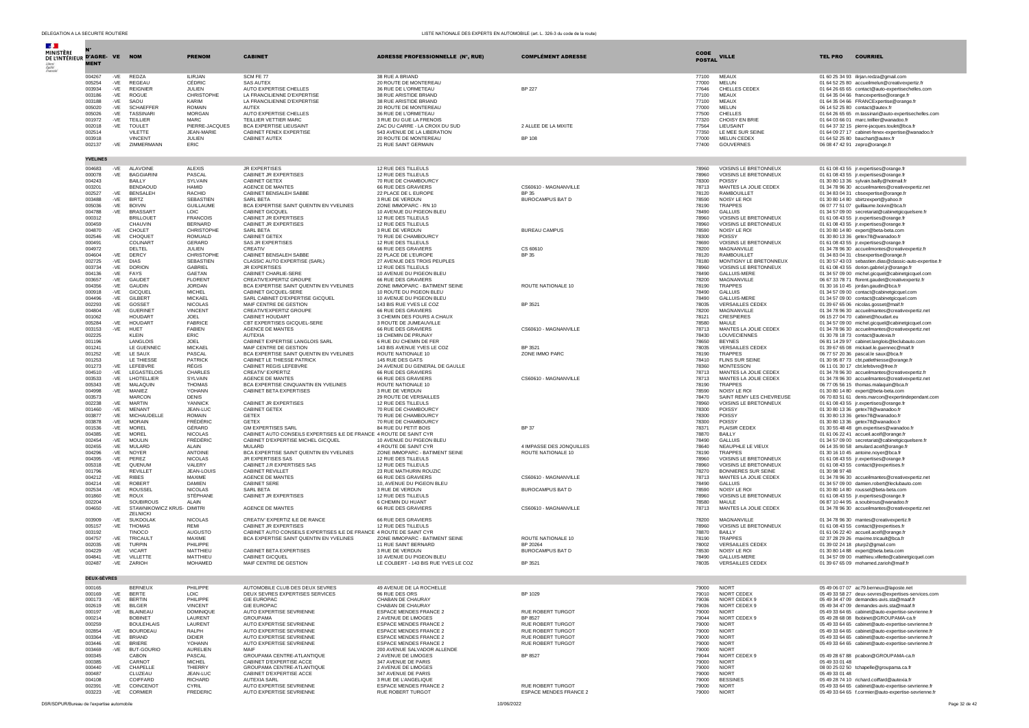| $\mathcal{L}$<br>MINISTÈRE<br>DE L'INTÉRIEUR D'AGRE- VE NOM |                    |              |                                          | <b>PRENON</b>                      | <b>CABINET</b>                                                                                   | <b>ADRESSE PROFESSIONNELLE (N°, RUE)</b>                     | <b>COMPLÉMENT ADRESSE</b>                          | CODE           | <b>VILLE</b>                                   | <b>TEL PRO</b><br><b>COURRIEL</b>                                                                          |
|-------------------------------------------------------------|--------------------|--------------|------------------------------------------|------------------------------------|--------------------------------------------------------------------------------------------------|--------------------------------------------------------------|----------------------------------------------------|----------------|------------------------------------------------|------------------------------------------------------------------------------------------------------------|
|                                                             | <b>MENT</b>        |              |                                          |                                    |                                                                                                  |                                                              |                                                    | <b>POSTAL</b>  |                                                |                                                                                                            |
|                                                             | 004267<br>005254   | -VE<br>-VE   | <b>REDZA</b><br>REGEAU                   | <b>ILIRJAN</b><br>CÉDRIC           | SCM FE 77<br><b>SAS AUTEX</b>                                                                    | 38 RUE A BRIAND<br>20 ROUTE DE MONTEREAU                     |                                                    | 77100<br>77000 | <b>MEAUX</b><br>MELUN                          | 01 60 25 34 93 ilirjan.redza@gmail.com<br>01 64 52 25 80 accueilmelun@creativexpertiz.fr                   |
|                                                             | 003934             | $-VE$        | <b>REIGNIER</b>                          | JULIEN                             | AUTO EXPERTISE CHELLES                                                                           | 36 RUE DE L'ORMETEAU                                         | <b>BP 227</b>                                      | 77646          | CHELLES CEDEX                                  | 01 64 26 65 65 contact@auto-expertisechelles.com                                                           |
|                                                             | 003186<br>003188   | -VE<br>-VE   | ROGUE<br>SAOU                            | CHRISTOPHE<br>KARIM                | LA FRANCILIENNE D'EXPERTISE<br>LA FRANCILIENNE D'EXPERTISE                                       | 38 RUE ARISTIDE BRIAND<br>38 RUE ARISTIDE BRIAND             |                                                    | 77100<br>77100 | <b>MEAUX</b><br><b>MEAUX</b>                   | 01 64 35 04 66 francexpertise@orange.fr<br>01 64 35 04 66 FRANCExpertise@orange.fr                         |
|                                                             | 005020             | -VE          | <b>SCHAEFFEF</b>                         | <b>ROMAIN</b>                      | <b>AUTEX</b>                                                                                     | 20 ROUTE DE MONTEREAU                                        |                                                    | 77000          | MELUN                                          | 06 14 52 25 80 contact@autex.fr                                                                            |
|                                                             | 005026<br>001972   | -VE          | <b>TASSINARI</b><br><b>TEILLIER</b>      | <b>MORGAN</b><br><b>MARC</b>       | AUTO EXPERTISE CHELLES<br>TEILLIER VETTIER MARC                                                  | 36 RUE DE L'ORMETEAU                                         |                                                    | 77500          | CHELLES<br>CHOISY EN BRIE                      | 01 64 26 65 65 m.tassinari@auto-expertisechelles.com                                                       |
|                                                             | 002018             | -VE<br>-VE   | <b>TOULET</b>                            | PIERRE-JACQUES                     | <b>BCA EXPERTISE LIEUSAINT</b>                                                                   | 3 RUE DU GUE LA FRENOIS<br>ZAC DU CARRE - LA CROIX DU SUD    | 2 ALLEE DE LA MIXITE                               | 77320<br>77564 | LIEUSAINT                                      | 01 64 03 66 01 marc.teillier@wanadoo.fr<br>01 64 37 32 15 pierre-jacques.toulet@bca.fr                     |
|                                                             | 002514             |              | VILETTE                                  | <b>JEAN-MARIE</b>                  | CABINET FENEX EXPERTISE                                                                          | 543 AVENUE DE LA LIBERATION                                  |                                                    | 77350          | LE MEE SUR SEINE                               | 01 64 09 27 17 cabinet-fenex-expertise@wanadoo.fr                                                          |
|                                                             | 003918<br>002137   | -VE          | <b>VINCENT</b><br>ZIMMERMANN             | JULIEN<br>ERIC                     | CABINET AUTEX                                                                                    | 20 ROUTE DE MONTERFAU<br>21 RUE SAINT GERMAIN                | <b>RP 108</b>                                      | 77000<br>77400 | <b>MELUN CEDEX</b><br>GOUVERNES                | 01 64 52 25 80 bauchart@autex.fr<br>06 08 47 42 91 zepro@orange.fr                                         |
|                                                             | <b>YVELINES</b>    |              |                                          |                                    |                                                                                                  |                                                              |                                                    |                |                                                |                                                                                                            |
|                                                             | 004683<br>000078   | -VE          | ALAVOINE<br><b>BAGGIARINI</b>            | <b>ALEXIS</b><br>PASCAL            | <b>JR EXPERTISES</b><br>CABINET JR EXPERTISES                                                    | 12 RUE DES TILLEULS<br>12 RUE DES TILLEULS                   |                                                    | 78960<br>78960 | VOISINS LE BRETONNEUX<br>VOISINS LE BRETONNEUX | 01 61 08 43 55 jr.expertises@orange.fr                                                                     |
|                                                             | 004243             | -VE          | BAILLY                                   | SYLVAIN                            | <b>CABINET GETEX</b>                                                                             | 70 RUE DE CHAMBOURCY                                         |                                                    | 78300          | POISSY                                         | 01 61 08 43 55 jr.expertises@orange.fr<br>01 30 80 13 36 sylvain.bailly@hotmail.fr                         |
|                                                             | 003201             |              | <b>BENDAOUD</b>                          | <b>HAMID</b>                       | AGENCE DE MANTES                                                                                 | 66 RUE DES GRAVIERS                                          | CS60610 - MAGNANVILLE                              | 78713          | MANTES LA JOLIE CEDEX                          | 01 34 78 96 30 accueilmantes@creativexpertiz.net                                                           |
|                                                             | 002527<br>003488   | -VE          | -VE BENSALEH<br><b>BIRTZ</b>             | <b>RACHID</b><br><b>SEBASTIEN</b>  | CABINET BENSALEH SABBE<br>SARL BETA                                                              | 22 PLACE DE L EUROPE<br>3 RUE DE VERDUN                      | <b>BP 35</b><br>BUROCAMPUS BAT D                   | 78120<br>78590 | <b>RAMBOUILLET</b><br>NOISY LE ROI             | 01 34 83 04 31 cbsexpertise@orange.fr<br>01 30 80 14 80 sbirtzexpert@yahoo.fr                              |
|                                                             | 005036             |              | -VE BOIVIN                               | <b>GUILLAUME</b>                   | BCA EXPERTISE SAINT QUENTIN EN YVELINES                                                          | ZONE IMMOPARC - RN 10                                        |                                                    | 78190          | <b>TRAPPES</b>                                 | 06 07 77 51 07 quillaume.boivin@bca.fr                                                                     |
|                                                             | 004788<br>000312   | -VE          | BRASSAR <sup>®</sup><br><b>BRILLOUET</b> | <b>LOIC</b><br><b>FRANCOIS</b>     | CABINET GICQUEL<br>CABINET JR EXPERTISES                                                         | 10 AVENUE DU PIGEON BLEU<br>12 RUE DES TILLEULS              |                                                    | 78490<br>78960 | <b>GALLUIS</b><br><b>VOISINS LE BRETONNEUX</b> | 01 34 57 09 00 secretariat@cabinetgicquelsere.fr<br>01 61 08 43 55 jr.expertises@orange.fr                 |
|                                                             | 000459             |              | CHAUVIN                                  | <b>BERNARD</b>                     | CABINET JR EXPERTISES                                                                            | 12 RUE DES TILLEULS                                          |                                                    | 78960          | VOISINS LE BRETONNEUX                          | 01 61 08 43 55 jr.expertises@orange.fr                                                                     |
|                                                             | 004870<br>002546   | -VE<br>-VE   | CHOLET<br>CHOQUET                        | CHRISTOPHE<br>ROMUALD              | SARL BETA<br>CABINET GETEX                                                                       | 3 RUE DE VERDUN<br>70 RUE DE CHAMBOURCY                      | <b>BUREAU CAMPUS</b>                               | 78590<br>78300 | NOISY LE ROI<br>POISSY                         | 01 30 80 14 80 expert@beta-beta.com<br>01 30 80 13 36 getex78@wanadoo.fr                                   |
|                                                             | 000491             |              | COLINART                                 | GERARD                             | <b>SAS JR EXPERTISES</b>                                                                         | 12 RUE DES TILLEULS                                          |                                                    | 78690          | VOISINS LE BRETONNEUX                          | 01 61 08 43 55 jr.expertises@orange.fr                                                                     |
|                                                             | 004972<br>004604   | -VE          | DELTEL<br>DERCY                          | <b>JULIEN</b><br>CHRISTOPHE        | CREATIV<br>CABINET BENSALEH SABBE                                                                | 66 RUE DES GRAVIERS<br>22 PLACE DE L'EUROPE                  | CS 60610<br>BP 35                                  | 78200<br>78120 | MAGNANVILLE<br><b>RAMBOUILLET</b>              | 01 34 78 96 30 accueilmontes@creativexpertiz.fr<br>01 34 83 04 31 cbsexpertise@orange.fr                   |
|                                                             | 002725             | -VE          | <b>DIAS</b>                              | <b>SEBASTIEN</b>                   | CLASSIC AUTO EXPERTISE (SARL)                                                                    | 27 AVENUE DES TROIS PEUPLES                                  |                                                    | 78180          | MONTIGNY LE BRETONNEUX                         | 01 30 57 43 03 sebastien.dias@classic-auto-expertise.fr                                                    |
|                                                             | 003734<br>004136   | -VE<br>$-VE$ | <b>DORION</b><br><b>FAYS</b>             | GABRIEL<br>GAETAN                  | JR EXPERTISES<br>CABINET CHARLIE-SERE                                                            | 12 RUE DES TILLEULS<br>10 AVENUE DU PIGEON BLEU              |                                                    | 78960<br>78490 | VOISINS LE BRETONNEUX<br>GALLUIS-MERE          | 01 61 08 43 55 dorion.gabriel.jr@orange.fr                                                                 |
|                                                             | 003657             | -VE          | GAUDET                                   | <b>FLORENT</b>                     | CREATIV'EXPERTIZ GROUPE                                                                          | 66 RUE DES GRAVIERS                                          |                                                    | 78200          | MAGNANVILLE                                    | 01 34 57 09 00 michel.gicquel@cabinetgicquel.com<br>06 67 33 78 71 florent.gaudet@creativexpertiz.fr       |
|                                                             | 004356             | -VE          | <b>GAUDIN</b>                            | <b>JORDAN</b>                      | BCA EXPERTISE SAINT QUENTIN EN YVELINES<br>CABINET GICOUFL-SERE                                  | ZONE IMMOPARC - BATIMENT SEINE                               | ROUTE NATIONALE 10                                 | 78190          | <b>TRAPPES</b>                                 | 01 30 16 10 45 jordan.gaudin@bca.fr                                                                        |
|                                                             | 000918<br>004496   | -VE<br>-VE   | <b>GICOUEL</b><br><b>GILBERT</b>         | <b>MICHEL</b><br><b>MICKAEL</b>    | SARL CABINET D'EXPERTISE GICQUEL                                                                 | 10 ROUTE DU PIGEON BLEU<br>10 AVENUE DU PIGEON BLEU          |                                                    | 78490<br>78490 | <b>GALLUIS</b><br><b>GALLUIS-MERE</b>          | 01 34 57 09 00 contact@cabinetgicquel.com<br>01 34 57 09 00 contact@cabinetgicquel.com                     |
|                                                             | 002293             | -VE          | GOSSET                                   | <b>NICOLAS</b>                     | MAIF CENTRE DE GESTION                                                                           | 143 BIS RUE YVES LE COZ                                      | BP 3521                                            | 78035          | <b>VERSAILLES CEDEX</b>                        | 01 39 67 65 06 nicolas.gosset@maif.fr                                                                      |
|                                                             | 004804<br>001062   | -VE          | <b>GUERINE</b><br><b>HOUDART</b>         | <b>VINCENT</b><br><b>JOEL</b>      | CREATIV'EXPERTIZ GROUPE<br>CABINET HOUDART                                                       | 66 RUE DES GRAVIERS<br>3 CHEMIN DES FOURS A CHAUX            |                                                    | 78200<br>78121 | MAGNANVILLE<br><b>CRESPIERES</b>               | 01 34 78 96 30 accueilmantes@creativexpertiz.net<br>06 15 27 04 70 cabinet@houdart.eu                      |
|                                                             | 005284             |              | -VE HOUDART                              | FABRICE                            | CBT EXPERTISES GICQUEL-SERE                                                                      | 3 ROUTE DE JUMEAUVILLE                                       |                                                    | 78580          | <b>MAULE</b>                                   | 01 34 57 09 00 michel.gicquel@cabinetgicquel.com                                                           |
|                                                             | 003153<br>002225   | -VE          | HUET<br><b>KLEIN</b>                     | <b>FABIEN</b><br>ERIC              | AGENCE DE MANTES<br><b>AUTEXIA</b>                                                               | 66 RUE DES GRAVIERS<br>19 CHEMIN DE PRUNAY                   | CS60610 - MAGNANVILLE                              | 78713<br>78430 | MANTES LA JOLIE CEDEX<br><b>LOUVECIENNES</b>   | 01 34 78 96 30 accueilmantes@creativexpertiz.net<br>01 30 78 18 73 contact@autexia.fr                      |
|                                                             | 001196             |              | LANGLOIS                                 | <b>JOEL</b>                        | CABINET EXPERTISE LANGLOIS SARL                                                                  | 6 RUE DU CHEMIN DE FER                                       |                                                    | 78650          | <b>BEYNES</b>                                  | 06 81 14 29 97 cabinet.langlois@leclubauto.com                                                             |
|                                                             | 001241<br>001252   | -VE          | LE GUENNEC<br>LE SAUX                    | <b>MICKAEL</b><br>PASCAL           | MAIF CENTRE DE GESTION<br>BCA EXPERTISE SAINT QUENTIN EN YVELINES                                | 143 BIS AVENUE YVES LE COZ<br>ROUTE NATIONALE 10             | BP 3521<br>ZONE IMMO PARC                          | 78035<br>78190 | <b>VERSAILLES CEDEX</b><br><b>TRAPPES</b>      | 01 39 67 65 08 mickael.le.guennec@maif.fr<br>06 77 57 20 36 pascal.le saux@bca.fr                          |
|                                                             | 001253             |              | <b>IF THIESSE</b>                        | PATRICK                            | CABINET LE THIESSE PATRICK                                                                       | 145 RUE DES GATS                                             |                                                    | 78410          | <b>FLINS SUR SEINE</b>                         | 01 30 95 87 73 cbt.patlethiesse@orange.fr                                                                  |
|                                                             | 001273<br>004510   | -VE<br>$-VE$ | LEFEBVRE<br>LEGASTELOIS                  | RÉGIS<br>CHARLES                   | CABINET REGIS LEFEBVRE<br>CREATIV' EXPERTIZ                                                      | 24 AVENUE DU GENERAL DE GAULLE<br>66 RUE DES GRAVIERS        |                                                    | 78360<br>78713 | <b>MONTESSON</b><br>MANTES LA JOLIE CEDEX      | 06 11 01 30 17 cbt.lefebvre@free.fr<br>01.34.78.96.30 accueilmantes@creativexpertiz.fr                     |
|                                                             | 003533             | -VE          | LHOTELLIER                               | SYLVAIN                            | AGENCE DE MANTES                                                                                 | 66 RUE DES GRAVIERS                                          | CS60610 - MAGNANVILLE                              | 78713          | MANTES LA JOLIE CEDEX                          | 01 34 78 96 30 accueilmantes@creativexpertiz.net                                                           |
|                                                             | 005343             | $-VE$        | MALAQUIN                                 | <b>THOMAS</b>                      | BCA EXPERTISE CINQUANTIN EN YVELINES                                                             | ROUTE NATIONALE 10<br>3 RUE DE VERDUN                        |                                                    | 78190          | <b>TRAPPES</b>                                 | 06 77 05 56 15 thomas.malaquin@bca.fr                                                                      |
|                                                             | 004998<br>003573   | -VE          | MANIEZ<br><b>MARCON</b>                  | YOHANN<br><b>DENIS</b>             | CABINET BETA EXPERTISES                                                                          | 29 ROUTE DE VERSAILLES                                       |                                                    | 78590<br>78470 | NOISY LE RO<br>SAINT REMY LES CHEVREUSE        | 01 30 80 14 80 expert@beta-beta.com<br>06 70 83 51 61 denis.marcon@expertindependant.com                   |
|                                                             | 002238             | -VE          | <b>MARTIN</b>                            | YANNICK                            | CABINET JR EXPERTISES                                                                            | 12 RUE DES TILLEULS                                          |                                                    | 78960          | VOISINS LE BRETONNEUX                          | 01 61 08 43 55 jr.expertises@orange.fr                                                                     |
|                                                             | 001460<br>003877   | -VE<br>-VE   | <b>MENANT</b><br>MICHAUDELLE             | JEAN-LUC<br><b>ROMAIN</b>          | CABINET GETEX<br><b>GETEX</b>                                                                    | 70 RUE DE CHAMBOURCY<br>70 RUE DE CHAMBOURCY                 |                                                    | 78300<br>78300 | POISSY<br>POISSY                               | 01 30 80 13 36 getex78@wanadoo.fr<br>01 30 80 13 36 getex78@wanadoo.fr                                     |
|                                                             | 003878             | -VE          | <b>MORAIN</b>                            | <b>FRÉDÉRIC</b>                    | <b>GETEX</b>                                                                                     | 70 RUE DE CHAMBOURCY                                         |                                                    | 78300          | POISSY                                         | 01 30 80 13 36 getex78@wanadoo.fr                                                                          |
|                                                             | 001536<br>004385   | -VE<br>-VE   | <b>MOREL</b><br>MOREL                    | GÉRARD<br>NICOLAS                  | <b>GM EXPERTISES SARL</b><br>CABINET AUTO CONSEILS EXPERTISES ILE DE FRANCE 4 ROUTE DE SAINT CYR | 84 RUE DU PETIT BOIS                                         | <b>BP 37</b>                                       | 78371<br>78870 | <b>PLAISIR CEDEX</b><br>BAILLY                 | 01 30 55 48 48 gm.expertises@wanadoo.fr<br>01 61 06 22 41 accueil.aceif@orange.fr                          |
|                                                             | 002454             | $-VE$        | <b>MOULIN</b>                            | FRÉDÉRIC                           | CABINET D'EXPERTISE MICHEL GICQUEL                                                               | 10 AVENUE DU PIGEON BLEU                                     |                                                    | 78490          | <b>GALLUIS</b>                                 | 01 34 57 09 00 secretariat@cabinetgicquelsere.fr                                                           |
|                                                             | 002455<br>004296   | -VE<br>-VE   | MULARD<br><b>NOYER</b>                   | AI AIN<br><b>ANTOINE</b>           | MUI ARD<br>BCA EXPERTISE SAINT QUENTIN EN YVELINES                                               | 4 ROUTE DE SAINT CYR<br>ZONE IMMOPARC - BATIMENT SEINE       | 4 IMPASSE DES JONQUILLES<br>ROUTE NATIONALE 10     | 78640<br>78190 | NEAUPHLE LE VIEUX<br><b>TRAPPES</b>            | 06 14 35 90 58 amulard.aceif@orange.fr<br>01 30 16 10 45 antoine.noyer@bca.fr                              |
|                                                             | 004395             | $-VE$        | PEREZ                                    | <b>NICOLAS</b>                     | JR EXPERTISES SAS                                                                                | 12 RUE DES TILLEULS                                          |                                                    | 78960          | VOISINS LE BRETONNEUX                          | 01 61 08 43 55 jr.expertises@orange.fr                                                                     |
|                                                             | 005318             | -VE          | QUENUM<br><b>REVILLET</b>                | VALERY                             | CABINET J.R EXPERTISES SAS                                                                       | 12 RUE DES TILLEULS<br>23 RUE MATHURIN ROUZIC                |                                                    | 78960          | VOISINS LE BRETONNEUX<br>BONNIERES SUR SEINE   | 01 61 08 43 55 contact@jrexpertises.fr<br>01 30 98 97 48                                                   |
|                                                             | 001796<br>004212   | $-VE$        | <b>RIBES</b>                             | JEAN-LOUIS<br>MAXIME               | CABINET REVILLET<br>AGENCE DE MANTES                                                             | 66 RUE DES GRAVIERS                                          | CS60610 - MAGNANVILLE                              | 78270<br>78713 | MANTES LA JOLIE CEDEX                          | 01 34 78 96 30 accueilmantes@creativexpertiz.net                                                           |
|                                                             | 004214             | $-VE$        | ROBERT                                   | DAMIEN                             | CABINET SERE                                                                                     | 10, AVENUE DU PIGEON BLEU                                    |                                                    | 78490          | <b>GALLUIS</b>                                 | 01 34 57 09 00 damien.robert@leclubauto.com                                                                |
|                                                             | 002534<br>001860   | $-VE$<br>-VE | <b>ROUSSEL</b><br><b>ROUX</b>            | <b>NICOLAS</b><br>STÉPHANE         | SARL BETA<br>CABINET JR EXPERTISES                                                               | 3 RUE DE VERDUN<br>12 RUE DES TILLEULS                       | BUROCAMPUS BAT D                                   | 78590<br>78960 | NOISY LE RO<br>VOISINS LE BRETONNEUX           | 01 30 80 14 80 roussel@beta-beta.com<br>01 61 08 43 55 jr.expertises@orange.fr                             |
|                                                             | 002204             |              | SOUBIROUS                                | ALAIN                              |                                                                                                  | 6 CHEMIN DU HUANT                                            |                                                    | 78580          | MAULE                                          | 06 87 10 44 95 a.soubirous@wanadoo.fr                                                                      |
|                                                             | 004650             | -VE          | STAWNIKOWICZ KRUS- DIMITRI<br>ZELNICKI   |                                    | AGENCE DE MANTES                                                                                 | 66 RUE DES GRAVIERS                                          | CS60610 - MAGNANVILLE                              | 78713          | MANTES LA JOLIE CEDEX                          | 01 34 78 96 30 accueilmantes@creativexpertiz.net                                                           |
|                                                             | 003909             | -VE          | <b>SUKDOLAK</b>                          | NICOLAS                            | CREATIV' EXPERTIZ ILE DE RANCE                                                                   | 66 RUE DES GRAVIERS                                          |                                                    | 78200          | MAGNANVILLE                                    | 01 34 78 96 30 mantes@creativexpertiz.fr<br>01.61.08.43.55 contact@irexpertises.fr                         |
|                                                             | 005157<br>003192   | $-VE$        | <b>THOMAS</b><br>TINOCO                  | RFMI<br><b>AUGUSTO</b>             | CABINET JR EXPERTISES<br>CABINET AUTO CONSEILS EXPERTISES ILE DE FRANCE 4 ROUTE DE SAINT CYR     | 12 RUE DES TILLEULS                                          |                                                    | 78960<br>78870 | VOISINS LE BRETONNEUX<br>BAILLY                | 01 61 06 22 40 accueil.aceif@orange.fr                                                                     |
|                                                             | 004757             | $-VE$        | TRICAULT                                 | MAXIME                             | BCA EXPERTISE SAINT QUENTIN EN YVELINES                                                          | ZONE IMMOPARC - BATIMENT SEINE                               | ROUTE NATIONALE 10                                 | 78190          | <b>TRAPPES</b>                                 | 02 37 28 29 26 maxime.tricault@bca.fr                                                                      |
|                                                             | 002035<br>004229   | $-VE$<br>-VE | <b>TURPIN</b><br><b>VICART</b>           | PHILIPPE<br>MATTHIEU               | CABINET BETA EXPERTISES                                                                          | 11 RUE SAINT BERNARD<br>3 RUE DE VERDUN                      | BP 20264<br><b>BUROCAMPUS BAT D</b>                | 78002<br>78530 | <b>VERSAILLES CEDEX</b><br><b>NOISY LE ROI</b> | 01 39 02 24 18 pturp2@gmail.com<br>01 30 80 14 88 expert@beta.beta.com                                     |
|                                                             | 004841             | -VE          | VILLETTE                                 | MATTHIEU                           | CABINET GICQUEL                                                                                  | 10 AVENUE DU PIGEON BLEU                                     |                                                    | 78490          | <b>GALLUIS-MERE</b>                            | 01 34 57 09 00 matthieu.villette@cabinetgicquel.com                                                        |
|                                                             | 002487             | -VE          | ZARIOH                                   | MOHAMED                            | MAIF CENTRE DE GESTION                                                                           | LE COLBERT - 143 BIS RUE YVES LE COZ                         | BP 3521                                            | 78035          | <b>VERSAILLES CEDEX</b>                        | 01 39 67 65 09 mohamed.zarioh@maif.fr                                                                      |
|                                                             | <b>DEUX-SÈVRES</b> |              |                                          |                                    | AUTOMOBILE CLUB DES DEUX SEVEES                                                                  |                                                              |                                                    |                |                                                | 05.49.06.07.07 ac79.berne                                                                                  |
|                                                             | 000165<br>000169   | -VE          | <b>RERNELLY</b><br><b>BERTE</b>          | PHILIPPE<br><b>LOIC</b>            | DEUX SEVRES EXPERTISES SERVICES                                                                  | 49 AVENUE DE LA ROCHELLE<br>96 RUE DES ORS                   | BP 1029                                            | 79010          | 79000 NIOPT<br>NIORT CEDEX                     | 05 49 33 58 27 deux-sevres@expertises-services.com                                                         |
|                                                             | 000173             | $-VE$        | <b>BERTIN</b>                            | PHILIPPE                           | <b>GIE EUROPAC</b>                                                                               | CHABAN DE CHAURAY                                            |                                                    | 79036          | NIORT CEDEX 9                                  | 05 49 34 47 09 demandes-avis.sta@maaf.fr                                                                   |
|                                                             | 002619<br>000197   | $-VE$<br>-VE | BILGER<br><b>BLAINEAU</b>                | <b>VINCENT</b><br><b>DOMINIQUE</b> | <b>GIE EUROPAC</b><br>AUTO EXPERTISE SEVRIENNE                                                   | CHARAN DE CHAURAY<br>ESPACE MENDES FRANCE 2                  | RUE ROBERT TURGOT                                  | 79036<br>79000 | NIORT CEDEX 9<br><b>NIORT</b>                  | 05 49 34 47 09 demandes-avis.sta@maaf.fr<br>05 49 33 64 65 cabinet@auto-expertise-sevrienne.fr             |
|                                                             | 000214             |              | <b>BOBINET</b>                           | LAURENT                            | GROUPAMA                                                                                         | 2 AVENUE DE LIMOGES                                          | BP 8527                                            | 79044          | NIORT CEDEX 9                                  | 05 49 28 68 08 Ibobinet@GROUPAMA-ca.fr                                                                     |
|                                                             | 000259<br>002854   | $-VE$        | <b>BOULEHLAIS</b><br><b>BOURDEAU</b>     | LAURENT<br>RALPH                   | AUTO EXPERTISE SEVRIENNE<br>AUTO EXPERTISE SEVRIENNE                                             | ESPACE MENDES FRANCE 2<br>ESPACE MENDES FRANCE 2             | RUE ROBERT TURGOT<br>RUE ROBERT TURGOT             | 79000<br>79000 | <b>NIORT</b><br><b>NIORT</b>                   | 05 49 33 64 65 cabinet@auto-expertise-sevrienne.fr<br>05 49 33 64 65 cabinet@auto-expertise-sevrienne.fr   |
|                                                             | 003364             | -VE          | <b>BRIAND</b>                            | <b>DIDIFR</b>                      | AUTO EXPERTISE SEVRIENNE                                                                         | <b>ESPACE MENDES FRANCE 2</b>                                | <b>RUE ROBERT TURGOT</b>                           | 79000          | <b>NIORT</b>                                   | 05 49 33 64 65 cabinet@auto-expertise-sevrienne.fr                                                         |
|                                                             | 003446<br>003469   | -VE          | <b>BRIERE</b><br>-VE BUT-GOURIO          | YOHANN<br><b>AURELIEN</b>          | AUTO EXPERTISE SEVRIENNE<br>MAIF                                                                 | <b>ESPACE MENDES FRANCE 2</b><br>200 AVENUE SALVADOR ALLENDE | <b>RUE ROBERT TURGOT</b>                           | 79000<br>79000 | <b>NIORT</b><br><b>NIORT</b>                   | 05 49 33 64 65 cabinet@auto-expertise-sevrienne.fr                                                         |
|                                                             | 000345             |              | <b>CARON</b>                             | PASCAL                             | GROUPAMA CENTRE-ATLANTIOUE                                                                       | 2 AVENUE DE LIMOGES                                          | <b>BP 8527</b>                                     | 79044          | NIORT CEDEX 9                                  | 05 49 28 67 88 pcabon@GROUPAMA-ca.fr                                                                       |
|                                                             | 000385             |              | CARNOT                                   | <b>MICHEL</b>                      | CABINET D'EXPERTISE ACCE                                                                         | 347 AVENUE DE PARIS                                          |                                                    | 79000          | <b>NIORT</b>                                   | 05 49 33 01 48                                                                                             |
|                                                             | 000440<br>000487   | $-VE$        | CHAPELLE<br>CLUZEAU                      | THIERRY<br>JEAN-LUC                | GROUPAMA CENTRE-ATLANTIQUE<br>CABINET D'EXPERTISE ACCE                                           | 2 AVENUE DE LIMOGES<br>347 AVENUE DE PARIS                   |                                                    | 79000<br>79000 | <b>NIORT</b><br><b>NIORT</b>                   | 08 00 25 02 50 tchapelle@groupama.ca.fr<br>05 49 33 01 48                                                  |
|                                                             | 004108             |              | COIFFARD                                 | RICHARD                            | AUTEXIA SARL                                                                                     | 3 RUE DE L'ANGELIQUE                                         |                                                    | 79000          | <b>BESSINES</b>                                | 05 49 28 74 10 richard.coiffard@autexia.fr                                                                 |
|                                                             | 002391<br>003223   | -VE          | -VE COINCENOT<br>CORMIER                 | CYRIL<br><b>FREDERIC</b>           | AUTO EXPERTISE SEVRIENNE<br>AUTO EXPERTISE SEVRIENNE                                             | <b>ESPACE MENDES FRANCE 2</b><br>RUE ROBERT TURGOT           | RUE ROBERT TURGOT<br><b>ESPACE MENDES FRANCE 2</b> | 79000<br>79000 | <b>NIORT</b><br><b>NIORT</b>                   | 05 49 33 64 65 cabinet@auto-expertise-sevrienne.fr<br>05 49 33 64 65 f.cormier@auto-expertise-sevrienne.fr |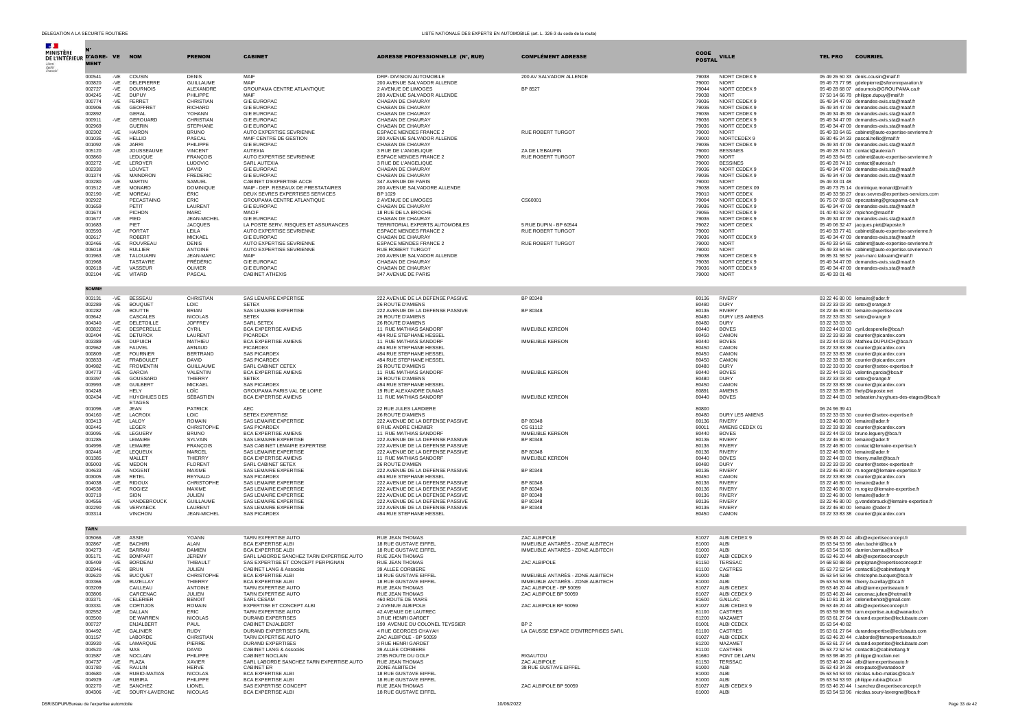| $\mathcal{A}$ .<br><b>MINISTÈRE</b> |                  |                                                      |                                   |                                                                        |                                                                      |                                                                      | CODE           |                                  |                |                                                                                                          |
|-------------------------------------|------------------|------------------------------------------------------|-----------------------------------|------------------------------------------------------------------------|----------------------------------------------------------------------|----------------------------------------------------------------------|----------------|----------------------------------|----------------|----------------------------------------------------------------------------------------------------------|
| DE L'INTÉRIEUR D'AGRE- VE           | <b>MENT</b>      | <b>NOM</b>                                           | <b>PRENOM</b>                     | <b>CABINET</b>                                                         | ADRESSE PROFESSIONNELLE (N°, RUE)                                    | <b>COMPLÉMENT ADRESSE</b>                                            | <b>POSTAL</b>  | <b>VILLE</b>                     | <b>TEL PRO</b> | <b>COURRIEL</b>                                                                                          |
|                                     |                  |                                                      |                                   |                                                                        |                                                                      |                                                                      |                |                                  |                |                                                                                                          |
|                                     | 000541<br>003820 | -VE<br>COUSIN<br>$-VE$<br>DELEPIERRE                 | <b>DENIS</b><br><b>GUILLAUME</b>  | MAIF<br>MAIF                                                           | DRP- DIVISION AUTOMOBILE<br>200 AVENUE SALVADOR ALLENDE              | 200 AV SALVADOR ALLENDE                                              | 79038<br>79000 | NIORT CEDEX 9<br><b>NIORT</b>    |                | 05 49 26 50 33 denis.cousin@maif.fr<br>05 49 73 77 98 gdelepierre@sferenreparation.fr                    |
|                                     | 002727           | $-VE$<br><b>DOURNOIS</b>                             | ALEXANDRE                         | GROUPAMA CENTRE ATLANTIQUE                                             | 2 AVENUE DE LIMOGES                                                  | BP 8527                                                              | 79044          | NIORT CEDEX 9                    |                | 05 49 28 68 07 adournois@GROUPAMA.ca.fr                                                                  |
|                                     | 004245<br>000774 | -VE<br><b>DUPUY</b><br>$-VE$<br><b>FERRET</b>        | PHILIPPE<br>CHRISTIAN             | MAIF<br><b>GIE EUROPAC</b>                                             | 200 AVENUE SALVADOR ALLENDE<br>CHABAN DE CHAURAY                     |                                                                      | 79038<br>79036 | <b>NIORT</b><br>NIORT CEDEX 9    |                | 07 50 14 66 78 philippe.dupuy@maif.fr<br>05 49 34 47 09 demandes-avis.sta@maaf.fr                        |
|                                     | 000906           | <b>GEOFFRET</b><br>$-VE$                             | <b>RICHARD</b>                    | <b>GIE EUROPAC</b>                                                     | CHABAN DE CHAURAY                                                    |                                                                      | 79036          | NIORT CEDEX 9                    |                | 05 49 34 47 09 demandes-avis.sta@maaf.fr                                                                 |
|                                     | 002892<br>000911 | <b>GERAL</b><br>-VE<br>GEROUARD                      | YOHANN<br>CHRISTIAN               | <b>GIE EUROPAC</b><br><b>GIE EUROPAC</b>                               | CHABAN DE CHAURAY<br>CHABAN DE CHAURAY                               |                                                                      | 79036<br>79036 | NIORT CEDEX 9<br>NIORT CEDEX 9   |                | 05 49 34 45 39 demandes-avis.sta@maaf.fr<br>05 49 34 47 09 demandes-avis.sta@maaf.fr                     |
|                                     | 002969           | <b>GUERIN</b>                                        | <b>STEPHANE</b>                   | GIF FUROPAC                                                            | CHABAN DE CHAURAY                                                    |                                                                      | 79036          | NIORT CEDEX 9                    |                | 05 49 34 47 09 demandes-avis.sta@maaf.fr                                                                 |
|                                     | 002302<br>001035 | -VE<br><b>HAIRON</b><br>$-VE$<br><b>HELLIO</b>       | <b>BRUNO</b><br>PASCAL            | AUTO EXPERTISE SEVRIENNE<br>MAIF CENTRE DE GESTION                     | <b>ESPACE MENDES FRANCE 2</b><br>200 AVENUE SALVADOR ALLENDE         | RUE ROBERT TURGOT                                                    | 79000<br>79000 | <b>NIORT</b><br>NIORTCEDEX 9     |                | 05 49 33 64 65 cabinet@auto-expertise-sevrienne.fr<br>06 80 45 24 33 pascal.hellio@maif.fr               |
|                                     | 001092           | -VE<br>.1ARRI                                        | PHILIPPE                          | <b>GIE EUROPAC</b>                                                     | CHABAN DE CHAURAY                                                    |                                                                      | 79036          | NIORT CEDEX 9                    |                | 05 49 34 47 09 demandes-avis.sta@maaf.fr                                                                 |
|                                     | 005120<br>003860 | -VE<br><b>JOUSSEAUME</b><br>LEDUOUE                  | <b>VINCENT</b><br><b>FRANCOIS</b> | <b>AUTEXIA</b><br>AUTO EXPERTISE SEVRIENNE                             | 3 RUE DE L'ANGELIQUE<br><b>ESPACE MENDES FRANCE 2</b>                | ZA DE L'EBAUPIN<br>RUE ROBERT TURGOT                                 | 79000<br>79000 | <b>BESSINES</b><br><b>NIORT</b>  |                | 05 49 28 74 10 contact@autexia.fr<br>05 49 33 64 65 cabinet@auto-expertise-sevrienne.fr                  |
|                                     | 003272           | LEROYER<br>$-VE$                                     | LUDOVIC                           | SARL AUTEXIA                                                           | 3 RUE DE L'ANGELIQUE                                                 |                                                                      | 79000          | <b>BESSINES</b>                  |                | 05 49 28 74 10 contact@autexia.fr                                                                        |
|                                     | 002330<br>001374 | LOUVET<br>$-VE$<br>MAINDRON                          | <b>DAVID</b><br><b>EREDERIC</b>   | <b>GIE EUROPAC</b><br><b>GIE EUROPAC</b>                               | CHABAN DE CHAURAY<br>CHABAN DE CHAURAY                               |                                                                      | 79036<br>79036 | NIORT CEDEX 9<br>NIORT CEDEX 9   |                | 05 49 34 47 09 demandes-avis.sta@maaf.fr                                                                 |
|                                     | 003280           | -VE<br><b>MARTIN</b>                                 | SAMUEL                            | CABINET D'EXPERTISE ACCE                                               | 347 AVENUE DE PARIS                                                  |                                                                      | 79000          | <b>NIORT</b>                     | 05 49 33 01 48 | 05 49 34 47 09 demandes-avis.sta@maaf.fr                                                                 |
|                                     | 001512<br>002190 | $-VE$<br><b>MONARD</b><br>-VE<br><b>MORFAU</b>       | <b>DOMINIQUE</b><br>FRIC.         | MAIF - DEP. RESEAUX DE PRESTATAIRES<br>DEUX SEVRES EXPERTISES SERVICES | 200 AVENUE SALVADORE ALLENDE<br>BP 1029                              |                                                                      | 79038<br>79010 | NIORT CEDEX 09<br>NIORT CEDEX    |                | 05 49 73 75 14 dominique.monard@maif.fr<br>05 49 33 58 27 deux-sevres@expertises-services.com            |
|                                     | 002922           | PECASTAING                                           | ERIC                              | GROUPAMA CENTRE ATLANTIQUE                                             | 2 AVENUE DE LIMOGES                                                  | CS60001                                                              | 79004          | NIORT CEDEX 9                    |                | 06 75 07 09 63 epecastaing@groupama-ca.fr                                                                |
|                                     | 001659<br>001674 | PETIT<br>PICHON                                      | LAURENT<br>MARC.                  | <b>GIE EUROPAC</b><br><b>MACIE</b>                                     | CHARAN DE CHAURAY<br>18 RUE DE LA BROCHE                             |                                                                      | 79036<br>79055 | NIORT CEDEX 9<br>NIORT CEDEX 9   |                | 05 49 34 47 09 demandes-avis.sta@maaf.fr<br>01 40 40 53 37 mpichon@macif.fr                              |
|                                     | 001677           | PIED<br>-VE                                          | JEAN-MICHEL                       | <b>GIE EUROPAC</b>                                                     | CHABAN DE CHAURAY                                                    |                                                                      | 79036          | NIORT CEDEX 9                    |                | 05 49 34 47 09 demandes-avis.sta@maaf.fr                                                                 |
|                                     | 001683<br>003593 | PIFT<br>PORTAT<br>-VE                                | <b>JACQUES</b><br>LEILA           | LA POSTE SERV. RISQUES ET ASSURANCES<br>AUTO EXPERTISE SEVRIENNE       | TERRITORIAL EXPERTS AUTOMOBILES<br>ESPACE MENDES FRANCE 2            | 5 RUE DUPIN - BP 60544<br>RUE ROBERT TURGOT                          | 79022<br>79000 | NIORT CEDEX<br><b>NIORT</b>      |                | 05 49 06 32 47 jacques.piet@laposte.fr<br>05 49 33 77 41 cabinet@auto-expertise-sevrienne.fr             |
|                                     | 002617           | ROBER <sub>1</sub>                                   | <b>MICKAEL</b>                    | <b>GIE EUROPAC</b>                                                     | CHABAN DE CHAURAY                                                    |                                                                      | 79036          | NIORT CEDEX 9                    |                | 05 49 34 47 09 demandes-avis.sta@maaf.fr                                                                 |
|                                     | 002466<br>005018 | -VE<br>ROUVREAL<br>$-VE$<br><b>RULLIER</b>           | <b>DENIS</b><br>ANTOINE           | AUTO EXPERTISE SEVRIENNE<br>AUTO EXPERTISE SEVRIENNE                   | <b>ESPACE MENDES FRANCE 2</b><br>RUE ROBERT TURGOT                   | <b>RUE ROBERT TURGOT</b>                                             | 79000<br>79000 | <b>NIORT</b><br><b>NIORT</b>     |                | 05 49 33 64 65 cabinet@auto-expertise-sevrienne.fr<br>05 49 33 64 65 cabinet@auto-expertise.sevrienne.fr |
|                                     | 001963           | <b>TALOUARN</b><br>-VE                               | JEAN-MARC                         | MAIF                                                                   | 200 AVENUE SALVADOR ALLENDE                                          |                                                                      | 79038          | NIORT CEDEX 9                    |                | 06 85 31 58 57 jean-marc.talouam@maif.fr                                                                 |
|                                     | 001968<br>002618 | <b>TASTAYRE</b><br>$-VE$<br>VASSEUR                  | FRÉDÉRIC<br>OLIVIER               | <b>GIE EUROPAC</b><br><b>GIE EUROPAC</b>                               | CHABAN DE CHAURAY<br>CHABAN DE CHAURAY                               |                                                                      | 79036<br>79036 | NIORT CEDEX 9<br>NIORT CEDEX 9   |                | 05 49 34 47 09 demandes-avis.sta@maaf.fr<br>05 49 34 47 09 demandes-avis.sta@maaf.fr                     |
|                                     | 002104           | -VE<br>VITARD                                        | PASCAL                            | <b>CABINET ATHEXIS</b>                                                 | 347 AVENUE DE PARIS                                                  |                                                                      | 79000          | <b>NIORT</b>                     | 05 49 33 01 48 |                                                                                                          |
|                                     | <b>SOMME</b>     |                                                      |                                   |                                                                        |                                                                      |                                                                      |                |                                  |                |                                                                                                          |
|                                     | 003131           | <b>BESSEAU</b><br>-VE                                | CHRISTIAN                         | SAS LEMAIRE EXPERTISE                                                  | 222 AVENUE DE LA DEFENSE PASSIVE                                     | BP 80348                                                             | 80136          | <b>RIVERY</b>                    |                | 03 22 46 80 00 lemaire@ader.fr                                                                           |
|                                     | 002289<br>000282 | $-VE$<br><b>BOUQUET</b><br>$-VE$<br><b>BOUTTE</b>    | LOIC<br><b>BRIAN</b>              | <b>SETEX</b><br>SAS LEMAIRE EXPERTISE                                  | 26 ROUTE D'AMIENS<br>222 AVENUE DE LA DEFENSE PASSIVE                | BP 80348                                                             | 80480<br>80136 | <b>DURY</b><br><b>RIVERY</b>     |                | 03 22 33 03 30 setex@orange.fr<br>03 22 46 80 00 lemaire-expertise.com                                   |
|                                     | 003642           | CASCALES                                             | <b>NICOLAS</b>                    | <b>SETEX</b>                                                           | 26 ROUTE D'AMIENS                                                    |                                                                      | 80480          | DURY LES AMIENS                  |                | 03 22 33 03 30 setex@orange.fr                                                                           |
|                                     | 004340<br>003822 | $-VE$<br>DELETOILLE<br>$-VE$<br>DESPERELLE           | <b>JOFFREY</b><br>CYRIL           | SARL SETEX<br>BCA EXPERTISE AMIENS                                     | 26 ROUTE D'AMIENS<br>11 RUE MATHIAS SANDORF                          | <b>IMMEUBLE KEREON</b>                                               | 80480<br>80440 | <b>DURY</b><br><b>BOVES</b>      | 03 22 33 03 30 | 03 22 44 03 03 cyril.desperelle@bca.fr                                                                   |
|                                     | 002404           | $-VE$<br>DETURCK                                     | LAURENT                           | PICARDEX                                                               | 494 RUE STEPHANE HESSEL                                              |                                                                      | 80450          | CAMON                            |                | 03 22 33 83 38 courrier@picardex.com                                                                     |
|                                     | 003389<br>002962 | $-VE$<br><b>DUPUICH</b><br>$-VE$<br><b>FAUVEL</b>    | MATHIEU<br>ARNAUD                 | <b>BCA EXPERTISE AMIENS</b><br>PICARDEX                                | 11 RUE MATHIAS SANDORF<br>494 RUE STEPHANE HESSEL                    | <b>IMMEUBLE KEREON</b>                                               | 80440<br>80450 | <b>BOVES</b><br>CAMON            |                | 03 22 44 03 03 Mathieu.DUPUICH@bca.fr<br>03 22 33 83 38 courrier@picardex.com                            |
|                                     | 000809           | $-VE$<br><b>FOURNIER</b>                             | <b>BERTRAND</b>                   | <b>SAS PICARDEX</b>                                                    | 494 RUE STEPHANE HESSEL                                              |                                                                      | 80450          | CAMON                            |                | 03 22 33 83 38 courrier@picardex.com                                                                     |
|                                     | 003833<br>004982 | <b>FRABOULET</b><br>-VE<br>$-VE$<br><b>FROMENTIN</b> | <b>DAVID</b><br><b>GUILLAUME</b>  | <b>SAS PICARDEX</b><br>SARL CABINET CETEX                              | 494 RUE STEPHANE HESSEL<br>26 ROUTE D'AMIENS                         |                                                                      | 80450<br>80480 | CAMON<br><b>DURY</b>             |                | 03 22 33 83 38 courrier@picardex.com<br>03 22 33 03 30 courrier@setex-expertise.fr                       |
|                                     | 004773           | $-VE$<br>GARCIA                                      | VALENTIN                          | <b>BCA EXPERTISE AMIENS</b>                                            | 11 RUE MATHIAS SANDORF                                               | <b>IMMEUBLE KEREON</b>                                               | 80440          | <b>BOVES</b>                     |                | 03 22 44 03 03 valentin.garcia@bca.fr                                                                    |
|                                     | 003397<br>003993 | GOUSSARD<br>$-VE$<br>-VE<br><b>GUILBERT</b>          | THIERRY<br>MICKAEL                | <b>SETEX</b><br>SAS PICARDEX                                           | 26 ROUTE D'AMIENS<br>494 RUE STEPHANE HESSEL                         |                                                                      | 80480<br>80450 | <b>DURY</b><br><b>CAMON</b>      |                | 03 22 33 03 30 setex@orange.fr<br>03 22 33 83 38 courrier@picardex.com                                   |
|                                     | 004248           | HELY                                                 | LOÏC                              | GROUPAMA PARIS VAL DE LOIRE                                            | 19 RUE ALEXANDRE DUMAS                                               |                                                                      | 80891          | AMIENS                           |                | 03 22 33 85 20 lhely@laposte.net                                                                         |
|                                     | 002434           | -VE<br>HUYGHUES DES<br><b>ETAGES</b>                 | SÉBASTIEN                         | <b>BCA EXPERTISE AMIENS</b>                                            | 11 RUE MATHIAS SANDORF                                               | <b>IMMEUBLE KEREON</b>                                               | 80440          | <b>BOVES</b>                     |                | 03 22 44 03 03 sebastien.huyghues-des-etages@bca.fr                                                      |
|                                     | 001096<br>004160 | -VE<br><b>JEAN</b><br>$-VE$<br>LACROIX               | PATRICK                           | <b>AEC</b><br>SETEX EXPERTISE                                          | 22 RUE JULES LARDIERE<br>26 ROUTE D'AMIENS                           |                                                                      | 80800<br>80480 |                                  | 06 24 96 39 41 |                                                                                                          |
|                                     | 003413           | $-VE$<br>LALOY                                       | LOIC<br><b>ROMAIN</b>             | SAS LEMAIRE EXPERTISE                                                  | 222 AVENUE DE LA DEFENSE PASSIVE                                     | BP 80348                                                             | 80136          | DURY LES AMIENS<br><b>RIVERY</b> |                | 03 22 33 03 30 courrier@setex-expertise.fr<br>03 22 46 80 00 lemaire@ader.fr                             |
|                                     | 002445           | LEGER                                                | CHRISTOPHE<br><b>BRUNO</b>        | <b>SAS PICARDEX</b>                                                    | 8 RUE ANDRE CHENIER                                                  | CS 61112                                                             | 80011          | AMIENS CEDEX 01                  |                | 03 22 33 83 38 courrier@picardex.com                                                                     |
|                                     | 003095<br>001285 | -VE<br><b>LEGUERY</b><br>LEMAIRE                     | SYLVAIN                           | <b>BCA EXPERTISE AMIENS</b><br>SAS LEMAIRE EXPERTISE                   | 11 RUE MATHIAS SANDORF<br>222 AVENUE DE LA DEFENSE PASSIVE           | <b>IMMEUBLE KEREON</b><br>BP 80348                                   | 80440<br>80136 | <b>BOVES</b><br><b>RIVERY</b>    |                | 03 22 44 03 03 bruno.leguery@bca.fr<br>03 22 46 80 00 lemaire@ader.fr                                    |
|                                     | 004996           | LEMAIRE<br>-VE                                       | <b>FRANCOIS</b>                   | SAS CABINET LEMAIRE EXPERTISE                                          | 222 AVENUE DE LA DEFENSE PASSIVE                                     | <b>RP 80348</b>                                                      | 80136          | <b>RIVERY</b>                    |                | 03 22 46 80 00 contact@lemaire-expertise.fr                                                              |
|                                     | 002446<br>001385 | -VE<br>LEQUEUX<br>MALLET                             | MARCEL<br>THIERRY                 | SAS LEMAIRE EXPERTISE<br><b>BCA EXPERTISE AMIENS</b>                   | 222 AVENUE DE LA DEFENSE PASSIVE<br>11 RUE MATHIAS SANDORF           | <b>IMMEUBLE KEREON</b>                                               | 80136<br>80440 | <b>RIVERY</b><br><b>BOVES</b>    |                | 03 22 46 80 00 lemaire@ader.fr<br>03 22 44 03 03 thierry.mallet@bca.fr                                   |
|                                     | 005003           | <b>MEDON</b><br>-VE                                  | <b>FLORENT</b><br>MAXIME          | SARL CABINET SETEX                                                     | 26 ROUTE D'AMIEN                                                     |                                                                      | 80480          | <b>DURY</b>                      |                | 03 22 33 03 30 courrier@setex-expertise.fr                                                               |
|                                     | 004633<br>003005 | -VE<br><b>NOGENT</b><br>-VE<br>RETEL                 | REYNALD                           | SAS LEMAIRE EXPERTISE<br><b>SAS PICARDEX</b>                           | 222 AVENUE DE LA DEFENSE PASSIVE<br>494 RUE STEPHANE HESSEL          | BP 80348                                                             | 80136<br>80450 | <b>RIVERY</b><br>CAMON           |                | 03 22 46 80 00 m.nogent@lemaire-expertise.fr<br>03 22 33 83 38 courrier@picardex.com                     |
|                                     | 004038           | $-VE$<br>RIDOUX                                      | CHRISTOPHE                        | <b>SAS LEMAIRE EXPERTISE</b>                                           | 222 AVENUE DE LA DEFENSE PASSIVE                                     | BP 80348                                                             | 80136          | <b>RIVERY</b>                    |                | 03 22 46 80 00 lemaire@ader.fr                                                                           |
|                                     | 004538<br>003719 | ROGIEZ<br>-VE<br>SION                                | MAXIME<br><b>JULIEN</b>           | SAS LEMAIRE EXPERTISE<br><b>SAS LEMAIRE EXPERTISE</b>                  | 222 AVENUE DE LA DEFENSE PASSIVE<br>222 AVENUE DE LA DEFENSE PASSIVE | BP 80348<br>BP 80348                                                 | 80136<br>80136 | <b>RIVERY</b><br><b>RIVERY</b>   |                | 03 22 46 80 00 m.rogiez@lemaire-expertise.fr<br>03 22 46 80 00 lemaire@ader.fr                           |
|                                     | 004556           | -VE<br>VANDEBROUCK                                   | <b>GUILLAUME</b>                  | SAS LEMAIRE EXPERTISE                                                  | 222 AVENUE DE LA DEFENSE PASSIVE                                     | BP 80348                                                             | 80136          | <b>RIVERY</b>                    |                | 03 22 46 80 00 g.vandebrouck@lemaire-expertise.fr                                                        |
|                                     | 002290<br>003314 | VERVAECK<br>-VE<br><b>VINCHON</b>                    | LAURENT<br>JEAN-MICHEL            | SAS LEMAIRE EXPERTISE<br><b>SAS PICARDEX</b>                           | 222 AVENUE DE LA DEFENSE PASSIVE<br>494 RUE STEPHANE HESSEL          | BP 80348                                                             | 80136<br>80450 | <b>RIVERY</b><br>CAMON           |                | 03 22 46 80 00 lemaire @ader.fr<br>03 22 33 83 38 courrier@picardex.com                                  |
|                                     | <b>TARN</b>      |                                                      |                                   |                                                                        |                                                                      |                                                                      |                |                                  |                |                                                                                                          |
|                                     | 005066           | -VE ASSIE                                            | <b>YOANN</b>                      | TARN EXPERTISE AUTO                                                    | <b>RUE JEAN THOMAS</b>                                               | ZAC ALBIPOLE                                                         | 81027          | ALBI CEDEX 9                     |                | 05 63 46 20 44 albi@expertiseconcept.fr                                                                  |
|                                     | 002867<br>004273 | -VE<br><b>BACHIR</b><br>-VE<br><b>BARRAU</b>         | ALAN<br><b>DAMIEN</b>             | BCA EXPERTISE ALBI<br><b>BCA EXPERTISE ALBI</b>                        | 18 RUE GUSTAVE EIFFEL<br>18 RUE GUSTAVE EIFFEL                       | IMMEUBLE ANTARÈS - ZONE ALBITECH<br>IMMEUBLE ANTARÈS - ZONE ALBITECH | 81000<br>81000 | ALBI<br>ALB                      |                | 05 63 54 53 96 alan.bachiri@bca.fr<br>05 63 54 53 96 damien.barrau@bca.fr                                |
|                                     | 005171           | $-VE$<br><b>BOMPART</b>                              | JEREMY                            | SARL LABORDE SANCHEZ TARN EXPERTISE AUTO                               | <b>RUE JEAN THOMAS</b>                                               |                                                                      | 81027          | ALBI CEDEX 9                     |                | 05 63 46 20 44 albi@expertiseconcept.fr                                                                  |
|                                     | 005409<br>002946 | $-VE$<br><b>BORDEAU</b><br>$-VE$<br><b>BRUN</b>      | THIBAULT<br>JULIEN                | SAS EXPERTISE ET CONCEPT PERPIGNAN<br>CABINET LANG & Associés          | RUE JEAN THOMAS<br>39 ALLEE CORBIERE                                 | ZAC ALBIPOLE                                                         | 81150<br>81100 | TERSSAC<br>CASTRES               |                | 04 68 50 88 89 perpignan@expertiseconcept.f<br>05 63 72 52 54 contact81@cabinetlang.fr                   |
|                                     | 002620           | -VE<br><b>BUCOUET</b>                                | CHRISTOPHE                        | <b>BCA EXPERTISE ALBI</b>                                              | 18 RUE GUSTAVE EIFFEL                                                | IMMEUBLE ANTARÈS - ZONE ALBITECH                                     | 81000          | <b>ALBI</b>                      |                | 05 63 54 53 96 christophe.bucquet@bca.fr                                                                 |
|                                     | 003366<br>003209 | $-VE$<br><b>BUZELLAY</b><br>CAILLEAU                 | <b>THIERRY</b><br>ANTOINE         | <b>BCA EXPERTISE ALBI</b><br><b>TARN EXPERTISE AUTO</b>                | 18 RUE GUSTAVE EIFFEL<br><b>RUE JEAN THOMAS</b>                      | IMMEUBLE ANTARÈS - ZONE ALBITECH<br>ZAC ALBIPOLE - BP 50059          | 81000<br>81027 | ALBI<br>ALBI CEDEX               |                | 05 63 54 53 96 thierry.buzellay@bca.fr<br>05 63 46 20 44 albi@tarnexpertiseauto.fr                       |
|                                     | 003806           | CARCENAC                                             | JULIEN                            | TARN EXPERTISE AUTO                                                    | RUE JEAN THOMAS                                                      | ZAC ALBIPOLE BP 50059                                                | 81027          | ALBI CEDEX 9                     |                | 05 63 46 20 44 carcenac.julien@hotmail.f                                                                 |
|                                     | 003371<br>003331 | -VE<br>CELERIER<br>CORTIJOS<br>$-VE$                 | <b>BENOIT</b><br>ROMAIN           | SARL CESAM<br>EXPERTISE ET CONCEPT ALBI                                | 460 ROUTE DE VIARS<br>2 AVENUE ALBIPOLE                              | ZAC ALBIPOLE BP 50059                                                | 81600<br>81027 | GAILLAC<br>ALBI CEDEX 9          |                | 06 10 81 31 34 celerierbenoit@gmail.com<br>05.63.46.20.44 alhi@expertiseconcent.fr                       |
|                                     | 002552           | -VE<br>DALLAN                                        | FRIC.                             | TARN EXPERTISE AUTO                                                    | 42 AVENUE DE LAUTREC                                                 |                                                                      | 81100          | CASTRES                          |                | 05 63 59 96 59 tarn.expertise.auto@wanadoo.fr                                                            |
|                                     | 003500<br>000727 | DE WARREN<br>ENJALBERT                               | <b>NICOLAS</b><br>PAUL            | DURAND EXPERTISES<br>CABINET ENJALBERT                                 | 3 RUE HENRI GARDET<br>199 AVENUE DU COLONEL TEYSSIER                 | BP <sub>2</sub>                                                      | 81200<br>81001 | MAZAMET<br>ALBI CEDEX            | 05 63 54 40 82 | 05 63 61 27 64 durand.expertise@leclubauto.com                                                           |
|                                     | 004492           | -VE<br><b>GALINIER</b>                               | <b>RUDY</b>                       | DURAND EXPERTISES SARL                                                 | 4 RUE GEORGES CHAYAH                                                 | LA CAUSSE ESPACE D'ENTREPRISES SARL                                  | 81100          | CASTRES                          |                | 05 63 61 27 64 durandexpertise@leclubauto.com                                                            |
|                                     | 001157<br>003930 | LABORDE<br>LAMARQUE<br>$-VE$                         | CHRISTIAN<br>PIFRRE               | TARN EXPERTISE AUTO<br>DURAND EXPERTISES                               | ZAC ALBIPOLE - BP 50059<br>3 RUE HENRI GARDET                        |                                                                      | 81027<br>81200 | ALBI CEDEX<br>MAZAMET            |                | 05.63.46.20.44 c.laborde@tarnexpertiseauto.fr<br>05 63 61 27 64 durand.expertise@leclubauto.com          |
|                                     | 004520           | -VE<br>MAS                                           | <b>DAVID</b>                      | CABINET LANG & Associés                                                | 39 ALLEE CORBIERE                                                    |                                                                      | 81100          | CASTRES                          |                | 05 63 72 52 54 contact81@cabinetlang.fr                                                                  |
|                                     | 001587           | NOCLAIN<br>$-VE$<br>PLAZA                            | PHILIPPE<br>XAVIER                | CABINET NOCLAIN<br>SARL LABORDE SANCHEZ TARN EXPERTISE AUTO            | 2785 ROUTE DU GOLF                                                   | RIGAUTOU<br>ZAC ALBIPOLE                                             | 81660          | PONT DE LARN<br><b>TERSSAC</b>   |                | 05 63 98 46 20 philippe@noclain.net                                                                      |
|                                     | 004737<br>001780 | -VE<br>-VE<br>RAULIN                                 | <b>HERVE</b>                      | CABINET ER                                                             | RUE JEAN THOMAS<br>ZONE ALBITECH                                     | 38 RUE GUSTAVE EIFFEL                                                | 81150<br>81000 | ALBI                             |                | 05 63 46 20 44 albi@tarnexpertiseauto.fr<br>05 63 43 34 28 erexpauto@wanadoo.fr                          |
|                                     | 004680<br>004929 | <b>RUBIO-MATIAS</b><br>$-VE$<br>-VE<br><b>RUBIRA</b> | <b>NICOLAS</b><br>PHILIPPE        | <b>BCA EXPERTISE ALBL</b><br><b>BCA EXPERTISE ALBI</b>                 | 18 RUE GUSTAVE EIFFEL<br>18 RUE GUSTAVE EIFFEL                       |                                                                      | 81000<br>81000 | AI BI<br>ALBI                    |                | 05 63 54 53 93 nicolas.rubio-matias@bca.fr<br>05 63 54 53 93 philippe.rubira@bca.fr                      |
|                                     | 002270           | SANCHEZ<br>$-VE$                                     | LIONEL                            | SAS EXPERTISE CONCEPT                                                  | RUE JEAN THOMAS                                                      | ZAC ALBIPOLE BP 50059                                                | 81027          | ALBI CEDEX 9                     |                | 05 63 46 20 44 I.sanchez@expertiseconcept.fr                                                             |
|                                     | 004306           | SOURY-LAVERGNE<br>-VE                                | <b>NICOLAS</b>                    | BCA EXPERTISE ALBI                                                     | 18 RUE GUSTAVE EIFFEL                                                |                                                                      | 81000          | ALBI                             |                | 05 63 54 53 96 nicolas.soury-lavergne@bca.fr                                                             |

DSR/SDPUR/Bureau de l'expertise automobile automobile 10/06/2022 Page 33 de 42 de 42 auto 2006/2022 Page 33 de 42 auto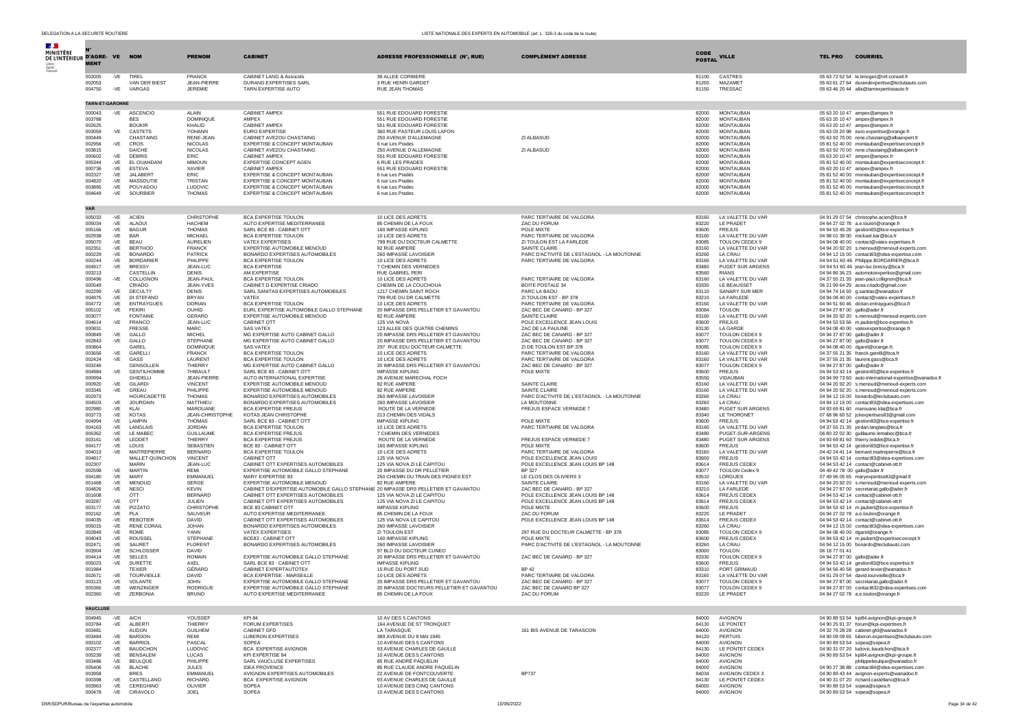| <b>MINISTÈRE</b>              |                        |                |                                      |                                   |                                                                                                                   |                                                                                   |                                                                          |                |                                                    |                                                                                                     |
|-------------------------------|------------------------|----------------|--------------------------------------|-----------------------------------|-------------------------------------------------------------------------------------------------------------------|-----------------------------------------------------------------------------------|--------------------------------------------------------------------------|----------------|----------------------------------------------------|-----------------------------------------------------------------------------------------------------|
| DE L'INTÉRIEUR D'AGRE- VE NOM | <b>MENT</b>            |                |                                      | <b>PRENOM</b>                     | <b>CABINET</b>                                                                                                    | <b>ADRESSE PROFESSIONNELLE (N°, RUE)</b>                                          | <b>COMPLÉMENT ADRESSE</b>                                                | POSTAL VILLE   |                                                    | <b>COURRIEL</b><br><b>TEL PRO</b>                                                                   |
|                               |                        |                |                                      |                                   |                                                                                                                   |                                                                                   |                                                                          |                |                                                    |                                                                                                     |
|                               | 002005                 | -VE            | TIREL                                | <b>FRANCK</b><br>JEAN-PIERRE      | <b>CABINET LANG &amp; Associés</b>                                                                                | 39 ALLEE CORBIERE                                                                 |                                                                          | 81100          | CASTRES<br><b>MAZAMET</b>                          | 05 63 72 52 54 le.limoges@ref-conseil.fr                                                            |
|                               | 002053<br>004750       |                | VAN DER BIEST<br>-VE VARGAS          | JEREMIE                           | <b>DURAND EXPERTISES SARL</b><br>TARN EXPERTISE AUTO                                                              | 3 RUE HENRI GARDET<br><b>RUE JEAN THOMAS</b>                                      |                                                                          | 81200<br>81150 | TRESSAC                                            | 05 63 61 27 64 durandexpertise@leclubauto.com<br>05 63 46 20 44 albi@tarnexpertiseauto.fr           |
|                               |                        |                |                                      |                                   |                                                                                                                   |                                                                                   |                                                                          |                |                                                    |                                                                                                     |
|                               | <b>TARN-ET-GARONNE</b> |                |                                      |                                   |                                                                                                                   |                                                                                   |                                                                          |                |                                                    |                                                                                                     |
|                               | 000043                 | -VE            | ASCENCIO                             | AI AIN                            | CABINET AMPEX                                                                                                     | 551 RUE EDOUARD FORESTIE                                                          |                                                                          | 82000          | <b>MONTAUBAN</b>                                   | 05 63 20 10 47 ampex@ampex.fr                                                                       |
|                               | 003788<br>002625       |                | <b>BES</b><br><b>BOUKIR</b>          | DOMINIQUE<br>KHALID               | AMPFX<br>CABINET AMPEX                                                                                            | 551 RUE EDOUARD FORESTIE<br>551 RUE EDOUARD FORESTIE                              |                                                                          | 82000<br>82000 | <b>MONTAUBAN</b><br><b>MONTAUBAN</b>               | 05 63 20 10 47 ampex@ampex.fr<br>05 63 20 10 47 ampex@ampex.fr                                      |
|                               | 003059                 | -VE            | CASTETS                              | YOHANN                            | EURO EXPERTISE                                                                                                    | 360 RUE PASTEUR LOUIS LAFON                                                       |                                                                          | 82000          | <b>MONTAUBAN</b>                                   | 05 63 03 20 98 euro.expertise@orange.fr                                                             |
|                               | 000449                 |                | CHASTAING                            | RENE-JEAN                         | CABINET AVEZOU CHASTAING                                                                                          | 250 AVENUE D'ALLEMAGNE                                                            | ZI ALBASUD                                                               | 82000          | <b>MONTAUBAN</b>                                   | 05 63 92 70 00 rene.chastaing@albaexpert.fr                                                         |
|                               | 002956<br>003815       | -VE            | CROS<br><b>DAICHE</b>                | <b>NICOLAS</b><br><b>NICOLAS</b>  | EXPERTISE & CONCEPT MONTAUBAN<br>CABINET AVEZOU CHASTAING                                                         | 6 rue Les Prades<br>250 AVENUE D'ALLEMAGNE                                        | ZI ALBASUD                                                               | 82000<br>82000 | <b>MONTAUBAN</b><br><b>MONTAUBAN</b>               | 05 81 52 40 00 montauban@expertiseconcept.fr<br>05 63 92 70 00 rene.chastaing@albaexpert.fr         |
|                               | 000602                 | $-VE$          | <b>DEBRIS</b>                        | ERIC                              | CABINET AMPEX                                                                                                     | 551 RUE EDOUARD FORESTIE                                                          |                                                                          | 82000          | <b>MONTAUBAN</b>                                   | 05 63 20 10 47 ampex@ampex.fr                                                                       |
|                               | 005344<br>000736       | $-VE$<br>$-VE$ | EL OUAHDANI<br><b>ESTEVA</b>         | <b>MIMOUN</b><br>XAVIER           | EXPERTISE CONCEPT AGEN<br>CABINET AMPEX                                                                           | 6 RUE LES PRADES<br>551 RUE EDOUARD FORESTIE                                      |                                                                          | 82000<br>82000 | <b>MONTAUBAN</b><br><b>MONTAUBAN</b>               | 05 81 52 40 00 montauban@expertiseconcept.fr<br>05 63 20 10 47 ampex@ampex.fr                       |
|                               | 002327                 | -VE            | <b>JALABERT</b>                      | FRIC.                             | EXPERTISE & CONCEPT MONTAUBAN                                                                                     | 6 rue Les Prades                                                                  |                                                                          | 82000          | <b>MONTAUBAN</b>                                   | 05 81 52 40 00 montauban@expertiseconcept.fr                                                        |
|                               | 004820                 | $-VF$          | MASSOUTIE                            | <b>TRISTAN</b>                    | <b>EXPERTISE &amp; CONCEPT MONTAURAN</b>                                                                          | 6 rue Les Prades                                                                  |                                                                          | 82000          | <b>MONTAURAN</b>                                   | 05 81 52 40 00 montauban@expertiseconcept.fr                                                        |
|                               | 003895<br>004649       | -VF<br>$-VE$   | POUYADOU<br><b>SOURBIER</b>          | <b>LUDOVIC</b><br><b>THOMAS</b>   | <b>EXPERTISE &amp; CONCEPT MONTAURAN</b><br>EXPERTISE & CONCEPT MONTAUBAN                                         | 6 rue Les Prades<br>6 rue Les Prades                                              |                                                                          | 82000<br>82000 | <b>MONTAURAN</b><br><b>MONTAUBAN</b>               | 05 81 52 40 00 montauban@expertiseconcept.fr<br>05 81 52 40 00 montauban@expertiseconcept.fr        |
|                               |                        |                |                                      |                                   |                                                                                                                   |                                                                                   |                                                                          |                |                                                    |                                                                                                     |
|                               | <b>VAR</b>             |                |                                      |                                   |                                                                                                                   |                                                                                   |                                                                          |                |                                                    |                                                                                                     |
|                               | 005033                 | -VE            | <b>ACIEN</b>                         | CHRISTOPHE                        | BCA EXPERTISE TOULON                                                                                              | 10 LICE DES ADRETS                                                                | PARC TERTIAIRE DE VALGORA                                                | 83160          | LA VALETTE DU VAR                                  | 04 91 29 07 54 christophe.acien@bca.fr                                                              |
|                               | 005034                 | -VE            | ALAOUI                               | <b>HACHEM</b><br><b>THOMAS</b>    | AUTO EXPERTISE MEDITERRANEE                                                                                       | 85 CHEMIN DE LA FOUX                                                              | ZAC DU FORUM                                                             | 83220          | <b>IF PRADET</b>                                   | 04 64 27 02 78 a.e.toulon@orange.fr                                                                 |
|                               | 005166<br>002938       | $-VE$<br>-VE   | <b>BAGUR</b><br><b>BAR</b>           | <b>MICHAEL</b>                    | SARL BCE 83 - CABINET OTT<br>BCA EXPERTISE TOULON                                                                 | 160 IMPASSE KIPLING<br>10 LICE DES ADRETS                                         | POLE MIXTE<br>PARC TERTIAIRE DE VALGORA                                  | 83600<br>83160 | <b>FREJUS</b><br>LA VALETTE DU VAR                 | 04 94 53 45 28 gestion83@bce-expertise.fr<br>04 98 01 39 00 mickael.bar@bca.fr                      |
|                               | 005070                 | -VE            | <b>BEAU</b>                          | <b>AURELIEN</b>                   | VATEX EXPERTISES                                                                                                  | 799 RUE DU DOCTEUR CALMETTE                                                       | ZI TOULON EST LA FARLEDE                                                 | 83085          | TOULON CEDEX 9                                     | 04 94 08 40 00 contact@vatex-expertises.fr                                                          |
|                               | 002351                 | $-VE$          | <b>BERTHOD</b>                       | <b>FRANCK</b>                     | EXPERTISE AUTOMOBILE MENOUD                                                                                       | 82 RUE AMPERE                                                                     | SAINTE CLAIRE                                                            | 83160          | LA VALETTE DU VAR                                  | 04 94 20 92 20 s.menoud@menoud-experts.com                                                          |
|                               | 000229<br>000244       | -VE<br>$-VE$   | <b>BONARDO</b><br><b>BORDARIER</b>   | <b>PATRICK</b><br>PHILIPPE        | BONARDO EXPERTISES AUTOMOBILES<br>BCA EXPERTISE TOULON                                                            | 260 IMPASSE LAVOISIER<br>10 LICE DES ADRETS                                       | PARC D'ACTIVITE DE L'ESTAGNOL - LA MOUTONNE<br>PARC TERTIAIRE DE VALGORA | 83260<br>83160 | LA CRAU<br>LA VALETTE DU VAR                       | 04 94 12 15 00 contact83@idea-expertise.com<br>04 94 51 60 46 Philippe.BORDARIER@bca.fr             |
|                               | 004917                 | -VE            | <b>BRESSY</b>                        | JEAN-LUC                          | <b>BCA EXPERTISE</b>                                                                                              | 7 CHEMIN DES VERNEDES                                                             |                                                                          | 83480          | PUGET SUR ARGENS                                   | 04 94 51 60 46 jean-luc.bressy@bca.fr                                                               |
|                               | 003213<br>000496       |                | CASTELL IN<br>COLLIGNON              | <b>DENIS</b><br>JFAN-PAUL         | AM EXPERTISE<br><b>BCA EXPERTISE TOULON</b>                                                                       | RUE GABRIEL PERL<br>10 LICE DES ADRETS                                            |                                                                          | 83560<br>83160 | <b>RIANS</b>                                       | 04 94 86 36 23 automotoexpertise@gmail.com                                                          |
|                               | 000549                 | -VE            | CRIADO                               | JEAN-YVES                         | CABINET D EXPERTISE CRIADO                                                                                        | CHEMIN DE LA COUCHOUA                                                             | PARC TERTIAIRE DE VALGORA<br><b>BOITE POSTALE 34</b>                     | 83330          | LA VALETTE DU VAR<br>LE BEAUSSET                   | 04 37 55 21 35 jean-paul.collignon@bca.fr<br>06 21 99 64 29 acea.criado@gmail.com                   |
|                               | 002299                 | -VE            | DECULTY                              | <b>DENIS</b>                      | SARL SANITAS EXPERTISES AUTOMOBILES                                                                               | 1217 CHEMIN SAINT ROCH                                                            | PARC LA BAOU                                                             | 83110          | SANARY SUR MER                                     | 04 94 74 16 93 g.sanitas@wanadoo.fr                                                                 |
|                               | 004975<br>004772       | -VE<br>-VE     | DI STEFANO<br><b>ENTRAYGUES</b>      | <b>BRYAN</b><br><b>DORIAN</b>     | VATEX<br>BCA EXPERTISE TOULON                                                                                     | 799 RUE DU DR CALMETTE<br>10 LICE DES ADRETS                                      | ZI TOULON EST - BP 378<br>PARC TERTIAIRE DE VALGORA                      | 83210<br>83160 | LA FARLEDE<br>LA VALETTE DU VAR                    | 04 94 08 40 00 contact@vatex-expertises.fr<br>04 94 51 60 46 dorian.entraygues@bca.fr               |
|                               | 005102                 | -VE FEKIRI     |                                      | OUHID                             | EURL EXPERTISE AUTOMOBILE GALLO STEPHANE                                                                          | 20 IMPASSE DRS PELLETIER ET GAVANTOU                                              | ZAC BEC DE CANARD - BP 327                                               | 83084          | <b>TOULON</b>                                      | 04 94 27 87 00 gallo@ader.fr                                                                        |
|                               | 003077                 |                | <b>FONTAINE</b>                      | <b>GERARD</b>                     | EXPERTISE AUTOMOBILE MENOUD                                                                                       | 82 RUE AMPERE                                                                     | SAINTE CLAIRE                                                            | 83160          | LA VALETTE DU VAR                                  | 04 94 20 92 20 s.menoud@menoud-experts.com                                                          |
|                               | 004614<br>000831       | -VE            | <b>FRANCO</b><br><b>FRESSE</b>       | JEAN-LUC<br>MARC.                 | CABINET OTT<br>SAS VATEX                                                                                          | 125 VIA NOVA<br>123 ALLEE DES QUATRE CHEMINS                                      | POLE EXCELLENCE JEAN LOUIS<br>ZAC DE LA PAULINE                          | 83600<br>83130 | <b>FREJUS</b><br>LA GARDE                          | 04 94 53 53 56 m.jaubert@bce-expertise.fr<br>04 94 08 40 00 vatexexpertise@orange.fr                |
|                               | 000849                 |                | -VE GALLO                            | <b>MICHEL</b>                     | MG EXPERTISE AUTO CABINET GALLO                                                                                   | 20 IMPASSE DRS PELLETIER ET GAVANTOU                                              | ZAC BEC DE CANARD - BP 327                                               | 83077          | TOULON CEDEX 9                                     | 04 94 27 87 00 gallo@ader.fr                                                                        |
|                               | 002843                 | -VE            | GALLO                                | <b>STEPHANE</b>                   | MG EXPERTISE AUTO CABINET GALLO                                                                                   | 20 IMPASSE DRS PELLETIER ET GAVANTOU                                              | ZAC BEC DE CANARD - BP 327                                               | 83077          | TOULON CEDEX 9                                     | 04 94 27 87 00 gallo@ader.fr                                                                        |
|                               | 000864<br>003656       | $-VE$          | GAREL<br>GARELLI                     | <b>DOMINIOUE</b><br><b>FRANCK</b> | <b>SAS VATEX</b><br>BCA EXPERTISE TOULON                                                                          | 297 RUE EDU DOCTEUR CALMETTE<br>10 LICE DES ADRETS                                | ZI DE TOULON EST BP 378<br>PARC TERTIAIRE DE VALGORA                     | 83085<br>83160 | <b>TOULON CEDEX 9</b><br><b>I A VALETTE DU VAR</b> | 04 94 08 40 00 dgarel@orange.fr<br>04 37 55 21 35 franck.garelli@bca.fr                             |
|                               | 002424                 | $-VE$          | GASS                                 | LAURENT                           | <b>BCA EXPERTISE TOULON</b>                                                                                       | 10 LICE DES ADRETS                                                                | PARC TERTIAIRE DE VALGORA                                                | 83160          | LA VALETTE DU VAR                                  | 04 37 55 21 35 laurent.gass@bca.fr                                                                  |
|                               | 003246                 |                | <b>GENSOLLEN</b>                     | THIFRRY                           | MG EXPERTISE AUTO CABINET GALLO                                                                                   | 20 IMPASSE DRS PELLETIER ET GAVANTOU                                              | ZAC BEC DE CANARD - BP 327                                               | 83077          | TOULON CEDEX 9                                     | 04 94 27 87 00 gallo@ader.fr                                                                        |
|                               | 004984<br>000994       | -VE            | <b>GENTILHOMME</b><br><b>GHIDELL</b> | THIBAULT<br>JEAN-PIERRE           | SARL BCE 83 - CABINET OTT<br>AUTO INTERNATIONAL EXPERTISE                                                         | <b>IMPASSE KIPLING</b><br>26 AVENUE MARECHAL FOCH                                 | POLE MIXTE                                                               | 83600<br>83550 | <b>FREJUS</b><br>VIDAUBAN                          | 04 94 53 42 14 gestion83@bce-expertise.fr<br>04 94 99 73 60 auto-international-expertise@wanadoo.fr |
|                               | 000920                 | -VE            | <b>GILARDI</b>                       | <b>VINCENT</b>                    | EXPERTISE AUTOMOBILE MENOUD                                                                                       | 82 RUE AMPERE                                                                     | SAINTE CLAIRE                                                            | 83160          | LA VALETTE DU VAR                                  | 04 94 20 92 20 s.menoud@menoud-experts.com                                                          |
|                               | 003345<br>002973       | -VE            | GREAU<br><b>HOURCADETTE</b>          | PHILIPPE<br><b>THOMAS</b>         | EXPERTISE AUTOMOBILE MENOUD<br>BONARDO EXPERTISES AUTOMOBILES                                                     | 82 RUE AMPERE<br>260 IMPASSE LAVOISIER                                            | SAINTE CLAIRE<br>PARC D'ACTIVITE DE L'ESTAGNOL - LA MOUTONNE             | 83160<br>83260 | LA VALETTE DU VAR<br>LA CRAU                       | 04 94 20 92 20 s.menoud@menoud-experts.com<br>04 94 12 15 00 bonardo@leclubauto.com                 |
|                               | 004503                 | $-VE$          | <b>JOURDAIN</b>                      | MATTHIEU                          | BONARDO EXPERTISES AUTOMOBILES                                                                                    | 260 IMPASSE LAVOISIER                                                             | LA MOUTONNE                                                              | 83260          | LA CRAU                                            | 04 94 12 15 00 contact83@idea-expertises.com                                                        |
|                               | 002980                 | $-VE$          | KLAI                                 | MAROUANE                          | <b>BCA EXPERTISE FREJUS</b>                                                                                       | ROUTE DE LA VERNEDE                                                               | FREJUS ESPACE VERNEDE 7                                                  | 83480          | PUGET SUR ARGENS                                   | 04 93 69 81 60 marouane.klai@bca.fr                                                                 |
|                               | 003773<br>004994       | $-VE$<br>$-VF$ | <b>KOTAS</b><br><b>LAMPIN</b>        | JEAN-CHRISTOPHE<br><b>THOMAS</b>  | KOTAS JEAN CHRISTOPHE<br>SARL BCE 83 - CABINET OTT                                                                | 213 CHEMIN DES VIDALS<br>IMPASSE KIPI ING                                         | POLE MIXTE                                                               | 83340<br>83600 | LE THORONET<br>FREJUS                              | 07 68 96 60 52 jckexpertises83@gmail.com<br>04 94 53 42 14 gestion83@bce-expertise.fr               |
|                               | 004163                 | $-VE$          | LANGLAIS                             | <b>JORDAN</b>                     | <b>BCA EXPERTISE TOULON</b>                                                                                       | 10 LICE DES ADRETS                                                                | PARC TERTIAIRE DE VALGORA                                                | 83160          | LA VALETTE DU VAR                                  | 04 37 55 21 35 jordan.langlais@bca.fr                                                               |
|                               | 005362                 | -VE            | <b>LE MABEC</b>                      | <b>GUILLAUME</b>                  | <b>BCA EXPERTISE FREJUS</b>                                                                                       | 7 CHEMIN DES VERNEDES                                                             |                                                                          | 83480          | PUGET-SUR-ARGENS                                   | 06 80 22 02 30 guillaume.lemabec@bca.fr                                                             |
|                               | 003161<br>004177       | $-VE$<br>-VE   | LEDDET<br>LOUIS                      | THIFRRY<br><b>SEBASTIEN</b>       | <b>BCA EXPERTISE FREJUS</b><br>BCE 83 - CABINET OTT                                                               | ROUTE DE LA VERNEDE<br>160 IMPASSE KIPLING                                        | FREJUS ESPACE VERNEDE 7<br>POLE MIXTE                                    | 83480<br>83600 | PUGET SUR ARGENS<br><b>FREJUS</b>                  | 04 93 69 81 60 thierry.leddet@bca.fr<br>04 94 53 42 14 gestion83@bce-expertise.fr                   |
|                               | 004013                 | -VE            | MAITREPIERRE                         | <b>BERNARD</b>                    | BCA EXPERTISE TOULON                                                                                              | 10 LICE DES ADRETS                                                                | PARC TERTIAIRE DE VALGORA                                                | 83160          | LA VALETTE DU VAR                                  | 04 42 24 41 14 bernard.maitrepierre@bca.fr                                                          |
|                               | 004817                 |                | MALLET-OUINCHON<br>MARIN             | <b>VINCENT</b>                    | CABINET OTT<br>CABINET OTT EXPERTISES AUTOMOBILES                                                                 | 125 VIA NOVA                                                                      | POLE EXCELLENCE JEAN LOUIS                                               | 83600          | <b>FREJUS</b>                                      | 04 94 53 42 14 contact83@idea-expertises.com                                                        |
|                               | 002307<br>002598       | $-VF$          | <b>MARTIN</b>                        | JEAN-LUC<br>RFMI                  | EXPERTISE AUTOMOBILE GALLO STEPHANE                                                                               | 125 VIA NOVA ZI LE CAPITOU<br>20 IMPASSE DU DR PELLETIER                          | POLE EXCELLENCE JEAN LOUIS BP 148<br><b>BP 327</b>                       | 83614<br>83077 | FREJUS CEDE><br><b>TOULON Cedex 9</b>              | 04 94 53 42 14 contact@cabinet-ott.fr<br>04 49 42 78 00 gallo@ader.fr                               |
|                               | 004180                 | -VE            | MARY                                 | EMMANUEL                          | MARY EXPERTISE 83                                                                                                 | 250 CHEMIN DU TRAIN DES PIGNES EST                                                | LE CLOS DES OLIVIERS 3                                                   | 83510          | LORGUES                                            | 07 49 96 05 65 maryexpertise83@qmail.fr                                                             |
|                               | 001468<br>004826       | -VE            | -VE MENOUD<br><b>NESCI</b>           | SERGE<br><b>KEVIN</b>             | EXPERTISE AUTOMOBILE MENOUD<br>CABINET D'EXPERTISE AUTOMOBILE GALLO STEPHANE 20 IMPASSE DRS PELLETIER ET GAVANTOU | 82 RUE AMPERE                                                                     | SAINTE CLAIRE<br>ZAC BEC DE CANARD - BP 327                              | 83160<br>83210 | LA VALETTE DU VAR<br>LA FARLEDE                    | 04 94 20 92 20 s.menoud@menoud-experts.com<br>04 94 27 87 00 secretariat.gallo@ader.fr              |
|                               | 001608                 |                | OTT                                  | <b>BERNARD</b>                    | CABINET OTT EXPERTISES AUTOMOBILES                                                                                | 125 VIA NOVA ZI LE CAPITOU                                                        | POLE EXCELLENCE JEAN LOUIS BP 148                                        | 83614          | FREJUS CEDEX                                       | 04 94 53 42 14 contact@cabinet-ott.fr                                                               |
|                               | 003287                 | -VE OTT        |                                      | JULIEN.                           | CABINET OTT EXPERTISES AUTOMOBILES                                                                                | 125 VIA NOVA ZI LE CAPITOU                                                        | POLE EXCELLENCE JEAN LOUIS BP 148                                        | 83614          | <b>FREJUS CEDEX</b>                                | 04 94 53 42 14 contact@cabinet-ott.fr                                                               |
|                               | 003177<br>002162       | -VE<br>$-VE$   | PIZZATO<br><b>PLA</b>                | CHRISTOPHE<br>SAUVEUR             | BCE 83 CABINET OTT<br>AUTO EXPERTISE MEDITERRANEE                                                                 | <b>IMPASSE KIPLING</b><br>85 CHEMIN DE LA FOUX                                    | POLE MIXTE<br><b>ZAC DU FORUM</b>                                        | 83600<br>83220 | <b>FREJUS</b><br>LE PRADET                         | 04 94 53 42 14 m.jaubert@bce-expertise.fr                                                           |
|                               | 004035                 | -VE            | <b>REBOTIEF</b>                      | DAVID                             | CABINET OTT EXPERTISES AUTOMOBILES                                                                                | 125 VIA NOVA LE CAPITOU                                                           | POLE EXCELLENCE JEAN LOUIS BP 148                                        | 83614          | FREJUS CEDEX                                       | 04 94 27 02 78 a.e.toulon@orange.fr<br>04 94 53 42 14 contact@cabinet-ott.fr                        |
|                               | 005015                 | -VE            | <b>RENE CORAIL</b>                   | <b>JOHAN</b>                      | BONARDO EXPERTISES AUTOMOBILES                                                                                    | 260 IMPASSE LAVOISIER                                                             |                                                                          | 83260          | LA CRAU                                            | 04 94 12 15 00 contact83@idea-expertises.com                                                        |
|                               | 002849<br>004043       | -VE<br>$-VE$   | ROME<br><b>ROUSSEI</b>               | YANN<br>STÉPHANE                  | VATEX EXPERTISES<br><b>BCE83 - CABINET OTT</b>                                                                    | ZI TOULON EST<br>160 IMPASSE KIPLING                                              | 297 RUE DU DOCTEUR CALMETTE - BP 378<br>POLE MIXTE                       | 83085<br>83600 | TOULON CEDEX 9<br><b>FREJUS CEDEX</b>              | 04 94 08 40 00 dgarel@orange.fr<br>04 94 53 42 14 m.jaubert@expertiseconcept.fr                     |
|                               | 002471                 | -VE            | SAURET                               | <b>FLORENT</b>                    | BONARDO EXPERTISES AUTOMOBILES                                                                                    | 260 IMPASSE LAVOISIER                                                             | PARC D'ACTIVITE DE L'ESTAGNOL - LA MOUTONNE                              | 83260          | LA CRAU                                            | 04 94 12 15 00 bonardo@leclubauto.com                                                               |
|                               | 003904                 | $-VE$          | SCHLOSSER                            | <b>DAVID</b>                      |                                                                                                                   | 97 BLD DU DOCTEUR CUNEO                                                           |                                                                          | 83000          | <b>TOULON</b>                                      | 06 18 77 01 41                                                                                      |
|                               | 004414<br>005023       | $-VF$<br>-VE   | <b>SELLES</b><br>SURFTTE             | <b>ROMAIN</b><br>AXFI             | EXPERTISE AUTOMOBILE GALLO STEPHANE<br>SARL BCF 83 - CABINET OTT                                                  | 20 IMPASSE DRS PELLETIER ET GAVANTOU<br>IMPASSE KIPI ING                          | ZAC BEC DE CANARD - BP 327                                               | 83330<br>83600 | <b>TOULON CEDEX 9</b><br>FREJUS                    | 04 94 27 87 00 gallo@ader.fr<br>04 94 53 42 14 gestion83@bce-expertise.fr                           |
|                               | 001984                 |                | <b>TEXIER</b>                        | GÉRARD                            | CABINET EXPERTAUTOTEX                                                                                             | 15 RUE DU PORT SUD                                                                | <b>BP42</b>                                                              | 83310          | PORT GRIMAUD                                       | 04 94 56 40 58 gerard-texier@wanadoo.fr                                                             |
|                               | 002671                 | $-VE$          | <b>TOURVIEILLE</b>                   | <b>DAVID</b>                      | <b>BCA EXPERTISE - MARSEILLE</b>                                                                                  | 10 LICE DES ADRETS                                                                | PARC TERTIAIRE DE VALGORA                                                | 83160          | LA VALETTE DU VAR                                  | 04 91 29 07 54 david.tourvieille@bca.fr                                                             |
|                               | 003123<br>005365       | $-VE$<br>$-VE$ | VOLANTE<br>WENZINGER                 | <b>JOHN</b><br>RODRIGUE           | EXPERTISE AUTOMOBILE GALLO STEPHANE<br>EXPERTISE AUTOMOBILE GALLO STEPHANE                                        | 20 IMPASSE DRS PELLETIER ET GAVANTOU<br>20 IMPASSE DOCTEURS PELLETIER ET GAVANTOU | ZAC BEC DE CANARD - BP 327<br>ZAC BEC DE CANARD BP 327                   | 83077<br>83077 | TOULON CEDEX 9<br>TOULON CEDEX 9                   | 04 94 27 87 00 secretariat.gallo@ader.fr<br>04 94 27 87 00 contact832@idea-expertises.com           |
|                               | 002360                 | -VE            | ZERBONIA                             | <b>BRUNO</b>                      | AUTO EXPERTISE MEDITERRANEE                                                                                       | 85 CHEMIN DE LA FOUX                                                              | ZAC DU FORUM                                                             | 83220          | LE PRADET                                          | 04 94 27 02 78 a.e.toulon@orange.fr                                                                 |
|                               |                        |                |                                      |                                   |                                                                                                                   |                                                                                   |                                                                          |                |                                                    |                                                                                                     |
|                               | <b>VAUCLUSE</b>        |                |                                      |                                   |                                                                                                                   |                                                                                   |                                                                          |                |                                                    |                                                                                                     |
|                               | 004945<br>003784       | -VE<br>-VE     | AICH<br>ALBERT                       | YOUSSEE<br><b>THIERRY</b>         | KPI 84<br>FORUM EXPERTISES                                                                                        | 10 AV DES 5 CANTONS<br>164 AVENUE DE ST TRONQUET                                  |                                                                          | 84000<br>84130 | AVIGNON<br>LE PONTET                               | 04 90 89 53 54 kpi84.avignon@kpi-groupe.fr<br>04 90 25 91 37 forum@kpi-expertises.fr                |
|                               | 003481                 |                | <b>AUDON</b>                         | <b>GUILHEM</b>                    | CABINET GFD                                                                                                       | LA TARASQUE                                                                       | 161 BIS AVENUE DE TARASCON                                               | 84000          | AVIGNON                                            | 04 32 76 28 28 cabinet-gfd@wanadoo.fr                                                               |
|                               |                        |                |                                      |                                   |                                                                                                                   |                                                                                   |                                                                          |                |                                                    |                                                                                                     |

| 004945 |       | -VE AICH        | YOUSSEF         | <b>KPI 84</b>                  | 10 AV DES 5 CANTONS          |                            | 84000 | AVIGNON         | 04 90 89 53 54 kpi84.avignon@kpi-groupe.fr       |
|--------|-------|-----------------|-----------------|--------------------------------|------------------------------|----------------------------|-------|-----------------|--------------------------------------------------|
| 003784 | -VE   | ALBERTI         | THIERRY         | FORUM EXPERTISES               | 164 AVENUE DE ST TRONQUET    |                            | 84130 | LE PONTET       | 04 90 25 91 37 forum@kpi-expertises.fr           |
| 003481 |       | <b>AUDON</b>    | <b>GUILHEM</b>  | <b>CABINET GFD</b>             | LA TARASQUE                  | 161 BIS AVENUE DE TARASCON | 84000 | AVIGNON         | 04 32 76 28 28 cabinet-gfd@wanadoo.fr            |
| 003484 | $-VE$ | BARDON          | RFMI            | <b>I URERON EXPERTISES</b>     | 389 AVENUE DU 8 MAI 1945     |                            | 84120 | PERTUIS         | 04 90 09 09 65 luberon.expertises@leclubauto.com |
| 000102 | -VE   | <b>BARRIOL</b>  | PASCAL          | SOPEA                          | 10 AVENUE DES 5 CANTONS      |                            | 84000 | AVIGNON         | 04 90 89 53 54 sopea@sopea.fr                    |
| 002377 |       | -VE BAUDCHON    | <b>LUDOVIC</b>  | BCA EXPERTISE AVIGNON          | 93 AVENUE CHARLES DE GAULLE  |                            | 84130 | LE PONTET CEDEX | 04 90 31 07 20 ludovic.baudchon@bca.fr           |
| 005239 | $-VE$ | <b>BENSALEM</b> | <b>LUCAS</b>    | KPI EXPERTISE 84               | 10 AVENUE DES 5 CANTONS      |                            | 84000 | AVIGNON         | 04 90 89 53 54 kpi84.avignon@kpi-groupe.fr       |
| 003486 |       | -VE BEULOUE     | PHILIPPE        | SARL VAUCLUSE EXPERTISES       | 85 RUE ANDRÉ PAOUELIN        |                            | 84000 | AVIGNON         | philippebeulgue@wanadoo.fr                       |
| 005406 |       | -VE BLACHE      | <b>JULES</b>    | <b>IDEA PROVENCE</b>           | 85 RUE CLAUDE ANDRE PAOUELIN |                            | 84000 | AVIGNON         | 04 90 27 38 88 contact84@idea-expertises.com     |
| 003958 |       | <b>BRES</b>     | <b>EMMANUEL</b> | AVIGNON EXPERTISES AUTOMOBILES | 22 AVENUE DE FONTCOUVERTE    | <b>BP737</b>               | 84034 | AVIGNON CEDEX 3 | 04 90 89 43 44 avignon-experts@wanadoo.fr        |
| 000398 | $-VE$ | CASTELLANO      | <b>RICHARD</b>  | BCA EXPERTISE AVIGNON          | 93 AVENUE CHARLES DE GAULLE  |                            | 84130 | LE PONTET CEDEX | 04 90 31 07 20 richard.castellano@bca.fr         |
| 003963 | -VE   | CEREGHINO       | OLIVIER         | SOPEA                          | 10 AVENUE DES CINO CANTONS   |                            | 84000 | AVIGNON         | 04 90 89 53 54 sopea@sopea.fr                    |
| 000478 | $-VE$ | CIRAVOLO        | JOEL            | SOPEA                          | 10 AVENUE DES 5 CANTONS      |                            | 84000 | AVIGNON         | 04 90 89 53 54 sopea@sopea.fr                    |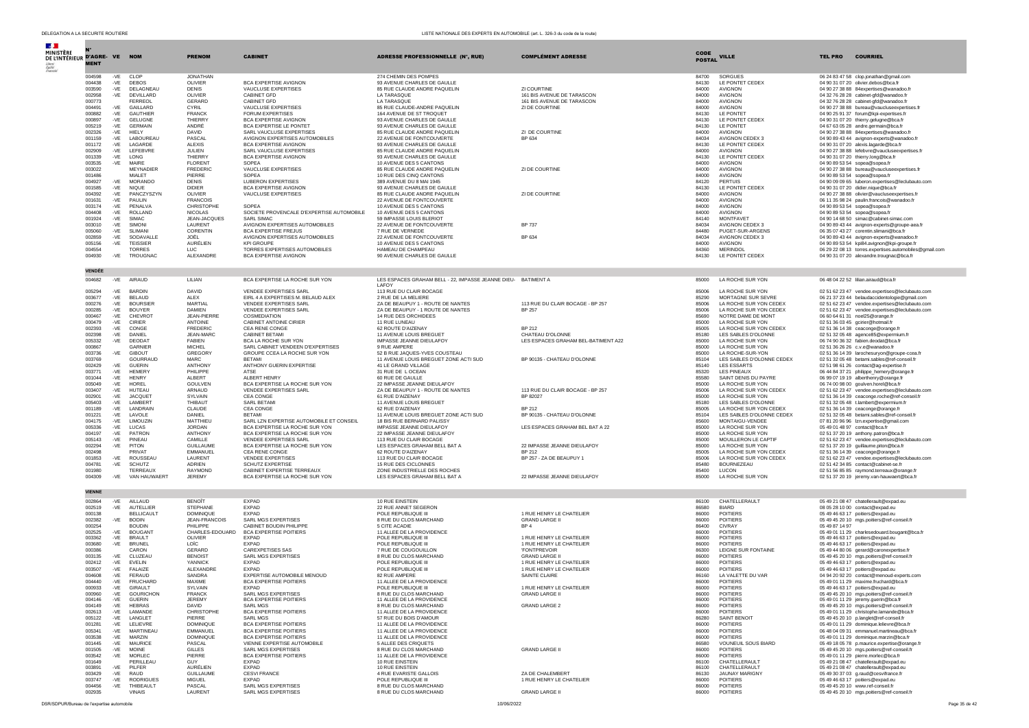| $\mathcal{A}$ .                            |                  |                |                                   |                                   |                                                                     |                                                                  |                                                      |                |                                                     |                                                                                                    |
|--------------------------------------------|------------------|----------------|-----------------------------------|-----------------------------------|---------------------------------------------------------------------|------------------------------------------------------------------|------------------------------------------------------|----------------|-----------------------------------------------------|----------------------------------------------------------------------------------------------------|
| MINISTÈRE<br>DE L'INTÉRIEUR D'AGRE- VE NOM |                  |                |                                   | <b>PRENOM</b>                     | <b>CABINET</b>                                                      | <b>ADRESSE PROFESSIONNELLE (N°, RUE)</b>                         | <b>COMPLÉMENT ADRESSE</b>                            | <b>CODE</b>    | <b>VILLE</b>                                        | <b>COURRIEL</b><br><b>TEL PRO</b>                                                                  |
|                                            | <b>MENT</b>      |                |                                   |                                   |                                                                     |                                                                  |                                                      | <b>POSTAL</b>  |                                                     |                                                                                                    |
|                                            |                  |                |                                   |                                   |                                                                     |                                                                  |                                                      |                |                                                     |                                                                                                    |
|                                            | 004598<br>004438 | $-VE$          | -VE CLOP<br><b>DEBOS</b>          | <b>JONATHAN</b><br>OLIVIER        | <b>BCA EXPERTISE AVIGNON</b>                                        | 274 CHEMIN DES POMPES<br>93 AVENUE CHARLES DE GAULLE             |                                                      | 84700<br>84130 | SORGUES<br><b>IF PONTET CEDEX</b>                   | 06 24 83 47 58 clop.jonathan@gmail.com<br>04 90 31 07 20 olivier.debos@bca.fr                      |
|                                            | 003590           | $-VE$          | DELAGNEAU                         | <b>DENIS</b>                      | VAUCLUSE EXPERTISES                                                 | 85 RUE CLAUDE ANDRE PAQUELIN                                     | ZI COURTINE                                          | 84000          | <b>AVIGNON</b>                                      | 04 90 27 38 88 84expertises@wanadoo.fr                                                             |
|                                            | 002958           | -VE            | DEVILLARD                         | OLIVIER                           | <b>CABINET GFD</b>                                                  | LA TARASQUE                                                      | 161 BIS AVENUE DE TARASCON                           | 84000          | AVIGNON                                             | 04 32 76 28 28 cabinet-gfd@wanadoo.fr                                                              |
|                                            | 000773<br>004491 | -VE            | FERREOL<br>GAILLARD               | <b>GERARD</b><br>CYRIL            | CABINET GFD<br>VAUCLUSE EXPERTISES                                  | LA TARASQUE<br>85 RUE CLAUDE-ANDRE PAQUELIN                      | 161 BIS AVENUE DE TARASCON<br>ZI DE COURTINE         | 84000<br>84000 | AVIGNON<br>AVIGNON                                  | 04 32 76 28 28 cabinet-gfd@wanadoo.fr<br>04 90 27 38 88 bureau@vaucluseexpertises.fr               |
|                                            | 000882           | -VE            | <b>GAUTHIEF</b>                   | <b>FRANCK</b>                     | FORUM EXPERTISES                                                    | 164 AVENUE DE ST TROQUET                                         |                                                      | 84130          | LE PONTET                                           | 04 90 25 91 37 forum@kpi-expertises.fr                                                             |
|                                            | 000897           | $-VE$          | <b>GELUGNE</b>                    | THIERRY                           | <b>BCA EXPERTISE AVIGNON</b>                                        | 93 AVENUE CHARLES DE GAULLE                                      |                                                      | 84130          | LE PONTET CEDEX                                     | 04 90 31 07 20 thierry.gelugne@bca.fr                                                              |
|                                            | 005219<br>002326 | $-VE$<br>-VE   | <b>GERMAIN</b><br>HIELY           | ANDRÉ<br>DAVID                    | BCA EXPERTISE LE PONTET<br>SARL VAUCLUSE EXPERTISES                 | 93 AVENUE CHARLES DE GAULLE<br>85 RUE CLAUDE ANDRE PAQUELIN      | ZI DE COURTINE                                       | 84130<br>84000 | LE PONTET<br>AVIGNON                                | 04 67 63 05 28 andre.germain@bca.fr<br>04 90 27 38 88 84expertises@wanadoo.fr                      |
|                                            | 001159           | -VE            | LABOUREAU                         | PASCAL                            | AVIGNON EXPERTISES AUTOMOBILES                                      | 22 AVENUE DE FONTCOUVERTE                                        | BP 634                                               | 84034          | AVIGNON CEDEX 3                                     | 04 90 89 43 44 avignon-experts@wanadoo.fr                                                          |
|                                            | 001172           | $-VE$          | LAGARDE                           | <b>ALEXIS</b>                     | <b>BCA EXPERTISE AVIGNON</b>                                        | 93 AVENUE CHARLES DE GAULLE                                      |                                                      | 84130<br>84000 | LE PONTET CEDEX                                     | 04 90 31 07 20 alexis.lagarde@bca.fr                                                               |
|                                            | 002909<br>001339 | -VE<br>$-VE$   | LEFEBVRE<br>LONG                  | JULIEN<br><b>THIERRY</b>          | SARL VAUCLUSE EXPERTISES<br>BCA EXPERTISE AVIGNON                   | 85 RUE CLAUDE ANDRE PAQUELIN<br>93 AVENUE CHARLES DE GAULLE      |                                                      | 84130          | AVIGNON<br>LE PONTET CEDEX                          | 04 90 27 38 88 lefebvre@vaucluseexpertises.fr<br>04 90 31 07 20 thierry.long@bca.fr                |
|                                            | 003535           | -VE            | MAIRE                             | <b>FLORENT</b>                    | SOPEA                                                               | 10 AVENUE DES 5 CANTONS                                          |                                                      | 84000          | <b>AVIGNON</b>                                      | 04 90 89 53 54 sopea@sopea.fr                                                                      |
|                                            | 003022           |                | <b>MEYNADIER</b>                  | FREDERIC                          | VAUCLUSE EXPERTISES                                                 | 85 RUE CLAUDE ANDRE PAQUELIN                                     | ZI DE COURTINE                                       | 84000          | AVIGNON                                             | 04 90 27 38 88 bureau@vaucluseexpertises.fr                                                        |
|                                            | 001486<br>004927 | $-VE$          | MIALET<br>MORANDO                 | PIERRE<br><b>DENIS</b>            | SOPEA<br><b>LUBERON EXPERTISES</b>                                  | 10 RUE DES CINQ CANTONS<br>389 AVENUE DU 8 MAI 1945              |                                                      | 84000<br>84120 | AVIGNON<br><b>PERTUIS</b>                           | 04 90 89 53 54 sopea@sopea.fr<br>04 90 09 09 65 luberon.expertises@leclubauto.com                  |
|                                            | 001585           | $-VE$          | NIQUE                             | <b>DIDIER</b>                     | <b>BCA EXPERTISE AVIGNON</b>                                        | 93 AVENUE CHARLES DE GAULLE                                      |                                                      | 84130          | LE PONTET CEDEX                                     | 04 90 31 07 20 didier.nique@bca.fr                                                                 |
|                                            | 004392           | $-VE$          | PANCZYSZYN                        | OLIVIER                           | VAUCLUSE EXPERTISES                                                 | 85 RUE CLAUDE ANDRE PAOUELIN                                     | ZI DE COURTINE                                       | 84000          | <b>AVIGNON</b>                                      | 04 90 27 38 88 olivier@vaucluseexpertises.fr                                                       |
|                                            | 001631<br>003174 | $-VE$<br>-VE   | PAULIN<br>PENALVA                 | <b>FRANCOIS</b><br>CHRISTOPHE     | SOPEA                                                               | 22 AVENUE DE FONTCOUVERTE<br>10 AVENUE DES 5 CANTONS             |                                                      | 84000<br>84000 | AVIGNON<br>AVIGNON                                  | 06 11 35 98 24 paulin.francois@wanadoo.fr<br>04 90 89 53 54 sopea@sopea.fr                         |
|                                            | 004408           | $-VE$          | <b>ROLLAND</b>                    | <b>NICOLAS</b>                    | SOCIETE PROVENCALE D'EXPERTISE AUTOMOBILE                           | 10 AVENUE DES 5 CANTONS                                          |                                                      | 84000          | AVIGNON                                             | 04 90 89 53 54 sopea@sopea.fr                                                                      |
|                                            | 001924           | -VE            | <b>SIMAC</b>                      | JEAN-JACQUES                      | SARL SIMAC                                                          | 59 IMPASSE LOUIS BLERIOT                                         |                                                      | 84140          | <b>MONTFAVET</b>                                    | 04 90 14 68 50 simac@cabinet-simac.com                                                             |
|                                            | 003010           | $-VE$          | SIMONI<br>SI IMANI                | LAURENT                           | AVIGNON EXPERTISES AUTOMOBILES                                      | 22 AVENUE DE FONTCOUVERTE                                        | <b>BP 737</b>                                        | 84034<br>84480 | AVIGNON CEDEX 3                                     | 04 90 89 43 44 avignon-experts@groupe-aea.fr                                                       |
|                                            | 005060<br>002859 | $-VE$<br>$-VE$ | SODAVALLE                         | CORENTIN<br>JOËL                  | <b>BCA EXPERTISE FREJUS</b><br>AVIGNON EXPERTISES AUTOMOBILES       | 7 RUE DE VERNEDE<br>22 AVENUE DE FONTCOUVERTE                    | BP 634                                               | 84034          | PUGET-SUR-ARGENS<br>AVIGNON CEDEX 3                 | 06 35 07 43 27 corentin.slimani@bca.fr<br>04 90 89 43 44 avignon-experts@wanadoo.fr                |
|                                            | 005156           | -VE            | <b>TEISSIER</b>                   | AURÉLIEN                          | KPI GROUPE                                                          | 10 AVENUE DES 5 CANTONS                                          |                                                      | 84000          | AVIGNON                                             | 04 90 89 53 54 kpi84.avignon@kpi-groupe.fr                                                         |
|                                            | 004554           |                | <b>TORRES</b>                     | <b>LUC</b>                        | TORRES EXPERTISES AUTOMOBILES                                       | HAMEAU DE CHAMPEAU                                               |                                                      | 84360          | <b>MERINDOL</b>                                     | 06 29 22 08 13 torres.expertises.automobiles@gmail.com                                             |
|                                            | 004930           | -VE            | TROUGNAC                          | ALEXANDRE                         | BCA EXPERTISE AVIGNON                                               | 90 AVENUE CHARLES DE GAULLE                                      |                                                      | 84130          | LE PONTET CEDEX                                     | 04 90 31 07 20 alexandre.trougnac@bca.fr                                                           |
|                                            | <b>VENDÉE</b>    |                |                                   |                                   |                                                                     |                                                                  |                                                      |                |                                                     |                                                                                                    |
|                                            | 004682           | -VE            | AIRAUD                            | LILIAN                            | BCA EXPERTISE LA ROCHE SUR YON                                      | LES ESPACES GRAHAM BELL - 22, IMPASSE JEANNE DIEU- BATIMENT A    |                                                      | 85000          | LA ROCHE SUR YON                                    | 06 48 04 22 52 lilian.airaud@bca.fr                                                                |
|                                            |                  |                |                                   |                                   |                                                                     | LAFOY                                                            |                                                      |                |                                                     |                                                                                                    |
|                                            | 005294           | $-VE$          | <b>BARDIN</b>                     | DAVID                             | VENDEE EXPERTISES SARL                                              | 113 RUE DU CLAIR BOCAGE                                          |                                                      | 85006          | LA ROCHE SUR YON                                    | 02 51 62 23 47 vendee.expertises@leclubauto.com                                                    |
|                                            | 003677<br>000276 | $-VE$<br>$-VE$ | <b>BELAUD</b><br><b>BOURSIER</b>  | <b>ALEX</b><br>MARTIAI            | EIRL 4 A EXPERTISES M. BELAUD ALEX<br><b>VENDEE EXPERTISES SARL</b> | 2 RUE DE LA MELIERE<br>ZA DE BEAUPUY 1 - ROUTE DE NANTES         | 113 RUE DU CLAIR BOCAGE - BP 257                     | 85290<br>85006 | MORTAGNE SUR SEVRE<br>LA ROCHE SUR YON CEDEX        | 06 21 37 23 44 belaudaccidentologie@gmail.com                                                      |
|                                            | 000285           | -VE            | <b>BOUYER</b>                     | DAMIEN                            | VENDEE EXPERTISES SARL                                              | ZA DE BEAUPUY - 1 ROUTE DE NANTES                                | <b>BP 257</b>                                        | 85006          | LA ROCHE SUR YON CEDEX                              | 02 51 62 23 47 vendee.expertises@leclubauto.com<br>02 51 62 23 47 vendee.expertises@leclubauto.com |
|                                            | 000467           | $-VE$          | CHEVROT                           | <b>JEAN-PIERRE</b>                | COSMEDIATION                                                        | 14 RUE DES ORCHIDEES                                             |                                                      | 85690          | NOTRE DAME DE MONT                                  | 06 60 64 61 31 noel25@orange.fr                                                                    |
|                                            | 000479           | $-VE$          | CIRIER                            | <b>ANTOINE</b>                    | CABINET ANTOINE CIRIER                                              | 11 RUE LUNEAU                                                    |                                                      | 85000          | LA ROCHE SUR YON                                    | 02 51 36 03 45 gcirier@hotmail.fr                                                                  |
|                                            | 002393<br>002398 | -VE<br>$-VE$   | CONGE<br>DANIEL                   | <b>FREDERIC</b><br>JEAN-MARC      | CEA RENE CONGE<br><b>CABINET BETAMI</b>                             | 62 ROUTE D'AIZENAY<br>11 AVENUE LOUIS BREGUET                    | <b>BP 212</b><br>CHATEAU D'OLONNE                    | 85005<br>85180 | LA ROCHE SUR YON CEDEX<br>LES SABLES D'OLONNE       | 02 51 36 14 38 ceaconge@orange.fr<br>02 51 32 05 48 agence85@expermium.fr                          |
|                                            | 005332           | -VE            | <b>DEODAT</b>                     | <b>FABIEN</b>                     | BCA LA ROCHE SUR YON                                                | IMPASSE JEANNE DIEULAFOY                                         | LES ESPACES GRAHAM BEL-BATIMENT A22                  | 85000          | LA ROCHE SUR YON                                    | 06 74 90 36 32 fabien.deodat@bca.fr                                                                |
|                                            | 000867           |                | <b>GARNIER</b>                    | <b>MICHEL</b>                     | SARL CABINET VENDEEN D'EXPERTISES                                   | 9 RUE AMPERE                                                     |                                                      | 85000          | LA ROCHE SUR YON                                    | 02 51 36 26 26 c.v.e@wanadoo.fr                                                                    |
|                                            | 003736           | -VE            | <b>GIBOUT</b>                     | GREGORY<br><b>MARC</b>            | GROUPE CCEA LA ROCHE SUR YON<br><b>BETAMI</b>                       | 52 B RUE JAQUES-YVES COUSTEAU                                    |                                                      | 85000<br>85104 | LA ROCHE-SUR-YON                                    | 02 51 36 14 39 larochesuryon@groupe-ccea.fr<br>02 51 32 05 48 betami.sables@ref-conseil.fr         |
|                                            | 003769<br>002429 | $-VE$          | GOURRAUD<br><b>GUERIN</b>         | <b>ANTHONY</b>                    | ANTHONY GUERIN EXPERTISE                                            | 11 AVENUE LOUIS BREGUET ZONE ACTI SUD<br>41 LE GRAND VILLAGE     | BP 90135 - CHATEAU D'OLONNE                          | 85140          | LES SABLES D'OLONNE CEDEX<br>LES ESSARTS            | 02 51 98 61 26 contact@ag-expertise.fr                                                             |
|                                            | 003771           | $-VE$          | <b>HEMERY</b>                     | PHII IPPF                         | ATSE                                                                | 31 RUE DE L OCEAN                                                |                                                      | 85320          | <b>LES PINEAUX</b>                                  | 06 44 84 37 21 philippe_hemery@orange.fr                                                           |
|                                            | 001044           | -VE            | <b>HENRY</b>                      | ALBERT                            | ALBERT HENRY                                                        | 60 RUE DE GAULLE                                                 |                                                      | 85580          | SAINT DENIS DU PAYRE                                | 06 99 07 19 19 alberthenry@orange.fr                                                               |
|                                            | 005049<br>003407 | $-VE$<br>-VE   | HOREL<br>HUTEAU                   | <b>GOULVEN</b><br>ARNAUD          | BCA EXPERTISE LA ROCHE SUR YON<br>VENDEE EXPERTISES SARL            | 22 IMPASSE JEANNE DIEULAFOY<br>ZA DE BEAUPUY 1 - ROUTE DE NANTES | 113 RUE DU CLAIR BOCAGE - BP 257                     | 85000<br>85006 | LA ROCHE SUR YON<br>LA ROCHE SUR YON CEDEX          | 06 74 00 98 00 goulven.horel@bca.fr<br>02 51 62 23 47 vendee.expertises@leclubauto.com             |
|                                            | 002901           | $-VE$          | <b>JACQUET</b>                    | SYLVAIN                           | CEA CONGE                                                           | 61 RUE D'AIZENAY                                                 | BP 82027                                             | 85000          | LA ROCHE SUR YON                                    | 02 51 36 14 39 ceaconge.roche@ref-conseil.fr                                                       |
|                                            | 005403           | $-VE$          | LAMBERT                           | THIBAUT                           | <b>SARL BETAM</b>                                                   | 11 AVENUE LOUIS BREGUET                                          |                                                      | 85180          | LES SABLES D'OLONNE                                 | 02 51 32 05 48 t.lambert@expermium.fr                                                              |
|                                            | 001189<br>001221 | -VE<br>-VE     | LANDRAIN<br>LAVOLE                | CLAUDE<br>DANIEL                  | CEA CONGE<br><b>BETAMI</b>                                          | 62 RUE D'AIZENAY<br>11 AVENUE LOUIS BREGUET ZONE ACTI SUD        | <b>BP 212</b><br>BP 90135 - CHATEAU D'OLONNE         | 85005<br>85104 | LA ROCHE SUR YON CEDEX<br>LES SABLES D'OLONNE CEDEX | 02 51 36 14 39 ceaconge@orange.fr<br>02 51 32 05 48 betami.sables@ref-conseil.fr                   |
|                                            | 004175           | $-VE$          | LIMOUZIN                          | MATTHIEU                          | SARL LZN EXPERTISE AUTOMOBILE ET CONSEIL                            | 18 BIS RUE BERNARD PALISSY                                       |                                                      | 85600          | MONTAIGU-VENDEE                                     | 07 81 20 96 96 Izn.expertise@gmail.com                                                             |
|                                            | 005336           | -VE            | LUCAS                             | <b>JORDAN</b>                     | BCA EXPERTISE LA ROCHE SUR YON                                      | IMPASSE JEANNE DIEULAFOY                                         | LES ESPACES GRAHAM BEL BAT A 22                      | 85000          | LA ROCHE SUR YON                                    | 05 49 01 48 97 contact@bca.fr                                                                      |
|                                            | 004197           | $-VE$          | PATRON                            | ANTHONY                           | BCA EXPERTISE LA ROCHE SUR YON                                      | 22 IMPASSE JEANNE DIEULAFOY                                      |                                                      | 85000          | LA ROCHE SUR YON                                    | 02 51 37 20 19 anthony.patron@bca.fr                                                               |
|                                            | 005143<br>002294 | -VE<br>-VE     | PINEAU<br>PITON                   | CAMILLE<br><b>GUILLAUME</b>       | <b>VENDEE EXPERTISES SARL</b><br>BCA EXPERTISE LA ROCHE SUR YON     | 113 RUE DU CLAIR BOCAGE<br>LES ESPACES GRAHAM BELL BAT A         | 22 IMPASSE JEANNE DIEULAFOY                          | 85000<br>85000 | MOUILLERON LE CAPTIF<br>LA ROCHE SUR YON            | 02 51 62 23 47 vendee.expertises@leclubauto.com<br>02 51 37 20 19 guillaume.piton@bca.fr           |
|                                            | 002498           |                | PRIVAT                            | EMMANUEL                          | CEA RENE CONGE                                                      | 62 ROUTE D'AIZENAY                                               | <b>BP 212</b>                                        | 85005          | LA ROCHE SUR YON CEDEX                              | 02 51 36 14 39 ceaconge@orange.fr                                                                  |
|                                            | 001853           | $-VE$          | <b>ROUSSEAL</b>                   | LAURENT                           | <b>VENDEE EXPERTISES</b>                                            | 113 RUE DU CLAIR BOCAGE                                          | BP 257 - ZA DE BEAUPUY 1                             | 85006          | LA ROCHE SUR YON CEDEX                              | 02 51 62 23 47 vendee.expertises@leclubauto.com                                                    |
|                                            | 004781<br>001980 | -VE            | <b>SCHUTZ</b><br><b>TERREAUX</b>  | <b>ADRIEN</b><br>RAYMOND          | SCHUTZ EXPERTISE<br>CABINET EXPERTISE TERREAUX                      | 15 RUE DES CICLONNES<br>ZONE INDUSTRIELLE DES ROCHES             |                                                      | 85480<br>85400 | BOURNEZEAU<br><b>LUCON</b>                          | 02 51 42 34 85 contact@cabinet-se.fr<br>02 51 56 85 85 raymond.terreaux@orange.fr                  |
|                                            | 004309           | -VE            | VAN HAUWAERT                      | <b>JEREMY</b>                     | BCA EXPERTISE LA ROCHE SUR YON                                      | LES ESPACES GRAHAM BELL BAT A                                    | 22 IMPASSE JEANNE DIEULAFOY                          | 85000          | LA ROCHE SUR YON                                    | 02 51 37 20 19 jeremy.van-hauwaert@bca.fr                                                          |
|                                            |                  |                |                                   |                                   |                                                                     |                                                                  |                                                      |                |                                                     |                                                                                                    |
|                                            | <b>VIENNE</b>    |                |                                   |                                   |                                                                     |                                                                  |                                                      |                |                                                     |                                                                                                    |
|                                            | 002864           |                | -VE AILLAUD                       | <b>BENOÎT</b>                     | <b>EXPAD</b>                                                        | 10 RUE EINSTEIN                                                  |                                                      | 86100          | CHATELLERAULT                                       | 05 49 21 08 47 chatellerault@expad.eu                                                              |
|                                            | 002519<br>000138 | $-VE$          | AUTELLIER<br><b>BELLICAULT</b>    | STEPHANE<br><b>DOMINIQUE</b>      | EXPAD<br><b>EXPAD</b>                                               | 22 RUE ANNET SEGERON<br>POLE REPUBLIQUE III                      | 1 RUE HENRY LE CHATELIER                             | 86580<br>86000 | <b>BIARD</b><br><b>POITIERS</b>                     | 08 05 28 10 00 contact@expad.eu<br>05 49 46 63 17 poitiers@expad.eu                                |
|                                            | 002382           | -VE            | <b>BODIN</b>                      | JEAN-FRANCOIS                     | SARL MGS EXPERTISES                                                 | 8 RUE DU CLOS MARCHAND                                           | <b>GRAND LARGE II</b>                                | 86000          | <b>POITIERS</b>                                     | 05 49 45 20 10 mgs.poitiers@ref-conseil.fr                                                         |
|                                            | 000254           |                | <b>BOUDIN</b>                     | PHILIPPE                          | CABINET BOUDIN PHILIPPE                                             | 5 CITE ACADIE                                                    | BP4                                                  | 86400          | <b>CIVRAY</b>                                       | 05 49 87 14 97                                                                                     |
|                                            | 002525           | -VE            | <b>BOUGANT</b>                    | CHARLES-EDOUARD                   | <b>BCA EXPERTISE POITIERS</b>                                       | 11 ALLEE DE LA PROVIDENCE                                        |                                                      | 86000          | <b>POITIERS</b>                                     | 05 49 01 11 29 charlesedouard.bougant@bca.fr                                                       |
|                                            | 003362<br>003680 | $-VE$<br>-VE   | <b>BRAULT</b><br><b>BRUNEL</b>    | OLIVIER<br>LOÏC                   | <b>EXPAD</b><br><b>EXPAD</b>                                        | POLE REPUBLIQUE III<br>POLE REPUBLIQUE III                       | 1 RUE HENRY LE CHATELIER<br>1 RUE HENRY LE CHATELIER | 86000<br>86000 | <b>POITIERS</b><br><b>POITIERS</b>                  | 05 49 46 63 17 poitiers@expad.eu<br>05 49 46 63 17 poitiers@expad.eu                               |
|                                            | 000386           |                | CARON                             | GERARD                            | CAREXPETISES SAS                                                    | 7 RUE DE COUGOUILLON                                             | <b>FONTPREVOIR</b>                                   | 86300          | LEIGNE SUR FONTAINE                                 | 05 49 44 80 06 gerard@caronexpertise.fr                                                            |
|                                            | 003135           | $-VE$          | CLUZEAL                           | <b>BENOIST</b>                    | SARL MGS EXPERTISES                                                 | 8 RUE DU CLOS MARCHAND                                           | <b>GRAND LARGE II</b>                                | 86000          | <b>POITIERS</b>                                     | 05 49 45 20 10 mgs.poitiers@ref-conseil.fr                                                         |
|                                            | 002412           | $-VE$          | <b>EVELIN</b>                     | <b>YANNICK</b>                    | <b>EXPAD</b>                                                        | POLE REPUBLIQUE III<br>POLE REPUBLIQUE III                       | 1 RUE HENRY LE CHATELIER                             | 86000          | <b>POITIERS</b>                                     | 05 49 46 63 17 poitiers@expad.eu                                                                   |
|                                            | 003507<br>004608 | $-VE$<br>$-VE$ | FALAIZE<br>FERAUD                 | ALEXANDRE<br>SANDRA               | <b>EXPAD</b><br>EXPERTISE AUTOMOBILE MENOUD                         | 82 RUE AMPERE                                                    | 1 RUE HENRY LE CHATELIER<br>SAINTE CLAIRE            | 86000<br>86160 | <b>POITIERS</b><br>LA VALETTE DU VAR                | 05 49 46 63 17 poitiers@expad.eu<br>04 94 20 92 20 contact@menoud-experts.com                      |
|                                            | 004440           | $-VE$          | <b>FRUCHARD</b>                   | MAXIME                            | <b>BCA EXPERTISE POITIERS</b>                                       | 11 ALLEE DE LA PROVIDENCE                                        |                                                      | 86000          | <b>POITIERS</b>                                     | 05 49 01 11 29 maxime.fruchard@bca.fr                                                              |
|                                            | 000933           | -VE.           | GIRAULI                           | SYLVAIN                           | EXPAL                                                               | <b>POLE REPUBLIQUE III</b>                                       | 1 RUE HENRY LE CHATELIER                             | 89000          | PULLERS                                             | us 49 46 63 17 poitiers@expad.eu                                                                   |
|                                            | 000960<br>004146 | -VE<br>-VE     | <b>GOURICHON</b><br><b>GUERIN</b> | <b>FRANCK</b><br><b>JEREMY</b>    | SARL MGS EXPERTISES<br><b>BCA EXPERTISE POITIERS</b>                | 8 RUE DU CLOS MARCHAND<br>11 ALLEE DE LA PROVIDENCE              | <b>GRAND LARGE II</b>                                | 86000<br>86000 | POITIERS<br><b>POITIERS</b>                         | 05 49 45 20 10 mgs.poitiers@ref-conseil.fr<br>05 49 01 11 29 jeremy.guerin@bca.fr                  |
|                                            | 004149           | $-VE$          | <b>HEBRAS</b>                     | DAVID                             | <b>SARL MGS</b>                                                     | 8 RUE DU CLOS MARCHAND                                           | <b>GRAND LARGE 2</b>                                 | 86000          | <b>POITIERS</b>                                     | 05 49 45 20 10 mgs.poitiers@ref-conseil.fr                                                         |
|                                            | 002613           | $-VE$          | <b>I AMANDE</b>                   | CHRISTOPHE                        | BCA EXPERTISE POITIERS                                              | 11 ALLEE DE LA PROVIDENCE                                        |                                                      | 86000          | <b>POITIERS</b>                                     | 05 49 01 11 29 christophe.lamande@bca.fr                                                           |
|                                            | 005122<br>001281 | -VE<br>$-VE$   | LANGLET<br>LELIEVRE               | PIFRRF<br><b>DOMINIQUE</b>        | SARL MGS<br>BCA EXPERTISE POITIERS                                  | 57 RUE DU BOIS D'AMOUR<br>11 ALLEE DE LA PROVIDENCE              |                                                      | 86280<br>86000 | SAINT BENOIT<br>POITIERS                            | 05 49 45 20 10 p.langlet@ref-conseil.fr<br>05 49 01 11 29 dominique.lelievre@bca.fr                |
|                                            | 005341           | -VE            | MARTINEAU                         | EMMANUEL                          | BCA EXPERTISE POITIERS                                              | 11 ALLEE DE LA PROVIDENCE                                        |                                                      | 86000          | <b>POITIERS</b>                                     | 06 48 04 09 31 emmanuel.martineau@bca.fr                                                           |
|                                            | 003538           | -VE            | MARZIN                            | <b>DOMINIQUE</b>                  | <b>BCA EXPERTISE POITIERS</b>                                       | 11 ALLEE DE LA PROVIDENCE                                        |                                                      | 86000          | POITIERS                                            | 05 49 01 11 29 dominique.marzin@bca.fr                                                             |
|                                            | 001445           | $-VE$          | <b>MAURICE</b>                    | PASCAL                            | VIENNE EXPERTISE AUTOMOBILE                                         | 5 ALLEE DES CRIOUETS                                             |                                                      | 86580          | <b>VOUNEUIL SOUS BIARD</b>                          | 05 49 18 05 78 p.maurice.expertise@orange.fr                                                       |
|                                            | 001505<br>003542 | $-VE$<br>-VE   | <b>MOINE</b><br><b>MORLEC</b>     | GILLES<br>PIERRE                  | SARL MGS EXPERTISES<br>BCA EXPERTISE POITIERS                       | 8 RUE DU CLOS MARCHAND<br>11 ALLEE DE LA PROVIDENCE              | <b>GRAND LARGE II</b>                                | 86000<br>86000 | <b>POITIERS</b><br><b>POITIERS</b>                  | 05 49 45 20 10 mgs.poitiers@ref-conseil.fr<br>05 49 01 11 29 pierre.morlec@bca.fr                  |
|                                            | 001649           |                | PERILLEAU                         | GUY                               | <b>FXPAD</b>                                                        | 10 RUE EINSTEIN                                                  |                                                      | 86100          | CHATELLERAULT                                       | 05 49 21 08 47 chatellerault@expad.eu                                                              |
|                                            | 003891           | $-VE$          | PILFER                            | AURÉLIEN                          | <b>EXPAD</b>                                                        | <b>10 RUE EINSTEIN</b>                                           |                                                      | 86100          | CHATELLERAULT                                       | 05 49 21 08 47 chatellerault@expad.eu                                                              |
|                                            | 003429<br>003747 | $-VE$<br>-VF   | RAUD<br><b>RODRIGUES</b>          | <b>GUILLAUME</b><br><b>MIGUEL</b> | CESVI FRANCE<br><b>EXPAD</b>                                        | 4 RUE EVARISTE GALLOIS<br>POLE REPUBLIOUE III                    | ZA DE CHALEMBERT<br>1 RUE HENRY LE CHATELIER         | 86130<br>86000 | <b>JAUNAY MARIGNY</b><br><b>POITIERS</b>            | 05 49 30 37 03 g.raud@cesvifrance.fr<br>05 49 46 63 17 poitiers@expad.eu                           |
|                                            | 004456           | -VE            | THIBEAULT                         | PASCAL                            | SARL MGS EXPERTISES                                                 | 8 RUE DU CLOS MARCHAND                                           |                                                      | 86000          | <b>POITIERS</b>                                     | 05 49 45 20 10 www.ref-conseil.fr                                                                  |
|                                            | 002935           |                | VINAIS                            | LAURENT                           | SARL MGS EXPERTISES                                                 | 8 RUE DU CLOS MARCHAND                                           | <b>GRAND LARGE II</b>                                | 86000          | <b>POITIERS</b>                                     | 05 49 45 20 10 mgs.poitiers@ref-conseil.fr                                                         |

DSR/SDPUR/Bureau de l'expertise automobile automobile 10/06/2022 Page 35 de 42 automobile 10/06/2022 Page 35 de 42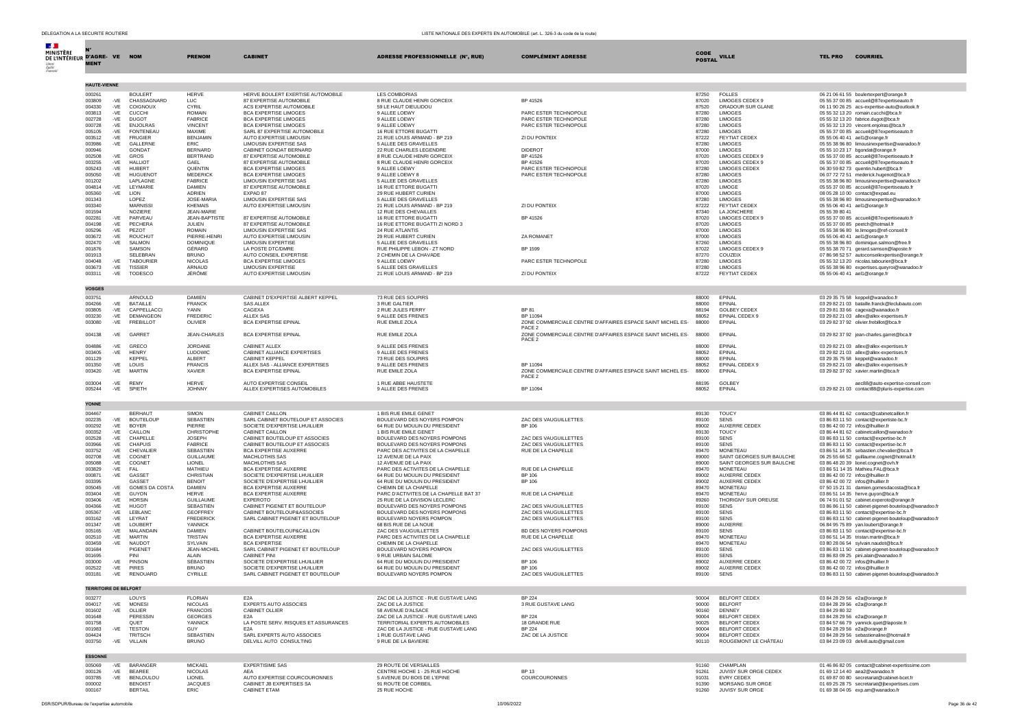| DELEGATION A LA SECURITE ROUTIERE<br>LISTE NATIONALE DES EXPERTS EN AUTOMOBILE (art. L. 326-3 du code de la route) |                                    |                                   |                                                                    |                                                                         |                                                                                 |                |                                              |                                                                                             |  |  |
|--------------------------------------------------------------------------------------------------------------------|------------------------------------|-----------------------------------|--------------------------------------------------------------------|-------------------------------------------------------------------------|---------------------------------------------------------------------------------|----------------|----------------------------------------------|---------------------------------------------------------------------------------------------|--|--|
|                                                                                                                    |                                    |                                   |                                                                    |                                                                         |                                                                                 |                |                                              |                                                                                             |  |  |
| <b>MINISTÈRE</b>                                                                                                   |                                    |                                   |                                                                    |                                                                         |                                                                                 | <b>CODE</b>    |                                              |                                                                                             |  |  |
| DE L'INTÉRIEUR D'AGRE- VE NOM                                                                                      |                                    | <b>PRENOM</b>                     | <b>CABINET</b>                                                     | <b>ADRESSE PROFESSIONNELLE (N°, RUE)</b>                                | <b>COMPLÉMENT ADRESSE</b>                                                       | <b>POSTAL</b>  | <b>VILLE</b>                                 | <b>COURRIEL</b><br><b>TEL PRO</b>                                                           |  |  |
| <b>MENT</b>                                                                                                        |                                    |                                   |                                                                    |                                                                         |                                                                                 |                |                                              |                                                                                             |  |  |
|                                                                                                                    |                                    |                                   |                                                                    |                                                                         |                                                                                 |                |                                              |                                                                                             |  |  |
| <b>HAUTE-VIENNE</b>                                                                                                |                                    |                                   |                                                                    |                                                                         |                                                                                 |                |                                              |                                                                                             |  |  |
| 000261                                                                                                             | <b>BOULERT</b>                     | <b>HERVE</b>                      | HERVE BOULERT EXERTISE AUTOMOBILE                                  | <b>LES COMBORIAS</b>                                                    |                                                                                 | 87250          | <b>FOLLES</b>                                | 06 21 06 61 55 boulertexpert@orange.fr                                                      |  |  |
| 003809<br>$-VE$                                                                                                    | CHASSAGNARD                        | LUC                               | 87 EXPERTISE AUTOMOBILE                                            | 8 RUE CLAUDE HENRI GORCEIX                                              | BP 41526                                                                        | 87020          | <b>LIMOGES CEDEX 9</b>                       | 05 55 37 00 85 accueil@87expertiseauto.fr                                                   |  |  |
| 004330<br>$-VE$                                                                                                    | COIGNOUX                           | CYRIL                             | ACS EXPERTISE AUTOMOBILE                                           | 59 LE HAUT DIEULIDOU                                                    |                                                                                 | 87520          | ORADOUR SUR GLANE                            | 06 11 90 26 25 acs-expertise-auto@outlook.fr<br>05 55 32 13 20 romain.cucchi@bca.fr         |  |  |
| 003813<br>$-VE$<br>002728<br>-VE                                                                                   | <b>CUCCHI</b><br><b>DUGOT</b>      | <b>ROMAIN</b><br><b>FABRICE</b>   | BCA EXPERTISE LIMOGES<br><b>BCA EXPERTISE LIMOGES</b>              | 9 ALLEE LOEWY<br>9 ALLEE LOEWY                                          | PARC ESTER TECHNOPOLE<br>PARC ESTER TECHNOPOLE                                  | 87280<br>87280 | <b>LIMOGES</b><br>LIMOGES                    | 05 55 32 13 20 fabrice.dugot@bca.fr                                                         |  |  |
| 000728<br>$-VE$                                                                                                    | <b>ENJOLRAS</b>                    | <b>VINCENT</b>                    | BCA EXPERTISE LIMOGES                                              | 9 ALLEE LOEWY                                                           | PARC ESTER TECHNOPOLE                                                           | 87280          | LIMOGES                                      | 05 55 32 13 20 vincent.enjolras@bca.fr                                                      |  |  |
| 005105<br>$-VE$                                                                                                    | <b>FONTENEAU</b>                   | MAXIME<br><b>BENJAMIN</b>         | SARL 87 EXPERTISE AUTOMOBILE<br>AUTO EXPERTISE LIMOUSIN            | 16 RUE ETTORE BUGATTI                                                   |                                                                                 | 87280          | <b>LIMOGES</b>                               | 05 55 37 00 85 accueil@87expertiseauto.fr                                                   |  |  |
| 003512<br>$-VE$<br>003986<br>-VE                                                                                   | <b>FRUGIER</b><br>GALLERNI         | <b>ERIC</b>                       | LIMOUSIN EXPERTISE SAS                                             | 21 RUE LOUIS ARMAND - BP 219<br>5 ALLEE DES GRAVELLES                   | ZI DU PONTEIX                                                                   | 87222<br>87280 | <b>FEYTIAT CEDEX</b><br>LIMOGES              | 05 55 06 40 41 ael1@orange.fr<br>05 55 38 96 80 limousinexpertise@wanadoo.fr                |  |  |
| 000946                                                                                                             | GONDAT                             | <b>BERNARD</b>                    | CABINET GONDAT BERNARD                                             | 22 RUE CHARLES LEGENDRE                                                 | <b>DIDEROT</b>                                                                  | 87000          | <b>LIMOGES</b>                               | 05 55 10 23 17 boondat@orange.fr                                                            |  |  |
| 002508<br>$-VE$                                                                                                    | GROS                               | <b>BERTRAND</b>                   | 87 EXPERTISE AUTOMOBILE                                            | 8 RUE CLAUDE HENRI GORCEIX                                              | BP 41526                                                                        | 87020          | LIMOGES CEDEX 9                              | 05 55 37 00 85 accueil@87expertiseauto.fr                                                   |  |  |
| 003255<br>$-VE$<br>005243<br>$-VE$                                                                                 | <b>HALLIOT</b><br>HURFRT           | GAEL<br><b>OUENTIN</b>            | 87 EXPERTISE AUTOMOBILE<br><b>BCA EXPERTISE LIMOGES</b>            | 8 RUE CLAUDE HENRI GORCEIX<br>9 ALLEE LOEWY                             | BP 41526<br>PARC ESTER TECHNOPOLE                                               | 87020<br>87280 | LIMOGES CEDEX 9<br><b>LIMOGES CEDEX</b>      | 05 55 37 00 85 accueil@87expertiseauto.fr<br>06 30 59 82 73 quentin.hubert@bca.fr           |  |  |
| 005050<br>$-VE$                                                                                                    | <b>HUGUENOT</b>                    | <b>MEDERICK</b>                   | <b>BCA EXPERTISE LIMOGES</b>                                       | 9 ALLEE LOEWY 8                                                         | PARC ESTER TECHNOPOLE                                                           | 87280          | LIMOGES                                      | 06 07 72 72 51 mederick.hugenot@bca.fr                                                      |  |  |
| 001202                                                                                                             | LAPLAGNE                           | FABRICE                           | LIMOUSIN EXPERTISE SAS                                             | 5 ALLEE DES GRAVELLES                                                   |                                                                                 | 87280          | <b>LIMOGES</b>                               | 05 55 38 96 80 limousinexpertise@wanadoo.fr                                                 |  |  |
| 004814<br>$-VE$<br>005360<br>-VE                                                                                   | LEYMARIE<br><b>LION</b>            | <b>DAMIEN</b><br>ADRIEN           | 87 EXPERTISE AUTOMOBILE<br>EXPAD 87                                | 16 RUE ETTORE BUGATTI<br>29 RUE HUBERT CURIEN                           |                                                                                 | 87020<br>87000 | LIMOGE<br><b>LIMOGES</b>                     | 05 55 37 00 85 accueil@87expertiseauto.fr<br>08 05 28 10 00 contact@expad.eu                |  |  |
| 001343                                                                                                             | LOPEZ                              | JOSE-MARIA                        | LIMOUSIN EXPERTISE SAS                                             | 5 ALLEE DES GRAVELLES                                                   |                                                                                 | 87280          | <b>LIMOGES</b>                               | 05 55 38 96 80 limousinexpertise@wanadoo.fr                                                 |  |  |
| 003340                                                                                                             | <b>MARNISS</b>                     | <b>KHEMAIS</b>                    | AUTO EXPERTISE LIMOUSIN                                            | 21 RUE LOUIS ARMAND - BP 219                                            | ZI DU PONTEIX                                                                   | 87222          | FEYTIAT CEDEX                                | 05 55 06 40 41 ael1@orange.fr                                                               |  |  |
| 001594                                                                                                             | NOZIERE<br>PARVEAU                 | <b>JEAN-MARIE</b>                 |                                                                    | 12 RUE DES CHEVAILLES                                                   |                                                                                 | 87340          | LA JONCHERE                                  | 05 55 39 80 41                                                                              |  |  |
| 002281<br>-VE<br>004198<br>$-VE$                                                                                   | PECHERA                            | <b>JEAN-BAPTISTE</b><br>JULIEN    | 87 EXPERTISE AUTOMOBILE<br>87 EXPERTISE AUTOMOBILE                 | 16 RUE ETTORE BUGATTI<br>16 RUE ETTORE BUGATTI ZI NORD 3                | BP 41526                                                                        | 87020<br>87020 | LIMOGES CEDEX 9<br>LIMOGES                   | 05 55 37 00 85 accueil@87expertiseauto.fr<br>05 55 37 00 85 peetch@hotmail.fr               |  |  |
| 005296<br>$-VE$                                                                                                    | PEZOT                              | ROMAIN                            | LIMOUSIN EXPERTISE SAS                                             | <b>24 RUE ATLANTIS</b>                                                  |                                                                                 | 87000          | <b>LIMOGES</b>                               | 05 55 38 96 80 le.limoges@ref-conseil.fr                                                    |  |  |
| 003672<br>-VE                                                                                                      | <b>ROUCHUT</b>                     | PIFRRF-HENRI                      | AUTO EXPERTISE LIMOUSIN                                            | 29 RUE HUBERT CURIEN                                                    | <b>ZA ROMANET</b>                                                               | 87000          | LIMOGES                                      | 05 55 06 40 41 ael1@orange.fr                                                               |  |  |
| 002470<br>-VE<br>001876                                                                                            | SALMON<br>SAMSON                   | <b>DOMINIQUE</b><br>GÉRARD        | <b>LIMOUSIN EXPERTISE</b><br>LA POSTE DTC/DMRE                     | 5 ALLEE DES GRAVELLES<br>RUE PHILIPPE LEBON - ZT NORD                   | BP 1599                                                                         | 87260<br>87022 | LIMOGES<br>LIMOGES CEDEX 9                   | 05 55 38 96 80 dominique.salmon@free.fr<br>05 55 38 70 71 gerard.samson@laposte.fr          |  |  |
| 001913                                                                                                             | SELEBRAN                           | <b>BRUNO</b>                      | AUTO CONSEIL EXPERTISE                                             | 2 CHEMIN DE LA CHAVADE                                                  |                                                                                 | 87270          | COUZEIX                                      | 07 86 98 52 57 autoconseilexpertise@orange.fr                                               |  |  |
| 004048<br>$-VE$                                                                                                    | <b>TABOURIER</b>                   | <b>NICOLAS</b>                    | <b>BCA EXPERTISE LIMOGES</b>                                       | 9 ALLEE LOEWY                                                           | PARC ESTER TECHNOPOLE                                                           | 87280          | <b>LIMOGES</b>                               | 05 55 32 13 20 nicolas.tabourier@bca.fr                                                     |  |  |
| 003673<br>$-VE$                                                                                                    | <b>TISSIER</b>                     | ARNAUD<br>JÉRÔME                  | <b>LIMOUSIN EXPERTISE</b>                                          | 5 ALLEE DES GRAVELLES                                                   |                                                                                 | 87280          | <b>LIMOGES</b>                               | 05 55 38 96 80 expertises.quevroi@wanadoo.fr                                                |  |  |
| 003311<br>-VE                                                                                                      | TODESCO                            |                                   | AUTO EXPERTISE LIMOUSIN                                            | 21 RUE LOUIS ARMAND - BP 219                                            | ZI DU PONTEIX                                                                   | 87222          | FEYTIAT CEDEX                                | 05 55 06 40 41 ael1@orange.fr                                                               |  |  |
| <b>VOSGES</b>                                                                                                      |                                    |                                   |                                                                    |                                                                         |                                                                                 |                |                                              |                                                                                             |  |  |
| 003751                                                                                                             | ARNOULD                            | <b>DAMIEN</b>                     | CABINET D'EXPERTISE ALBERT KEPPEL                                  | 73 RUE DES SOUPIRS                                                      |                                                                                 | 88000          | EPINAL                                       | 03 29 35 75 58 keppel@wanadoo.fr                                                            |  |  |
| 004266<br>$-VE$                                                                                                    | <b>BATAILLE</b>                    | <b>FRANCK</b>                     | <b>SAS ALLEX</b>                                                   | 3 RUE GALTIER                                                           |                                                                                 | 88000          | EPINAL                                       | 03 29 82 21 03 bataille.franck@leclubauto.com                                               |  |  |
| 003805<br>$-VE$                                                                                                    | CAPPELLACCI                        | YANN                              | CAGEXA                                                             | 2 RUE JULES FERRY                                                       | <b>BP 81</b>                                                                    | 88194          | <b>GOLBEY CEDEX</b>                          | 03 29 81 33 66 cagexa@wanadoo.fr                                                            |  |  |
| 003230<br>$-VE$<br>003080<br>$-VE$                                                                                 | DEMANGEON<br><b>FREBILLOT</b>      | <b>FREDERIC</b><br>OLIVIER        | <b>ALLEX SAS</b><br><b>BCA EXPERTISE EPINAL</b>                    | 9 ALLEE DES FRENES<br>RUE EMILE ZOLA                                    | BP 11094<br>ZONE COMMERCIALE CENTRE D'AFFAIRES ESPACE SAINT MICHEL ES-          | 88052<br>88000 | EPINAL CEDEX 9<br>EPINAL                     | 03 29 82 21 03 allex@allex-expertises.fr<br>03 29 82 37 92 olivier.frebillot@bca.fr         |  |  |
|                                                                                                                    |                                    |                                   |                                                                    |                                                                         | PACE <sub>2</sub>                                                               |                |                                              |                                                                                             |  |  |
| 004138                                                                                                             | -VE GARRET                         | <b>JEAN-CHARLES</b>               | <b>BCA EXPERTISE EPINAL</b>                                        | RUE EMILE ZOLA                                                          | ZONE COMMERCIALE CENTRE D'AFFAIRES ESPACE SAINT MICHEL ES-                      | 88000          | EPINAL                                       | 03 29 82 37 92 jean-charles.garret@bca.fr                                                   |  |  |
|                                                                                                                    | -VE GRECO                          | JORDANE                           | CABINET ALLEX                                                      |                                                                         | PACE 2                                                                          |                | FPINAL                                       |                                                                                             |  |  |
| 004886<br>003405<br>$-VE$                                                                                          | <b>HENRY</b>                       | LUDOWIC                           | CABINET ALLIANCE EXPERTISES                                        | 9 ALLEE DES FRENES<br>9 ALLEE DES FRENES                                |                                                                                 | 88000<br>88052 | EPINAL                                       | 03 29 82 21 03 allex@allex-expertises.fr<br>03 29 82 21 03 allex@allex-expertises.fr        |  |  |
| 001129                                                                                                             | KEPPEL                             | ALBERT                            | CABINET KEPPEL                                                     | 73 RUE DES SOUPIRS                                                      |                                                                                 | 88000          | EPINAL                                       | 03 29 35 75 58 keppel@wanadoo.fr                                                            |  |  |
| 001350<br>-VE                                                                                                      | LOUIS                              | <b>FRANCIS</b>                    | ALLEX SAS - ALLIANCE EXPERTISES                                    | 9 ALLEE DES ERENES                                                      | BP 11094                                                                        | 88052          | EPINAL CEDEX 9                               | 03 29 82 21 03 allex@allex-expertises.fr                                                    |  |  |
| 003420<br>-VE                                                                                                      | MARTIN                             | <b>XAVIER</b>                     | <b>BCA EXPERTISE EPINAL</b>                                        | RUE EMILE ZOLA                                                          | ZONE COMMERCIALE CENTRE D'AFFAIRES ESPACE SAINT MICHEL ES-<br>PACE <sub>2</sub> | 88000          | EPINAL                                       | 03 29 82 37 92 xavier.martin@bca.fr                                                         |  |  |
| 003004                                                                                                             | -VE REMY                           | <b>HFRVF</b>                      | AUTO EXPERTISE CONSEIL                                             | 1 RUE ABBE HAUSTETE                                                     |                                                                                 | 88195          | GOLBEY                                       | aec88@auto-expertise-conseil.com                                                            |  |  |
| 005244<br>-VE                                                                                                      | SPIETH                             | <b>JOHNNY</b>                     | ALLEX EXPERTISES AUTOMOBILES                                       | 9 ALLEE DES FRENES                                                      | BP 11094                                                                        | 88052          | EPINAL                                       | 03 29 82 21 03 contact88@pluris-expertise.com                                               |  |  |
|                                                                                                                    |                                    |                                   |                                                                    |                                                                         |                                                                                 |                |                                              |                                                                                             |  |  |
| <b>YONNE</b><br>004467                                                                                             | <b>BERHAUT</b>                     | <b>SIMON</b>                      | CABINET CAILLON                                                    | 1 BIS RUE EMILE GENET                                                   |                                                                                 | 89130          | <b>TOUCY</b>                                 |                                                                                             |  |  |
| 002235<br>$-VE$                                                                                                    | <b>BOUTELOUP</b>                   | SEBASTIEN                         | SARL CABINET BOUTELOUP ET ASSOCIES                                 | BOULEVARD DES NOYERS POMPON                                             | ZAC DES VAUGUILLETTES                                                           | 89100          | <b>SENS</b>                                  | 03 86 44 81 62 contact@cabinetcaillon.fr<br>03 86 83 11 50 contact@expertiste-bc.fr         |  |  |
| 000292<br>$-VE$                                                                                                    | <b>BOYER</b>                       | PIFRRE                            | SOCIETE D'EXPERTISE LHUILLIER                                      | 64 RUE DU MOULIN DU PRESIDENT                                           | <b>BP 106</b>                                                                   | 89002          | AUXERRE CEDEX                                | 03 86 42 00 72 infos@lhuillier.fr                                                           |  |  |
| 000352<br>$-VE$                                                                                                    | CAILLON                            | CHRISTOPHE                        | CABINET CAILLON                                                    | 1 BIS RUE EMILE GENET                                                   | <b>ZAC DES VAUGUILLETTES</b>                                                    | 89130          | <b>TOUCY</b>                                 | 03 86 44 81 62 cabinetcaillon@wanadoo.fr                                                    |  |  |
| 002528<br>$-VE$<br>003966<br>$-VE$                                                                                 | CHAPELLE<br>CHAPUIS                | <b>JOSEPH</b><br><b>FABRICE</b>   | CABINET BOUTELOUP ET ASSOCIES<br>CABINET BOUTELOUP ET ASSOCIES     | BOULEVARD DES NOYERS POMPONS<br>BOULEVARD DES NOYERS POMPONS            | ZAC DES VAUGUILLETTES                                                           | 89100<br>89100 | <b>SENS</b><br>SENS                          | 03 86 83 11 50 contact@expertise-bc.fr<br>03 86 83 11 50 contact@expertise-bc.fr            |  |  |
| 003752<br>$-VE$                                                                                                    | CHEVALIER                          | SEBASTIEN                         | <b>BCA EXPERTISE AUXERRE</b>                                       | PARC DES ACTIVITES DE LA CHAPELLE                                       | RUE DE LA CHAPELLE                                                              | 89470          | <b>MONETEAU</b>                              | 03 86 51 14 35 sebastien.chevalier@bca.fr                                                   |  |  |
| 002708<br>-VE                                                                                                      | COGNET                             | <b>GUILLAUME</b>                  | MACHLOTHIS SAS                                                     | 12 AVENUE DE LA PAIX                                                    |                                                                                 | 89000          | SAINT GEORGES SUR BAULCHE                    | 06 25 55 66 52 guillaume.cognet@hotmail.fr                                                  |  |  |
| 005088<br>-VE<br>003829<br>-VE                                                                                     | COGNET<br>FAL                      | <b>LIONEL</b><br><b>MATHIFU</b>   | MACHLOTHIS SAS<br><b>BCA EXPERTISE AUXERRE</b>                     | 12 AVENUE DE LA PAIX<br>PARC DES ACTIVITES DE LA CHAPELLE               | RUE DE LA CHAPELLE                                                              | 89000<br>89470 | SAINT GEORGES SUR BAULCHE<br><b>MONETEAU</b> | 03 86 48 20 39 lionel.cognet@ovh.fr<br>03 86 51 14 35 Mathieu.FAL@bca.fr                    |  |  |
| 000871<br>$-VE$                                                                                                    | GASSET                             | CHRISTIAN                         | SOCIETE D'EXPERTISE LHUILLIER                                      | 64 RUE DU MOULIN DU PRESIDENT                                           | <b>BP 106</b>                                                                   | 89002          | AUXERRE CEDEX                                | 03 86 42 00 72 infos@lhuillier.fr                                                           |  |  |
| 003395                                                                                                             | <b>GASSET</b>                      | <b>BENOIT</b>                     | SOCIETE D'EXPERTISE LHUILLIER                                      | 64 RUE DU MOULIN DU PRESIDENT                                           | <b>BP 106</b>                                                                   | 89002          | AUXERRE CEDEX                                | 03 86 42 00 72 infos@lhuillier.fr                                                           |  |  |
| 005045<br>$-VE$                                                                                                    | GOMES DA COSTA                     | <b>DAMIEN</b><br><b>HERVE</b>     | <b>BCA EXPERTISE AUXERRE</b>                                       | CHEMIN DE LA CHAPELLE                                                   |                                                                                 | 89470          | MONETEAU<br><b>MONETEAU</b>                  | 07 50 15 21 31 damien.gomesdacosta@bca.fr<br>03 86 51 14 35 herve.guyon@bca.fr              |  |  |
| 003404<br>$-VE$<br>003406<br>$-VE$                                                                                 | <b>GUYON</b><br><b>HORSIN</b>      | <b>GUILLAUME</b>                  | BCA EXPERTISE AUXERRE<br><b>EXPEROTO</b>                           | PARC D'ACTIVITES DE LA CHAPELLE BAT 37<br>25 RUE DE LA DIVISION LECLERC | RUE DE LA CHAPELLE                                                              | 89470<br>89260 | THORIGNY SUR OREUSE                          | 06 74 91 01 52 cabinet.experoto@orange.fr                                                   |  |  |
| 004366<br>-VE                                                                                                      | <b>HUGOT</b>                       | <b>SEBASTIEN</b>                  | CABINET PIGENET ET BOUTELOUP                                       | BOULEVARD DES NOYERS POMPONS                                            | ZAC DES VAUGUILLETTES                                                           | 89100          | <b>SENS</b>                                  | 03 86 86 11 50 cabinet-pigenet-bouteloup@wanadoo.fr                                         |  |  |
| 005367<br>$-VE$                                                                                                    | LEBLANC                            | <b>GEOFFREY</b>                   | CABINET BOUTELOUP&ASSOCIES                                         | BOULEVARD DES NOYERS POMPONS                                            | ZAC DES VAUGUILLETTES                                                           | 89100          | SENS                                         | 03 86 83 11 50 contact@expertise-bc.fr                                                      |  |  |
| 003162<br>-VE<br>001347<br>$-VE$                                                                                   | LEYRAT<br>LOUBERT                  | <b>FREDERICK</b><br>YANNICK       | SARL CABINET PIGENET ET BOUTELOUP                                  | BOULEVARD NOYERS POMPON<br>68 BIS RUE DE LA NOUE                        | ZAC DES VAUGUILLETTES                                                           | 89100<br>89000 | <b>SENS</b><br>AUXERRE                       | 03 86 83 11 50 cabinet-pigenet-bouteloup@wanadoo.fr<br>06 84 95 75 89 yan.loubert@orange.fr |  |  |
| 005165<br>$-VE$                                                                                                    | MALANDAIN                          | <b>DAMIEN</b>                     | CABINET BOUTELOUP&CAILLON                                          | ZAC DES VAUGUILLETTES                                                   | BD DES NOYERS POMPONS                                                           | 89100          | <b>SENS</b>                                  | 03 86 83 11 50 contact@expertise-bc.fr                                                      |  |  |
| 002510<br>-VE                                                                                                      | <b>MARTIN</b>                      | TRISTAN                           | BCA EXPERTISE AUXERRE                                              | PARC DES ACTIVITES DE LA CHAPELLE                                       | RUE DE LA CHAPELLE                                                              | 89470          | <b>MONETEAU</b>                              | 03 86 51 14 35 tristan.martin@bca.fr                                                        |  |  |
| 003459<br>$-VE$<br>001684                                                                                          | NAUDOT<br>PIGENET                  | SYLVAIN<br><b>JEAN-MICHEL</b>     | <b>BCA EXPERTISE</b><br>SARL CABINET PIGENET ET BOUTELOUP          | CHEMIN DE LA CHAPELLE<br>BOULEVARD NOYERS POMPON                        | ZAC DES VAUGUILLETTES                                                           | 89470<br>89100 | MONETEAU<br><b>SENS</b>                      | 03 80 28 06 54 sylvain.naudot@bca.fr<br>03 86 83 11 50 cabinet-pigenet-bouteloup@wanadoo.fr |  |  |
| 001695                                                                                                             | PINI                               | AI AIN                            | CABINET PINI                                                       | 9 RUE URBAIN SALOME                                                     |                                                                                 | 89100          | <b>SENS</b>                                  | 03 86 83 09 25 pini.alain@wanadoo.fr                                                        |  |  |
| 003000<br>$-VE$                                                                                                    | PINSON                             | SÉBASTIEN                         | SOCIETE D'EXPERTISE LHUILLIER                                      | 64 RUE DU MOULIN DU PRESIDENT                                           | <b>BP 106</b>                                                                   | 89002          | AUXERRE CEDEX                                | 03 86 42 00 72 infos@lhuillier.fr                                                           |  |  |
| 002522<br>$-VE$<br>003181<br>-VE                                                                                   | PIRES<br>RENOUARD                  | <b>BRUNO</b><br>CYRILLE           | SOCIETE D'EXPERTISE LHUILLIER<br>SARL CABINET PIGENET ET BOUTELOUP | 64 RUE DU MOULIN DU PRESIDENT<br>BOULEVARD NOYERS POMPON                | BP 106<br>ZAC DES VAUGUILLETTES                                                 | 89002<br>89100 | AUXERRE CEDEX<br><b>SENS</b>                 | 03 86 42 00 72 infos@lhuillier.fr<br>03 86 83 11 50 cabinet-pigenet-bouteloup@wanadoo.fr    |  |  |
|                                                                                                                    |                                    |                                   |                                                                    |                                                                         |                                                                                 |                |                                              |                                                                                             |  |  |
| <b>TERRITOIRE DE BELFORT</b>                                                                                       |                                    |                                   |                                                                    |                                                                         |                                                                                 |                |                                              |                                                                                             |  |  |
| 003277                                                                                                             | LOUYS                              | <b>FLORIAN</b>                    | E <sub>2</sub> A                                                   | ZAC DE LA JUSTICE - RUE GUSTAVE LANG                                    | <b>BP 224</b>                                                                   | 90004          | BELFORT CEDEX                                | 03 84 28 29 56 e2a@orange.fr                                                                |  |  |
| 004017<br>$-VE$                                                                                                    | <b>MONESI</b>                      | <b>NICOLAS</b>                    | EXPERTS AUTO ASSOCIES                                              | ZAC DE LA JUSTICE                                                       | 3 RUE GUSTAVE LANG                                                              | 90000          | <b>BELFORT</b>                               | 03 84 28 29 56 e2a@orange.fr                                                                |  |  |
| 001602<br>-VE<br>001648                                                                                            | OLLIER<br>PERESSIN                 | <b>FRANCOIS</b><br><b>GEORGES</b> | CABINET OLLIER<br>E <sub>2</sub> A                                 | 58 AVENUE D'ALSACE<br>ZAC DE LA JUSTICE - RUE GUSTAVE LANG              | BP 224                                                                          | 90160<br>90004 | DENNEY<br>BELFORT CEDEX                      | 03 84 29 80 32<br>03 84 28 29 56 e2a@orange.fr                                              |  |  |
| 001758                                                                                                             | OUET                               | YANNICK                           | LA POSTE SERV. RISOUES ET ASSURANCES                               | TERRITORIAL EXPERTS AUTOMOBILES                                         | 18 GRANDE RUE                                                                   | 90025          | BELFORT CEDEX                                | 03 84 57 66 79 yannick.quet@laposte.fr                                                      |  |  |
| -VE<br>001983                                                                                                      | <b>TESTON</b>                      | GUY                               | E <sub>2</sub> A                                                   | ZAC DE LA JUSTICE - RUE GUSTAVE LANG                                    | <b>BP 224</b>                                                                   | 90004          | BELEORT CEDEX                                | 03 84 28 29 56 e2a@orange.fr                                                                |  |  |
| 004424<br>003750<br>$-VE$                                                                                          | <b>TRITSCH</b><br>VILLAIN          | SEBASTIEN<br><b>BRUNO</b>         | SARL EXPERTS AUTO ASSOCIES<br>DELVILL AUTO CONSULTING              | 1 RUE GUSTAVE LANG<br>9 RUE DE LA BAVIERE                               | ZAC DE LA JUSTICE                                                               | 90004<br>90110 | BELFORT CEDEX<br>ROUGEMONT LE CHÂTEAU        | 03 84 28 29 56 sebastienaline@hotmail.fr<br>03 84 23 09 03 delvill.auto@gmail.com           |  |  |
|                                                                                                                    |                                    |                                   |                                                                    |                                                                         |                                                                                 |                |                                              |                                                                                             |  |  |
| <b>ESSONNE</b>                                                                                                     |                                    |                                   |                                                                    |                                                                         |                                                                                 |                |                                              |                                                                                             |  |  |
| 005069<br>$-VE$                                                                                                    | <b>BARANGER</b>                    | <b>MICKAEL</b>                    | <b>EXPERTISIME SAS</b>                                             | 29 ROUTE DE VERSAILLES                                                  |                                                                                 | 91160          | CHAMPI AN                                    | 01 46 86 82 05 contact@cabinet-expertissime.com                                             |  |  |
| 000126<br>-VE                                                                                                      | BEAREE                             | <b>NICOLAS</b>                    | <b>AEA</b>                                                         | CENTRE HOCHE 1 - 25 RUE HOCHE                                           | <b>BP13</b>                                                                     | 91261          | JUVISY SUR ORGE CEDEX                        | 01 69 12 14 40 aea2@wanadoo.fr                                                              |  |  |
| 003785<br>$-VE$<br>000002                                                                                          | <b>BENLOULOU</b><br><b>BENOIST</b> | LIONEL<br><b>JACQUES</b>          | AUTO EXPERTISE COURCOURONNES<br>CABINET JB EXPERTISES SA           | 5 AVENUE DU BOIS DE L'EPINE<br>91 ROUTE DE CORBEIL                      | COURCOURONNES                                                                   | 91031<br>91390 | EVRY CEDEX<br>MORSANG SUR ORGE               | 01 69 87 00 80 secretariat@cabinet-bcet.fr<br>01 69 25 28 75 secretariat@jbexpertises.com   |  |  |
| 000167                                                                                                             | <b>BERTAIL</b>                     | ERIC                              | CABINET ETAM                                                       | 25 RUE HOCHE                                                            |                                                                                 | 91260          | JUVISY SUR ORGE                              | 01 69 38 04 05 exp.am@wanadoo.fr                                                            |  |  |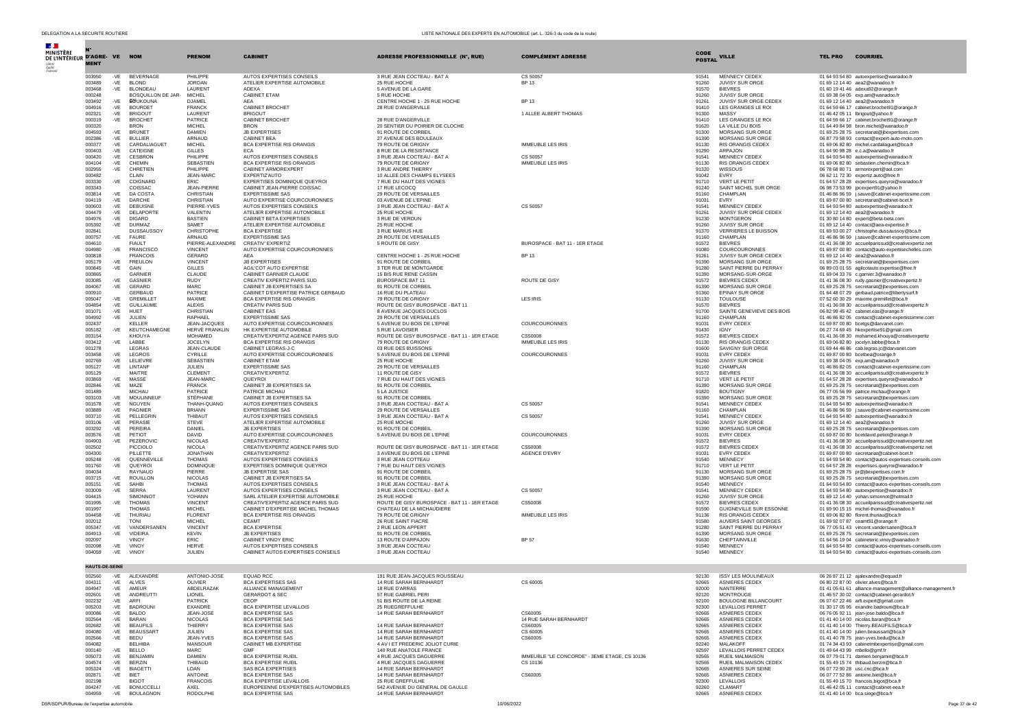| $\mathcal{A}$                       |                        |                |                                    |                                  |                                                                         |                                                                 |                                                           |                              |                                                  |                |                                                                                                          |
|-------------------------------------|------------------------|----------------|------------------------------------|----------------------------------|-------------------------------------------------------------------------|-----------------------------------------------------------------|-----------------------------------------------------------|------------------------------|--------------------------------------------------|----------------|----------------------------------------------------------------------------------------------------------|
| MINISTÈRE<br>DE L'INTÉRIEUR D'AGRE- |                        | <b>VE</b>      | <b>NOM</b>                         | <b>PRENOM</b>                    | <b>CABINET</b>                                                          | <b>ADRESSE PROFESSIONNELLE (N°, RUE)</b>                        | <b>COMPLÉMENT ADRESSE</b>                                 | <b>CODE</b><br><b>POSTAL</b> | <b>VILLE</b>                                     | <b>TEL PRO</b> | <b>COURRIEL</b>                                                                                          |
|                                     | <b>MENT</b>            |                |                                    |                                  |                                                                         |                                                                 |                                                           |                              |                                                  |                |                                                                                                          |
|                                     | 003950                 | -VE            | BEVERNAGE                          | PHILIPPE                         | AUTOS EXPERTISES CONSEILS                                               | 3 RUE JEAN COCTEAU - BAT A                                      | CS 50057                                                  | 91541                        | MENNECY CEDEX                                    |                | 01 64 93 54 80 autoexpertise@wanadoo.fr                                                                  |
|                                     | 003489<br>003468       | $-VE$<br>-VE   | <b>BLOND</b><br><b>BLONDEAU</b>    | <b>JORDAN</b><br>LAURENT         | ATELIER EXPERTISE AUTOMOBILE<br>ADEXA                                   | 25 RUE HOCHE<br>5 AVENUE DE LA GARE                             | <b>BP 13</b>                                              | 91260<br>91570               | JUVISY SUR ORGE<br><b>BIEVRES</b>                |                | 01 69 12 14 40 aea2@wanadoo.fr<br>01 60 19 41 46 adexa92@orange.fr                                       |
|                                     | 000248<br>003492       | $-VE$          | BOSQUILLON DE JAR-<br>BOUKOUNA     | MICHEL<br>DJAMEL                 | CABINET ETAM<br><b>AEA</b>                                              | 5 RUE HOCHE<br>CENTRE HOCHE 1 - 25 RUE HOCHE                    | <b>BP13</b>                                               | 91260<br>91261               | <b>JUVISY SUR ORGE</b><br>JUVISY SUR ORGE CEDEX  |                | 01 69 38 04 05 exp.am@wanadoo.fr<br>01.69.12.14.40 aea2@wanadoo.fr                                       |
|                                     | 004916                 | $-VE$          | <b>BOURDET</b>                     | <b>FRANCK</b>                    | CABINET BROCHET                                                         | 28 RUE D'ANGERVILLE                                             |                                                           | 91410                        | LES GRANGES LE ROI                               |                | 01 64 59 66 17 cabinet.brochet91@orange.fr                                                               |
|                                     | 002321<br>000319       | -VE<br>-VE     | <b>BRIGOUT</b><br><b>BROCHET</b>   | LAURENT<br>PATRICE               | <b>BRIGOUT</b><br><b>CABINET BROCHET</b>                                | 28 RUE D'ANGERVILLE                                             | 1 ALLEE ALBERT THOMAS                                     | 91300<br>91410               | MASSY<br>LES GRANGES LE ROI                      |                | 01 46 42 05 11 lbrigout@yahoo.fr<br>01 64 59 66 17 cabinet.brochet91@orange.fr                           |
|                                     | 000320                 |                | <b>BRON</b>                        | MICHEL                           | <b>BRON</b>                                                             | 20 SENTIER DU POIRIER DE CLOCHE                                 |                                                           | 91620                        | LA VILLE DU BOIS                                 |                | 01 64 49 84 98 bron.michel@wanadoo.fr                                                                    |
|                                     | 004593<br>002386       | $-VE$<br>$-VE$ | <b>BRUNET</b><br><b>BULLIER</b>    | <b>DAMIEN</b><br><b>ARNAUD</b>   | <b>JB EXPERTISES</b><br>CABINET BEA                                     | 91 ROUTE DE CORBEIL<br>27 AVENUE DES BOULEAUX                   |                                                           | 91300<br>91390               | MORSANG SUR ORGE<br>MORSANG SUR ORGE             |                | 01 69 25 28 75 secretariat@jbexpertises.com<br>06 87 79 58 93 contact@expert-auto-moto.com               |
|                                     | 000377                 | $-VE$          | CARDALIAGUET                       | MICHEL                           | BCA EXPERTISE RIS ORANGIS                                               | 79 ROUTE DE GRIGNY                                              | <b>IMMEUBLE LES IRIS</b>                                  | 91130                        | RIS ORANGIS CEDEX                                |                | 01 69 06 82 80 michel.cardaliaguet@bca.fr                                                                |
|                                     | 000403<br>000420       | $-VE$<br>-VE   | CATEIGNE<br>CESBRON                | <b>GILLES</b><br>PHII IPPF       | FCA<br>AUTOS EXPERTISES CONSEILS                                        | 8 RUE DE LA RESISTANCE<br>3 RUE JEAN COCTEAU - BAT A            | CS 50057                                                  | 91290<br>91541               | ARPAJON<br>MENNECY CEDEX                         |                | 01 64 90 98 28 e.c.a@wanadoo.fr<br>01 64 93 54 80 autoexpertise@wanadoo.fr                               |
|                                     | 004104<br>002955       | $-VE$          | CHEMIN<br>CHRETIEN                 | <b>SEBASTIEN</b><br>PHILIPPE     | BCA EXPERTISE RIS ORANGIS<br>CABINET ARMOREXPERT                        | 79 ROUTE DE GRIGNY<br>3 RUE ANDRE THIERRY                       | <b>IMMEUBLE LES IRIS</b>                                  | 91130<br>91320               | RIS ORANGIS CEDEX<br>WISSOUS                     |                | 01 69 06 82 80 sebastien.chemin@bca.fr<br>06 78 68 80 71 armorexpert@aol.com                             |
|                                     | 000482                 | -VE            | CLAIN                              | JEAN-MARC                        | EXPERTIZ'AUTO                                                           | 10 ALLEE DES CHAMPS ELYSEES                                     |                                                           | 91042                        | <b>EVRY</b>                                      |                | 06 62 11 72 30 expertiz.auto@free.fr                                                                     |
|                                     | 003330<br>003343       | $-VE$          | COIGNARD<br>COISSAC                | ERIC<br>JEAN-PIERRE              | EXPERTISES DOMINIQUE QUEYROI<br>CABINET JEAN-PIERRE COISSAC             | 7 RUE DU HAUT DES VIGNES<br>17 RUE LECOCO                       |                                                           | 91710<br>91240               | <b>VERT LE PETIT</b><br>SAINT MICHEL SUR ORGE    |                | 01 64 57 28 28 expertises.queyroi@wanadoo.fr<br>06 98 73 53 99 jpcexpert91@yahoo.fr                      |
|                                     | 003814                 | $-VE$          | DA COSTA                           | CHRISTIAN                        | <b>EXPERTISSIME SAS</b>                                                 | 29 ROUTE DE VERSAILLES                                          |                                                           | 91160                        | CHAMPLAN                                         |                | 01 46 86 96 59 j.sauve@cabinet-expertissime.com                                                          |
|                                     | 004119<br>000603       | $-VE$<br>-VE   | DARCHE<br>DEBUISNE                 | CHRISTIAN<br>PIERRE-YVES         | AUTO EXPERTISE COURCOURONNES<br>AUTOS EXPERTISES CONSEILS               | 03 AVENUE DE L'EPINE<br>3 RUE JEAN COCTEAU - BAT A              | CS 50057                                                  | 91031<br>91541               | EVRY<br>MENNECY CEDEX                            |                | 01 69 87 00 80 secretariat@cabinet-bcet.fr<br>01 64 93 54 80 autoexpertise@wanadoo.fr                    |
|                                     | 004479                 | $-VE$          | DELAPORTE                          | VALENTIN                         | ATELIER EXPERTISE AUTOMOBILE                                            | 25 RUE HOCHE                                                    |                                                           | 91261                        | JUVISY SUR ORGE CEDEX                            |                | 01 69 12 14 40 aea2@wanadoo.fr                                                                           |
|                                     | 004976<br>005392       | $-VE$<br>$-VE$ | <b>DIGARD</b><br><b>DURMAZ</b>     | <b>BASTIEN</b><br>SAMET          | CABINET BETA EXPERTISES<br>ATELIER EXPERTISE AUTOMOBILE                 | 3 RUE DE VERDUN<br>25 RUE HOCHE                                 |                                                           | 91230<br>91260               | <b>MONTGERON</b><br>JUVISY SUR ORGE              |                | 01 30 80 14 80 expert@beta-beta.com<br>01 69 12 14 40 contact@aea-expertise.fr                           |
|                                     | 002841                 |                | <b>DUSSAUSSOY</b>                  | CHRISTOPHE                       | <b>BCA EXPERTISE</b>                                                    | 3 RUE MARIUS HUE                                                |                                                           | 91370                        | <b>VERRIERES LE BUISSON</b>                      |                | 01 69 93 00 27 christophe.dussaussoy@bca.fr                                                              |
|                                     | 000757<br>004610       | $-VE$          | <b>FAURE</b><br><b>FIAULT</b>      | ARNAUD<br>PIERRE-ALEXANDRE       | <b>EXPERTISSIME SAS</b><br>CREATIV' EXPERTIZ                            | 29 ROUTE DE VERSAILLES<br>5 ROUTE DE GISY                       | BUROSPACE - BAT 11 - 1ER ETAGE                            | 91160<br>91572               | CHAMPLAN<br><b>BIEVRES</b>                       |                | 01 46 86 96 59 j.sauve@cabinet-expertissime.com<br>01 41 36 08 30 accueilparissud@creativexpertiz.net    |
|                                     | 004980                 | -VE            | <b>FRANCISCO</b>                   | <b>VINCENT</b>                   | AUTO EXPERTISE COURCOURONNES                                            |                                                                 |                                                           | 91080                        | COURCOURONNES                                    |                | 01 69 87 00 80 contact@auto-expertisechelles.com                                                         |
|                                     | 000818<br>005179       | -VE            | <b>FRANCOIS</b><br><b>FREULON</b>  | GERARD<br><b>VINCENT</b>         | <b>AFA</b><br><b>JB EXPERTISES</b>                                      | CENTRE HOCHE 1 - 25 RUE HOCHE<br>91 ROUTE DE CORBEIL            | <b>BP13</b>                                               | 91261<br>91390               | JUVISY SUR ORGE CEDEX<br>MORSANG SUR ORGE        |                | 01 69 12 14 40 aea2@wanadoo.fr<br>01 69 25 28 75 secretariat@jbexpertises.com                            |
|                                     | 000845                 | -VE            | GAIN                               | <b>GILLES</b>                    | AGIL'COT AUTO EXPERTISE                                                 | 3 TER RUE DE MONTGARDE                                          |                                                           | 91280                        | SAINT PIERRE DU PERRAY                           |                | 06 89 03 01 55 agilcotauto.expertise@free.fr                                                             |
|                                     | 000865<br>003085       | $-VE$          | GARNIER<br><b>GASNIER</b>          | CLAUDE<br><b>RUDY</b>            | CABINET GARNIER CLAUDE<br>CREATIV EXPERTIZ PARIS SUD                    | <b>15 BIS RUE RENE CASSIN</b><br><b>BUROSPACE BAT 11</b>        | ROUTE DE GISY                                             | 91390<br>91572               | MORSANG-SUR-ORGE<br><b>BIEVRES CEDEX</b>         |                | 01 69 04 33 76 c.garnier.3@wanadoo.fr<br>01 41 36 08 30 rudy.gasnier@creativexpertiz.fr                  |
|                                     | 004067                 | $-VE$          | GERARD                             | <b>MARC</b>                      | CABINET JB EXPERTISES SA                                                | 91 ROUTE DE CORBEIL                                             |                                                           | 91390                        | MORSANG SUR ORGE                                 |                | 01 69 25 28 75 secretariat@ibexpertises.com                                                              |
|                                     | 000910<br>005047       | $-VE$          | <b>GERBAUD</b><br><b>GREMILLET</b> | PATRICE<br>MAXIME                | CABINET D'EXPERTISE PATRICE GERBAUD<br><b>BCA EXPERTISE RIS ORANGIS</b> | 16 RUE DU PLATEAU<br>79 ROUTE DE GRIGNY                         | <b>LES IRIS</b>                                           | 91360<br>91130               | EPINAY SUR ORGE<br><b>TOULOUSE</b>               |                | 01 64 48 07 29 gerbaud.patrice@libertysurf.fr<br>07 52 60 30 29 maxime.gremillet@bca.fr                  |
|                                     | 004854                 | -VE            | <b>GUILLAUME</b>                   | <b>ALEXIS</b>                    | CREATIV PARIS SUD                                                       | ROUTE DE GISY BUROSPACE - BAT 11                                |                                                           | 91570                        | <b>BIEVRES</b>                                   |                | 01 41 36 08 30 accueilparissud@creativexpertiz.fr                                                        |
|                                     | 001071<br>004992       | -VE<br>-VE     | <b>HUET</b><br>JULIEN              | CHRISTIAN<br>RAPHAEL             | CABINET EAS<br><b>EXPERTISSIME SAS</b>                                  | 8 AVENUE JACQUES DUCLOS<br>29 ROUTE DE VERSAILLES               |                                                           | 91700<br>91160               | SAINTE GENEVIEVE DES BOIS<br>CHAMPLAN            |                | 06 82 99 45 42 cabinet.eas@orange.fr<br>01 46 86 82 05 contact@cabinet-expertissimme.com                 |
|                                     | 002437                 |                | <b>KELLER</b>                      | JEAN-JACQUES                     | AUTO EXPERTISE COURCOURONNES                                            | 5 AVENUE DU BOIS DE L'EPINE                                     | COURCOURONNES                                             | 91031                        | EVRY CEDEX                                       |                | 01 69 87 00 80 bcetgs@darvanet.com                                                                       |
|                                     | 005182<br>003154       | -VE            | KEUTCHAMEGNE<br>KHOUYA             | HERVÉ FRANKLIN<br><b>MOHAMED</b> | HK EXPERTISE AUTOMOBILE<br>CREATIV'EXPERTIZ AGENCE PARIS SUD            | 5 RUE LAVOISIER<br>ROUTE DE GISY BUROSPACE - BAT 11 - 1ER ETAGE | CS50008                                                   | 91430<br>91572               | <b>IGNY</b><br><b>BIEVRES CEDEX</b>              |                | 06 27 74 69 45 hkexpertise91@gmail.com<br>01 41 36 08 30 mohamed.khouya@creativexpertiz                  |
|                                     | 003412                 | -VE            | LABBE                              | <b>JOCELYN</b>                   | <b>BCA EXPERTISE RIS ORANGIS</b>                                        | 79 ROUTE DE GRIGNY                                              | <b>IMMEUBLE LES IRIS</b>                                  | 91130                        | RIS ORANGIS CEDEX                                |                | 01 69 06 82 80 jocelyn.labbe@bca.fr                                                                      |
|                                     | 001278<br>003458       | $-VE$          | LEGRAS<br><b>LEGROS</b>            | JEAN-CLAUDE<br><b>CYRILLE</b>    | CABINET LEGRAS-J-C<br>AUTO EXPERTISE COURCOURONNES                      | 03 RUE DES BUISSONS<br>5 AVENUE DU BOIS DE L'EPINE              | <b>COURCOURONNES</b>                                      | 91600<br>91031               | SAVIGNY SUR ORGE<br><b>EVRY CEDEX</b>            |                | 01 69 44 46 86 cab.legras.jc@darvanet.com<br>01 69 87 00 80 bcetbea@orange.fr                            |
|                                     | 002769                 | $-VE$          | LELIEVRE                           | SÉBASTIEN                        | CABINET ETAM                                                            | 25 RUE HOCHE                                                    |                                                           | 91260                        | JUVISY SUR ORGE                                  |                | 01 69 38 04 05 exp.am@wanadoo.fr                                                                         |
|                                     | 005127<br>005129       | -VE            | LINTANF<br>MAITRE                  | <b>JULIEN</b><br>CI EMENT        | <b>EXPERTISSIME SAS</b><br>CREATIV'EXPERTIZ                             | 29 ROUTE DE VERSAILLES<br>11 ROUTE DE GISY                      |                                                           | 91160<br>91572               | CHAMPLAN<br><b>BIFVRES</b>                       |                | 01 46 86 82 05 contact@cabinet-expertissime.com<br>01 41 36 08 30 accueilparissud@creativexpertiz.fr     |
|                                     | 003869                 | -VE            | MASSE                              | JEAN-MARC                        | QUEYROI                                                                 | 7 RUE DU HAUT DES VIGNES                                        |                                                           | 91710                        | VERT LE PETIT                                    |                | 01 64 57 28 28 expertises.queyroi@wanadoo.fr                                                             |
|                                     | 002846<br>001489       | -VE            | MAZE<br><b>MICHAU</b>              | <b>FRANCK</b><br>PATRICE         | CABINET JB EXPERTISES SA<br>PATRICE MICHAU                              | 91 ROUTE DE CORBEIL<br>5 LA JUSTICE                             |                                                           | 91390<br>91820               | MORSANG SUR ORGE<br><b>BOUTIGNY</b>              |                | 01 69 25 28 75 secretariat@jbexpertises.com<br>06 77 05 56 99 patrice.michau@orange.fr                   |
|                                     | 003103                 | $-VE$          | MOULINNEUF                         | STÉPHANE                         | CABINET JB EXPERTISES SA                                                | 91 ROUTE DE CORBEIL                                             |                                                           | 91390                        | MORSANG SUR ORGE                                 |                | 01 69 25 28 75 secretariat@jbexpertises.com                                                              |
|                                     | 001578<br>003889       | -VE<br>$-VE$   | <b>NGUYEN</b><br>PAGNIER           | THANH-OUANG<br><b>BRIANN</b>     | AUTOS EXPERTISES CONSEILS<br><b>EXPERTISSIME SAS</b>                    | 3 RUE JEAN COCTEAU - BAT A<br>29 ROUTE DE VERSAILLES            | CS 50057                                                  | 91541<br>91160               | MENNECY CEDEX<br>CHAMPLAN                        |                | 01 64 93 54 80 autoexpertise@wanadoo.fr<br>01 46 86 96 59 j.sauve@cabinet-expertissime.com               |
|                                     | 003710                 | $-VE$          | PELLEGRIN                          | THIBAUT                          | AUTOS EXPERTISES CONSEILS                                               | 3 RUE JEAN COCTEAU - BAT A                                      | CS 50057                                                  | 91541                        | MENNECY CEDEX                                    |                | 01 64 93 54 80 autoexpertise@wanadoo.fr                                                                  |
|                                     | 003106<br>003292       | -VE<br>-VE     | PERASIE<br>PEREIRA                 | <b>STEVE</b><br>DANIEL           | ATELIER EXPERTISE AUTOMOBILE<br><b>JB EXPERTISES</b>                    | 25 RUE MOCHE<br>91 ROUTE DE CORBEIL                             |                                                           | 91260<br>91390               | <b>JUVISY SUR ORGE</b><br>MORSANG SUR ORGE       |                | 01 69 12 14 40 aea2@wanadoo.fr<br>01 69 25 28 75 secretariat@jbexpertises.com                            |
|                                     | 003576                 | $-VE$          | PETIOT                             | <b>DAVID</b>                     | AUTO EXPERTISE COURCOURONNES                                            | 5 AVENUE DU BOIS DE L'EPINE                                     | COURCOURONNES                                             | 91031                        | EVRY CEDEX                                       |                | 01 69 87 00 80 bcetdavid.petiot@orange.fr                                                                |
|                                     | 004903<br>002502       | -VE            | PEZEROVIC<br><b>PICCIOLO</b>       | <b>NICOLAS</b><br><b>NICOLA</b>  | CREATIV'EXPERTIZ<br>CREATIV'EXPERTIZ AGENCE PARIS SUD                   | ROUTE DE GISY BUROSPACE - BAT 11 - 1ER ETAGE                    | CS50008                                                   | 91572<br>91572               | <b>BIEVRES</b><br><b>BIEVRES CEDEX</b>           |                | 01 41 36 08 30 accueilparissud@creativexpertiz.net<br>01 41 36 08 30 accueilparissud@creativespertiz.net |
|                                     | 004300                 |                | PILLETTE                           | <b>JONATHAN</b>                  | CREATIV'EXPERTIZ                                                        | 3 AVENUE DU BOIS DE L'EPINE                                     | <b>AGENCE D'EVRY</b>                                      | 91031                        | <b>EVRY CEDEX</b>                                |                | 01 69 87 00 80 secretariat@cabinet-bcet.fr                                                               |
|                                     | 005248<br>001760       | $-VE$<br>-VE   | OUENNEVILLE<br>QUEYROI             | <b>THOMAS</b><br>DOMINIQUE       | AUTOS EXPERTISES CONSEILS<br>EXPERTISES DOMINIQUE QUEYROI               | 3 RUE JEAN COTTEAU<br>7 RUE DU HAUT DES VIGNES                  |                                                           | 91540<br>91710               | <b>MENNECY</b><br>VERT LE PETIT                  |                | 01 64 93 54 80 contact@autos-expertises-conseils.com<br>01 64 57 28 28 expertises.queyroi@wanadoo.fr     |
|                                     | 004034                 |                | <b>RAYNAUD</b>                     | PIERRE                           | <b>JB EXPERTISE SAS</b>                                                 | 91 ROUTE DE CORBEIL                                             |                                                           | 91130                        | MORSANG SUR ORGE                                 |                | 01 69 25 28 75 pr@jbexpertises.com.fr                                                                    |
|                                     | 003715<br>005151       | $-VE$<br>$-VE$ | ROUILLON<br>SAHBI                  | <b>NICOLAS</b><br><b>THOMAS</b>  | CABINET JB EXPERTISES SA<br>AUTOS EXPERTISES CONSEILS                   | 91 ROUTE DE CORBEIL<br>3 RUE JEAN COCTEAU - BAT A               |                                                           | 91390<br>91540               | MORSANG SUR ORGE<br><b>MENNECY</b>               |                | 01 69 25 28 75 secretariat@jbexpertises.com<br>01 64 93 54 80 contact@autos-expertises-conseils.com      |
|                                     | 003009                 | -VE            | SERRA                              | LAURENT                          | AUTOS EXPERTISES CONSEILS                                               | 3 RUE JEAN COCTEAU - BAT A                                      | CS 50057                                                  | 91541                        | MENNECY CEDEX                                    |                | 01 64 93 54 80 autoexpertise@wanadoo.fr                                                                  |
|                                     | 004415<br>001995       | -VE            | SIMONNOT<br>THOMAS                 | YOHANN<br><b>VINCENT</b>         | SARL ATELIER EXPERTISE AUTOMOBILE<br>CREATIV'EXPERTIZ AGENCE PARIS SUD  | 25 RUE HOCHE<br>ROUTE DE GISY BUROSPACE - BAT 11 - 1ER ETAGE    | CS50008                                                   | 91260<br>91572               | JUVISY SUR ORGE<br><b>BIEVRES CEDEX</b>          |                | 01 69 12 14 40 yohan.simonnot@hotmail.f<br>01 41 36 08 30 accueilparissud@creativespertiz.net            |
|                                     | 001997                 |                | <b>THOMAS</b>                      | MICHEL                           | CABINET D'EXPERTISE MICHEL THOMAS                                       | CHATEAU DE LA MICHAUDIERE                                       |                                                           | 91590                        | <b>GUIGNEVILLE SUR ESSONNE</b>                   |                | 01 69 90 15 15 michel-thomas@wanadoo.fr                                                                  |
|                                     | 004458<br>002012       | -VE            | THURIAU<br>TONI                    | <b>FLORENT</b><br><b>MICHEL</b>  | BCA EXPERTISE RIS ORANGIS<br>CEAMT                                      | 79 ROUTE DE GRIGNY<br>26 RUE SAINT FIACRE                       | <b>IMMEUBLE LES IRIS</b>                                  | 91136<br>91580               | <b>RIS ORANGIS CEDEX</b><br>AUVERS SAINT GEORGES |                | 01 69 06 82 80 florent.thuriau@bca.fr<br>01 69 92 07 87 ceamt91@orange.fr                                |
|                                     | 005347                 | $-VE$          | VANDERSANEN                        | <b>VINCENT</b>                   | <b>BCA EXPERTISE</b>                                                    | 2 RUE LEON APPERT                                               |                                                           | 91280                        | SAINT PIERRE DU PERRAY                           |                | 06 77 05 51 43 vincent.vandersanen@bca.fr                                                                |
|                                     | 004913<br>002097       | $-VE$          | <b>VIDEIRA</b><br><b>VINOY</b>     | <b>KEVIN</b><br>ERIC             | <b>JB EXPERTISES</b><br>CABINET VINOY FRIC                              | 91 ROUTE DE CORBEIL<br>13 ROUTE D'ARPAJON                       | <b>BP 57</b>                                              | 91390<br>91630               | MORSANG SUR ORGE<br>CHEPTAINVILLE                |                | 01 69 25 28 75 secretariat@jbexpertises.com<br>01 64 56 19 04 cabineteric.vinoy@wanadoo.fr               |
|                                     | 002098                 | $-VE$          | VINOY                              | HERVÉ                            | AUTOS EXPERTISES CONSEILS                                               | 3 RUE JEAN COCTEAU                                              |                                                           | 91540                        | MENNECY                                          |                | 01 64 93 54 80 contact@autos-expertises-conseils.com                                                     |
|                                     | 004059                 | -VE            | <b>VINO</b>                        | JULIEN                           | CABINET AUTOS EXPERTISES CONSEILS                                       | 3 RUE JEAN COCTEAU                                              |                                                           | 91540                        | <b>MENNECY</b>                                   |                | 01 64 93 54 80 contact@autos-expertises-conseils.com                                                     |
|                                     | <b>HAUTS-DE-SEINE</b>  |                |                                    |                                  |                                                                         |                                                                 |                                                           |                              |                                                  |                |                                                                                                          |
|                                     | 002560                 | -VE            | ALEXANDRE                          | ANTONIO-JOSE                     | EOUAD RCC                                                               | 191 RUE JEAN-JACQUES ROUSSEAU                                   |                                                           | 92130                        | <b>ISSY LES MOULINEAUX</b>                       |                | 06 26 87 21 12 aialexandre@equad.fr                                                                      |
|                                     | 004311<br><b>UU494</b> | -VE<br>-VE.    | <b>ALVES</b><br>AMEUR              | OLIVIER<br>ABDELRAZAK            | <b>BCA EXPERTISES SAS</b><br>ALLIANCE MANAGEMENT                        | 14 RUE SARAH BERNHARDT<br>18 RUE D'ARRAS                        | CS 60005                                                  | 92665<br>92000               | <b>ASNIERES CEDEX</b><br>NANIERRE                |                | 06 80 22 87 00 olivier.alves@bca.fr<br>01 41 05 61 61 alliance-management@alliance-management.fr         |
|                                     | 002601                 | $-VE$          | ANDREUTTI                          | LIONEL                           | <b>GERARDOT &amp; SEC</b>                                               | 57 RUE GABRIEL PERI                                             |                                                           | 92120                        | <b>MONTROUGE</b>                                 |                | 01 46 57 30 02 contact@cabinet-gerardot.fr                                                               |
|                                     | 002232<br>005203       | $-VE$<br>$-VE$ | ARFI<br><b>BADROUNI</b>            | PATRICK<br>EXANDRE               | CEOP<br>BCA EXPERTISE LEVALLOIS                                         | 51 BIS ROUTE DE LA REINE<br>25 RUEGREFFULHE                     |                                                           | 92100<br>92300               | BOULOGNE BILLANCOURT<br>LEVALLOIS PERRET         |                | 06 07 67 22 46 arfi.expert@gmail.com<br>01 30 17 05 95 exandre.badrouni@bca.fr                           |
|                                     | 000086                 | -VE            | <b>BALDO</b>                       | JEAN-JOSE                        | <b>BCA EXPERTISE SAS</b>                                                | 14 RUE SARAH BERNHARDT                                          | CS60005                                                   | 92665                        | ASNIERES CEDEX                                   |                | 06 76 05 92 11 jean-jose.baldo@bca.fr                                                                    |
|                                     | 002564<br>002682       | $-VE$<br>-VE   | <b>BARAN</b><br><b>BEAUFILS</b>    | <b>NICOLAS</b><br>THIERRY        | <b>BCA EXPERTISE SAS</b><br><b>BCA EXPERTISE SAS</b>                    | 14 RUE SARAH BERNHARDT                                          | 14 RUE SARAH BERNHARDT<br>CS60005                         | 92665<br>92665               | ASNIERES CEDEX<br>ASNIERES CEDEX                 |                | 01 41 40 14 00 nicolas.baran@bca.fr<br>01 41 40 14 00 Thierry.BEAUFILS@bca.fr                            |
|                                     | 004080                 | -VE            | <b>BEAUSSART</b>                   | <b>JULIEN</b>                    | <b>BCA EXPERTISE SAS</b>                                                | 14 RUE SARAH BERNHARDT                                          | CS 60005                                                  | 92665                        | <b>ASNIERES CEDEX</b>                            |                | 01 41 40 14 00 iulien.beaussart@bca.fr                                                                   |
|                                     | 002566<br>004082       | -VE            | <b>BEDU</b><br><b>BELHIBA</b>      | JEAN-YVES<br><b>MANSOUR</b>      | <b>BCA EXPERTISE SAS</b><br>CABINET MB EXPERTISE                        | 14 RUE SARAH BERNHARDT<br>4 AV I ET FREDERIC JOLIOT CURIE       | CS60005                                                   | 92665<br>92240               | <b>ASNIERES CEDEX</b><br>MALAKOFF                |                | 01 41 40 78 75 jean-yves.bedu@bca.fr<br>01 74 34 43 93 cabinetmbexpertise@gmail.com                      |
|                                     | 000140                 | $-VE$          | <b>BELLO</b>                       | MARC.                            | GME                                                                     | 140 RUE ANATOLE FRANCE                                          |                                                           | 92597                        | LEVALLOIS PERRET CEDEX                           |                | 01 49 64 43 99 mbello@gmf.fr                                                                             |
|                                     | 005073<br>004574       | $-VE$<br>-VE   | BENJAMIN<br>BER7IN                 | DAMIEN<br>THIBAUD                | <b>BCA EXPERTISE RUEIL</b><br><b>BCA EXPERTISE RUEIL</b>                | 4 RUE JACQUES DAGUERRE<br>4 RUE JACOUES DAGUERRE                | IMMEUBLE "LE CONCORDE" - 3EME ETAGE, CS 10136<br>CS 10136 | 92565<br>92565               | <b>RUEIL MALMAISON</b><br>RUEIL MALMAISON CEDEX  |                | 06 07 79 01 71 damien.benjamin@bca.fr<br>01.55.49.15.74 thibaud.berzin@bca.fr                            |
|                                     | 005324                 | -VE            | <b>BIAGETTI</b>                    | LOAN                             | SAS BCA EXPERTISES                                                      | 14 RUE SARAH BERNHARDT                                          |                                                           | 92665                        | ASNIERES SUR SEINE                               |                | 06 07 72 90 28 usc.cnc@bca.fr                                                                            |
|                                     | 002871<br>002198       | $-VE$          | <b>BIET</b><br><b>BIGOT</b>        | ANTOINE<br><b>FRANCOIS</b>       | BCA EXPERTISE SAS<br>BCA EXPERTISE LEVALLOIS                            | 14 RUE SARAH BERNHARDT<br>25 RUE GREFFULHE                      | CS60005                                                   | 92665<br>92300               | ASNIERES CEDEX<br><b>I FVALLOIS</b>              |                | 06 07 77 52 86 antoine.biet@bca.fr<br>01 55 49 15 70 francois.bigot@bca.fr                               |
|                                     | 004247                 | $-VE$          | <b>BONUCCELLI</b>                  | AXEL                             | EUROPEENNE D'EXPERTISES AUTOMOBILES                                     | 542 AVENUE DU GENERAL DE GAULLE                                 |                                                           | 92260                        | CLAMART                                          |                | 01 46 42 05 11 contact@cabinet-eea.fr                                                                    |
|                                     | 004959                 | $-VE$          | <b>BOULAGNON</b>                   | RODOLPHE                         | <b>BCA EXPERTISE SAS</b>                                                | 14 RUE SARAH BERNHARDT                                          |                                                           | 92665                        | <b>ASNIERES CEDEX</b>                            |                | 01 41 40 14 00 bca.siege@bca.fr                                                                          |

DSR/SDPUR/Bureau de l'expertise automobile automobile 10/06/2022 Page 37 de 42 automobile 10/06/2022 Page 37 de 42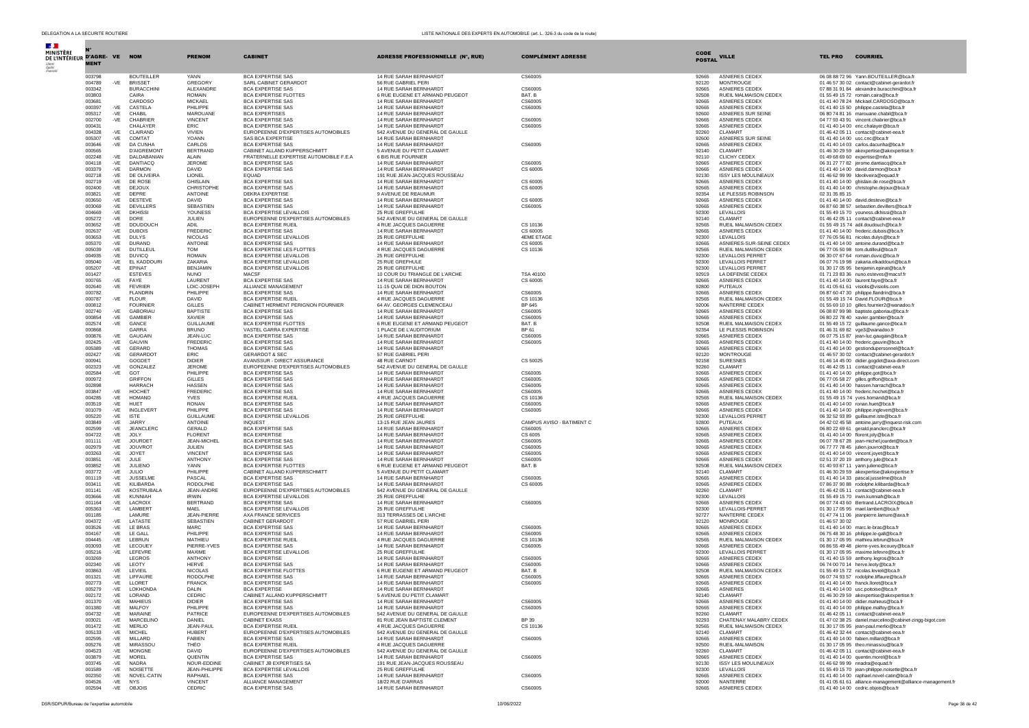| $\sim 10^{-11}$<br><b>MINISTÈRE</b><br>DE L'INTÉRIEUR D'AGRE- VE NOM | <b>MENT</b>                        |                       |                                  | <b>PRENOM</b>                   | <b>CABINET</b>                                                     | ADRESSE PROFESSIONNELLE (N°, RUE)                         | <b>COMPLÉMENT ADRESSE</b> | <b>CODE</b><br><b>POSTAL</b> | <b>VILLE</b>                                    | <b>TEL PRO</b> | <b>COURRIEL</b>                                                                                   |
|----------------------------------------------------------------------|------------------------------------|-----------------------|----------------------------------|---------------------------------|--------------------------------------------------------------------|-----------------------------------------------------------|---------------------------|------------------------------|-------------------------------------------------|----------------|---------------------------------------------------------------------------------------------------|
|                                                                      | 003798                             |                       | <b>BOUTEILLER</b>                | YANN                            | <b>BCA EXPERTISE SAS</b>                                           | 14 RUE SARAH BERNHARDT                                    | CS60005                   | 92665                        | ASNIERES CEDEX                                  |                | 06 08 88 72 96 Yann, BOUTEILLER@bca.fr                                                            |
|                                                                      | 004789<br>$-VE$                    |                       | <b>BRISSET</b>                   | GREGORY                         | SARL CABINET GERARDOT                                              | 56 RUE GABRIEL PFRI                                       |                           | 92120                        | <b>MONTROUGE</b>                                |                | 01 46 57 30 02 contact@cabinet-gerardot.fr                                                        |
|                                                                      | 003342                             |                       | <b>BURACCHIN</b>                 | ALEXANDRE                       | <b>BCA EXPERTISE SAS</b><br>BCA EXPERTISE ELOTTES                  | 14 RUE SARAH BERNHARD'                                    | CS60005                   | 92665                        | <b>ASNIERES CEDE&gt;</b>                        |                | 07 88 31 91 84 alexandre.buracchini@bca.fr                                                        |
|                                                                      | 003803<br>003681                   | CAIRA                 | CARDOSO                          | <b>ROMAIN</b><br><b>MICKAEL</b> | <b>BCA EXPERTISE SAS</b>                                           | 6 RUE EUGENE ET ARMAND PEUGEOT<br>14 RUE SARAH BERNHARDT  | BAT B<br>CS60005          | 92508<br>92665               | RUEIL MALMAISON CEDEX<br>ASNIERES CEDEX         |                | 01 55 49 15 72 romain.caira@bca.fr<br>01 41 40 78 24 Mickael.CARDOSO@bca.fr                       |
|                                                                      | 000397<br>-VE                      |                       | CASTELA                          | PHILIPPE                        | <b>BCA EXPERTISE SAS</b>                                           | 14 RUE SARAH BERNHARDT                                    | CS60005                   | 92665                        | <b>ASNIERES CEDEX</b>                           |                | 01 41 40 15 50 philippe.castela@bca.fr                                                            |
|                                                                      | $-VE$<br>005317                    | CHABIL                |                                  | MAROUANE                        | <b>BCA EXPERTISES</b>                                              | 14 RUE SARAH BERNHARDT                                    |                           | 92600                        | <b>ASNIERES SUR SEINE</b>                       |                | 06 80 74 81 16 marouane.chabil@bca.fr                                                             |
|                                                                      | -VE<br>002700                      |                       | CHABRIER                         | <b>VINCENT</b>                  | <b>BCA EXPERTISE SAS</b>                                           | 14 RUE SARAH BERNHARDT                                    | CS60005                   | 92665                        | ASNIERES CEDEX                                  |                | 04 77 93 43 91 vincent.chabrier@bca.fr                                                            |
|                                                                      | 000431<br>$-VE$<br>004328          |                       | CHALAYER<br>CLAIRAND             | <b>ERIC</b><br><b>VIVIEN</b>    | <b>BCA EXPERTISE SAS</b><br>EUROPEENNE D'EXPERTISES AUTOMOBILES    | 14 RUE SARAH BERNHARDT<br>542 AVENUE DU GENERAL DE GAULLE | CS60005                   | 92665<br>92260               | ASNIERES CEDEX<br>CLAMART                       |                | 01 41 40 14 00 eric.chalaver@bca.fr<br>01 46 42 05 11 contact@cabinet-eea.fr                      |
|                                                                      | 005307<br>$-VE$                    |                       | COMTAT                           | YOANN                           | <b>SAS BCA EXPERTISE</b>                                           | 14 RUE SARAH BERNHARDT                                    |                           | 92600                        | ASNIERES SUR SEINE                              |                | 01 41 40 14 00 usc.cnc@bca.fr                                                                     |
|                                                                      | 003646<br>$-VE$                    |                       | <b>DA CUNHA</b>                  | CARLOS                          | <b>BCA EXPERTISE SAS</b>                                           | 14 RUE SARAH BERNHARDT                                    | CS60005                   | 92665                        | ASNIERES CEDEX                                  |                | 01 41 40 14 03 carlos.dacunha@bca.fr                                                              |
|                                                                      | 000565                             |                       | <b>D'AIGREMONT</b>               | <b>BERTRAND</b>                 | CABINET ALLAND KUPPERSCHMITT                                       | 5 AVENUE DU PETIT CLAMART                                 |                           | 92140                        | CLAMART                                         |                | 01 46 30 29 59 akexpertise@akexpertise.fr                                                         |
|                                                                      | 002248<br>$-VE$<br>004118          |                       | DALDABANIAN<br>DANTIACO          | ALAIN<br>JEROME                 | FRATERNELLE EXPERTISE AUTOMOBILE F.E.A<br><b>BCA EXPERTISE SAS</b> | 6 BIS RUE FOURNIER<br>14 RUE SARAH BERNHARDT              | CS60005                   | 92110<br>92665               | CLICHY CEDEX<br><b>ASNIERES CEDEX</b>           |                | 01 49 68 69 60 expertise@mfa.fr                                                                   |
|                                                                      | -VE<br>003379<br>$-VE$             |                       | <b>DARMON</b>                    | DAVID                           | <b>BCA EXPERTISE SAS</b>                                           | 14 RUE SARAH BERNHARDT                                    | CS 60005                  | 92665                        | ASNIERES CEDEX                                  |                | 06 31 27 77 82 jerome.dantiacq@bca.fr<br>01 41 40 14 00 david.darmon@bca.fr                       |
|                                                                      | 002718<br>$-VE$                    |                       | DE OLIVEIRA                      | LIONEL                          | <b>EOUAD</b>                                                       | 191 RUE JEAN-JACOUES ROUSSEAU                             |                           | 92130                        | <b>ISSY LES MOULINEAUX</b>                      |                | 01 46 62 99 99 Ideoliveira@equad.fr                                                               |
|                                                                      | -VE<br>002719                      |                       | DE ROSE                          | <b>GHISLAIN</b>                 | <b>BCA EXPERTISE SAS</b>                                           | 14 RUE SARAH BERNHARDT                                    | CS 60005                  | 92665                        | <b>ASNIERES CEDEX</b>                           |                | 01 41 40 14 00 ghislain.de rose@bca.fr                                                            |
|                                                                      | 002400<br>-VE<br>003821<br>$-VE$   | DEPRE                 | DEJOUX                           | CHRISTOPHE<br>ANTOINE           | <b>BCA EXPERTISE SAS</b><br><b>DEKRA EXPERTISE</b>                 | 14 RUE SARAH BERNHARDT<br>9 AVENUE DE REAUMUR             | CS 60005                  | 92665<br>92354               | ASNIERES CEDEX<br>LE PLESSIS ROBINSON           | 02 31 35 85 15 | 01 41 40 14 00 christophe.dejoux@bca.fr                                                           |
|                                                                      | $-VE$<br>003650                    |                       | <b>DESTEVE</b>                   | <b>DAVID</b>                    | <b>BCA EXPERTISE SAS</b>                                           | 14 RUE SARAH BERNHARDT                                    | CS 60005                  | 92665                        | <b>ASNIERES CEDEX</b>                           |                | 01 41 40 14 00 david.desteve@bca.fr                                                               |
|                                                                      | 003069<br>$-VE$                    |                       | <b>DEVILLERS</b>                 | SEBASTIEN                       | <b>BCA EXPERTISE SAS</b>                                           | 14 RUE SARAH BERNHARDT                                    | CS60005                   | 92665                        | <b>ASNIERES CEDEX</b>                           |                | 06 87 60 38 57 sebastien.devillers@bca.fr                                                         |
|                                                                      | 004669<br>$-VE$                    | <b>DKHISSI</b>        |                                  | YOUNESS                         | <b>BCA EXPERTISE LEVALLOIS</b>                                     | 25 RUE GREFFULHE                                          |                           | 92300                        | LEVALLOIS                                       |                | 01.55.49.15.70 vouness dkhissi@hca.fr                                                             |
|                                                                      | 005272<br>-VE                      | DORE                  |                                  | JULIEN                          | EUROPEENNE D'EXPERTISES AUTOMOBILES                                | 542 AVENUE DU GENERAL DE GAULLE                           |                           | 92140                        | CLAMART                                         |                | 01 46 42 05 11 contact@cabinet-eea.fr                                                             |
|                                                                      | 003652<br>$-VE$<br>002637<br>$-VE$ | <b>DUBOIS</b>         | <b>DOUDOUCH</b>                  | ADIL<br><b>EREDERIC</b>         | <b>BCA EXPERTISE RUEIL</b><br><b>BCA EXPERTISE SAS</b>             | 4 RUE JACQUES DAGUERRE<br>14 RUE SARAH BERNHARDT          | CS 10136<br>CS 60005      | 92565<br>92665               | RUEIL MALMAISON CEDEX<br><b>ASNIERES CEDEX</b>  |                | 01 55 49 15 74 adil.doudouch@bca.fr<br>01 41 40 14 00 frederic.dubois@bca.fr                      |
|                                                                      | 003653<br>-VE                      | <b>DULYS</b>          |                                  | <b>NICOLAS</b>                  | BCA EXPERTISE LEVALLOIS                                            | 25 RUE GREFFULHE                                          | 4EME ETAGE                | 92300                        | LEVALLOIS                                       |                | 07 76 05 56 81 nicolas.dulys@bca.fr                                                               |
|                                                                      | 005370<br>$-VE$                    |                       | <b>DURAND</b>                    | ANTOINE                         | <b>BCA EXPERTISE SAS</b>                                           | 14 RUE SARAH BERNHARDT                                    | CS 60005                  | 92665                        | ASNIERES-SUR-SEINE CEDEX                        |                | 01 41 40 14 00 antoine.durand@bca.fr                                                              |
|                                                                      | 005039<br>$-VE$                    |                       | DUTILLEUL                        | <b>TOM</b>                      | BCA EXPERTISE LES FLOTTES                                          | 4 RUE JACQUES DAGUERRE                                    | CS 10136                  | 92565                        | RUEIL MALMAISON CEDEX                           |                | 06 77 05 50 98 tom.dutilleul@bca.fr                                                               |
|                                                                      | 004935<br>$-VE$                    | <b>DUVICO</b>         |                                  | <b>ROMAIN</b>                   | BCA EXPERTISE LEVALLOIS                                            | 25 RUE GREFFULHE                                          |                           | 92300                        | <b>LEVALLOIS PERRET</b>                         |                | 06 30 07 67 64 romain.duvic@bca.fr                                                                |
|                                                                      | 005040<br>$-VE$<br>005207<br>$-VE$ | EPINAT                | EL KADDOURI                      | ZAKARIA<br><b>BENJAMIN</b>      | <b>BCA EXPERTISE LEVALLOIS</b><br>BCA EXPERTISE LEVALLOIS          | 25 RUE GREFHULE<br>25 RUE GREFFULHE                       |                           | 92300<br>92300               | <b>LEVALLOIS PERRET</b><br>LEVALLOIS PERRET     |                | 06 07 76 19 98 zakaria.elkaddouri@bca.fr<br>01 30 17 05 95 benjamin.epinat@bca.fr                 |
|                                                                      | 001427                             |                       | <b>ESTEVES</b>                   | <b>NUNO</b>                     | MACSF                                                              | 10 COUR DU TRIANGLE DE L'ARCHE                            | <b>TSA 40100</b>          | 92919                        | LA DEFENSE CEDEX                                |                | 01 71 23 83 36 nuno.esteves@macsf.fr                                                              |
|                                                                      | 000765<br>-VE                      | <b>FAYE</b>           |                                  | <b>I AURENT</b>                 | <b>BCA EXPERTISE SAS</b>                                           | 14 RUE SARAH BERNHARDT                                    | CS 60005                  | 92665                        | <b>ASNIERES CEDEX</b>                           |                | 01 41 40 14 00 laurent.fave@bca.fr                                                                |
|                                                                      | 002640<br>$-VE$                    |                       | <b>FEVRIER</b>                   | LOIC-JOSEPH                     | ALLIANCE MANAGEMENT                                                | 11-15 QUAI DE DION BOUTON                                 |                           | 92800                        | <b>PUTEAUX</b>                                  |                | 01 41 05 61 61 visiolis@visiolis.com                                                              |
|                                                                      | 000782                             |                       | <b>FLANDRIN</b>                  | PHILIPPE                        | <b>BCA EXPERTISE SAS</b>                                           | 14 RUE SARAH BERNHARDT                                    | CS60005                   | 92665                        | <b>ASNIERES CEDEX</b>                           |                | 06 87 60 47 30 philippe.flandrin@bca.fr                                                           |
|                                                                      | -VE<br>000787                      | <b>FLOUR</b>          | <b>FOURNIER</b>                  | <b>DAVID</b><br><b>GILLES</b>   | <b>BCA EXPERTISE RUEIL</b>                                         | 4 RUE JACOUES DAGUERRE                                    | CS 10136<br>BP 645        | 92565                        | RUEIL MALMAISON CEDEX<br>NANTERRE CEDEX         |                | 01 55 49 15 74 David.FLOUR@bca.fr                                                                 |
|                                                                      | 000812<br>002740<br>$-VE$          |                       | GABORIAU                         | <b>BAPTISTE</b>                 | CABINET HERMENT PERIGNON FOURNIER<br><b>BCA EXPERTISE SAS</b>      | 64 AV. GEORGES CLEMENCEAU<br>14 RUE SARAH BERNHARDT       | CS60005                   | 92006<br>92665               | <b>ASNIERES CEDEX</b>                           |                | 01 55 69 10 10 gilles.fournier2@wanadoo.fr<br>06 08 87 99 98 baptiste.gaboriau@bca.fr             |
|                                                                      | 000854<br>-VE                      |                       | <b>GAMBIER</b>                   | XAVIER                          | <b>BCA EXPERTISE SAS</b>                                           | 14 RUE SARAH BERNHARDT                                    | CS60005                   | 92665                        | <b>ASNIERES CEDEX</b>                           |                | 06 80 22 78 40 xavier.gambier@bca.fr                                                              |
|                                                                      | 002574<br>$-VE$                    | GANCE                 |                                  | <b>GUILLAUME</b>                | <b>BCA EXPERTISE FLOTTES</b>                                       | 6 RUE EUGENE ET ARMAND PEUGEOT                            | BAT. B                    | 92508                        | RUEIL MALMAISON CEDEX                           |                | 01 55 49 15 72 guillaume.gance@bca.fr                                                             |
|                                                                      | 000868                             | GARRA                 |                                  | <b>BRUNO</b>                    | VASTEL GARRA EXPERTISE                                             | 1 PLACE DE L'AUDITORIUM                                   | BP 61                     | 92354                        | LE PLESSIS ROBINSON                             |                | 01 46 31 69 82 vge3@wanadoo.fr                                                                    |
|                                                                      | 000876<br>-VE<br>002425<br>$-VE$   | GAUVIN                | GAUGAIN                          | JEAN-LUC<br><b>FREDERIC</b>     | <b>BCA EXPERTISE SAS</b><br><b>BCA EXPERTISE SAS</b>               | 14 RUE SARAH BERNHARDT<br>14 RUE SARAH BERNHARDT          | CS60005<br>CS60005        | 92665<br>92665               | ASNIERES CEDEX<br><b>ASNIERES CEDEX</b>         |                | 06 07 75 15 87 jean-luc.gaugain@bca.fr<br>01 41 40 14 00 frederic.gauvin@bca.fr                   |
|                                                                      | $-VE$<br>005389                    |                       | GERARD                           | <b>THOMAS</b>                   | <b>BCA EXPERTISE SAS</b>                                           | 14 RUE SARAH BERNHARDT                                    |                           | 92665                        | <b>ASNIERES CEDEX</b>                           |                | 01 41 40 14 00 gestiondupersonnel@bca.fr                                                          |
|                                                                      | 002427<br>-VE                      |                       | GERARDOT                         | ERIC                            | <b>GERARDOT &amp; SEC</b>                                          | 57 RUE GABRIEL PERI                                       |                           | 92120                        | <b>MONTROUGE</b>                                |                | 01 46 57 30 02 contact@cabinet-gerardot.fr                                                        |
|                                                                      | 000941                             |                       | GOGDET                           | <b>DIDIER</b>                   | AVANSSUR - DIRECT ASSURANCE                                        | 48 RUE CARNOT                                             | CS 50025                  | 92158                        | <b>SURESNES</b>                                 |                | 01 46 14 45 00 didier.gogdet@axa-direct.com                                                       |
|                                                                      | $-VE$<br>002323                    |                       | GONZALEZ                         | JEROME                          | EUROPEENNE D'EXPERTISES AUTOMOBILES                                | 542 AVENUE DU GENERAL DE GAULLE                           |                           | 92260                        | CLAMART                                         |                | 01 46 42 05 11 contact@cabinet-eea.fr                                                             |
|                                                                      | 002584<br>-VE<br>000972            | GOT                   | <b>GRIFFON</b>                   | PHILIPPE<br><b>GILLES</b>       | <b>BCA EXPERTISE SAS</b><br><b>BCA EXPERTISE SAS</b>               | 14 RUE SARAH BERNHARDT<br>14 RUE SARAH BERNHARDT          | CS60005<br>CS60005        | 92665<br>92665               | ASNIERES CEDEX<br>ASNIERES CEDEX                |                | 01 41 40 14 00 philippe.got@bca.fr<br>06 77 05 58 27 gilles.griffon@bca.fr                        |
|                                                                      | 002898                             |                       | <b>HARRACH</b>                   | <b>HASSEN</b>                   | <b>BCA EXPERTISE SAS</b>                                           | 14 RUE SARAH BERNHARDT                                    | CS60005                   | 92665                        | <b>ASNIERES CEDEX</b>                           |                | 01 41 40 14 00 hassen.harrach@bca.fr                                                              |
|                                                                      | 003847<br>-VE                      | HOCHET                |                                  | <b>FREDERIC</b>                 | <b>BCA EXPERTISE SAS</b>                                           | 14 RUE SARAH BERNHARDT                                    | CS60005                   | 92665                        | <b>ASNIERES CEDEX</b>                           |                | 01 41 40 14 00 frederic.hochet@bca.fr                                                             |
|                                                                      | 004285<br>$-VE$                    |                       | <b>HOMAND</b>                    | <b>YVES</b>                     | <b>BCA EXPERTISE RUEIL</b>                                         | 4 RUE JACOUES DAGUERRE                                    | CS 10136                  | 92565                        | RUEIL MALMAISON CEDEX                           |                | 01 55 49 15 74 yves.homand@bca.fr                                                                 |
|                                                                      | 003519<br>$-VE$<br>001079<br>$-VE$ | HUET                  | <b>INGLEVERT</b>                 | <b>RONAN</b><br>PHILIPPE        | <b>BCA EXPERTISE SAS</b><br><b>BCA EXPERTISE SAS</b>               | 14 RUE SARAH BERNHARDT<br>14 RUE SARAH BERNHARDT          | CS60005<br>CS60005        | 92665<br>92665               | ASNIERES CEDEX<br>ASNIERES CEDEX                |                | 01 41 40 14 00 ronan.huet@bca.fr<br>01 41 40 14 00 philippe.inglevert@bca.fr                      |
|                                                                      | 005220<br>-VE                      | <b>ISTE</b>           |                                  | <b>GUILLAUME</b>                | <b>BCA EXPERTISE LEVALLOIS</b>                                     | 25 RUE GREFFULHE                                          |                           | 92300                        | <b>LEVALLOIS PERRET</b>                         |                | 06 32 52 93 89 guillaume.iste@bca.fr                                                              |
|                                                                      | 003849<br>$-VE$                    | <b>JARRY</b>          |                                  | <b>ANTOINE</b>                  | <b>INQUEST</b>                                                     | 13-15 RUE JEAN JAURES                                     | CAMPUS AVISO - BATIMENT C | 92800                        | PUTEAUX                                         |                | 04 42 02 45 58 antoine.jarry@inquest-risk.com                                                     |
|                                                                      | 002599<br>$-VE$                    |                       | <b>JEANCLERC</b>                 | GERALD                          | <b>BCA EXPERTISE SAS</b>                                           | 14 RUE SARAH BERNHARDT                                    | CS60005                   | 92665                        | ASNIERES CEDEX                                  |                | 06 80 22 69 61 gerald.jeanclerc@bca.fr                                                            |
|                                                                      | 004722<br>$-VE$                    | JOLY                  |                                  | <b>FLORENT</b>                  | <b>BCA EXPERTISE</b>                                               | 14 RUE SARAH BERNHARDT                                    | CS 6005                   | 92665                        | ASNIERES CEDEX                                  |                | 01 41 40 14 00 florent.joly@bca.fr                                                                |
|                                                                      | 001111<br>$-VE$<br>$-VE$<br>002979 |                       | <b>JOURDET</b><br><b>JOUVROT</b> | JEAN-MICHEL<br>JULIEN           | <b>BCA EXPERTISE SAS</b><br><b>BCA EXPERTISE SAS</b>               | 14 RUE SARAH BERNHARDT<br>14 RUE SARAH BERNHARDT          | CS60005<br>CS60005        | 92665<br>92665               | <b>ASNIERES CEDEX</b><br>ASNIERES CEDEX         |                | 06 07 78 67 28 jean-michel.jourdet@bca.fr<br>06 77 77 78 45 julien.jouvrot@bca.fr                 |
|                                                                      | 003263<br>$-VE$                    | <b>JOYET</b>          |                                  | <b>VINCENT</b>                  | <b>BCA EXPERTISE SAS</b>                                           | 14 RUE SARAH BERNHARDT                                    | CS60005                   | 92665                        | ASNIERES CEDEX                                  |                | 01 41 40 14 00 vincent.joyet@bca.fr                                                               |
|                                                                      | 003851<br>$-VE$                    | JULE                  |                                  | <b>ANTHONY</b>                  | <b>BCA EXPERTISE SAS</b>                                           | 14 RUE SARAH BERNHARDT                                    | CS60005                   | 92665                        | <b>ASNIERES CEDEX</b>                           |                | 02 51 37 20 19 anthony.jule@bca.fr                                                                |
|                                                                      | 003852<br>-VE                      | <b>JULIENO</b>        |                                  | YANN                            | <b>BCA EXPERTISE FLOTTES</b>                                       | 6 RUE EUGENE ET ARMAND PEUGEOT                            | BAT. B                    | 92508                        | RUEIL MALMAISON CEDEX                           |                | 01 40 93 67 11 yann.julieno@bca.fr                                                                |
|                                                                      | $-VE$<br>003772                    | JULIO                 |                                  | PHILIPPE                        | CABINET ALLAND KUPPERSCHMITT                                       | 5 AVENUE DU PETIT CLAMART                                 |                           | 92140                        | CLAMART                                         |                | 01 46 30 29 59 akexpertise@akexpertise.fr                                                         |
|                                                                      | $-VE$<br>001119<br>003411<br>$-VE$ |                       | <b>JUSSELME</b><br>KILIBARDA     | PASCAL<br><b>RODOLPHE</b>       | <b>BCA EXPERTISE SAS</b><br><b>BCA EXPERTISE SAS</b>               | 14 RUE SARAH BERNHARDT<br>14 RUE SARAH BERNHARDT          | CS60005<br>CS 60005       | 92665<br>92665               | ASNIERES CEDEX<br><b>ASNIERES CEDEX</b>         |                | 01 41 40 14 33 pascal.jusselme@bca.fr<br>07 86 37 90 88 rodolphe.kilibarda@bca.fr                 |
|                                                                      | 001141<br>$-VE$                    |                       | KOSTRUBALA                       | JEAN-ANDRE                      | EUROPEENNE D'EXPERTISES AUTOMOBILES                                | 542 AVENUE DU GENERAL DE GAULLE                           |                           | 92260                        | CLAMART                                         |                | 01 46 42 05 11 contact@cabinet-eea.fr                                                             |
|                                                                      | 003666<br>$-VE$                    |                       | KUNNIAH                          | <b>IRWIN</b>                    | <b>BCA EXPERTISE LEVALLOIS</b>                                     | 25 RUE GREFFULHE                                          |                           | 92300                        | LEVALLOIS                                       |                | 01 55 49 15 70 irwin.kunniah@bca.fr                                                               |
|                                                                      | 001164<br>-VE                      |                       | LACROIX                          | <b>BERTRAND</b>                 | <b>BCA EXPERTISE SAS</b>                                           | 14 RUE SARAH BERNHARDT                                    | CS60005                   | 92665                        | ASNIERES CEDEX                                  |                | 06 07 74 43 60 Bertrand.LACROIX@bca.fr                                                            |
|                                                                      | 005363<br>-VE<br>001185            |                       | LAMBERT<br><b>LAMURE</b>         | MAEL<br>JFAN-PIFRRF             | <b>BCA EXPERTISE LEVALLOIS</b><br>AXA FRANCE SERVICES              | 25 RUE GREFFULHE<br>313 TERRASSES DE L'ARCHE              |                           | 92300<br>92727               | LEVALLOIS-PERRET<br>NANTERRE CEDEX              |                | 01 30 17 05 95 mael.lambert@bca.fr<br>01 47 74 11 06 jeanpierre.lamure@axa.fr                     |
|                                                                      | 004372<br>-VE                      |                       | LATASTE                          | SEBASTIEN                       | CABINET GERARDOT                                                   | 57 RUE GABRIEL PERI                                       |                           | 92120                        | MONROUGE                                        | 01 46 57 30 02 |                                                                                                   |
|                                                                      | 003526<br>$-VE$                    |                       | <b>LE BRAS</b>                   | MARC                            | <b>BCA EXPERTISE SAS</b>                                           | 14 RUE SARAH BERNHARDT                                    | CS60005                   | 92665                        | <b>ASNIERES CEDEX</b>                           |                | 01 41 40 14 00 marc.le-bras@bca.fr                                                                |
|                                                                      | 004167<br>$-VE$                    | <b>IF GALL</b>        |                                  | PHILIPPE                        | <b>BCA EXPERTISE SAS</b>                                           | 14 RUE SARAH BERNHARDT                                    | C.S60005                  | 92665                        | <b>ASNIERES CEDEX</b>                           |                | 06 75 48 30 16 philippe.le-gall@bca.fr                                                            |
|                                                                      | 004445<br>-VE                      | LEBRUN                |                                  | MATHIEU                         | <b>BCA EXPERTISE RUEIL</b>                                         | 4 RUE JACQUES DAGUERRE                                    | CS 10136                  | 92565                        | RUEIL MALMAISON CEDEX                           |                | 01 30 17 05 95 mathieu.lebrun@bca.fr                                                              |
|                                                                      | 003093<br>$-VE$                    |                       | LECOUEY                          | PIERRE-YVES                     | <b>BCA EXPERTISE SAS</b>                                           | 14 RUE SARAH BERNHARDT                                    | CS60005                   | 92665                        | ASNIERES CEDEX                                  |                | 06 86 55 49 48 pierre-vves.lecouev@bca.fr                                                         |
|                                                                      | 005216<br>$-VE$<br>003269          |                       | LEFEVRE<br>LEGROS                | MAXIME<br><b>ANTHONY</b>        | BCA EXPERTISE LEVALLOIS<br><b>BCA EXPERTISE</b>                    | 25 RUE GREFFULHE<br>14 RUE SARAH BERNHARDT                | CS60005                   | 92300<br>92665               | LEVALLOIS PERRET<br><b>ASNIERES CEDEX</b>       |                | 01 30 17 05 95 maxime.lefevre@bca.fr<br>01 41 40 15 59 anthony.legros@bca.fr                      |
|                                                                      | $-VE$<br>002340                    | <b>I FOTY</b>         |                                  | HERVÉ                           | <b>BCA EXPERTISE SAS</b>                                           | 14 RUE SARAH BERNHARDT                                    | CS60005                   | 92665                        | <b>ASNIERES CEDEX</b>                           |                | 06 74 00 70 14 herve.leoty@bca.fr                                                                 |
|                                                                      | 003863<br>$-VE$                    | LEVIEIL               |                                  | <b>NICOLAS</b>                  | <b>BCA EXPERTISE FLOTTES</b>                                       | 6 RUE EUGENE ET ARMAND PEUGEOT                            | BAT. B                    | 92508                        | RUEIL MALMAISON CEDEX                           |                | 01 55 49 15 72 nicolas.levieil@bca.fr                                                             |
|                                                                      | 001321<br>$-VE$                    |                       | LIFFAURE                         | <b>RODOLPHE</b>                 | <b>BCA EXPERTISE SAS</b>                                           | 14 RUE SARAH BERNHARDT                                    | CS60005                   | 92665                        | <b>ASNIERES CEDEX</b>                           |                | 06 07 74 93 57 rodolphe.liffaure@bca.fr                                                           |
|                                                                      | 002773<br>$-VE$<br>005279<br>$-VE$ | LLORET                | <b>LOKHONDA</b>                  | <b>FRANCK</b><br>DALIN          | <b>BCA EXPERTISE SAS</b><br><b>BCA EXPERTISE</b>                   | 14 RUE SARAH BERNHARDT<br>14 RUE SARAH BERNHARDT          | CS60005                   | 92665<br>92665               | ASNIERES CEDEX<br><b>ASNIERES</b>               |                | 01 41 40 14 00 franck.lloret@bca.fr<br>01 41 40 14 00 usc.poitoise@bca.fr                         |
|                                                                      | 002172<br>$-VE$                    |                       | LORAND                           | CEDRIC                          | CABINET ALLAND KUPPERSCHMITT                                       | 5 AVENUE DU PETIT CLAMART                                 |                           | 92140                        | CLAMART                                         |                | 01 46 30 29 59 akexpertise@akexpertise.fr                                                         |
|                                                                      | -VE<br>001370                      |                       | <b>MAHIEUS</b>                   | <b>DIDIER</b>                   | <b>BCA EXPERTISE SAS</b>                                           | 14 RUE SARAH BERNHARDT                                    | CS60005                   | 92665                        | <b>ASNIERES CEDEX</b>                           |                | 01 41 40 14 00 didier.mahieus@bca.fr                                                              |
|                                                                      | 001380<br>$-VE$                    |                       | MALFOY                           | PHILIPPE                        | <b>BCA EXPERTISE SAS</b>                                           | 14 RUE SARAH BERNHARDT                                    | CS60005                   | 92665                        | ASNIERES CEDEX                                  |                | 01 41 40 14 00 philippe.malfoy@bca.fr                                                             |
|                                                                      | 004732<br>$-VE$                    |                       | MARAINE                          | PATRICE                         | EUROPEENNE D'EXPERTISES AUTOMOBILES                                | 542 AVENUE DU GENERAL DE GAULLE                           |                           | 92260                        | CLAMART                                         |                | 01 46 42 05 11 contact@cabinet-eea.fr                                                             |
|                                                                      | 003021<br>-VE                      |                       | MARCELINO<br><b>MERLIO</b>       | DANIEL<br>JEAN-PAUL             | CABINET EXASS<br><b>BCA EXPERTISE RUEIL</b>                        | 81 RUE JEAN BAPTISTE CLEMENT                              | BP 39                     | 92293<br>92565               | CHATENAY MALABRY CEDEX<br>RUEIL MALMAISON CEDEX |                | 01 47 02 38 25 daniel.marcelino@cabinet-zingg-bigot.com<br>01 30 17 05 95 jean-paul.merlio@bca.fr |
|                                                                      | 001472<br>-VE<br>005133<br>$-VE$   | <b>MICHEL</b>         |                                  | <b>HUBERT</b>                   | EUROPEENNE D'EXPERTISES AUTOMOBILES                                | 4 RUE JACQUES DAGUERRE<br>542 AVENUE DU GENERAL DE GAULLE | CS 10136                  | 92140                        | CI AMART                                        |                | 01 46 42 32 44 contact@cabinet-eea.fr                                                             |
|                                                                      | 002595<br>-VE                      |                       | MILLARD                          | <b>FABIEN</b>                   | <b>BCA EXPERTISE SAS</b>                                           | 14 RUE SARAH BERNHARDT                                    | CS60005                   | 92665                        | ASNIERES CEDEX                                  |                | 01 41 40 14 00 fabien.millard@bca.fr                                                              |
|                                                                      | 005276<br>$-VE$                    |                       | MIRASSOU                         | THÉO                            | <b>BCA EXPERTISE RUEIL</b>                                         | 4 RUE JACQUES DAGUERRE                                    |                           | 92500                        | RUEIL-MALMAISON                                 |                | 01 30 17 05 95 theo.minassou@bca.fr                                                               |
|                                                                      | $-VE$<br>004523                    |                       | MONGNE                           | <b>DAVID</b>                    | EUROPEENNE D'EXPERTISES AUTOMOBILES                                | 542 AVENUE DU GENERAL DE GAULLE                           |                           | 92260                        | CLAMART                                         |                | 01 46 42 05 11 contact@cabinet-eea.fr                                                             |
|                                                                      | $-VE$<br>003879<br>$-VE$<br>003745 | <b>MOREL</b><br>NADRA |                                  | QUENTIN<br>NOUR-EDDINE          | <b>BCA EXPERTISE SAS</b><br>CABINET JB EXPERTISES SA               | 14 RUE SARAH BERNHARDT<br>191 RUE JEAN-JACQUES ROUSSEAU   | CS60005                   | 92665<br>92130               | ASNIERES CEDEX<br><b>ISSY LES MOULINEAUX</b>    |                | 01 41 40 14 00 quentin.morel@bca.fr<br>01 46 62 99 99 nnadra@equad.fr                             |
|                                                                      | $-VE$<br>001589                    |                       | NOISETTE                         | JEAN-PHILIPPE                   | BCA EXPERTISE LEVALLOIS                                            | 25 RUE GREFFULHE                                          |                           | 92300                        | LEVALLOIS                                       |                | 01 55 49 15 70 jean-philippe.noisette@bca.fr                                                      |
|                                                                      | $-VE$<br>002350                    |                       | NOVEL-CATIN                      | RAPHAEL                         | <b>BCA EXPERTISE SAS</b>                                           | 14 RUE SARAH BERNHARDT                                    | CS60005                   | 92665                        | ASNIERES CEDEX                                  |                | 01 41 40 14 00 raphael.novel-catin@bca.fr                                                         |
|                                                                      | 004526                             | -VE NYS               |                                  | VINCENT                         | ALLIANCE MANAGEMENT                                                | 18/22 RUE D'ARRAS                                         |                           | 92000                        | NANTERRE                                        |                | 01 41 05 61 61 alliance-management@alliance-management.fr                                         |
|                                                                      | 002594                             | -VE OBJOIS            |                                  | CEDRIC                          | <b>BCA EXPERTISE SAS</b>                                           | 14 RUE SARAH BERNHARDT                                    | CS60005                   | 92665                        | ASNIERES CEDEX                                  |                | 01 41 40 14 00 cedric.objois@bca.fr                                                               |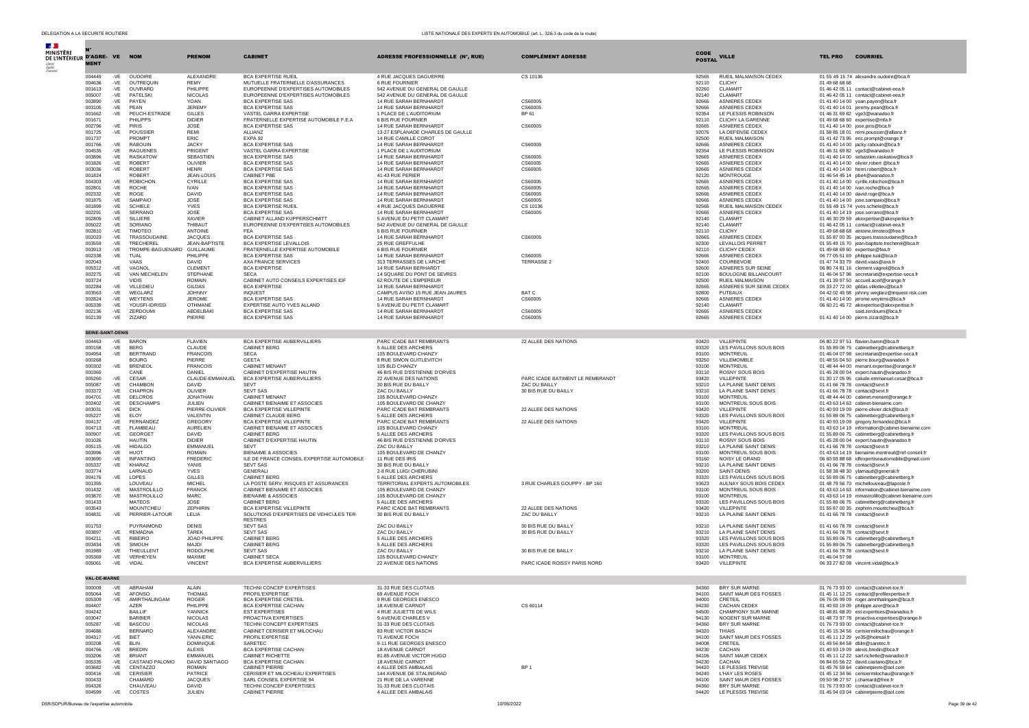| $\mathcal{A}$ .                            |                          |              |                                 |                                 |                                                                 |                                                           |                                  |                |                                                  |                                                                                                     |
|--------------------------------------------|--------------------------|--------------|---------------------------------|---------------------------------|-----------------------------------------------------------------|-----------------------------------------------------------|----------------------------------|----------------|--------------------------------------------------|-----------------------------------------------------------------------------------------------------|
| MINISTÈRE<br>DE L'INTÉRIEUR D'AGRE- VE NOM |                          |              |                                 | <b>PRENOM</b>                   | <b>CABINET</b>                                                  | ADRESSE PROFESSIONNELLE (N°, RUE)                         | <b>COMPLÉMENT ADRESSE</b>        | <b>CODE</b>    | <b>VILLE</b>                                     | <b>TEL PRO</b><br><b>COURRIEL</b>                                                                   |
|                                            | <b>MENT</b>              |              |                                 |                                 |                                                                 |                                                           |                                  | <b>POSTAL</b>  |                                                  |                                                                                                     |
|                                            |                          |              |                                 |                                 |                                                                 |                                                           |                                  |                |                                                  |                                                                                                     |
|                                            | 004449<br>004636         | -VE<br>-VE   | OUDOIRE<br>OUTREQUIN            | ALEXANDRE<br><b>REMY</b>        | <b>BCA EXPERTISE RUEIL</b><br>MUTUELLE FRATERNELLE D'ASSURANCES | 4 RUE JACQUES DAGUERRE<br>6 RUE FOURNIER                  | CS 10136                         | 92565<br>92110 | RUEIL MALMAISON CEDEX<br><b>CLICHY</b>           | 01 55 49 15 74 alexandre.oudoire@bca.fr<br>01 49 68 68 68                                           |
|                                            | 001613                   | $-VE$        | OUVRARD                         | PHILIPPE                        | EUROPEENNE D'EXPERTISES AUTOMOBILES                             | 542 AVENUE DU GENERAL DE GAULLE                           |                                  | 92260          | <b>CLAMART</b>                                   | 01 46 42 05 11 contact@cabinet-eea.fr                                                               |
|                                            | 005007                   | -VE          | PATELSKI                        | NICOLAS                         | EUROPEENNE D'EXPERTISES AUTOMOBILES                             | 542 AVENUE DU GENERAL DE GAULLE                           |                                  | 92140          | CLAMART                                          | 01 46 42 05 11 contact@cabinet-eea.fr                                                               |
|                                            | 003890                   | -VE          | PAYEN                           | YOAN                            | <b>BCA EXPERTISE SAS</b>                                        | 14 RUE SARAH BERNHARDT<br>14 RUE SARAH BERNHARDT          | CS60005                          | 92665          | ASNIERES CEDEX                                   | 01 41 40 14 00 yoan.payen@bca.fr                                                                    |
|                                            | 003105<br>001662         | $-VE$<br>-VE | PEAN<br>PEUCH-ESTRADE           | <b>JEREMY</b><br><b>GILLES</b>  | <b>BCA EXPERTISE SAS</b><br>VASTEL GARRA EXPERTISE              | 1 PLACE DE L'AUDITORIUM                                   | CS60005<br>BP 61                 | 92665<br>92354 | <b>ASNIERES CEDEX</b><br>LE PLESSIS ROBINSON     | 01 41 40 14 01 jeremy.pean@bca.fr<br>01 46 31 69 82 vge3@wanadoo.fr                                 |
|                                            | 001671                   |              | PHILIPPS                        | <b>DIDIER</b>                   | FRATERNELLE EXPERTISE AUTOMOBILE F.E.A                          | 6 BIS RUE FOURNIER                                        |                                  | 92110          | CLICHY LA GARENNE                                | 01 49 68 68 60 expertise@mfa.fr                                                                     |
|                                            | 002796                   | -VE          | <b>PIRIS</b>                    | JOSÉ                            | <b>BCA EXPERTISE SAS</b>                                        | 14 RUE SARAH BERNHARDT                                    | CS60005                          | 92665          | ASNIERES CEDEX                                   | 01 41 40 14 00 iose.piris@bca.fr                                                                    |
|                                            | 001725<br>001737         | -VE          | POUSSIER<br>PROMPT              | <b>REMI</b><br>ERIC             | ALLIANZ<br>EXPA 92                                              | 13-27 ESPLANADE CHARLES DE GAULLE<br>14 RUE CAMILLE COROT |                                  | 92076<br>92500 | LA DEFENSE CEDEX                                 | 01 58 85 18 01 remi.poussier@allianz.fr                                                             |
|                                            | 001766                   | $-VE$        | RABOUIN                         | <b>JACKY</b>                    | <b>BCA EXPERTISE SAS</b>                                        | 14 RUE SARAH BERNHARDT                                    | CS60005                          | 92665          | RUEIL MALMAISON<br>ASNIERES CEDEX                | 01 41 42 73 95 eric.prompt@orange.fr<br>01 41 40 14 00 jacky.rabouin@bca.fr                         |
|                                            | 004535                   | -VE          | <b>RAGUENES</b>                 | PRIGENT                         | VASTEL GARRA EXPERTISE                                          | 1 PLACE DE L'AUDITORIUM                                   |                                  | 92354          | LE PLESSIS ROBINSON                              | 01 46 31 69 82 vge3@wanadoo.fr                                                                      |
|                                            | 003896                   | -VE          | <b>RASKATOW</b>                 | <b>SEBASTIEN</b>                | <b>BCA EXPERTISE SAS</b>                                        | 14 RUE SARAH BERNHARDT                                    | CS60005                          | 92665          | <b>ASNIERES CEDEX</b>                            | 01 41 40 14 00 sebastien.raskatow@bca.fr                                                            |
|                                            | 001826<br>003036         | -VE<br>-VE   | <b>ROBERT</b><br><b>ROBERT</b>  | OLIVIER<br><b>HENRI</b>         | <b>BCA EXPERTISE SAS</b><br><b>BCA EXPERTISE SAS</b>            | <b>14 RUE SARAH BERNHARDT</b><br>14 RUE SARAH BERNHARDT   | C.S60005<br>CS60005              | 92665<br>92665 | <b>ASNIERES CEDEX</b><br>ASNIERES CEDEX          | 01 41 40 14 00 olivier.robert @bca.fr<br>01 41 40 14 00 henri.robert@bca.fr                         |
|                                            | 001824                   |              | <b>ROBERT</b>                   | <b>JEAN-LOUIS</b>               | CABINET PBE                                                     | 41-43 RUE PERIER                                          |                                  | 92120          | <b>MONTROUGE</b>                                 | 01 46 54 45 14 pbe4@wanadoo.fr                                                                      |
|                                            | 004303                   | -VE          | <b>ROBICHON</b>                 | <b>CYRILLE</b>                  | <b>BCA EXPERTISE SAS</b>                                        | 14 RUE SARAH BERNHARDT                                    | CS60005                          | 92665          | <b>ASNIERES CEDEX</b>                            | 01 41 40 14 00 cyrille.robichon@bca.fr                                                              |
|                                            | 002801                   | $-VE$        | <b>ROCHE</b>                    | <b>IVAN</b>                     | <b>BCA EXPERTISE SAS</b>                                        | 14 RUE SARAH BERNHARDT                                    | CS60005                          | 92665          | <b>ASNIERES CEDEX</b><br>ASNIERES CEDEX          | 01 41 40 14 00 ivan.roche@bca.fr                                                                    |
|                                            | 002332<br>001875         | $-VE$<br>-VE | ROGE<br>SAMPAIO                 | <b>DAVID</b><br>JOSÉ            | <b>BCA EXPERTISE SAS</b><br><b>BCA EXPERTISE SAS</b>            | 14 RUE SARAH BERNHARDT<br>14 RUE SARAH BERNHARDT          | CS60005<br>CS60005               | 92665<br>92665 | <b>ASNIERES CEDEX</b>                            | 01 41 40 14 00 david.roge@bca.fr<br>01 41 40 14 00 jose.sampaio@bca.fr                              |
|                                            | 001899                   | $-VE$        | <b>SCHIELE</b>                  | <b>YVES</b>                     | <b>BCA EXPERTISE RUEI</b>                                       | 4 RUE JACOUES DAGUERRE                                    | CS 10136                         | 92565          | RUEIL MALMAISON CEDEX                            | 01 55 49 15 74 yves.schiele@bca.fr                                                                  |
|                                            | 002291                   | -VE          | SERRANO                         | JOSÉ                            | <b>BCA EXPERTISE SAS</b>                                        | 14 RUE SARAH BERNHARDT                                    | CS60005                          | 92665          | ASNIERES CEDEX                                   | 01 41 40 14 19 jose.serrano@bca.fr                                                                  |
|                                            | 002805                   | -VE          | SILLIERE                        | XAVIER                          | CABINET ALLAND KUPPERSCHMITT                                    | 5 AVENUE DU PETIT CLAMART                                 |                                  | 92140          | CLAMART                                          | 01 46 30 29 59 akexpertise@akexpertise.fr                                                           |
|                                            | 005022<br>002810         | $-VE$<br>-VE | SORIANO<br><b>TIMOTEO</b>       | THIBAUT<br>ANTOINE              | EUROPEENNE D'EXPERTISES AUTOMOBILES<br><b>FFA</b>               | 542 AVENUE DU GENERAL DE GAULLE<br>6 BIS RUE FOURNIER     |                                  | 92140<br>92110 | CLAMART<br><b>CLICHY</b>                         | 01 46 42 05 11 contact@cabinet-eea.fr<br>01 49 68 68 68 antoine.timoteo@free.fr                     |
|                                            | 002023                   | -VE          | TRASSOUDAINE                    | <b>JACQUES</b>                  | <b>BCA EXPERTISE SAS</b>                                        | 14 RUE SARAH BERNHARDT                                    | CS60005                          | 92665          | ASNIERES CEDEX                                   | 01 55 87 00 35 jacques.trassoudaine@bca.fr                                                          |
|                                            | 003559                   | $-VE$        | TRECHEREL                       | <b>JEAN-BAPTISTE</b>            | <b>BCA EXPERTISE LEVALLOIS</b>                                  | 25 RUE GREFFULHE                                          |                                  | 92300          | LEVALLOIS PERRET                                 | 01 55 49 15 70 jean-baptiste.trecherel@bca.fr                                                       |
|                                            | 003913                   | -VE          | TROMPE-BAGUENARD GUILLAUME      |                                 | FRATERNELLE EXPERTISE AUTOMOBILE                                | 6 BIS RUE FOURNIER                                        |                                  | 92110          | <b>CLICHY CEDEX</b>                              | 01 49 68 69 60 expertise@fea.fr                                                                     |
|                                            | 002338<br>002043         | $-VE$        | TUAL<br>VAAS                    | PHILIPPE<br><b>DAVID</b>        | <b>BCA EXPERTISE SAS</b><br>AXA FRANCE SERVICES                 | 14 RUE SARAH BERNHARDT<br>313 TERRASSES DE L'ARCHE        | CS60005<br><b>TERRASSE 2</b>     | 92665<br>92400 | <b>ASNIERES CEDEX</b><br>COURBEVOIE              | 06 77 05 51 69 philippe.tual@bca.fr<br>01 47 74 33 79 david.vaas@axa.fr                             |
|                                            | 005312                   | -VE          | VAGNOL                          | CLEMENT                         | <b>BCA EXPERTISE</b>                                            | 14 RUE SARAH BERHARDT                                     |                                  | 92600          | ASNIERES SUR SEINE                               | 06 80 74 81 16 clement.vagnol@bca.fr                                                                |
|                                            | 002275                   | -VE          | VAN MECHELEN                    | <b>STEPHANE</b>                 | <b>SECA</b>                                                     | 14 SQUARE DU PONT DE SEVRES                               |                                  | 92100          | <b>BOULOGNE BILLANCOURT</b>                      | 01 46 04 57 98 secretariat@expertise-seca.fr                                                        |
|                                            | 003724                   |              | <b>VIDIS</b>                    | <b>ROMAIN</b>                   | CABINET AUTO CONSEILS EXPERTISES IDF                            | 62 ROUTE DE L'EMPEREUR                                    |                                  | 92500          | <b>RUFIL MALMAISON</b>                           | 01 41 39 97 50 accueil.aceif@orange.fr                                                              |
|                                            | 002284<br>003563         | -VE<br>$-VE$ | VILLEDIEU<br>WEGLARZ            | GILDAS<br><b>JOHNNY</b>         | <b>BCA EXPERTISE</b><br><b>INOUEST</b>                          | 14 RUE SARAH BERNHARDT<br>CAMPUS AVISO 15 RUE JEAN JAURES | <b>BAT C</b>                     | 92665<br>92800 | ASNIERES SUR SEINE CEDEX<br><b>PUTEAUX</b>       | 06 33 27 72 00 gildas.villedieu@bca.fr<br>04 42 02 45 58 johnny.weglarz@inquest-risk.com            |
|                                            | 002824                   | -VE          | WEYTENS                         | JEROME.                         | <b>BCA EXPERTISE SAS</b>                                        | 14 RUE SARAH BERNHARDT                                    | CS60005                          | 92665          | <b>ASNIERES CEDEX</b>                            | 01 41 40 14 00 jerome.weytens@bca.fr                                                                |
|                                            | 005339                   | $-VE$        | YOUSEI-IDRISSI                  | OTHMANE                         | EXPERTISE AUTO YVES ALLAND                                      | 5 AVENUE DU PETIT CLAMART                                 |                                  | 92140          | CLAMART                                          | 06 60 21 45 72 akexpertise@akexpertise.fr                                                           |
|                                            | 002136                   | -VE          | ZERDOUMI                        | ABDELBAKI                       | <b>BCA EXPERTISE SAS</b>                                        | 14 RUE SARAH BERNHARDT                                    | CS60005                          | 92665          | ASNIERES CEDEX                                   | said.zerdoumi@bca.fr                                                                                |
|                                            | 002139                   | -VE          | ZIZARD                          | PIERRE                          | <b>BCA EXPERTISE SAS</b>                                        | 14 RUE SARAH BERNHARDT                                    | CS60005                          | 92665          | ASNIERES CEDEX                                   | 01 41 40 14 00 pierre.zizard@bca.fr                                                                 |
|                                            | <b>SEINE-SAINT-DENIS</b> |              |                                 |                                 |                                                                 |                                                           |                                  |                |                                                  |                                                                                                     |
|                                            |                          |              |                                 |                                 |                                                                 |                                                           |                                  |                |                                                  |                                                                                                     |
|                                            | 004463<br>000158         | -VE          | <b>BARON</b><br>-VE BERG        | <b>FLAVIEN</b><br>CLAUDE        | <b>BCA EXPERTISE AUBERVILLIERS</b><br>CABINET BERG              | PARC ICADE BAT REMBRANTS<br>5 ALLEE DES ARCHERS           | 22 ALLEE DES NATIONS             | 93420<br>93320 | <b>VILLEPINTE</b><br>LES PAVILLONS SOUS BOIS     | 06 80 22 97 51 flavien.baron@bca.fr<br>01 55 89 06 75 cabinetberg@cabinetberg.fr                    |
|                                            | 004954                   | -VE          | <b>BERTRAND</b>                 | <b>FRANCOIS</b>                 | <b>SECA</b>                                                     | 105 BOULEVARD CHANZY                                      |                                  | 93100          | <b>MONTREUIL</b>                                 | 01 46 04 07 98 secretariat@expertise-seca.fr                                                        |
|                                            | 000268                   |              | <b>BOURG</b>                    | PIERRE                          | <b>GEETA</b>                                                    | 8 RUE SIMON GUITLEVITCH                                   |                                  | 93250          | VILLEMOMBLE                                      | 01 48 55 04 50 pierre.bourg@wanadoo.fr                                                              |
|                                            | 000302                   | $-VE$        | <b>BRENEOL</b>                  | <b>FRANCOIS</b>                 | CABINET MENANT                                                  | 105 BLD CHANZY                                            |                                  | 93100          | <b>MONTREUIL</b>                                 | 01 48 44 44 00 menant.expertise@orange.fr                                                           |
|                                            | 000365<br>005260         | $-VE$        | CANE<br>CESAR                   | DANIEL<br>CLAUDE-EMMANUEL       | CABINET D'EXPERTISE HAUTIN<br>BCA EXPERTISE AUBERVILLIERS       | 46 BIS RUE D'ESTIENNE D'ORVES<br>22 AVENUE DES NATIONS    | PARC ICADE BATIMENT LE REMBRANDT | 93110<br>93420 | ROSNY SOUS BOIS<br><b>VILLEPINTE</b>             | 01 45 28 00 04 expert.hautin@wanadoo.fr<br>01 30 17 05 95 calude-emmanuel.cesar@bca.fr              |
|                                            | 005087                   | $-VE$        | CHAMBON                         | DAVID                           | <b>SEVT</b>                                                     | 30 BIS RUE DU BAILLY                                      | ZAC DU BAILLY                    | 93210          | LA PLAINE SAINT DENIS                            | 01.41.66.78.78 contact@sevt.fr                                                                      |
|                                            | 003372                   | -VE          | CHAPRON                         | OLIVIER                         | SEVT SAS                                                        | ZAC DU BAILLY                                             | 30 BIS RUE DU BAILLY             | 93210          | LA PLAINE SAINT DENIS                            | 01 41 66 78 78 contact@sevt.fr                                                                      |
|                                            | 004701<br>002402         | $-VE$        | <b>DELCROS</b>                  | <b>JONATHAN</b>                 | <b>CABINET MENANT</b>                                           | 105 BOULEVARD CHANZY                                      |                                  | 93100          | <b>MONTREUIL</b>                                 | 01 48 44 44 00 cabinet.menant@orange.fr                                                             |
|                                            | 003031                   | -VE<br>-VE   | <b>DESCHAMPS</b><br><b>DICK</b> | JULIEN<br>PIERRE-OLIVIER        | CABINET BIENAIME ET ASSOCIES<br>BCA EXPERTISE VILLEPINTE        | 105 BOULEVARD DE CHANZY<br>PARC ICADE BAT REMBRANTS       | 22 ALLEE DES NATIONS             | 93100<br>93420 | MONTREUIL SOUS BOIS<br><b>VILLEPINTE</b>         | 01 43 63 14 63 cabinet-bienaime.com<br>01 40 93 19 09 pierre-olivier.dick@bca.fr                    |
|                                            | 005227                   | $-VE$        | ELOY                            | <b>VALENTIN</b>                 | CABINET CLAUDE BERG                                             | 5 ALLEE DES ARCHERS                                       |                                  | 93320          | LES PAVILLONS SOUS BOIS                          | 01 55 89 06 75 cabinetberg@cabinetberg.fr                                                           |
|                                            | 004137                   | -VE          | FERNANDEZ                       | GREGORY                         | <b>BCA EXPERTISE VILLEPINTE</b>                                 | PARC ICADE BAT REMBRANTS                                  | 22 ALLEE DES NATIONS             | 93420          | <b>VILLEPINTE</b>                                | 01 40 93 19 09 gregory.fernandez@bca.fr                                                             |
|                                            | 004713<br>000907         | -VE<br>-VE   | FLAMBEAU<br><b>GEORGET</b>      | <b>AURELIEN</b><br><b>DAVID</b> | CABINET BIENAIME ET ASSOCIES<br><b>CABINET BERG</b>             | 105 BOULEVARD CHANZY<br>5 ALLEE DES ARCHERS               |                                  | 93100<br>93320 | <b>MONTREUIL</b><br>LES PAVILLONS SOUS BOIS      | 01 43 63 14 19 information@cabinet-bienaime.com<br>01 55 89 06 75 cabinetberg@cabinetberg.fr        |
|                                            | 001026                   |              | <b>HAUTIN</b>                   | <b>DIDIER</b>                   | CABINET D'EXPERTISE HAUTIN                                      | 46 BIS RUE D'ESTIENNE D'ORVES                             |                                  | 93110          | ROSNY SOUS BOIS                                  | 01 45 28 00 04 expert.hautin@wanadoo.fr                                                             |
|                                            | 005115                   | -VE          | <b>HIDALGO</b>                  | EMMANUEL                        | <b>SEVT</b>                                                     | ZAC DU BAILLY                                             |                                  | 93210          | LA PLAINE SAINT DENIS                            | 01 41 66 78 78 contact@sevt.fr                                                                      |
|                                            | 003996                   | -VE          | <b>HUOT</b>                     | <b>ROMAIN</b>                   | <b>BIENAIME &amp; ASSOCIES</b>                                  | 105 BOULEVARD DE CHANZY                                   |                                  | 93100          | MONTREUIL SOUS BOIS                              | 01 43 63 14 19 bienaime.montreuil@ref-conseil.fr                                                    |
|                                            | 003690<br>005337         | -VE<br>-VE   | INFANTINO<br><b>KHARAZ</b>      | <b>FREDERIC</b><br><b>YANIS</b> | ILE DE FRANCE CONSEIL EXPERTISE AUTOMOBILE<br><b>SEVT SAS</b>   | 11 RUE DES IRIS<br>30 BIS RUE DU BAILLY                   |                                  | 93160<br>93210 | NOISY LE GRAND<br>LA PLAINE SAINT DENIS          | 06 60 93 88 68 idfexpertiseautomobile@gmail.com<br>01 41 66 78 78 contact@sevt.fr                   |
|                                            | 003774                   |              | <b>LARNAUD</b>                  | <b>YVES</b>                     | <b>GENERALI</b>                                                 | 2-8 RUE LUIGI CHERUBINI                                   |                                  | 93200          | SAINT-DENIS                                      | 01 58 38 48 30 ylamaud@generali.fr                                                                  |
|                                            | 004176                   | -VE          | LOPES                           | <b>GILLES</b>                   | <b>CABINET BERG</b>                                             | 5 ALLEE DES ARCHERS                                       |                                  | 93320          | LES PAVILLONS SOUS BOIS                          | 01 55 89 06 75 cabinetberg@cabinetberg.fr                                                           |
|                                            | 001355                   |              | LOUVEAU                         | <b>MICHEL</b>                   | LA POSTE SERV. RISQUES ET ASSURANCES                            | TERRITORIAL EXPERTS AUTOMOBILES                           | 3 RUE CHARLES GOUPPY - BP 160    | 93623          | AULNAY SOUS BOIS CEDEX                           | 01 48 79 56 70 michellouveau@laposte.fr                                                             |
|                                            | 001432<br>003870         | -VE<br>$-VE$ | MASTROLILLO<br>MASTROLILLO      | <b>FRANCK</b><br><b>MARC</b>    | CABINET BIENAIME ET ASSOCIES<br><b>BIENAIME &amp; ASSOCIES</b>  | 105 BOULEVARD DE CHANZY<br>105 BOULEVARD DE CHANZY        |                                  | 93100<br>93100 | MONTREUIL SOUS BOIS<br><b>MONTREUIL</b>          | 01 43 63 14 63 information@cabinet-bienaime.com<br>01 43 63 14 19 mmastrolillo@cabinet-bienaime.com |
|                                            | 001433                   |              | <b>MATEOS</b>                   | <b>JOSE</b>                     | CABINET BERG                                                    | 5 ALLEE DES ARCHERS                                       |                                  | 93320          | LES PAVILLONS SOUS BOIS                          | 01 55 89 06 75 cabinetberg@cabinetberg.fr                                                           |
|                                            | 003543                   |              | MOUNTCHEU                       | <b>ZEPHIRIN</b>                 | BCA EXPERTISE VILLEPINTE                                        | PARC ICADE BAT REMBRANTS                                  | 22 ALLEE DES NATIONS             | 93420          | <b>VILLEPINTE</b>                                | 01 55 87 00 35 zephirin.mountcheu@bca.fr                                                            |
|                                            | 004831                   |              | -VE PERRIER-LATOUR              | LELIA                           | SOLUTIONS D'EXPERTISES DE VEHICULES TER-<br><b>RESTRES</b>      | 30 BIS RUE DU BAILLY                                      | ZAC DU BAILLY                    | 93210          | LA PLAINE SAINT DENIS                            | 01 41 66 78 78 contact@sevt.fr                                                                      |
|                                            | 001753                   |              | PUYRAIMOND                      | <b>DENIS</b>                    | SEVT SAS                                                        | ZAC DU BAILLY                                             | 30 BIS RUE DU BAILLY             | 93210          | LA PLAINE SAINT DENIS                            | 01 41 66 78 78 contact@sevt.fr                                                                      |
|                                            | 003897                   | $-VE$        | <b>REMADNA</b>                  | <b>TAREK</b>                    | SEVT SAS                                                        | ZAC DU BAILLY                                             | 30 BIS RUE DU BAILLY             | 93210          | LA PLAINE SAINT DENIS                            | 01 41 66 78 78 contact@sevt.fr                                                                      |
|                                            | 004211                   | -VE          | <b>RIBEIRO</b>                  | JOAO PHILIPPE                   | <b>CABINET BERG</b>                                             | 5 ALLEE DES ARCHERS                                       |                                  | 93320          | LES PAVILLONS SOUS BOIS                          | 01 55 89 06 75 cabinetberg@cabinetberg.fr                                                           |
|                                            | 003434<br>001989         | -VE<br>$-VE$ | SIMOUH<br><b>THIEULLENT</b>     | MAJDI<br><b>RODOLPHE</b>        | <b>CABINET BERG</b><br><b>SEVT SAS</b>                          | 5 ALLEE DES ARCHERS<br>ZAC DU BAILLY                      | 30 BIS RUE DE BAILLY             | 93320<br>93210 | LES PAVILLONS SOUS BOIS<br>LA PLAINE SAINT DENIS | 01 55 89 06 75 cabinetberg@cabinetberg.fr<br>01 41 66 78 78 contact@sevt.fr                         |
|                                            | 005369                   | -VE          | VERHEYEN                        | MAXIME                          | <b>CABINET SECA</b>                                             | 105 BOULEVARD CHANZY                                      |                                  | 93100          | <b>MONTREUIL</b>                                 | 01 46 04 57 98                                                                                      |
|                                            | 005061                   | $-VE$        | VIDAL                           | <b>VINCENT</b>                  | BCA EXPERTISE AUBERVILLIERS                                     | 22 AVENUE DES NATIONS                                     | PARC ICADE ROISSY PARIS NORD     | 93420          | <b>VILLEPINTE</b>                                | 06 33 27 82 08 vincent.vidal@bca.fr                                                                 |
|                                            |                          |              |                                 |                                 |                                                                 |                                                           |                                  |                |                                                  |                                                                                                     |
|                                            | <b>VAL-DE-MARNE</b>      |              |                                 |                                 |                                                                 |                                                           |                                  |                |                                                  |                                                                                                     |
|                                            | 000009                   | -VE          | ABRAHAM                         | <b>ALAIN</b>                    | <b>TECHNI CONCEP EXPERTISES</b>                                 | 31-33 RUE DES CLOTAIS                                     |                                  | 94360          | <b>BRY SUR MARNE</b>                             | 01 76 73 93 00 contact@cabinet-tce.fr                                                               |
|                                            | 005064                   |              | -VE AFONSO                      | <b>THOMAS</b>                   | PROFIL'EXPERTISE                                                | 69 AVENUE FOCH                                            |                                  | 94100          | SAINT MAUR DES FOSSES                            | 01 45 11 12 25 contact@profilexpertise.fr                                                           |
|                                            | 005309<br>004407         | -VE          | AMIRTHALINGAM<br><b>AZER</b>    | ROGER<br>PHILIPPE               | <b>BCA EXPERTISE CRETEIL</b>                                    | 9 RUE GEORGES ENESCO                                      |                                  | 94000<br>94230 | CRETEIL<br>CACHAN CEDEX                          | 06 76 05 99 09 roger.amirthalingam@bca.fr                                                           |
|                                            | 004242                   |              | <b>BAILLE</b>                   | <b>YANNICK</b>                  | BCA EXPERTISE CACHAN<br><b>EST EXPERTISES</b>                   | 18 AVENUE CARNOT<br>4 RUE JULIETTE DE WILS                | CS 60114                         | 94500          | CHAMPIGNY SUR MARNE                              | 01 40 93 19 09 philippe.azer@bca.fr<br>01 48 81 68 20 est.expertises@wanadoo.fr                     |
|                                            | 003047                   |              | <b>BARBIER</b>                  | NICOLAS                         | PROACTIVA EXPERTISES                                            | 9 AVENUE CHARLES V                                        |                                  | 94130          | NOGENT SUR MARNE                                 | 01 48 73 97 78 proactiva.expertises@orange.fr                                                       |
|                                            | 005287                   | $-VE$        | <b>BASCOU</b>                   | <b>NICOLAS</b>                  | TECHNI CONCEPT EXPERTISES                                       | 31-33 RUE DES CLOTAIS                                     |                                  | 94360          | BRY SUR MARNE                                    | 01 76 73 93 00 contact@cabinet-tce.fr                                                               |
|                                            | 004686<br>004317         | $-VE$        | <b>BERNARD</b><br><b>BIET</b>   | ALEXANDRE<br>YANN-ERIC          | CABINET CERISIER ET MILOCHAU                                    | 83 RUE VICTOR BASCH                                       |                                  | 94320<br>94100 | THIAIS                                           | 01 45 15 34 56 cerisiermilochau@orange.fr                                                           |
|                                            | 000208                   | -VE          | BLIN                            | <b>DOMINIQUE</b>                | PROFIL'EXPERTISE<br>SARETEC                                     | 71 AVENUE FOCH<br>9-11 RUE GEORGES ENESCO                 |                                  | 94008          | SAINT MAUR DES FOSSES<br>CRETEIL                 | 01 45 11 12 29 ye35@hotmail.fr<br>01 49 56 84 58 dblin@saretec.fr                                   |
|                                            | 004766                   |              | -VE BREDIN                      | <b>ALEXIS</b>                   | BCA EXPERTISE CACHAN                                            | 18 AVENUE CARNOT                                          |                                  | 94230          | CACHAN                                           | 01 40 93 19 09 alexis.bredin@bca.fr                                                                 |
|                                            | 003206                   |              | -VE BRIANT                      | <b>EMMANUEL</b>                 | CABINET RICHETTE                                                | 81-85 AVENUE VICTOR HUGO                                  |                                  | 94106          | SAINT MAUR CEDEX                                 | 01 45 11 12 22 sarl.richette@wanadoo.fr                                                             |
|                                            | 005335                   |              | -VE CASTANO PALOMO              | DAVID SANTIAGO                  | <b>BCA EXPERTISE CACHAN</b>                                     | 18 AVENUE CARNOT                                          |                                  | 94230          | <b>CACHAN</b>                                    | 06.84.65.56.22 david.castano@hca.fr                                                                 |
|                                            | 003682<br>000416         | -VE          | CENTAZZO<br>-VE CERISIER        | <b>ROMAIN</b><br>PATRICE        | CABINET PIERRE<br>CERISIER ET MILOCHEAU EXPERTISES              | 4 ALLEE DES AMBALAIS<br>144 AVENUE DE STALINGRAD          | BP <sub>1</sub>                  | 94420<br>94240 | LE PLESSIS TREVISE<br>L'HAY LES ROSES            | 01 45 76 59 64 cabinetpierre@aol.com<br>01 45 12 34 56 cerisiermilochau@orange.fr                   |
|                                            | 000433                   |              | <b>CHAMARD</b>                  | <b>JACQUES</b>                  | SARL CONSEIL EXPERTISE 94                                       | 21 RUE DE LA VARENNE                                      |                                  | 94100          | SAINT MAUR DES FOSSES                            | 09 50 98 27 57 j.chamard@free.fr                                                                    |
|                                            | 004326                   |              | CHAUVEAU                        | <b>DAVID</b>                    | TECHNI CONCEP EXPERTISES                                        | 31-33 RUE DES CLOTAIS                                     |                                  | 94360          | BRY SUR MARNE                                    | 01 76 73 93 00 contact@cabinet-tce.fr                                                               |
|                                            | 004599                   |              | -VE COSTES                      | <b>JULIEN</b>                   | CABINET PIERRE                                                  | 4 ALLEE DES AMBALAIS                                      |                                  | 94420          | LE PLESSIS TREVISE                               | 01 45 94 03 04 cabinetpierre@aol.com                                                                |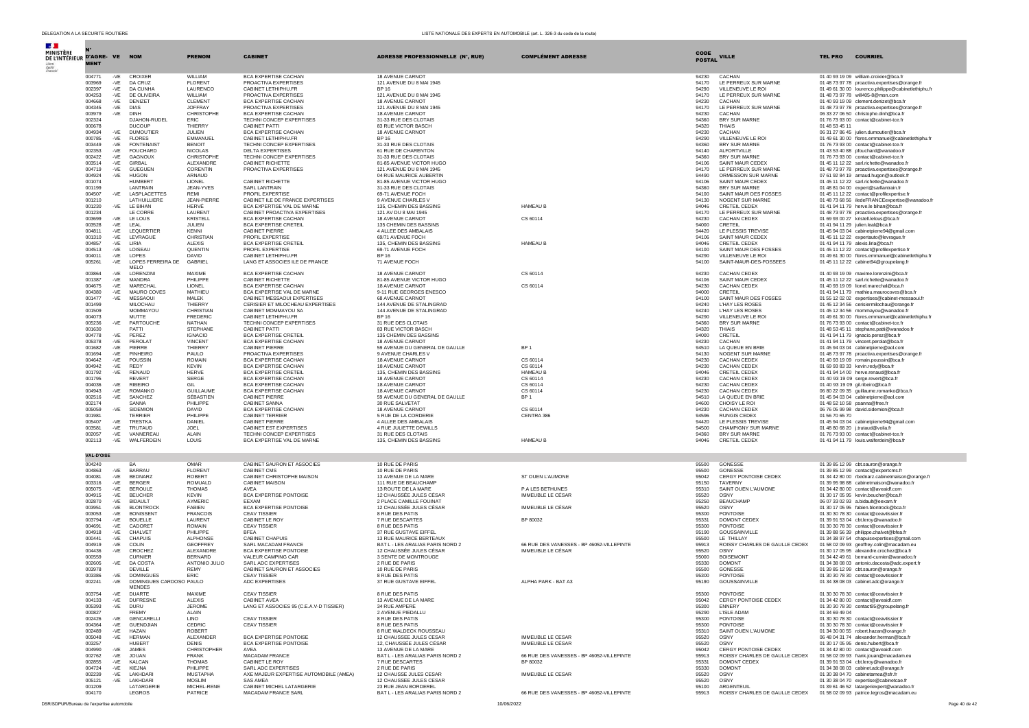| $\mathcal{A}$<br>MINISTÈRE<br>DE L'INTÉRIEUR D'AGRE- VE NOM | <b>MENT</b>      |                |                                          | <b>PRENOM</b>                 | <b>CABINET</b>                                                | <b>ADRESSE PROFESSIONNELLE (N°, RUE)</b>                    | <b>COMPLEMENT ADRESSE</b>                  | <b>CODE</b><br><b>POSTAL</b> | <b>VILLE</b>                                 | <b>TEL PRO</b><br><b>COURRIEL</b>                                                           |
|-------------------------------------------------------------|------------------|----------------|------------------------------------------|-------------------------------|---------------------------------------------------------------|-------------------------------------------------------------|--------------------------------------------|------------------------------|----------------------------------------------|---------------------------------------------------------------------------------------------|
|                                                             | 004771           | $-VE$          | CROIXER                                  | WILLIAM                       | <b>BCA EXPERTISE CACHAN</b>                                   | 18 AVENUE CARNOT                                            |                                            | 94230                        | CACHAN                                       | 01 40 93 19 09 william.croixier@bca.fr                                                      |
|                                                             | 003969           | -VE            | DA CRUZ                                  | <b>FLORENT</b>                | PROACTIVA EXPERTISES                                          | 121 AVENUE DU 8 MAI 1945                                    |                                            | 94170                        | LE PERREUX SUR MARNE                         | 01 48 73 97 78 proactiva.expertises@orange.fr                                               |
|                                                             | 002397<br>004253 | $-VE$<br>-VE   | <b>DA CUNHA</b><br>DE OLIVEIRA           | LAURENCO<br>WII LIAM          | CABINET LETHIPHU.FR<br>PROACTIVA EXPERTISES                   | <b>BP 16</b><br>121 AVENUE DU 8 MAI 1945                    |                                            | 94290<br>94170               | VILLENEUVE LE ROI<br>LE PERREUX SUR MARNE    | 01 49 61 30 00 lourenco.philippe@cabinetlethiphu.fr<br>01 48 73 97 78 will405-8@msn.com     |
|                                                             | 004668           | -VE            | DENIZET                                  | CLEMENT                       | BCA EXPERTISE CACHAN                                          | 18 AVENUE CARNOT                                            |                                            | 94230                        | CACHAN                                       | 01 40 93 19 09 clement.denizet@bca.fr                                                       |
|                                                             | 004345           | -VE            | <b>DIAS</b>                              | <b>JOFFRAY</b>                | PROACTIVA EXPERTISES                                          | 121 AVENUE DU 8 MAI 1945                                    |                                            | 94170                        | LE PERREUX SUR MARNE                         | 01 48 73 97 78 proactiva.expertises@orange.fr                                               |
|                                                             | 003979<br>002324 | $-VE$          | <b>DINH</b><br>DJAHON-RUDEL              | CHRISTOPHE<br>ERIC            | <b>BCA EXPERTISE CACHAN</b><br>TECHNI CONCEP EXPERTISES       | 18 AVENUE CARNOT<br>31-33 RUE DES CLOTAIS                   |                                            | 94230<br>94360               | CACHAN<br>BRY SUR MARNE                      | 06 33 27 06 50 christophe.dinh@bca.fr<br>01 76 73 93 00 contact@cabinet-tce.fr              |
|                                                             | 000678           |                | <b>DUCOUF</b>                            | THIERRY                       | CABINET PATTI                                                 | 83 RUE VICTOR BASCH                                         |                                            | 94320                        | <b>THIAIS</b>                                | 01 48 53 45 11                                                                              |
|                                                             | 004934           | -VE            | <b>DUMOUTIER</b>                         | JULIEN                        | <b>BCA EXPERTISE CACHAN</b>                                   | <b>18 AVENUE CARNOT</b>                                     |                                            | 94230                        | CACHAN                                       | 06 31 27 86 45 julien.dumoutier@bca.fr                                                      |
|                                                             | 000785<br>003449 | $-VE$<br>$-VE$ | <b>FLORES</b><br><b>FONTENAIST</b>       | EMMANUEL<br><b>BENOIT</b>     | CABINET LETHIPHU.FR<br><b>TECHNI CONCEP EXPERTISES</b>        | <b>BP 16</b><br>31-33 RUE DES CLOTAIS                       |                                            | 94290<br>94360               | VILLENEUVE LE ROI<br><b>BRY SUR MARNE</b>    | 01 49 61 30 00 flores.emmanuel@cabinetlethiphu.fr<br>01 76 73 93 00 contact@cabinet-tce.fr  |
|                                                             | 002353           | $-VE$          | <b>FOUCHARD</b>                          | NICOLAS                       | <b>DELTA EXPERTISES</b>                                       | 61 RUE DE CHARENTON                                         |                                            | 94140                        | <b>ALFORTVILLE</b>                           | 01 43 53 40 88 pfouchard@wanadoo.fr                                                         |
|                                                             | 002422<br>003514 | -VE            | GAGNOUX<br>GIRBAI                        | CHRISTOPHE<br>AI EXANDRE      | TECHNI CONCEP EXPERTISES<br>CABINET RICHETTE                  | 31-33 RUE DES CLOTAIS<br>81-85 AVENUE VICTOR HUGO           |                                            | 94360                        | BRY SUR MARNE<br>SAINT MAUR CEDEX            | 01 76 73 93 00 contact@cabinet-tce.fr<br>01 45 11 12 22 sarl richette@wanadoo.fr            |
|                                                             | 004719           | -VF<br>$-VE$   | <b>GUEGUEN</b>                           | CORENTIN                      | PROACTIVA EXPERTISES                                          | 121 AVENUE DU 8 MAI 1945                                    |                                            | 94106<br>94170               | LE PERREUX SUR MARNE                         | 01 48 73 97 78 proactiva.expertises@orange.fr                                               |
|                                                             | 004924           | -VE            | <b>HUGON</b>                             | ARNAUD                        |                                                               | 04 RUE MAURICE AUBERTIN                                     |                                            | 94490                        | ORMESSON SUR MARNE                           | 07 61 92 84 19 arnaud.hugon@outlook.fr                                                      |
|                                                             | 001074<br>001199 |                | <b>HUMBERT</b><br>LANTRAIN               | LIONEL<br>JEAN-YVES           | CABINET RICHETTE<br>SARI LANTRAIN                             | 81-85 AVENUE VICTOR HUGO<br>31-33 RUE DES CLOTAIS           |                                            | 94106<br>94360               | SAINT MAUR CEDEX<br><b>BRY SUR MARNE</b>     | 01 45 11 12 22 sarl.richette@wanadoo.fr<br>01 48 81 04 00 expert@sarllantrain.fr            |
|                                                             | 004507           | $-VE$          | <b>LASPLACETTES</b>                      | REMI                          | PROFIL EXPERTISE                                              | 69-71 AVENUE FOCH                                           |                                            | 94100                        | SAINT MAUR DES FOSSES                        | 01 45 11 12 22 contact@profilexpertise.fr                                                   |
|                                                             | 001210           |                | LATHUILLIERE                             | JEAN-PIERRE                   | CABINET ILE DE FRANCE EXPERTISES                              | 9 AVENUE CHARLES V                                          |                                            | 94130                        | NOGENT SUR MARNE                             | 01 48 73 68 56 iledeFRANCEexpertise@wanadoo.fr                                              |
|                                                             | 001230<br>001234 | -VE            | LE BIHAN<br>LE CORRE                     | HERVÉ<br>LAURENT              | BCA EXPERTISE VAL DE MARNE<br>CABINET PROACTIVA EXPERTISES    | 135, CHEMIN DES BASSINS<br>121 AV DU 8 MAI 1945             | <b>HAMEAU B</b>                            | 94046<br>94170               | CRETEIL CEDEX<br>LE PERREUX SUR MARNE        | 01 41 94 11 79 herve.le bihan@bca.fr<br>01 48 73 97 78 proactiva.expertises@orange.fr       |
|                                                             | 003699           | -VE            | LE LOUS                                  | KRISTELL                      | BCA EXPERTISE CACHAN                                          | 18 AVENUE CARNOT                                            | CS 60114                                   | 94230                        | CACHAN CEDEX                                 | 01 69 93 00 27 kristell.lelous@bca.fr                                                       |
|                                                             | 003528           | $-VE$          | LEAL                                     | JULIEN                        | <b>BCA EXPERTISE CRETEIL</b>                                  | 135 CHEMIN DES BASSINS                                      |                                            | 94000                        | CRETEIL                                      | 01 41 94 11 29 julien.leal@bca.fr                                                           |
|                                                             | 004811<br>001310 | -VE<br>$-VE$   | LEQUERTIER<br>LEVRAGUE                   | <b>KENNI</b><br>CHRISTIAN     | <b>CABINET PIERRE</b><br>PROFIL EXPERTISE                     | 4 ALLEE DES AMBALAIS<br>69/71 AVENUE FOCH                   |                                            | 94420<br>94106               | LE PLESSIS TREVISE<br>SAINT MAUR CEDEX       | 01 45 94 03 04 cabinetpierre94@gmail.com<br>01 45 11 12 22 expertauto@levrague.fr           |
|                                                             | 004857           | -VE            | LIRIA                                    | <b>ALEXIS</b>                 | <b>BCA EXPERTISE CRETEIL</b>                                  | 135, CHEMIN DES BASSINS                                     | HAMEAU B                                   | 94046                        | <b>CRETEIL CEDEX</b>                         | 01 41 94 11 79 alexis.liria@bca.fr                                                          |
|                                                             | 004513           | -VE            | LOISEAU                                  | <b>OUENTIN</b>                | PROFIL EXPERTISE                                              | 69-71 AVENUE FOCH                                           |                                            | 94100                        | SAINT MAUR DES FOSSES                        | 01 45 11 12 22 contact@profilexpertise.fr                                                   |
|                                                             | 004011<br>005261 | -VE<br>$-VE$   | LOPES<br>LOPES FERREIRA DE               | <b>DAVID</b><br>GABRIEL       | CABINET LETHIPHU.FR<br>LANG ET ASSOCIES ILE DE FRANCE         | <b>BP 16</b><br>71 AVENUE FOCH                              |                                            | 94290<br>94100               | VILLENEUVE LE ROI<br>SAINT-MAUR-DES-FOSSEES  | 01 49 61 30 00 flores.emmanuel@cabinetlethiphu.fr<br>01 45 11 12 22 cabinet94@groupelang.fr |
|                                                             |                  |                | MELO                                     |                               |                                                               |                                                             |                                            |                              |                                              |                                                                                             |
|                                                             | 003864           | -VE            | LORENZINI                                | MAXIME                        | BCA EXPERTISE CACHAN                                          | 18 AVENUE CARNOT                                            | CS 60114                                   | 94230                        | CACHAN CEDEX                                 | 01 40 93 19 09 maxime.lorenzini@bca.fr                                                      |
|                                                             | 001387<br>004675 | -VE<br>-VE     | MANDRA<br>MARECHAL                       | PHILIPPE<br>LIONEL            | CABINET RICHETTE<br><b>BCA EXPERTISE CACHAN</b>               | 81-85 AVENUE VICTOR HUGO<br><b>18 AVENUE CARNOT</b>         | CS 60114                                   | 94106<br>94230               | SAINT MAUR CEDEX<br>CACHAN CEDEX             | 01 45 11 12 22 sarl.richette@wanadoo.fr<br>01 40 93 19 09 lionel.marechal@bca.fr            |
|                                                             | 004380           | -VE            | MAURO COVES                              | MATHIEU                       | BCA EXPERTISE VAL DE MARNE                                    | 9-11 RUE GEORGES ENESCO                                     |                                            | 94000                        | CRETEIL                                      | 01 41 94 11 79 mathieu.maurocoves@bca.fr                                                    |
|                                                             | 001477           | -VE            | MESSAOUI                                 | MAI FK                        | CABINET MESSAOUI EXPERTISES                                   | 68 AVENUE CARNOT                                            |                                            | 94100                        | SAINT MAUR DES FOSSES                        | 01 55 12 02 02 expertises@cabinet-messaoui.fr                                               |
|                                                             | 001499<br>001509 |                | MILOCHAU<br>MOMMAYOU                     | THIERRY<br>CHRISTIAN          | CERISIER ET MILOCHEAU EXPERTISES<br>CABINET MOMMAYOU SA       | 144 AVENUE DE STALINGRAD<br>144 AVENUE DE STALINGRAD        |                                            | 94240<br>94240               | L'HAY LES ROSES<br><b>L'HAY LES ROSES</b>    | 01 45 12 34 56 cerisiermilochau@orange.fr<br>01 45 12 34 56 mommayou@wanadoo.fr             |
|                                                             | 004073           |                | MUTTE                                    | <b>EREDERIC</b>               | CABINET I ETHIPHU.FR                                          | <b>BP 16</b>                                                |                                            | 94290                        | VII I ENEUVE LE ROI                          | 01 49 61 30 00 flores.emmanuel@cabinetlethiphu.fr                                           |
|                                                             | 005236           | $-VE$          | PARTOUCHE                                | NATHAN                        | TECHNI CONCEP EXPERTISES                                      | 31 RUE DES CLOTAIS                                          |                                            | 94360                        | <b>BRY SUR MARNE</b>                         | 01 76 73 93 00 contact@cabinet-tce.fr                                                       |
|                                                             | 001630<br>004778 | $-VE$          | PATTI<br>PEREZ                           | STEPHANE<br><b>IGNACIO</b>    | CABINET PATTI<br><b>BCA EXPERTISE CRETEIL</b>                 | 83 RUE VICTOR BASCH<br>135 CHEMIN DES BASSINS               |                                            | 94320<br>94000               | <b>THIAIS</b><br>CRETEIL                     | 01 48 53 45 11 stephane.patti@wanadoo.fr<br>01 41 94 11 79 ignacio.perez@bca.fr             |
|                                                             | 005378           | $-VE$          | PEROLAT                                  | <b>VINCENT</b>                | BCA EXPERTISE CACHAN                                          | 18 AVENUE CARNOT                                            |                                            | 94230                        | CACHAN                                       | 01 41 94 11 79 vincent.perolat@bca.fr                                                       |
|                                                             | 001682           | -VE            | PIERRE                                   | THIERRY                       | <b>CABINET PIERRE</b>                                         | 59 AVENUE DU GENERAL DE GAULLE<br>9 AVENUE CHARLES V        | BP <sub>1</sub>                            | 94510                        | LA QUEUE EN BRIE                             | 01 45 94 03 04 cabinetpierre@aol.com                                                        |
|                                                             | 001694<br>004642 | $-VE$<br>$-VE$ | PINHEIRO<br>POUSSIN                      | PAULO<br><b>ROMAIN</b>        | PROACTIVA EXPERTISES<br>BCA EXPERTISE CACHAN                  | <b>18 AVENUE CARNOT</b>                                     | CS 60114                                   | 94130<br>94230               | NOGENT SUR MARNE<br>CACHAN CEDEX             | 01 48 73 97 78 proactiva.expertises@orange.fr<br>01 40 93 19 09 romain.poussin@bca.fr       |
|                                                             | 004942           | -VF            | <b>REDY</b>                              | KEVIN                         | BCA EXPERTISE CACHAN                                          | 18 AVENUE CARNOT                                            | CS 60114                                   | 94230                        | CACHAN CEDEX                                 | 01 69 93 83 33 kevin.redy@bca.fr                                                            |
|                                                             | 001792           | $-VE$          | RENAUD                                   | <b>HERVE</b>                  | <b>BCA EXPERTISE CRETEIL</b>                                  | 135, CHEMIN DES BASSINS                                     | <b>HAMEAU B</b>                            | 94046                        | CRETEIL CEDEX                                | 01 41 94 14 00 herve.renaud@bca.fr<br>01 40 93 19 09 serge revert@bca.fr                    |
|                                                             | 001795<br>004036 | -VE            | <b>REVERT</b><br><b>RIBEIRO</b>          | SERGE<br>GIL                  | <b>BCA EXPERTISE CACHAN</b><br><b>BCA EXPERTISE CACHAN</b>    | 18 AVENUE CARNOT<br><b>18 AVENUE CARNOT</b>                 | CS 60114<br>CS 60114                       | 94230<br>94230               | CACHAN CEDEX<br>CACHAN CEDEX                 | 01 40 93 19 09 gil.ribeiro@bca.fr                                                           |
|                                                             | 004943           | $-VE$          | ROMANKO                                  | <b>GUILLAUME</b>              | BCA EXPERTISE CACHAN                                          | <b>18 AVENUE CARNOT</b>                                     | CS 60114                                   | 94230                        | CACHAN CEDEX                                 | 06 80 22 09 35 quillaume.romanko@bca.fr                                                     |
|                                                             | 002516<br>002174 | $-VE$          | SANCHEZ<br>SANNA                         | SÉBASTIEN<br>PHILIPPE         | CABINET PIERRE<br><b>CABINET SANNA</b>                        | 59 AVENUE DU GENERAL DE GAULLE<br>30 RUE SALVETAT           | BP <sub>1</sub>                            | 94510<br>94600               | LA OUEUE EN BRIE<br><b>CHOISY LE ROI</b>     | 01 45 94 03 04 cabinetpierre@aol.com<br>01 48 52 10 58 psanna@free.fr                       |
|                                                             | 005059           | $-VE$          | SIDEMION                                 | <b>DAVID</b>                  | BCA EXPERTISE CACHAN                                          | 18 AVENUE CARNOT                                            | CS 60114                                   | 94230                        | CACHAN CEDEX                                 | 06 76 05 99 98 david.sidemion@bca.fr                                                        |
|                                                             | 001981           |                | <b>TERRIER</b>                           | PHILIPPE                      | CABINET TERRIER                                               | 5 RUE DE LA CORDERIE                                        | CENTRA 386                                 | 94596                        | <b>RUNGIS CEDEX</b>                          | 01 56 70 65 70                                                                              |
|                                                             | 005407<br>003581 | $-VE$<br>-VE   | TRESTKA<br>TRUTAUD                       | DANIEL<br>JOEL                | CABINET PIERRE<br>CABINET EST EXPERTISES                      | 4 ALLEE DES AMBALAIS<br>4 RUE JULIETTE DEWILLS              |                                            | 94420<br>94500               | LE PLESSIS TREVISE<br>CHAMPIGNY SUR MARNE    | 01 45 94 03 04 cabinetpierre94@gmail.com<br>01 48 80 68 20 i.trutaud@voila.fr               |
|                                                             | 002057           | -VF            | VANNEREAL                                | AI AIN                        | TECHNI CONCEP EXPERTISES                                      | 31 RUE DES CLOTAIS                                          |                                            | 94360                        | BRY SUR MARNE                                | 01 76 73 93 00 contact@cabinet-tce.fr                                                       |
|                                                             | 002113           | -VE            | WALFERDEIN                               | LOUIS                         | BCA EXPERTISE VAL DE MARNE                                    | 135, CHEMIN DES BASSINS                                     | <b>HAMEAU B</b>                            | 94046                        | CRETEIL CEDEX                                | 01 41 94 11 79 louis.walferdein@bca.fr                                                      |
|                                                             | VAL-D'OISE       |                |                                          |                               |                                                               |                                                             |                                            |                              |                                              |                                                                                             |
|                                                             | 004240<br>004863 | $-VE$          | BA<br><b>BARRAU</b>                      | OMAR<br><b>FLORENT</b>        | CABINET SAURON ET ASSOCIES<br><b>CABINET CMS</b>              | 10 RUE DE PARIS<br>10 RUE DE PARIS                          |                                            | 95500<br>95500               | GONESSE<br>GONESSE                           | 01 39 85 12 99 cbt.sauron@orange.fr<br>01 39 85 12 99 contact@expertcms.fr                  |
|                                                             | 004081           | $-VE$          | <b>BEDNARZ</b>                           | <b>ROBERT</b>                 | CABINET CHRISTOPHE MAISON                                     | 13 AVENUE DE LA MARE                                        | ST OUEN L'AUMONE                           | 95042                        | CERGY PONTOISE CEDEX                         | 01 34 42 80 00 rbednarz.cabinetmaison@orange.fr                                             |
|                                                             | 003316           | -VE            | <b>BERGER</b>                            | ROMUALD                       | CABINET MAISON                                                | 111 RUE DE BEAUCHAMP                                        |                                            | 95150                        | <b>TAVERNY</b>                               | 01 39 95 98 88 cabinetmaison@wanadoo.fr                                                     |
|                                                             | 005075<br>004915 | -VE<br>$-VE$   | <b>BEROULE</b><br><b>BEUCHER</b>         | <b>THOMAS</b><br><b>KEVIN</b> | AVFA<br>BCA EXPERTISE PONTOISE                                | 13 ROUTE DE LA MARE<br>12 CHAUSSÉE JULES CÉSAR              | <b>PAIES BETHUNES</b><br>IMMEUBLE LE CÉSAR | 95310<br>95520               | SAINT OUEN L'AUMONE<br>OSNY                  | 01 34 42 80 00 contact@aveaidf.com<br>01 30 17 05 95 kevin.beucher@bca.fr                   |
|                                                             | 002870           | -VE            | <b>BIDAULT</b>                           | AYMERIC                       | EEXAM                                                         | 2 PLACE CAMILLE FOUINAT                                     |                                            | 95250                        | <b>BEAUCHAMP</b>                             | 06 07 33 02 93 a.bidault@eexam.fr                                                           |
|                                                             | 003951           | -VE            | <b>BLONTROCK</b>                         | FABIEN                        | <b>BCA EXPERTISE PONTOISE</b>                                 | 12 CHAUSSÉE JULES CÉSAR                                     | IMMEUBLE LE CÉSAR                          | 95520                        | OSNY                                         | 01 30 17 05 95 fabien.blontrock@bca.fr                                                      |
|                                                             | 003053<br>003794 | $-VE$<br>-VE   | <b>BONISSENT</b><br><b>BOUELLE</b>       | <b>FRANCOIS</b><br>LAURENT    | <b>CEAV TISSIER</b><br>CABINET LE ROY                         | 8 RUE DES PATIS<br>7 RUE DESCARTES                          | BP 80032                                   | 95300<br>95331               | <b>PONTOISE</b><br>DOMONT CEDEX              | 01 30 30 78 30 contact@ceavtissier.fr<br>01 39 91 53 04 cbt.leroy@wanadoo.fr                |
|                                                             | 004691           | $-VE$          | CADORET                                  | <b>ROMAIN</b>                 | <b>CEAV TISSIER</b>                                           | 8 RUE DES PATIS                                             |                                            | 95300                        | PONTOISE                                     | 01 30 30 78 30 contact@ceavtissier.fr                                                       |
|                                                             | 004918           | -VE            | CHALVET                                  | PHILIPPE                      | <b>BFEA</b>                                                   | 37 RUE GUSTAVE EIFFEL                                       |                                            | 95190                        | GOUSSAINVILLE                                | 01 39 88 56 39 philippe.chalvet@bfea.fr                                                     |
|                                                             | 000441<br>004919 | -VE<br>$-VE$   | CHAPULS<br>COLIN                         | ALPHONSE<br>GEOFFREY          | <b>CABINET CHAPUIS</b><br>SARL MACADAM FRANCE                 | 13 RUE MAURICE BERTEAUX<br>BAT L - LES ARALIAS PARIS NORD 2 | 66 RUE DES VANESSES - BP 46052-VILLEPINTE  | 95500<br>95913               | LE THILLAY<br>ROISSY CHARLES DE GAULLE CEDEX | 01 34 38 97 54 chapuisexpertises@gmail.com                                                  |
|                                                             | 004436           | -VE            | CROCHEZ                                  | ALEXANDRE                     | BCA EXPERTISE PONTOISE                                        | 12 CHAUSSÉE JULES CÉSAR                                     | IMMEUBLE LE CÉSAR                          | 95520                        | OSNY                                         | 01 58 02 09 93 geoffrey.colin@macadam.eu<br>01 30 17 05 95 alexandre.crochez@bca.fr         |
|                                                             | 000559           |                | CURNIFR                                  | <b>BERNARD</b>                | VALEUR CAMPING CAR                                            | 3 SENTE DE MONTROUGE                                        |                                            | 95000                        | <b>BOISEMONT</b>                             | 01 34 42 49 61 bernard-curnier@wanadoo.fr                                                   |
|                                                             | 002605<br>003978 | $-VE$          | DA COSTA<br><b>DEVILLE</b>               | ANTONIO JULIO<br><b>REMY</b>  | SARL ADC EXPERTISES<br>CABINET SAURON ET ASSOCIES             | 2 RUE DE PARIS<br>10 RUE DE PARIS                           |                                            | 95330<br>95500               | <b>DOMONT</b><br>GONESSE                     | 01 34 38 08 03 antonio.dacosta@adc.expert.fr                                                |
|                                                             | 003386           | $-VE$          | <b>DOMINGUES</b>                         | FRIC.                         | <b>CEAV TISSIER</b>                                           | 8 RUE DES PATIS                                             |                                            | 95300                        | PONTOISE                                     | 01 39 85 12 99 cbt.sauron@orange.fr<br>01 30 30 78 30 contact@ceavtissier.fr                |
|                                                             | 002241           | $-VE$          | DOMINGUES CARDOSO PAULO<br><b>MENDES</b> |                               | ADC EXPERTISES                                                | 37 RUE GUSTAVE EIFFEL                                       | ALPHA PARK - BAT A3                        | 95190                        | GOUSSAINVILLE                                | 01 34 38 08 03 cabinet.adc@orange.fr                                                        |
|                                                             | 003754<br>004133 | $-VE$          | -VF DUARTE<br><b>DUFRESNE</b>            | MAXIME<br><b>ALEXIS</b>       | <b>CEAV TISSIER</b><br>CABINET AVEA                           | 8 RUE DES PATIS                                             |                                            | 95300<br>95042               | PONTOISE                                     | 01 30 30 78 30 contact@ceavtissier.fr                                                       |
|                                                             | 005393           | $-VE$          | DURU                                     | <b>JEROME</b>                 | LANG ET ASSOCIES 95 (C.E.A.V-D TISSIER)                       | 13 AVENUE DE LA MARE<br>34 RUE AMPERE                       |                                            | 95300                        | CERGY PONTOISE CEDEX<br><b>ENNERY</b>        | 01 34 42 80 00 contact@aveaidf.com<br>01 30 30 78 30 contact95@groupelang.fr                |
|                                                             | 000827           |                | <b>FREMY</b>                             | ALAIN                         |                                                               | 2 AVENUE PIEDALLU                                           |                                            | 95290                        | L'ISLE ADAM                                  | 01 34 69 49 04                                                                              |
|                                                             | 002426<br>004364 | $-VE$<br>$-VE$ | <b>GENCARELLI</b><br>GUENDJIAN           | <b>LINO</b><br>CEDRIC         | CEAV TISSIER<br>CEAV TISSIER                                  | 8 RUE DES PATIS<br>8 RUE DES PATIS                          |                                            | 95300<br>95300               | PONTOISE<br>PONTOISE                         | 01 30 30 78 30 contact@ceavtissier.fr<br>01 30 30 78 30 contact@ceavtissier.fr              |
|                                                             | 002489           | $-VE$          | HAZAN                                    | <b>ROBERT</b>                 |                                                               | 8 RUE WALDECK ROUSSEAU                                      |                                            | 95310                        | SAINT OUEN L'AUMONE                          | 01 34 30 00 55 robert.hazan@orange.fr                                                       |
|                                                             | 005048           | -VE            | <b>HERMAN</b>                            | ALEXANDER                     | <b>BCA EXPERTISE PONTOISE</b>                                 | 12 CHAUSSEE JULES CESAR                                     | <b>IMMEUBLE LE CESAR</b>                   | 95520                        | OSNY                                         | 06 48 04 31 74 alexander.herman@bca.fr                                                      |
|                                                             | 003257<br>004990 | $-VE$          | <b>HUBERT</b><br><b>JAMES</b>            | <b>DENIS</b><br>CHRISTOPHER   | BCA EXPERTISE PONTOISE<br>AVEA                                | 12. CHAUSSÉE JULES CÉSAR<br>13 AVENUE DE LA MARE            | IMMEUBLE LE CÉSAR                          | 95520<br>95042               | OSNY<br>CERGY PONTOISE CEDEX                 | 01 30 17 05 95 denis.hubert@bca.fr<br>01 34 42 80 00 contact@aveaidf.com                    |
|                                                             | 002762           | $-VE$          | <b>JOUAN</b>                             | <b>FRANK</b>                  | MACADAM FRANCE                                                | BAT L - LES ARALIAS PARIS NORD 2                            | 66 RUE DES VANESSES - BP 46052-VILLEPINTE  | 95913                        | ROISSY CHARLES DE GAULLE CEDEX               | 01 58 02 09 93 frank.jouan@macadam.eu                                                       |
|                                                             | 002855           | -VE            | KAI CAN                                  | <b>THOMAS</b>                 | CABINET I E ROY                                               | 7 RUE DESCARTES                                             | BP 80032                                   | 95331                        | DOMONT CEDEX                                 | 01 39 91 53 04 cbt.leroy@wanadoo.fr                                                         |
|                                                             | 004724<br>002239 | $-VE$          | KIEJNA<br>-VE LAKHDARI                   | PHILIPPE<br>MUSTAPHA          | SARL ADC EXPERTISES<br>AXE MAJEUR EXPERTISE AUTOMOBILE (AMEA) | 2 RUE DE PARIS<br>12 CHAUSSE JULES CESAR                    | IMMEUBLE LE CESAR                          | 95330<br>95520               | <b>DOMONT</b><br>OSNY                        | 01 34 38 08 03 cabinet.adc@orange.fr<br>01 30 38 04 70 cabinetamea@sfr.fr                   |
|                                                             | 005121           | -VE            | LAKHDARI                                 | <b>MOSLIM</b>                 | <b>SAS AMEA</b>                                               | 12 CHAUSSEE JULES CESAR                                     |                                            | 95520                        | OSNY                                         | 01 30 38 04 70 expertise@cabinetcae.fr                                                      |
|                                                             | 001209           |                | LATARGERIE                               | MICHEL-RENE                   | CABINET MICHEL LATARGERIE                                     | 23 RUE JEAN BORDEREL                                        |                                            | 95100                        | ARGENTEUIL                                   | 01 39 61 46 52 latargeriexpert@wanadoo.fr                                                   |
|                                                             | 004170           |                | LEGROS                                   | PATRICE                       | MACADAM FRANCE SARL                                           | BAT L - LES ARALIAS PARIS NORD 2                            | 66 RUE DES VANESSES - BP 46052-VILLEPINTE  | 95913                        | ROISSY CHARLES DE GAULLE CEDEX               | 01 58 02 09 93 patrice.legros@macadam.eu                                                    |

DSR/SDPUR/Bureau de l'expertise automobile automobile 10/06/2022 Page 40 de 42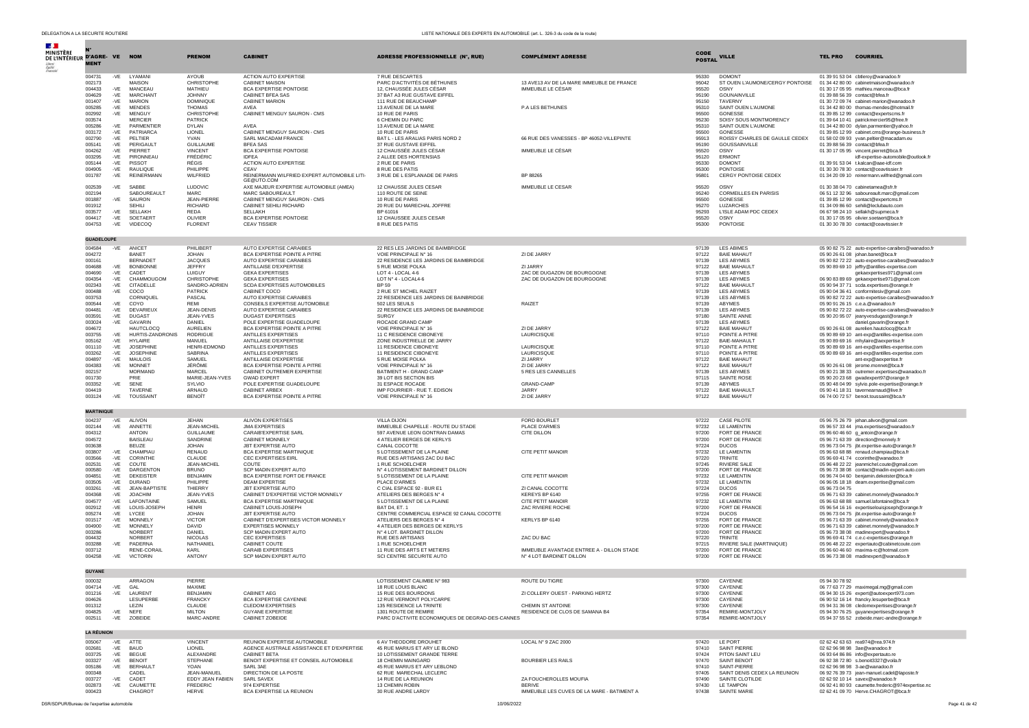| DELEGATION A LA SECURITE ROUTIERE |                   |                |                                      |                                |                                                                           | LISTE NATIONALE DES EXPERTS EN AUTOMOBILE (art. L. 326-3 du code de la route) |                                                                       |                |                                              |                                                                                           |
|-----------------------------------|-------------------|----------------|--------------------------------------|--------------------------------|---------------------------------------------------------------------------|-------------------------------------------------------------------------------|-----------------------------------------------------------------------|----------------|----------------------------------------------|-------------------------------------------------------------------------------------------|
| <b>SALE</b>                       |                   |                |                                      |                                |                                                                           |                                                                               |                                                                       |                |                                              |                                                                                           |
| MINISTÈRE                         |                   |                |                                      |                                |                                                                           |                                                                               |                                                                       | CODE           |                                              |                                                                                           |
| DE L'INTÉRIEUR D'AGRE-VE          |                   |                | <b>NOM</b>                           | <b>PRENOM</b>                  | <b>CABINET</b>                                                            | ADRESSE PROFESSIONNELLE (N°, RUE)                                             | <b>COMPLÉMENT ADRESSE</b>                                             | <b>POSTAL</b>  | <b>VILLE</b>                                 | <b>COURRIEL</b><br><b>TEL PRO</b>                                                         |
| Liberté<br>Égalité<br>Fraterio    | <b>MENT</b>       |                |                                      |                                |                                                                           |                                                                               |                                                                       |                |                                              |                                                                                           |
|                                   | 004731            | $-VE$          | LYAMANI                              | <b>AYOUB</b>                   | ACTION AUTO EXPERTISE                                                     | 7 RUE DESCARTES                                                               |                                                                       | 95330          | <b>DOMONT</b>                                | 01 39 91 53 04 cbtleroy@wanadoo.fr                                                        |
|                                   | 002173            |                | MAISON                               | CHRISTOPHE                     | <b>CABINET MAISON</b>                                                     | PARC D'ACTIVITÉS DE BÉTHUNES                                                  | 13 AVE13 AV DE LA MARE IMMEUBLE DE FRANCE                             | 95042          | ST OUEN L'AUMONE/CERGY PONTOISE              | 01 34 42 80 00 cabinetmaison@wanadoo.fr                                                   |
|                                   | 004433            | $-VE$          | MANCEAU                              | MATHIEU                        | BCA EXPERTISE PONTOISE                                                    | 12, CHAUSSÉE JULES CÉSAR                                                      | IMMEUBLE LE CÉSAR                                                     | 95520          | OSNY                                         | 01 30 17 05 95 mathieu.manceau@bca.fr                                                     |
|                                   | 004629<br>001407  | $-VE$<br>$-VE$ | <b>MARCHANT</b><br><b>MARION</b>     | YUUHOL.<br>DOMINIQUE           | <b>CABINET BFEA SAS</b><br>CABINET MARION                                 | 37 BAT A3 RUE GUSTAVE FIFEEL<br>111 RUE DE BEAUCHAMP                          |                                                                       | 95190<br>95150 | GOUNAINVILLE<br><b>TAVERNY</b>               | 01 39 88 56 39 contact@bfea.fr<br>01 30 72 09 74 cabinet-marion@wanadoo.fr                |
|                                   | 005285            | $-VE$          | <b>MENDES</b>                        | <b>THOMAS</b>                  | AVEA                                                                      | 13 AVENUE DE LA MARE                                                          | P.A LES BETHUNES                                                      | 95310          | SAINT OUEN L'AUMONE                          | 01 34 42 80 00 thomas-mendes@hotmail.fr                                                   |
|                                   | 002992            | -VE            | MENGUY                               | CHRISTOPHE                     | CABINET MENGUY SAURON - CMS                                               | 10 RUE DE PARIS                                                               |                                                                       | 95500          | GONESSE                                      | 01 39 85 12 99 contact@expertscms.fr                                                      |
|                                   | 003574            |                | <b>MERCIER</b>                       | <b>PATRICK</b>                 |                                                                           | 6 CHEMIN DU PARC                                                              |                                                                       | 95230          | SOISY SOUS MONTMORENCY                       | 01 39 64 10 41 patrickmercier95@free.fr                                                   |
|                                   | 005286<br>003172  | $-VE$<br>$-VE$ | PARMENTIER<br><b>PATRIARCA</b>       | <b>DYLAN</b><br><b>LIONEL</b>  | AVFA<br>CABINET MENGUY SAURON - CMS                                       | 13 AVENUE DE LA MARE<br>10 RUE DE PARIS                                       |                                                                       | 95310<br>95500 | SAINT OUEN L'AUMONE<br>GONESSE               | 01 34 42 80 00 dylan.parmentier@yahoo.fr                                                  |
|                                   | 002790            | $-VE$          | PELTIER                              | YVAN                           | SARL MACADAM FRANCE                                                       | BAT L - LES ARALIAS PARIS NORD 2                                              | 66 RUE DES VANESSES - BP 46052-VILLEPINTE                             | 95913          | ROISSY CHARLES DE GAULLE CEDEX               | 01 39 85 12 99 cabinet.cms@orange-business.fr<br>01 58 02 09 93 yvan.peltier@macadam.eu   |
|                                   | 005141            | $-VE$          | <b>PERIGAULT</b>                     | <b>GUILLAUME</b>               | <b>BFEA SAS</b>                                                           | 37 RUE GUSTAVE EIFFEL                                                         |                                                                       | 95190          | GOUSSAINVILLE                                | 01 39 88 56 39 contact@bfea.fr                                                            |
|                                   | 004262            | $-VE$          | PIERRET                              | <b>VINCENT</b>                 | BCA EXPERTISE PONTOISE                                                    | 12 CHAUSSÉE JULES CÉSAR                                                       | IMMEUBLE LE CÉSAR                                                     | 95520          | OSNY                                         | 01 30 17 05 95 vincent.pierret@bca.fr                                                     |
|                                   | 003295<br>005144  | $-VE$<br>$-VE$ | PIRONNEAU<br>PISSOT                  | FRÉDÉRIC<br>RÉGIS              | <b>IDFEA</b><br>ACTION AUTO EXPERTISE                                     | 2 ALLEE DES HORTENSIAS<br>2 RUE DE PARIS                                      |                                                                       | 95120<br>95330 | ERMONT<br><b>DOMONT</b>                      | idf-expertise-automobile@outlook.fr<br>01 39 91 53 04 t.kalcan@aae-idf.com                |
|                                   | 004905            | $-VE$          | RAULIQUE                             | PHILIPPE                       | CEAV                                                                      | 8 RUE DES PATIS                                                               |                                                                       | 95300          | PONTOISE                                     | 01 30 30 78 30 contact@ceavtissier.fr                                                     |
|                                   | 001787            | $-VE$          | <b>REINERMANN</b>                    | WILFRIED                       | REINERMANN WILFRIED EXPERT AUTOMOBILE LITI-                               | 3 RUE DE L ESPLANADE DE PARIS                                                 | BP 88265                                                              | 95801          | CERGY PONTOISE CEDEX                         | 01 34 20 09 10 reinermann.wilfried@gmail.com                                              |
|                                   |                   |                |                                      |                                | GE@UTO.COM                                                                |                                                                               |                                                                       |                |                                              |                                                                                           |
|                                   | 002539<br>002194  | -VE            | SABBE<br>SABOUREAULT                 | LUDOVIC<br><b>MARC</b>         | AXE MAJEUR EXPERTISE AUTOMOBILE (AMEA)<br>MARC SABOUREAULT                | 12 CHAUSSE JULES CESAR<br>110 ROUTE DE SEINE                                  | <b>IMMEUBLE LE CESAR</b>                                              | 95520<br>95240 | OSNY<br><b>CORMEILLES EN PARISIS</b>         | 01 30 38 04 70 cabinetamea@sfr.fr<br>06 51 12 32 96 saboureault.marc@gmail.com            |
|                                   | 001887            | -VE            | SAURON                               | JEAN-PIERRE                    | CABINET MENGUY SAURON - CMS                                               | 10 RUE DE PARIS                                                               |                                                                       | 95500          | GONESSE                                      | 01 39 85 12 99 contact@expertcms.fr                                                       |
|                                   | 001912            |                | <b>SEHILI</b>                        | RICHARD                        | CABINET SEHILI RICHARD                                                    | 20 RUE DU MARECHAL JOFFRE                                                     |                                                                       | 95270          | LUZARCHES                                    | 01 34 09 86 60 sehili@leclubauto.com                                                      |
|                                   | 003577<br>004417  | $-VE$<br>$-VE$ | SELLAKH<br>SOETAER1                  | REDA<br>OLIVIER                | SELLAKH<br>BCA EXPERTISE PONTOISE                                         | BP 61016                                                                      |                                                                       | 95293<br>95520 | L'ISLE ADAM PDC CEDEX<br>OSNY                | 06 67 98 24 10 sellakh@supmeca.fr                                                         |
|                                   | 004753            | $-VE$          | <b>VIDECOO</b>                       | <b>FLORENT</b>                 | <b>CEAV TISSIER</b>                                                       | 12 CHAUSSEE JULES CESAR<br>8 RUE DES PATIS                                    |                                                                       | 95300          | PONTOISE                                     | 01 30 17 05 95 olivier.soetaert@bca.fr<br>01 30 30 78 30 contact@ceavtissier.fr           |
|                                   |                   |                |                                      |                                |                                                                           |                                                                               |                                                                       |                |                                              |                                                                                           |
|                                   | <b>GUADELOUPE</b> |                |                                      |                                |                                                                           |                                                                               |                                                                       |                |                                              |                                                                                           |
|                                   | 004584            | -VE            | ANICET                               | PHILIBERT                      | AUTO EXPERTISE CARAIBES                                                   | 22 RES LES JARDINS DE BAIMBRIDGE                                              |                                                                       | 97139          | <b>LES ABIMES</b>                            | 05 90 82 75 22 auto-expertise-caraibes@wanadoo.fr                                         |
|                                   | 004272            |                | <b>BANET</b>                         | MAHOL.                         | BCA EXPERTISE POINTE A PITRE                                              | VOIE PRINCIPALE N° 16                                                         | ZI DE JARRY                                                           | 97122          | <b>BAIF MAHAUT</b>                           | 05 90 26 61 08 johan.banet@bca.fr                                                         |
|                                   | 000161            |                | <b>BERNADET</b>                      | <b>JACQUES</b>                 | AUTO EXPERTISE CARAIBES                                                   | 22 RESIDENCE LES JARDINS DE BAIMBRIDGE                                        |                                                                       | 97139          | <b>LES ABYMES</b>                            | 05 90 82 72 22 auto-expertise-caraibes@wanadoo.fr                                         |
|                                   | 004688<br>004690  | $-VE$<br>$-VE$ | <b>BONBONNE</b><br>CADET             | <b>JEFFRY</b><br>LUIGUY        | ANTILLAISE D'EXPERTISE<br><b>GEKA EXPERTISES</b>                          | 5 RUE MOISE POLKA<br>LOT 4 - LOCAL 4-6                                        | ZI JARRY<br>ZAC DE DUGAZON DE BOURGOGNE                               | 97122<br>97139 | <b>BAIE MAHAULT</b><br><b>I ES ARYMES</b>    | 05 90 89 69 10 jeffry@antilles-expertise.com                                              |
|                                   | 004354            | -VE            | CHAMMOUGOM                           | CHRISTOPHE                     | <b>GEKA EXPERTISES</b>                                                    | LOT Nº 4 - LOCAL4-6                                                           | ZAC DE DUGAZON DE BOURGOGNE                                           | 97139          | <b>LES ABYMES</b>                            | gekaexpertises971@gmail.com<br>06 90 83 89 69 gekaexpertise971@gmail.com                  |
|                                   | 002343            | $-VE$          | CITADELLE                            | SANDRO-ADRIEN                  | SCDA EXPERTISES AUTOMOBILES                                               | <b>BP 59</b>                                                                  |                                                                       | 97122          | <b>BAIE MAHAULT</b>                          | 05 90 94 37 71 scda.expertises@orange.fr                                                  |
|                                   | 000488            | $-VE$          | COCO                                 | <b>PATRICK</b>                 | CABINET COCO                                                              | 2 RUE ST MICHEL RAIZET                                                        |                                                                       | 97139          | LES ABYMES                                   | 05 90 04 36 41 conformitesiv@gmail.com                                                    |
|                                   | 003753<br>000544  |                | CORNIOUEL                            | PASCAL<br>RFMI                 | AUTO EXPERTISE CARAIBES                                                   | 22 RESIDENCE LES JARDINS DE BAINBRIDGE<br>502 LES SEUILS                      |                                                                       | 97139          | <b>LES ABYMES</b>                            | 05 90 82 72 22 auto-expertise-caraibes@wanadoo.fr                                         |
|                                   | 004481            | -VE<br>$-VE$   | COYO<br>DEVARIEUX                    | JEAN-DENIS                     | CONSEILS EXPERTISE AUTOMOBILE<br>AUTO EXPERTISE CARAIBES                  | 22 RESIDENCE LES JARDINS DE BAINBRIDGE                                        | RAIZET                                                                | 97139<br>97139 | <b>ARYMES</b><br>LES ABYMES                  | 05 90 91 26 15 c.e.a.@wanadoo.fr<br>05 90 82 72 22 auto-expertise-caraibes@wanadoo.fr     |
|                                   | 003591            | $-VE$          | <b>DUGAST</b>                        | JEAN-YVES                      | <b>DUGAST EXPERTISES</b>                                                  | <b>SURGY</b>                                                                  |                                                                       | 97180          | SAINTE ANNE                                  | 05 90 20 95 07 jeanyvesdugast@orange.fr                                                   |
|                                   | 003024            | -VE            | GAVARIN                              | DANIFI                         | POLE EXPERTISE GUADELOUPE                                                 | ROCADE GRAND CAMP                                                             |                                                                       | 97139          | <b>LES ABYMES</b>                            | daniel.gavarin@orange.fr                                                                  |
|                                   | 004672<br>003755  | $-VE$          | <b>HAUTCLOCQ</b><br>HURTIS-ZANDRONIS | <b>AURELIEN</b><br>RODRIGUE    | BCA EXPERTISE POINTE A PITRE<br>ANTILLES EXPERTISES                       | VOIE PRINCIPALE N° 16<br>11 C RESIDENCE CIBONEYE                              | ZI DE JARRY                                                           | 97122<br>97110 | <b>BAIE MAHAUT</b><br>POINTE A PITRE         | 05 90 26 61 08 aurelien.hautclocg@bca.fr<br>05.90.89.69.10 ant-exp@antilles-expertise.com |
|                                   | 005162            | $-VE$          | <b>HYLAIRE</b>                       | MANUEL                         | ANTILLAISE D'EXPERTISE                                                    | ZONE INDUSTRIELLE DE JARRY                                                    | LAURICISQUE                                                           | 97122          | <b>BAIE-MAHAULT</b>                          | 05 90 89 69 16 mhylaire@aexpertise.fr                                                     |
|                                   | 001110            | $-VE$          | <b>JOSEPHINE</b>                     | HENRI-EDMOND                   | ANTILLES EXPERTISES                                                       | 11 RESIDENCE CIBONEYE                                                         | LAURICISQUE                                                           | 97110          | POINTE A PITRI                               | 05 90 89 69 16 ant-exp@antilles-expertise.com                                             |
|                                   | 003262            | $-VE$          | <b>JOSEPHINE</b>                     | SABRINA                        | ANTILLES EXPERTISES                                                       | 11 RESIDENCE CIBONEYE                                                         | LAURICISQUE                                                           | 97110          | POINTE A PITRE                               | 05 90 89 69 16 ant-exp@antilles-expertise.com                                             |
|                                   | 004897<br>004383  | -VE<br>$-VE$   | <b>MAULOIS</b><br><b>MONNET</b>      | SAMUEL<br>JÉRÔME               | ANTILLAISE D'EXPERTISE<br>BCA EXPERTISE POINTE A PITRE                    | 5 RUE MOISE POLKA<br>VOIE PRINCIPALE N° 16                                    | ZI JARRY<br>ZI DE JARRY                                               | 97122<br>97122 | <b>BAIE MAHAUT</b><br><b>BAIE MAHAUT</b>     | ant-exp@aexpertise.fr<br>05 90 26 61 08 jerome.monnet@bca.fr                              |
|                                   | 002157            |                | <b>MORMAND</b>                       | <b>MARCEL</b>                  | CABINET OUTREMER EXPERTISE                                                | BATIMENT H - GRAND CAMP                                                       | 5 RES LES CANNELLES                                                   | 97139          | <b>I FS ARYMES</b>                           | 05 90 21 38 33 outremer.expertises@wanadoo.fr                                             |
|                                   | 001730            |                | PRIE                                 | MARIE-JEAN-YVES                | <b>GWAD EXPERT</b>                                                        | 39 LOT BIS SECTION BIS                                                        |                                                                       | 97115          | SAINTE ROSE                                  | 05 90 20 23 68 gwadexpert97@orange.fr                                                     |
|                                   | 003352            | -VE            | SENE                                 | SYLVIO                         | POLE EXPERTISE GUADELOUPE<br>CABINET ARREX                                | 31 ESPACE ROCADE<br>IMP FOURRIER - RUE T. EDISON                              | <b>GRAND-CAMF</b>                                                     | 97139          | <b>ABYMES</b>                                | 05 90 48 04 99 sylvio.pole-expertise@orange.fr                                            |
|                                   | 004419<br>003124  | $-VE$          | TAVERNE<br><b>TOUSSAINT</b>          | <b>ARNAUD</b><br><b>BENOÎT</b> | BCA EXPERTISE POINTE A PITRE                                              | VOIE PRINCIPALE N° 16                                                         | .1ARRY<br>ZI DE JARRY                                                 | 97122<br>97122 | <b>BAIF MAHAULT</b><br><b>BAIE MAHAUT</b>    | 05 90 41 18 31 tavernearnaud@live.fr<br>06 74 00 72 57 benoit.toussaint@bca.fr            |
|                                   |                   |                |                                      |                                |                                                                           |                                                                               |                                                                       |                |                                              |                                                                                           |
|                                   | <b>MARTINIQUE</b> |                |                                      |                                |                                                                           |                                                                               |                                                                       |                |                                              |                                                                                           |
|                                   | 004237            | $-VE$          | ALIVON                               | <b>JEHAN</b>                   | ALIVON EXPERTISES                                                         | <b>VILLA DIJON</b>                                                            | FORD BOURLET                                                          | 97222          | CASE PILOTE                                  | 05 96 75 26 79 jehan.alivon@gmail.com                                                     |
|                                   | 002144            | -VE            | ANNETTE                              | JEAN-MICHEL                    | <b>JMA EXPERTISES</b>                                                     | IMMEUBLE CHAPELLE - ROUTE DU STADE                                            | PI ACE D'ARMES                                                        | 97232          | <b>IF LAMENTIN</b>                           | 05 96 57 33 44 jma.expertises@wanadoo.fr                                                  |
|                                   | 004312            |                | <b>ANTOIN</b>                        | <b>GUILLAUME</b>               | CARAIB'EXPERTISE SARL                                                     | 597 AVENUE LEON GONTRAN DAMAS                                                 | CITE DILLON                                                           | 97200          | FORT DE FRANCE                               | 05 96 60 46 60 g_antoin@orange.fr                                                         |
|                                   | 004572<br>003638  |                | <b>BAISLEAU</b><br><b>BEUZE</b>      | SANDRINE<br><b>JOHAN</b>       | CABINET MONNELY<br>JBT EXPERTISE AUTO                                     | 4 ATELIER BERGES DE KERLYS<br>CANAL COCOTTE                                   |                                                                       | 97200<br>97224 | FORT DE FRANCE<br><b>DUCOS</b>               | 05 96 71 63 39 direction@monnelv.fr<br>05 96 73 04 75 jbt.expertise-auto@orange.fr        |
|                                   | 003807            | $-VE$          | CHAMPIAU                             | <b>RENAUD</b>                  | <b>BCA EXPERTISE MARTINIOUE</b>                                           | 5 LOTISSEMENT DE LA PLAINE                                                    | CITE PETIT MANOIR                                                     | 97232          | LE LAMENTIN                                  | 05 96 63 68 88 renaud.champiau@bca.fr                                                     |
|                                   | 003566            | $-VE$          | CORINTHE                             | CLAUDE                         | CEC EXPERTISES EIRL                                                       | RUE DES ARTISANS ZAC DU BAC                                                   |                                                                       | 97220          | <b>TRINITE</b>                               | 05 96 69 41 74 ccorinthe@wanadoo.fr                                                       |
|                                   | 002531<br>000580  | -VE<br>-VE     | COUTE<br><b>DARGENTON</b>            | JEAN-MICHEL<br><b>BRUNO</b>    | COUTE<br>SCP MADIN EXPERT AUTO                                            | 1 RUE SCHOELCHER<br>N° 4 LOTISSEMENT BARDINET DILLON                          |                                                                       | 97245<br>97200 | RIVIERE SALE<br>FORT DE FRANCE               | 05 96 48 22 22 jeanmichel.coute@gmail.com<br>05 96 73 38 08 contact@madin-expert-auto.com |
|                                   | 004851            | $-VE$          | DEKEISTER                            | <b>BENJAMIN</b>                | BCA EXPERTISE FORT DE FRANCE                                              | 5 LOTISSEMENT DE LA PLAINE                                                    | CITE PETIT MANOIR                                                     | 97232          | LE LAMENTIN                                  | 06 96 74 04 60 benjamin.dekeister@bca.fr                                                  |
|                                   | 003505            | $-VE$          | <b>DURAND</b>                        | PHILIPPE                       | <b>DEAM EXPERTISE</b>                                                     | PLACE D'ARMES                                                                 |                                                                       | 97232          | LE LAMENTIN                                  | 06 96 05 18 18 deam.expertise@gmail.com                                                   |
|                                   | 003261            | $-VE$          | JEAN-BAPTISTE                        | THIERRY                        | JBT EXPERTISE AUTO                                                        | C CIAL ESPACE 92 - BUR E1                                                     | ZI CANAL COCOTTE                                                      | 97224          | <b>DUCOS</b>                                 | 05 96 73 04 75                                                                            |
|                                   | 004368<br>004577  | $-VE$<br>$-VE$ | <b>JOACHIM</b><br>LAFONTAINE         | JEAN-YVES<br>SAMUEL            | CABINET D'EXPERTISE VICTOR MONNELY<br>BCA EXPERTISE MARTINIQUE            | ATELIERS DES BERGES N° 4<br>5 LOTISSEMENT DE LA PLAINE                        | KEREYS BP 6140<br>CITE PETIT MANOIR                                   | 97255<br>97232 | FORT DE FRANCE<br>LE LAMENTIN                | 05 96 71 63 39 cabinet.monnely@wanadoo.fr<br>05 96 63 68 88 samuel.lafontaine@bca.fr      |
|                                   | 002912            | $-VE$          | LOUIS-JOSEPH                         | <b>HENRI</b>                   | CABINET LOUIS-JOSEPH                                                      | BAT D4, ET. 1                                                                 | ZAC RIVIERE ROCHE                                                     | 97200          | FORT DE FRANCE                               | 05 96 54 16 16 expertiselouisjoseph@orange.fr                                             |
|                                   | 005274            | $-VE$          | LYCEE                                | <b>JOHAN</b>                   | <b>JBT EXPERTISE AUTO</b>                                                 | CENTRE COMMERCIAL ESPACE 92 CANAL COCOTTE                                     |                                                                       | 97224          | <b>DUCOS</b>                                 | 05 96 73 04 75 jbt.expertise-auto@orange.fr                                               |
|                                   | 001517            | $-VE$          | <b>MONNELY</b>                       | <b>VICTOR</b>                  | CABINET D'EXPERTISES VICTOR MONNELY<br><b>EXPERTISES MONNELY</b>          | ATELIERS DES BERGES Nº 4                                                      | KERLYS BP 6140                                                        | 97255          | FORT DE FRANCE                               | 05 96 71 63 39 cabinet.monnely@wanadoo.fr<br>05.96.71.63.39 cabinet.monnely@wanadoo.fr    |
|                                   | 004900<br>003286  | -VE            | MONNELY<br>NORBERT                   | <b>DAVID</b><br><b>DANIEL</b>  | SCP MADIN EXPERT AUTO                                                     | 4 ATELIER DES BERGES DE KERLYS<br>N° 4 LOT. BARDINET DILLON                   |                                                                       | 97200<br>97200 | FORT DE FRANCE<br>FORT DE FRANCE             | 05 96 73 38 08 madinexpert@wanadoo.fr                                                     |
|                                   | 004432            |                | NORBERT                              | <b>NICOLAS</b>                 | <b>CEC EXPERTISES</b>                                                     | RUE DES ARTISANS                                                              | ZAC DU BAC                                                            | 97220          | TRINITE                                      | 05 96 69 41 74 c.e.c-expertises@orange.fr                                                 |
|                                   | 003288            | $-VE$          | PADERNA                              | NATHANIEL                      | CABINET COUTE                                                             | 1 RUE SCHOELCHER                                                              |                                                                       | 97215          | RIVIERE SALE (MARTINIQUE)                    | 05 96 48 22 22 expertauto@cabinetcoute.com                                                |
|                                   | 003712<br>004258  | $-VE$          | RENE-CORAIL<br><b>VICTORIN</b>       | KARL<br>ANTONY                 | CARAIB EXPERTISES<br>SCP MADIN EXPERT AUTO                                | 11 RUE DES ARTS ET METIERS<br>SCI CENTRE SECURITE AUTO                        | IMMEUBLE AVANTAGE ENTREE A - DILLON STADE<br>Nº 4 LOT BARDINET DILLON | 97200<br>97200 | FORT DE FRANCE<br>FORT DE FRANCE             | 05 96 60 46 60 maxima-rc@hotmail.com                                                      |
|                                   |                   |                |                                      |                                |                                                                           |                                                                               |                                                                       |                |                                              | 05 96 73 38 08 madinexpert@wanadoo.fr                                                     |
|                                   | <b>GUYANE</b>     |                |                                      |                                |                                                                           |                                                                               |                                                                       |                |                                              |                                                                                           |
|                                   | 000032            |                | ARRAGON                              | PIERRE                         |                                                                           | LOTISSEMENT CALIMBE N° 983                                                    | ROUTE DU TIGRE                                                        | 97300          | CAYENNE                                      | 05 94 30 78 92                                                                            |
|                                   | 004714            | $-VE$          | GAL                                  | MAXIME                         |                                                                           | 18 RUE LOUIS BLANC                                                            |                                                                       | 97300          | CAYENNE                                      | 06 77 63 77 29 maximegal.mg@gmail.com                                                     |
|                                   | 001216            | -VE            | LAURENT                              | <b>BENJAMIN</b>                | CABINET AEG                                                               | 15 RUE DES BOURDONS                                                           | ZI COLLERY OUEST - PARKING HERTZ                                      | 97300          | CAYENNE                                      | 05 94 30 15 26 expert@autoexpert973.com                                                   |
|                                   | 004626<br>001312  |                | LESUPERBE<br>LEZIN                   | <b>FRANCKY</b><br>CLAUDE       | BCA EXPERTISE CAYENNE<br><b>CLEDOM EXPERTISES</b>                         | 12 RUE VERMONT POLYCARPE<br>135 RESIDENCE LA TRINITE                          | CHEMIN ST ANTOINE                                                     | 97300<br>97300 | CAYENNE<br>CAYENNE                           | 06 90 52 16 14 francky.lesuperbe@bca.fr<br>05 94 31 36 08 cledomexpertises@orange.fr      |
|                                   | 004825            | $-VE$          | NEFE                                 | <b>MILTON</b>                  | <b>GUYANE EXPERTISE</b>                                                   | 1301 ROUTE DE REMIRE                                                          | RESIDENCE DE CLOS DE SAMANA B4                                        | 97354          | REMIRE-MONTJOLY                              | 05 94 30 76 25 guyanexpertises@orange.fr                                                  |
|                                   | 002511            | $-VE$          | ZOBEIDE                              | MARC-ANDRE                     | CABINET ZOBEIDE                                                           | PARC D'ACTIVITE ECONOMIQUES DE DEGRAD-DES-CANNES                              |                                                                       | 97354          | REMIRE-MONTJOLY                              | 05 94 37 55 52 zobeide.marc-andre@orange.fr                                               |
|                                   |                   |                |                                      |                                |                                                                           |                                                                               |                                                                       |                |                                              |                                                                                           |
|                                   | <b>LA RÉUNION</b> |                |                                      |                                |                                                                           |                                                                               |                                                                       |                |                                              |                                                                                           |
|                                   | 005067<br>002681  | $-VE$<br>$-VE$ | ATTE<br>BAUD                         | <b>VINCENT</b><br>LIONEL       | REUNION EXPERTISE AUTOMOBILE<br>AGENCE AUSTRALE ASSISTANCE ET D'EXPERTISE | 6 AV THEODORE DROUHET<br>45 RUE MARIUS ET ARY LE BLOND                        | LOCAL Nº 9 ZAC 2000                                                   | 97420<br>97410 | LE PORT<br><b>SAINT PIERRE</b>               | 02 62 42 63 63 rea974@rea.974.fr<br>02 62 96 98 98 3ae@wanadoo.fr                         |
|                                   | 003725            | $-VE$          | <b>BEGUE</b>                         | ALEXANDRE                      | CABINET BETA                                                              | 10 LOTISSEMENT GRANDE TERRE                                                   |                                                                       | 97424          | PITON SAINT LEU                              | 06 93 64 86 86 info@expertauto.re                                                         |
|                                   | 003327            | -VE            | <b>BENOIT</b>                        | <b>STEPHANE</b>                | BENOIT EXPERTISE ET CONSEIL AUTOMOBILE                                    | 18 CHEMIN MAINGARD                                                            | <b>BOURBIER LES RAILS</b>                                             | 97470          | SAINT BENOIT                                 | 06 92 38 72 80 s.benoit3327@voila.fr                                                      |
|                                   | 005186            | $-VE$          | <b>BERHAULT</b>                      | YOAN<br>JEAN-MANUEL            | SARL 3AE<br>DIRECTION DE LA POSTE                                         | 45 RUE MARIUS ET ARY LEBLOND                                                  |                                                                       | 97410          | SAINT-PIERRE<br>SAINT DENIS CEDEX LA REUNION | 02 62 96 98 98 3-ae@wanadoo.fr                                                            |
|                                   | 000348<br>003727  | -VE            | CADEL<br>CADET                       | EDDY JEAN FABIEN               | SARL SAVEX                                                                | 62 RUE MARECHAL LECLERC<br>14 RUE DE LA REUNION                               | ZA FOUCHEROLLES MOUFIA                                                | 97405<br>97490 | SAINTE CLOTILDE                              | 06 92 76 39 73 jean-manuel.cadel@laposte.fr<br>02 62 92 10 14 savex@wanadoo.fr            |
|                                   | 002873            | $-VE$          | CAUMETTE                             | <b>FREDERIC</b>                | 974 EXPERTISE                                                             | 13 CHEMIN ROBIN                                                               | <b>BERIVE</b>                                                         | 97430          | LE TAMPON                                    | 06 92 41 80 93 caumette.frederic@974expertise.nc                                          |
|                                   | 000423            |                | CHAGROT                              | <b>HERVE</b>                   | BCA EXPERTISE LA REUNION                                                  | 30 RUE ANDRE LARDY                                                            | IMMEUBLE LES CUVES DE LA MARE - BATIMENT A                            | 97438          | SAINTE MARIE                                 | 02 62 41 09 70 Herve.CHAGROT@bca.fr                                                       |

DSR/SDPUR/Bureau de l'expertise automobile 10/06/2022 Page 41 de 42 and the 10/06/2022 Page 41 de 42 and the 12 and the 12 and the 12 and the 12 and the 12 and the 12 and the 12 and the 12 and the 12 and the 12 and the 12